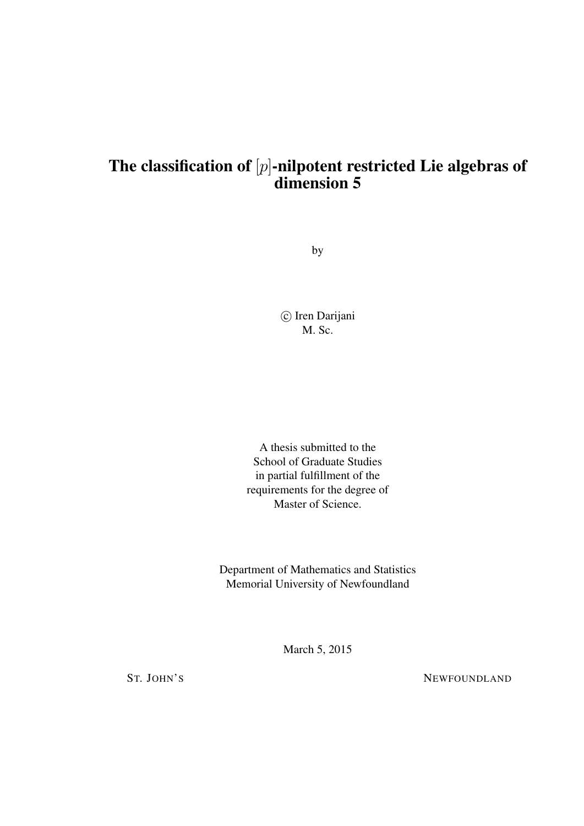## The classification of  $[p]$ -nilpotent restricted Lie algebras of dimension 5

by

(c) Iren Darijani M. Sc.

A thesis submitted to the School of Graduate Studies in partial fulfillment of the requirements for the degree of Master of Science.

Department of Mathematics and Statistics Memorial University of Newfoundland

March 5, 2015

ST. JOHN'S NEWFOUNDLAND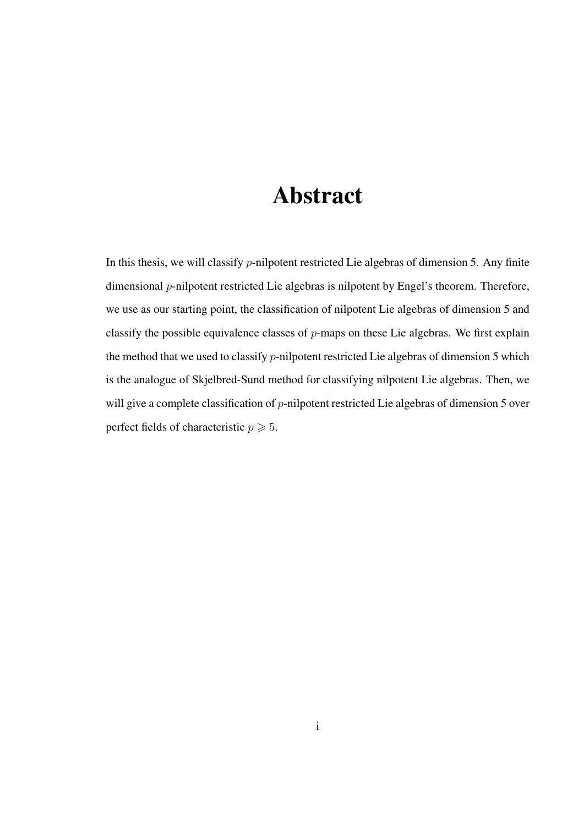# Abstract

In this thesis, we will classify p-nilpotent restricted Lie algebras of dimension 5. Any finite dimensional *p*-nilpotent restricted Lie algebras is nilpotent by Engel's theorem. Therefore, we use as our starting point, the classification of nilpotent Lie algebras of dimension 5 and classify the possible equivalence classes of  $p$ -maps on these Lie algebras. We first explain the method that we used to classify  $p$ -nilpotent restricted Lie algebras of dimension 5 which is the analogue of Skjelbred-Sund method for classifying nilpotent Lie algebras. Then, we will give a complete classification of *p*-nilpotent restricted Lie algebras of dimension 5 over perfect fields of characteristic  $p \ge 5$ .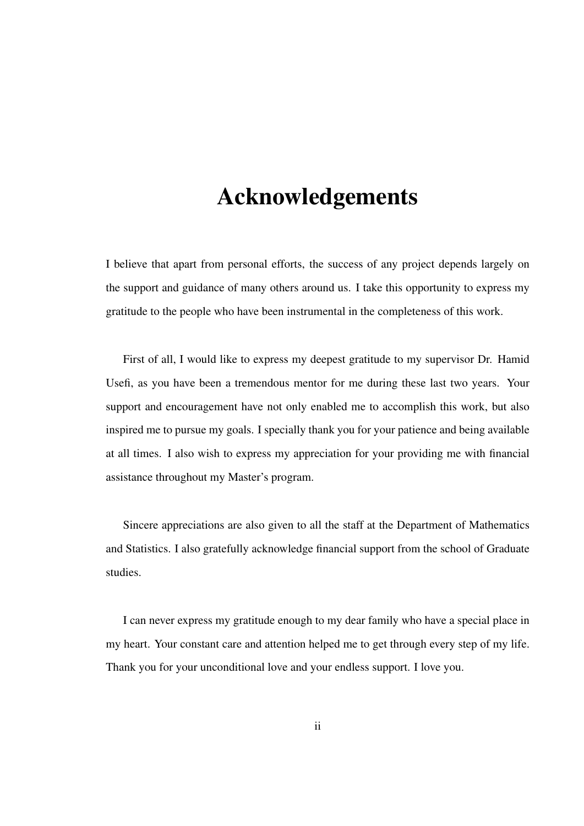## Acknowledgements

I believe that apart from personal efforts, the success of any project depends largely on the support and guidance of many others around us. I take this opportunity to express my gratitude to the people who have been instrumental in the completeness of this work.

First of all, I would like to express my deepest gratitude to my supervisor Dr. Hamid Usefi, as you have been a tremendous mentor for me during these last two years. Your support and encouragement have not only enabled me to accomplish this work, but also inspired me to pursue my goals. I specially thank you for your patience and being available at all times. I also wish to express my appreciation for your providing me with financial assistance throughout my Master's program.

Sincere appreciations are also given to all the staff at the Department of Mathematics and Statistics. I also gratefully acknowledge financial support from the school of Graduate studies.

I can never express my gratitude enough to my dear family who have a special place in my heart. Your constant care and attention helped me to get through every step of my life. Thank you for your unconditional love and your endless support. I love you.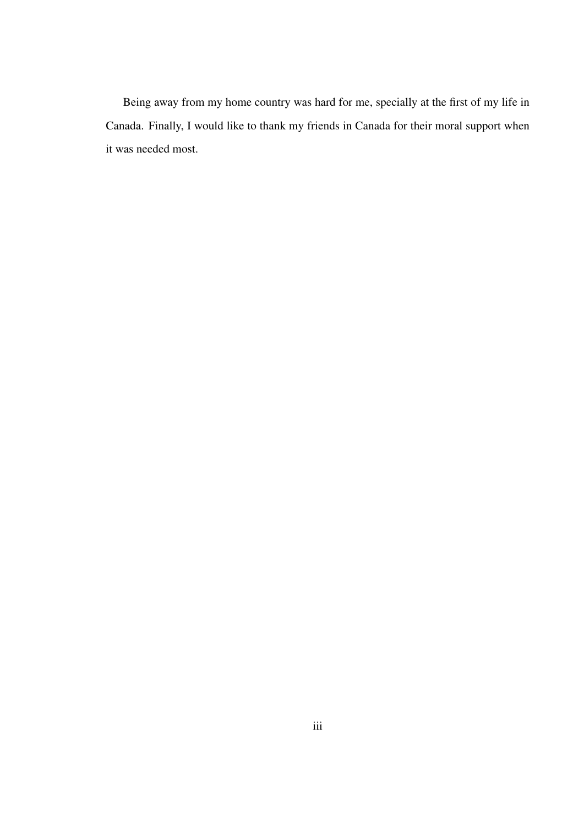Being away from my home country was hard for me, specially at the first of my life in Canada. Finally, I would like to thank my friends in Canada for their moral support when it was needed most.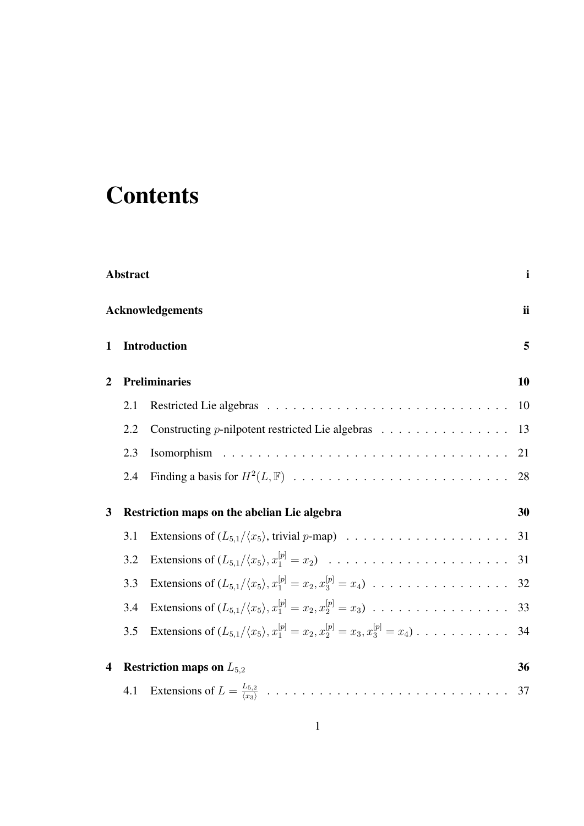# **Contents**

|   | $\mathbf{i}$<br>Abstract      |                                                                                                                                    |    |  |  |
|---|-------------------------------|------------------------------------------------------------------------------------------------------------------------------------|----|--|--|
|   | ii<br><b>Acknowledgements</b> |                                                                                                                                    |    |  |  |
| 1 |                               | <b>Introduction</b>                                                                                                                | 5  |  |  |
| 2 | <b>Preliminaries</b>          |                                                                                                                                    |    |  |  |
|   | 2.1                           |                                                                                                                                    | 10 |  |  |
|   | 2.2                           | Constructing <i>p</i> -nilpotent restricted Lie algebras 13                                                                        |    |  |  |
|   | 2.3                           |                                                                                                                                    |    |  |  |
|   | 2.4                           |                                                                                                                                    |    |  |  |
| 3 |                               | Restriction maps on the abelian Lie algebra                                                                                        | 30 |  |  |
|   | 3.1                           |                                                                                                                                    |    |  |  |
|   | 3.2                           |                                                                                                                                    |    |  |  |
|   | 3.3                           | Extensions of $(L_{5,1}/\langle x_5 \rangle, x_1^{[p]} = x_2, x_3^{[p]} = x_4) \dots \dots \dots \dots \dots \dots \dots \dots$ 32 |    |  |  |
|   | 3.4                           | Extensions of $(L_{5,1}/\langle x_5 \rangle, x_1^{[p]} = x_2, x_2^{[p]} = x_3) \dots \dots \dots \dots \dots \dots \dots \dots$ 33 |    |  |  |
|   | 3.5                           | Extensions of $(L_{5,1}/\langle x_5 \rangle, x_1^{[p]} = x_2, x_2^{[p]} = x_3, x_3^{[p]} = x_4) \dots \dots \dots \dots \dots$ 34  |    |  |  |
| 4 |                               | <b>Restriction maps on</b> $L_{5,2}$                                                                                               | 36 |  |  |
|   |                               |                                                                                                                                    |    |  |  |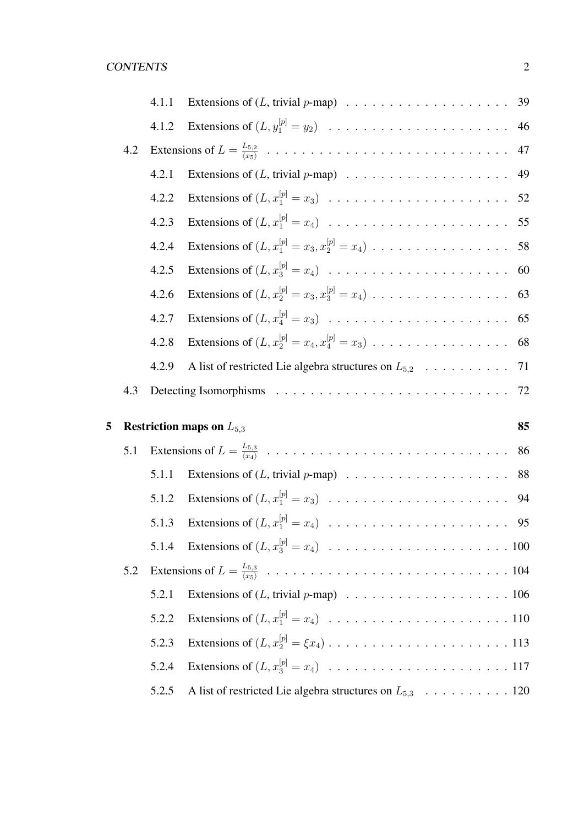|   |     | 4.1.1 |                                                                                                                         |  |
|---|-----|-------|-------------------------------------------------------------------------------------------------------------------------|--|
|   |     | 4.1.2 |                                                                                                                         |  |
|   | 4.2 |       |                                                                                                                         |  |
|   |     | 4.2.1 |                                                                                                                         |  |
|   |     | 4.2.2 | Extensions of $(L, x_1^{[p]} = x_3) \dots \dots \dots \dots \dots \dots \dots \dots \dots \dots$ 52                     |  |
|   |     | 4.2.3 | Extensions of $(L, x_1^{[p]} = x_4) \dots \dots \dots \dots \dots \dots \dots \dots \dots \dots \dots \dots \dots 55$   |  |
|   |     | 4.2.4 | Extensions of $(L, x_1^{[p]} = x_3, x_2^{[p]} = x_4) \dots \dots \dots \dots \dots \dots \dots$ 58                      |  |
|   |     | 4.2.5 |                                                                                                                         |  |
|   |     | 4.2.6 |                                                                                                                         |  |
|   |     | 4.2.7 |                                                                                                                         |  |
|   |     | 4.2.8 |                                                                                                                         |  |
|   |     | 4.2.9 |                                                                                                                         |  |
|   | 4.3 |       |                                                                                                                         |  |
|   |     |       |                                                                                                                         |  |
|   |     |       |                                                                                                                         |  |
| 5 |     |       | <b>Restriction maps on</b> $L_{5,3}$<br>85                                                                              |  |
|   | 5.1 |       | 86                                                                                                                      |  |
|   |     | 5.1.1 |                                                                                                                         |  |
|   |     | 5.1.2 | Extensions of $(L, x_1^{[p]} = x_3) \dots \dots \dots \dots \dots \dots \dots \dots \dots \dots$ 94                     |  |
|   |     | 5.1.3 | Extensions of $(L, x_1^{[p]} = x_4) \dots \dots \dots \dots \dots \dots \dots \dots \dots \dots \dots \dots \dots \$ 95 |  |
|   |     | 5.1.4 |                                                                                                                         |  |
|   | 5.2 |       |                                                                                                                         |  |
|   |     | 5.2.1 |                                                                                                                         |  |
|   |     | 5.2.2 |                                                                                                                         |  |
|   |     | 5.2.3 |                                                                                                                         |  |
|   |     | 5.2.4 |                                                                                                                         |  |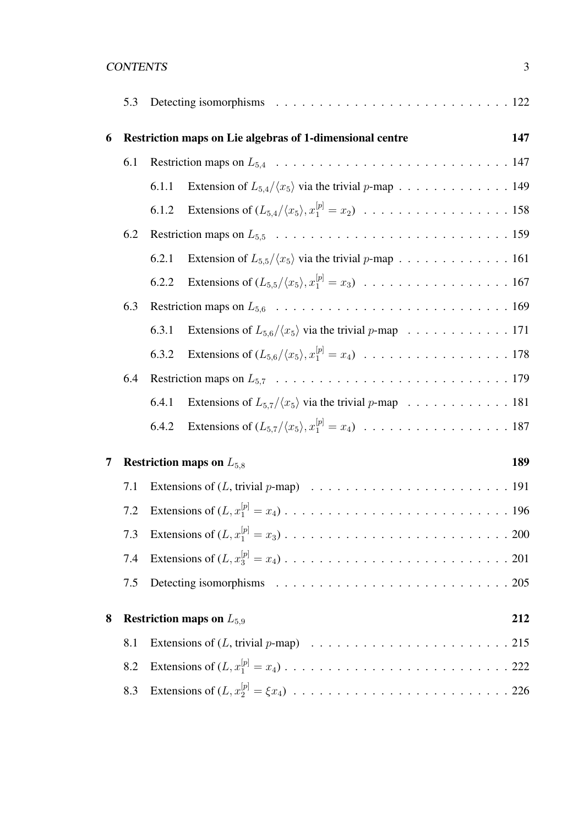| <b>CONTENTS</b> |  |
|-----------------|--|
|                 |  |

|   | 5.3 |                                                                                                                                         |  |
|---|-----|-----------------------------------------------------------------------------------------------------------------------------------------|--|
| 6 |     | Restriction maps on Lie algebras of 1-dimensional centre<br>147                                                                         |  |
|   | 6.1 |                                                                                                                                         |  |
|   |     | Extension of $L_{5,4}/\langle x_5 \rangle$ via the trivial p-map 149<br>6.1.1                                                           |  |
|   |     | Extensions of $(L_{5,4}/\langle x_5 \rangle, x_1^{[p]} = x_2) \dots \dots \dots \dots \dots \dots \dots \dots \dots \dots 158$<br>6.1.2 |  |
|   | 6.2 |                                                                                                                                         |  |
|   |     | Extension of $L_{5,5}/\langle x_5 \rangle$ via the trivial p-map 161<br>6.2.1                                                           |  |
|   |     | 6.2.2                                                                                                                                   |  |
|   | 6.3 |                                                                                                                                         |  |
|   |     | Extensions of $L_{5,6}/\langle x_5 \rangle$ via the trivial p-map 171<br>6.3.1                                                          |  |
|   |     | Extensions of $(L_{5,6}/\langle x_5 \rangle, x_1^{[p]} = x_4) \dots \dots \dots \dots \dots \dots \dots \dots \dots \dots 178$<br>6.3.2 |  |
|   | 6.4 |                                                                                                                                         |  |
|   |     | Extensions of $L_{5,7}/\langle x_5 \rangle$ via the trivial p-map 181<br>6.4.1                                                          |  |
|   |     | Extensions of $(L_{5,7}/\langle x_5 \rangle, x_1^{[p]} = x_4) \dots \dots \dots \dots \dots \dots \dots \dots \dots \dots 187$<br>6.4.2 |  |
| 7 |     | <b>Restriction maps on</b> $L_{5,8}$<br>189                                                                                             |  |
|   | 7.1 |                                                                                                                                         |  |
|   | 7.2 |                                                                                                                                         |  |
|   |     |                                                                                                                                         |  |
|   | 7.4 |                                                                                                                                         |  |
|   | 7.5 |                                                                                                                                         |  |
| 8 |     | <b>Restriction maps on</b> $L_{5,9}$<br>212                                                                                             |  |
|   |     |                                                                                                                                         |  |
|   | 8.1 |                                                                                                                                         |  |
|   | 8.2 |                                                                                                                                         |  |
|   | 8.3 |                                                                                                                                         |  |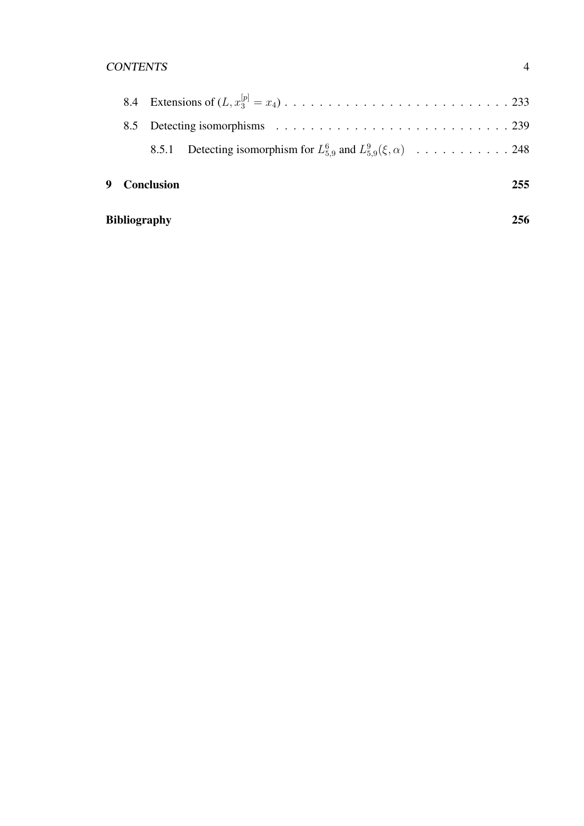### CONTENTS 4

|  | 9 Conclusion |                                                                              | 255 |
|--|--------------|------------------------------------------------------------------------------|-----|
|  |              | 8.5.1 Detecting isomorphism for $L_{5.9}^6$ and $L_{5.9}^9(\xi, \alpha)$ 248 |     |
|  |              |                                                                              |     |
|  |              |                                                                              |     |

| <b>Bibliography</b> | 256 |
|---------------------|-----|
|                     |     |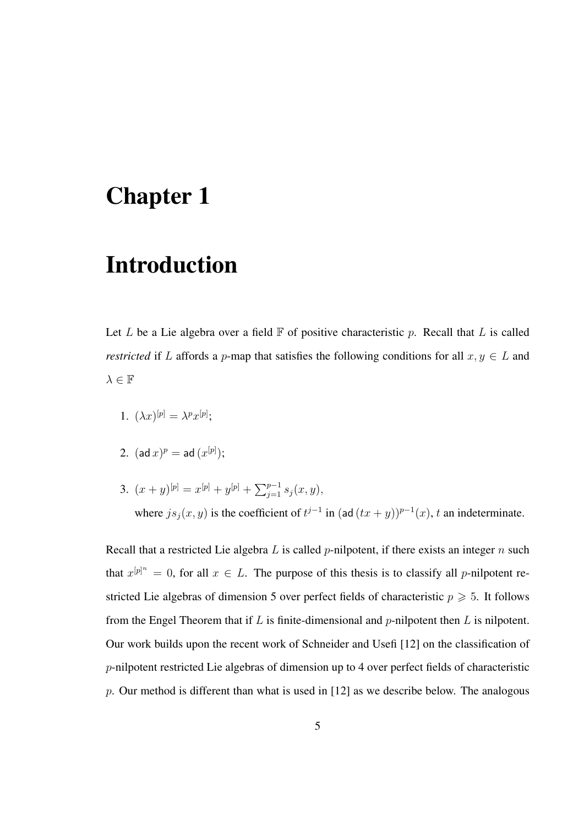## Chapter 1

## Introduction

Let L be a Lie algebra over a field  $\mathbb F$  of positive characteristic p. Recall that L is called *restricted* if L affords a p-map that satisfies the following conditions for all  $x, y \in L$  and  $\lambda \in \mathbb{F}$ 

- 1.  $(\lambda x)^{[p]} = \lambda^p x^{[p]};$
- $2. \ \ (\operatorname{\mathsf{ad}} x)^p = \operatorname{\mathsf{ad}} \, (x^{[p]});$
- 3.  $(x+y)^{[p]} = x^{[p]} + y^{[p]} + \sum_{j=1}^{p-1} s_j(x, y),$ where  $js_j(x, y)$  is the coefficient of  $t^{j-1}$  in (ad  $(tx + y))^{p-1}(x)$ , t an indeterminate.

Recall that a restricted Lie algebra  $L$  is called  $p$ -nilpotent, if there exists an integer  $n$  such that  $x^{[p]^n} = 0$ , for all  $x \in L$ . The purpose of this thesis is to classify all p-nilpotent restricted Lie algebras of dimension 5 over perfect fields of characteristic  $p \geq 5$ . It follows from the Engel Theorem that if  $L$  is finite-dimensional and  $p$ -nilpotent then  $L$  is nilpotent. Our work builds upon the recent work of Schneider and Usefi [12] on the classification of p-nilpotent restricted Lie algebras of dimension up to 4 over perfect fields of characteristic p. Our method is different than what is used in  $[12]$  as we describe below. The analogous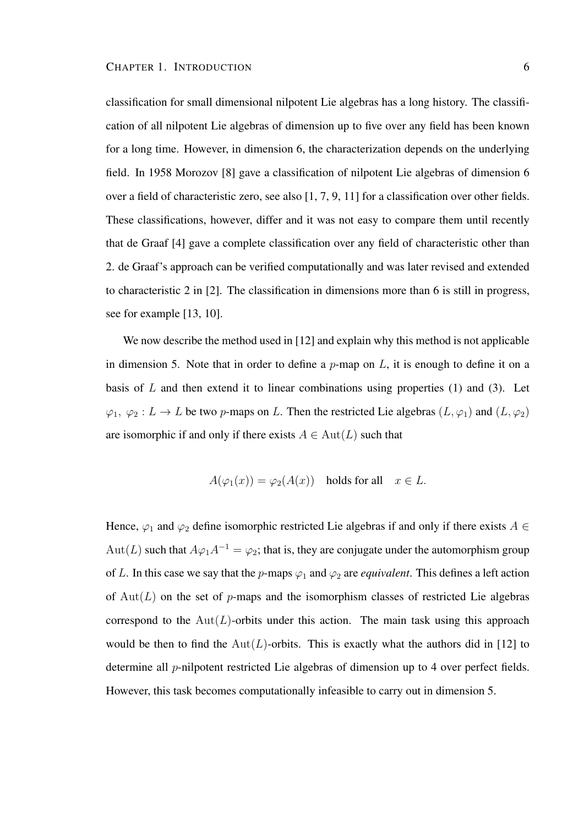classification for small dimensional nilpotent Lie algebras has a long history. The classification of all nilpotent Lie algebras of dimension up to five over any field has been known for a long time. However, in dimension 6, the characterization depends on the underlying field. In 1958 Morozov [8] gave a classification of nilpotent Lie algebras of dimension 6 over a field of characteristic zero, see also [1, 7, 9, 11] for a classification over other fields. These classifications, however, differ and it was not easy to compare them until recently that de Graaf [4] gave a complete classification over any field of characteristic other than 2. de Graaf's approach can be verified computationally and was later revised and extended to characteristic 2 in [2]. The classification in dimensions more than 6 is still in progress, see for example [13, 10].

We now describe the method used in [12] and explain why this method is not applicable in dimension 5. Note that in order to define a  $p$ -map on  $L$ , it is enough to define it on a basis of  $L$  and then extend it to linear combinations using properties (1) and (3). Let  $\varphi_1, \varphi_2: L \to L$  be two p-maps on L. Then the restricted Lie algebras  $(L, \varphi_1)$  and  $(L, \varphi_2)$ are isomorphic if and only if there exists  $A \in Aut(L)$  such that

$$
A(\varphi_1(x)) = \varphi_2(A(x)) \quad \text{holds for all} \quad x \in L
$$

Hence,  $\varphi_1$  and  $\varphi_2$  define isomorphic restricted Lie algebras if and only if there exists  $A \in$ Aut(L) such that  $A\varphi_1 A^{-1} = \varphi_2$ ; that is, they are conjugate under the automorphism group of L. In this case we say that the p-maps  $\varphi_1$  and  $\varphi_2$  are *equivalent*. This defines a left action of  $Aut(L)$  on the set of p-maps and the isomorphism classes of restricted Lie algebras correspond to the  $Aut(L)$ -orbits under this action. The main task using this approach would be then to find the  $Aut(L)$ -orbits. This is exactly what the authors did in [12] to determine all p-nilpotent restricted Lie algebras of dimension up to 4 over perfect fields. However, this task becomes computationally infeasible to carry out in dimension 5.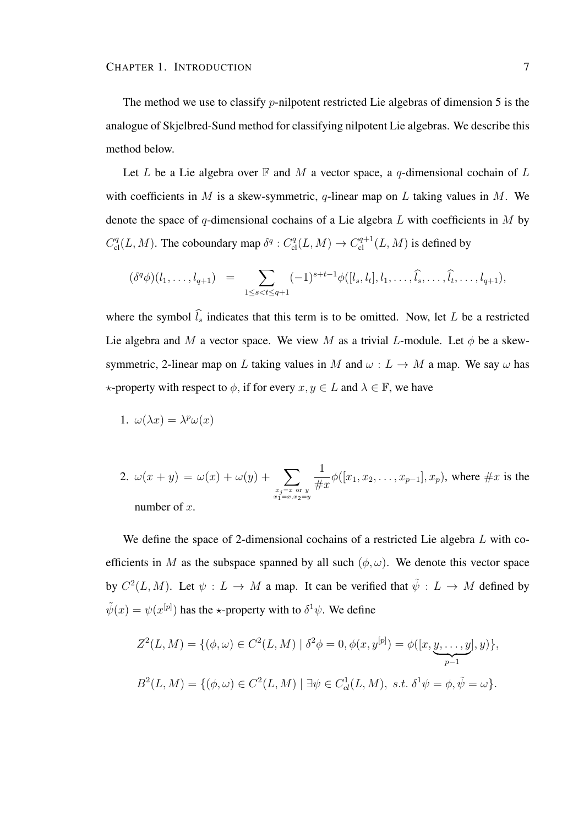The method we use to classify *p*-nilpotent restricted Lie algebras of dimension 5 is the analogue of Skjelbred-Sund method for classifying nilpotent Lie algebras. We describe this method below.

Let L be a Lie algebra over  $\mathbb F$  and M a vector space, a q-dimensional cochain of L with coefficients in M is a skew-symmetric, q-linear map on L taking values in M. We denote the space of q-dimensional cochains of a Lie algebra  $L$  with coefficients in  $M$  by  $C_{\text{cl}}^q(L, M)$ . The coboundary map  $\delta^q : C_{\text{cl}}^q(L, M) \to C_{\text{cl}}^{q+1}(L, M)$  is defined by

$$
(\delta^q \phi)(l_1, \ldots, l_{q+1}) = \sum_{1 \leq s < t \leq q+1} (-1)^{s+t-1} \phi([l_s, l_t], l_1, \ldots, \widehat{l_s}, \ldots, \widehat{l_t}, \ldots, l_{q+1}),
$$

where the symbol  $\hat{l}_s$  indicates that this term is to be omitted. Now, let L be a restricted Lie algebra and M a vector space. We view M as a trivial L-module. Let  $\phi$  be a skewsymmetric, 2-linear map on L taking values in M and  $\omega : L \to M$  a map. We say  $\omega$  has  $\star$ -property with respect to  $\phi$ , if for every  $x, y \in L$  and  $\lambda \in \mathbb{F}$ , we have

1. 
$$
\omega(\lambda x) = \lambda^p \omega(x)
$$

2. 
$$
\omega(x + y) = \omega(x) + \omega(y) + \sum_{\substack{x_j = x \text{ or } y \\ x_1 = x, x_2 = y}} \frac{1}{\#x} \phi([x_1, x_2, \dots, x_{p-1}], x_p)
$$
, where  $\#x$  is the number of  $x$ .

We define the space of 2-dimensional cochains of a restricted Lie algebra L with coefficients in M as the subspace spanned by all such  $(\phi, \omega)$ . We denote this vector space by  $C^2(L, M)$ . Let  $\psi : L \to M$  a map. It can be verified that  $\tilde{\psi} : L \to M$  defined by  $\tilde{\psi}(x) = \psi(x^{[p]})$  has the  $\star$ -property with to  $\delta^1 \psi$ . We define

$$
Z^{2}(L, M) = \{ (\phi, \omega) \in C^{2}(L, M) \mid \delta^{2}\phi = 0, \phi(x, y^{[p]}) = \phi([x, y, \dots, y], y) \},
$$
  

$$
B^{2}(L, M) = \{ (\phi, \omega) \in C^{2}(L, M) \mid \exists \psi \in C_{cl}^{1}(L, M), \ s.t. \ \delta^{1}\psi = \phi, \tilde{\psi} = \omega \}.
$$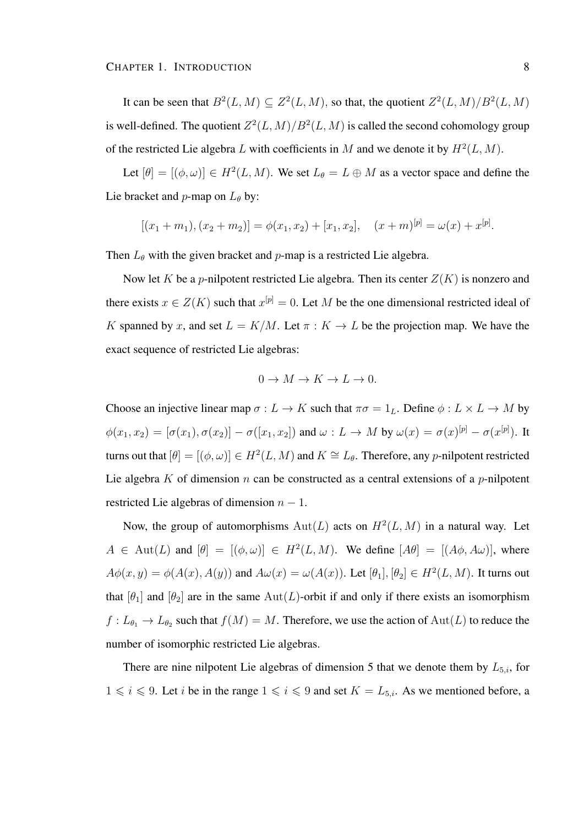It can be seen that  $B^2(L,M) \subseteq Z^2(L,M)$ , so that, the quotient  $Z^2(L,M)/B^2(L,M)$ is well-defined. The quotient  $Z^2(L,M)/B^2(L,M)$  is called the second cohomology group of the restricted Lie algebra L with coefficients in M and we denote it by  $H^2(L, M)$ .

Let  $[\theta] = [(\phi, \omega)] \in H^2(L, M)$ . We set  $L_{\theta} = L \oplus M$  as a vector space and define the Lie bracket and *p*-map on  $L_{\theta}$  by:

$$
[(x_1+m_1), (x_2+m_2)] = \phi(x_1, x_2) + [x_1, x_2], \quad (x+m)^{[p]} = \omega(x) + x^{[p]}.
$$

Then  $L_{\theta}$  with the given bracket and p-map is a restricted Lie algebra.

Now let K be a p-nilpotent restricted Lie algebra. Then its center  $Z(K)$  is nonzero and there exists  $x \in Z(K)$  such that  $x^{[p]} = 0$ . Let M be the one dimensional restricted ideal of K spanned by x, and set  $L = K/M$ . Let  $\pi : K \to L$  be the projection map. We have the exact sequence of restricted Lie algebras:

$$
0 \to M \to K \to L \to 0.
$$

Choose an injective linear map  $\sigma: L \to K$  such that  $\pi \sigma = 1_L$ . Define  $\phi: L \times L \to M$  by  $\phi(x_1, x_2) = [\sigma(x_1), \sigma(x_2)] - \sigma([x_1, x_2])$  and  $\omega: L \to M$  by  $\omega(x) = \sigma(x)^{[p]} - \sigma(x^{[p]})$ . It turns out that  $[\theta] = [(\phi, \omega)] \in H^2(L, M)$  and  $K \cong L_\theta$ . Therefore, any p-nilpotent restricted Lie algebra K of dimension  $n$  can be constructed as a central extensions of a  $p$ -nilpotent restricted Lie algebras of dimension  $n - 1$ .

Now, the group of automorphisms  $Aut(L)$  acts on  $H<sup>2</sup>(L, M)$  in a natural way. Let  $A \in \text{Aut}(L)$  and  $[\theta] = [(\phi, \omega)] \in H^2(L, M)$ . We define  $[A\theta] = [(A\phi, A\omega)]$ , where  $A\phi(x,y) = \phi(A(x), A(y))$  and  $A\omega(x) = \omega(A(x))$ . Let  $[\theta_1], [\theta_2] \in H^2(L, M)$ . It turns out that  $[\theta_1]$  and  $[\theta_2]$  are in the same Aut(L)-orbit if and only if there exists an isomorphism  $f: L_{\theta_1} \to L_{\theta_2}$  such that  $f(M) = M$ . Therefore, we use the action of  $\text{Aut}(L)$  to reduce the number of isomorphic restricted Lie algebras.

There are nine nilpotent Lie algebras of dimension 5 that we denote them by  $L_{5,i}$ , for  $1 \leq i \leq 9$ . Let i be in the range  $1 \leq i \leq 9$  and set  $K = L_{5,i}$ . As we mentioned before, a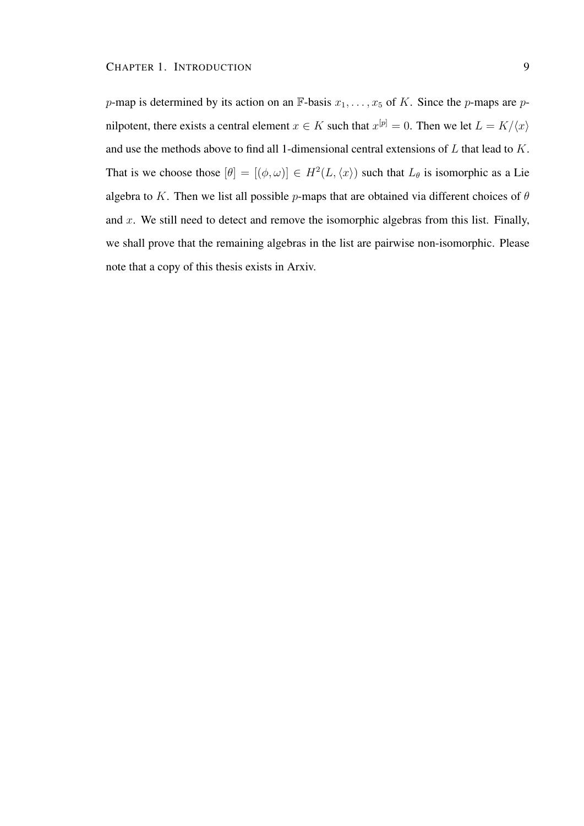p-map is determined by its action on an  $\mathbb{F}$ -basis  $x_1, \ldots, x_5$  of K. Since the p-maps are pnilpotent, there exists a central element  $x \in K$  such that  $x^{[p]} = 0$ . Then we let  $L = K/\langle x \rangle$ and use the methods above to find all 1-dimensional central extensions of L that lead to K. That is we choose those  $[\theta] = [(\phi, \omega)] \in H^2(L, \langle x \rangle)$  such that  $L_{\theta}$  is isomorphic as a Lie algebra to K. Then we list all possible p-maps that are obtained via different choices of  $\theta$ and  $x$ . We still need to detect and remove the isomorphic algebras from this list. Finally, we shall prove that the remaining algebras in the list are pairwise non-isomorphic. Please note that a copy of this thesis exists in Arxiv.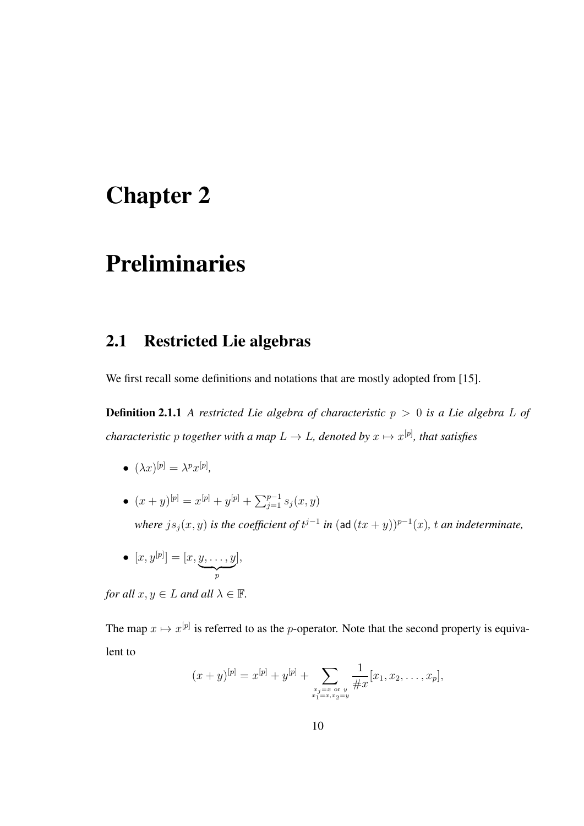# Chapter 2

# Preliminaries

## 2.1 Restricted Lie algebras

We first recall some definitions and notations that are mostly adopted from [15].

**Definition 2.1.1** *A restricted Lie algebra of characteristic*  $p > 0$  *is a Lie algebra L of characteristic*  $p$  *together with a map*  $L \to L$ *, denoted by*  $x \mapsto x^{[p]}$ *, that satisfies* 

- $\bullet \ (\lambda x)^{[p]} = \lambda^p x^{[p]},$
- $(x+y)^{[p]} = x^{[p]} + y^{[p]} + \sum_{j=1}^{p-1} s_j(x,y)$ *where*  $js_j(x, y)$  *is the coefficient of*  $t^{j-1}$  *in* (ad  $(tx + y))^{p-1}(x)$ , *t an indeterminate*,
- $\bullet \ [x, y^{[p]}] = [x, y, \dots, y]$  $\overline{p}$ ],

*for all*  $x, y \in L$  *and all*  $\lambda \in \mathbb{F}$ *.* 

The map  $x \mapsto x^{[p]}$  is referred to as the p-operator. Note that the second property is equivalent to

$$
(x+y)^{[p]} = x^{[p]} + y^{[p]} + \sum_{\substack{x_j = x \text{ or } y \\ x_1 = x, x_2 = y}} \frac{1}{\#x} [x_1, x_2, \dots, x_p],
$$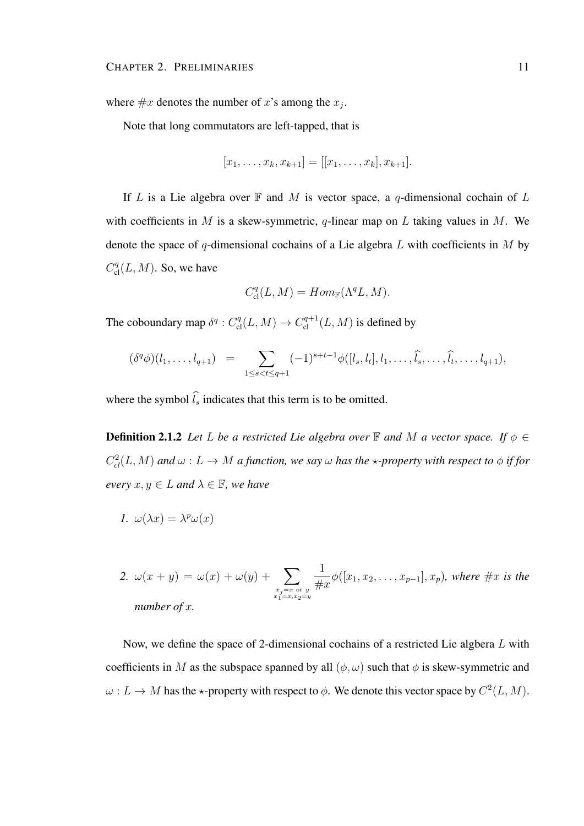where  $\#x$  denotes the number of x's among the  $x_j$ .

Note that long commutators are left-tapped, that is

$$
[x_1, \ldots, x_k, x_{k+1}] = [[x_1, \ldots, x_k], x_{k+1}].
$$

If L is a Lie algebra over  $\mathbb F$  and M is vector space, a q-dimensional cochain of L with coefficients in M is a skew-symmetric, q-linear map on L taking values in M. We denote the space of q-dimensional cochains of a Lie algebra  $L$  with coefficients in  $M$  by  $C_{\text{cl}}^q(L, M)$ . So, we have

$$
C_{\mathrm{cl}}^{q}(L,M) = Hom_{\mathbb{F}}(\Lambda^{q}L,M).
$$

The coboundary map  $\delta^q$  :  $C^q_{\text{cl}}(L, M) \to C^{q+1}_{\text{cl}}(L, M)$  is defined by

$$
(\delta^q \phi)(l_1, \ldots, l_{q+1}) = \sum_{1 \leq s < t \leq q+1} (-1)^{s+t-1} \phi([l_s, l_t], l_1, \ldots, \widehat{l_s}, \ldots, \widehat{l_t}, \ldots, l_{q+1}),
$$

where the symbol  $\widehat{l_s}$  indicates that this term is to be omitted.

**Definition 2.1.2** *Let L be a restricted Lie algebra over*  $\mathbb{F}$  *and M a vector space. If*  $\phi \in$  $C_{cl}^2(L, M)$  and  $\omega: L \to M$  a function, we say  $\omega$  has the  $\star$ -property with respect to  $\phi$  if for *every*  $x, y \in L$  *and*  $\lambda \in \mathbb{F}$ *, we have* 

$$
I. \ \omega(\lambda x) = \lambda^p \omega(x)
$$

2. 
$$
\omega(x + y) = \omega(x) + \omega(y) + \sum_{\substack{x_j = x \text{ or } y \\ x_1 = x, x_2 = y}} \frac{1}{\#x} \phi([x_1, x_2, \dots, x_{p-1}], x_p)
$$
, where  $\#x$  is the number of x.

Now, we define the space of 2-dimensional cochains of a restricted Lie algbera L with coefficients in M as the subspace spanned by all  $(\phi, \omega)$  such that  $\phi$  is skew-symmetric and  $\omega: L \to M$  has the  $\star$ -property with respect to  $\phi$ . We denote this vector space by  $C^2(L, M)$ .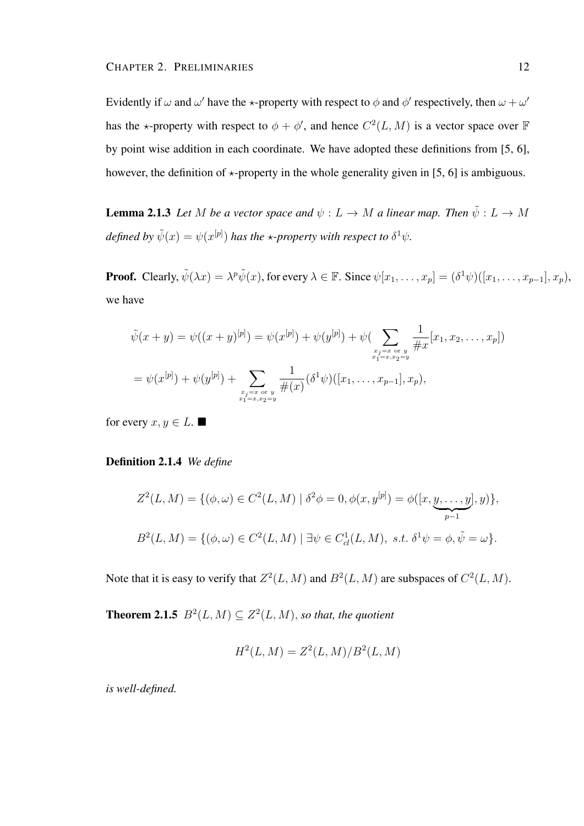Evidently if  $\omega$  and  $\omega'$  have the  $\star$ -property with respect to  $\phi$  and  $\phi'$  respectively, then  $\omega + \omega'$ has the  $\star$ -property with respect to  $\phi + \phi'$ , and hence  $C^2(L, M)$  is a vector space over F by point wise addition in each coordinate. We have adopted these definitions from [5, 6], however, the definition of  $\star$ -property in the whole generality given in [5, 6] is ambiguous.

**Lemma 2.1.3** *Let M be a vector space and*  $\psi : L \to M$  *a linear map. Then*  $\tilde{\psi} : L \to M$ defined by  $\tilde{\psi}(x) = \psi(x^{[p]})$  has the  $\star$ *-property with respect to*  $\delta^1 \psi$ .

**Proof.** Clearly,  $\tilde{\psi}(\lambda x) = \lambda^p \tilde{\psi}(x)$ , for every  $\lambda \in \mathbb{F}$ . Since  $\psi[x_1, \ldots, x_p] = (\delta^1 \psi)([x_1, \ldots, x_{p-1}], x_p)$ , we have

$$
\tilde{\psi}(x+y) = \psi((x+y)^{[p]}) = \psi(x^{[p]}) + \psi(y^{[p]}) + \psi(\sum_{\substack{x_j = x \text{ or } y \\ x_1 = x, x_2 = y}} \frac{1}{\#x} [x_1, x_2, \dots, x_p])
$$
\n
$$
= \psi(x^{[p]}) + \psi(y^{[p]}) + \sum_{\substack{x_j = x \text{ or } y \\ x_1 = x, x_2 = y}} \frac{1}{\#(x)} (\delta^1 \psi)([x_1, \dots, x_{p-1}], x_p),
$$

for every  $x, y \in L$ .

#### Definition 2.1.4 *We define*

$$
Z^{2}(L, M) = \{ (\phi, \omega) \in C^{2}(L, M) \mid \delta^{2}\phi = 0, \phi(x, y^{[p]}) = \phi([x, \underbrace{y, \dots, y}_{p-1}], y) \},
$$
  

$$
B^{2}(L, M) = \{ (\phi, \omega) \in C^{2}(L, M) \mid \exists \psi \in C_{cl}^{1}(L, M), \ s.t. \ \delta^{1}\psi = \phi, \tilde{\psi} = \omega \}.
$$

Note that it is easy to verify that  $Z^2(L, M)$  and  $B^2(L, M)$  are subspaces of  $C^2(L, M)$ .

**Theorem 2.1.5**  $B^2(L, M) \subseteq Z^2(L, M)$ , so that, the quotient

$$
H^{2}(L, M) = Z^{2}(L, M) / B^{2}(L, M)
$$

*is well-defined.*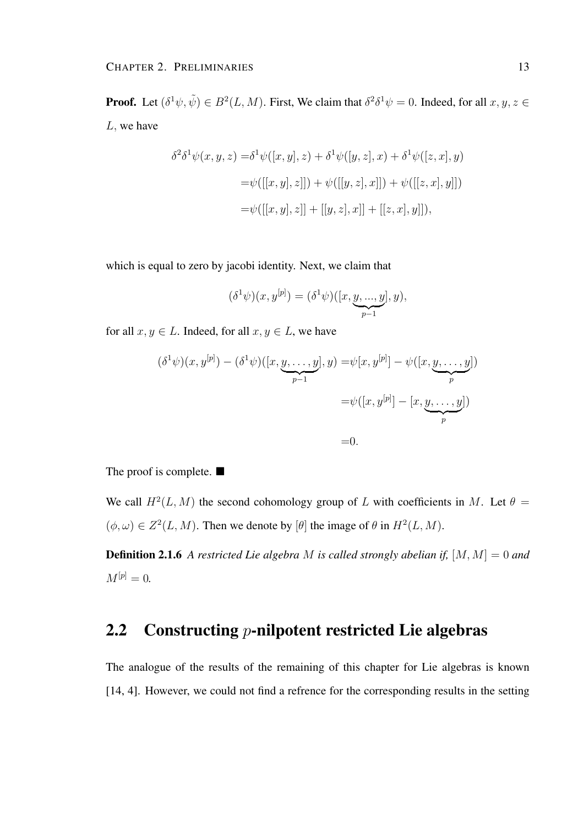**Proof.** Let  $(\delta^1 \psi, \tilde{\psi}) \in B^2(L, M)$ . First, We claim that  $\delta^2 \delta^1 \psi = 0$ . Indeed, for all  $x, y, z \in$  $L$ , we have

$$
\delta^2 \delta^1 \psi(x, y, z) = \delta^1 \psi([x, y], z) + \delta^1 \psi([y, z], x) + \delta^1 \psi([z, x], y)
$$
  
=  $\psi([[x, y], z]]) + \psi([[y, z], x]]) + \psi([[z, x], y]])$   
=  $\psi([[x, y], z]] + [[y, z], x]] + [[z, x], y]]),$ 

which is equal to zero by jacobi identity. Next, we claim that

$$
(\delta^1 \psi)(x, y^{[p]}) = (\delta^1 \psi)([x, \underbrace{y, ..., y}_{p-1}], y),
$$

for all  $x, y \in L$ . Indeed, for all  $x, y \in L$ , we have

$$
(\delta^1 \psi)(x, y^{[p]}) - (\delta^1 \psi)([x, \underbrace{y, \dots, y}_{p-1}], y) = \psi[x, y^{[p]}] - \psi([x, \underbrace{y, \dots, y}_{p}])
$$
  

$$
= \psi([x, y^{[p]}] - [x, \underbrace{y, \dots, y}_{p}])
$$
  

$$
= 0.
$$

The proof is complete.  $\blacksquare$ 

We call  $H^2(L, M)$  the second cohomology group of L with coefficients in M. Let  $\theta =$  $(\phi, \omega) \in Z^2(L, M)$ . Then we denote by  $[\theta]$  the image of  $\theta$  in  $H^2(L, M)$ .

Definition 2.1.6 *A restricted Lie algebra* M *is called strongly abelian if,* [M, M] = 0 *and*  $M^{[p]} = 0.$ 

## 2.2 Constructing  $p$ -nilpotent restricted Lie algebras

The analogue of the results of the remaining of this chapter for Lie algebras is known [14, 4]. However, we could not find a refrence for the corresponding results in the setting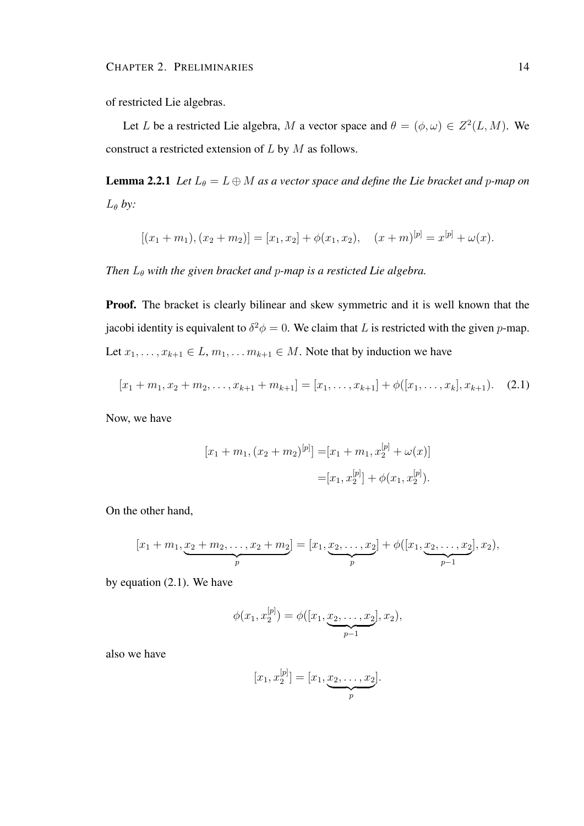of restricted Lie algebras.

Let L be a restricted Lie algebra, M a vector space and  $\theta = (\phi, \omega) \in Z^2(L, M)$ . We construct a restricted extension of  $L$  by  $M$  as follows.

**Lemma 2.2.1** *Let*  $L_{\theta} = L \oplus M$  *as a vector space and define the Lie bracket and p-map on*  $L_{\theta}$  by:

$$
[(x_1+m_1), (x_2+m_2)] = [x_1, x_2] + \phi(x_1, x_2), \quad (x+m)^{[p]} = x^{[p]} + \omega(x).
$$

*Then*  $L_{\theta}$  *with the given bracket and p-map is a resticted Lie algebra.* 

Proof. The bracket is clearly bilinear and skew symmetric and it is well known that the jacobi identity is equivalent to  $\delta^2 \phi = 0$ . We claim that L is restricted with the given p-map. Let  $x_1, \ldots, x_{k+1} \in L, m_1, \ldots, m_{k+1} \in M$ . Note that by induction we have

$$
[x_1 + m_1, x_2 + m_2, \dots, x_{k+1} + m_{k+1}] = [x_1, \dots, x_{k+1}] + \phi([x_1, \dots, x_k], x_{k+1}).
$$
 (2.1)

Now, we have

$$
[x_1 + m_1, (x_2 + m_2)^{[p]}] = [x_1 + m_1, x_2^{[p]} + \omega(x)]
$$
  

$$
= [x_1, x_2^{[p]}] + \phi(x_1, x_2^{[p]}).
$$

On the other hand,

$$
[x_1+m_1,\underbrace{x_2+m_2,\ldots,x_2+m_2}_{p}]=[x_1,\underbrace{x_2,\ldots,x_2}_{p}]+\phi([x_1,\underbrace{x_2,\ldots,x_2}_{p-1}],x_2),
$$

by equation (2.1). We have

$$
\phi(x_1, x_2^{[p]}) = \phi([x_1, \underbrace{x_2, \dots, x_2}_{p-1}], x_2),
$$

also we have

$$
[x_1, x_2^{[p]}] = [x_1, \underbrace{x_2, \dots, x_2}_{p}].
$$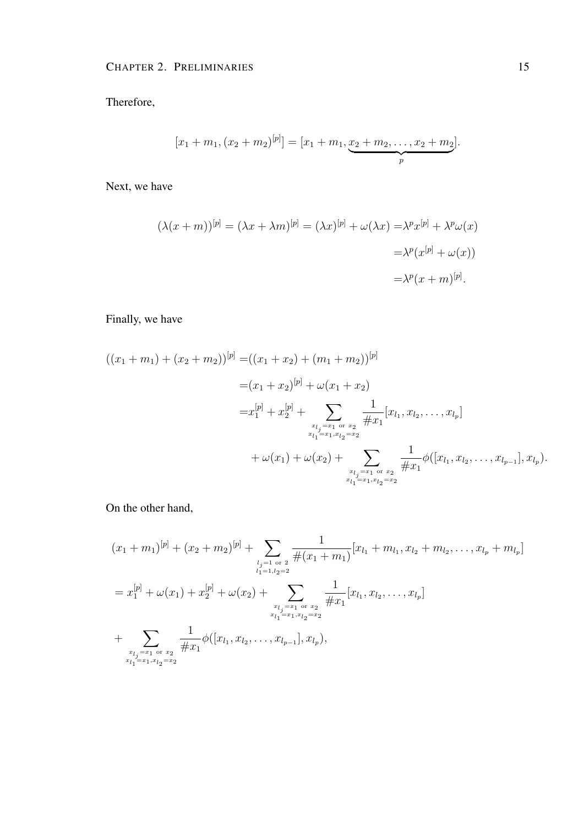Therefore,

$$
[x_1 + m_1, (x_2 + m_2)^{[p]}] = [x_1 + m_1, \underbrace{x_2 + m_2, \dots, x_2 + m_2}_{p}].
$$

Next, we have

$$
(\lambda(x+m))^{[p]} = (\lambda x + \lambda m)^{[p]} = (\lambda x)^{[p]} + \omega(\lambda x) = \lambda^p x^{[p]} + \lambda^p \omega(x)
$$

$$
= \lambda^p (x^{[p]} + \omega(x))
$$

$$
= \lambda^p (x+m)^{[p]}.
$$

## Finally, we have

$$
((x_1 + m_1) + (x_2 + m_2))^{[p]} = ((x_1 + x_2) + (m_1 + m_2))^{[p]}
$$
  
\n
$$
= (x_1 + x_2)^{[p]} + \omega(x_1 + x_2)
$$
  
\n
$$
= x_1^{[p]} + x_2^{[p]} + \sum_{\substack{x_{l_j} = x_1 \text{ or } x_2 \\ x_{l_1} = x_1, x_{l_2} = x_2}} \frac{1}{\#x_1} [x_{l_1}, x_{l_2}, \dots, x_{l_p}]
$$
  
\n
$$
+ \omega(x_1) + \omega(x_2) + \sum_{\substack{x_{l_j} = x_1 \text{ or } x_2 \\ x_{l_j} = x_1 \text{ or } x_2}} \frac{1}{\#x_1} \phi([x_{l_1}, x_{l_2}, \dots, x_{l_{p-1}}], x_{l_p}).
$$

On the other hand,

$$
(x_1 + m_1)^{[p]} + (x_2 + m_2)^{[p]} + \sum_{\substack{l_{j=1 \text{ or } 2} \\ l_1 = 1, l_2 = 2}} \frac{1}{\#(x_1 + m_1)} [x_{l_1} + m_{l_1}, x_{l_2} + m_{l_2}, \dots, x_{l_p} + m_{l_p}]
$$
  

$$
= x_1^{[p]} + \omega(x_1) + x_2^{[p]} + \omega(x_2) + \sum_{\substack{x_{l_j} = x_1 \text{ or } x_2 \\ x_{l_1} = x_1, x_{l_2} = x_2}} \frac{1}{\#x_1} [x_{l_1}, x_{l_2}, \dots, x_{l_p}]
$$
  

$$
+ \sum_{\substack{x_{l_j} = x_1 \text{ or } x_2 \\ x_{l_j} = x_1 \text{ or } x_2}} \frac{1}{\#x_1} \phi([x_{l_1}, x_{l_2}, \dots, x_{l_{p-1}}], x_{l_p}),
$$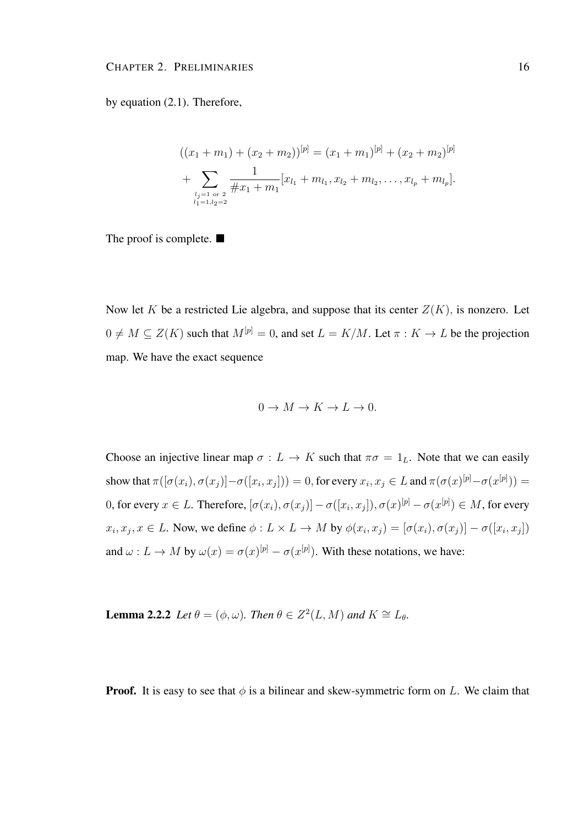by equation (2.1). Therefore,

$$
((x_1 + m_1) + (x_2 + m_2))^{[p]} = (x_1 + m_1)^{[p]} + (x_2 + m_2)^{[p]}
$$
  
+ 
$$
\sum_{\substack{l_j=1 \text{ or } 2 \\ l_1 = 1, l_2 = 2}} \frac{1}{\#x_1 + m_1} [x_{l_1} + m_{l_1}, x_{l_2} + m_{l_2}, \dots, x_{l_p} + m_{l_p}].
$$

The proof is complete.  $\blacksquare$ 

Now let K be a restricted Lie algebra, and suppose that its center  $Z(K)$ , is nonzero. Let  $0 \neq M \subseteq Z(K)$  such that  $M^{[p]} = 0$ , and set  $L = K/M$ . Let  $\pi : K \to L$  be the projection map. We have the exact sequence

$$
0 \to M \to K \to L \to 0.
$$

Choose an injective linear map  $\sigma : L \to K$  such that  $\pi \sigma = 1_L$ . Note that we can easily show that  $\pi([\sigma(x_i), \sigma(x_j)] - \sigma([x_i, x_j])) = 0$ , for every  $x_i, x_j \in L$  and  $\pi(\sigma(x)^{[p]} - \sigma(x^{[p]})) =$ 0, for every  $x\in L.$  Therefore,  $[\sigma(x_i),\sigma(x_j)]-\sigma([x_i,x_j]), \sigma(x)^{[p]}-\sigma(x^{[p]})\in M,$  for every  $x_i, x_j, x \in L$ . Now, we define  $\phi: L \times L \to M$  by  $\phi(x_i, x_j) = [\sigma(x_i), \sigma(x_j)] - \sigma([x_i, x_j])$ and  $\omega : L \to M$  by  $\omega(x) = \sigma(x)^{[p]} - \sigma(x^{[p]})$ . With these notations, we have:

**Lemma 2.2.2** *Let*  $\theta = (\phi, \omega)$ *. Then*  $\theta \in Z^2(L, M)$  *and*  $K \cong L_{\theta}$ *.* 

**Proof.** It is easy to see that  $\phi$  is a bilinear and skew-symmetric form on L. We claim that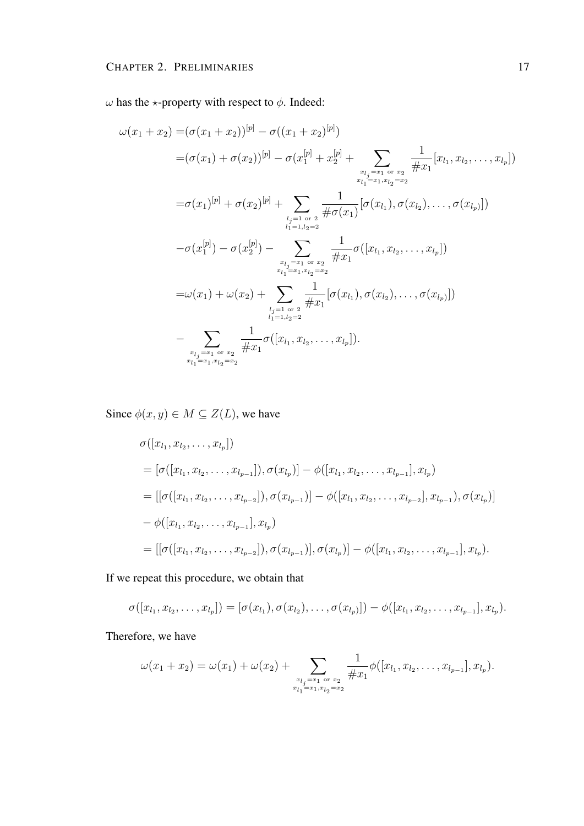$ω$  has the  $\star$ -property with respect to  $φ$ . Indeed:

$$
\omega(x_1 + x_2) = (\sigma(x_1 + x_2))^{[p]} - \sigma((x_1 + x_2)^{[p]})
$$
  
\n
$$
= (\sigma(x_1) + \sigma(x_2))^{[p]} - \sigma(x_1^{[p]} + x_2^{[p]} + \sum_{\substack{x_{l_j} = x_1 \text{ or } x_2 \\ x_{l_j} = x_1 \text{ or } x_2}} \frac{1}{\#x_1} [x_{l_1}, x_{l_2}, \dots, x_{l_p}])
$$
  
\n
$$
= \sigma(x_1)^{[p]} + \sigma(x_2)^{[p]} + \sum_{\substack{l_j = 1 \text{ or } x_1 \\ l_1 = l, l_2 = 2}} \frac{1}{\# \sigma(x_1)} [\sigma(x_{l_1}), \sigma(x_{l_2}), \dots, \sigma(x_{l_p})])
$$
  
\n
$$
- \sigma(x_1^{[p]}) - \sigma(x_2^{[p]}) - \sum_{\substack{x_{l_j} = x_1 \text{ or } x_2 \\ x_{l_1} = x_1, x_{l_2} = x_2}} \frac{1}{\#x_1} \sigma([x_{l_1}, x_{l_2}, \dots, x_{l_p}])
$$
  
\n
$$
= \omega(x_1) + \omega(x_2) + \sum_{\substack{l_j = 1 \text{ or } x_2 \\ l_1 = l, l_2 = 2}} \frac{1}{\#x_1} [\sigma(x_{l_1}), \sigma(x_{l_2}), \dots, \sigma(x_{l_p})])
$$
  
\n
$$
= \sum_{\substack{x_{l_j} = x_1 \text{ or } x_2 \\ x_{l_1} = x_1, x_{l_2} = x_2}} \frac{1}{\#x_1} \sigma([x_{l_1}, x_{l_2}, \dots, x_{l_p}]).
$$

Since  $\phi(x, y) \in M \subseteq Z(L)$ , we have

$$
\sigma([x_{l_1}, x_{l_2}, \dots, x_{l_p}])
$$
\n
$$
= [\sigma([x_{l_1}, x_{l_2}, \dots, x_{l_{p-1}}]), \sigma(x_{l_p})] - \phi([x_{l_1}, x_{l_2}, \dots, x_{l_{p-1}}], x_{l_p})
$$
\n
$$
= [[\sigma([x_{l_1}, x_{l_2}, \dots, x_{l_{p-2}}]), \sigma(x_{l_{p-1}})] - \phi([x_{l_1}, x_{l_2}, \dots, x_{l_{p-2}}], x_{l_{p-1}}), \sigma(x_{l_p})]
$$
\n
$$
- \phi([x_{l_1}, x_{l_2}, \dots, x_{l_{p-1}}], x_{l_p})
$$
\n
$$
= [[\sigma([x_{l_1}, x_{l_2}, \dots, x_{l_{p-2}}]), \sigma(x_{l_{p-1}})], \sigma(x_{l_p})] - \phi([x_{l_1}, x_{l_2}, \dots, x_{l_{p-1}}], x_{l_p}).
$$

If we repeat this procedure, we obtain that

$$
\sigma([x_{l_1}, x_{l_2}, \ldots, x_{l_p}]) = [\sigma(x_{l_1}), \sigma(x_{l_2}), \ldots, \sigma(x_{l_p})]) - \phi([x_{l_1}, x_{l_2}, \ldots, x_{l_{p-1}}], x_{l_p}).
$$

Therefore, we have

$$
\omega(x_1+x_2)=\omega(x_1)+\omega(x_2)+\sum_{\substack{x_{l_j}=x_1 \text{ or } x_2 \\ x_{l_1}=x_1, x_{l_2}=x_2}}\frac{1}{\#x_1}\phi([x_{l_1},x_{l_2},\ldots,x_{l_{p-1}}],x_{l_p}).
$$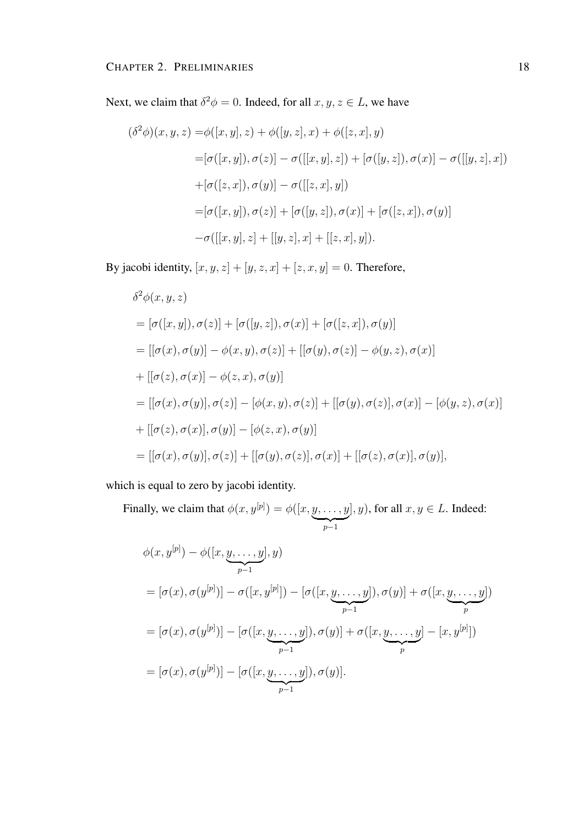Next, we claim that  $\delta^2 \phi = 0$ . Indeed, for all  $x, y, z \in L$ , we have

$$
(\delta^2 \phi)(x, y, z) = \phi([x, y], z) + \phi([y, z], x) + \phi([z, x], y)
$$
  
\n
$$
= [\sigma([x, y]), \sigma(z)] - \sigma([[x, y], z]) + [\sigma([y, z]), \sigma(x)] - \sigma([[y, z], x])
$$
  
\n
$$
+ [\sigma([z, x]), \sigma(y)] - \sigma([[z, x], y])
$$
  
\n
$$
= [\sigma([x, y]), \sigma(z)] + [\sigma([y, z]), \sigma(x)] + [\sigma([z, x]), \sigma(y)]
$$
  
\n
$$
- \sigma([[x, y], z] + [[y, z], x] + [[z, x], y]).
$$

By jacobi identity,  $[x, y, z] + [y, z, x] + [z, x, y] = 0$ . Therefore,

$$
\delta^2 \phi(x, y, z)
$$
  
=  $[\sigma([x, y]), \sigma(z)] + [\sigma([y, z]), \sigma(x)] + [\sigma([z, x]), \sigma(y)]$   
=  $[[\sigma(x), \sigma(y)] - \phi(x, y), \sigma(z)] + [[\sigma(y), \sigma(z)] - \phi(y, z), \sigma(x)]$   
+  $[[\sigma(z), \sigma(x)] - \phi(z, x), \sigma(y)]$   
=  $[[\sigma(x), \sigma(y)], \sigma(z)] - [\phi(x, y), \sigma(z)] + [[\sigma(y), \sigma(z)], \sigma(x)] - [\phi(y, z), \sigma(x)]$   
+  $[[\sigma(z), \sigma(x)], \sigma(y)] - [\phi(z, x), \sigma(y)]$   
=  $[[\sigma(x), \sigma(y)], \sigma(z)] + [[\sigma(y), \sigma(z)], \sigma(x)] + [[\sigma(z), \sigma(x)], \sigma(y)],$ 

which is equal to zero by jacobi identity.

Finally, we claim that  $\phi(x, y^{[p]}) = \phi([x, y, \dots, y$  $\sum_{p-1}$  $], y)$ , for all  $x, y \in L$ . Indeed:

$$
\phi(x, y^{[p]}) - \phi([x, \underbrace{y, \dots, y}_{p-1}], y)
$$
\n
$$
= [\sigma(x), \sigma(y^{[p]})] - \sigma([x, y^{[p]}]) - [\sigma([x, \underbrace{y, \dots, y}_{p-1}]), \sigma(y)] + \sigma([x, \underbrace{y, \dots, y}_{p}])
$$
\n
$$
= [\sigma(x), \sigma(y^{[p]})] - [\sigma([x, \underbrace{y, \dots, y}_{p-1}]), \sigma(y)] + \sigma([x, \underbrace{y, \dots, y}_{p}]-[x, y^{[p]}])
$$
\n
$$
= [\sigma(x), \sigma(y^{[p]})] - [\sigma([x, \underbrace{y, \dots, y}_{p-1}]), \sigma(y)].
$$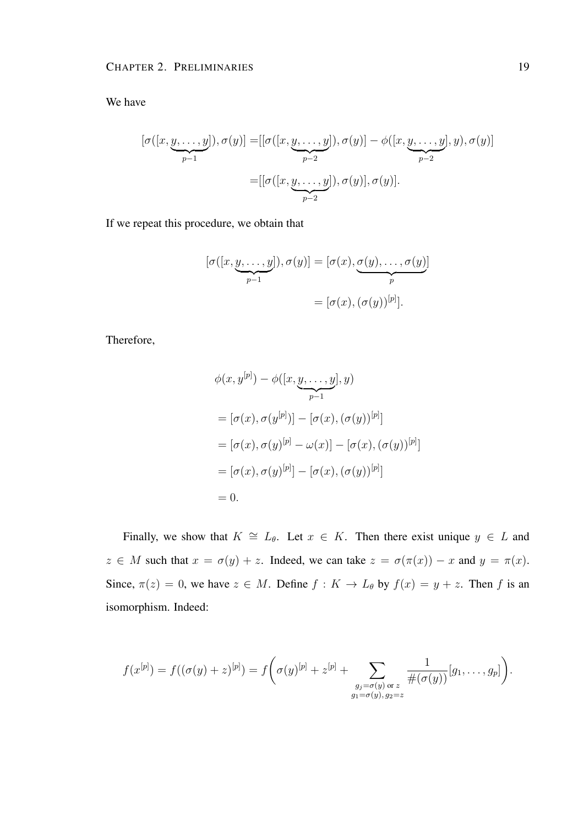We have

$$
[\sigma([x, \underbrace{y, \dots, y}_{p-1}], \sigma(y)] = [[\sigma([x, \underbrace{y, \dots, y}_{p-2}]), \sigma(y)] - \phi([x, \underbrace{y, \dots, y}_{p-2}], y), \sigma(y)]
$$

$$
= [[\sigma([x, \underbrace{y, \dots, y}_{p-2}]), \sigma(y)], \sigma(y)].
$$

If we repeat this procedure, we obtain that

$$
[\sigma([x, \underbrace{y, \dots, y}_{p-1}]), \sigma(y)] = [\sigma(x), \underbrace{\sigma(y), \dots, \sigma(y)}_{p}]
$$

$$
= [\sigma(x), (\sigma(y))^{[p]}].
$$

Therefore,

$$
\phi(x, y^{[p]}) - \phi([x, \underbrace{y, \dots, y}_{p-1}], y)
$$
  
\n
$$
= [\sigma(x), \sigma(y^{[p]})] - [\sigma(x), (\sigma(y))^{[p]}]
$$
  
\n
$$
= [\sigma(x), \sigma(y)^{[p]} - \omega(x)] - [\sigma(x), (\sigma(y))^{[p]}]
$$
  
\n
$$
= [\sigma(x), \sigma(y)^{[p]}] - [\sigma(x), (\sigma(y))^{[p]}]
$$
  
\n
$$
= 0.
$$

Finally, we show that  $K \cong L_{\theta}$ . Let  $x \in K$ . Then there exist unique  $y \in L$  and  $z \in M$  such that  $x = \sigma(y) + z$ . Indeed, we can take  $z = \sigma(\pi(x)) - x$  and  $y = \pi(x)$ . Since,  $\pi(z) = 0$ , we have  $z \in M$ . Define  $f: K \to L_{\theta}$  by  $f(x) = y + z$ . Then f is an isomorphism. Indeed:

$$
f(x^{[p]}) = f((\sigma(y) + z)^{[p]}) = f\left(\sigma(y)^{[p]} + z^{[p]} + \sum_{\substack{g_j = \sigma(y) \text{ or } z \\ g_1 = \sigma(y), g_2 = z}} \frac{1}{\#(\sigma(y))}[g_1, \dots, g_p]\right).
$$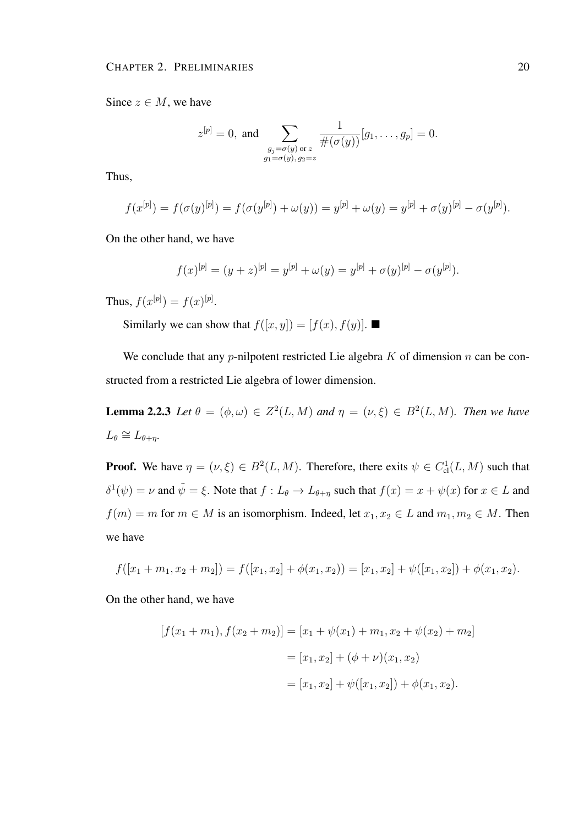Since  $z \in M$ , we have

$$
z^{[p]} = 0
$$
, and  $\sum_{\substack{g_j = \sigma(y) \text{ or } z \\ g_1 = \sigma(y), g_2 = z}} \frac{1}{\#(\sigma(y))} [g_1, \dots, g_p] = 0.$ 

Thus,

$$
f(x^{[p]}) = f(\sigma(y)^{[p]}) = f(\sigma(y^{[p]}) + \omega(y)) = y^{[p]} + \omega(y) = y^{[p]} + \sigma(y)^{[p]} - \sigma(y^{[p]}).
$$

On the other hand, we have

$$
f(x)^{[p]} = (y+z)^{[p]} = y^{[p]} + \omega(y) = y^{[p]} + \sigma(y)^{[p]} - \sigma(y^{[p]}).
$$

Thus,  $f(x^{[p]}) = f(x)^{[p]}$ .

Similarly we can show that  $f([x, y]) = [f(x), f(y)]$ .

We conclude that any *p*-nilpotent restricted Lie algebra  $K$  of dimension  $n$  can be constructed from a restricted Lie algebra of lower dimension.

**Lemma 2.2.3** Let  $\theta = (\phi, \omega) \in Z^2(L, M)$  and  $\eta = (\nu, \xi) \in B^2(L, M)$ . Then we have  $L_{\theta} \cong L_{\theta + \eta}$ .

**Proof.** We have  $\eta = (\nu, \xi) \in B^2(L, M)$ . Therefore, there exits  $\psi \in C^1_{\text{cl}}(L, M)$  such that  $\delta^1(\psi) = \nu$  and  $\tilde{\psi} = \xi$ . Note that  $f: L_{\theta} \to L_{\theta+\eta}$  such that  $f(x) = x + \psi(x)$  for  $x \in L$  and  $f(m) = m$  for  $m \in M$  is an isomorphism. Indeed, let  $x_1, x_2 \in L$  and  $m_1, m_2 \in M$ . Then we have

$$
f([x_1 + m_1, x_2 + m_2]) = f([x_1, x_2] + \phi(x_1, x_2)) = [x_1, x_2] + \psi([x_1, x_2]) + \phi(x_1, x_2).
$$

On the other hand, we have

$$
[f(x_1 + m_1), f(x_2 + m_2)] = [x_1 + \psi(x_1) + m_1, x_2 + \psi(x_2) + m_2]
$$
  

$$
= [x_1, x_2] + (\phi + \nu)(x_1, x_2)
$$
  

$$
= [x_1, x_2] + \psi([x_1, x_2]) + \phi(x_1, x_2).
$$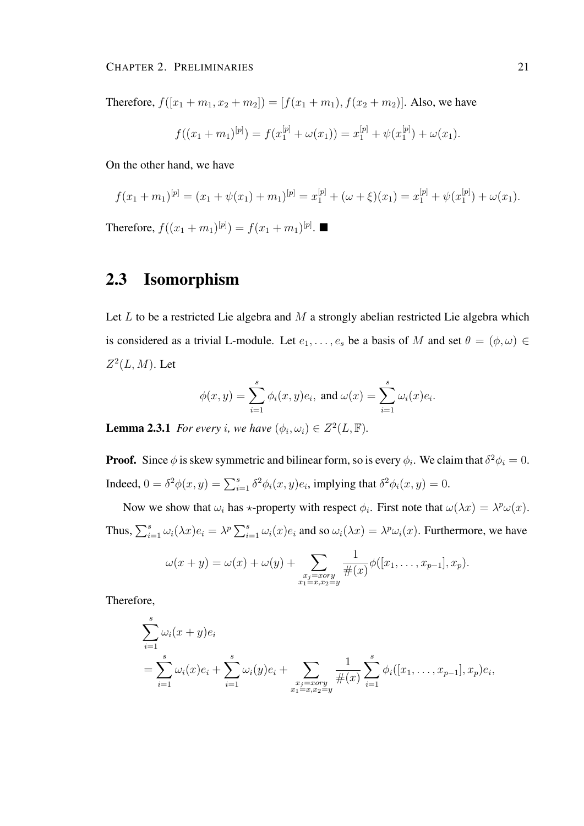Therefore,  $f([x_1 + m_1, x_2 + m_2]) = [f(x_1 + m_1), f(x_2 + m_2)].$  Also, we have

$$
f((x_1+m_1)^{[p]}) = f(x_1^{[p]} + \omega(x_1)) = x_1^{[p]} + \psi(x_1^{[p]}) + \omega(x_1).
$$

On the other hand, we have

$$
f(x_1 + m_1)^{[p]} = (x_1 + \psi(x_1) + m_1)^{[p]} = x_1^{[p]} + (\omega + \xi)(x_1) = x_1^{[p]} + \psi(x_1^{[p]}) + \omega(x_1).
$$
  
Therefore,  $f((x_1 + m_1)^{[p]}) = f(x_1 + m_1)^{[p]}$ .

## 2.3 Isomorphism

Let  $L$  to be a restricted Lie algebra and  $M$  a strongly abelian restricted Lie algebra which is considered as a trivial L-module. Let  $e_1, \ldots, e_s$  be a basis of M and set  $\theta = (\phi, \omega) \in$  $Z^2(L,M)$ . Let

$$
\phi(x, y) = \sum_{i=1}^{s} \phi_i(x, y) e_i
$$
, and  $\omega(x) = \sum_{i=1}^{s} \omega_i(x) e_i$ .

**Lemma 2.3.1** *For every i, we have*  $(\phi_i, \omega_i) \in Z^2(L, \mathbb{F})$ *.* 

**Proof.** Since  $\phi$  is skew symmetric and bilinear form, so is every  $\phi_i$ . We claim that  $\delta^2 \phi_i = 0$ . Indeed,  $0 = \delta^2 \phi(x, y) = \sum_{i=1}^s \delta^2 \phi_i(x, y) e_i$ , implying that  $\delta^2 \phi_i(x, y) = 0$ .

Now we show that  $\omega_i$  has  $\star$ -property with respect  $\phi_i$ . First note that  $\omega(\lambda x) = \lambda^p \omega(x)$ . Thus,  $\sum_{i=1}^{s} \omega_i(\lambda x) e_i = \lambda^p \sum_{i=1}^{s} \omega_i(x) e_i$  and so  $\omega_i(\lambda x) = \lambda^p \omega_i(x)$ . Furthermore, we have

$$
\omega(x + y) = \omega(x) + \omega(y) + \sum_{\substack{x_j = x \text{ or } y \\ x_1 = x, x_2 = y}} \frac{1}{\#(x)} \phi([x_1, \dots, x_{p-1}], x_p).
$$

Therefore,

$$
\sum_{i=1}^{s} \omega_i (x + y) e_i
$$
\n
$$
= \sum_{i=1}^{s} \omega_i (x) e_i + \sum_{i=1}^{s} \omega_i (y) e_i + \sum_{\substack{x_j = x \text{ or } y \\ x_1 = x, x_2 = y}} \frac{1}{\#(x)} \sum_{i=1}^{s} \phi_i ([x_1, \dots, x_{p-1}], x_p) e_i,
$$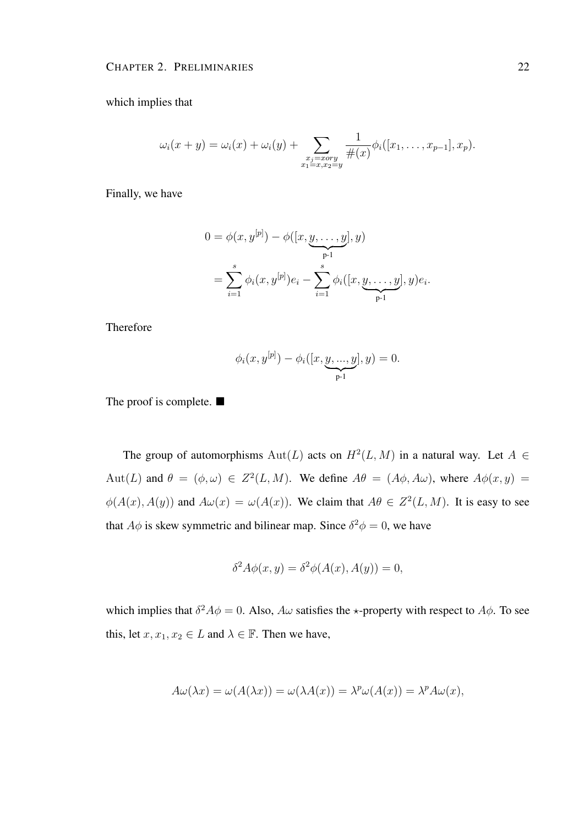which implies that

$$
\omega_i(x + y) = \omega_i(x) + \omega_i(y) + \sum_{\substack{x_j = x \text{ or } y \\ x_1 = x, x_2 = y}} \frac{1}{\#(x)} \phi_i([x_1, \dots, x_{p-1}], x_p).
$$

Finally, we have

$$
0 = \phi(x, y^{[p]}) - \phi([x, y, \dots, y], y)
$$
  
= 
$$
\sum_{i=1}^{s} \phi_i(x, y^{[p]}) e_i - \sum_{i=1}^{s} \phi_i([x, y, \dots, y], y) e_i.
$$

Therefore

$$
\phi_i(x, y^{[p]}) - \phi_i([x, \underbrace{y, ..., y}_{p-1}], y) = 0.
$$

The proof is complete.  $\blacksquare$ 

The group of automorphisms  $Aut(L)$  acts on  $H<sup>2</sup>(L, M)$  in a natural way. Let  $A \in$ Aut(L) and  $\theta = (\phi, \omega) \in Z^2(L, M)$ . We define  $A\theta = (A\phi, A\omega)$ , where  $A\phi(x, y) =$  $\phi(A(x), A(y))$  and  $A\omega(x) = \omega(A(x))$ . We claim that  $A\theta \in Z^2(L, M)$ . It is easy to see that  $A\phi$  is skew symmetric and bilinear map. Since  $\delta^2 \phi = 0$ , we have

$$
\delta^2 A \phi(x, y) = \delta^2 \phi(A(x), A(y)) = 0,
$$

which implies that  $\delta^2 A \phi = 0$ . Also,  $A \omega$  satisfies the  $\star$ -property with respect to  $A \phi$ . To see this, let  $x, x_1, x_2 \in L$  and  $\lambda \in \mathbb{F}$ . Then we have,

$$
A\omega(\lambda x) = \omega(A(\lambda x)) = \omega(\lambda A(x)) = \lambda^p \omega(A(x)) = \lambda^p A\omega(x),
$$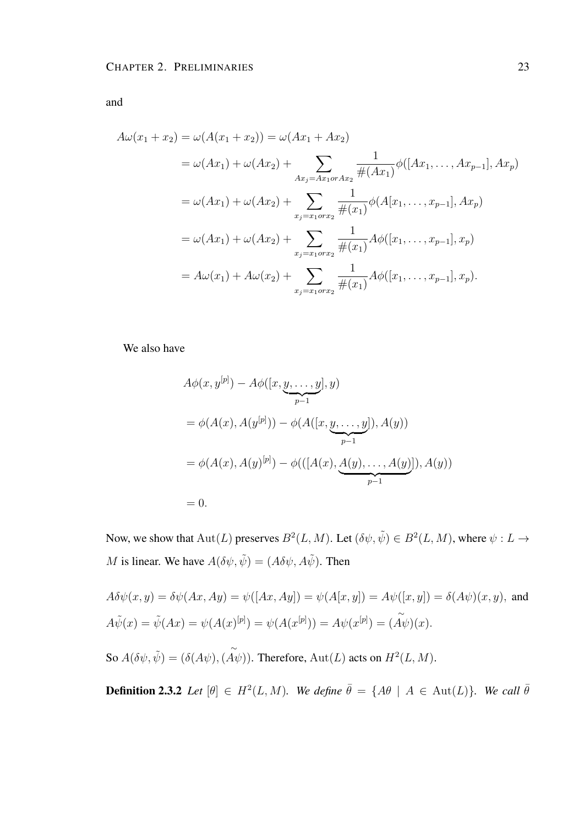and

 $A\omega(x_1+x_2) = \omega(A(x_1+x_2)) = \omega(Ax_1+Ax_2)$  $=\omega(Ax_1)+\omega(Ax_2)+\qquad\sum$  $Ax_j = Ax_1$ or $Ax_2$ 1  $#(Ax_1)$  $\phi([Ax_1, \ldots, Ax_{p-1}], Ax_p)$  $=\omega(Ax_1)+\omega(Ax_2)+\sum$  $x_j = x_1$ or $x_2$ 1  $#(x_1)$  $\phi(A[x_1, \ldots, x_{p-1}], Ax_p)$  $=\omega(Ax_1)+\omega(Ax_2)+\sum$  $x_j = x_1$ or $x_2$ 1  $#(x_1)$  $A\phi([x_1,\ldots,x_{p-1}],x_p)$  $= A\omega(x_1) + A\omega(x_2) + \sum$  $x_j = x_1$ or $x_2$ 1  $#(x_1)$  $A\phi([x_1,\ldots,x_{p-1}],x_p).$ 

We also have

$$
A\phi(x, y^{[p]}) - A\phi([x, y, \dots, y], y)
$$
  
=  $\phi(A(x), A(y^{[p]})) - \phi(A([x, y, \dots, y]), A(y))$   
=  $\phi(A(x), A(y)^{[p]}) - \phi(([A(x), A(y), \dots, A(y)]), A(y))$   
= 0.

Now, we show that  $\text{Aut}(L)$  preserves  $B^2(L, M)$ . Let  $(\delta \psi, \tilde{\psi}) \in B^2(L, M)$ , where  $\psi: L \to$ M is linear. We have  $A(\delta\psi, \tilde{\psi}) = (A\delta\psi, A\tilde{\psi})$ . Then

 $A\delta\psi(x, y) = \delta\psi(Ax, Ay) = \psi([Ax, Ay]) = \psi(A[x, y]) = A\psi([x, y]) = \delta(A\psi)(x, y)$ , and  $A\tilde{\psi}(x) = \tilde{\psi}(Ax) = \psi(A(x^{[p]}) = \psi(A(x^{[p]})) = A\psi(x^{[p]}) =$ ∼  $(A\psi)(x)$ . So  $A(\delta\psi, \tilde{\psi}) = (\delta(A\psi), \tilde{A\psi})$ . Therefore,  $Aut(L)$  acts on  $H^2(L, M)$ .

**Definition 2.3.2** *Let*  $[\theta] \in H^2(L, M)$ *. We define*  $\bar{\theta} = \{A\theta \mid A \in \text{Aut}(L)\}$ *. We call*  $\bar{\theta}$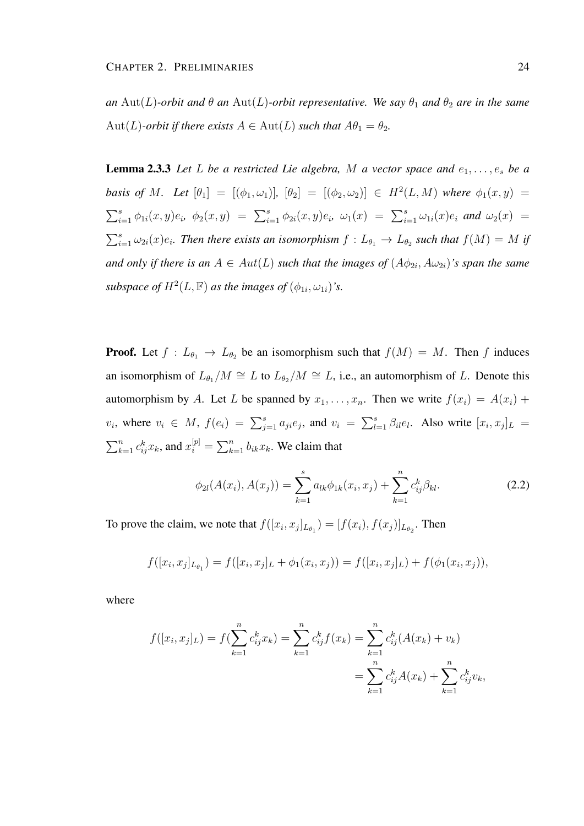*an* Aut(L)-orbit and  $\theta$  an Aut(L)-orbit representative. We say  $\theta_1$  and  $\theta_2$  are in the same  $Aut(L)$ *-orbit if there exists*  $A \in Aut(L)$  *such that*  $A\theta_1 = \theta_2$ *.* 

**Lemma 2.3.3** Let L be a restricted Lie algebra, M a vector space and  $e_1, \ldots, e_s$  be a *basis of* M. Let  $[\theta_1] = [(\phi_1, \omega_1)], [\theta_2] = [(\phi_2, \omega_2)] \in H^2(L, M)$  where  $\phi_1(x, y) =$  $\sum_{i=1}^s \phi_{1i}(x,y)e_i, \phi_2(x,y) = \sum_{i=1}^s \phi_{2i}(x,y)e_i, \omega_1(x) = \sum_{i=1}^s \omega_{1i}(x)e_i \text{ and } \omega_2(x) =$  $\sum_{i=1}^s \omega_{2i}(x)e_i$ . Then there exists an isomorphism  $f: L_{\theta_1} \to L_{\theta_2}$  such that  $f(M) = M$  if and only if there is an  $A \in Aut(L)$  such that the images of  $(A\phi_{2i}, A\omega_{2i})$ 's span the same subspace of  $H^2(L, \mathbb{F})$  as the images of  $(\phi_{1i}, \omega_{1i})$ 's.

**Proof.** Let  $f: L_{\theta_1} \to L_{\theta_2}$  be an isomorphism such that  $f(M) = M$ . Then f induces an isomorphism of  $L_{\theta_1}/M \cong L$  to  $L_{\theta_2}/M \cong L$ , i.e., an automorphism of L. Denote this automorphism by A. Let L be spanned by  $x_1, \ldots, x_n$ . Then we write  $f(x_i) = A(x_i) +$  $v_i$ , where  $v_i \in M$ ,  $f(e_i) = \sum_{j=1}^s a_{ji}e_j$ , and  $v_i = \sum_{l=1}^s \beta_{il}e_l$ . Also write  $[x_i, x_j]_L =$  $\sum_{k=1}^{n} c_{ij}^{k} x_k$ , and  $x_i^{[p]} = \sum_{k=1}^{n} b_{ik} x_k$ . We claim that

$$
\phi_{2l}(A(x_i), A(x_j)) = \sum_{k=1}^{s} a_{lk} \phi_{1k}(x_i, x_j) + \sum_{k=1}^{n} c_{ij}^k \beta_{kl}.
$$
 (2.2)

To prove the claim, we note that  $f([x_i, x_j]_{L_{\theta_1}}) = [f(x_i), f(x_j)]_{L_{\theta_2}}$ . Then

$$
f([x_i, x_j]_{L_{\theta_1}}) = f([x_i, x_j]_L + \phi_1(x_i, x_j)) = f([x_i, x_j]_L) + f(\phi_1(x_i, x_j)),
$$

where

$$
f([x_i, x_j]_L) = f(\sum_{k=1}^n c_{ij}^k x_k) = \sum_{k=1}^n c_{ij}^k f(x_k) = \sum_{k=1}^n c_{ij}^k (A(x_k) + v_k)
$$
  
= 
$$
\sum_{k=1}^n c_{ij}^k A(x_k) + \sum_{k=1}^n c_{ij}^k v_k,
$$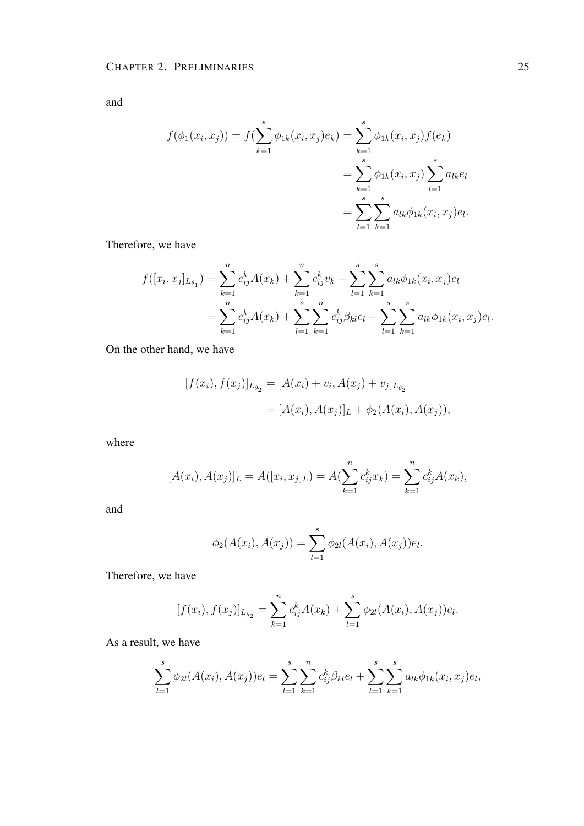and

$$
f(\phi_1(x_i, x_j)) = f(\sum_{k=1}^s \phi_{1k}(x_i, x_j) e_k) = \sum_{k=1}^s \phi_{1k}(x_i, x_j) f(e_k)
$$
  
= 
$$
\sum_{k=1}^s \phi_{1k}(x_i, x_j) \sum_{l=1}^s a_{lk} e_l
$$
  
= 
$$
\sum_{l=1}^s \sum_{k=1}^s a_{lk} \phi_{1k}(x_i, x_j) e_l.
$$

Therefore, we have

$$
f([x_i, x_j]_{L_{\theta_1}}) = \sum_{k=1}^n c_{ij}^k A(x_k) + \sum_{k=1}^n c_{ij}^k v_k + \sum_{l=1}^s \sum_{k=1}^s a_{lk} \phi_{1k}(x_i, x_j) e_l
$$
  
= 
$$
\sum_{k=1}^n c_{ij}^k A(x_k) + \sum_{l=1}^s \sum_{k=1}^n c_{ij}^k \beta_{kl} e_l + \sum_{l=1}^s \sum_{k=1}^s a_{lk} \phi_{1k}(x_i, x_j) e_l.
$$

On the other hand, we have

$$
[f(x_i), f(x_j)]_{L_{\theta_2}} = [A(x_i) + v_i, A(x_j) + v_j]_{L_{\theta_2}}
$$
  
= 
$$
[A(x_i), A(x_j)]_L + \phi_2(A(x_i), A(x_j)),
$$

where

$$
[A(x_i), A(x_j)]_L = A([x_i, x_j]_L) = A(\sum_{k=1}^n c_{ij}^k x_k) = \sum_{k=1}^n c_{ij}^k A(x_k),
$$

and

$$
\phi_2(A(x_i), A(x_j)) = \sum_{l=1}^s \phi_{2l}(A(x_i), A(x_j))e_l.
$$

Therefore, we have

$$
[f(x_i), f(x_j)]_{L_{\theta_2}} = \sum_{k=1}^n c_{ij}^k A(x_k) + \sum_{l=1}^s \phi_{2l}(A(x_i), A(x_j))e_l.
$$

As a result, we have

$$
\sum_{l=1}^{s} \phi_{2l}(A(x_i), A(x_j))e_l = \sum_{l=1}^{s} \sum_{k=1}^{n} c_{ij}^k \beta_{kl} e_l + \sum_{l=1}^{s} \sum_{k=1}^{s} a_{lk} \phi_{1k}(x_i, x_j)e_l,
$$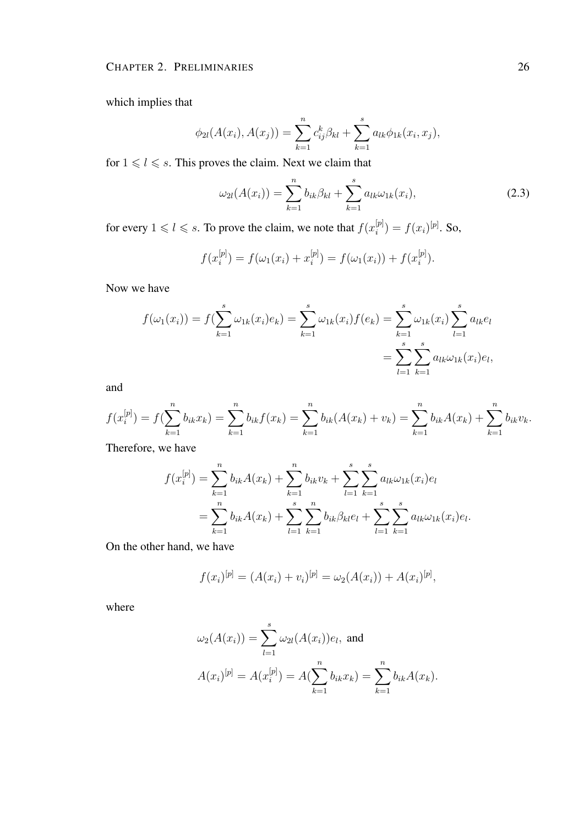which implies that

$$
\phi_{2l}(A(x_i), A(x_j)) = \sum_{k=1}^n c_{ij}^k \beta_{kl} + \sum_{k=1}^s a_{lk} \phi_{1k}(x_i, x_j),
$$

for  $1 \leq l \leq s$ . This proves the claim. Next we claim that

$$
\omega_{2l}(A(x_i)) = \sum_{k=1}^{n} b_{ik}\beta_{kl} + \sum_{k=1}^{s} a_{lk}\omega_{1k}(x_i),
$$
\n(2.3)

for every  $1 \leq l \leq s$ . To prove the claim, we note that  $f(x_i^{[p]})$  $\binom{[p]}{i} = f(x_i)^{[p]}$ . So,

$$
f(x_i^{[p]}) = f(\omega_1(x_i) + x_i^{[p]}) = f(\omega_1(x_i)) + f(x_i^{[p]}).
$$

Now we have

$$
f(\omega_1(x_i)) = f(\sum_{k=1}^s \omega_{1k}(x_i)e_k) = \sum_{k=1}^s \omega_{1k}(x_i)f(e_k) = \sum_{k=1}^s \omega_{1k}(x_i)\sum_{l=1}^s a_{lk}e_l
$$
  
= 
$$
\sum_{l=1}^s \sum_{k=1}^s a_{lk}\omega_{1k}(x_i)e_l,
$$

and

$$
f(x_i^{[p]}) = f(\sum_{k=1}^n b_{ik} x_k) = \sum_{k=1}^n b_{ik} f(x_k) = \sum_{k=1}^n b_{ik} (A(x_k) + v_k) = \sum_{k=1}^n b_{ik} A(x_k) + \sum_{k=1}^n b_{ik} v_k.
$$

Therefore, we have

$$
f(x_i^{[p]}) = \sum_{k=1}^n b_{ik} A(x_k) + \sum_{k=1}^n b_{ik} v_k + \sum_{l=1}^s \sum_{k=1}^s a_{lk} \omega_{1k}(x_i) e_l
$$
  
= 
$$
\sum_{k=1}^n b_{ik} A(x_k) + \sum_{l=1}^s \sum_{k=1}^n b_{ik} \beta_{kl} e_l + \sum_{l=1}^s \sum_{k=1}^s a_{lk} \omega_{1k}(x_i) e_l.
$$

On the other hand, we have

$$
f(x_i)^{[p]} = (A(x_i) + v_i)^{[p]} = \omega_2(A(x_i)) + A(x_i)^{[p]},
$$

where

$$
\omega_2(A(x_i)) = \sum_{l=1}^s \omega_{2l}(A(x_i))e_l, \text{ and}
$$

$$
A(x_i)^{[p]} = A(x_i^{[p]}) = A(\sum_{k=1}^n b_{ik}x_k) = \sum_{k=1}^n b_{ik}A(x_k).
$$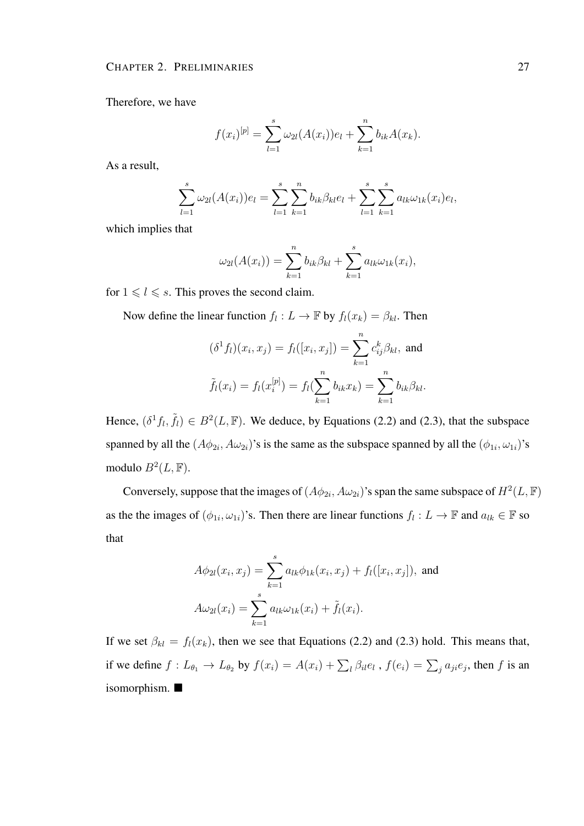Therefore, we have

$$
f(x_i)^{[p]} = \sum_{l=1}^{s} \omega_{2l}(A(x_i))e_l + \sum_{k=1}^{n} b_{ik}A(x_k).
$$

As a result,

$$
\sum_{l=1}^{s} \omega_{2l}(A(x_i))e_l = \sum_{l=1}^{s} \sum_{k=1}^{n} b_{ik}\beta_{kl}e_l + \sum_{l=1}^{s} \sum_{k=1}^{s} a_{lk}\omega_{1k}(x_i)e_l,
$$

which implies that

$$
\omega_{2l}(A(x_i)) = \sum_{k=1}^n b_{ik}\beta_{kl} + \sum_{k=1}^s a_{lk}\omega_{1k}(x_i),
$$

for  $1 \leq l \leq s$ . This proves the second claim.

Now define the linear function  $f_l: L \to \mathbb{F}$  by  $f_l(x_k) = \beta_{kl}$ . Then

$$
(\delta^1 f_l)(x_i, x_j) = f_l([x_i, x_j]) = \sum_{k=1}^n c_{ij}^k \beta_{kl}, \text{ and}
$$

$$
\tilde{f}_l(x_i) = f_l(x_i^{[p]}) = f_l(\sum_{k=1}^n b_{ik} x_k) = \sum_{k=1}^n b_{ik} \beta_{kl}.
$$

Hence,  $(\delta^1 f_l, \tilde{f}_l) \in B^2(L, \mathbb{F})$ . We deduce, by Equations (2.2) and (2.3), that the subspace spanned by all the  $(A\phi_{2i}, A\omega_{2i})$ 's is the same as the subspace spanned by all the  $(\phi_{1i}, \omega_{1i})$ 's modulo  $B^2(L, \mathbb{F})$ .

Conversely, suppose that the images of  $(A\phi_{2i}, A\omega_{2i})$ 's span the same subspace of  $H^2(L, \mathbb{F})$ as the the images of  $(\phi_{1i}, \omega_{1i})$ 's. Then there are linear functions  $f_l: L \to \mathbb{F}$  and  $a_{lk} \in \mathbb{F}$  so that

$$
A\phi_{2l}(x_i, x_j) = \sum_{k=1}^{s} a_{lk}\phi_{1k}(x_i, x_j) + f_l([x_i, x_j]), \text{ and}
$$

$$
A\omega_{2l}(x_i) = \sum_{k=1}^{s} a_{lk}\omega_{1k}(x_i) + \tilde{f}_l(x_i).
$$

If we set  $\beta_{kl} = f_l(x_k)$ , then we see that Equations (2.2) and (2.3) hold. This means that, if we define  $f: L_{\theta_1} \to L_{\theta_2}$  by  $f(x_i) = A(x_i) + \sum_l \beta_{il} e_l$ ,  $f(e_i) = \sum_j a_{ji} e_j$ , then f is an isomorphism.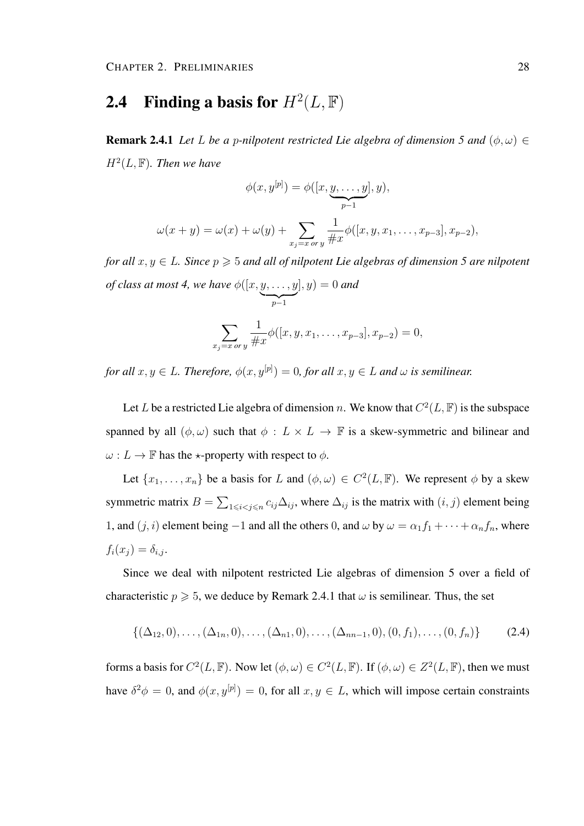## 2.4 Finding a basis for  $H^2(L, \mathbb{F})$

**Remark 2.4.1** *Let L be a p-nilpotent restricted Lie algebra of dimension 5 and*  $(\phi, \omega) \in$  $H<sup>2</sup>(L, F)$ *. Then we have* 

$$
\phi(x, y^{[p]}) = \phi([x, y, \dots, y], y),
$$
  

$$
\omega(x + y) = \omega(x) + \omega(y) + \sum_{x_j = x \text{ or } y} \frac{1}{\#x} \phi([x, y, x_1, \dots, x_{p-3}], x_{p-2}),
$$

*for all*  $x, y \in L$ *. Since*  $p \ge 5$  *and all of nilpotent Lie algebras of dimension* 5 *are nilpotent of class at most 4, we have*  $\phi([x, y, \dots, y$  $\sum_{p-1}$  $|, y) = 0$  and

$$
\sum_{x_j=x \text{ or } y} \frac{1}{\#x} \phi([x, y, x_1, \dots, x_{p-3}], x_{p-2}) = 0,
$$

for all  $x, y \in L$ . Therefore,  $\phi(x, y^{[p]}) = 0$ , for all  $x, y \in L$  and  $\omega$  is semilinear.

Let L be a restricted Lie algebra of dimension n. We know that  $C^2(L, \mathbb{F})$  is the subspace spanned by all  $(\phi, \omega)$  such that  $\phi : L \times L \to \mathbb{F}$  is a skew-symmetric and bilinear and  $\omega: L \to \mathbb{F}$  has the  $\star$ -property with respect to  $\phi$ .

Let  $\{x_1, \ldots, x_n\}$  be a basis for L and  $(\phi, \omega) \in C^2(L, \mathbb{F})$ . We represent  $\phi$  by a skew symmetric matrix  $B = \sum_{1 \leq i < j \leq n} c_{ij} \Delta_{ij}$ , where  $\Delta_{ij}$  is the matrix with  $(i, j)$  element being 1, and  $(j, i)$  element being −1 and all the others 0, and  $\omega$  by  $\omega = \alpha_1 f_1 + \cdots + \alpha_n f_n$ , where  $f_i(x_j) = \delta_{i,j}.$ 

Since we deal with nilpotent restricted Lie algebras of dimension 5 over a field of characteristic  $p \ge 5$ , we deduce by Remark 2.4.1 that  $\omega$  is semilinear. Thus, the set

$$
\{(\Delta_{12},0),\ldots,(\Delta_{1n},0),\ldots,(\Delta_{n1},0),\ldots,(\Delta_{nn-1},0),(0,f_1),\ldots,(0,f_n)\}\qquad(2.4)
$$

forms a basis for  $C^2(L, \mathbb{F})$ . Now let  $(\phi, \omega) \in C^2(L, \mathbb{F})$ . If  $(\phi, \omega) \in Z^2(L, \mathbb{F})$ , then we must have  $\delta^2 \phi = 0$ , and  $\phi(x, y^{[p]}) = 0$ , for all  $x, y \in L$ , which will impose certain constraints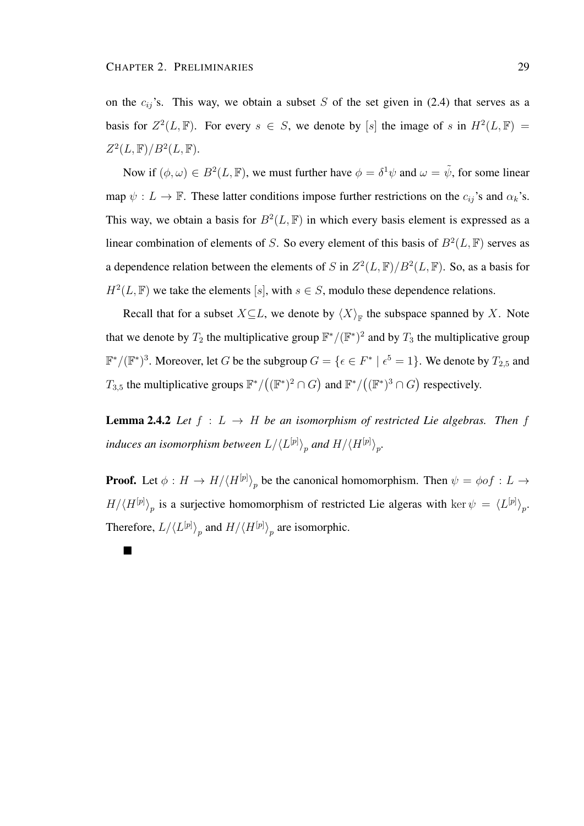П

on the  $c_{ij}$ 's. This way, we obtain a subset S of the set given in (2.4) that serves as a basis for  $Z^2(L, \mathbb{F})$ . For every  $s \in S$ , we denote by [s] the image of s in  $H^2(L, \mathbb{F}) =$  $Z^2(L,\mathbb{F})/B^2(L,\mathbb{F}).$ 

Now if  $(\phi, \omega) \in B^2(L, \mathbb{F})$ , we must further have  $\phi = \delta^1 \psi$  and  $\omega = \tilde{\psi}$ , for some linear map  $\psi: L \to \mathbb{F}$ . These latter conditions impose further restrictions on the  $c_{ij}$ 's and  $\alpha_k$ 's. This way, we obtain a basis for  $B^2(L, \mathbb{F})$  in which every basis element is expressed as a linear combination of elements of S. So every element of this basis of  $B^2(L, \mathbb{F})$  serves as a dependence relation between the elements of S in  $Z^2(L,\mathbb{F})/B^2(L,\mathbb{F})$ . So, as a basis for  $H^2(L, \mathbb{F})$  we take the elements [s], with  $s \in S$ , modulo these dependence relations.

Recall that for a subset  $X \subseteq L$ , we denote by  $\langle X \rangle_{\mathbb{F}}$  the subspace spanned by X. Note that we denote by  $T_2$  the multiplicative group  $\mathbb{F}^*/(\mathbb{F}^*)^2$  and by  $T_3$  the multiplicative group  $\mathbb{F}^*/(\mathbb{F}^*)^3$ . Moreover, let G be the subgroup  $G = \{ \epsilon \in F^* \mid \epsilon^5 = 1 \}$ . We denote by  $T_{2,5}$  and  $T_{3,5}$  the multiplicative groups  $\mathbb{F}^*/((\mathbb{F}^*)^2 \cap G)$  and  $\mathbb{F}^*/((\mathbb{F}^*)^3 \cap G)$  respectively.

**Lemma 2.4.2** *Let*  $f : L \to H$  *be an isomorphism of restricted Lie algebras. Then*  $f$ induces an isomorphism between  $L/ \langle L^{[p]} \rangle_p$  and  $H/ \langle H^{[p]} \rangle_p$ .

**Proof.** Let  $\phi: H \to H/\langle H^{[p]} \rangle_p$  be the canonical homomorphism. Then  $\psi = \phi \circ f: L \to$  $H/\langle H^{[p]} \rangle_p$  is a surjective homomorphism of restricted Lie algeras with ker  $\psi = \langle L^{[p]} \rangle_p$ . Therefore,  $L/\langle L^{[p]} \rangle_p$  and  $H/\langle H^{[p]} \rangle_p$  are isomorphic.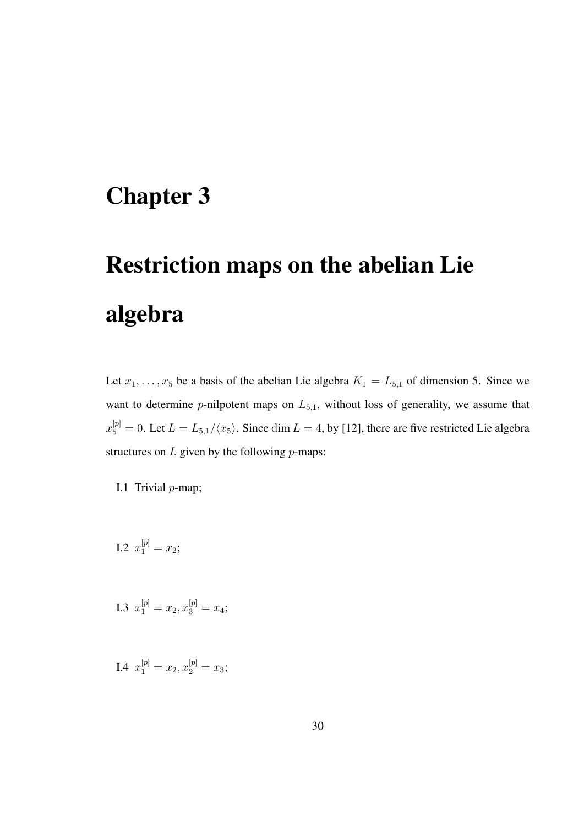## Chapter 3

# Restriction maps on the abelian Lie algebra

Let  $x_1, \ldots, x_5$  be a basis of the abelian Lie algebra  $K_1 = L_{5,1}$  of dimension 5. Since we want to determine p-nilpotent maps on  $L_{5,1}$ , without loss of generality, we assume that  $x_5^{[p]}=0$ . Let  $L=L_{5,1}/\langle x_5\rangle$ . Since  $\dim L=4$ , by [12], there are five restricted Lie algebra structures on  $L$  given by the following  $p$ -maps:

- I.1 Trivial  $p$ -map;
- I.2  $x_1^{[p]} = x_2;$
- I.3  $x_1^{[p]} = x_2, x_3^{[p]} = x_4;$
- I.4  $x_1^{[p]} = x_2, x_2^{[p]} = x_3;$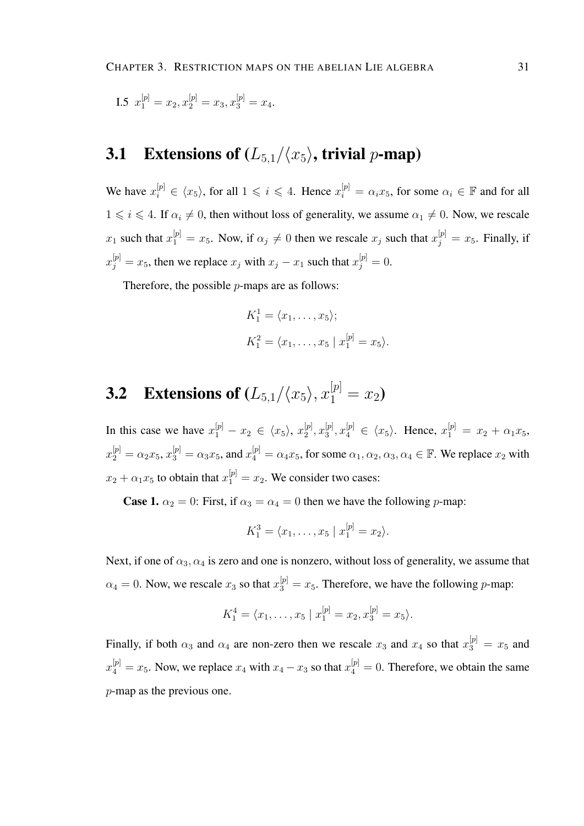I.5 
$$
x_1^{[p]} = x_2, x_2^{[p]} = x_3, x_3^{[p]} = x_4.
$$

## 3.1 Extensions of  $(L_{5,1}/\langle x_5\rangle)$ , trivial p-map)

We have  $x_i^{[p]} \in \langle x_5 \rangle$ , for all  $1 \leq i \leq 4$ . Hence  $x_i^{[p]} = \alpha_i x_5$ , for some  $\alpha_i \in \mathbb{F}$  and for all  $1 \le i \le 4$ . If  $\alpha_i \neq 0$ , then without loss of generality, we assume  $\alpha_1 \neq 0$ . Now, we rescale  $x_1$  such that  $x_1^{[p]} = x_5$ . Now, if  $\alpha_j \neq 0$  then we rescale  $x_j$  such that  $x_j^{[p]} = x_5$ . Finally, if  $x_j^{[p]} = x_5$ , then we replace  $x_j$  with  $x_j - x_1$  such that  $x_j^{[p]} = 0$ .

Therefore, the possible  $p$ -maps are as follows:

$$
K_1^1 = \langle x_1, \dots, x_5 \rangle;
$$
  
\n
$$
K_1^2 = \langle x_1, \dots, x_5 | x_1^{[p]} = x_5 \rangle.
$$

# **3.2** Extensions of  $(L_{5,1}/\langle x_5 \rangle, x_1^{[p]} = x_2)$

In this case we have  $x_1^{[p]} - x_2 \in \langle x_5 \rangle$ ,  $x_2^{[p]}$  $\genfrac{[}{]}{0pt}{}{[p]}{2},x_{3}^{[p]}$  $\mathbb{E}^{[p]}_3, x_4^{[p]} \in \langle x_5 \rangle$ . Hence,  $x_1^{[p]} = x_2 + \alpha_1 x_5$ ,  $x_2^{[p]} = \alpha_2 x_5$ ,  $x_3^{[p]} = \alpha_3 x_5$ , and  $x_4^{[p]} = \alpha_4 x_5$ , for some  $\alpha_1, \alpha_2, \alpha_3, \alpha_4 \in \mathbb{F}$ . We replace  $x_2$  with  $x_2 + \alpha_1 x_5$  to obtain that  $x_1^{[p]} = x_2$ . We consider two cases:

**Case 1.**  $\alpha_2 = 0$ : First, if  $\alpha_3 = \alpha_4 = 0$  then we have the following p-map:

$$
K_1^3 = \langle x_1, \ldots, x_5 | x_1^{[p]} = x_2 \rangle.
$$

Next, if one of  $\alpha_3, \alpha_4$  is zero and one is nonzero, without loss of generality, we assume that  $\alpha_4 = 0$ . Now, we rescale  $x_3$  so that  $x_3^{[p]} = x_5$ . Therefore, we have the following p-map:

$$
K_1^4 = \langle x_1, \ldots, x_5 \mid x_1^{[p]} = x_2, x_3^{[p]} = x_5 \rangle.
$$

Finally, if both  $\alpha_3$  and  $\alpha_4$  are non-zero then we rescale  $x_3$  and  $x_4$  so that  $x_3^{[p]} = x_5$  and  $x_4^{[p]} = x_5$ . Now, we replace  $x_4$  with  $x_4 - x_3$  so that  $x_4^{[p]} = 0$ . Therefore, we obtain the same p-map as the previous one.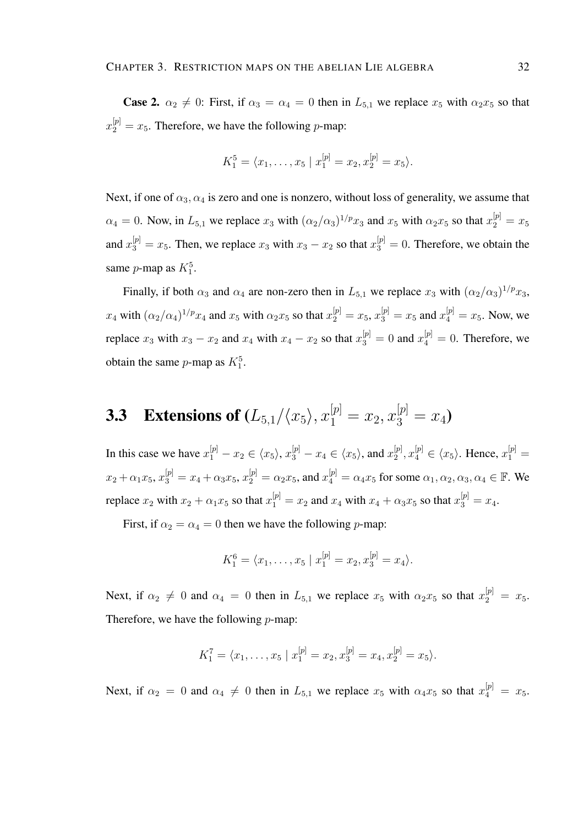**Case 2.**  $\alpha_2 \neq 0$ : First, if  $\alpha_3 = \alpha_4 = 0$  then in  $L_{5,1}$  we replace  $x_5$  with  $\alpha_2 x_5$  so that  $x_2^{[p]} = x_5$ . Therefore, we have the following p-map:

$$
K_1^5 = \langle x_1, \ldots, x_5 \mid x_1^{[p]} = x_2, x_2^{[p]} = x_5 \rangle.
$$

Next, if one of  $\alpha_3, \alpha_4$  is zero and one is nonzero, without loss of generality, we assume that  $\alpha_4 = 0$ . Now, in  $L_{5,1}$  we replace  $x_3$  with  $(\alpha_2/\alpha_3)^{1/p} x_3$  and  $x_5$  with  $\alpha_2 x_5$  so that  $x_2^{[p]} = x_5$ and  $x_3^{[p]} = x_5$ . Then, we replace  $x_3$  with  $x_3 - x_2$  so that  $x_3^{[p]} = 0$ . Therefore, we obtain the same *p*-map as  $K_1^5$ .

Finally, if both  $\alpha_3$  and  $\alpha_4$  are non-zero then in  $L_{5,1}$  we replace  $x_3$  with  $(\alpha_2/\alpha_3)^{1/p}x_3$ ,  $x_4$  with  $(\alpha_2/\alpha_4)^{1/p} x_4$  and  $x_5$  with  $\alpha_2 x_5$  so that  $x_2^{[p]} = x_5$ ,  $x_3^{[p]} = x_5$  and  $x_4^{[p]} = x_5$ . Now, we replace  $x_3$  with  $x_3 - x_2$  and  $x_4$  with  $x_4 - x_2$  so that  $x_3^{[p]} = 0$  and  $x_4^{[p]} = 0$ . Therefore, we obtain the same *p*-map as  $K_1^5$ .

# **3.3** Extensions of  $(L_{5,1}/\langle x_5 \rangle, x_1^{[p]} = x_2, x_3^{[p]} = x_4)$

In this case we have  $x_1^{[p]} - x_2 \in \langle x_5 \rangle$ ,  $x_3^{[p]} - x_4 \in \langle x_5 \rangle$ , and  $x_2^{[p]}$  $x_2^{[p]}, x_4^{[p]} \in \langle x_5 \rangle$ . Hence,  $x_1^{[p]} =$  $x_2 + \alpha_1 x_5, x_3^{[p]} = x_4 + \alpha_3 x_5, x_2^{[p]} = \alpha_2 x_5$ , and  $x_4^{[p]} = \alpha_4 x_5$  for some  $\alpha_1, \alpha_2, \alpha_3, \alpha_4 \in \mathbb{F}$ . We replace  $x_2$  with  $x_2 + \alpha_1 x_5$  so that  $x_1^{[p]} = x_2$  and  $x_4$  with  $x_4 + \alpha_3 x_5$  so that  $x_3^{[p]} = x_4$ .

First, if  $\alpha_2 = \alpha_4 = 0$  then we have the following *p*-map:

$$
K_1^6 = \langle x_1, \ldots, x_5 \mid x_1^{[p]} = x_2, x_3^{[p]} = x_4 \rangle.
$$

Next, if  $\alpha_2 \neq 0$  and  $\alpha_4 = 0$  then in  $L_{5,1}$  we replace  $x_5$  with  $\alpha_2 x_5$  so that  $x_2^{[p]} = x_5$ . Therefore, we have the following  $p$ -map:

$$
K_1^7 = \langle x_1, \ldots, x_5 \mid x_1^{[p]} = x_2, x_3^{[p]} = x_4, x_2^{[p]} = x_5 \rangle.
$$

Next, if  $\alpha_2 = 0$  and  $\alpha_4 \neq 0$  then in  $L_{5,1}$  we replace  $x_5$  with  $\alpha_4 x_5$  so that  $x_4^{[p]} = x_5$ .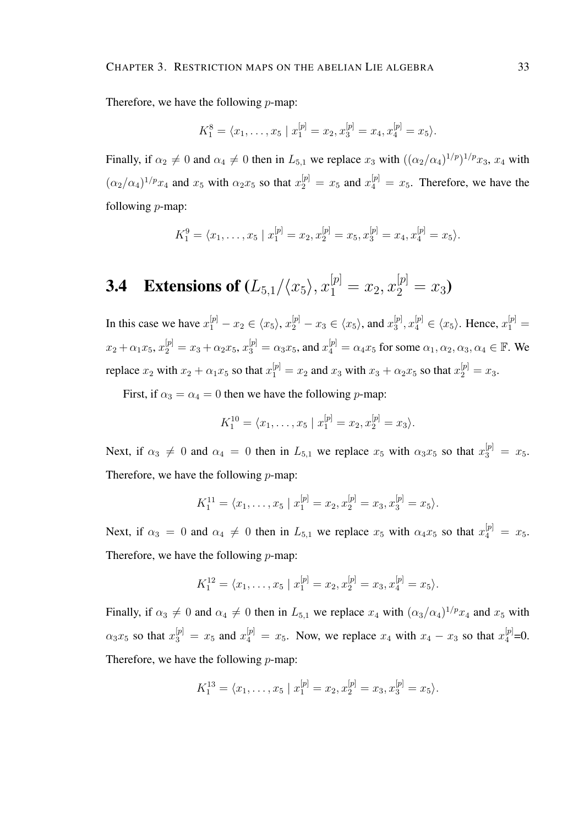Therefore, we have the following  $p$ -map:

$$
K_1^8 = \langle x_1, \ldots, x_5 | x_1^{[p]} = x_2, x_3^{[p]} = x_4, x_4^{[p]} = x_5 \rangle.
$$

Finally, if  $\alpha_2 \neq 0$  and  $\alpha_4 \neq 0$  then in  $L_{5,1}$  we replace  $x_3$  with  $((\alpha_2/\alpha_4)^{1/p})^{1/p}x_3$ ,  $x_4$  with  $(\alpha_2/\alpha_4)^{1/p}x_4$  and  $x_5$  with  $\alpha_2x_5$  so that  $x_2^{[p]} = x_5$  and  $x_4^{[p]} = x_5$ . Therefore, we have the following  $p$ -map:

$$
K_1^9 = \langle x_1, \ldots, x_5 \mid x_1^{[p]} = x_2, x_2^{[p]} = x_5, x_3^{[p]} = x_4, x_4^{[p]} = x_5 \rangle.
$$

# **3.4** Extensions of  $(L_{5,1}/\langle x_5 \rangle, x_1^{[p]} = x_2, x_2^{[p]} = x_3)$

In this case we have  $x_1^{[p]} - x_2 \in \langle x_5 \rangle$ ,  $x_2^{[p]} - x_3 \in \langle x_5 \rangle$ , and  $x_3^{[p]}$  $[x_3^{[p]}, x_4^{[p]} \in \langle x_5 \rangle$ . Hence,  $x_1^{[p]} =$  $x_2 + \alpha_1 x_5, x_2^{[p]} = x_3 + \alpha_2 x_5, x_3^{[p]} = \alpha_3 x_5$ , and  $x_4^{[p]} = \alpha_4 x_5$  for some  $\alpha_1, \alpha_2, \alpha_3, \alpha_4 \in \mathbb{F}$ . We replace  $x_2$  with  $x_2 + \alpha_1 x_5$  so that  $x_1^{[p]} = x_2$  and  $x_3$  with  $x_3 + \alpha_2 x_5$  so that  $x_2^{[p]} = x_3$ .

First, if  $\alpha_3 = \alpha_4 = 0$  then we have the following p-map:

$$
K_1^{10} = \langle x_1, \ldots, x_5 | x_1^{[p]} = x_2, x_2^{[p]} = x_3 \rangle.
$$

Next, if  $\alpha_3 \neq 0$  and  $\alpha_4 = 0$  then in  $L_{5,1}$  we replace  $x_5$  with  $\alpha_3 x_5$  so that  $x_3^{[p]} = x_5$ . Therefore, we have the following  $p$ -map:

$$
K_1^{11} = \langle x_1, \ldots, x_5 | x_1^{[p]} = x_2, x_2^{[p]} = x_3, x_3^{[p]} = x_5 \rangle.
$$

Next, if  $\alpha_3 = 0$  and  $\alpha_4 \neq 0$  then in  $L_{5,1}$  we replace  $x_5$  with  $\alpha_4 x_5$  so that  $x_4^{[p]} = x_5$ . Therefore, we have the following  $p$ -map:

$$
K_1^{12} = \langle x_1, \ldots, x_5 \mid x_1^{[p]} = x_2, x_2^{[p]} = x_3, x_4^{[p]} = x_5 \rangle.
$$

Finally, if  $\alpha_3 \neq 0$  and  $\alpha_4 \neq 0$  then in  $L_{5,1}$  we replace  $x_4$  with  $(\alpha_3/\alpha_4)^{1/p}x_4$  and  $x_5$  with  $\alpha_3 x_5$  so that  $x_3^{[p]} = x_5$  and  $x_4^{[p]} = x_5$ . Now, we replace  $x_4$  with  $x_4 - x_3$  so that  $x_4^{[p]} = 0$ . Therefore, we have the following  $p$ -map:

$$
K_1^{13} = \langle x_1, \ldots, x_5 \mid x_1^{[p]} = x_2, x_2^{[p]} = x_3, x_3^{[p]} = x_5 \rangle.
$$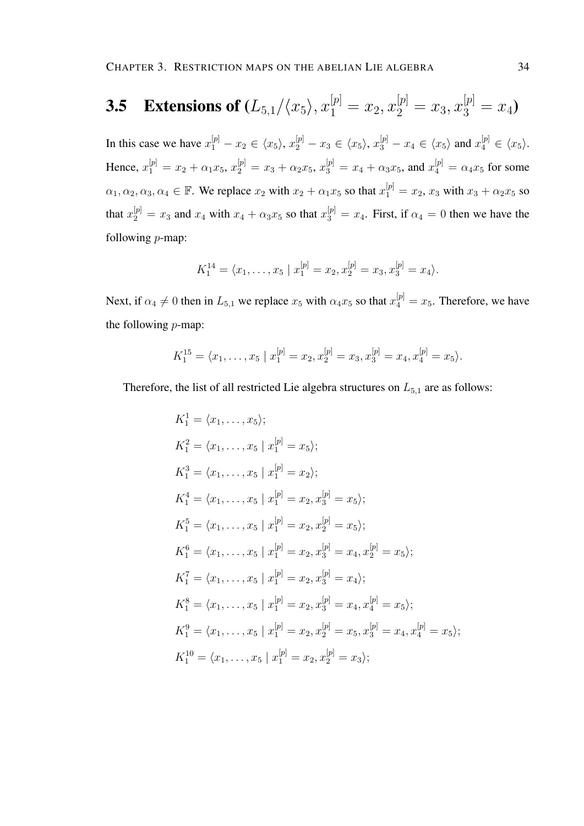# **3.5** Extensions of  $(L_{5,1}/\langle x_5 \rangle, x_1^{[p]} = x_2, x_2^{[p]} = x_3, x_3^{[p]} = x_4)$

In this case we have  $x_1^{[p]} - x_2 \in \langle x_5 \rangle$ ,  $x_2^{[p]} - x_3 \in \langle x_5 \rangle$ ,  $x_3^{[p]} - x_4 \in \langle x_5 \rangle$  and  $x_4^{[p]} \in \langle x_5 \rangle$ . Hence,  $x_1^{[p]} = x_2 + \alpha_1 x_5$ ,  $x_2^{[p]} = x_3 + \alpha_2 x_5$ ,  $x_3^{[p]} = x_4 + \alpha_3 x_5$ , and  $x_4^{[p]} = \alpha_4 x_5$  for some  $\alpha_1, \alpha_2, \alpha_3, \alpha_4 \in \mathbb{F}$ . We replace  $x_2$  with  $x_2 + \alpha_1 x_5$  so that  $x_1^{[p]} = x_2, x_3$  with  $x_3 + \alpha_2 x_5$  so that  $x_2^{[p]} = x_3$  and  $x_4$  with  $x_4 + \alpha_3 x_5$  so that  $x_3^{[p]} = x_4$ . First, if  $\alpha_4 = 0$  then we have the following p-map:

$$
K_1^{14} = \langle x_1, \ldots, x_5 \mid x_1^{[p]} = x_2, x_2^{[p]} = x_3, x_3^{[p]} = x_4 \rangle.
$$

Next, if  $\alpha_4 \neq 0$  then in  $L_{5,1}$  we replace  $x_5$  with  $\alpha_4 x_5$  so that  $x_4^{[p]} = x_5$ . Therefore, we have the following p-map:

$$
K_1^{15} = \langle x_1, \ldots, x_5 \mid x_1^{[p]} = x_2, x_2^{[p]} = x_3, x_3^{[p]} = x_4, x_4^{[p]} = x_5 \rangle.
$$

Therefore, the list of all restricted Lie algebra structures on  $L_{5,1}$  are as follows:

$$
K_1^1 = \langle x_1, \dots, x_5 \rangle;
$$
  
\n
$$
K_1^2 = \langle x_1, \dots, x_5 | x_1^{[p]} = x_5 \rangle;
$$
  
\n
$$
K_1^3 = \langle x_1, \dots, x_5 | x_1^{[p]} = x_2 \rangle;
$$
  
\n
$$
K_1^4 = \langle x_1, \dots, x_5 | x_1^{[p]} = x_2, x_3^{[p]} = x_5 \rangle;
$$
  
\n
$$
K_1^5 = \langle x_1, \dots, x_5 | x_1^{[p]} = x_2, x_2^{[p]} = x_5 \rangle;
$$
  
\n
$$
K_1^6 = \langle x_1, \dots, x_5 | x_1^{[p]} = x_2, x_3^{[p]} = x_4, x_2^{[p]} = x_5 \rangle;
$$
  
\n
$$
K_1^7 = \langle x_1, \dots, x_5 | x_1^{[p]} = x_2, x_3^{[p]} = x_4 \rangle;
$$
  
\n
$$
K_1^8 = \langle x_1, \dots, x_5 | x_1^{[p]} = x_2, x_3^{[p]} = x_4, x_4^{[p]} = x_5 \rangle;
$$
  
\n
$$
K_1^9 = \langle x_1, \dots, x_5 | x_1^{[p]} = x_2, x_2^{[p]} = x_5, x_3^{[p]} = x_4, x_4^{[p]} = x_5 \rangle;
$$
  
\n
$$
K_1^{10} = \langle x_1, \dots, x_5 | x_1^{[p]} = x_2, x_2^{[p]} = x_3 \rangle;
$$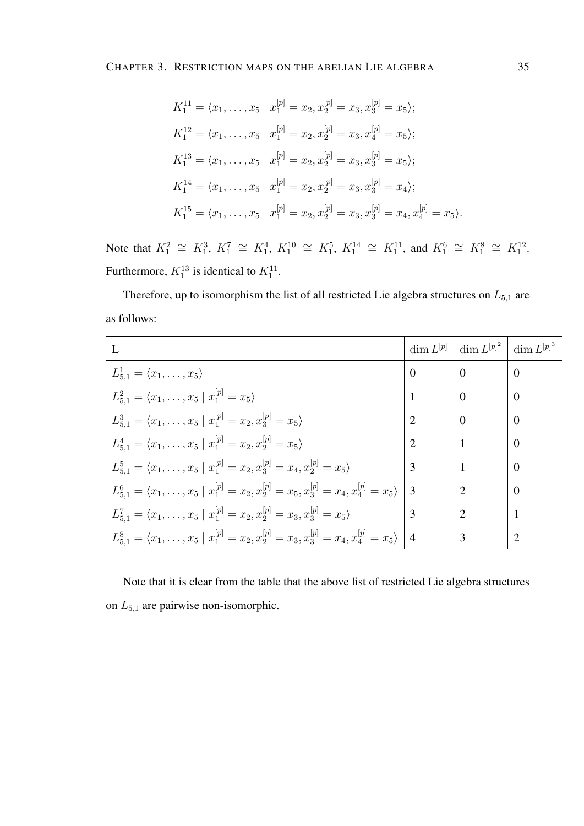$$
K_1^{11} = \langle x_1, \dots, x_5 | x_1^{[p]} = x_2, x_2^{[p]} = x_3, x_3^{[p]} = x_5 \rangle;
$$
  
\n
$$
K_1^{12} = \langle x_1, \dots, x_5 | x_1^{[p]} = x_2, x_2^{[p]} = x_3, x_4^{[p]} = x_5 \rangle;
$$
  
\n
$$
K_1^{13} = \langle x_1, \dots, x_5 | x_1^{[p]} = x_2, x_2^{[p]} = x_3, x_3^{[p]} = x_5 \rangle;
$$
  
\n
$$
K_1^{14} = \langle x_1, \dots, x_5 | x_1^{[p]} = x_2, x_2^{[p]} = x_3, x_3^{[p]} = x_4 \rangle;
$$
  
\n
$$
K_1^{15} = \langle x_1, \dots, x_5 | x_1^{[p]} = x_2, x_2^{[p]} = x_3, x_3^{[p]} = x_4, x_4^{[p]} = x_5 \rangle.
$$

Note that  $K_1^2 \cong K_1^3$ ,  $K_1^7 \cong K_1^4$ ,  $K_1^{10} \cong K_1^5$ ,  $K_1^{14} \cong K_1^{11}$ , and  $K_1^6 \cong K_1^8 \cong K_1^{12}$ . Furthermore,  $K_1^{13}$  is identical to  $K_1^{11}$ .

Therefore, up to isomorphism the list of all restricted Lie algebra structures on  $L_{5,1}$  are as follows:

|                                                                                                                       | $\dim L^{[p]}$ | dim $L^{[p]^2}$ | dim $L^{[p]^{3}}$ |
|-----------------------------------------------------------------------------------------------------------------------|----------------|-----------------|-------------------|
| $L_{5.1}^1 = \langle x_1, \ldots, x_5 \rangle$                                                                        | $\Omega$       | $\Omega$        | $\overline{0}$    |
| $L_{5,1}^2 = \langle x_1, \ldots, x_5   x_1^{[p]} = x_5 \rangle$                                                      |                | $\Omega$        | $\Omega$          |
| $L_{5,1}^3 = \langle x_1, \ldots, x_5   x_1^{p} = x_2, x_3^{p} = x_5 \rangle$                                         |                | $\Omega$        | $\overline{0}$    |
| $L_{5,1}^4 = \langle x_1, \ldots, x_5   x_1^{[p]} = x_2, x_2^{[p]} = x_5 \rangle$                                     |                |                 | $\Omega$          |
| $L_{5,1}^5 = \langle x_1, \ldots, x_5   x_1^{[p]} = x_2, x_3^{[p]} = x_4, x_2^{[p]} = x_5 \rangle$                    | $\mathcal{F}$  |                 | $\Omega$          |
| $L_{5,1}^{6} = \langle x_1, \ldots, x_5   x_1^{[p]} = x_2, x_2^{[p]} = x_5, x_3^{[p]} = x_4, x_4^{[p]} = x_5 \rangle$ | 3              |                 | $\Omega$          |
| $L_{5,1}^7 = \langle x_1, \ldots, x_5   x_1^{[p]} = x_2, x_2^{[p]} = x_3, x_3^{[p]} = x_5 \rangle$                    |                |                 |                   |
| $L_{5,1}^8 = \langle x_1, \ldots, x_5   x_1^{[p]} = x_2, x_2^{[p]} = x_3, x_3^{[p]} = x_4, x_4^{[p]} = x_5 \rangle$   | $\mid$ 4       | 3               |                   |

Note that it is clear from the table that the above list of restricted Lie algebra structures on  $L_{5,1}$  are pairwise non-isomorphic.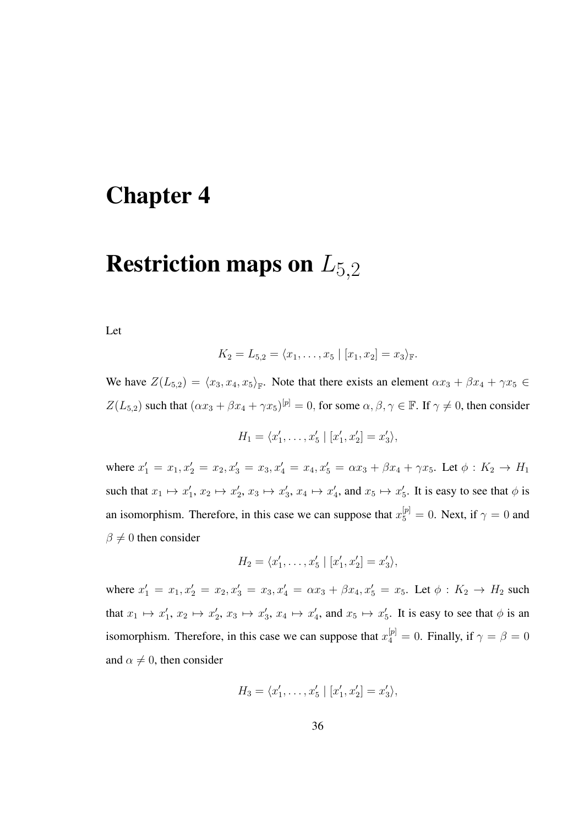## Chapter 4

## Restriction maps on  $L_{5,2}$

Let

$$
K_2 = L_{5,2} = \langle x_1, \ldots, x_5 \mid [x_1, x_2] = x_3 \rangle_{\mathbb{F}}.
$$

We have  $Z(L_{5,2}) = \langle x_3, x_4, x_5 \rangle_{\mathbb{F}}$ . Note that there exists an element  $\alpha x_3 + \beta x_4 + \gamma x_5 \in$  $Z(L_{5,2})$  such that  $(\alpha x_3 + \beta x_4 + \gamma x_5)^{[\mathfrak{p}]} = 0$ , for some  $\alpha, \beta, \gamma \in \mathbb{F}$ . If  $\gamma \neq 0$ , then consider

$$
H_1 = \langle x'_1, \dots, x'_5 | [x'_1, x'_2] = x'_3 \rangle,
$$

where  $x'_1 = x_1, x'_2 = x_2, x'_3 = x_3, x'_4 = x_4, x'_5 = \alpha x_3 + \beta x_4 + \gamma x_5$ . Let  $\phi : K_2 \to H_1$ such that  $x_1 \mapsto x_1', x_2 \mapsto x_2', x_3 \mapsto x_3', x_4 \mapsto x_4',$  and  $x_5 \mapsto x_5'$ . It is easy to see that  $\phi$  is an isomorphism. Therefore, in this case we can suppose that  $x_5^{[p]} = 0$ . Next, if  $\gamma = 0$  and  $\beta \neq 0$  then consider

$$
H_2 = \langle x'_1, \dots, x'_5 | [x'_1, x'_2] = x'_3 \rangle,
$$

where  $x'_1 = x_1, x'_2 = x_2, x'_3 = x_3, x'_4 = \alpha x_3 + \beta x_4, x'_5 = x_5$ . Let  $\phi : K_2 \to H_2$  such that  $x_1 \mapsto x_1', x_2 \mapsto x_2', x_3 \mapsto x_3', x_4 \mapsto x_4',$  and  $x_5 \mapsto x_5'$ . It is easy to see that  $\phi$  is an isomorphism. Therefore, in this case we can suppose that  $x_4^{[p]} = 0$ . Finally, if  $\gamma = \beta = 0$ and  $\alpha \neq 0$ , then consider

$$
H_3 = \langle x'_1, \dots, x'_5 | [x'_1, x'_2] = x'_3 \rangle,
$$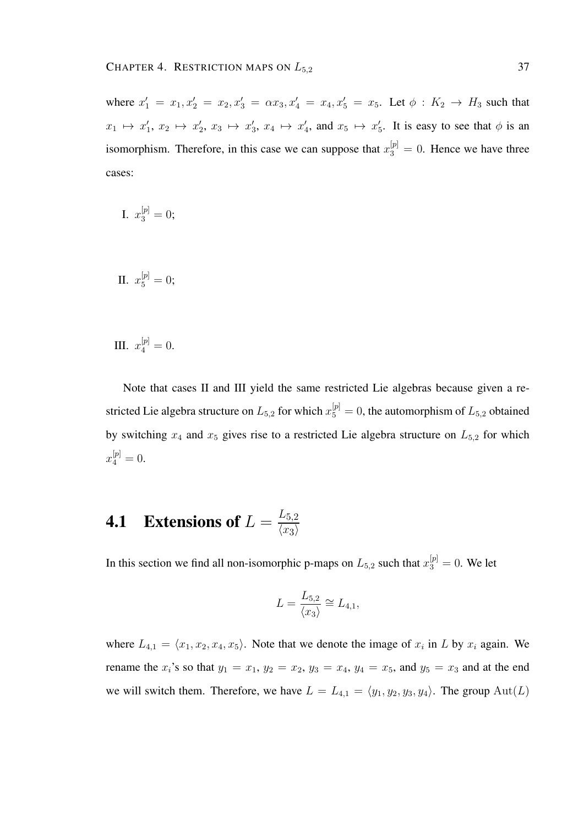where  $x'_1 = x_1, x'_2 = x_2, x'_3 = \alpha x_3, x'_4 = x_4, x'_5 = x_5$ . Let  $\phi : K_2 \to H_3$  such that  $x_1 \mapsto x_1', x_2 \mapsto x_2', x_3 \mapsto x_3', x_4 \mapsto x_4',$  and  $x_5 \mapsto x_5'$ . It is easy to see that  $\phi$  is an isomorphism. Therefore, in this case we can suppose that  $x_3^{[p]} = 0$ . Hence we have three cases:

I. 
$$
x_3^{[p]} = 0;
$$

II. 
$$
x_5^{[p]} = 0;
$$

III.  $x_4^{[p]}=0$ .

Note that cases II and III yield the same restricted Lie algebras because given a restricted Lie algebra structure on  $L_{5,2}$  for which  $x_5^{[p]} = 0$ , the automorphism of  $L_{5,2}$  obtained by switching  $x_4$  and  $x_5$  gives rise to a restricted Lie algebra structure on  $L_{5,2}$  for which  $x_4^{[p]}=0.$ 

#### **4.1** Extensions of  $L = \frac{L_{5,2}}{L_{\text{col}}}$  $\langle x_3 \rangle$

In this section we find all non-isomorphic p-maps on  $L_{5,2}$  such that  $x_3^{[p]}=0$ . We let

$$
L = \frac{L_{5,2}}{\langle x_3 \rangle} \cong L_{4,1},
$$

where  $L_{4,1} = \langle x_1, x_2, x_4, x_5 \rangle$ . Note that we denote the image of  $x_i$  in L by  $x_i$  again. We rename the  $x_i$ 's so that  $y_1 = x_1$ ,  $y_2 = x_2$ ,  $y_3 = x_4$ ,  $y_4 = x_5$ , and  $y_5 = x_3$  and at the end we will switch them. Therefore, we have  $L = L_{4,1} = \langle y_1, y_2, y_3, y_4 \rangle$ . The group  $\text{Aut}(L)$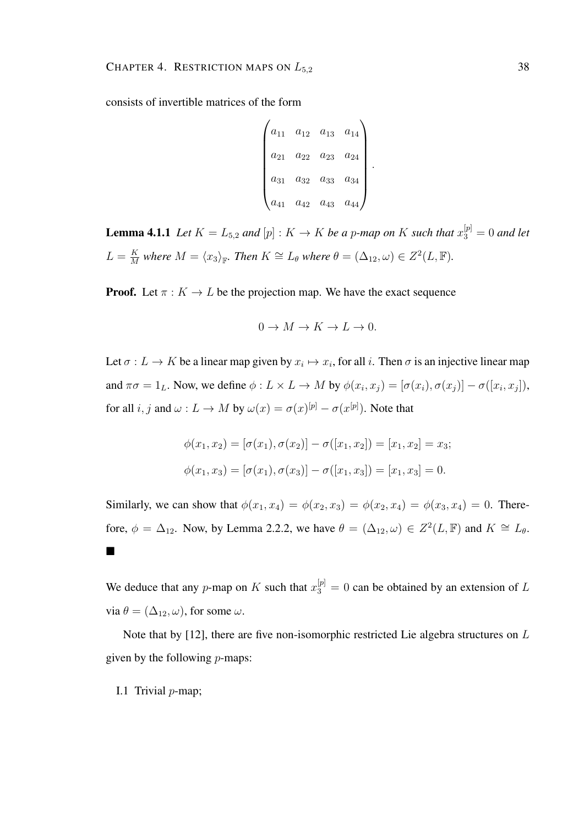consists of invertible matrices of the form

$$
\begin{pmatrix} a_{11} & a_{12} & a_{13} & a_{14} \ a_{21} & a_{22} & a_{23} & a_{24} \ a_{31} & a_{32} & a_{33} & a_{34} \ a_{41} & a_{42} & a_{43} & a_{44} \end{pmatrix}.
$$

**Lemma 4.1.1** Let  $K = L_{5,2}$  and  $[p] : K \to K$  be a p-map on K such that  $x_3^{[p]} = 0$  and let  $L = \frac{K}{M}$  $\frac{K}{M}$  where  $M = \langle x_3 \rangle_{\mathbb{F}}$ . Then  $K \cong L_\theta$  where  $\theta = (\Delta_{12}, \omega) \in Z^2(L, \mathbb{F})$ .

**Proof.** Let  $\pi : K \to L$  be the projection map. We have the exact sequence

$$
0 \to M \to K \to L \to 0.
$$

Let  $\sigma: L \to K$  be a linear map given by  $x_i \mapsto x_i$ , for all i. Then  $\sigma$  is an injective linear map and  $\pi\sigma = 1_L$ . Now, we define  $\phi: L \times L \to M$  by  $\phi(x_i, x_j) = [\sigma(x_i), \sigma(x_j)] - \sigma([x_i, x_j]),$ for all  $i, j$  and  $\omega: L \to M$  by  $\omega(x) = \sigma(x)^{[p]} - \sigma(x^{[p]})$ . Note that

$$
\phi(x_1, x_2) = [\sigma(x_1), \sigma(x_2)] - \sigma([x_1, x_2]) = [x_1, x_2] = x_3;
$$
  

$$
\phi(x_1, x_3) = [\sigma(x_1), \sigma(x_3)] - \sigma([x_1, x_3]) = [x_1, x_3] = 0.
$$

Similarly, we can show that  $\phi(x_1, x_4) = \phi(x_2, x_3) = \phi(x_2, x_4) = \phi(x_3, x_4) = 0$ . Therefore,  $\phi = \Delta_{12}$ . Now, by Lemma 2.2.2, we have  $\theta = (\Delta_{12}, \omega) \in Z^2(L, \mathbb{F})$  and  $K \cong L_{\theta}$ .  $\blacksquare$ 

We deduce that any p-map on K such that  $x_3^{[p]} = 0$  can be obtained by an extension of L via  $\theta = (\Delta_{12}, \omega)$ , for some  $\omega$ .

Note that by [12], there are five non-isomorphic restricted Lie algebra structures on L given by the following  $p$ -maps:

I.1 Trivial  $p$ -map;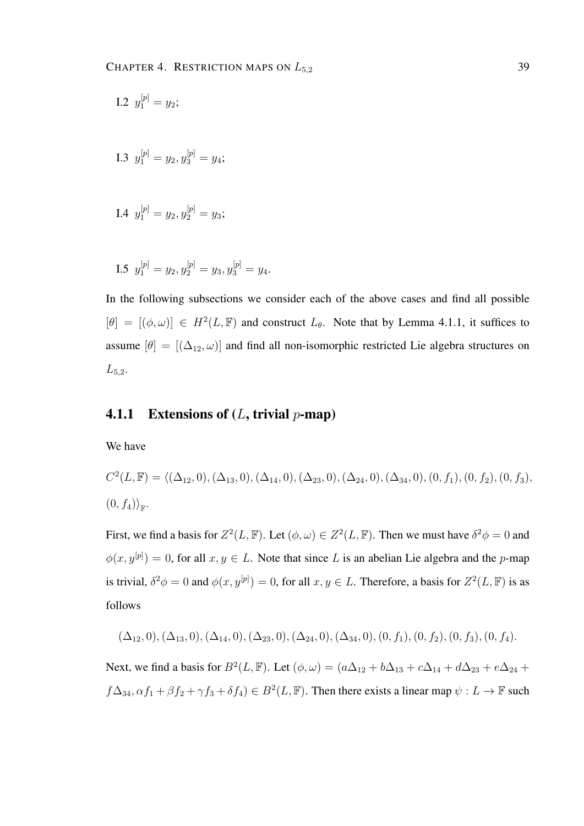I.2 
$$
y_1^{[p]} = y_2;
$$

I.3 
$$
y_1^{[p]} = y_2, y_3^{[p]} = y_4;
$$

I.4 
$$
y_1^{[p]} = y_2, y_2^{[p]} = y_3;
$$

I.5 
$$
y_1^{[p]} = y_2, y_2^{[p]} = y_3, y_3^{[p]} = y_4.
$$

In the following subsections we consider each of the above cases and find all possible  $[\theta] = [(\phi, \omega)] \in H^2(L, \mathbb{F})$  and construct  $L_{\theta}$ . Note that by Lemma 4.1.1, it suffices to assume  $[\theta] = [(\Delta_{12}, \omega)]$  and find all non-isomorphic restricted Lie algebra structures on  $L_{5,2}$ .

#### 4.1.1 Extensions of  $(L, \text{trivial } p\text{-map})$

We have

$$
C^{2}(L, \mathbb{F}) = \langle (\Delta_{12}, 0), (\Delta_{13}, 0), (\Delta_{14}, 0), (\Delta_{23}, 0), (\Delta_{24}, 0), (\Delta_{34}, 0), (0, f_1), (0, f_2), (0, f_3),
$$
  

$$
(0, f_4)_{\mathbb{F}}.
$$

First, we find a basis for  $Z^2(L, \mathbb{F})$ . Let  $(\phi, \omega) \in Z^2(L, \mathbb{F})$ . Then we must have  $\delta^2 \phi = 0$  and  $\phi(x, y^{[p]}) = 0$ , for all  $x, y \in L$ . Note that since L is an abelian Lie algebra and the p-map is trivial,  $\delta^2 \phi = 0$  and  $\phi(x, y^{[p]}) = 0$ , for all  $x, y \in L$ . Therefore, a basis for  $Z^2(L, \mathbb{F})$  is as follows

$$
(\Delta_{12},0), (\Delta_{13},0), (\Delta_{14},0), (\Delta_{23},0), (\Delta_{24},0), (\Delta_{34},0), (0,f_1), (0,f_2), (0,f_3), (0,f_4).
$$

Next, we find a basis for  $B^2(L, \mathbb{F})$ . Let  $(\phi, \omega) = (a\Delta_{12} + b\Delta_{13} + c\Delta_{14} + d\Delta_{23} + e\Delta_{24} + d\Delta_{34})$  $f\Delta_{34}, \alpha f_1 + \beta f_2 + \gamma f_3 + \delta f_4$ )  $\in B^2(L, \mathbb{F})$ . Then there exists a linear map  $\psi: L \to \mathbb{F}$  such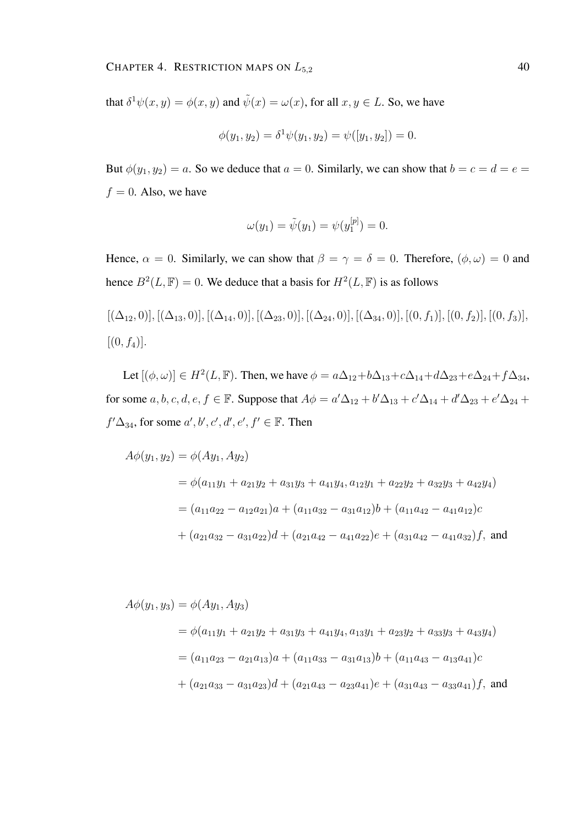that  $\delta^1 \psi(x, y) = \phi(x, y)$  and  $\tilde{\psi}(x) = \omega(x)$ , for all  $x, y \in L$ . So, we have

$$
\phi(y_1, y_2) = \delta^1 \psi(y_1, y_2) = \psi([y_1, y_2]) = 0.
$$

But  $\phi(y_1, y_2) = a$ . So we deduce that  $a = 0$ . Similarly, we can show that  $b = c = d = e$ .  $f = 0$ . Also, we have

$$
\omega(y_1) = \tilde{\psi}(y_1) = \psi(y_1^{[p]}) = 0.
$$

Hence,  $\alpha = 0$ . Similarly, we can show that  $\beta = \gamma = \delta = 0$ . Therefore,  $(\phi, \omega) = 0$  and hence  $B^2(L, \mathbb{F}) = 0$ . We deduce that a basis for  $H^2(L, \mathbb{F})$  is as follows

$$
[(\Delta_{12}, 0)], [(\Delta_{13}, 0)], [(\Delta_{14}, 0)], [(\Delta_{23}, 0)], [(\Delta_{24}, 0)], [(\Delta_{34}, 0)], [0, f_1)], [0, f_2], [0, f_3], [0, f_4].
$$

Let  $[(\phi, \omega)] \in H^2(L, \mathbb{F})$ . Then, we have  $\phi = a\Delta_{12} + b\Delta_{13} + c\Delta_{14} + d\Delta_{23} + e\Delta_{24} + f\Delta_{34}$ , for some  $a, b, c, d, e, f \in \mathbb{F}$ . Suppose that  $A\phi = a'\Delta_{12} + b'\Delta_{13} + c'\Delta_{14} + d'\Delta_{23} + e'\Delta_{24} +$  $f' \Delta_{34}$ , for some  $a', b', c', d', e', f' \in \mathbb{F}$ . Then

$$
A\phi(y_1, y_2) = \phi(Ay_1, Ay_2)
$$
  
=  $\phi(a_{11}y_1 + a_{21}y_2 + a_{31}y_3 + a_{41}y_4, a_{12}y_1 + a_{22}y_2 + a_{32}y_3 + a_{42}y_4)$   
=  $(a_{11}a_{22} - a_{12}a_{21})a + (a_{11}a_{32} - a_{31}a_{12})b + (a_{11}a_{42} - a_{41}a_{12})c$   
+  $(a_{21}a_{32} - a_{31}a_{22})d + (a_{21}a_{42} - a_{41}a_{22})e + (a_{31}a_{42} - a_{41}a_{32})f$ , and

$$
A\phi(y_1, y_3) = \phi(Ay_1, Ay_3)
$$
  
=  $\phi(a_{11}y_1 + a_{21}y_2 + a_{31}y_3 + a_{41}y_4, a_{13}y_1 + a_{23}y_2 + a_{33}y_3 + a_{43}y_4)$   
=  $(a_{11}a_{23} - a_{21}a_{13})a + (a_{11}a_{33} - a_{31}a_{13})b + (a_{11}a_{43} - a_{13}a_{41})c$   
+  $(a_{21}a_{33} - a_{31}a_{23})d + (a_{21}a_{43} - a_{23}a_{41})e + (a_{31}a_{43} - a_{33}a_{41})f$ , and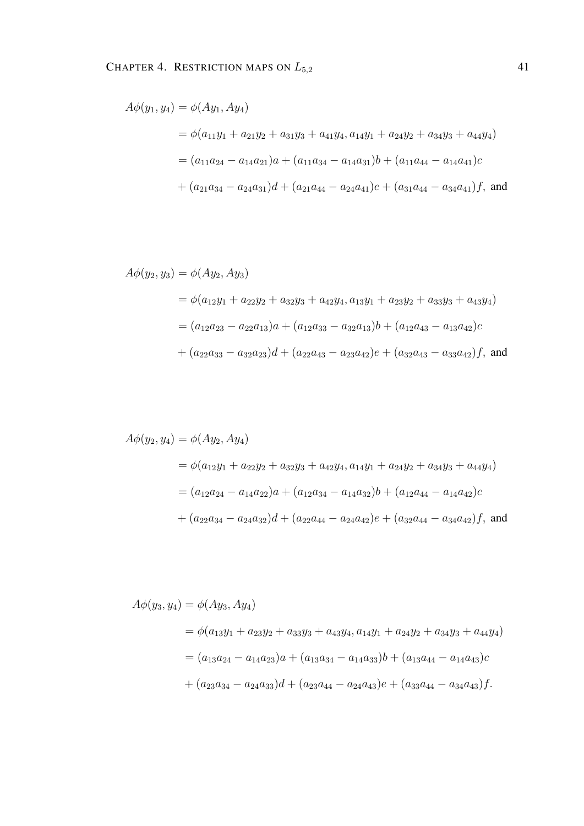$$
A\phi(y_1, y_4) = \phi(Ay_1, Ay_4)
$$
  
=  $\phi(a_{11}y_1 + a_{21}y_2 + a_{31}y_3 + a_{41}y_4, a_{14}y_1 + a_{24}y_2 + a_{34}y_3 + a_{44}y_4)$   
=  $(a_{11}a_{24} - a_{14}a_{21})a + (a_{11}a_{34} - a_{14}a_{31})b + (a_{11}a_{44} - a_{14}a_{41})c$   
+  $(a_{21}a_{34} - a_{24}a_{31})d + (a_{21}a_{44} - a_{24}a_{41})e + (a_{31}a_{44} - a_{34}a_{41})f$ , and

$$
A\phi(y_2, y_3) = \phi(Ay_2, Ay_3)
$$
  
=  $\phi(a_{12}y_1 + a_{22}y_2 + a_{32}y_3 + a_{42}y_4, a_{13}y_1 + a_{23}y_2 + a_{33}y_3 + a_{43}y_4)$   
=  $(a_{12}a_{23} - a_{22}a_{13})a + (a_{12}a_{33} - a_{32}a_{13})b + (a_{12}a_{43} - a_{13}a_{42})c$   
+  $(a_{22}a_{33} - a_{32}a_{23})d + (a_{22}a_{43} - a_{23}a_{42})e + (a_{32}a_{43} - a_{33}a_{42})f$ , and

$$
A\phi(y_2, y_4) = \phi(Ay_2, Ay_4)
$$
  
=  $\phi(a_{12}y_1 + a_{22}y_2 + a_{32}y_3 + a_{42}y_4, a_{14}y_1 + a_{24}y_2 + a_{34}y_3 + a_{44}y_4)$   
=  $(a_{12}a_{24} - a_{14}a_{22})a + (a_{12}a_{34} - a_{14}a_{32})b + (a_{12}a_{44} - a_{14}a_{42})c$   
+  $(a_{22}a_{34} - a_{24}a_{32})d + (a_{22}a_{44} - a_{24}a_{42})e + (a_{32}a_{44} - a_{34}a_{42})f$ , and

$$
A\phi(y_3, y_4) = \phi(Ay_3, Ay_4)
$$
  
=  $\phi(a_{13}y_1 + a_{23}y_2 + a_{33}y_3 + a_{43}y_4, a_{14}y_1 + a_{24}y_2 + a_{34}y_3 + a_{44}y_4)$   
=  $(a_{13}a_{24} - a_{14}a_{23})a + (a_{13}a_{34} - a_{14}a_{33})b + (a_{13}a_{44} - a_{14}a_{43})c$   
+  $(a_{23}a_{34} - a_{24}a_{33})d + (a_{23}a_{44} - a_{24}a_{43})e + (a_{33}a_{44} - a_{34}a_{43})f.$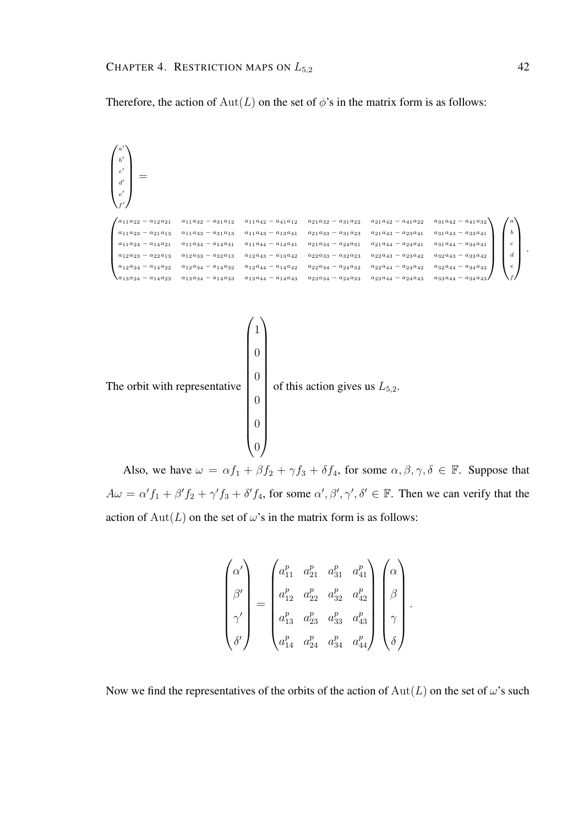a  $\prime$ 

Therefore, the action of  $Aut(L)$  on the set of  $\phi$ 's in the matrix form is as follows:

 $\sqrt{ }$  $\overline{\phantom{a}}$ b  $\overline{a}$ c  $\overline{\phantom{a}}$ d  $\overline{\phantom{a}}$ e  $\overline{a}$ f  $\overline{\phantom{a}}$  $\setminus$  $\Bigg\}$ =  $\int\! a_{11}a_{22} - a_{12}a_{21} \quad a_{11}a_{32} - a_{31}a_{12} \quad a_{11}a_{42} - a_{41}a_{12} \quad a_{21}a_{32} - a_{31}a_{22} \quad a_{21}a_{42} - a_{41}a_{22} \quad a_{31}a_{42} - a_{41}a_{32}$  $\overline{\phantom{a}}$  $a_{11}a_{23} - a_{21}a_{13} \quad a_{11}a_{33} - a_{31}a_{13} \quad a_{11}a_{43} - a_{13}a_{41} \quad a_{21}a_{33} - a_{31}a_{23} \quad a_{21}a_{43} - a_{23}a_{41} \quad a_{31}a_{43} - a_{33}a_{41}$  $a_{11}a_{24} - a_{14}a_{21} \quad a_{11}a_{34} - a_{14}a_{31} \quad a_{11}a_{44} - a_{14}a_{41} \quad a_{21}a_{34} - a_{24}a_{31} \quad a_{21}a_{44} - a_{24}a_{41} \quad a_{31}a_{44} - a_{34}a_{41}$  $a_{12}a_{23} - a_{22}a_{13} \quad a_{12}a_{33} - a_{32}a_{13} \quad a_{12}a_{43} - a_{13}a_{42} \quad a_{22}a_{33} - a_{32}a_{23} \quad a_{22}a_{43} - a_{23}a_{42} \quad a_{32}a_{43} - a_{33}a_{42}$  $a_{12}a_{24} - a_{14}a_{22} \quad a_{12}a_{34} - a_{14}a_{32} \quad a_{12}a_{44} - a_{14}a_{42} \quad a_{22}a_{34} - a_{24}a_{32} \quad a_{22}a_{44} - a_{24}a_{42} \quad a_{32}a_{44} - a_{34}a_{42}$  $\lambda_{a_{13}a_{24}-a_{14}a_{23}}$  a<sub>13</sub>a<sub>34</sub> − a<sub>14</sub>a<sub>33</sub> a<sub>13</sub>a<sub>44</sub> − a<sub>14</sub>a<sub>43</sub> a<sub>23</sub>a<sub>34</sub> − a<sub>24</sub>a<sub>33</sub> a<sub>23</sub>a<sub>44</sub> − a<sub>24</sub>a<sub>43</sub> a<sub>33</sub>a<sub>44</sub> − a<sub>34</sub>a<sub>43</sub>  $\setminus$  $\Bigg\}$  $\sqrt{ }$  $\overline{\phantom{a}}$ a b c d e f <sup>1</sup>  $\overline{\phantom{a}}$ .



Also, we have  $\omega = \alpha f_1 + \beta f_2 + \gamma f_3 + \delta f_4$ , for some  $\alpha, \beta, \gamma, \delta \in \mathbb{F}$ . Suppose that  $A\omega = \alpha' f_1 + \beta' f_2 + \gamma' f_3 + \delta' f_4$ , for some  $\alpha', \beta', \gamma', \delta' \in \mathbb{F}$ . Then we can verify that the action of  $Aut(L)$  on the set of  $\omega$ 's in the matrix form is as follows:

$$
\begin{pmatrix}\n\alpha' \\
\beta' \\
\gamma' \\
\delta'\n\end{pmatrix} = \begin{pmatrix}\na_{11}^p & a_{21}^p & a_{31}^p & a_{41}^p \\
a_{12}^p & a_{22}^p & a_{32}^p & a_{42}^p \\
a_{13}^p & a_{23}^p & a_{33}^p & a_{43}^p \\
a_{14}^p & a_{24}^p & a_{34}^p & a_{44}^p\n\end{pmatrix} \begin{pmatrix}\n\alpha \\
\beta \\
\gamma \\
\delta\n\end{pmatrix}.
$$

Now we find the representatives of the orbits of the action of  $Aut(L)$  on the set of  $\omega$ 's such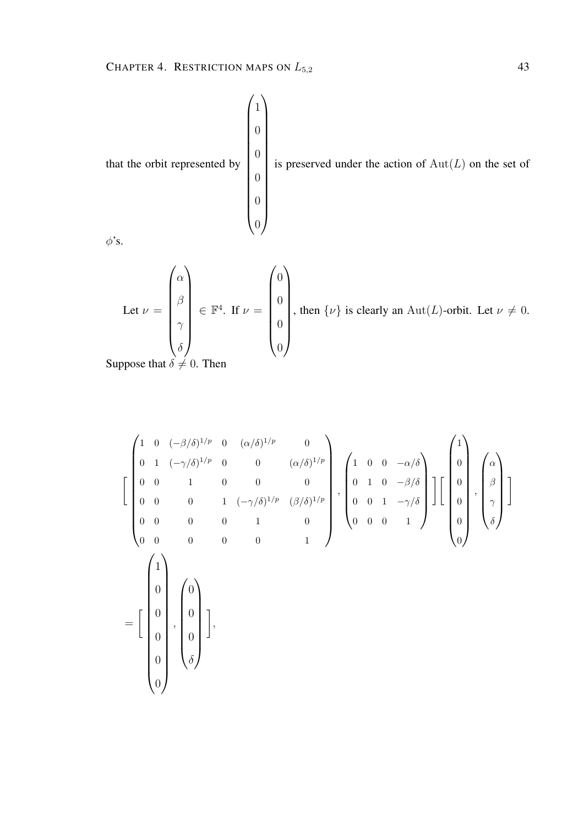

$$
\begin{bmatrix}\n1 & 0 & (-\beta/\delta)^{1/p} & 0 & (\alpha/\delta)^{1/p} & 0 \\
0 & 1 & (-\gamma/\delta)^{1/p} & 0 & 0 & (\alpha/\delta)^{1/p} \\
0 & 0 & 1 & 0 & 0 & 0 \\
0 & 0 & 0 & 1 & (-\gamma/\delta)^{1/p} & (\beta/\delta)^{1/p} \\
0 & 0 & 0 & 0 & 1 & 0 \\
0 & 0 & 0 & 0 & 0 & 1\n\end{bmatrix}, \begin{bmatrix}\n1 & 0 & 0 & -\alpha/\delta \\
0 & 1 & 0 & -\beta/\delta \\
0 & 0 & 1 & -\gamma/\delta \\
0 & 0 & 0 & 1\n\end{bmatrix}, \begin{bmatrix}\n0 \\
0 \\
\gamma \\
0\n\end{bmatrix}, \begin{bmatrix}\n\alpha \\
\beta \\
\beta \\
\gamma \\
\delta\n\end{bmatrix}
$$
\n
$$
= \begin{bmatrix}\n1 \\
0 \\
0 \\
0 \\
0\n\end{bmatrix}, \begin{bmatrix}\n0 \\
0 \\
0 \\
\delta\n\end{bmatrix}, \begin{bmatrix}\n0 \\
0 \\
0 \\
\delta\n\end{bmatrix}, \begin{bmatrix}\n0 \\
0 \\
0 \\
\delta\n\end{bmatrix}, \begin{bmatrix}\n0 \\
0 \\
0 \\
\delta\n\end{bmatrix}
$$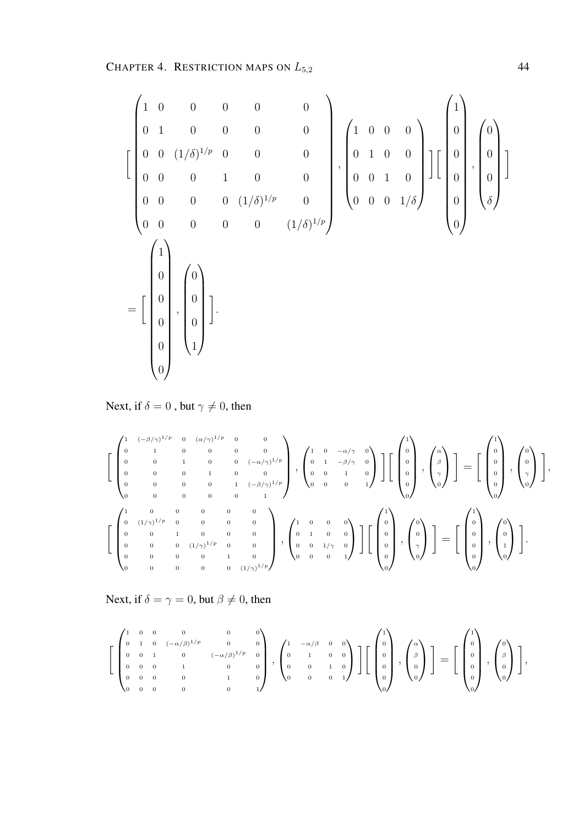$$
\begin{bmatrix}\n1 & 0 & 0 & 0 & 0 & 0 \\
0 & 1 & 0 & 0 & 0 & 0 \\
0 & 0 & (1/\delta)^{1/p} & 0 & 0 & 0 \\
0 & 0 & 0 & 1 & 0 & 0 \\
0 & 0 & 0 & 0 & (1/\delta)^{1/p} & 0 \\
0 & 0 & 0 & 0 & 0 & (1/\delta)^{1/p}\n\end{bmatrix}, \begin{bmatrix}\n1 & 0 & 0 & 0 \\
0 & 1 & 0 & 0 \\
0 & 0 & 1 & 0 \\
0 & 0 & 0 & 1/\delta\n\end{bmatrix}, \begin{bmatrix}\n0 \\
0 \\
0 \\
0\n\end{bmatrix}, \begin{bmatrix}\n0 \\
0 \\
0 \\
0\n\end{bmatrix}, \begin{bmatrix}\n0 \\
0 \\
0 \\
0\n\end{bmatrix}\n\end{bmatrix}
$$
\n
$$
= \begin{bmatrix}\n1 \\
0 \\
0 \\
0 \\
0\n\end{bmatrix}, \begin{bmatrix}\n0 \\
0 \\
0 \\
0 \\
1\n\end{bmatrix}
$$
\n
$$
= \begin{bmatrix}\n1 \\
0 \\
0 \\
0 \\
0\n\end{bmatrix}, \begin{bmatrix}\n0 \\
0 \\
0 \\
0 \\
1\n\end{bmatrix}
$$

Next, if  $\delta = 0$  , but  $\gamma \neq 0,$  then

 1 (−β/γ) <sup>1</sup>/p 0 (α/γ) <sup>1</sup>/p 0 0 0 1 0 0 0 0 0 0 1 0 0 (−α/γ) 1/p 0 0 0 1 0 0 0 0 0 0 1 (−β/γ) 1/p 0 0 0 0 0 1 , 1 0 −α/γ 0 0 1 −β/γ 0 0 0 1 0 0 0 0 1 1 0 0 0 0 0 , α β γ 0 = 1 0 0 0 0 0 , 0 0 γ 0 , 1 0 0 0 0 0 0 (1/γ) <sup>1</sup>/p 0 0 0 0 0 0 1 0 0 0 0 0 0 (1/γ) <sup>1</sup>/p 0 0 0 0 0 0 1 0 0 0 0 0 0 (1/γ) 1/p , 1 0 0 0 0 1 0 0 0 0 1/γ 0 0 0 0 1 1 0 0 0 0 0 , 0 0 γ 0 = 1 0 0 0 0 0 , 0 0 1 0 .

Next, if  $\delta = \gamma = 0$ , but  $\beta \neq 0$ , then

$$
\left[\begin{pmatrix}1 & 0 & 0 & 0 & 0 & 0 \\ 0 & 1 & 0 & (-\alpha/\beta)^{1/p} & 0 & 0 \\ 0 & 0 & 1 & 0 & (-\alpha/\beta)^{1/p} & 0 \\ 0 & 0 & 0 & 1 & 0 & 0 \\ 0 & 0 & 0 & 0 & 1 & 0 \\ 0 & 0 & 0 & 0 & 0 & 1\end{pmatrix}, \begin{pmatrix}1 & -\alpha/\beta & 0 & 0 \\ 0 & 1 & 0 & 0 \\ 0 & 0 & 1 & 0 \\ 0 & 0 & 0 & 1\end{pmatrix}\right]\left[\begin{pmatrix}1 \\ 0 \\ 0 \\ 0 \\ 0\end{pmatrix}, \begin{pmatrix}\alpha \\ \beta \\ 0 \\ 0\end{pmatrix}\right] = \left[\begin{pmatrix}1 \\ 0 \\ 0 \\ 0 \\ 0\end{pmatrix}, \begin{pmatrix}0 \\ \beta \\ 0 \\ 0\end{pmatrix}\right],
$$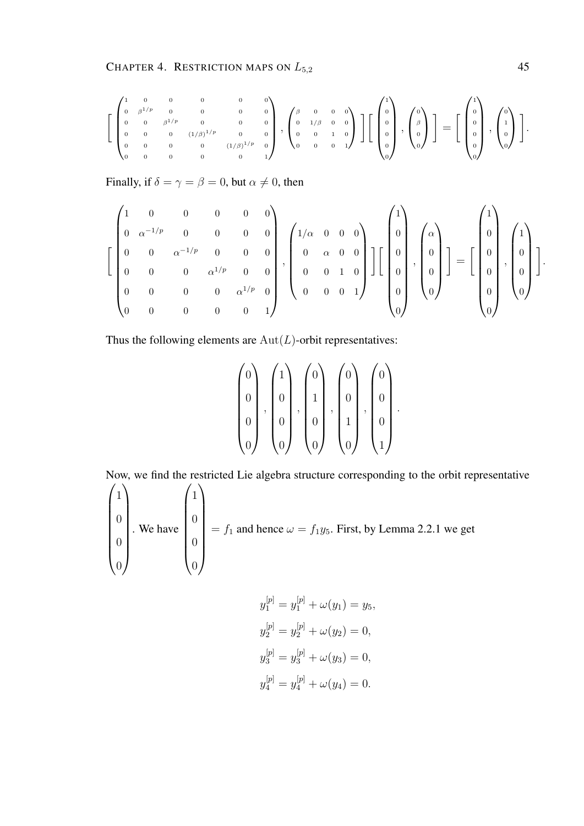$$
\left[\begin{pmatrix}1&0&0&0&0&0\\0&\beta^{1/p}&0&0&0&0\\0&0&\beta^{1/p}&0&0&0\\0&0&0&0&(1/\beta)^{1/p}&0\\0&0&0&0&0&(1/\beta)^{1/p}&0\end{pmatrix},\begin{pmatrix}\beta&0&0&0\\0&1/\beta&0&0\\0&0&1&0\\0&0&0&1\end{pmatrix}\right]\left[\begin{pmatrix}1\\0\\0\\0\\0\end{pmatrix},\begin{pmatrix}0\\ \beta\\0\\0\end{pmatrix}\right]=\left[\begin{pmatrix}1\\0\\0\\0\\0\end{pmatrix},\begin{pmatrix}0\\1\\0\\0\end{pmatrix}\right].
$$

Finally, if  $\delta = \gamma = \beta = 0$ , but  $\alpha \neq 0$ , then

$$
\left[\begin{pmatrix}1&0&0&0&0&0\\0&\alpha^{-1/p}&0&0&0&0\\0&0&\alpha^{-1/p}&0&0&0\\0&0&0&\alpha^{1/p}&0&0\\0&0&0&0&\alpha^{1/p}&0\\0&0&0&0&0&1\end{pmatrix},\begin{pmatrix}1/\alpha&0&0&0\\0&\alpha&0&0\\0&0&1&0\\0&0&0&1\end{pmatrix}\right]\left[\begin{pmatrix}\alpha\\0\\0\\0\\0\end{pmatrix},\begin{pmatrix}\alpha\\0\\0\\0\end{pmatrix}\right]=\left[\begin{pmatrix}1\\0\\0\\0\\0\end{pmatrix},\begin{pmatrix}1\\0\\0\\0\end{pmatrix}\right].
$$

Thus the following elements are  $Aut(L)$ -orbit representatives:

$$
\begin{pmatrix} 0 \\ 0 \\ 0 \\ 0 \\ 0 \end{pmatrix}, \begin{pmatrix} 1 \\ 0 \\ 0 \\ 0 \\ 0 \end{pmatrix}, \begin{pmatrix} 0 \\ 1 \\ 0 \\ 0 \\ 0 \end{pmatrix}, \begin{pmatrix} 0 \\ 0 \\ 1 \\ 0 \\ 0 \end{pmatrix}, \begin{pmatrix} 0 \\ 0 \\ 0 \\ 1 \\ 1 \end{pmatrix}.
$$

Now, we find the restricted Lie algebra structure corresponding to the orbit representative

$$
\begin{pmatrix} 1 \\ 0 \\ 0 \\ 0 \end{pmatrix}
$$
. We have 
$$
\begin{pmatrix} 1 \\ 0 \\ 0 \\ 0 \end{pmatrix} = f_1
$$
 and hence  $\omega = f_1 y_5$ . First, by Lemma 2.2.1 we get

$$
y_1^{[p]} = y_1^{[p]} + \omega(y_1) = y_5,
$$
  
\n
$$
y_2^{[p]} = y_2^{[p]} + \omega(y_2) = 0,
$$
  
\n
$$
y_3^{[p]} = y_3^{[p]} + \omega(y_3) = 0,
$$
  
\n
$$
y_4^{[p]} = y_4^{[p]} + \omega(y_4) = 0.
$$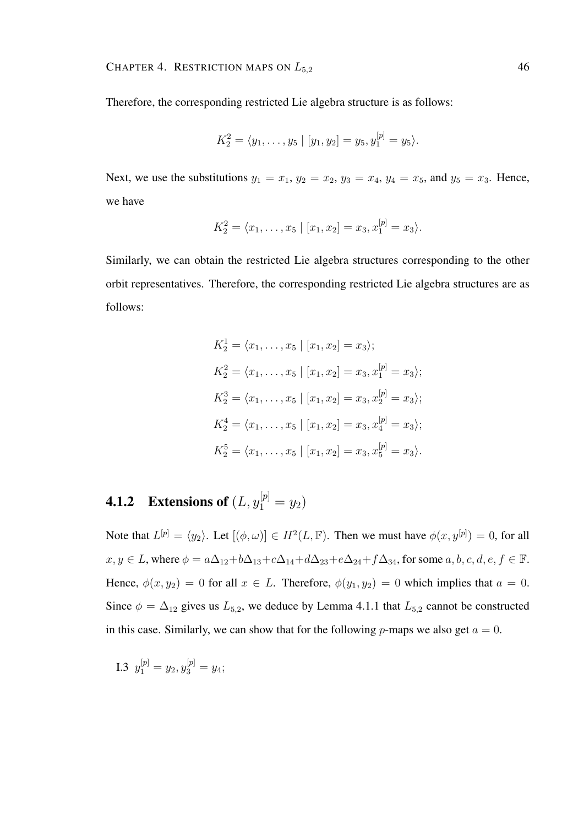Therefore, the corresponding restricted Lie algebra structure is as follows:

$$
K_2^2 = \langle y_1, \ldots, y_5 \mid [y_1, y_2] = y_5, y_1^{[p]} = y_5 \rangle.
$$

Next, we use the substitutions  $y_1 = x_1$ ,  $y_2 = x_2$ ,  $y_3 = x_4$ ,  $y_4 = x_5$ , and  $y_5 = x_3$ . Hence, we have

$$
K_2^2 = \langle x_1, \ldots, x_5 \mid [x_1, x_2] = x_3, x_1^{[p]} = x_3 \rangle.
$$

Similarly, we can obtain the restricted Lie algebra structures corresponding to the other orbit representatives. Therefore, the corresponding restricted Lie algebra structures are as follows:

$$
K_2^1 = \langle x_1, \dots, x_5 | [x_1, x_2] = x_3 \rangle;
$$
  
\n
$$
K_2^2 = \langle x_1, \dots, x_5 | [x_1, x_2] = x_3, x_1^{[p]} = x_3 \rangle;
$$
  
\n
$$
K_2^3 = \langle x_1, \dots, x_5 | [x_1, x_2] = x_3, x_2^{[p]} = x_3 \rangle;
$$
  
\n
$$
K_2^4 = \langle x_1, \dots, x_5 | [x_1, x_2] = x_3, x_4^{[p]} = x_3 \rangle;
$$
  
\n
$$
K_2^5 = \langle x_1, \dots, x_5 | [x_1, x_2] = x_3, x_5^{[p]} = x_3 \rangle.
$$

## **4.1.2** Extensions of  $(L, y_1^{[p]} = y_2)$

Note that  $L^{[p]} = \langle y_2 \rangle$ . Let  $[(\phi, \omega)] \in H^2(L, \mathbb{F})$ . Then we must have  $\phi(x, y^{[p]}) = 0$ , for all  $x, y \in L$ , where  $\phi = a\Delta_{12} + b\Delta_{13} + c\Delta_{14} + d\Delta_{23} + e\Delta_{24} + f\Delta_{34}$ , for some  $a, b, c, d, e, f \in \mathbb{F}$ . Hence,  $\phi(x, y_2) = 0$  for all  $x \in L$ . Therefore,  $\phi(y_1, y_2) = 0$  which implies that  $a = 0$ . Since  $\phi = \Delta_{12}$  gives us  $L_{5,2}$ , we deduce by Lemma 4.1.1 that  $L_{5,2}$  cannot be constructed in this case. Similarly, we can show that for the following p-maps we also get  $a = 0$ .

I.3 
$$
y_1^{[p]} = y_2, y_3^{[p]} = y_4;
$$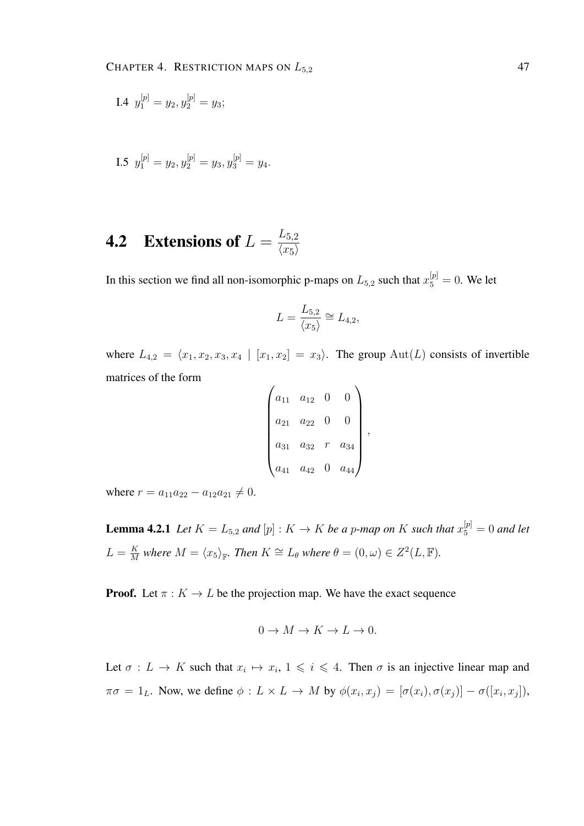I.4 
$$
y_1^{[p]} = y_2, y_2^{[p]} = y_3;
$$

I.5 
$$
y_1^{[p]} = y_2, y_2^{[p]} = y_3, y_3^{[p]} = y_4.
$$

#### **4.2** Extensions of  $L = \frac{L_{5,2}}{L_{\text{ref}}}$  $\langle x_5 \rangle$

In this section we find all non-isomorphic p-maps on  $L_{5,2}$  such that  $x_5^{[p]} = 0$ . We let

$$
L = \frac{L_{5,2}}{\langle x_5 \rangle} \cong L_{4,2},
$$

where  $L_{4,2} = \langle x_1, x_2, x_3, x_4 | [x_1, x_2] = x_3 \rangle$ . The group Aut(L) consists of invertible matrices of the form  $\overline{1}$ 

$$
\begin{pmatrix} a_{11} & a_{12} & 0 & 0 \ a_{21} & a_{22} & 0 & 0 \ a_{31} & a_{32} & r & a_{34} \ a_{41} & a_{42} & 0 & a_{44} \end{pmatrix},
$$

where  $r = a_{11}a_{22} - a_{12}a_{21} \neq 0$ .

**Lemma 4.2.1** Let  $K = L_{5,2}$  and  $[p] : K \to K$  be a p-map on K such that  $x_5^{[p]} = 0$  and let  $L = \frac{K}{M}$  $\frac{K}{M}$  where  $M = \langle x_5 \rangle_{\mathbb{F}}$ . Then  $K \cong L_{\theta}$  where  $\theta = (0, \omega) \in Z^2(L, \mathbb{F})$ .

**Proof.** Let  $\pi : K \to L$  be the projection map. We have the exact sequence

$$
0 \to M \to K \to L \to 0.
$$

Let  $\sigma: L \to K$  such that  $x_i \mapsto x_i, 1 \leq i \leq 4$ . Then  $\sigma$  is an injective linear map and  $\pi\sigma = 1_L$ . Now, we define  $\phi: L \times L \to M$  by  $\phi(x_i, x_j) = [\sigma(x_i), \sigma(x_j)] - \sigma([x_i, x_j]),$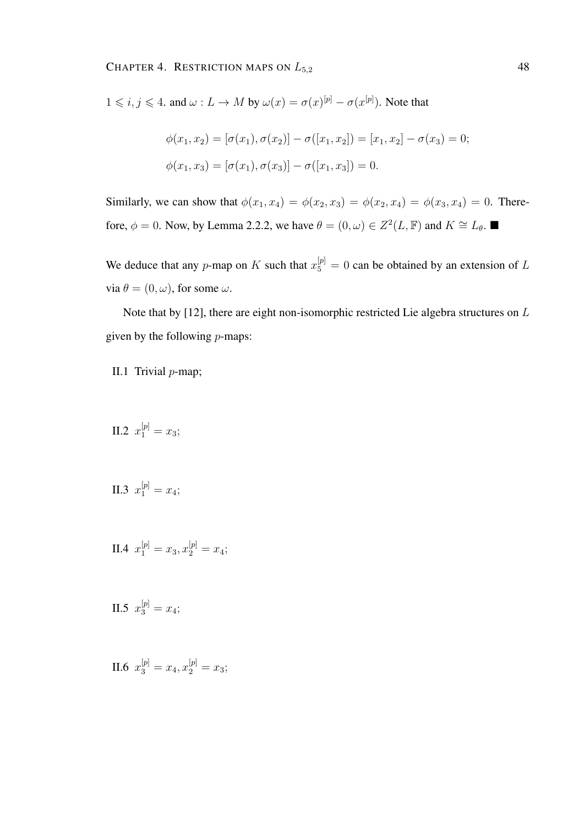$1 \leq i, j \leq 4$ . and  $\omega: L \to M$  by  $\omega(x) = \sigma(x)^{[p]} - \sigma(x^{[p]})$ . Note that

$$
\phi(x_1, x_2) = [\sigma(x_1), \sigma(x_2)] - \sigma([x_1, x_2]) = [x_1, x_2] - \sigma(x_3) = 0;
$$
  

$$
\phi(x_1, x_3) = [\sigma(x_1), \sigma(x_3)] - \sigma([x_1, x_3]) = 0.
$$

Similarly, we can show that  $\phi(x_1, x_4) = \phi(x_2, x_3) = \phi(x_2, x_4) = \phi(x_3, x_4) = 0$ . Therefore,  $\phi = 0$ . Now, by Lemma 2.2.2, we have  $\theta = (0, \omega) \in Z^2(L, \mathbb{F})$  and  $K \cong L_{\theta}$ .

We deduce that any p-map on K such that  $x_5^{[p]} = 0$  can be obtained by an extension of L via  $\theta = (0, \omega)$ , for some  $\omega$ .

Note that by [12], there are eight non-isomorphic restricted Lie algebra structures on L given by the following  $p$ -maps:

II.1 Trivial p-map;

- II.2  $x_1^{[p]} = x_3;$
- II.3  $x_1^{[p]} = x_4;$
- II.4  $x_1^{[p]} = x_3, x_2^{[p]} = x_4;$
- II.5  $x_3^{[p]} = x_4;$

II.6  $x_3^{[p]} = x_4, x_2^{[p]} = x_3;$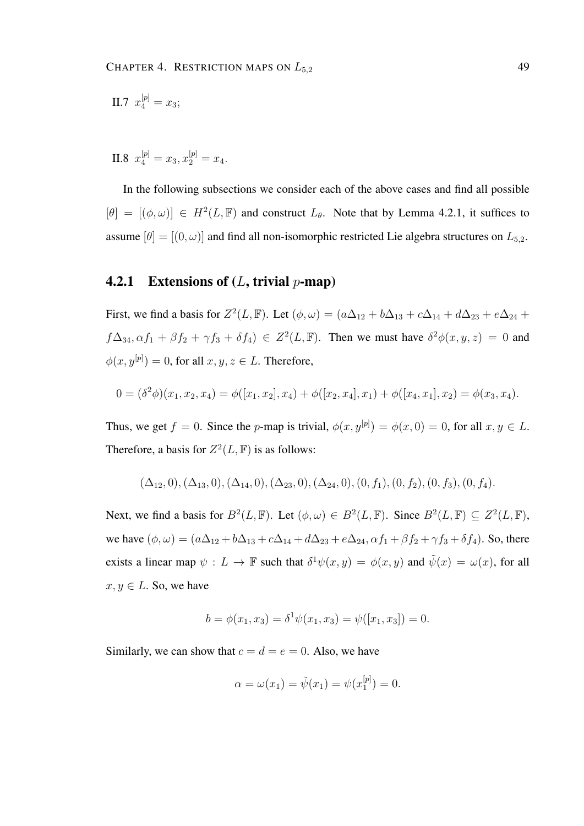II.7 
$$
x_4^{[p]} = x_3;
$$

II.8  $x_4^{[p]} = x_3, x_2^{[p]} = x_4.$ 

In the following subsections we consider each of the above cases and find all possible  $[\theta] = [(\phi, \omega)] \in H^2(L, \mathbb{F})$  and construct  $L_{\theta}$ . Note that by Lemma 4.2.1, it suffices to assume  $[\theta] = [(0, \omega)]$  and find all non-isomorphic restricted Lie algebra structures on  $L_{5,2}$ .

#### 4.2.1 Extensions of  $(L, \text{trivial } p\text{-map})$

First, we find a basis for  $Z^2(L, \mathbb{F})$ . Let  $(\phi, \omega) = (a\Delta_{12} + b\Delta_{13} + c\Delta_{14} + d\Delta_{23} + e\Delta_{24} + d\Delta_{34})$  $f\Delta_{34}, \alpha f_1 + \beta f_2 + \gamma f_3 + \delta f_4$ )  $\in Z^2(L, \mathbb{F})$ . Then we must have  $\delta^2 \phi(x, y, z) = 0$  and  $\phi(x, y^{[p]}) = 0$ , for all  $x, y, z \in L$ . Therefore,

$$
0 = (\delta^2 \phi)(x_1, x_2, x_4) = \phi([x_1, x_2], x_4) + \phi([x_2, x_4], x_1) + \phi([x_4, x_1], x_2) = \phi(x_3, x_4).
$$

Thus, we get  $f = 0$ . Since the p-map is trivial,  $\phi(x, y^{[p]}) = \phi(x, 0) = 0$ , for all  $x, y \in L$ . Therefore, a basis for  $Z^2(L, \mathbb{F})$  is as follows:

$$
(\Delta_{12},0), (\Delta_{13},0), (\Delta_{14},0), (\Delta_{23},0), (\Delta_{24},0), (0,f_1), (0,f_2), (0,f_3), (0,f_4).
$$

Next, we find a basis for  $B^2(L, \mathbb{F})$ . Let  $(\phi, \omega) \in B^2(L, \mathbb{F})$ . Since  $B^2(L, \mathbb{F}) \subseteq Z^2(L, \mathbb{F})$ , we have  $(\phi, \omega) = (a\Delta_{12} + b\Delta_{13} + c\Delta_{14} + d\Delta_{23} + e\Delta_{24}, \alpha f_1 + \beta f_2 + \gamma f_3 + \delta f_4)$ . So, there exists a linear map  $\psi : L \to \mathbb{F}$  such that  $\delta^1 \psi(x, y) = \phi(x, y)$  and  $\tilde{\psi}(x) = \omega(x)$ , for all  $x, y \in L$ . So, we have

$$
b = \phi(x_1, x_3) = \delta^1 \psi(x_1, x_3) = \psi([x_1, x_3]) = 0.
$$

Similarly, we can show that  $c = d = e = 0$ . Also, we have

$$
\alpha = \omega(x_1) = \tilde{\psi}(x_1) = \psi(x_1^{[p]}) = 0.
$$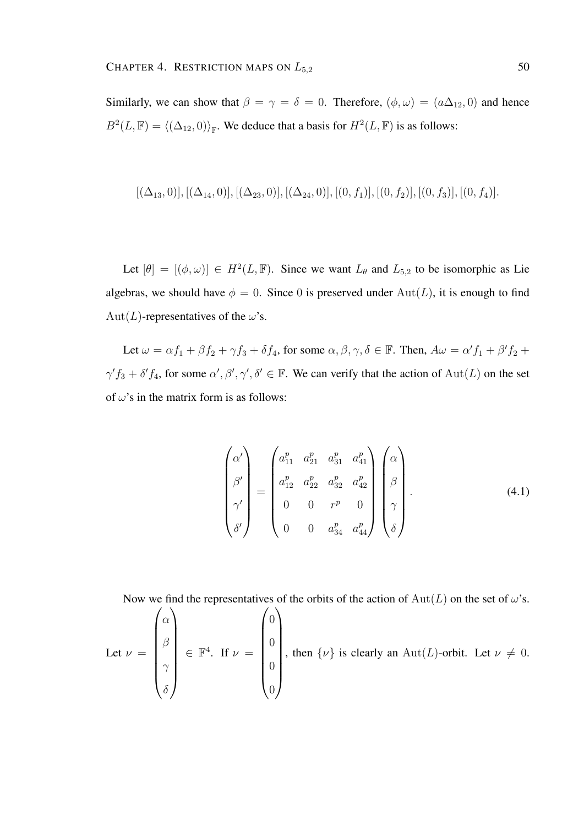Similarly, we can show that  $\beta = \gamma = \delta = 0$ . Therefore,  $(\phi, \omega) = (a\Delta_{12}, 0)$  and hence  $B^2(L, \mathbb{F}) = \langle (\Delta_{12}, 0) \rangle_{\mathbb{F}}$ . We deduce that a basis for  $H^2(L, \mathbb{F})$  is as follows:

$$
[(\Delta_{13},0)], [(\Delta_{14},0)], [(\Delta_{23},0)], [(\Delta_{24},0)], [(0,f_1)], [(0,f_2)], [(0,f_3)], [(0,f_4)].
$$

Let  $[\theta] = [(\phi, \omega)] \in H^2(L, \mathbb{F})$ . Since we want  $L_{\theta}$  and  $L_{5,2}$  to be isomorphic as Lie algebras, we should have  $\phi = 0$ . Since 0 is preserved under  $Aut(L)$ , it is enough to find Aut(L)-representatives of the  $\omega$ 's.

Let  $\omega = \alpha f_1 + \beta f_2 + \gamma f_3 + \delta f_4$ , for some  $\alpha, \beta, \gamma, \delta \in \mathbb{F}$ . Then,  $A\omega = \alpha' f_1 + \beta' f_2 + \delta f_4$  $\gamma' f_3 + \delta' f_4$ , for some  $\alpha', \beta', \gamma', \delta' \in \mathbb{F}$ . We can verify that the action of  $Aut(L)$  on the set of  $\omega$ 's in the matrix form is as follows:

$$
\begin{pmatrix}\n\alpha' \\
\beta' \\
\beta'\n\end{pmatrix} = \begin{pmatrix}\na_{11}^p & a_{21}^p & a_{31}^p & a_{41}^p \\
a_{12}^p & a_{22}^p & a_{32}^p & a_{42}^p \\
0 & 0 & r^p & 0 \\
0 & 0 & a_{34}^p & a_{44}^p\n\end{pmatrix} \begin{pmatrix}\n\alpha \\
\beta \\
\beta \\
\gamma \\
\delta\n\end{pmatrix}.
$$
\n(4.1)

Now we find the representatives of the orbits of the action of  $Aut(L)$  on the set of  $\omega$ 's.

Let 
$$
\nu = \begin{pmatrix} \alpha \\ \beta \\ \gamma \\ \delta \end{pmatrix} \in \mathbb{F}^4
$$
. If  $\nu = \begin{pmatrix} 0 \\ 0 \\ 0 \\ 0 \end{pmatrix}$ , then  $\{\nu\}$  is clearly an  $\text{Aut}(L)$ -orbit. Let  $\nu \neq 0$ .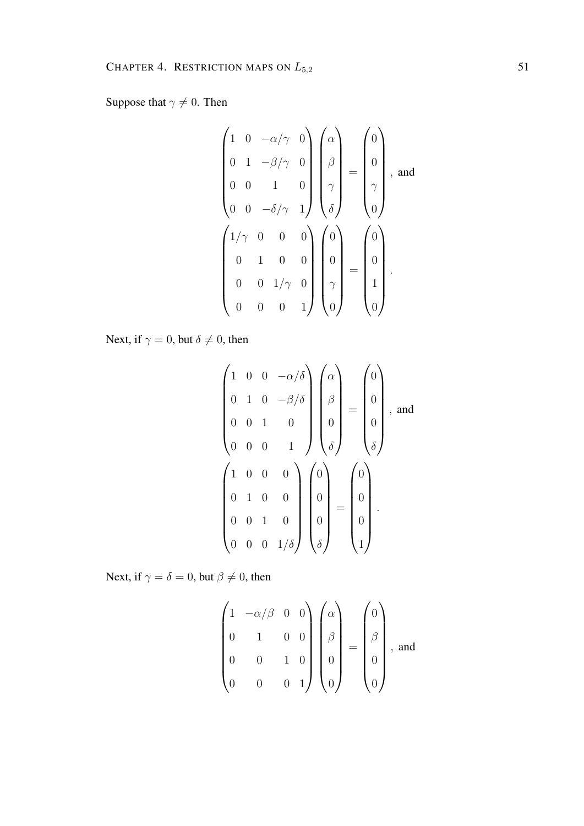Suppose that  $\gamma \neq 0$ . Then

$$
\begin{pmatrix}\n1 & 0 & -\alpha/\gamma & 0 \\
0 & 1 & -\beta/\gamma & 0 \\
0 & 0 & 1 & 0 \\
0 & 0 & -\delta/\gamma & 1\n\end{pmatrix}\n\begin{pmatrix}\n\alpha \\
\beta \\
\gamma \\
\delta\n\end{pmatrix} = \begin{pmatrix}\n0 \\
0 \\
\gamma \\
0\n\end{pmatrix}, \text{ and}
$$
\n
$$
\begin{pmatrix}\n1/\gamma & 0 & 0 & 0 \\
0 & 1 & 0 & 0 \\
0 & 0 & 1/\gamma & 0 \\
0 & 0 & 0 & 1\n\end{pmatrix}\n\begin{pmatrix}\n0 \\
0 \\
0 \\
0\n\end{pmatrix} = \begin{pmatrix}\n0 \\
0 \\
0 \\
1 \\
0\n\end{pmatrix}.
$$

Next, if  $\gamma = 0$ , but  $\delta \neq 0$ , then

$$
\begin{pmatrix}\n1 & 0 & 0 & -\alpha/\delta \\
0 & 1 & 0 & -\beta/\delta \\
0 & 0 & 1 & 0 \\
0 & 0 & 0 & 1\n\end{pmatrix}\n\begin{pmatrix}\n\alpha \\
\beta \\
\beta \\
\delta\n\end{pmatrix} = \begin{pmatrix}\n0 \\
0 \\
0 \\
\delta\n\end{pmatrix}, \text{ and}
$$
\n
$$
\begin{pmatrix}\n1 & 0 & 0 & 0 \\
0 & 1 & 0 & 0 \\
0 & 0 & 1 & 0 \\
0 & 0 & 0 & 1/\delta\n\end{pmatrix}\n\begin{pmatrix}\n0 \\
0 \\
0 \\
0 \\
\delta\n\end{pmatrix} = \begin{pmatrix}\n0 \\
0 \\
0 \\
0 \\
1\n\end{pmatrix}.
$$

Next, if  $\gamma = \delta = 0$ , but  $\beta \neq 0$ , then

$$
\begin{pmatrix} 1 & -\alpha/\beta & 0 & 0 \\ 0 & 1 & 0 & 0 \\ 0 & 0 & 1 & 0 \\ 0 & 0 & 0 & 1 \end{pmatrix} \begin{pmatrix} \alpha \\ \beta \\ \beta \\ 0 \\ 0 \end{pmatrix} = \begin{pmatrix} 0 \\ \beta \\ \beta \\ 0 \\ 0 \end{pmatrix}, \text{ and}
$$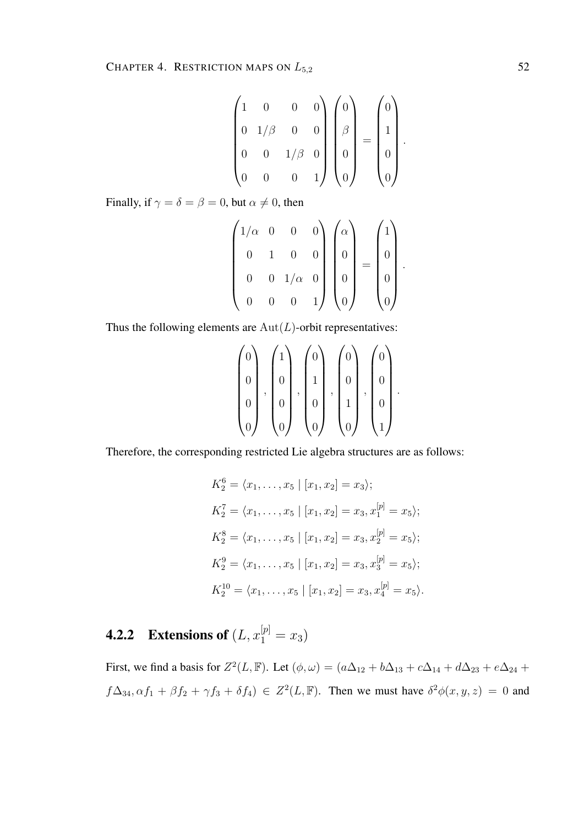$$
\begin{pmatrix} 1 & 0 & 0 & 0 \ 0 & 1/\beta & 0 & 0 \ 0 & 0 & 1/\beta & 0 \ 0 & 0 & 0 & 1 \ \end{pmatrix} \begin{pmatrix} 0 \\ \beta \\ 0 \end{pmatrix} = \begin{pmatrix} 0 \\ 1 \\ 0 \end{pmatrix}.
$$

Finally, if  $\gamma = \delta = \beta = 0$ , but  $\alpha \neq 0$ , then

$$
\begin{pmatrix} 1/\alpha & 0 & 0 & 0 \\ 0 & 1 & 0 & 0 \\ 0 & 0 & 1/\alpha & 0 \\ 0 & 0 & 0 & 1 \end{pmatrix} \begin{pmatrix} \alpha \\ 0 \\ 0 \\ 0 \end{pmatrix} = \begin{pmatrix} 1 \\ 0 \\ 0 \\ 0 \end{pmatrix}.
$$

Thus the following elements are  $Aut(L)$ -orbit representatives:

$$
\begin{pmatrix} 0 \\ 0 \\ 0 \\ 0 \\ 0 \end{pmatrix}, \begin{pmatrix} 1 \\ 0 \\ 0 \\ 0 \\ 0 \end{pmatrix}, \begin{pmatrix} 0 \\ 1 \\ 0 \\ 0 \\ 0 \end{pmatrix}, \begin{pmatrix} 0 \\ 0 \\ 1 \\ 1 \\ 0 \end{pmatrix}, \begin{pmatrix} 0 \\ 0 \\ 0 \\ 1 \\ 1 \end{pmatrix}.
$$

Therefore, the corresponding restricted Lie algebra structures are as follows:

$$
K_2^6 = \langle x_1, \dots, x_5 | [x_1, x_2] = x_3 \rangle;
$$
  
\n
$$
K_2^7 = \langle x_1, \dots, x_5 | [x_1, x_2] = x_3, x_1^{[p]} = x_5 \rangle;
$$
  
\n
$$
K_2^8 = \langle x_1, \dots, x_5 | [x_1, x_2] = x_3, x_2^{[p]} = x_5 \rangle;
$$
  
\n
$$
K_2^9 = \langle x_1, \dots, x_5 | [x_1, x_2] = x_3, x_3^{[p]} = x_5 \rangle;
$$
  
\n
$$
K_2^{10} = \langle x_1, \dots, x_5 | [x_1, x_2] = x_3, x_4^{[p]} = x_5 \rangle.
$$

**4.2.2** Extensions of  $(L, x_1^{[p]} = x_3)$ 

First, we find a basis for  $Z^2(L, \mathbb{F})$ . Let  $(\phi, \omega) = (a\Delta_{12} + b\Delta_{13} + c\Delta_{14} + d\Delta_{23} + e\Delta_{24} + d\Delta_{34})$  $f\Delta_{34}, \alpha f_1 + \beta f_2 + \gamma f_3 + \delta f_4$ )  $\in Z^2(L, \mathbb{F})$ . Then we must have  $\delta^2 \phi(x, y, z) = 0$  and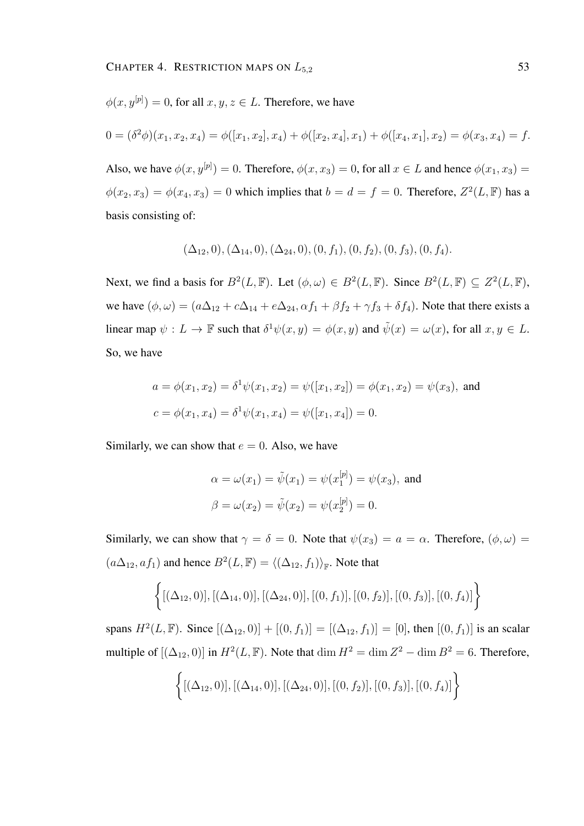$$
\phi(x, y^{[p]}) = 0
$$
, for all  $x, y, z \in L$ . Therefore, we have

$$
0 = (\delta^2 \phi)(x_1, x_2, x_4) = \phi([x_1, x_2], x_4) + \phi([x_2, x_4], x_1) + \phi([x_4, x_1], x_2) = \phi(x_3, x_4) = f.
$$

Also, we have  $\phi(x, y^{[p]}) = 0$ . Therefore,  $\phi(x, x_3) = 0$ , for all  $x \in L$  and hence  $\phi(x_1, x_3) =$  $\phi(x_2, x_3) = \phi(x_4, x_3) = 0$  which implies that  $b = d = f = 0$ . Therefore,  $Z^2(L, \mathbb{F})$  has a basis consisting of:

$$
(\Delta_{12},0), (\Delta_{14},0), (\Delta_{24},0), (0, f_1), (0, f_2), (0, f_3), (0, f_4).
$$

Next, we find a basis for  $B^2(L, \mathbb{F})$ . Let  $(\phi, \omega) \in B^2(L, \mathbb{F})$ . Since  $B^2(L, \mathbb{F}) \subseteq Z^2(L, \mathbb{F})$ , we have  $(\phi, \omega) = (a\Delta_{12} + c\Delta_{14} + e\Delta_{24}, \alpha f_1 + \beta f_2 + \gamma f_3 + \delta f_4)$ . Note that there exists a linear map  $\psi: L \to \mathbb{F}$  such that  $\delta^1 \psi(x, y) = \phi(x, y)$  and  $\tilde{\psi}(x) = \omega(x)$ , for all  $x, y \in L$ . So, we have

$$
a = \phi(x_1, x_2) = \delta^1 \psi(x_1, x_2) = \psi([x_1, x_2]) = \phi(x_1, x_2) = \psi(x_3), \text{ and}
$$

$$
c = \phi(x_1, x_4) = \delta^1 \psi(x_1, x_4) = \psi([x_1, x_4]) = 0.
$$

Similarly, we can show that  $e = 0$ . Also, we have

$$
\alpha = \omega(x_1) = \tilde{\psi}(x_1) = \psi(x_1^{[p]}) = \psi(x_3)
$$
, and  
\n $\beta = \omega(x_2) = \tilde{\psi}(x_2) = \psi(x_2^{[p]}) = 0$ .

Similarly, we can show that  $\gamma = \delta = 0$ . Note that  $\psi(x_3) = a = \alpha$ . Therefore,  $(\phi, \omega) =$  $(a\Delta_{12}, af_1)$  and hence  $B^2(L, \mathbb{F}) = \langle (\Delta_{12}, f_1) \rangle_{\mathbb{F}}$ . Note that

$$
\{[(\Delta_{12},0)], [(\Delta_{14},0)], [(\Delta_{24},0)], [(0,f_1)], [(0,f_2)], [(0,f_3)], [(0,f_4)]\}
$$

spans  $H^2(L, \mathbb{F})$ . Since  $[(\Delta_{12}, 0)] + [(0, f_1)] = [(\Delta_{12}, f_1)] = [0]$ , then  $[(0, f_1)]$  is an scalar multiple of  $[(\Delta_{12}, 0)]$  in  $H^2(L, \mathbb{F})$ . Note that  $\dim H^2 = \dim Z^2 - \dim B^2 = 6$ . Therefore,

$$
\{[(\Delta_{12},0)], [(\Delta_{14},0)], [(\Delta_{24},0)], [(0,f_2)], [(0,f_3)], [(0,f_4)]\}
$$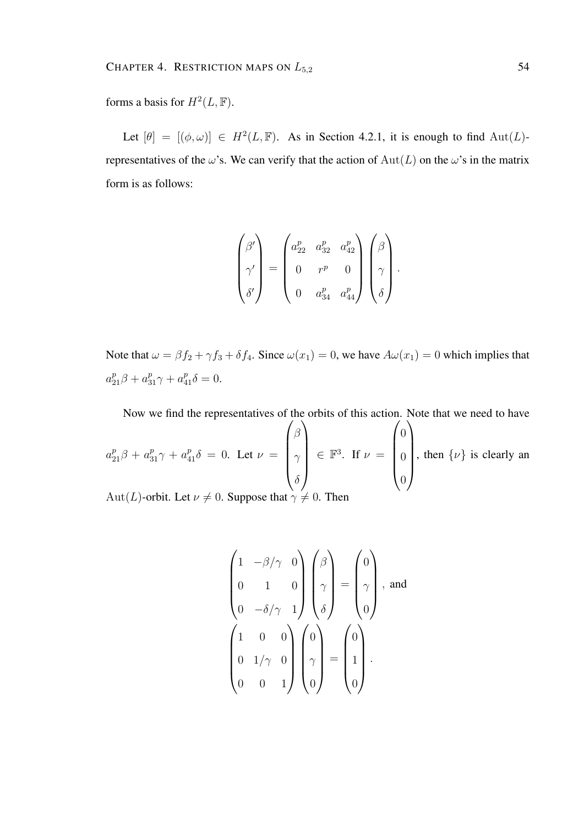forms a basis for  $H^2(L, \mathbb{F})$ .

Let  $[\theta] = [(\phi, \omega)] \in H^2(L, \mathbb{F})$ . As in Section 4.2.1, it is enough to find  $\text{Aut}(L)$ representatives of the  $\omega$ 's. We can verify that the action of  $Aut(L)$  on the  $\omega$ 's in the matrix form is as follows:

$$
\begin{pmatrix}\n\beta' \\
\gamma' \\
\delta'\n\end{pmatrix} = \begin{pmatrix}\na_{22}^p & a_{32}^p & a_{42}^p \\
0 & r^p & 0 \\
0 & a_{34}^p & a_{44}^p\n\end{pmatrix} \begin{pmatrix}\n\beta \\
\gamma \\
\delta\n\end{pmatrix}.
$$

Note that  $\omega = \beta f_2 + \gamma f_3 + \delta f_4$ . Since  $\omega(x_1) = 0$ , we have  $A\omega(x_1) = 0$  which implies that  $a_{21}^p \beta + a_{31}^p \gamma + a_{41}^p \delta = 0.$ 

Now we find the representatives of the orbits of this action. Note that we need to have  $a_{21}^p \beta + a_{31}^p \gamma + a_{41}^p \delta = 0$ . Let  $\nu =$  $\sqrt{ }$  $\overline{\phantom{a}}$ β  $\gamma$  $\delta$  $\setminus$  $\in \mathbb{F}^3$ . If  $\nu =$  $\sqrt{ }$  $\overline{\phantom{a}}$  $\theta$  $\theta$  $\theta$  $\setminus$  $\int$ , then  $\{\nu\}$  is clearly an

Aut(L)-orbit. Let  $\nu \neq 0$ . Suppose that  $\gamma \neq 0$ . Then

$$
\begin{pmatrix} 1 & -\beta/\gamma & 0 \\ 0 & 1 & 0 \\ 0 & -\delta/\gamma & 1 \end{pmatrix} \begin{pmatrix} \beta \\ \gamma \\ \delta \end{pmatrix} = \begin{pmatrix} 0 \\ \gamma \\ 0 \end{pmatrix}, \text{ and}
$$

$$
\begin{pmatrix} 1 & 0 & 0 \\ 0 & 1/\gamma & 0 \\ 0 & 0 & 1 \end{pmatrix} \begin{pmatrix} 0 \\ \gamma \\ 0 \end{pmatrix} = \begin{pmatrix} 0 \\ 1 \\ 0 \end{pmatrix}.
$$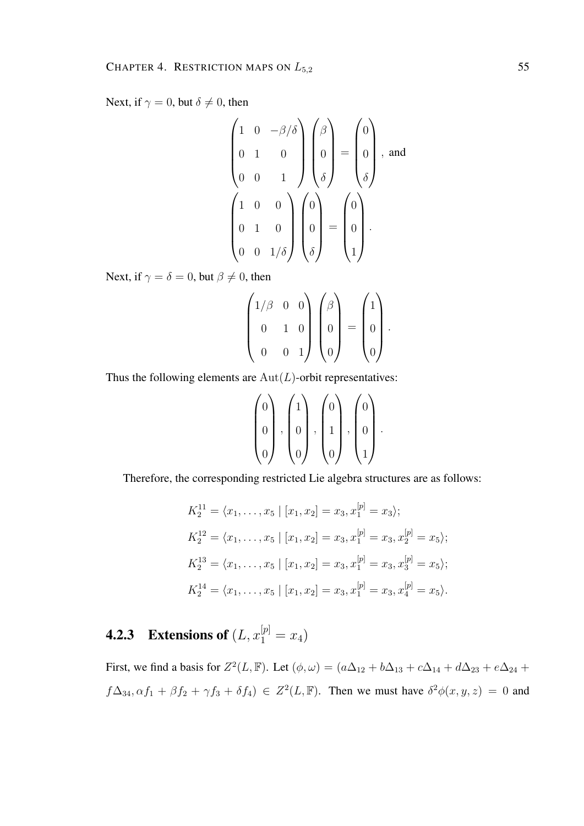Next, if  $\gamma = 0$ , but  $\delta \neq 0$ , then

$$
\begin{pmatrix}\n1 & 0 & -\beta/\delta \\
0 & 1 & 0 \\
0 & 0 & 1\n\end{pmatrix}\n\begin{pmatrix}\n\beta \\
0 \\
\delta\n\end{pmatrix} = \begin{pmatrix}\n0 \\
0 \\
\delta\n\end{pmatrix}, \text{ and}
$$
\n
$$
\begin{pmatrix}\n1 & 0 & 0 \\
0 & 1 & 0 \\
0 & 0 & 1/\delta\n\end{pmatrix}\n\begin{pmatrix}\n0 \\
0 \\
0 \\
\delta\n\end{pmatrix} = \begin{pmatrix}\n0 \\
0 \\
0 \\
1\n\end{pmatrix}.
$$

Next, if  $\gamma = \delta = 0$ , but  $\beta \neq 0$ , then

$$
\begin{pmatrix} 1/\beta & 0 & 0 \\ 0 & 1 & 0 \\ 0 & 0 & 1 \end{pmatrix} \begin{pmatrix} \beta \\ 0 \\ 0 \end{pmatrix} = \begin{pmatrix} 1 \\ 0 \\ 0 \end{pmatrix}.
$$

Thus the following elements are  $Aut(L)$ -orbit representatives:

$$
\begin{pmatrix} 0 \\ 0 \\ 0 \end{pmatrix}, \begin{pmatrix} 1 \\ 0 \\ 0 \end{pmatrix}, \begin{pmatrix} 0 \\ 1 \\ 0 \end{pmatrix}, \begin{pmatrix} 0 \\ 0 \\ 1 \end{pmatrix}.
$$

Therefore, the corresponding restricted Lie algebra structures are as follows:

$$
K_2^{11} = \langle x_1, \dots, x_5 | [x_1, x_2] = x_3, x_1^{[p]} = x_3 \rangle;
$$
  
\n
$$
K_2^{12} = \langle x_1, \dots, x_5 | [x_1, x_2] = x_3, x_1^{[p]} = x_3, x_2^{[p]} = x_5 \rangle;
$$
  
\n
$$
K_2^{13} = \langle x_1, \dots, x_5 | [x_1, x_2] = x_3, x_1^{[p]} = x_3, x_3^{[p]} = x_5 \rangle;
$$
  
\n
$$
K_2^{14} = \langle x_1, \dots, x_5 | [x_1, x_2] = x_3, x_1^{[p]} = x_3, x_4^{[p]} = x_5 \rangle.
$$

## **4.2.3** Extensions of  $(L, x_1^{[p]} = x_4)$

First, we find a basis for  $Z^2(L, \mathbb{F})$ . Let  $(\phi, \omega) = (a\Delta_{12} + b\Delta_{13} + c\Delta_{14} + d\Delta_{23} + e\Delta_{24} + d\Delta_{34})$  $f\Delta_{34}, \alpha f_1 + \beta f_2 + \gamma f_3 + \delta f_4$ )  $\in Z^2(L, \mathbb{F})$ . Then we must have  $\delta^2 \phi(x, y, z) = 0$  and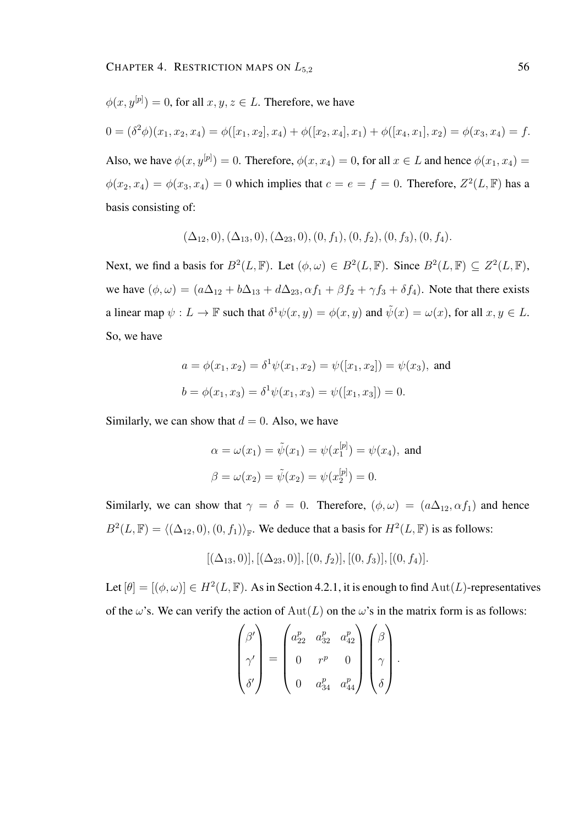$$
\phi(x, y^{[p]}) = 0
$$
, for all  $x, y, z \in L$ . Therefore, we have

$$
0 = (\delta^2 \phi)(x_1, x_2, x_4) = \phi([x_1, x_2], x_4) + \phi([x_2, x_4], x_1) + \phi([x_4, x_1], x_2) = \phi(x_3, x_4) = f.
$$

Also, we have  $\phi(x, y^{[p]}) = 0$ . Therefore,  $\phi(x, x_4) = 0$ , for all  $x \in L$  and hence  $\phi(x_1, x_4) =$  $\phi(x_2, x_4) = \phi(x_3, x_4) = 0$  which implies that  $c = e = f = 0$ . Therefore,  $Z^2(L, \mathbb{F})$  has a basis consisting of:

$$
(\Delta_{12},0), (\Delta_{13},0), (\Delta_{23},0), (0, f_1), (0, f_2), (0, f_3), (0, f_4).
$$

Next, we find a basis for  $B^2(L, \mathbb{F})$ . Let  $(\phi, \omega) \in B^2(L, \mathbb{F})$ . Since  $B^2(L, \mathbb{F}) \subseteq Z^2(L, \mathbb{F})$ , we have  $(\phi, \omega) = (a\Delta_{12} + b\Delta_{13} + d\Delta_{23}, \alpha f_1 + \beta f_2 + \gamma f_3 + \delta f_4)$ . Note that there exists a linear map  $\psi: L \to \mathbb{F}$  such that  $\delta^1 \psi(x, y) = \phi(x, y)$  and  $\tilde{\psi}(x) = \omega(x)$ , for all  $x, y \in L$ . So, we have

$$
a = \phi(x_1, x_2) = \delta^1 \psi(x_1, x_2) = \psi([x_1, x_2]) = \psi(x_3)
$$
, and  
\n $b = \phi(x_1, x_3) = \delta^1 \psi(x_1, x_3) = \psi([x_1, x_3]) = 0$ .

Similarly, we can show that  $d = 0$ . Also, we have

$$
\alpha = \omega(x_1) = \tilde{\psi}(x_1) = \psi(x_1^{[p]}) = \psi(x_4)
$$
, and  
\n $\beta = \omega(x_2) = \tilde{\psi}(x_2) = \psi(x_2^{[p]}) = 0$ .

Similarly, we can show that  $\gamma = \delta = 0$ . Therefore,  $(\phi, \omega) = (a\Delta_{12}, \alpha f_1)$  and hence  $B^2(L, \mathbb{F}) = \langle (\Delta_{12}, 0), (0, f_1) \rangle_{\mathbb{F}}$ . We deduce that a basis for  $H^2(L, \mathbb{F})$  is as follows:

$$
[(\Delta_{13},0)], [(\Delta_{23},0)], [(0,f_2)], [(0,f_3)], [(0,f_4)].
$$

Let  $[\theta] = [(\phi, \omega)] \in H^2(L, \mathbb{F})$ . As in Section 4.2.1, it is enough to find  $\text{Aut}(L)$ -representatives of the  $\omega$ 's. We can verify the action of  $Aut(L)$  on the  $\omega$ 's in the matrix form is as follows:

$$
\begin{pmatrix}\n\beta' \\
\gamma' \\
\delta'\n\end{pmatrix} = \begin{pmatrix}\na_{22}^p & a_{32}^p & a_{42}^p \\
0 & r^p & 0 \\
0 & a_{34}^p & a_{44}^p\n\end{pmatrix} \begin{pmatrix}\n\beta \\
\gamma \\
\delta\n\end{pmatrix}.
$$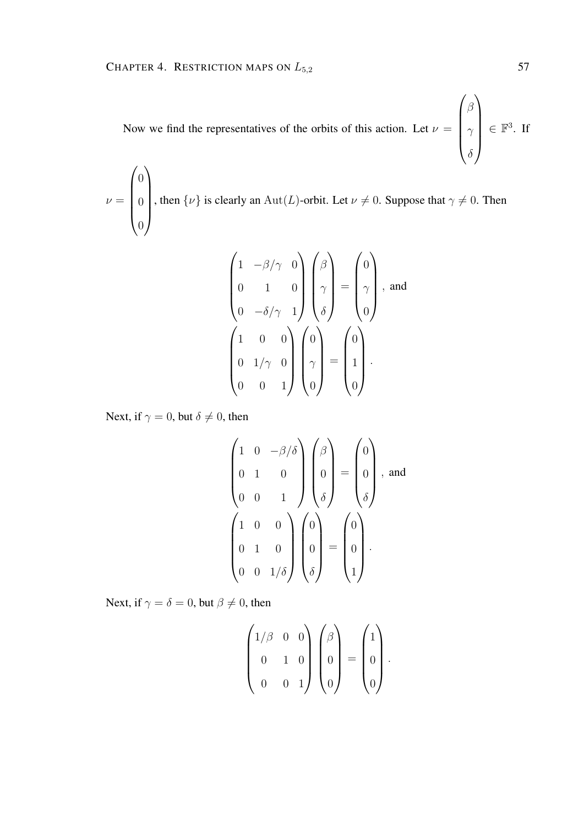Now we find the representatives of the orbits of this action. Let  $\nu =$  $\sqrt{ }$  $\overline{\phantom{a}}$ β  $\gamma$  $\delta$  $\lambda$  $\in \mathbb{F}^3$ . If

 $\nu =$  $\sqrt{ }$  $\overline{\phantom{a}}$ 0 0 0  $\setminus$  $\begin{array}{c} \hline \end{array}$ , then  $\{\nu\}$  is clearly an Aut(L)-orbit. Let  $\nu \neq 0$ . Suppose that  $\gamma \neq 0$ . Then

$$
\begin{pmatrix} 1 & -\beta/\gamma & 0 \\ 0 & 1 & 0 \\ 0 & -\delta/\gamma & 1 \end{pmatrix} \begin{pmatrix} \beta \\ \gamma \\ \delta \end{pmatrix} = \begin{pmatrix} 0 \\ \gamma \\ 0 \end{pmatrix}, \text{ and}
$$

$$
\begin{pmatrix} 1 & 0 & 0 \\ 0 & 1/\gamma & 0 \\ 0 & 0 & 1 \end{pmatrix} \begin{pmatrix} 0 \\ \gamma \\ 0 \end{pmatrix} = \begin{pmatrix} 0 \\ 1 \\ 0 \end{pmatrix}.
$$

Next, if  $\gamma = 0$ , but  $\delta \neq 0$ , then

$$
\begin{pmatrix}\n1 & 0 & -\beta/\delta \\
0 & 1 & 0 \\
0 & 0 & 1\n\end{pmatrix}\n\begin{pmatrix}\n\beta \\
0 \\
\delta\n\end{pmatrix} = \begin{pmatrix}\n0 \\
0 \\
\delta\n\end{pmatrix}, \text{ and}
$$
\n
$$
\begin{pmatrix}\n1 & 0 & 0 \\
0 & 1 & 0 \\
0 & 0 & 1/\delta\n\end{pmatrix}\n\begin{pmatrix}\n0 \\
0 \\
0 \\
\delta\n\end{pmatrix} = \begin{pmatrix}\n0 \\
0 \\
0 \\
1\n\end{pmatrix}.
$$

Next, if  $\gamma = \delta = 0$ , but  $\beta \neq 0$ , then

$$
\begin{pmatrix} 1/\beta & 0 & 0 \\ 0 & 1 & 0 \\ 0 & 0 & 1 \end{pmatrix} \begin{pmatrix} \beta \\ 0 \\ 0 \end{pmatrix} = \begin{pmatrix} 1 \\ 0 \\ 0 \end{pmatrix}.
$$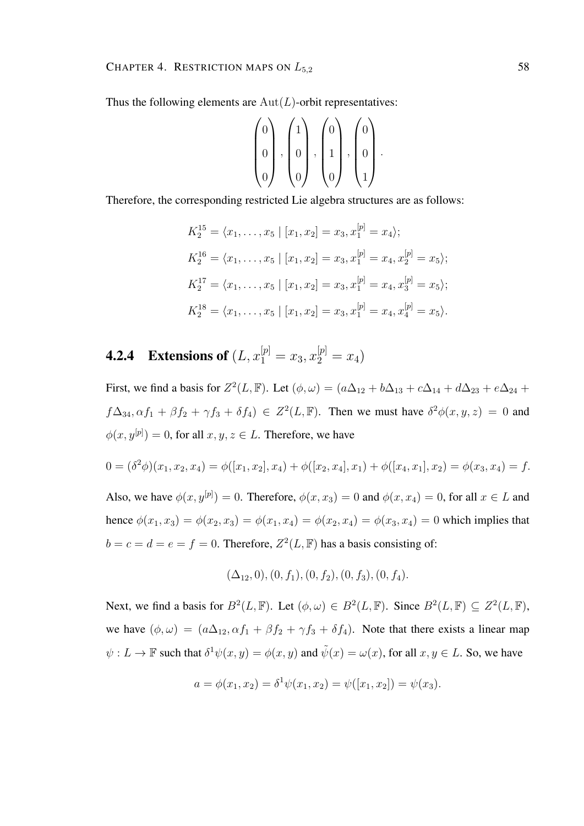Thus the following elements are  $Aut(L)$ -orbit representatives:

$$
\begin{pmatrix} 0 \\ 0 \\ 0 \end{pmatrix}, \begin{pmatrix} 1 \\ 0 \\ 0 \end{pmatrix}, \begin{pmatrix} 0 \\ 1 \\ 0 \end{pmatrix}, \begin{pmatrix} 0 \\ 0 \\ 1 \end{pmatrix}.
$$

Therefore, the corresponding restricted Lie algebra structures are as follows:

$$
K_2^{15} = \langle x_1, \dots, x_5 | [x_1, x_2] = x_3, x_1^{[p]} = x_4 \rangle;
$$
  
\n
$$
K_2^{16} = \langle x_1, \dots, x_5 | [x_1, x_2] = x_3, x_1^{[p]} = x_4, x_2^{[p]} = x_5 \rangle;
$$
  
\n
$$
K_2^{17} = \langle x_1, \dots, x_5 | [x_1, x_2] = x_3, x_1^{[p]} = x_4, x_3^{[p]} = x_5 \rangle;
$$
  
\n
$$
K_2^{18} = \langle x_1, \dots, x_5 | [x_1, x_2] = x_3, x_1^{[p]} = x_4, x_4^{[p]} = x_5 \rangle.
$$

## **4.2.4** Extensions of  $(L, x_1^{[p]} = x_3, x_2^{[p]} = x_4)$

First, we find a basis for  $Z^2(L, \mathbb{F})$ . Let  $(\phi, \omega) = (a\Delta_{12} + b\Delta_{13} + c\Delta_{14} + d\Delta_{23} + e\Delta_{24} + d\Delta_{34})$  $f\Delta_{34}, \alpha f_1 + \beta f_2 + \gamma f_3 + \delta f_4$ )  $\in Z^2(L, \mathbb{F})$ . Then we must have  $\delta^2 \phi(x, y, z) = 0$  and  $\phi(x, y^{[p]}) = 0$ , for all  $x, y, z \in L$ . Therefore, we have

$$
0 = (\delta^2 \phi)(x_1, x_2, x_4) = \phi([x_1, x_2], x_4) + \phi([x_2, x_4], x_1) + \phi([x_4, x_1], x_2) = \phi(x_3, x_4) = f.
$$

Also, we have  $\phi(x, y^{[p]}) = 0$ . Therefore,  $\phi(x, x_3) = 0$  and  $\phi(x, x_4) = 0$ , for all  $x \in L$  and hence  $\phi(x_1, x_3) = \phi(x_2, x_3) = \phi(x_1, x_4) = \phi(x_2, x_4) = \phi(x_3, x_4) = 0$  which implies that  $b = c = d = e = f = 0$ . Therefore,  $Z^2(L, \mathbb{F})$  has a basis consisting of:

$$
(\Delta_{12},0), (0, f_1), (0, f_2), (0, f_3), (0, f_4).
$$

Next, we find a basis for  $B^2(L, \mathbb{F})$ . Let  $(\phi, \omega) \in B^2(L, \mathbb{F})$ . Since  $B^2(L, \mathbb{F}) \subseteq Z^2(L, \mathbb{F})$ , we have  $(\phi, \omega) = (a\Delta_{12}, \alpha f_1 + \beta f_2 + \gamma f_3 + \delta f_4)$ . Note that there exists a linear map  $\psi: L \to \mathbb{F}$  such that  $\delta^1 \psi(x, y) = \phi(x, y)$  and  $\tilde{\psi}(x) = \omega(x)$ , for all  $x, y \in L$ . So, we have

$$
a = \phi(x_1, x_2) = \delta^1 \psi(x_1, x_2) = \psi([x_1, x_2]) = \psi(x_3).
$$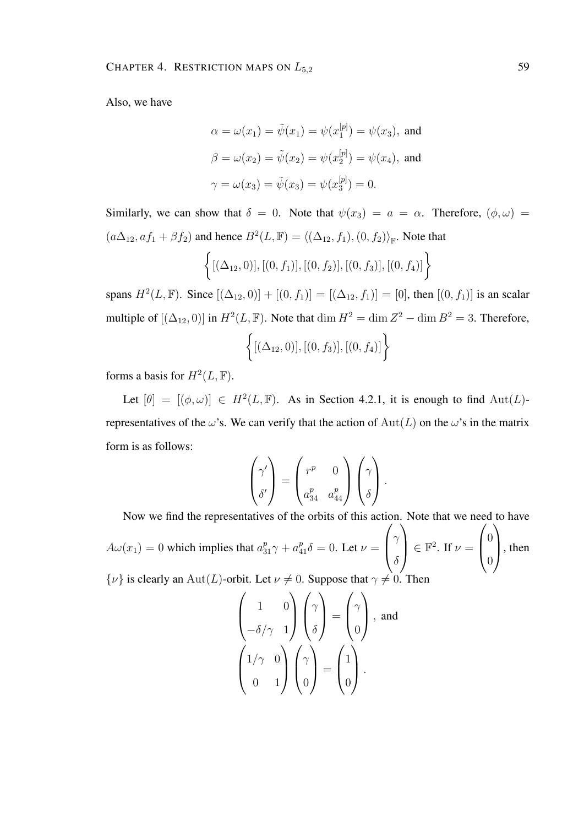Also, we have

$$
\alpha = \omega(x_1) = \tilde{\psi}(x_1) = \psi(x_1^{[p]}) = \psi(x_3)
$$
, and  
\n $\beta = \omega(x_2) = \tilde{\psi}(x_2) = \psi(x_2^{[p]}) = \psi(x_4)$ , and  
\n $\gamma = \omega(x_3) = \tilde{\psi}(x_3) = \psi(x_3^{[p]}) = 0$ .

Similarly, we can show that  $\delta = 0$ . Note that  $\psi(x_3) = a = \alpha$ . Therefore,  $(\phi, \omega) =$  $(a\Delta_{12}, af_1 + \beta f_2)$  and hence  $B^2(L, \mathbb{F}) = \langle (\Delta_{12}, f_1), (0, f_2) \rangle_{\mathbb{F}}$ . Note that

$$
\{[(\Delta_{12},0)], [(0, f_1)], [(0, f_2)], [(0, f_3)], [(0, f_4)]\}
$$

spans  $H^2(L, \mathbb{F})$ . Since  $[(\Delta_{12}, 0)] + [(0, f_1)] = [(\Delta_{12}, f_1)] = [0]$ , then  $[(0, f_1)]$  is an scalar multiple of  $[(\Delta_{12}, 0)]$  in  $H^2(L, \mathbb{F})$ . Note that  $\dim H^2 = \dim Z^2 - \dim B^2 = 3$ . Therefore,

$$
\left\{ [(\Delta_{12}, 0)], [(0, f_3)], [(0, f_4)] \right\}
$$

forms a basis for  $H^2(L, \mathbb{F})$ .

Let  $[\theta] = [(\phi, \omega)] \in H^2(L, \mathbb{F})$ . As in Section 4.2.1, it is enough to find  $\text{Aut}(L)$ representatives of the  $\omega$ 's. We can verify that the action of  $Aut(L)$  on the  $\omega$ 's in the matrix form is as follows:

$$
\begin{pmatrix} \gamma' \\ \delta' \end{pmatrix} = \begin{pmatrix} r^p & 0 \\ a_{34}^p & a_{44}^p \end{pmatrix} \begin{pmatrix} \gamma \\ \delta \end{pmatrix}.
$$

Now we find the representatives of the orbits of this action. Note that we need to have  $A\omega(x_1) = 0$  which implies that  $a_{31}^p \gamma + a_{41}^p \delta = 0$ . Let  $\nu =$  $\sqrt{ }$  $\overline{ }$  $\gamma$  $\delta$  $\setminus$  $\Big\} \in \mathbb{F}^2$ . If  $\nu =$  $\sqrt{ }$  $\overline{ }$  $\theta$  $\theta$  $\setminus$  $\Big\}$ , then  $\{\nu\}$  is clearly an Aut(L)-orbit. Let  $\nu \neq 0$ . Suppose that  $\gamma \neq 0$ . Then

$$
\begin{pmatrix} 1 & 0 \\ -\delta/\gamma & 1 \end{pmatrix} \begin{pmatrix} \gamma \\ \delta \end{pmatrix} = \begin{pmatrix} \gamma \\ 0 \end{pmatrix}, \text{ and}
$$

$$
\begin{pmatrix} 1/\gamma & 0 \\ 0 & 1 \end{pmatrix} \begin{pmatrix} \gamma \\ 0 \end{pmatrix} = \begin{pmatrix} 1 \\ 0 \end{pmatrix}.
$$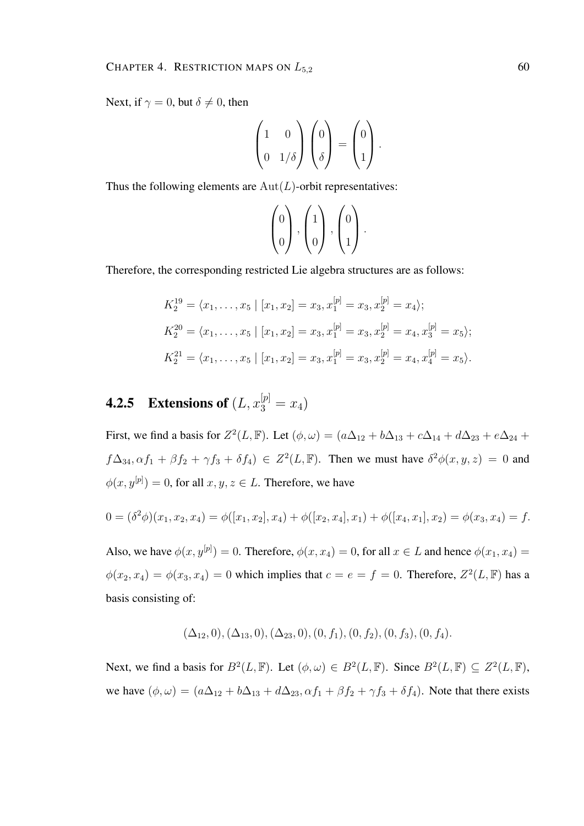Next, if  $\gamma = 0$ , but  $\delta \neq 0$ , then

$$
\begin{pmatrix} 1 & 0 \\ 0 & 1/\delta \end{pmatrix} \begin{pmatrix} 0 \\ \delta \end{pmatrix} = \begin{pmatrix} 0 \\ 1 \end{pmatrix}.
$$

Thus the following elements are  $Aut(L)$ -orbit representatives:

$$
\begin{pmatrix} 0 \\ 0 \end{pmatrix}, \begin{pmatrix} 1 \\ 0 \end{pmatrix}, \begin{pmatrix} 0 \\ 1 \end{pmatrix}.
$$

Therefore, the corresponding restricted Lie algebra structures are as follows:

$$
K_2^{19} = \langle x_1, \dots, x_5 | [x_1, x_2] = x_3, x_1^{[p]} = x_3, x_2^{[p]} = x_4 \rangle;
$$
  
\n
$$
K_2^{20} = \langle x_1, \dots, x_5 | [x_1, x_2] = x_3, x_1^{[p]} = x_3, x_2^{[p]} = x_4, x_3^{[p]} = x_5 \rangle;
$$
  
\n
$$
K_2^{21} = \langle x_1, \dots, x_5 | [x_1, x_2] = x_3, x_1^{[p]} = x_3, x_2^{[p]} = x_4, x_4^{[p]} = x_5 \rangle.
$$

## **4.2.5** Extensions of  $(L, x_3^{[p]} = x_4)$

First, we find a basis for  $Z^2(L, \mathbb{F})$ . Let  $(\phi, \omega) = (a\Delta_{12} + b\Delta_{13} + c\Delta_{14} + d\Delta_{23} + e\Delta_{24} + d\Delta_{34})$  $f\Delta_{34}, \alpha f_1 + \beta f_2 + \gamma f_3 + \delta f_4$ )  $\in Z^2(L, \mathbb{F})$ . Then we must have  $\delta^2 \phi(x, y, z) = 0$  and  $\phi(x, y^{[p]}) = 0$ , for all  $x, y, z \in L$ . Therefore, we have

$$
0 = (\delta^2 \phi)(x_1, x_2, x_4) = \phi([x_1, x_2], x_4) + \phi([x_2, x_4], x_1) + \phi([x_4, x_1], x_2) = \phi(x_3, x_4) = f.
$$

Also, we have  $\phi(x, y^{[p]}) = 0$ . Therefore,  $\phi(x, x_4) = 0$ , for all  $x \in L$  and hence  $\phi(x_1, x_4) =$  $\phi(x_2, x_4) = \phi(x_3, x_4) = 0$  which implies that  $c = e = f = 0$ . Therefore,  $Z^2(L, \mathbb{F})$  has a basis consisting of:

$$
(\Delta_{12},0), (\Delta_{13},0), (\Delta_{23},0), (0, f_1), (0, f_2), (0, f_3), (0, f_4).
$$

Next, we find a basis for  $B^2(L, \mathbb{F})$ . Let  $(\phi, \omega) \in B^2(L, \mathbb{F})$ . Since  $B^2(L, \mathbb{F}) \subseteq Z^2(L, \mathbb{F})$ , we have  $(\phi, \omega) = (a\Delta_{12} + b\Delta_{13} + d\Delta_{23}, \alpha f_1 + \beta f_2 + \gamma f_3 + \delta f_4)$ . Note that there exists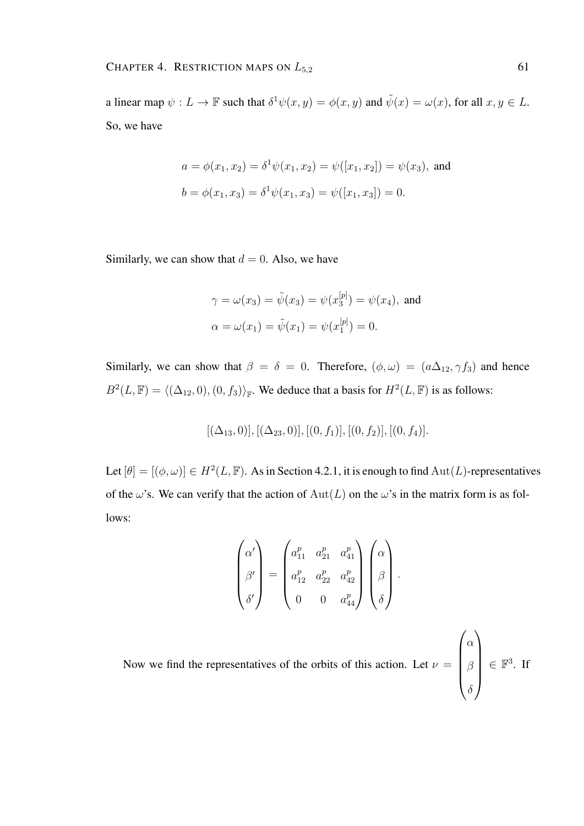a linear map  $\psi: L \to \mathbb{F}$  such that  $\delta^1 \psi(x, y) = \phi(x, y)$  and  $\tilde{\psi}(x) = \omega(x)$ , for all  $x, y \in L$ . So, we have

$$
a = \phi(x_1, x_2) = \delta^1 \psi(x_1, x_2) = \psi([x_1, x_2]) = \psi(x_3)
$$
, and  
\n $b = \phi(x_1, x_3) = \delta^1 \psi(x_1, x_3) = \psi([x_1, x_3]) = 0$ .

Similarly, we can show that  $d = 0$ . Also, we have

$$
\gamma = \omega(x_3) = \tilde{\psi}(x_3) = \psi(x_3^{[p]}) = \psi(x_4)
$$
, and  
\n $\alpha = \omega(x_1) = \tilde{\psi}(x_1) = \psi(x_1^{[p]}) = 0.$ 

Similarly, we can show that  $\beta = \delta = 0$ . Therefore,  $(\phi, \omega) = (a\Delta_{12}, \gamma f_3)$  and hence  $B^2(L, \mathbb{F}) = \langle (\Delta_{12}, 0), (0, f_3) \rangle_{\mathbb{F}}$ . We deduce that a basis for  $H^2(L, \mathbb{F})$  is as follows:

$$
[(\Delta_{13},0)], [(\Delta_{23},0)], [(0,f_1)], [(0,f_2)], [(0,f_4)].
$$

Let  $[\theta] = [(\phi, \omega)] \in H^2(L, \mathbb{F})$ . As in Section 4.2.1, it is enough to find  $\text{Aut}(L)$ -representatives of the  $\omega$ 's. We can verify that the action of  $Aut(L)$  on the  $\omega$ 's in the matrix form is as follows:

$$
\begin{pmatrix}\n\alpha' \\
\beta' \\
\delta'\n\end{pmatrix} = \begin{pmatrix}\na_{11}^p & a_{21}^p & a_{41}^p \\
a_{12}^p & a_{22}^p & a_{42}^p \\
0 & 0 & a_{44}^p\n\end{pmatrix} \begin{pmatrix}\n\alpha \\
\beta \\
\delta\n\end{pmatrix}.
$$

 $\sqrt{ }$ 

α

 $\setminus$ 

δ

Now we find the representatives of the orbits of this action. Let  $\nu =$  $\overline{\phantom{a}}$ β  $\in \mathbb{F}^3$ . If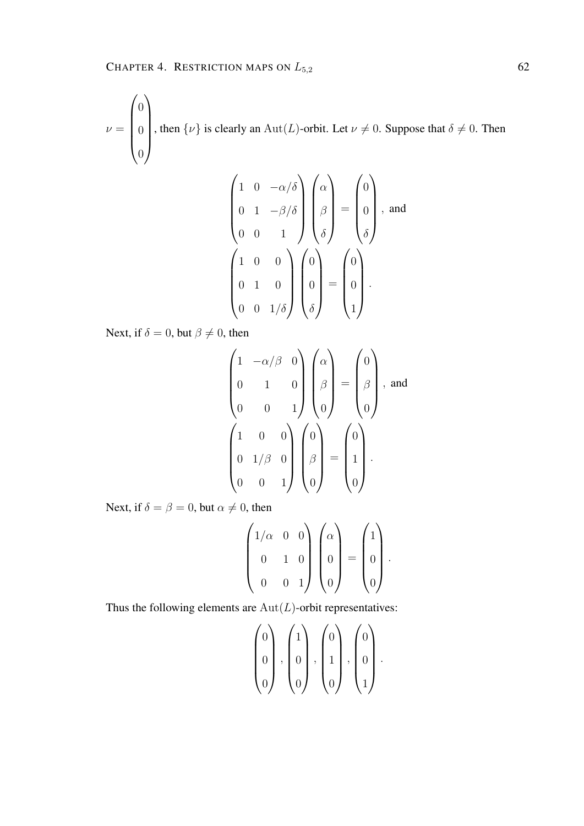$\nu =$  $\sqrt{ }$  $\overline{\phantom{a}}$  $\overline{0}$  $\overline{0}$  $\overline{0}$  $\setminus$  $\begin{array}{c} \hline \end{array}$ , then  $\{\nu\}$  is clearly an  $\text{Aut}(L)$ -orbit. Let  $\nu \neq 0$ . Suppose that  $\delta \neq 0$ . Then

$$
\begin{pmatrix}\n1 & 0 & -\alpha/\delta \\
0 & 1 & -\beta/\delta \\
0 & 0 & 1\n\end{pmatrix}\n\begin{pmatrix}\n\alpha \\
\beta \\
\delta\n\end{pmatrix} = \begin{pmatrix}\n0 \\
0 \\
\delta\n\end{pmatrix}, \text{ and}
$$
\n
$$
\begin{pmatrix}\n1 & 0 & 0 \\
0 & 1 & 0 \\
0 & 0 & 1/\delta\n\end{pmatrix}\n\begin{pmatrix}\n0 \\
0 \\
\delta\n\end{pmatrix} = \begin{pmatrix}\n0 \\
0 \\
0 \\
1\n\end{pmatrix}.
$$

Next, if  $\delta = 0$ , but  $\beta \neq 0$ , then

$$
\begin{pmatrix}\n1 & -\alpha/\beta & 0 \\
0 & 1 & 0 \\
0 & 0 & 1\n\end{pmatrix}\n\begin{pmatrix}\n\alpha \\
\beta \\
0\n\end{pmatrix} = \n\begin{pmatrix}\n0 \\
\beta \\
0\n\end{pmatrix}, \text{ and}
$$
\n
$$
\begin{pmatrix}\n1 & 0 & 0 \\
0 & 1/\beta & 0 \\
0 & 0 & 1\n\end{pmatrix}\n\begin{pmatrix}\n0 \\
\beta \\
0\n\end{pmatrix} = \n\begin{pmatrix}\n0 \\
1 \\
0\n\end{pmatrix}.
$$

Next, if  $\delta = \beta = 0$ , but  $\alpha \neq 0$ , then

$$
\begin{pmatrix} 1/\alpha & 0 & 0 \\ 0 & 1 & 0 \\ 0 & 0 & 1 \end{pmatrix} \begin{pmatrix} \alpha \\ 0 \\ 0 \end{pmatrix} = \begin{pmatrix} 1 \\ 0 \\ 0 \end{pmatrix}.
$$

Thus the following elements are  $Aut(L)$ -orbit representatives:

$$
\begin{pmatrix} 0 \\ 0 \\ 0 \end{pmatrix}, \begin{pmatrix} 1 \\ 0 \\ 0 \end{pmatrix}, \begin{pmatrix} 0 \\ 1 \\ 0 \end{pmatrix}, \begin{pmatrix} 0 \\ 0 \\ 1 \end{pmatrix}.
$$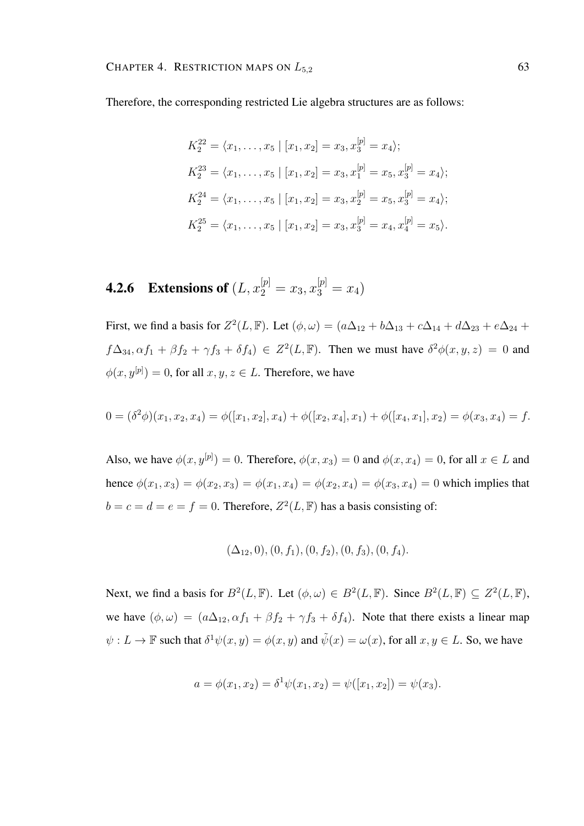Therefore, the corresponding restricted Lie algebra structures are as follows:

$$
K_2^{22} = \langle x_1, \dots, x_5 | [x_1, x_2] = x_3, x_3^{[p]} = x_4 \rangle;
$$
  
\n
$$
K_2^{23} = \langle x_1, \dots, x_5 | [x_1, x_2] = x_3, x_1^{[p]} = x_5, x_3^{[p]} = x_4 \rangle;
$$
  
\n
$$
K_2^{24} = \langle x_1, \dots, x_5 | [x_1, x_2] = x_3, x_2^{[p]} = x_5, x_3^{[p]} = x_4 \rangle;
$$
  
\n
$$
K_2^{25} = \langle x_1, \dots, x_5 | [x_1, x_2] = x_3, x_3^{[p]} = x_4, x_4^{[p]} = x_5 \rangle.
$$

**4.2.6** Extensions of  $(L, x_2^{[p]} = x_3, x_3^{[p]} = x_4)$ 

First, we find a basis for  $Z^2(L, \mathbb{F})$ . Let  $(\phi, \omega) = (a\Delta_{12} + b\Delta_{13} + c\Delta_{14} + d\Delta_{23} + e\Delta_{24} + d\Delta_{34})$  $f\Delta_{34}, \alpha f_1 + \beta f_2 + \gamma f_3 + \delta f_4$ )  $\in Z^2(L, \mathbb{F})$ . Then we must have  $\delta^2 \phi(x, y, z) = 0$  and  $\phi(x, y^{[p]}) = 0$ , for all  $x, y, z \in L$ . Therefore, we have

$$
0 = (\delta^2 \phi)(x_1, x_2, x_4) = \phi([x_1, x_2], x_4) + \phi([x_2, x_4], x_1) + \phi([x_4, x_1], x_2) = \phi(x_3, x_4) = f.
$$

Also, we have  $\phi(x, y^{[p]}) = 0$ . Therefore,  $\phi(x, x_3) = 0$  and  $\phi(x, x_4) = 0$ , for all  $x \in L$  and hence  $\phi(x_1, x_3) = \phi(x_2, x_3) = \phi(x_1, x_4) = \phi(x_2, x_4) = \phi(x_3, x_4) = 0$  which implies that  $b = c = d = e = f = 0$ . Therefore,  $Z^2(L, \mathbb{F})$  has a basis consisting of:

$$
(\Delta_{12},0), (0, f_1), (0, f_2), (0, f_3), (0, f_4).
$$

Next, we find a basis for  $B^2(L, \mathbb{F})$ . Let  $(\phi, \omega) \in B^2(L, \mathbb{F})$ . Since  $B^2(L, \mathbb{F}) \subseteq Z^2(L, \mathbb{F})$ , we have  $(\phi, \omega) = (a\Delta_{12}, \alpha f_1 + \beta f_2 + \gamma f_3 + \delta f_4)$ . Note that there exists a linear map  $\psi: L \to \mathbb{F}$  such that  $\delta^1 \psi(x, y) = \phi(x, y)$  and  $\tilde{\psi}(x) = \omega(x)$ , for all  $x, y \in L$ . So, we have

$$
a = \phi(x_1, x_2) = \delta^1 \psi(x_1, x_2) = \psi([x_1, x_2]) = \psi(x_3).
$$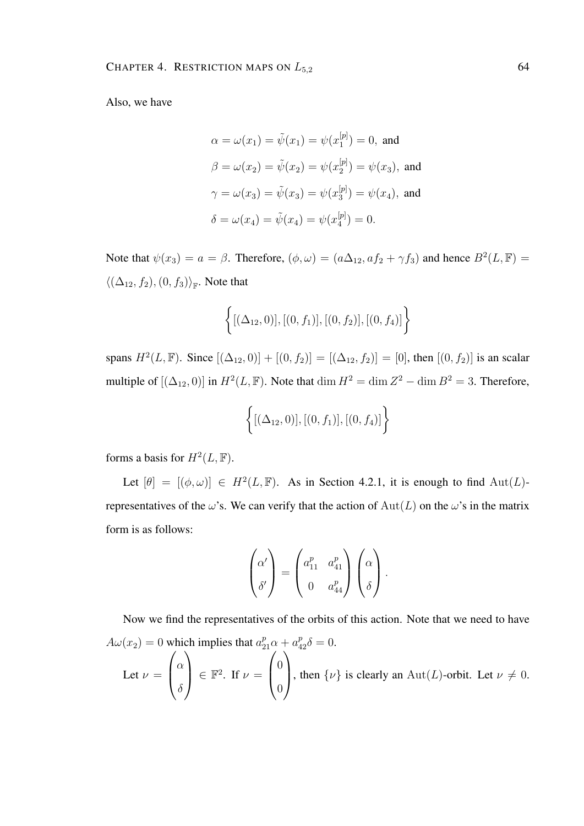Also, we have

$$
\alpha = \omega(x_1) = \tilde{\psi}(x_1) = \psi(x_1^{[p]}) = 0, \text{ and}
$$
  

$$
\beta = \omega(x_2) = \tilde{\psi}(x_2) = \psi(x_2^{[p]}) = \psi(x_3), \text{ and}
$$
  

$$
\gamma = \omega(x_3) = \tilde{\psi}(x_3) = \psi(x_3^{[p]}) = \psi(x_4), \text{ and}
$$
  

$$
\delta = \omega(x_4) = \tilde{\psi}(x_4) = \psi(x_4^{[p]}) = 0.
$$

Note that  $\psi(x_3) = a = \beta$ . Therefore,  $(\phi, \omega) = (a\Delta_{12}, a f_2 + \gamma f_3)$  and hence  $B^2(L, \mathbb{F}) =$  $\langle (\Delta_{12}, f_2), (0, f_3) \rangle_{\mathbb{F}}$ . Note that

$$
\{[(\Delta_{12},0)],[(0,f_1)],[(0,f_2)],[(0,f_4)]\}
$$

spans  $H^2(L, \mathbb{F})$ . Since  $[(\Delta_{12}, 0)] + [(0, f_2)] = [(\Delta_{12}, f_2)] = [0]$ , then  $[(0, f_2)]$  is an scalar multiple of  $[(\Delta_{12}, 0)]$  in  $H^2(L, \mathbb{F})$ . Note that  $\dim H^2 = \dim Z^2 - \dim B^2 = 3$ . Therefore,

$$
\left\{ [(\Delta_{12},0)], [(0,f_1)], [(0,f_4)] \right\}
$$

forms a basis for  $H^2(L, \mathbb{F})$ .

Let  $[\theta] = [(\phi, \omega)] \in H^2(L, \mathbb{F})$ . As in Section 4.2.1, it is enough to find  $\text{Aut}(L)$ representatives of the  $\omega$ 's. We can verify that the action of  $Aut(L)$  on the  $\omega$ 's in the matrix form is as follows:

$$
\begin{pmatrix} \alpha' \\ \delta' \end{pmatrix} = \begin{pmatrix} a_{11}^p & a_{41}^p \\ 0 & a_{44}^p \end{pmatrix} \begin{pmatrix} \alpha \\ \delta \end{pmatrix}.
$$

Now we find the representatives of the orbits of this action. Note that we need to have  $A\omega(x_2) = 0$  which implies that  $a_{21}^p \alpha + a_{42}^p \delta = 0$ . Let  $\nu =$  $\sqrt{ }$  $\left\lfloor \right\rfloor$  $\alpha$  $\delta$  $\setminus$  $\Big\} \in \mathbb{F}^2$ . If  $\nu =$  $\sqrt{ }$  $\left\vert \right\vert$ 0 0  $\setminus$ , then  $\{\nu\}$  is clearly an Aut(L)-orbit. Let  $\nu \neq 0$ .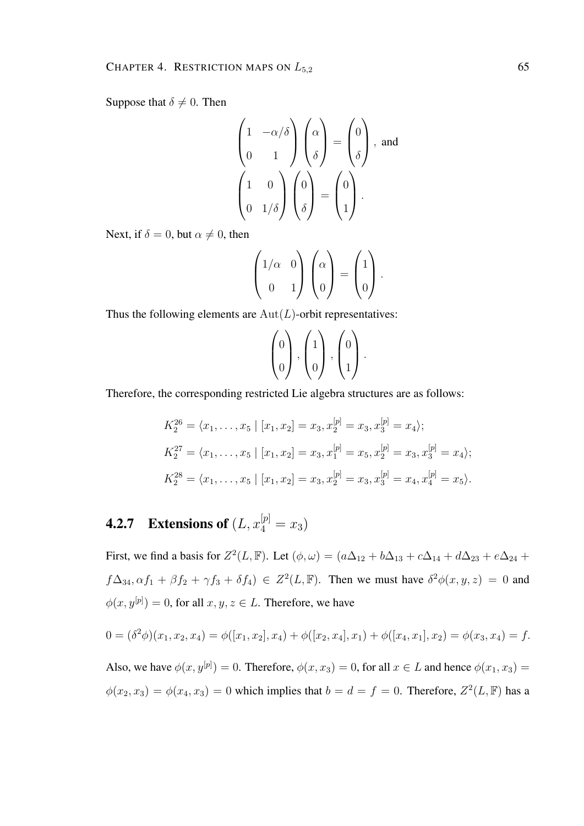Suppose that  $\delta \neq 0$ . Then

$$
\begin{pmatrix} 1 & -\alpha/\delta \\ 0 & 1 \end{pmatrix} \begin{pmatrix} \alpha \\ \delta \end{pmatrix} = \begin{pmatrix} 0 \\ \delta \end{pmatrix}, \text{ and}
$$

$$
\begin{pmatrix} 1 & 0 \\ 0 & 1/\delta \end{pmatrix} \begin{pmatrix} 0 \\ \delta \end{pmatrix} = \begin{pmatrix} 0 \\ 1 \end{pmatrix}.
$$

Next, if  $\delta = 0$ , but  $\alpha \neq 0$ , then

$$
\begin{pmatrix} 1/\alpha & 0 \\ 0 & 1 \end{pmatrix} \begin{pmatrix} \alpha \\ 0 \end{pmatrix} = \begin{pmatrix} 1 \\ 0 \end{pmatrix}.
$$

Thus the following elements are  $Aut(L)$ -orbit representatives:

$$
\begin{pmatrix} 0 \\ 0 \end{pmatrix}, \begin{pmatrix} 1 \\ 0 \end{pmatrix}, \begin{pmatrix} 0 \\ 1 \end{pmatrix}.
$$

Therefore, the corresponding restricted Lie algebra structures are as follows:

$$
K_2^{26} = \langle x_1, \dots, x_5 | [x_1, x_2] = x_3, x_2^{[p]} = x_3, x_3^{[p]} = x_4 \rangle;
$$
  
\n
$$
K_2^{27} = \langle x_1, \dots, x_5 | [x_1, x_2] = x_3, x_1^{[p]} = x_5, x_2^{[p]} = x_3, x_3^{[p]} = x_4 \rangle;
$$
  
\n
$$
K_2^{28} = \langle x_1, \dots, x_5 | [x_1, x_2] = x_3, x_2^{[p]} = x_3, x_3^{[p]} = x_4, x_4^{[p]} = x_5 \rangle.
$$

## **4.2.7** Extensions of  $(L, x_4^{[p]} = x_3)$

First, we find a basis for  $Z^2(L, \mathbb{F})$ . Let  $(\phi, \omega) = (a\Delta_{12} + b\Delta_{13} + c\Delta_{14} + d\Delta_{23} + e\Delta_{24} + d\Delta_{34})$  $f\Delta_{34}, \alpha f_1 + \beta f_2 + \gamma f_3 + \delta f_4$ )  $\in Z^2(L, \mathbb{F})$ . Then we must have  $\delta^2 \phi(x, y, z) = 0$  and  $\phi(x, y^{[p]}) = 0$ , for all  $x, y, z \in L$ . Therefore, we have

$$
0 = (\delta^2 \phi)(x_1, x_2, x_4) = \phi([x_1, x_2], x_4) + \phi([x_2, x_4], x_1) + \phi([x_4, x_1], x_2) = \phi(x_3, x_4) = f.
$$

Also, we have  $\phi(x, y^{[p]}) = 0$ . Therefore,  $\phi(x, x_3) = 0$ , for all  $x \in L$  and hence  $\phi(x_1, x_3) =$  $\phi(x_2, x_3) = \phi(x_4, x_3) = 0$  which implies that  $b = d = f = 0$ . Therefore,  $Z^2(L, \mathbb{F})$  has a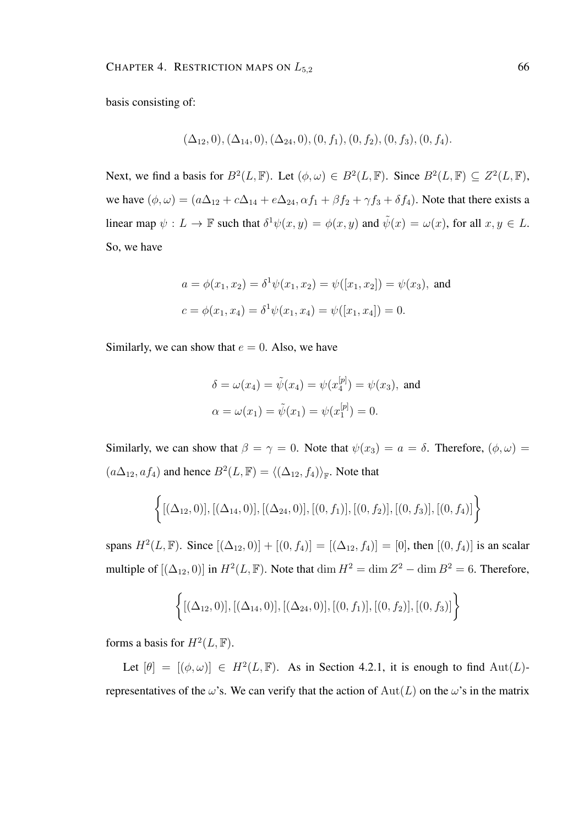basis consisting of:

$$
(\Delta_{12},0), (\Delta_{14},0), (\Delta_{24},0), (0, f_1), (0, f_2), (0, f_3), (0, f_4).
$$

Next, we find a basis for  $B^2(L, \mathbb{F})$ . Let  $(\phi, \omega) \in B^2(L, \mathbb{F})$ . Since  $B^2(L, \mathbb{F}) \subseteq Z^2(L, \mathbb{F})$ , we have  $(\phi, \omega) = (a\Delta_{12} + c\Delta_{14} + e\Delta_{24}, \alpha f_1 + \beta f_2 + \gamma f_3 + \delta f_4)$ . Note that there exists a linear map  $\psi: L \to \mathbb{F}$  such that  $\delta^1 \psi(x, y) = \phi(x, y)$  and  $\tilde{\psi}(x) = \omega(x)$ , for all  $x, y \in L$ . So, we have

$$
a = \phi(x_1, x_2) = \delta^1 \psi(x_1, x_2) = \psi([x_1, x_2]) = \psi(x_3)
$$
, and  
\n $c = \phi(x_1, x_4) = \delta^1 \psi(x_1, x_4) = \psi([x_1, x_4]) = 0$ .

Similarly, we can show that  $e = 0$ . Also, we have

$$
\delta = \omega(x_4) = \tilde{\psi}(x_4) = \psi(x_4^{[p]}) = \psi(x_3)
$$
, and  
\n $\alpha = \omega(x_1) = \tilde{\psi}(x_1) = \psi(x_1^{[p]}) = 0.$ 

Similarly, we can show that  $\beta = \gamma = 0$ . Note that  $\psi(x_3) = a = \delta$ . Therefore,  $(\phi, \omega) =$  $(a\Delta_{12}, af_4)$  and hence  $B^2(L, \mathbb{F}) = \langle (\Delta_{12}, f_4) \rangle_{\mathbb{F}}$ . Note that

$$
\{[(\Delta_{12},0)], [(\Delta_{14},0)], [(\Delta_{24},0)], [(0,f_1)], [(0,f_2)], [(0,f_3)], [(0,f_4)]\}
$$

spans  $H^2(L, \mathbb{F})$ . Since  $[(\Delta_{12}, 0)] + [(0, f_4)] = [(\Delta_{12}, f_4)] = [0]$ , then  $[(0, f_4)]$  is an scalar multiple of  $[(\Delta_{12}, 0)]$  in  $H^2(L, \mathbb{F})$ . Note that  $\dim H^2 = \dim Z^2 - \dim B^2 = 6$ . Therefore,

$$
\{[(\Delta_{12},0)], [(\Delta_{14},0)], [(\Delta_{24},0)], [(0,f_1)], [(0,f_2)], [(0,f_3)]\}
$$

forms a basis for  $H^2(L, \mathbb{F})$ .

Let  $[\theta] = [(\phi, \omega)] \in H^2(L, \mathbb{F})$ . As in Section 4.2.1, it is enough to find  $\text{Aut}(L)$ representatives of the  $\omega$ 's. We can verify that the action of  $Aut(L)$  on the  $\omega$ 's in the matrix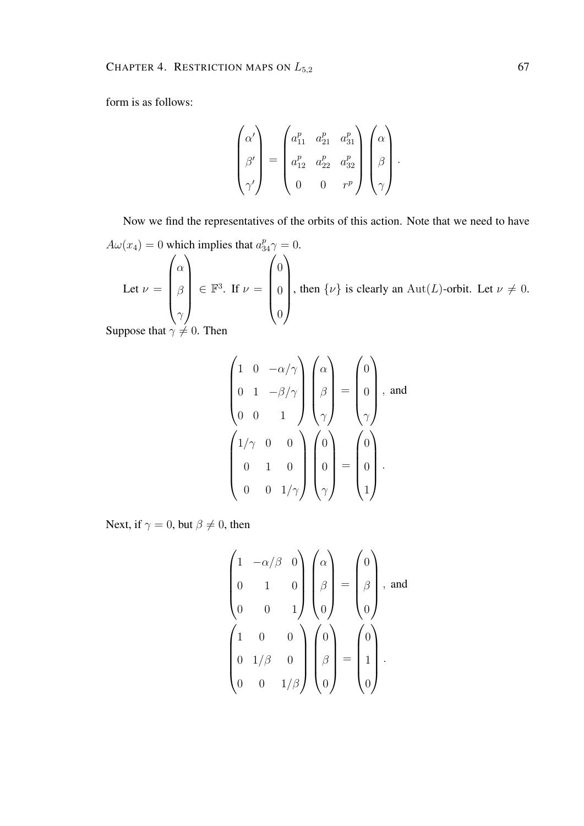form is as follows:

$$
\begin{pmatrix}\n\alpha' \\
\beta' \\
\gamma'\n\end{pmatrix} = \begin{pmatrix}\na_{11}^p & a_{21}^p & a_{31}^p \\
a_{12}^p & a_{22}^p & a_{32}^p \\
0 & 0 & r^p\n\end{pmatrix} \begin{pmatrix}\n\alpha \\
\beta \\
\gamma\n\end{pmatrix}.
$$

Now we find the representatives of the orbits of this action. Note that we need to have  $A\omega(x_4) = 0$  which implies that  $a_{34}^p \gamma = 0$ . Let  $\nu =$  $\sqrt{ }$  $\overline{\phantom{a}}$  $\alpha$ β  $\gamma$  $\setminus$  $\in \mathbb{F}^3$ . If  $\nu =$  $\sqrt{ }$  $\overline{\phantom{a}}$  $\theta$  $\theta$  $\theta$  $\setminus$  $\begin{array}{c} \hline \end{array}$ , then  $\{\nu\}$  is clearly an Aut(*L*)-orbit. Let  $\nu \neq 0$ .

Suppose that  $\gamma \neq 0$ . Then

$$
\begin{pmatrix}\n1 & 0 & -\alpha/\gamma \\
0 & 1 & -\beta/\gamma \\
0 & 0 & 1\n\end{pmatrix}\n\begin{pmatrix}\n\alpha \\
\beta \\
\gamma\n\end{pmatrix} = \begin{pmatrix}\n0 \\
0 \\
\gamma\n\end{pmatrix}, \text{ and}
$$
\n
$$
\begin{pmatrix}\n1/\gamma & 0 & 0 \\
0 & 1 & 0 \\
0 & 0 & 1/\gamma\n\end{pmatrix}\n\begin{pmatrix}\n0 \\
0 \\
0 \\
\gamma\n\end{pmatrix} = \begin{pmatrix}\n0 \\
0 \\
0 \\
1\n\end{pmatrix}.
$$

Next, if  $\gamma = 0$ , but  $\beta \neq 0$ , then

$$
\begin{pmatrix}\n1 & -\alpha/\beta & 0 \\
0 & 1 & 0 \\
0 & 0 & 1\n\end{pmatrix}\n\begin{pmatrix}\n\alpha \\
\beta \\
\beta \\
0\n\end{pmatrix} = \begin{pmatrix}\n0 \\
\beta \\
0\n\end{pmatrix}, \text{ and}
$$
\n
$$
\begin{pmatrix}\n1 & 0 & 0 \\
0 & 1/\beta & 0 \\
0 & 0 & 1/\beta\n\end{pmatrix}\n\begin{pmatrix}\n0 \\
\beta \\
0\n\end{pmatrix} = \begin{pmatrix}\n0 \\
1 \\
0\n\end{pmatrix}.
$$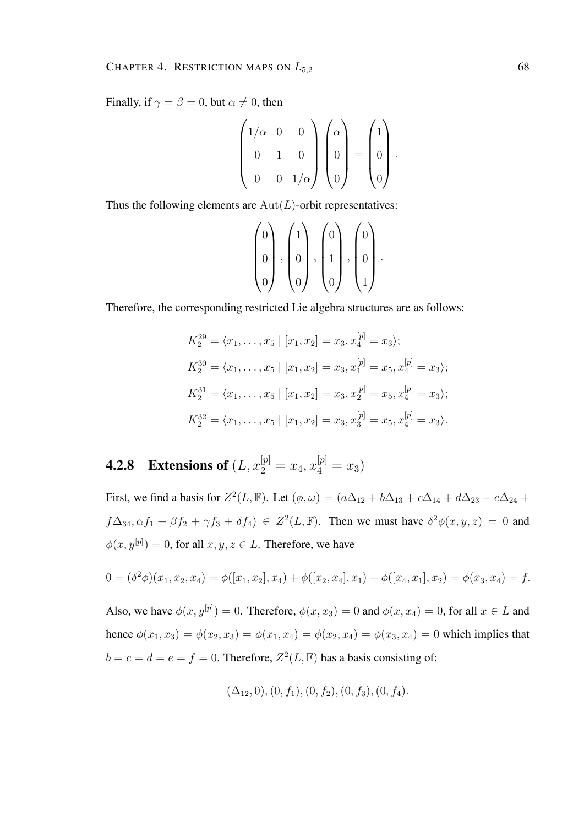Finally, if  $\gamma = \beta = 0$ , but  $\alpha \neq 0$ , then

$$
\begin{pmatrix} 1/\alpha & 0 & 0 \\ 0 & 1 & 0 \\ 0 & 0 & 1/\alpha \end{pmatrix} \begin{pmatrix} \alpha \\ 0 \\ 0 \end{pmatrix} = \begin{pmatrix} 1 \\ 0 \\ 0 \end{pmatrix}.
$$

Thus the following elements are  $Aut(L)$ -orbit representatives:

$$
\begin{pmatrix} 0 \\ 0 \\ 0 \end{pmatrix}, \begin{pmatrix} 1 \\ 0 \\ 0 \end{pmatrix}, \begin{pmatrix} 0 \\ 1 \\ 0 \end{pmatrix}, \begin{pmatrix} 0 \\ 0 \\ 1 \end{pmatrix}.
$$

Therefore, the corresponding restricted Lie algebra structures are as follows:

$$
K_2^{29} = \langle x_1, \dots, x_5 | [x_1, x_2] = x_3, x_4^{[p]} = x_3 \rangle;
$$
  
\n
$$
K_2^{30} = \langle x_1, \dots, x_5 | [x_1, x_2] = x_3, x_1^{[p]} = x_5, x_4^{[p]} = x_3 \rangle;
$$
  
\n
$$
K_2^{31} = \langle x_1, \dots, x_5 | [x_1, x_2] = x_3, x_2^{[p]} = x_5, x_4^{[p]} = x_3 \rangle;
$$
  
\n
$$
K_2^{32} = \langle x_1, \dots, x_5 | [x_1, x_2] = x_3, x_3^{[p]} = x_5, x_4^{[p]} = x_3 \rangle.
$$

**4.2.8** Extensions of  $(L, x_2^{[p]} = x_4, x_4^{[p]} = x_3)$ 

First, we find a basis for  $Z^2(L, \mathbb{F})$ . Let  $(\phi, \omega) = (a\Delta_{12} + b\Delta_{13} + c\Delta_{14} + d\Delta_{23} + e\Delta_{24} + d\Delta_{34})$  $f\Delta_{34}, \alpha f_1 + \beta f_2 + \gamma f_3 + \delta f_4$ )  $\in Z^2(L, \mathbb{F})$ . Then we must have  $\delta^2 \phi(x, y, z) = 0$  and  $\phi(x, y^{[p]}) = 0$ , for all  $x, y, z \in L$ . Therefore, we have

$$
0 = (\delta^2 \phi)(x_1, x_2, x_4) = \phi([x_1, x_2], x_4) + \phi([x_2, x_4], x_1) + \phi([x_4, x_1], x_2) = \phi(x_3, x_4) = f.
$$

Also, we have  $\phi(x, y^{[p]}) = 0$ . Therefore,  $\phi(x, x_3) = 0$  and  $\phi(x, x_4) = 0$ , for all  $x \in L$  and hence  $\phi(x_1, x_3) = \phi(x_2, x_3) = \phi(x_1, x_4) = \phi(x_2, x_4) = \phi(x_3, x_4) = 0$  which implies that  $b = c = d = e = f = 0$ . Therefore,  $Z^2(L, \mathbb{F})$  has a basis consisting of:

$$
(\Delta_{12},0), (0, f_1), (0, f_2), (0, f_3), (0, f_4).
$$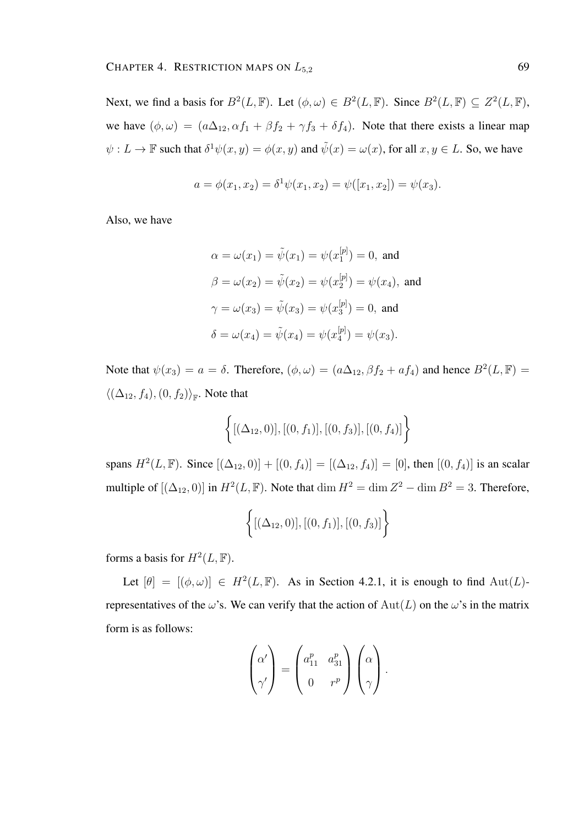Next, we find a basis for  $B^2(L, \mathbb{F})$ . Let  $(\phi, \omega) \in B^2(L, \mathbb{F})$ . Since  $B^2(L, \mathbb{F}) \subseteq Z^2(L, \mathbb{F})$ , we have  $(\phi, \omega) = (a\Delta_{12}, \alpha f_1 + \beta f_2 + \gamma f_3 + \delta f_4)$ . Note that there exists a linear map  $\psi: L \to \mathbb{F}$  such that  $\delta^1 \psi(x, y) = \phi(x, y)$  and  $\tilde{\psi}(x) = \omega(x)$ , for all  $x, y \in L$ . So, we have

$$
a = \phi(x_1, x_2) = \delta^1 \psi(x_1, x_2) = \psi([x_1, x_2]) = \psi(x_3).
$$

Also, we have

$$
\alpha = \omega(x_1) = \tilde{\psi}(x_1) = \psi(x_1^{[p]}) = 0, \text{ and}
$$
  

$$
\beta = \omega(x_2) = \tilde{\psi}(x_2) = \psi(x_2^{[p]}) = \psi(x_4), \text{ and}
$$
  

$$
\gamma = \omega(x_3) = \tilde{\psi}(x_3) = \psi(x_3^{[p]}) = 0, \text{ and}
$$
  

$$
\delta = \omega(x_4) = \tilde{\psi}(x_4) = \psi(x_4^{[p]}) = \psi(x_3).
$$

Note that  $\psi(x_3) = a = \delta$ . Therefore,  $(\phi, \omega) = (a\Delta_{12}, \beta f_2 + af_4)$  and hence  $B^2(L, \mathbb{F}) =$  $\langle (\Delta_{12}, f_4), (0, f_2) \rangle_{\mathbb{F}}$ . Note that

$$
\left\{ [(\Delta_{12},0)], [(0,f_1)], [(0,f_3)], [(0,f_4)] \right\}
$$

spans  $H^2(L, \mathbb{F})$ . Since  $[(\Delta_{12}, 0)] + [(0, f_4)] = [(\Delta_{12}, f_4)] = [0]$ , then  $[(0, f_4)]$  is an scalar multiple of  $[(\Delta_{12}, 0)]$  in  $H^2(L, \mathbb{F})$ . Note that  $\dim H^2 = \dim Z^2 - \dim B^2 = 3$ . Therefore,

$$
\left\{ [(\Delta_{12}, 0)], [(0, f_1)], [(0, f_3)] \right\}
$$

forms a basis for  $H^2(L, \mathbb{F})$ .

Let  $[\theta] = [(\phi, \omega)] \in H^2(L, \mathbb{F})$ . As in Section 4.2.1, it is enough to find  $\text{Aut}(L)$ representatives of the  $\omega$ 's. We can verify that the action of  $Aut(L)$  on the  $\omega$ 's in the matrix form is as follows:

$$
\begin{pmatrix} \alpha' \\ \gamma' \end{pmatrix} = \begin{pmatrix} a_{11}^p & a_{31}^p \\ 0 & r^p \end{pmatrix} \begin{pmatrix} \alpha \\ \gamma \end{pmatrix}.
$$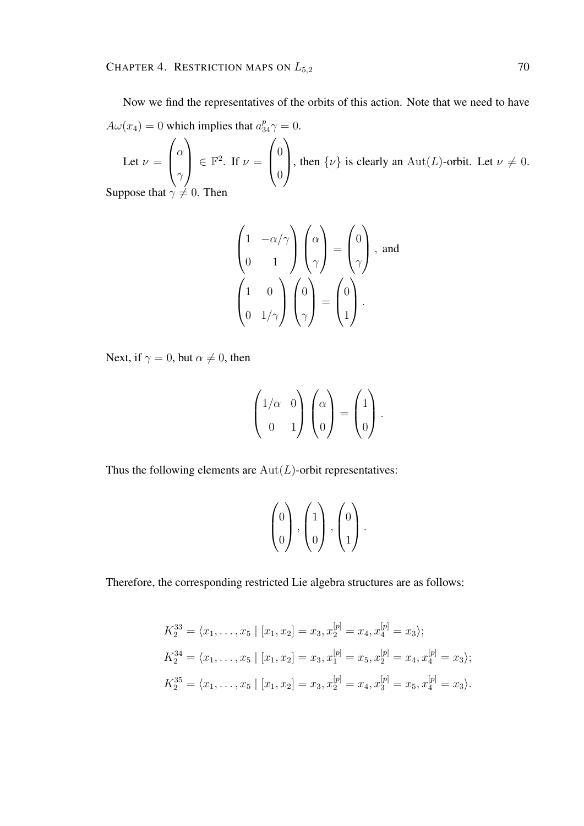Now we find the representatives of the orbits of this action. Note that we need to have  $A\omega(x_4) = 0$  which implies that  $a_{34}^p \gamma = 0$ .

Let  $\nu =$  $\sqrt{ }$  $\left\lfloor \right\rfloor$  $\alpha$  $\gamma$  $\setminus$  $\Big\} \in \mathbb{F}^2$ . If  $\nu =$  $\sqrt{ }$  $\left\vert \right\vert$ 0 0  $\setminus$ , then  $\{\nu\}$  is clearly an Aut(L)-orbit. Let  $\nu \neq 0$ .

Suppose that  $\gamma \neq 0$ . Then

$$
\begin{pmatrix} 1 & -\alpha/\gamma \\ 0 & 1 \end{pmatrix} \begin{pmatrix} \alpha \\ \gamma \end{pmatrix} = \begin{pmatrix} 0 \\ \gamma \end{pmatrix}, \text{ and}
$$

$$
\begin{pmatrix} 1 & 0 \\ 0 & 1/\gamma \end{pmatrix} \begin{pmatrix} 0 \\ \gamma \end{pmatrix} = \begin{pmatrix} 0 \\ 1 \end{pmatrix}.
$$

Next, if  $\gamma = 0$ , but  $\alpha \neq 0$ , then

$$
\begin{pmatrix} 1/\alpha & 0 \\ 0 & 1 \end{pmatrix} \begin{pmatrix} \alpha \\ 0 \end{pmatrix} = \begin{pmatrix} 1 \\ 0 \end{pmatrix}.
$$

Thus the following elements are  $Aut(L)$ -orbit representatives:

$$
\begin{pmatrix} 0 \\ 0 \end{pmatrix}, \begin{pmatrix} 1 \\ 0 \end{pmatrix}, \begin{pmatrix} 0 \\ 1 \end{pmatrix}.
$$

Therefore, the corresponding restricted Lie algebra structures are as follows:

$$
K_2^{33} = \langle x_1, \dots, x_5 | [x_1, x_2] = x_3, x_2^{[p]} = x_4, x_4^{[p]} = x_3 \rangle;
$$
  
\n
$$
K_2^{34} = \langle x_1, \dots, x_5 | [x_1, x_2] = x_3, x_1^{[p]} = x_5, x_2^{[p]} = x_4, x_4^{[p]} = x_3 \rangle;
$$
  
\n
$$
K_2^{35} = \langle x_1, \dots, x_5 | [x_1, x_2] = x_3, x_2^{[p]} = x_4, x_3^{[p]} = x_5, x_4^{[p]} = x_3 \rangle.
$$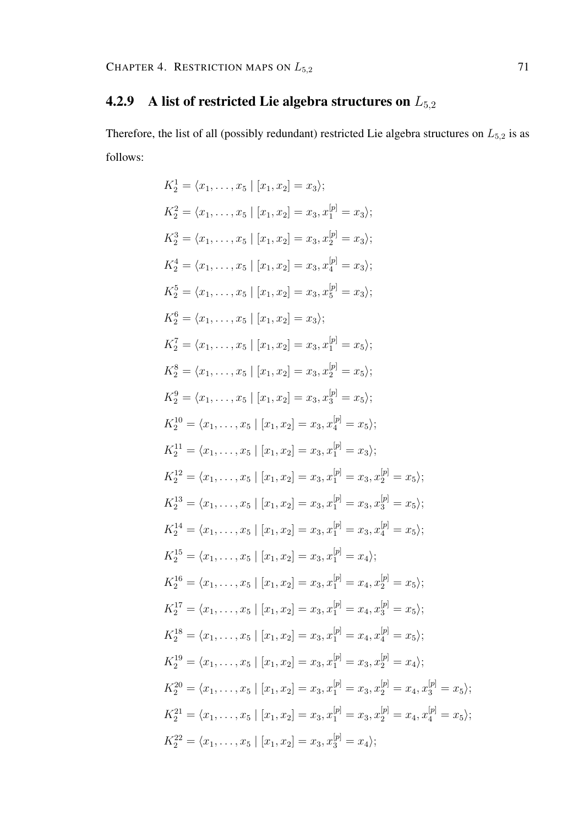## 4.2.9 A list of restricted Lie algebra structures on  $L_{5,2}$

Therefore, the list of all (possibly redundant) restricted Lie algebra structures on  $L_{5,2}$  is as follows:

$$
K_2^1 = \langle x_1, \ldots, x_5 | [x_1, x_2] = x_3 \rangle;
$$
  
\n
$$
K_2^2 = \langle x_1, \ldots, x_5 | [x_1, x_2] = x_3, x_1^{[p]} = x_3 \rangle;
$$
  
\n
$$
K_2^3 = \langle x_1, \ldots, x_5 | [x_1, x_2] = x_3, x_2^{[p]} = x_3 \rangle;
$$
  
\n
$$
K_2^4 = \langle x_1, \ldots, x_5 | [x_1, x_2] = x_3, x_4^{[p]} = x_3 \rangle;
$$
  
\n
$$
K_2^5 = \langle x_1, \ldots, x_5 | [x_1, x_2] = x_3, x_5^{[p]} = x_3 \rangle;
$$
  
\n
$$
K_2^6 = \langle x_1, \ldots, x_5 | [x_1, x_2] = x_3, x_1^{[p]} = x_5 \rangle;
$$
  
\n
$$
K_2^7 = \langle x_1, \ldots, x_5 | [x_1, x_2] = x_3, x_1^{[p]} = x_5 \rangle;
$$
  
\n
$$
K_2^8 = \langle x_1, \ldots, x_5 | [x_1, x_2] = x_3, x_2^{[p]} = x_5 \rangle;
$$
  
\n
$$
K_2^9 = \langle x_1, \ldots, x_5 | [x_1, x_2] = x_3, x_3^{[p]} = x_5 \rangle;
$$
  
\n
$$
K_2^{10} = \langle x_1, \ldots, x_5 | [x_1, x_2] = x_3, x_4^{[p]} = x_5 \rangle;
$$
  
\n
$$
K_2^{11} = \langle x_1, \ldots, x_5 | [x_1, x_2] = x_3, x_1^{[p]} = x_3 \rangle;
$$
  
\n
$$
K_2^{12} = \langle x_1, \ldots, x_5 | [x_1, x_2] = x_3, x_1^{[p]} = x_3, x_2^{[p]} = x_5 \rangle;
$$
  
\n
$$
K_2^{13} = \langle x_1, \ldots, x_5 | [x_1, x_2] = x_3, x_1^{[p]} = x
$$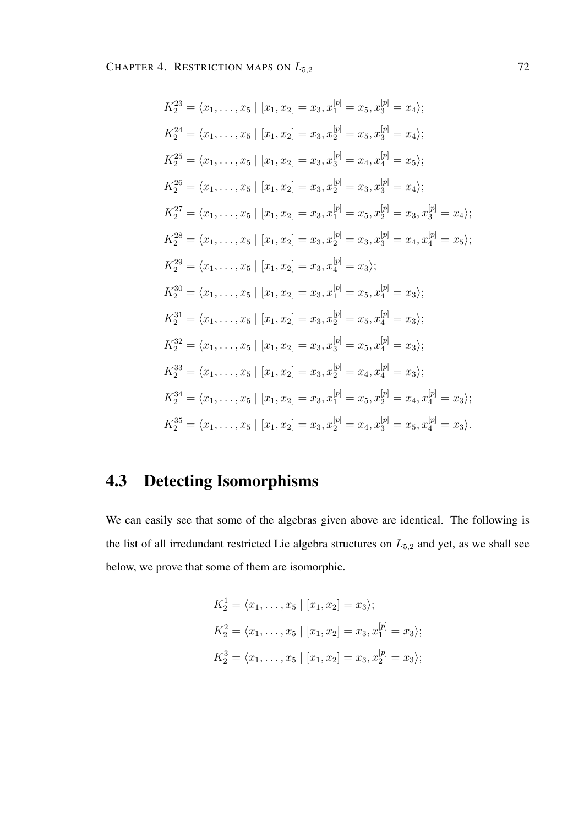$$
K_2^{23} = \langle x_1, \ldots, x_5 \mid [x_1, x_2] = x_3, x_1^{[p]} = x_5, x_3^{[p]} = x_4 \rangle;
$$
  
\n
$$
K_2^{24} = \langle x_1, \ldots, x_5 \mid [x_1, x_2] = x_3, x_2^{[p]} = x_5, x_3^{[p]} = x_4 \rangle;
$$
  
\n
$$
K_2^{25} = \langle x_1, \ldots, x_5 \mid [x_1, x_2] = x_3, x_3^{[p]} = x_4, x_4^{[p]} = x_5 \rangle;
$$
  
\n
$$
K_2^{26} = \langle x_1, \ldots, x_5 \mid [x_1, x_2] = x_3, x_2^{[p]} = x_3, x_3^{[p]} = x_4 \rangle;
$$
  
\n
$$
K_2^{27} = \langle x_1, \ldots, x_5 \mid [x_1, x_2] = x_3, x_1^{[p]} = x_5, x_2^{[p]} = x_3, x_3^{[p]} = x_4 \rangle;
$$
  
\n
$$
K_2^{28} = \langle x_1, \ldots, x_5 \mid [x_1, x_2] = x_3, x_2^{[p]} = x_3, x_3^{[p]} = x_4, x_4^{[p]} = x_5 \rangle;
$$
  
\n
$$
K_2^{29} = \langle x_1, \ldots, x_5 \mid [x_1, x_2] = x_3, x_4^{[p]} = x_3 \rangle;
$$
  
\n
$$
K_2^{30} = \langle x_1, \ldots, x_5 \mid [x_1, x_2] = x_3, x_1^{[p]} = x_5, x_4^{[p]} = x_3 \rangle;
$$
  
\n
$$
K_2^{31} = \langle x_1, \ldots, x_5 \mid [x_1, x_2] = x_3, x_2^{[p]} = x_5, x_4^{[p]} = x_3 \rangle;
$$
  
\n
$$
K_2^{32} = \langle x_1, \ldots, x_5 \mid [x_1, x_2] = x_3, x_3^{[p]} = x_5, x_4^{[p]} = x_3 \rangle;
$$
  
\n
$$
K_2^{34}
$$

# 4.3 Detecting Isomorphisms

We can easily see that some of the algebras given above are identical. The following is the list of all irredundant restricted Lie algebra structures on  $L_{5,2}$  and yet, as we shall see below, we prove that some of them are isomorphic.

$$
K_2^1 = \langle x_1, \dots, x_5 | [x_1, x_2] = x_3 \rangle;
$$
  
\n
$$
K_2^2 = \langle x_1, \dots, x_5 | [x_1, x_2] = x_3, x_1^{[p]} = x_3 \rangle;
$$
  
\n
$$
K_2^3 = \langle x_1, \dots, x_5 | [x_1, x_2] = x_3, x_2^{[p]} = x_3 \rangle;
$$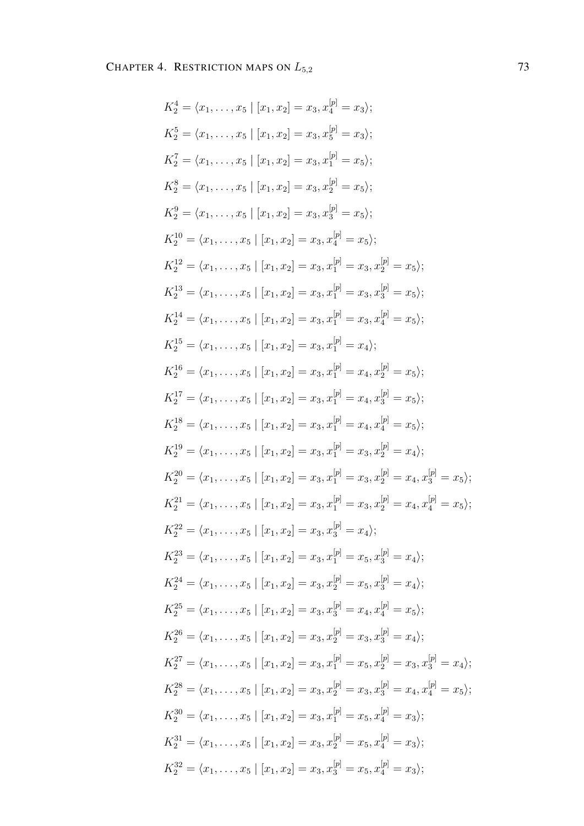$$
K_2^4 = \langle x_1, \ldots, x_5 \mid [x_1, x_2] = x_3, x_4^{[p]} = x_3 \rangle;
$$
  
\n
$$
K_2^5 = \langle x_1, \ldots, x_5 \mid [x_1, x_2] = x_3, x_5^{[p]} = x_3 \rangle;
$$
  
\n
$$
K_2^7 = \langle x_1, \ldots, x_5 \mid [x_1, x_2] = x_3, x_1^{[p]} = x_5 \rangle;
$$
  
\n
$$
K_2^8 = \langle x_1, \ldots, x_5 \mid [x_1, x_2] = x_3, x_2^{[p]} = x_5 \rangle;
$$
  
\n
$$
K_2^9 = \langle x_1, \ldots, x_5 \mid [x_1, x_2] = x_3, x_2^{[p]} = x_5 \rangle;
$$
  
\n
$$
K_2^{10} = \langle x_1, \ldots, x_5 \mid [x_1, x_2] = x_3, x_2^{[p]} = x_5 \rangle;
$$
  
\n
$$
K_2^{12} = \langle x_1, \ldots, x_5 \mid [x_1, x_2] = x_3, x_1^{[p]} = x_3, x_2^{[p]} = x_5 \rangle;
$$
  
\n
$$
K_2^{13} = \langle x_1, \ldots, x_5 \mid [x_1, x_2] = x_3, x_1^{[p]} = x_3, x_2^{[p]} = x_5 \rangle;
$$
  
\n
$$
K_2^{14} = \langle x_1, \ldots, x_5 \mid [x_1, x_2] = x_3, x_1^{[p]} = x_3, x_4^{[p]} = x_5 \rangle;
$$
  
\n
$$
K_2^{15} = \langle x_1, \ldots, x_5 \mid [x_1, x_2] = x_3, x_1^{[p]} = x_4, x_2^{[p]} = x_5 \rangle;
$$
  
\n
$$
K_2^{16} = \langle x_1, \ldots, x_5 \mid [x_1, x_2] = x_3, x_1^{[p]} = x_4, x_2^{[p]} = x_5 \rangle;
$$
  
\n
$$
K_2^{17} = \langle x_1, \ldots, x_5 \mid [x_1
$$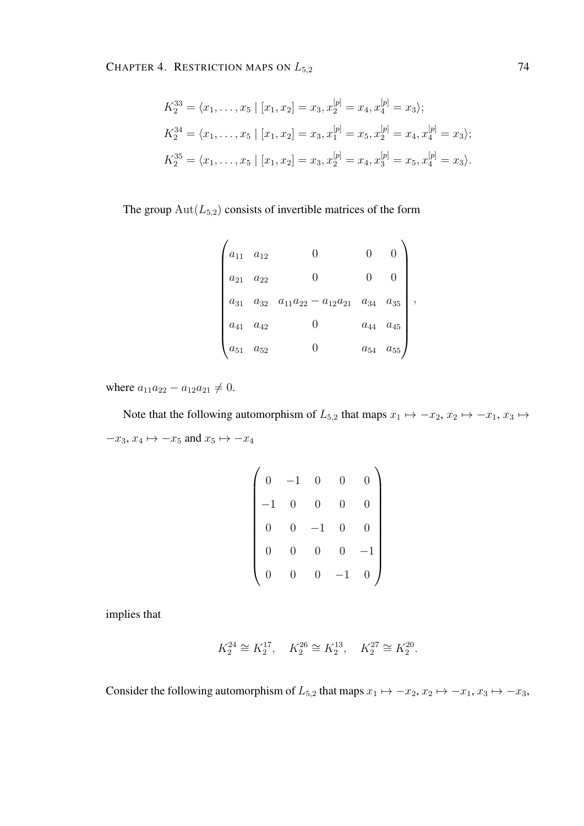$$
K_2^{33} = \langle x_1, \dots, x_5 | [x_1, x_2] = x_3, x_2^{[p]} = x_4, x_4^{[p]} = x_3 \rangle;
$$
  
\n
$$
K_2^{34} = \langle x_1, \dots, x_5 | [x_1, x_2] = x_3, x_1^{[p]} = x_5, x_2^{[p]} = x_4, x_4^{[p]} = x_3 \rangle;
$$
  
\n
$$
K_2^{35} = \langle x_1, \dots, x_5 | [x_1, x_2] = x_3, x_2^{[p]} = x_4, x_3^{[p]} = x_5, x_4^{[p]} = x_3 \rangle.
$$

The group  $\text{Aut}(L_{5,2})$  consists of invertible matrices of the form

| $\begin{pmatrix} a_{11} & a_{12} \end{pmatrix}$                |                                                                                   | $\overline{0}$ |                   |  |
|----------------------------------------------------------------|-----------------------------------------------------------------------------------|----------------|-------------------|--|
|                                                                | $a_{21}$ $a_{22}$ 0 0<br>$a_{31}$ $a_{32}$ $a_{11}a_{22} - a_{12}a_{21}$ $a_{34}$ |                |                   |  |
|                                                                |                                                                                   |                | $a_{35}$          |  |
| $\begin{cases} a_{41} & a_{42} \\ a_{51} & a_{52} \end{cases}$ |                                                                                   |                | $a_{44}$ $a_{45}$ |  |
|                                                                |                                                                                   |                | $a_{54}$ $a_{55}$ |  |

where  $a_{11}a_{22} - a_{12}a_{21} \neq 0$ .

Note that the following automorphism of  $L_{5,2}$  that maps  $x_1 \mapsto -x_2, x_2 \mapsto -x_1, x_3 \mapsto$  $-x_3, x_4 \mapsto -x_5$  and  $x_5 \mapsto -x_4$ 

| $\overline{0}$ | $-1$           | $\overline{0}$ | $\overline{0}$ |           |
|----------------|----------------|----------------|----------------|-----------|
|                | $\overline{0}$ | $\overline{0}$ | $\overline{0}$ |           |
| $\overline{0}$ | $\overline{0}$ | $\mathbf 1$    | $\overline{0}$ |           |
| $\overline{0}$ | 0              | $\overline{0}$ | $\overline{0}$ | $\cdot 1$ |
| ſ              |                | 0              |                |           |

implies that

$$
K_2^{24}\cong K_2^{17},\quad K_2^{26}\cong K_2^{13},\quad K_2^{27}\cong K_2^{20}.
$$

Consider the following automorphism of  $L_{5,2}$  that maps  $x_1 \mapsto -x_2, x_2 \mapsto -x_1, x_3 \mapsto -x_3$ ,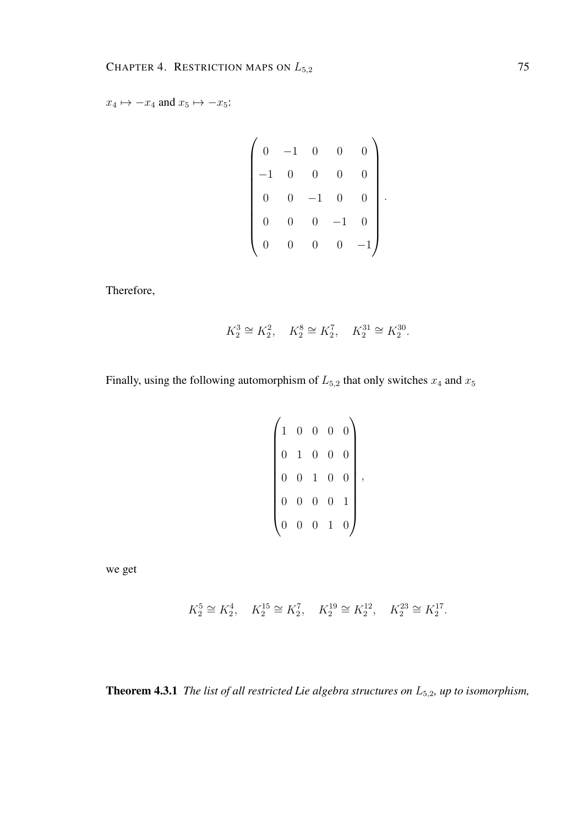$x_4 \mapsto -x_4$  and  $x_5 \mapsto -x_5$ :

$$
\begin{pmatrix} 0 & -1 & 0 & 0 & 0 \\ -1 & 0 & 0 & 0 & 0 \\ 0 & 0 & -1 & 0 & 0 \\ 0 & 0 & 0 & -1 & 0 \\ 0 & 0 & 0 & 0 & -1 \end{pmatrix}.
$$

Therefore,

$$
K_2^3\cong K_2^2,\quad K_2^8\cong K_2^7,\quad K_2^{31}\cong K_2^{30}.
$$

Finally, using the following automorphism of  $L_{5,2}$  that only switches  $x_4$  and  $x_5$ 

$$
\begin{pmatrix} 1 & 0 & 0 & 0 & 0 \\ 0 & 1 & 0 & 0 & 0 \\ 0 & 0 & 1 & 0 & 0 \\ 0 & 0 & 0 & 0 & 1 \\ 0 & 0 & 0 & 1 & 0 \end{pmatrix},
$$

we get

$$
K_2^5 \cong K_2^4
$$
,  $K_2^{15} \cong K_2^7$ ,  $K_2^{19} \cong K_2^{12}$ ,  $K_2^{23} \cong K_2^{17}$ .

Theorem 4.3.1 *The list of all restricted Lie algebra structures on* L5,2*, up to isomorphism,*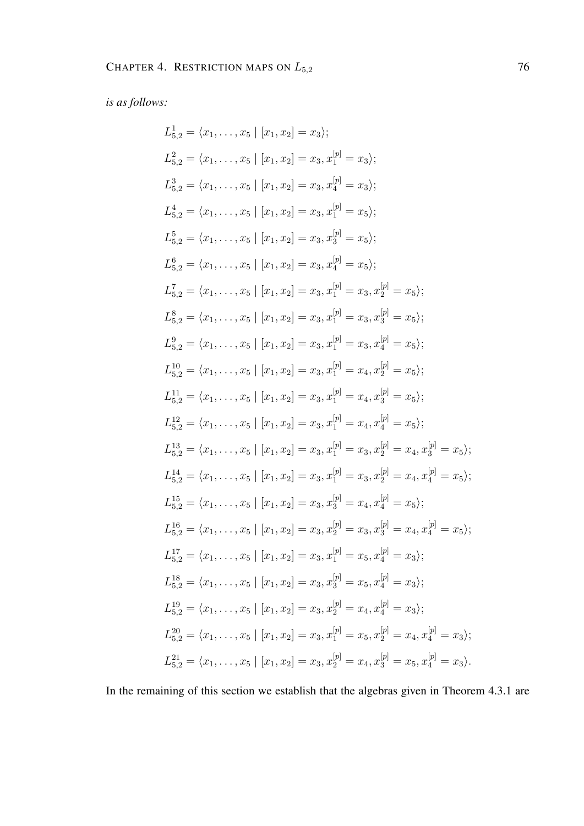*is as follows:*

$$
L_{5,2}^{1} = \langle x_{1},...,x_{5} | [x_{1}, x_{2}] = x_{3} \rangle;
$$
  
\n
$$
L_{5,2}^{2} = \langle x_{1},...,x_{5} | [x_{1}, x_{2}] = x_{3}, x_{1}^{[p]} = x_{3} \rangle;
$$
  
\n
$$
L_{5,2}^{3} = \langle x_{1},...,x_{5} | [x_{1}, x_{2}] = x_{3}, x_{1}^{[p]} = x_{5} \rangle;
$$
  
\n
$$
L_{5,2}^{4} = \langle x_{1},...,x_{5} | [x_{1}, x_{2}] = x_{3}, x_{1}^{[p]} = x_{5} \rangle;
$$
  
\n
$$
L_{5,2}^{5} = \langle x_{1},...,x_{5} | [x_{1}, x_{2}] = x_{3}, x_{1}^{[p]} = x_{5} \rangle;
$$
  
\n
$$
L_{5,2}^{6} = \langle x_{1},...,x_{5} | [x_{1}, x_{2}] = x_{3}, x_{1}^{[p]} = x_{3} \rangle;
$$
  
\n
$$
L_{5,2}^{7} = \langle x_{1},...,x_{5} | [x_{1}, x_{2}] = x_{3}, x_{1}^{[p]} = x_{3}, x_{2}^{[p]} = x_{5} \rangle;
$$
  
\n
$$
L_{5,2}^{8} = \langle x_{1},...,x_{5} | [x_{1}, x_{2}] = x_{3}, x_{1}^{[p]} = x_{3}, x_{2}^{[p]} = x_{5} \rangle;
$$
  
\n
$$
L_{5,2}^{9} = \langle x_{1},...,x_{5} | [x_{1}, x_{2}] = x_{3}, x_{1}^{[p]} = x_{3}, x_{4}^{[p]} = x_{5} \rangle;
$$
  
\n
$$
L_{5,2}^{1,1} = \langle x_{1},...,x_{5} | [x_{1}, x_{2}] = x_{3}, x_{1}^{[p]} = x_{4}, x_{2}^{[p]} = x_{5} \rangle;
$$
  
\n
$$
L_{5,2}^{1,2} = \langle x_{1},...,x_{5} | [x_{1}, x_{2}] = x_{3}, x_{1}^{[p]} = x_{4}, x_{2}^{[p]} = x_{5} \rangle;
$$
  
\n
$$
L_{5,2}^{1,3
$$

In the remaining of this section we establish that the algebras given in Theorem 4.3.1 are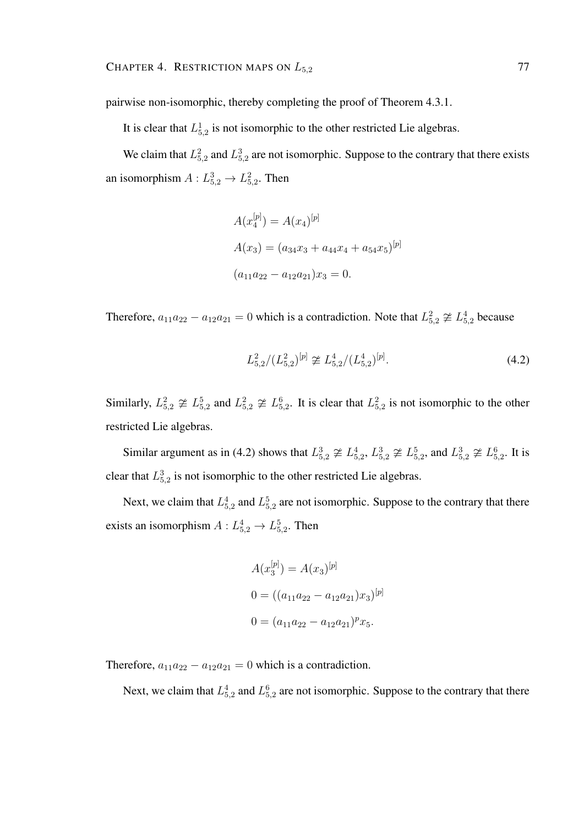pairwise non-isomorphic, thereby completing the proof of Theorem 4.3.1.

It is clear that  $L_{5,2}^1$  is not isomorphic to the other restricted Lie algebras.

We claim that  $L_{5,2}^2$  and  $L_{5,2}^3$  are not isomorphic. Suppose to the contrary that there exists an isomorphism  $A: L_{5,2}^3 \rightarrow L_{5,2}^2$ . Then

$$
A(x_4^{[p]}) = A(x_4)^{[p]}
$$
  
\n
$$
A(x_3) = (a_{34}x_3 + a_{44}x_4 + a_{54}x_5)^{[p]}
$$
  
\n
$$
(a_{11}a_{22} - a_{12}a_{21})x_3 = 0.
$$

Therefore,  $a_{11}a_{22} - a_{12}a_{21} = 0$  which is a contradiction. Note that  $L_{5,2}^2 \not\cong L_{5,2}^4$  because

$$
L_{5,2}^2/(L_{5,2}^2)^{[p]} \ncong L_{5,2}^4/(L_{5,2}^4)^{[p]}.
$$
\n(4.2)

Similarly,  $L_{5,2}^2 \not\cong L_{5,2}^5$  and  $L_{5,2}^2 \not\cong L_{5,2}^6$ . It is clear that  $L_{5,2}^2$  is not isomorphic to the other restricted Lie algebras.

Similar argument as in (4.2) shows that  $L_{5,2}^3 \not\cong L_{5,2}^4$ ,  $L_{5,2}^3 \not\cong L_{5,2}^5$ , and  $L_{5,2}^3 \not\cong L_{5,2}^6$ . It is clear that  $L_{5,2}^3$  is not isomorphic to the other restricted Lie algebras.

Next, we claim that  $L_{5,2}^4$  and  $L_{5,2}^5$  are not isomorphic. Suppose to the contrary that there exists an isomorphism  $A: L_{5,2}^4 \rightarrow L_{5,2}^5$ . Then

$$
A(x_3^{[p]}) = A(x_3)^{[p]}
$$
  
\n
$$
0 = ((a_{11}a_{22} - a_{12}a_{21})x_3)^{[p]}
$$
  
\n
$$
0 = (a_{11}a_{22} - a_{12}a_{21})^p x_5.
$$

Therefore,  $a_{11}a_{22} - a_{12}a_{21} = 0$  which is a contradiction.

Next, we claim that  $L_{5,2}^4$  and  $L_{5,2}^6$  are not isomorphic. Suppose to the contrary that there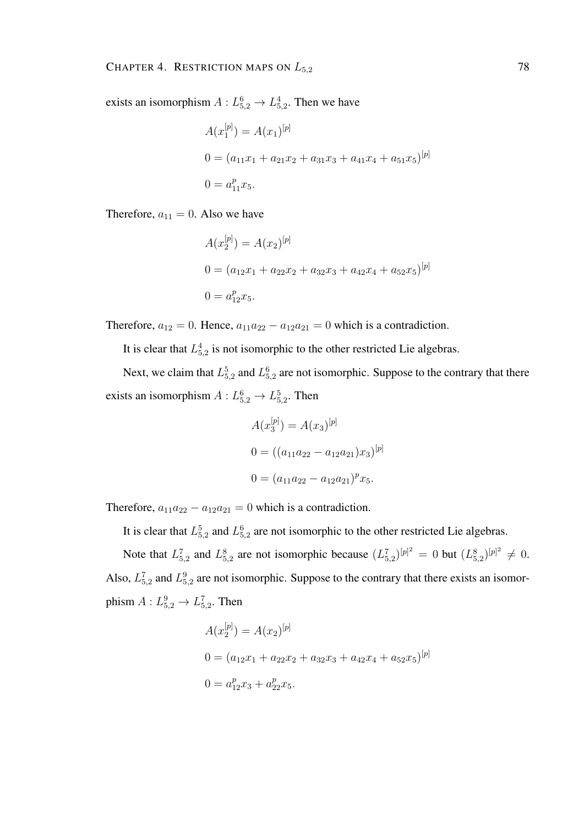exists an isomorphism  $A: L_{5,2}^6 \to L_{5,2}^4$ . Then we have

$$
A(x_1^{[p]}) = A(x_1)^{[p]}
$$
  
\n
$$
0 = (a_{11}x_1 + a_{21}x_2 + a_{31}x_3 + a_{41}x_4 + a_{51}x_5)^{[p]}
$$
  
\n
$$
0 = a_{11}^p x_5.
$$

Therefore,  $a_{11} = 0$ . Also we have

$$
A(x_2^{[p]}) = A(x_2)^{[p]}
$$
  
\n
$$
0 = (a_{12}x_1 + a_{22}x_2 + a_{32}x_3 + a_{42}x_4 + a_{52}x_5)^{[p]}
$$
  
\n
$$
0 = a_{12}^p x_5.
$$

Therefore,  $a_{12} = 0$ . Hence,  $a_{11}a_{22} - a_{12}a_{21} = 0$  which is a contradiction.

It is clear that  $L_{5,2}^4$  is not isomorphic to the other restricted Lie algebras.

Next, we claim that  $L_{5,2}^5$  and  $L_{5,2}^6$  are not isomorphic. Suppose to the contrary that there exists an isomorphism  $A: L_{5,2}^6 \to L_{5,2}^5$ . Then

$$
A(x_3^{[p]}) = A(x_3)^{[p]}
$$
  
\n
$$
0 = ((a_{11}a_{22} - a_{12}a_{21})x_3)^{[p]}
$$
  
\n
$$
0 = (a_{11}a_{22} - a_{12}a_{21})^p x_5.
$$

Therefore,  $a_{11}a_{22} - a_{12}a_{21} = 0$  which is a contradiction.

It is clear that  $L_{5,2}^5$  and  $L_{5,2}^6$  are not isomorphic to the other restricted Lie algebras.

Note that  $L_{5,2}^7$  and  $L_{5,2}^8$  are not isomorphic because  $(L_{5,2}^7)^{[p]^2} = 0$  but  $(L_{5,2}^8)^{[p]^2} \neq 0$ . Also,  $L_{5,2}^7$  and  $L_{5,2}^9$  are not isomorphic. Suppose to the contrary that there exists an isomorphism  $A: L_{5,2}^9 \rightarrow L_{5,2}^7$ . Then

$$
A(x_2^{[p]}) = A(x_2)^{[p]}
$$
  
\n
$$
0 = (a_{12}x_1 + a_{22}x_2 + a_{32}x_3 + a_{42}x_4 + a_{52}x_5)^{[p]}
$$
  
\n
$$
0 = a_{12}^px_3 + a_{22}^px_5.
$$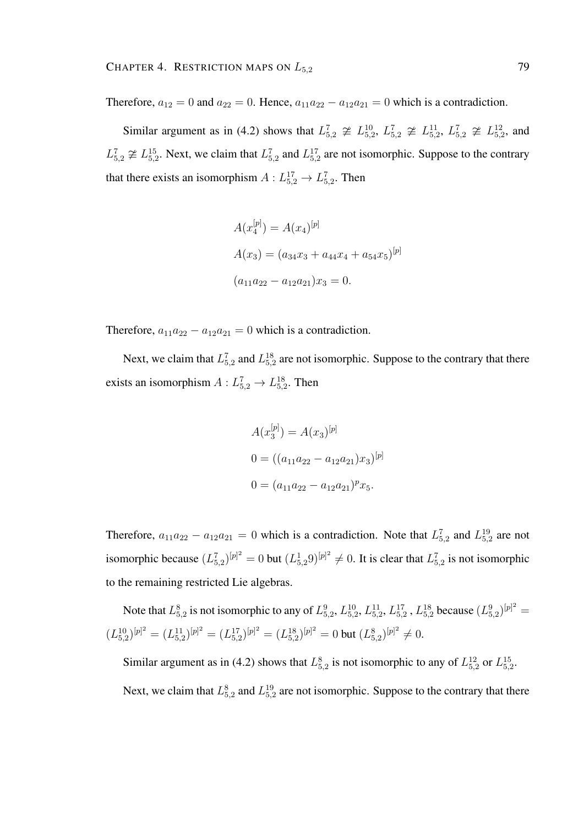Therefore,  $a_{12} = 0$  and  $a_{22} = 0$ . Hence,  $a_{11}a_{22} - a_{12}a_{21} = 0$  which is a contradiction.

Similar argument as in (4.2) shows that  $L_{5,2}^7 \not\cong L_{5,2}^{10}$ ,  $L_{5,2}^7 \not\cong L_{5,2}^{11}$ ,  $L_{5,2}^7 \not\cong L_{5,2}^{12}$ , and  $L_{5,2}^7 \ncong L_{5,2}^{15}$ . Next, we claim that  $L_{5,2}^7$  and  $L_{5,2}^{17}$  are not isomorphic. Suppose to the contrary that there exists an isomorphism  $A: L_{5,2}^{17} \rightarrow L_{5,2}^7$ . Then

$$
A(x_4^{[p]}) = A(x_4)^{[p]}
$$
  
\n
$$
A(x_3) = (a_{34}x_3 + a_{44}x_4 + a_{54}x_5)^{[p]}
$$
  
\n
$$
(a_{11}a_{22} - a_{12}a_{21})x_3 = 0.
$$

Therefore,  $a_{11}a_{22} - a_{12}a_{21} = 0$  which is a contradiction.

Next, we claim that  $L_{5,2}^7$  and  $L_{5,2}^{18}$  are not isomorphic. Suppose to the contrary that there exists an isomorphism  $A: L_{5,2}^7 \rightarrow L_{5,2}^{18}$ . Then

$$
A(x_3^{[p]}) = A(x_3)^{[p]}
$$
  
\n
$$
0 = ((a_{11}a_{22} - a_{12}a_{21})x_3)^{[p]}
$$
  
\n
$$
0 = (a_{11}a_{22} - a_{12}a_{21})^p x_5.
$$

Therefore,  $a_{11}a_{22} - a_{12}a_{21} = 0$  which is a contradiction. Note that  $L_{5,2}^7$  and  $L_{5,2}^{19}$  are not isomorphic because  $(L_{5,2}^7)^{[p]^2} = 0$  but  $(L_{5,2}^1 9)^{[p]^2} \neq 0$ . It is clear that  $L_{5,2}^7$  is not isomorphic to the remaining restricted Lie algebras.

Note that  $L_{5,2}^8$  is not isomorphic to any of  $L_{5,2}^9$ ,  $L_{5,2}^{10}$ ,  $L_{5,2}^{11}$ ,  $L_{5,2}^{17}$ ,  $L_{5,2}^{18}$  because  $(L_{5,2}^9)^{[p]^2}$  =  $(L_{5,2}^{10})^{[p]^2} = (L_{5,2}^{11})^{[p]^2} = (L_{5,2}^{17})^{[p]^2} = (L_{5,2}^{18})^{[p]^2} = 0$  but  $(L_{5,2}^8)^{[p]^2} \neq 0$ .

Similar argument as in (4.2) shows that  $L_{5,2}^8$  is not isomorphic to any of  $L_{5,2}^{12}$  or  $L_{5,2}^{15}$ . Next, we claim that  $L_{5,2}^8$  and  $L_{5,2}^{19}$  are not isomorphic. Suppose to the contrary that there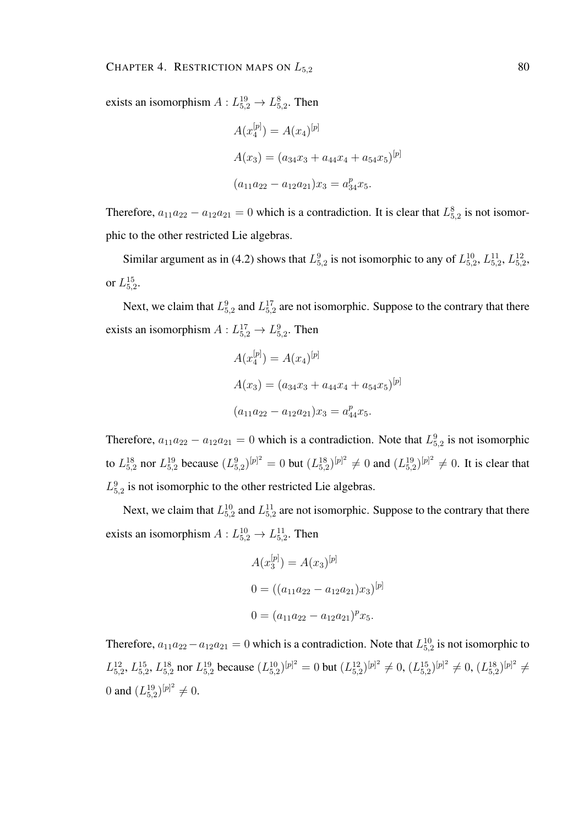exists an isomorphism  $A: L_{5,2}^{19} \to L_{5,2}^8$ . Then

$$
A(x_4^{[p]} ) = A(x_4)^{[p]}
$$
  
\n
$$
A(x_3) = (a_{34}x_3 + a_{44}x_4 + a_{54}x_5)^{[p]}
$$
  
\n
$$
(a_{11}a_{22} - a_{12}a_{21})x_3 = a_{34}^p x_5.
$$

Therefore,  $a_{11}a_{22} - a_{12}a_{21} = 0$  which is a contradiction. It is clear that  $L_{5,2}^8$  is not isomorphic to the other restricted Lie algebras.

Similar argument as in (4.2) shows that  $L_{5,2}^9$  is not isomorphic to any of  $L_{5,2}^{10}$ ,  $L_{5,2}^{11}$ ,  $L_{5,2}^{12}$ , or  $L_{5,2}^{15}$ .

Next, we claim that  $L_{5,2}^9$  and  $L_{5,2}^{17}$  are not isomorphic. Suppose to the contrary that there exists an isomorphism  $A: L_{5,2}^{17} \rightarrow L_{5,2}^{9}$ . Then

$$
A(x_4^{[p]}) = A(x_4)^{[p]}
$$
  
\n
$$
A(x_3) = (a_{34}x_3 + a_{44}x_4 + a_{54}x_5)^{[p]}
$$
  
\n
$$
(a_{11}a_{22} - a_{12}a_{21})x_3 = a_{44}^px_5.
$$

Therefore,  $a_{11}a_{22} - a_{12}a_{21} = 0$  which is a contradiction. Note that  $L_{5,2}^9$  is not isomorphic to  $L_{5,2}^{18}$  nor  $L_{5,2}^{19}$  because  $(L_{5,2}^{9})^{[p]2} = 0$  but  $(L_{5,2}^{18})^{[p]2} \neq 0$  and  $(L_{5,2}^{19})^{[p]2} \neq 0$ . It is clear that  $L_{5,2}^9$  is not isomorphic to the other restricted Lie algebras.

Next, we claim that  $L_{5,2}^{10}$  and  $L_{5,2}^{11}$  are not isomorphic. Suppose to the contrary that there exists an isomorphism  $A: L_{5,2}^{10} \rightarrow L_{5,2}^{11}$ . Then

$$
A(x_3^{[p]}) = A(x_3)^{[p]}
$$
  
\n
$$
0 = ((a_{11}a_{22} - a_{12}a_{21})x_3)^{[p]}
$$
  
\n
$$
0 = (a_{11}a_{22} - a_{12}a_{21})^p x_5.
$$

Therefore,  $a_{11}a_{22} - a_{12}a_{21} = 0$  which is a contradiction. Note that  $L_{5,2}^{10}$  is not isomorphic to  $L_{5,2}^{12}$ ,  $L_{5,2}^{15}$ ,  $L_{5,2}^{18}$  nor  $L_{5,2}^{19}$  because  $(L_{5,2}^{10})^{[p]^2} = 0$  but  $(L_{5,2}^{12})^{[p]^2} \neq 0$ ,  $(L_{5,2}^{15})^{[p]^2} \neq 0$ ,  $(L_{5,2}^{18})^{[p]^2} \neq 0$ 0 and  $(L_{5,2}^{19})^{[p]^{2}} \neq 0$ .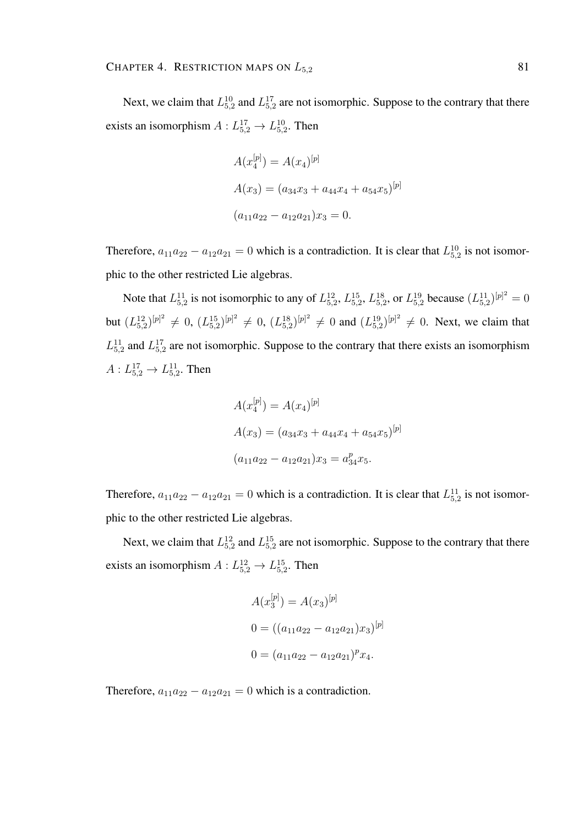Next, we claim that  $L_{5,2}^{10}$  and  $L_{5,2}^{17}$  are not isomorphic. Suppose to the contrary that there exists an isomorphism  $A: L_{5,2}^{17} \rightarrow L_{5,2}^{10}$ . Then

$$
A(x_4^{[p]}) = A(x_4)^{[p]}
$$
  
\n
$$
A(x_3) = (a_{34}x_3 + a_{44}x_4 + a_{54}x_5)^{[p]}
$$
  
\n
$$
(a_{11}a_{22} - a_{12}a_{21})x_3 = 0.
$$

Therefore,  $a_{11}a_{22} - a_{12}a_{21} = 0$  which is a contradiction. It is clear that  $L_{5,2}^{10}$  is not isomorphic to the other restricted Lie algebras.

Note that  $L_{5,2}^{11}$  is not isomorphic to any of  $L_{5,2}^{12}$ ,  $L_{5,2}^{15}$ ,  $L_{5,2}^{18}$ , or  $L_{5,2}^{19}$  because  $(L_{5,2}^{11})^{[p]^{2}} = 0$ but  $(L_{5,2}^{12})^{[p]^{2}} \neq 0$ ,  $(L_{5,2}^{15})^{[p]^{2}} \neq 0$ ,  $(L_{5,2}^{18})^{[p]^{2}} \neq 0$  and  $(L_{5,2}^{19})^{[p]^{2}} \neq 0$ . Next, we claim that  $L_{5,2}^{11}$  and  $L_{5,2}^{17}$  are not isomorphic. Suppose to the contrary that there exists an isomorphism  $A: L_{5,2}^{17} \to L_{5,2}^{11}$ . Then

$$
A(x_4^{[p]}) = A(x_4)^{[p]}
$$
  
\n
$$
A(x_3) = (a_{34}x_3 + a_{44}x_4 + a_{54}x_5)^{[p]}
$$
  
\n
$$
(a_{11}a_{22} - a_{12}a_{21})x_3 = a_{34}^p x_5.
$$

Therefore,  $a_{11}a_{22} - a_{12}a_{21} = 0$  which is a contradiction. It is clear that  $L_{5,2}^{11}$  is not isomorphic to the other restricted Lie algebras.

Next, we claim that  $L_{5,2}^{12}$  and  $L_{5,2}^{15}$  are not isomorphic. Suppose to the contrary that there exists an isomorphism  $A: L_{5,2}^{12} \rightarrow L_{5,2}^{15}$ . Then

$$
A(x_3^{[p]}) = A(x_3)^{[p]}
$$
  
\n
$$
0 = ((a_{11}a_{22} - a_{12}a_{21})x_3)^{[p]}
$$
  
\n
$$
0 = (a_{11}a_{22} - a_{12}a_{21})^p x_4.
$$

Therefore,  $a_{11}a_{22} - a_{12}a_{21} = 0$  which is a contradiction.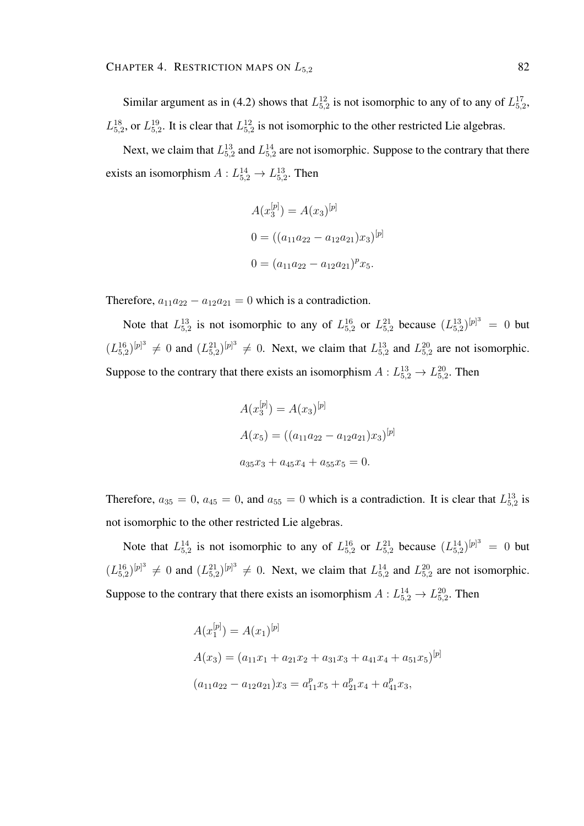Similar argument as in (4.2) shows that  $L_{5,2}^{12}$  is not isomorphic to any of to any of  $L_{5,2}^{17}$ ,  $L_{5,2}^{18}$ , or  $L_{5,2}^{19}$ . It is clear that  $L_{5,2}^{12}$  is not isomorphic to the other restricted Lie algebras.

Next, we claim that  $L_{5,2}^{13}$  and  $L_{5,2}^{14}$  are not isomorphic. Suppose to the contrary that there exists an isomorphism  $A: L_{5,2}^{14} \rightarrow L_{5,2}^{13}$ . Then

$$
A(x_3^{[p]}) = A(x_3)^{[p]}
$$
  
\n
$$
0 = ((a_{11}a_{22} - a_{12}a_{21})x_3)^{[p]}
$$
  
\n
$$
0 = (a_{11}a_{22} - a_{12}a_{21})^p x_5.
$$

Therefore,  $a_{11}a_{22} - a_{12}a_{21} = 0$  which is a contradiction.

Note that  $L_{5,2}^{13}$  is not isomorphic to any of  $L_{5,2}^{16}$  or  $L_{5,2}^{21}$  because  $(L_{5,2}^{13})^{[p]^{3}} = 0$  but  $(L_{5,2}^{16})^{[p]^3} \neq 0$  and  $(L_{5,2}^{21})^{[p]^3} \neq 0$ . Next, we claim that  $L_{5,2}^{13}$  and  $L_{5,2}^{20}$  are not isomorphic. Suppose to the contrary that there exists an isomorphism  $A: L_{5,2}^{13} \to L_{5,2}^{20}$ . Then

$$
A(x_3^{[p]}) = A(x_3)^{[p]}
$$
  
\n
$$
A(x_5) = ((a_{11}a_{22} - a_{12}a_{21})x_3)^{[p]}
$$
  
\n
$$
a_{35}x_3 + a_{45}x_4 + a_{55}x_5 = 0.
$$

Therefore,  $a_{35} = 0$ ,  $a_{45} = 0$ , and  $a_{55} = 0$  which is a contradiction. It is clear that  $L_{5,2}^{13}$  is not isomorphic to the other restricted Lie algebras.

Note that  $L_{5,2}^{14}$  is not isomorphic to any of  $L_{5,2}^{16}$  or  $L_{5,2}^{21}$  because  $(L_{5,2}^{14})^{[p]^{3}} = 0$  but  $(L_{5,2}^{16})^{[p]^3} \neq 0$  and  $(L_{5,2}^{21})^{[p]^3} \neq 0$ . Next, we claim that  $L_{5,2}^{14}$  and  $L_{5,2}^{20}$  are not isomorphic. Suppose to the contrary that there exists an isomorphism  $A: L_{5,2}^{14} \to L_{5,2}^{20}$ . Then

$$
A(x_1^{[p]}) = A(x_1)^{[p]}
$$
  
\n
$$
A(x_3) = (a_{11}x_1 + a_{21}x_2 + a_{31}x_3 + a_{41}x_4 + a_{51}x_5)^{[p]}
$$
  
\n
$$
(a_{11}a_{22} - a_{12}a_{21})x_3 = a_{11}^px_5 + a_{21}^px_4 + a_{41}^px_3,
$$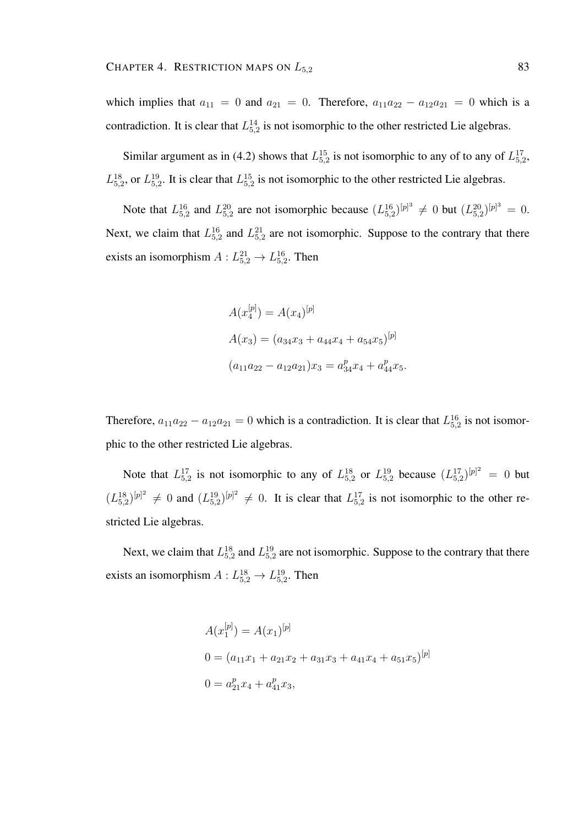which implies that  $a_{11} = 0$  and  $a_{21} = 0$ . Therefore,  $a_{11}a_{22} - a_{12}a_{21} = 0$  which is a contradiction. It is clear that  $L_{5,2}^{14}$  is not isomorphic to the other restricted Lie algebras.

Similar argument as in (4.2) shows that  $L_{5,2}^{15}$  is not isomorphic to any of to any of  $L_{5,2}^{17}$ ,  $L_{5,2}^{18}$ , or  $L_{5,2}^{19}$ . It is clear that  $L_{5,2}^{15}$  is not isomorphic to the other restricted Lie algebras.

Note that  $L_{5,2}^{16}$  and  $L_{5,2}^{20}$  are not isomorphic because  $(L_{5,2}^{16})^{[p]^3} \neq 0$  but  $(L_{5,2}^{20})^{[p]^3} = 0$ . Next, we claim that  $L_{5,2}^{16}$  and  $L_{5,2}^{21}$  are not isomorphic. Suppose to the contrary that there exists an isomorphism  $A: L_{5,2}^{21} \rightarrow L_{5,2}^{16}$ . Then

$$
A(x_4^{[p]}) = A(x_4)^{[p]}
$$
  
\n
$$
A(x_3) = (a_{34}x_3 + a_{44}x_4 + a_{54}x_5)^{[p]}
$$
  
\n
$$
(a_{11}a_{22} - a_{12}a_{21})x_3 = a_{34}^p x_4 + a_{44}^p x_5.
$$

Therefore,  $a_{11}a_{22} - a_{12}a_{21} = 0$  which is a contradiction. It is clear that  $L_{5,2}^{16}$  is not isomorphic to the other restricted Lie algebras.

Note that  $L_{5,2}^{17}$  is not isomorphic to any of  $L_{5,2}^{18}$  or  $L_{5,2}^{19}$  because  $(L_{5,2}^{17})^{[p]^{2}} = 0$  but  $(L_{5,2}^{18})^{[p]^2} \neq 0$  and  $(L_{5,2}^{19})^{[p]^2} \neq 0$ . It is clear that  $L_{5,2}^{17}$  is not isomorphic to the other restricted Lie algebras.

Next, we claim that  $L_{5,2}^{18}$  and  $L_{5,2}^{19}$  are not isomorphic. Suppose to the contrary that there exists an isomorphism  $A: L_{5,2}^{18} \rightarrow L_{5,2}^{19}$ . Then

$$
A(x_1^{[p]}) = A(x_1)^{[p]}
$$
  
\n
$$
0 = (a_{11}x_1 + a_{21}x_2 + a_{31}x_3 + a_{41}x_4 + a_{51}x_5)^{[p]}
$$
  
\n
$$
0 = a_{21}^px_4 + a_{41}^px_3,
$$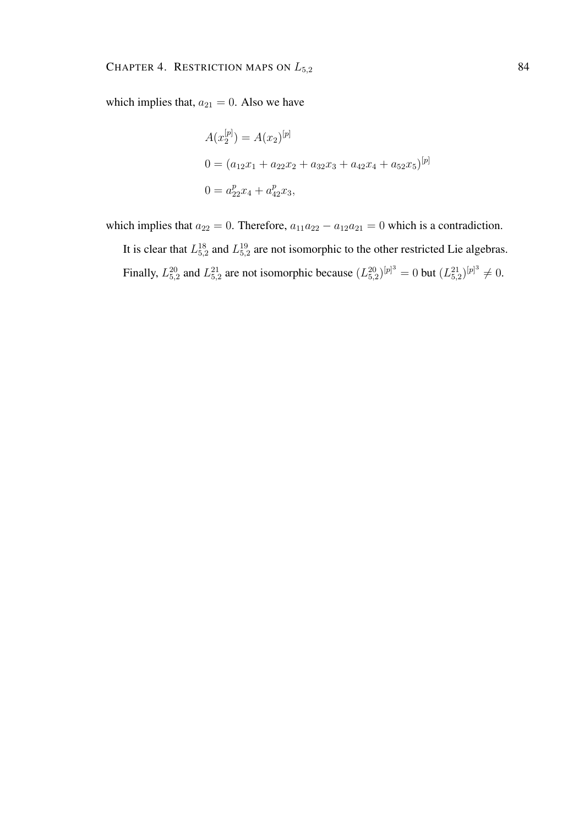which implies that,  $a_{21} = 0$ . Also we have

$$
A(x_2^{[p]}) = A(x_2)^{[p]}
$$
  
\n
$$
0 = (a_{12}x_1 + a_{22}x_2 + a_{32}x_3 + a_{42}x_4 + a_{52}x_5)^{[p]}
$$
  
\n
$$
0 = a_{22}^px_4 + a_{42}^px_3,
$$

which implies that  $a_{22} = 0$ . Therefore,  $a_{11}a_{22} - a_{12}a_{21} = 0$  which is a contradiction.

It is clear that  $L_{5,2}^{18}$  and  $L_{5,2}^{19}$  are not isomorphic to the other restricted Lie algebras. Finally,  $L_{5,2}^{20}$  and  $L_{5,2}^{21}$  are not isomorphic because  $(L_{5,2}^{20})^{[p]^3} = 0$  but  $(L_{5,2}^{21})^{[p]^3} \neq 0$ .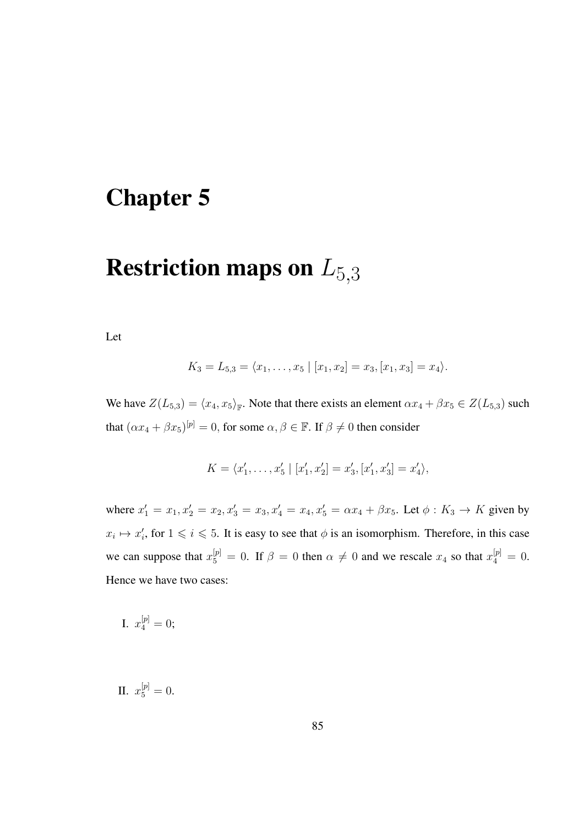# Chapter 5

# Restriction maps on  $L_{5,3}$

Let

$$
K_3 = L_{5,3} = \langle x_1, \ldots, x_5 \mid [x_1, x_2] = x_3, [x_1, x_3] = x_4 \rangle.
$$

We have  $Z(L_{5,3}) = \langle x_4, x_5 \rangle_{\mathbb{F}}$ . Note that there exists an element  $\alpha x_4 + \beta x_5 \in Z(L_{5,3})$  such that  $(\alpha x_4 + \beta x_5)^{[\mathfrak{p}]} = 0$ , for some  $\alpha, \beta \in \mathbb{F}$ . If  $\beta \neq 0$  then consider

$$
K = \langle x'_1, \dots, x'_5 \mid [x'_1, x'_2] = x'_3, [x'_1, x'_3] = x'_4 \rangle,
$$

where  $x'_1 = x_1, x'_2 = x_2, x'_3 = x_3, x'_4 = x_4, x'_5 = \alpha x_4 + \beta x_5$ . Let  $\phi : K_3 \to K$  given by  $x_i \mapsto x'_i$ , for  $1 \leq i \leq 5$ . It is easy to see that  $\phi$  is an isomorphism. Therefore, in this case we can suppose that  $x_5^{[p]} = 0$ . If  $\beta = 0$  then  $\alpha \neq 0$  and we rescale  $x_4$  so that  $x_4^{[p]} = 0$ . Hence we have two cases:

I. 
$$
x_4^{[p]} = 0;
$$

II.  $x_5^{[p]}=0$ .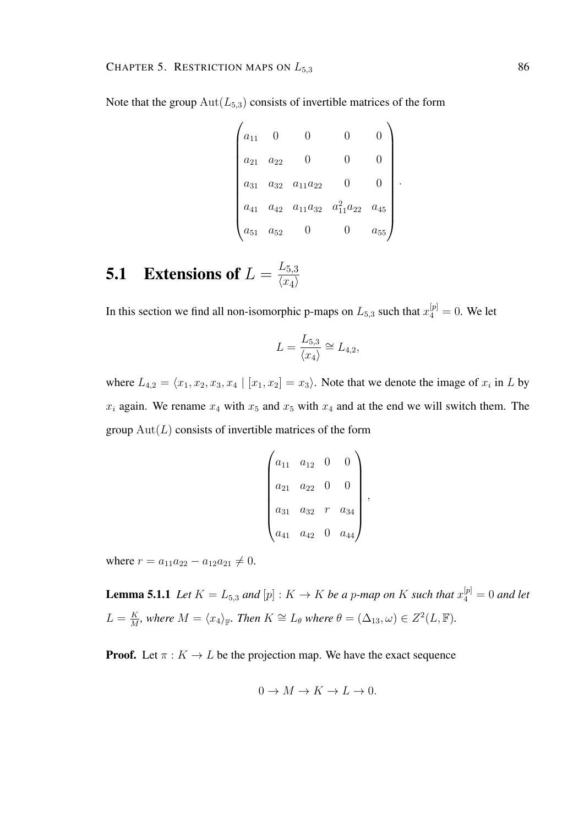Note that the group  $\text{Aut}(L_{5,3})$  consists of invertible matrices of the form

$$
\begin{pmatrix} a_{11} & 0 & 0 & 0 & 0 \ a_{21} & a_{22} & 0 & 0 & 0 \ a_{31} & a_{32} & a_{11}a_{22} & 0 & 0 \ a_{41} & a_{42} & a_{11}a_{32} & a_{11}^2a_{22} & a_{45} \ a_{51} & a_{52} & 0 & 0 & a_{55} \end{pmatrix}.
$$

### **5.1** Extensions of  $L = \frac{L_{5,3}}{L_{\text{max}}}$  $\langle x_4 \rangle$

In this section we find all non-isomorphic p-maps on  $L_{5,3}$  such that  $x_4^{[p]} = 0$ . We let

$$
L = \frac{L_{5,3}}{\langle x_4 \rangle} \cong L_{4,2},
$$

where  $L_{4,2} = \langle x_1, x_2, x_3, x_4 | [x_1, x_2] = x_3 \rangle$ . Note that we denote the image of  $x_i$  in L by  $x_i$  again. We rename  $x_4$  with  $x_5$  and  $x_5$  with  $x_4$  and at the end we will switch them. The group  $Aut(L)$  consists of invertible matrices of the form

$$
\begin{pmatrix} a_{11} & a_{12} & 0 & 0 \ a_{21} & a_{22} & 0 & 0 \ a_{31} & a_{32} & r & a_{34} \ a_{41} & a_{42} & 0 & a_{44} \end{pmatrix},
$$

where  $r = a_{11}a_{22} - a_{12}a_{21} \neq 0$ .

**Lemma 5.1.1** Let  $K = L_{5,3}$  and  $[p] : K \to K$  be a p-map on K such that  $x_4^{[p]} = 0$  and let  $L = \frac{K}{M}$  $\frac{K}{M}$ , where  $M = \langle x_4 \rangle_{\mathbb{F}}$ . Then  $K \cong L_{\theta}$  where  $\theta = (\Delta_{13}, \omega) \in Z^2(L, \mathbb{F})$ .

**Proof.** Let  $\pi : K \to L$  be the projection map. We have the exact sequence

$$
0 \to M \to K \to L \to 0.
$$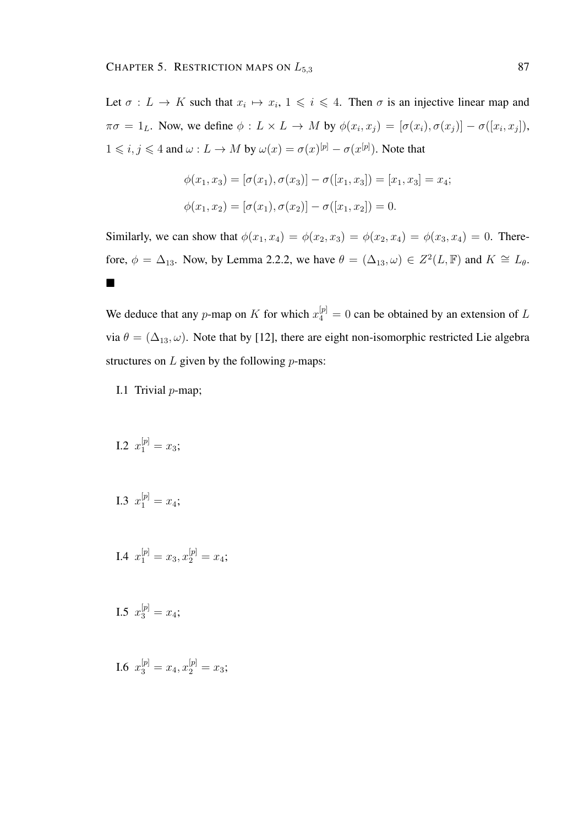Let  $\sigma: L \to K$  such that  $x_i \mapsto x_i, 1 \leq i \leq 4$ . Then  $\sigma$  is an injective linear map and  $\pi\sigma = 1_L$ . Now, we define  $\phi: L \times L \to M$  by  $\phi(x_i, x_j) = [\sigma(x_i), \sigma(x_j)] - \sigma([x_i, x_j]),$  $1 \leq i, j \leq 4$  and  $\omega: L \to M$  by  $\omega(x) = \sigma(x)^{[p]} - \sigma(x^{[p]})$ . Note that

$$
\phi(x_1, x_3) = [\sigma(x_1), \sigma(x_3)] - \sigma([x_1, x_3]) = [x_1, x_3] = x_4;
$$
  

$$
\phi(x_1, x_2) = [\sigma(x_1), \sigma(x_2)] - \sigma([x_1, x_2]) = 0.
$$

Similarly, we can show that  $\phi(x_1, x_4) = \phi(x_2, x_3) = \phi(x_2, x_4) = \phi(x_3, x_4) = 0$ . Therefore,  $\phi = \Delta_{13}$ . Now, by Lemma 2.2.2, we have  $\theta = (\Delta_{13}, \omega) \in Z^2(L, \mathbb{F})$  and  $K \cong L_{\theta}$ .  $\blacksquare$ 

We deduce that any p-map on K for which  $x_4^{[p]} = 0$  can be obtained by an extension of L via  $\theta = (\Delta_{13}, \omega)$ . Note that by [12], there are eight non-isomorphic restricted Lie algebra structures on  $L$  given by the following  $p$ -maps:

- I.1 Trivial  $p$ -map;
- I.2  $x_1^{[p]} = x_3;$
- I.3  $x_1^{[p]} = x_4;$
- I.4  $x_1^{[p]} = x_3, x_2^{[p]} = x_4;$
- I.5  $x_3^{[p]} = x_4;$

I.6  $x_3^{[p]} = x_4, x_2^{[p]} = x_3;$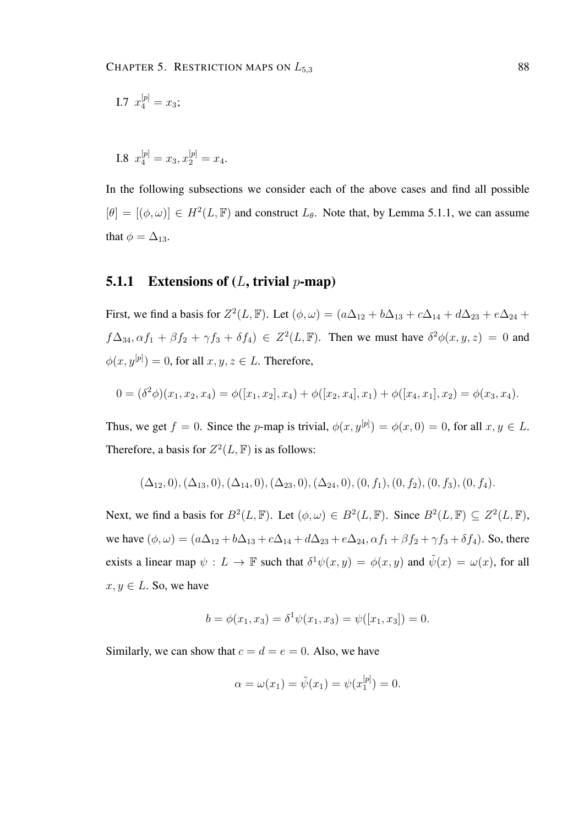I.7 
$$
x_4^{[p]} = x_3;
$$

I.8 
$$
x_4^{[p]} = x_3, x_2^{[p]} = x_4.
$$

In the following subsections we consider each of the above cases and find all possible  $[\theta] = [(\phi, \omega)] \in H^2(L, \mathbb{F})$  and construct  $L_{\theta}$ . Note that, by Lemma 5.1.1, we can assume that  $\phi = \Delta_{13}$ .

#### **5.1.1** Extensions of  $(L, \text{trivial } p\text{-map})$

First, we find a basis for  $Z^2(L, \mathbb{F})$ . Let  $(\phi, \omega) = (a\Delta_{12} + b\Delta_{13} + c\Delta_{14} + d\Delta_{23} + e\Delta_{24} + d\Delta_{34})$  $f\Delta_{34}, \alpha f_1 + \beta f_2 + \gamma f_3 + \delta f_4$ )  $\in Z^2(L, \mathbb{F})$ . Then we must have  $\delta^2 \phi(x, y, z) = 0$  and  $\phi(x, y^{[p]}) = 0$ , for all  $x, y, z \in L$ . Therefore,

$$
0 = (\delta^2 \phi)(x_1, x_2, x_4) = \phi([x_1, x_2], x_4) + \phi([x_2, x_4], x_1) + \phi([x_4, x_1], x_2) = \phi(x_3, x_4).
$$

Thus, we get  $f = 0$ . Since the p-map is trivial,  $\phi(x, y^{[p]}) = \phi(x, 0) = 0$ , for all  $x, y \in L$ . Therefore, a basis for  $Z^2(L, \mathbb{F})$  is as follows:

$$
(\Delta_{12},0), (\Delta_{13},0), (\Delta_{14},0), (\Delta_{23},0), (\Delta_{24},0), (0,f_1), (0,f_2), (0,f_3), (0,f_4).
$$

Next, we find a basis for  $B^2(L, \mathbb{F})$ . Let  $(\phi, \omega) \in B^2(L, \mathbb{F})$ . Since  $B^2(L, \mathbb{F}) \subseteq Z^2(L, \mathbb{F})$ , we have  $(\phi, \omega) = (a\Delta_{12} + b\Delta_{13} + c\Delta_{14} + d\Delta_{23} + e\Delta_{24}, \alpha f_1 + \beta f_2 + \gamma f_3 + \delta f_4)$ . So, there exists a linear map  $\psi : L \to \mathbb{F}$  such that  $\delta^1 \psi(x, y) = \phi(x, y)$  and  $\tilde{\psi}(x) = \omega(x)$ , for all  $x, y \in L$ . So, we have

$$
b = \phi(x_1, x_3) = \delta^1 \psi(x_1, x_3) = \psi([x_1, x_3]) = 0.
$$

Similarly, we can show that  $c = d = e = 0$ . Also, we have

$$
\alpha = \omega(x_1) = \tilde{\psi}(x_1) = \psi(x_1^{[p]}) = 0.
$$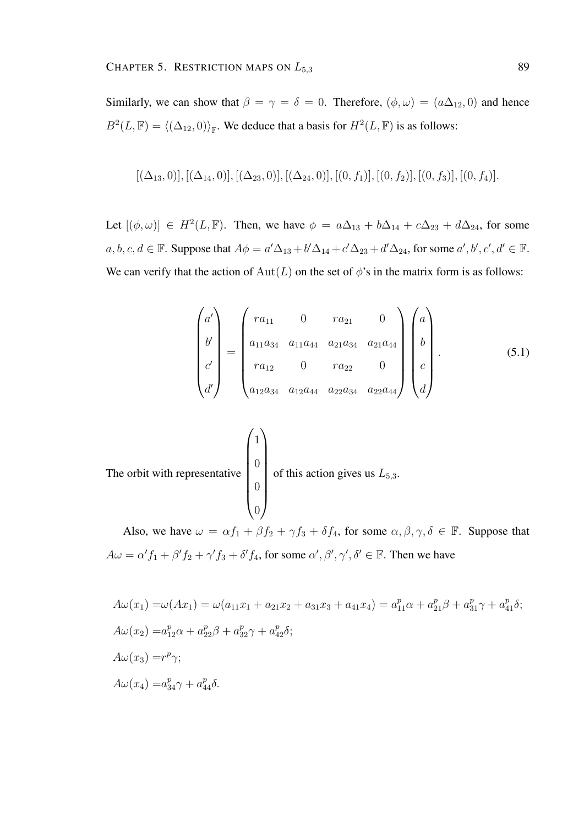Similarly, we can show that  $\beta = \gamma = \delta = 0$ . Therefore,  $(\phi, \omega) = (a\Delta_{12}, 0)$  and hence  $B^2(L, \mathbb{F}) = \langle (\Delta_{12}, 0) \rangle_{\mathbb{F}}$ . We deduce that a basis for  $H^2(L, \mathbb{F})$  is as follows:

$$
[(\Delta_{13},0)], [(\Delta_{14},0)], [(\Delta_{23},0)], [(\Delta_{24},0)], [(0,f_1)], [(0,f_2)], [(0,f_3)], [(0,f_4)].
$$

Let  $[(\phi, \omega)] \in H^2(L, \mathbb{F})$ . Then, we have  $\phi = a\Delta_{13} + b\Delta_{14} + c\Delta_{23} + d\Delta_{24}$ , for some  $a, b, c, d \in \mathbb{F}$ . Suppose that  $A\phi = a'\Delta_{13} + b'\Delta_{14} + c'\Delta_{23} + d'\Delta_{24}$ , for some  $a', b', c', d' \in \mathbb{F}$ . We can verify that the action of  $Aut(L)$  on the set of  $\phi$ 's in the matrix form is as follows:

$$
\begin{pmatrix} a' \\ b' \\ c' \\ d' \end{pmatrix} = \begin{pmatrix} ra_{11} & 0 & ra_{21} & 0 \\ a_{11}a_{34} & a_{11}a_{44} & a_{21}a_{34} & a_{21}a_{44} \\ ra_{12} & 0 & ra_{22} & 0 \\ a_{12}a_{34} & a_{12}a_{44} & a_{22}a_{34} & a_{22}a_{44} \end{pmatrix} \begin{pmatrix} a \\ b \\ c \\ d \end{pmatrix}.
$$
 (5.1)

The orbit with representative 
$$
\begin{pmatrix} 1 \\ 0 \\ 0 \\ 0 \end{pmatrix}
$$
 of this action gives us  $L_{5,3}$ .

Also, we have  $\omega = \alpha f_1 + \beta f_2 + \gamma f_3 + \delta f_4$ , for some  $\alpha, \beta, \gamma, \delta \in \mathbb{F}$ . Suppose that  $A\omega = \alpha' f_1 + \beta' f_2 + \gamma' f_3 + \delta' f_4$ , for some  $\alpha', \beta', \gamma', \delta' \in \mathbb{F}$ . Then we have

$$
A\omega(x_1) = \omega(Ax_1) = \omega(a_{11}x_1 + a_{21}x_2 + a_{31}x_3 + a_{41}x_4) = a_{11}^p \alpha + a_{21}^p \beta + a_{31}^p \gamma + a_{41}^p \delta;
$$
  
\n
$$
A\omega(x_2) = a_{12}^p \alpha + a_{22}^p \beta + a_{32}^p \gamma + a_{42}^p \delta;
$$
  
\n
$$
A\omega(x_3) = r^p \gamma;
$$
  
\n
$$
A\omega(x_4) = a_{34}^p \gamma + a_{44}^p \delta.
$$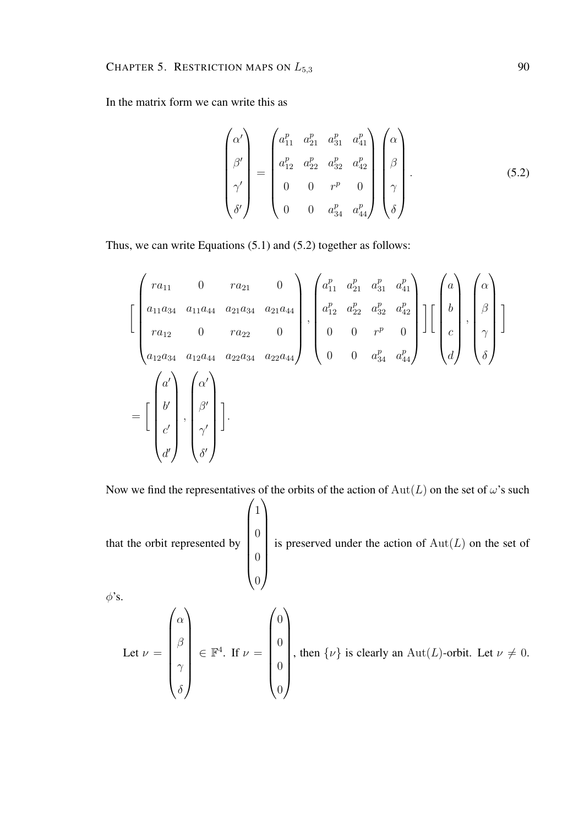In the matrix form we can write this as

$$
\begin{pmatrix}\n\alpha' \\
\beta' \\
\beta'\n\end{pmatrix} = \begin{pmatrix}\na_{11}^p & a_{21}^p & a_{31}^p & a_{41}^p \\
a_{12}^p & a_{22}^p & a_{32}^p & a_{42}^p \\
0 & 0 & r^p & 0 \\
0 & 0 & a_{34}^p & a_{44}^p\n\end{pmatrix} \begin{pmatrix}\n\alpha \\
\beta \\
\beta \\
\gamma \\
\delta\n\end{pmatrix}.
$$
\n(5.2)

Thus, we can write Equations (5.1) and (5.2) together as follows:

$$
\begin{bmatrix}\n r a_{11} & 0 & r a_{21} & 0 \\
 a_{11} a_{34} & a_{11} a_{44} & a_{21} a_{34} & a_{21} a_{44} \\
 r a_{12} & 0 & r a_{22} & 0 \\
 a_{12} a_{34} & a_{12} a_{44} & a_{22} a_{34} & a_{22} a_{44}\n\end{bmatrix},\n\begin{bmatrix}\na_{11}^p & a_{21}^p & a_{31}^p & a_{41}^p \\
a_{12}^p & a_{22}^p & a_{32}^p & a_{42}^p \\
0 & 0 & r^p & 0 \\
0 & 0 & a_{34}^p & a_{44}^p\n\end{bmatrix}\n\begin{bmatrix}\n a \\
 b \\
 c \\
 d\n\end{bmatrix},\n\begin{bmatrix}\n \alpha \\
 \beta \\
 \gamma \\
 \delta\n\end{bmatrix}
$$
\n
$$
=\begin{bmatrix}\n a' \\
 b' \\
 c' \\
 d'\n\end{bmatrix},\n\begin{bmatrix}\n \alpha' \\
 \beta \\
 \beta' \\
 \delta'\n\end{bmatrix}.
$$

Now we find the representatives of the orbits of the action of  $Aut(L)$  on the set of  $\omega$ 's such

that the orbit represented by  $\sqrt{1}$  $\begin{array}{c} \begin{array}{c} \begin{array}{c} \begin{array}{c} \end{array} \\ \end{array} \end{array} \end{array}$  $\overline{0}$  $\overline{0}$  $\overline{0}$  $\setminus$  $\begin{array}{c} \hline \end{array}$ is preserved under the action of  $Aut(L)$  on the set of

 $\phi$ 's.

Let 
$$
\nu = \begin{pmatrix} \alpha \\ \beta \\ \gamma \\ \delta \end{pmatrix} \in \mathbb{F}^4
$$
. If  $\nu = \begin{pmatrix} 0 \\ 0 \\ 0 \\ 0 \\ 0 \end{pmatrix}$ , then  $\{\nu\}$  is clearly an  $Aut(L)$ -orbit. Let  $\nu \neq 0$ .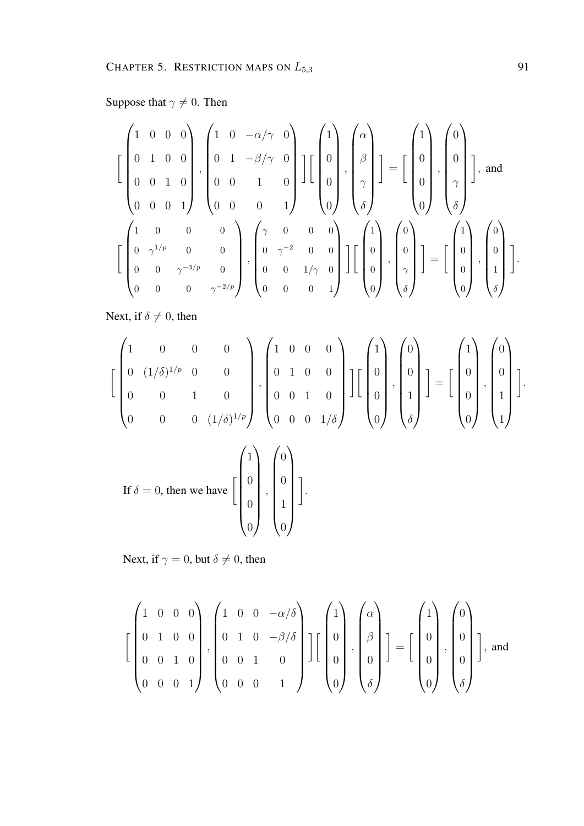## Suppose that  $\gamma \neq 0$ . Then

$$
\begin{bmatrix} 1 & 0 & 0 & 0 \ 0 & 1 & 0 & 0 \ 0 & 0 & 1 & 0 \ 0 & 0 & 0 & 1 \ \end{bmatrix}, \begin{bmatrix} 1 & 0 & -\alpha/\gamma & 0 \ 0 & 1 & -\beta/\gamma & 0 \ 0 & 0 & 1 & 0 \ 0 & 0 & 0 & 1 \ \end{bmatrix} \begin{bmatrix} 1 \ 0 \ 0 \ 0 \end{bmatrix}, \begin{bmatrix} \alpha \ \beta \ \gamma \ \delta \end{bmatrix} \end{bmatrix} = \begin{bmatrix} 1 \ 0 \ 0 \ 0 \end{bmatrix}, \begin{bmatrix} 0 \ 0 \ \gamma \ \delta \end{bmatrix} \end{bmatrix}, \text{and}
$$

$$
\begin{bmatrix} 1 & 0 & 0 & 0 \ 0 & \gamma^{1/p} & 0 & 0 \ 0 & 0 & \gamma^{-3/p} & 0 \ 0 & 0 & \gamma^{-2/p} \ \end{bmatrix}, \begin{bmatrix} \gamma & 0 & 0 & 0 \ 0 & \gamma^{-2} & 0 & 0 \ 0 & 0 & 1/\gamma & 0 \ 0 & 0 & 0 & 1 \ \end{bmatrix} \begin{bmatrix} 1 \ 0 \ 0 \ 0 \end{bmatrix}, \begin{bmatrix} 0 \ 0 \ 0 \ 0 \end{bmatrix} \end{bmatrix} = \begin{bmatrix} 1 \ 0 \ 0 \ 0 \end{bmatrix}, \begin{bmatrix} 0 \ 0 \ 1 \ 0 \ 0 \end{bmatrix}.
$$

Next, if  $\delta \neq 0$ , then

$$
\begin{bmatrix} 1 & 0 & 0 & 0 \ 0 & (1/\delta)^{1/p} & 0 & 0 \ 0 & 0 & 1 & 0 \ 0 & 0 & 0 & (1/\delta)^{1/p} \end{bmatrix}, \begin{bmatrix} 1 & 0 & 0 & 0 \ 0 & 1 & 0 & 0 \ 0 & 0 & 1 & 0 \ 0 & 0 & 0 & 1/\delta \end{bmatrix} \begin{bmatrix} 1 \ 0 \ 0 \ 0 \end{bmatrix}, \begin{bmatrix} 0 \ 0 \ 1 \ 0 \end{bmatrix} \end{bmatrix} = \begin{bmatrix} 1 \ 0 \ 0 \ 0 \end{bmatrix}, \begin{bmatrix} 0 \ 1 \ 1 \ 1 \end{bmatrix}.
$$
  
If  $\delta = 0$ , then we have  $\begin{bmatrix} 1 \ 0 \ 0 \ 0 \end{bmatrix}, \begin{bmatrix} 0 \ 0 \ 1 \ 1 \end{bmatrix}$ .

Next, if  $\gamma = 0$ , but  $\delta \neq 0$ , then

$$
\left[\begin{pmatrix}1 & 0 & 0 & 0\\0 & 1 & 0 & 0\\0 & 0 & 1 & 0\\0 & 0 & 0 & 1\end{pmatrix}, \begin{pmatrix}1 & 0 & 0 & -\alpha/\delta\\0 & 1 & 0 & -\beta/\delta\\0 & 0 & 1 & 0\\0 & 0 & 0 & 1\end{pmatrix}\right]\left[\begin{pmatrix}1\\0\\0\\0\end{pmatrix}, \begin{pmatrix}\alpha\\{\beta}\\0\\0\end{pmatrix}\right] = \left[\begin{pmatrix}1\\0\\0\\0\end{pmatrix}, \begin{pmatrix}0\\0\\0\\0\end{pmatrix}\right], \text{ and}
$$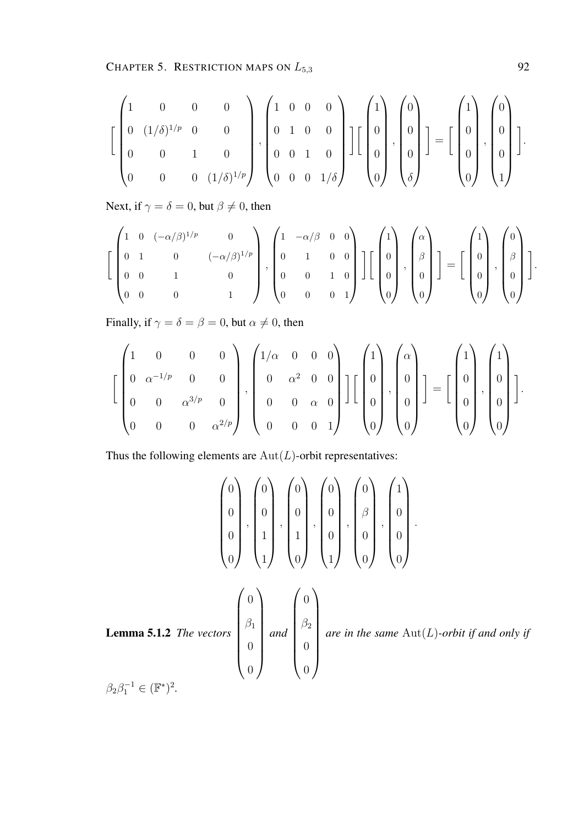CHAPTER 5. RESTRICTION MAPS ON  $L_{5,3}$  92

$$
\left[\begin{pmatrix}1 & 0 & 0 & 0 \\ 0 & (1/\delta)^{1/p} & 0 & 0 \\ 0 & 0 & 1 & 0 \\ 0 & 0 & 0 & (1/\delta)^{1/p}\end{pmatrix}, \begin{pmatrix}1 & 0 & 0 & 0 \\ 0 & 1 & 0 & 0 \\ 0 & 0 & 1 & 0 \\ 0 & 0 & 0 & 1/\delta\end{pmatrix}\right]\left[\begin{pmatrix}1 \\ 0 \\ 0 \\ 0\end{pmatrix}, \begin{pmatrix}0 \\ 0 \\ 0 \\ \delta\end{pmatrix}\right] = \left[\begin{pmatrix}1 \\ 0 \\ 0 \\ 0\end{pmatrix}, \begin{pmatrix}0 \\ 0 \\ 0 \\ 1\end{pmatrix}\right].
$$

Next, if  $\gamma = \delta = 0$ , but  $\beta \neq 0$ , then

$$
\left[\begin{pmatrix}1 & 0 & (-\alpha/\beta)^{1/p} & 0 \\ 0 & 1 & 0 & (-\alpha/\beta)^{1/p} \\ 0 & 0 & 1 & 0 \\ 0 & 0 & 0 & 1\end{pmatrix}, \begin{pmatrix}1 & -\alpha/\beta & 0 & 0 \\ 0 & 1 & 0 & 0 \\ 0 & 0 & 1 & 0 \\ 0 & 0 & 0 & 1\end{pmatrix}\right]\left[\begin{pmatrix}1 \\ 0 \\ 0 \\ 0\end{pmatrix}, \begin{pmatrix}\alpha \\ \beta \\ 0 \\ 0\end{pmatrix}\right] = \left[\begin{pmatrix}1 \\ 0 \\ 0 \\ 0\end{pmatrix}, \begin{pmatrix}0 \\ \beta \\ 0 \\ 0\end{pmatrix}\right].
$$

Finally, if  $\gamma = \delta = \beta = 0$ , but  $\alpha \neq 0$ , then

$$
\left[\begin{pmatrix}1 & 0 & 0 & 0 \\ 0 & \alpha^{-1/p} & 0 & 0 \\ 0 & 0 & \alpha^{3/p} & 0 \\ 0 & 0 & 0 & \alpha^{2/p}\end{pmatrix}, \begin{pmatrix}1/\alpha & 0 & 0 & 0 \\ 0 & \alpha^2 & 0 & 0 \\ 0 & 0 & \alpha & 0 \\ 0 & 0 & 0 & 1\end{pmatrix}\right]\left[\begin{pmatrix}1 \\ 0 \\ 0 \\ 0\end{pmatrix}, \begin{pmatrix}\alpha \\ 0 \\ 0 \\ 0\end{pmatrix}\right] = \left[\begin{pmatrix}1 \\ 0 \\ 0 \\ 0\end{pmatrix}, \begin{pmatrix}1 \\ 0 \\ 0 \\ 0\end{pmatrix}\right].
$$

Thus the following elements are  $Aut(L)$ -orbit representatives:

$$
\begin{pmatrix} 0 \\ 0 \\ 0 \\ 0 \end{pmatrix}, \begin{pmatrix} 0 \\ 0 \\ 1 \\ 1 \end{pmatrix}, \begin{pmatrix} 0 \\ 0 \\ 1 \\ 0 \end{pmatrix}, \begin{pmatrix} 0 \\ 0 \\ 0 \\ 0 \end{pmatrix}, \begin{pmatrix} 0 \\ 0 \\ 0 \\ 0 \end{pmatrix}, \begin{pmatrix} 0 \\ 0 \\ 0 \\ 0 \end{pmatrix}, \begin{pmatrix} 1 \\ 0 \\ 0 \\ 0 \end{pmatrix}.
$$
  
Lemma 5.1.2 The vectors 
$$
\begin{pmatrix} 0 \\ \beta_1 \\ 0 \\ 0 \end{pmatrix} and \begin{pmatrix} 0 \\ \beta_2 \\ 0 \\ 0 \end{pmatrix}
$$
 are in the same Aut(L)-orbit if and only if 
$$
\beta_2 \beta_1^{-1} \in (\mathbb{F}^*)^2.
$$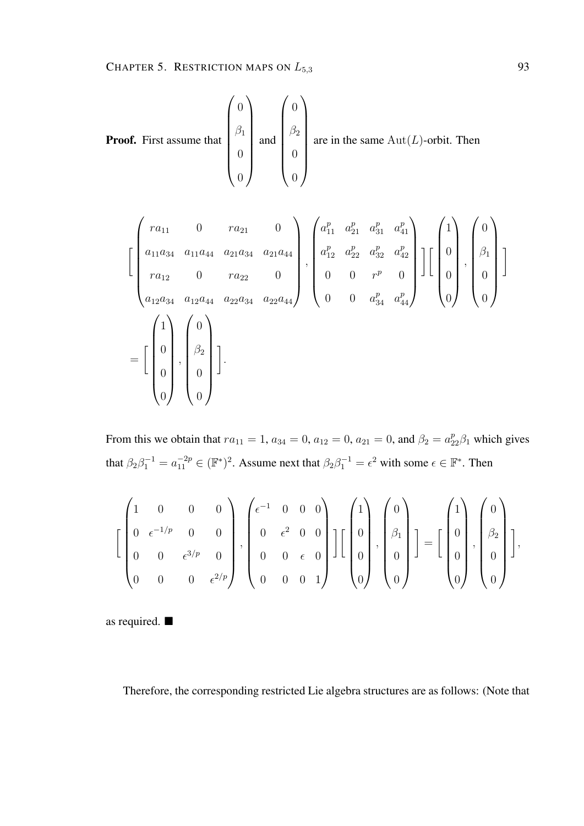**Proof.** First assume that 
$$
\begin{pmatrix} 0 \\ \beta_1 \\ 0 \\ 0 \end{pmatrix}
$$
 and  $\begin{pmatrix} 0 \\ \beta_2 \\ 0 \\ 0 \end{pmatrix}$  are in the same Aut(*L*)-orbit. Then  
\n
$$
\begin{pmatrix} ra_{11} & 0 & ra_{21} & 0 \ a_{11}a_{34} & a_{11}a_{44} & a_{21}a_{34} & a_{21}a_{44} \end{pmatrix}, \begin{pmatrix} a_{11}^p & a_{21}^p & a_{31}^p & a_{41}^p \ a_{12}^p & a_{22}^p & a_{32}^p & a_{42}^p \ a_{12}^p & a_{22}^p & a_{32}^p & a_{42}^p \end{pmatrix}
$$

$$
\begin{bmatrix}\na_{11} & a_{11} & a_{12} & a_{13} & a_{13} & a_{14} \\
a_{11}a_{34} & a_{11}a_{44} & a_{21}a_{34} & a_{21}a_{44} \\
a_{12} & 0 & ra_{22} & 0 \\
a_{12}a_{34} & a_{12}a_{44} & a_{22}a_{34} & a_{22}a_{44}\n\end{bmatrix},\n\begin{bmatrix}\na_{11}^p & a_{21}^p & a_{31}^p & a_{41}^p \\
a_{12}^p & a_{22}^p & a_{32}^p & a_{42}^p \\
0 & 0 & r^p & 0 \\
0 & 0 & a_{34}^p & a_{44}^p\n\end{bmatrix}\n\begin{bmatrix}\n1 \\
0 \\
0 \\
0\n\end{bmatrix},\n\begin{bmatrix}\n0 \\
0 \\
0 \\
0\n\end{bmatrix}\n\end{bmatrix}
$$
\n
$$
=\begin{bmatrix}\n1 \\
0 \\
0 \\
0\n\end{bmatrix},\n\begin{bmatrix}\n0 \\
0 \\
0 \\
0\n\end{bmatrix},\n\begin{bmatrix}\n0 \\
0 \\
0 \\
0\n\end{bmatrix}
$$

From this we obtain that  $ra_{11} = 1$ ,  $a_{34} = 0$ ,  $a_{12} = 0$ ,  $a_{21} = 0$ , and  $\beta_2 = a_{22}^p \beta_1$  which gives that  $\beta_2 \beta_1^{-1} = a_{11}^{-2p} \in (\mathbb{F}^*)^2$ . Assume next that  $\beta_2 \beta_1^{-1} = \epsilon^2$  with some  $\epsilon \in \mathbb{F}^*$ . Then

$$
\left[\begin{pmatrix}1 & 0 & 0 & 0 \\ 0 & \epsilon^{-1/p} & 0 & 0 \\ 0 & 0 & \epsilon^{3/p} & 0 \\ 0 & 0 & 0 & \epsilon^{2/p}\end{pmatrix}, \begin{pmatrix}\epsilon^{-1} & 0 & 0 & 0 \\ 0 & \epsilon^{2} & 0 & 0 \\ 0 & 0 & \epsilon & 0 \\ 0 & 0 & 0 & 1\end{pmatrix}\right]\left[\begin{pmatrix}1 \\ 0 \\ 0 \\ 0\end{pmatrix}, \begin{pmatrix}0 \\ \beta_{1} \\ 0 \\ 0\end{pmatrix}\right] = \left[\begin{pmatrix}1 \\ 0 \\ 0 \\ 0\end{pmatrix}, \begin{pmatrix}0 \\ \beta_{2} \\ 0 \\ 0\end{pmatrix}\right],
$$

as required.

Therefore, the corresponding restricted Lie algebra structures are as follows: (Note that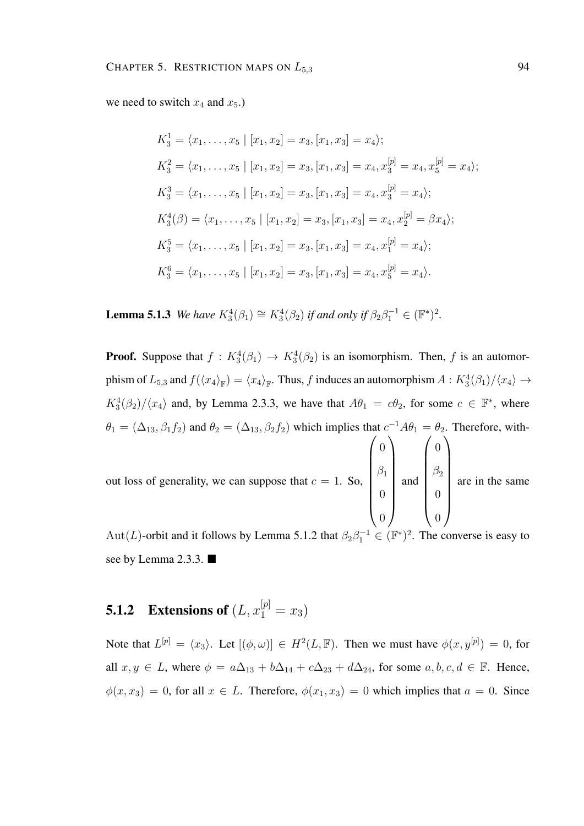we need to switch  $x_4$  and  $x_5$ .

$$
K_3^1 = \langle x_1, \dots, x_5 | [x_1, x_2] = x_3, [x_1, x_3] = x_4 \rangle;
$$
  
\n
$$
K_3^2 = \langle x_1, \dots, x_5 | [x_1, x_2] = x_3, [x_1, x_3] = x_4, x_3^{[p]} = x_4, x_5^{[p]} = x_4 \rangle;
$$
  
\n
$$
K_3^3 = \langle x_1, \dots, x_5 | [x_1, x_2] = x_3, [x_1, x_3] = x_4, x_3^{[p]} = x_4 \rangle;
$$
  
\n
$$
K_3^4(\beta) = \langle x_1, \dots, x_5 | [x_1, x_2] = x_3, [x_1, x_3] = x_4, x_2^{[p]} = \beta x_4 \rangle;
$$
  
\n
$$
K_3^5 = \langle x_1, \dots, x_5 | [x_1, x_2] = x_3, [x_1, x_3] = x_4, x_1^{[p]} = x_4 \rangle;
$$
  
\n
$$
K_3^6 = \langle x_1, \dots, x_5 | [x_1, x_2] = x_3, [x_1, x_3] = x_4, x_5^{[p]} = x_4 \rangle.
$$

**Lemma 5.1.3** *We have*  $K_3^4(\beta_1) \cong K_3^4(\beta_2)$  *if and only if*  $\beta_2 \beta_1^{-1} \in (\mathbb{F}^*)^2$ .

**Proof.** Suppose that  $f: K_3^4(\beta_1) \rightarrow K_3^4(\beta_2)$  is an isomorphism. Then, f is an automorphism of  $L_{5,3}$  and  $f(\langle x_4 \rangle_{\mathbb{F}}) = \langle x_4 \rangle_{\mathbb{F}}$ . Thus, f induces an automorphism  $A: K_3^4(\beta_1)/\langle x_4 \rangle \to$  $K_3^4(\beta_2)/\langle x_4 \rangle$  and, by Lemma 2.3.3, we have that  $A\theta_1 = c\theta_2$ , for some  $c \in \mathbb{F}^*$ , where  $\theta_1 = (\Delta_{13}, \beta_1 f_2)$  and  $\theta_2 = (\Delta_{13}, \beta_2 f_2)$  which implies that  $c^{-1}A\theta_1 = \theta_2$ . Therefore, without loss of generality, we can suppose that  $c = 1$ . So,  $\int_0$  $\begin{array}{c} \hline \end{array}$  $\beta_1$ 0 0  $\setminus$  $\overline{\phantom{a}}$ and  $\int_0$  $\begin{array}{c} \hline \end{array}$  $\beta_2$ 0 0  $\setminus$  $\begin{array}{c} \hline \end{array}$ are in the same

Aut(L)-orbit and it follows by Lemma 5.1.2 that  $\beta_2 \beta_1^{-1} \in (\mathbb{F}^*)^2$ . The converse is easy to see by Lemma 2.3.3. ■

# **5.1.2** Extensions of  $(L, x_1^{[p]} = x_3)$

Note that  $L^{[p]} = \langle x_3 \rangle$ . Let  $[(\phi, \omega)] \in H^2(L, \mathbb{F})$ . Then we must have  $\phi(x, y^{[p]}) = 0$ , for all  $x, y \in L$ , where  $\phi = a\Delta_{13} + b\Delta_{14} + c\Delta_{23} + d\Delta_{24}$ , for some  $a, b, c, d \in \mathbb{F}$ . Hence,  $\phi(x, x_3) = 0$ , for all  $x \in L$ . Therefore,  $\phi(x_1, x_3) = 0$  which implies that  $a = 0$ . Since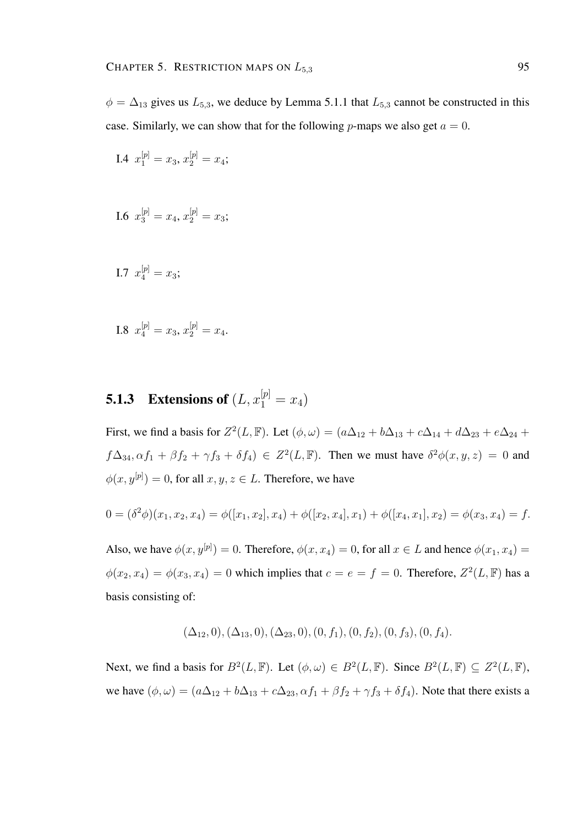$\phi = \Delta_{13}$  gives us  $L_{5,3}$ , we deduce by Lemma 5.1.1 that  $L_{5,3}$  cannot be constructed in this case. Similarly, we can show that for the following *p*-maps we also get  $a = 0$ .

I.4 
$$
x_1^{[p]} = x_3, x_2^{[p]} = x_4;
$$

I.6 
$$
x_3^{[p]} = x_4, x_2^{[p]} = x_3;
$$

I.7 
$$
x_4^{[p]} = x_3;
$$

I.8 
$$
x_4^{[p]} = x_3, x_2^{[p]} = x_4.
$$

# **5.1.3** Extensions of  $(L, x_1^{[p]} = x_4)$

First, we find a basis for  $Z^2(L, \mathbb{F})$ . Let  $(\phi, \omega) = (a\Delta_{12} + b\Delta_{13} + c\Delta_{14} + d\Delta_{23} + e\Delta_{24} + d\Delta_{34})$  $f\Delta_{34}, \alpha f_1 + \beta f_2 + \gamma f_3 + \delta f_4$ )  $\in Z^2(L, \mathbb{F})$ . Then we must have  $\delta^2 \phi(x, y, z) = 0$  and  $\phi(x, y^{[p]}) = 0$ , for all  $x, y, z \in L$ . Therefore, we have

$$
0 = (\delta^2 \phi)(x_1, x_2, x_4) = \phi([x_1, x_2], x_4) + \phi([x_2, x_4], x_1) + \phi([x_4, x_1], x_2) = \phi(x_3, x_4) = f.
$$

Also, we have  $\phi(x, y^{[p]}) = 0$ . Therefore,  $\phi(x, x_4) = 0$ , for all  $x \in L$  and hence  $\phi(x_1, x_4) =$  $\phi(x_2, x_4) = \phi(x_3, x_4) = 0$  which implies that  $c = e = f = 0$ . Therefore,  $Z^2(L, \mathbb{F})$  has a basis consisting of:

$$
(\Delta_{12},0), (\Delta_{13},0), (\Delta_{23},0), (0, f_1), (0, f_2), (0, f_3), (0, f_4).
$$

Next, we find a basis for  $B^2(L, \mathbb{F})$ . Let  $(\phi, \omega) \in B^2(L, \mathbb{F})$ . Since  $B^2(L, \mathbb{F}) \subseteq Z^2(L, \mathbb{F})$ , we have  $(\phi, \omega) = (a\Delta_{12} + b\Delta_{13} + c\Delta_{23}, \alpha f_1 + \beta f_2 + \gamma f_3 + \delta f_4)$ . Note that there exists a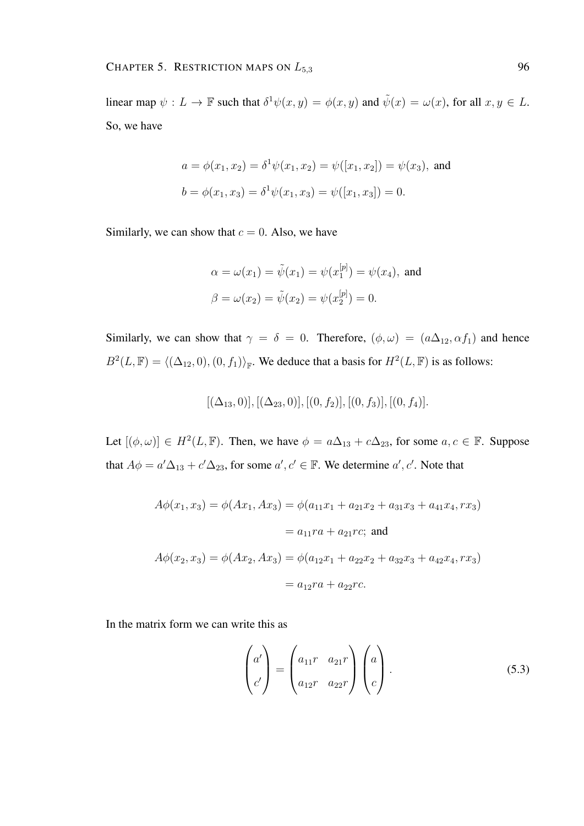linear map  $\psi: L \to \mathbb{F}$  such that  $\delta^1 \psi(x, y) = \phi(x, y)$  and  $\tilde{\psi}(x) = \omega(x)$ , for all  $x, y \in L$ . So, we have

$$
a = \phi(x_1, x_2) = \delta^1 \psi(x_1, x_2) = \psi([x_1, x_2]) = \psi(x_3)
$$
, and  
\n $b = \phi(x_1, x_3) = \delta^1 \psi(x_1, x_3) = \psi([x_1, x_3]) = 0$ .

Similarly, we can show that  $c = 0$ . Also, we have

$$
\alpha = \omega(x_1) = \tilde{\psi}(x_1) = \psi(x_1^{[p]}) = \psi(x_4)
$$
, and  
\n $\beta = \omega(x_2) = \tilde{\psi}(x_2) = \psi(x_2^{[p]}) = 0$ .

Similarly, we can show that  $\gamma = \delta = 0$ . Therefore,  $(\phi, \omega) = (a\Delta_{12}, \alpha f_1)$  and hence  $B^2(L, \mathbb{F}) = \langle (\Delta_{12}, 0), (0, f_1) \rangle_{\mathbb{F}}$ . We deduce that a basis for  $H^2(L, \mathbb{F})$  is as follows:

$$
[(\Delta_{13},0)], [(\Delta_{23},0)], [(0,f_2)], [(0,f_3)], [(0,f_4)].
$$

Let  $[(\phi, \omega)] \in H^2(L, \mathbb{F})$ . Then, we have  $\phi = a\Delta_{13} + c\Delta_{23}$ , for some  $a, c \in \mathbb{F}$ . Suppose that  $A\phi = a'\Delta_{13} + c'\Delta_{23}$ , for some  $a', c' \in \mathbb{F}$ . We determine  $a', c'$ . Note that

$$
A\phi(x_1, x_3) = \phi(Ax_1, Ax_3) = \phi(a_{11}x_1 + a_{21}x_2 + a_{31}x_3 + a_{41}x_4, rx_3)
$$
  
=  $a_{11}ra + a_{21}rc$ ; and  

$$
A\phi(x_2, x_3) = \phi(Ax_2, Ax_3) = \phi(a_{12}x_1 + a_{22}x_2 + a_{32}x_3 + a_{42}x_4, rx_3)
$$
  
=  $a_{12}ra + a_{22}rc$ .

In the matrix form we can write this as

$$
\begin{pmatrix} a' \\ c' \end{pmatrix} = \begin{pmatrix} a_{11}r & a_{21}r \\ a_{12}r & a_{22}r \end{pmatrix} \begin{pmatrix} a \\ c \end{pmatrix}.
$$
 (5.3)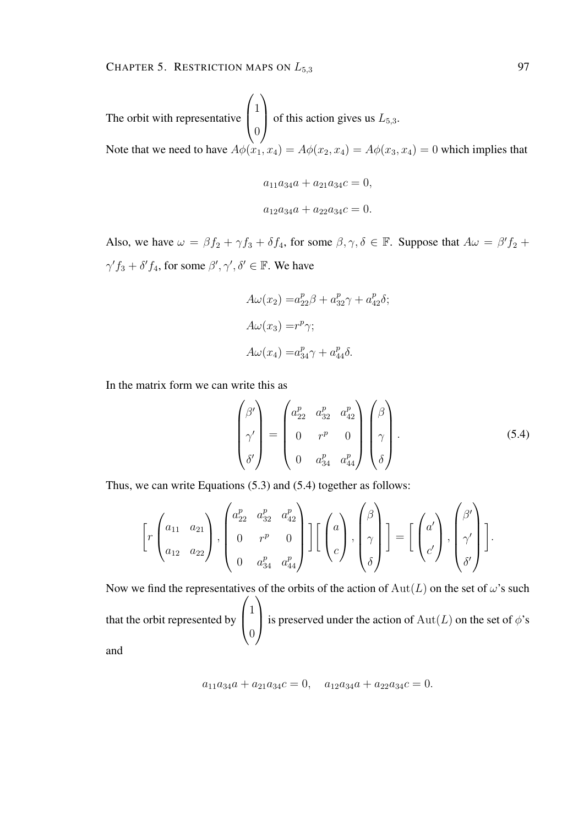The orbit with representative  $\sqrt{ }$  $\overline{ }$ 1  $\theta$  $\setminus$ of this action gives us  $L_{5,3}$ . Note that we need to have  $A\phi(x_1, x_4) = A\phi(x_2, x_4) = A\phi(x_3, x_4) = 0$  which implies that

$$
a_{11}a_{34}a + a_{21}a_{34}c = 0,
$$
  

$$
a_{12}a_{34}a + a_{22}a_{34}c = 0.
$$

Also, we have  $\omega = \beta f_2 + \gamma f_3 + \delta f_4$ , for some  $\beta, \gamma, \delta \in \mathbb{F}$ . Suppose that  $A\omega = \beta' f_2 +$  $\gamma' f_3 + \delta' f_4$ , for some  $\beta', \gamma', \delta' \in \mathbb{F}$ . We have

$$
A\omega(x_2) = a_{22}^p \beta + a_{32}^p \gamma + a_{42}^p \delta;
$$
  
\n
$$
A\omega(x_3) = r^p \gamma;
$$
  
\n
$$
A\omega(x_4) = a_{34}^p \gamma + a_{44}^p \delta.
$$

In the matrix form we can write this as

$$
\begin{pmatrix}\n\beta' \\
\gamma' \\
\delta'\n\end{pmatrix} = \begin{pmatrix}\na_{22}^p & a_{32}^p & a_{42}^p \\
0 & r^p & 0 \\
0 & a_{34}^p & a_{44}^p\n\end{pmatrix} \begin{pmatrix}\n\beta \\
\gamma \\
\delta\n\end{pmatrix}.
$$
\n(5.4)

Thus, we can write Equations (5.3) and (5.4) together as follows:

$$
\left[r\begin{pmatrix}a_{11}&a_{21}\\a_{12}&a_{22}\end{pmatrix},\begin{pmatrix}a_{22}^p&a_{32}^p&a_{42}^p\\0&r^p&0\\0&a_{34}^p&a_{44}^p\end{pmatrix}\right]\left[\begin{pmatrix}a\\c\end{pmatrix},\begin{pmatrix}\beta\\ \gamma\\ \delta\end{pmatrix}\right]=\left[\begin{pmatrix}a'\\c'\end{pmatrix},\begin{pmatrix}\beta'\\ \gamma'\\ \delta'\end{pmatrix}\right].
$$

Now we find the representatives of the orbits of the action of  $Aut(L)$  on the set of  $\omega$ 's such that the orbit represented by  $\sqrt{ }$  $\left\vert \right\vert$ 1 0  $\setminus$ is preserved under the action of  $Aut(L)$  on the set of  $\phi$ 's and

$$
\mathbf{u}^{\mathbf{u}}
$$

$$
a_{11}a_{34}a + a_{21}a_{34}c = 0, \quad a_{12}a_{34}a + a_{22}a_{34}c = 0.
$$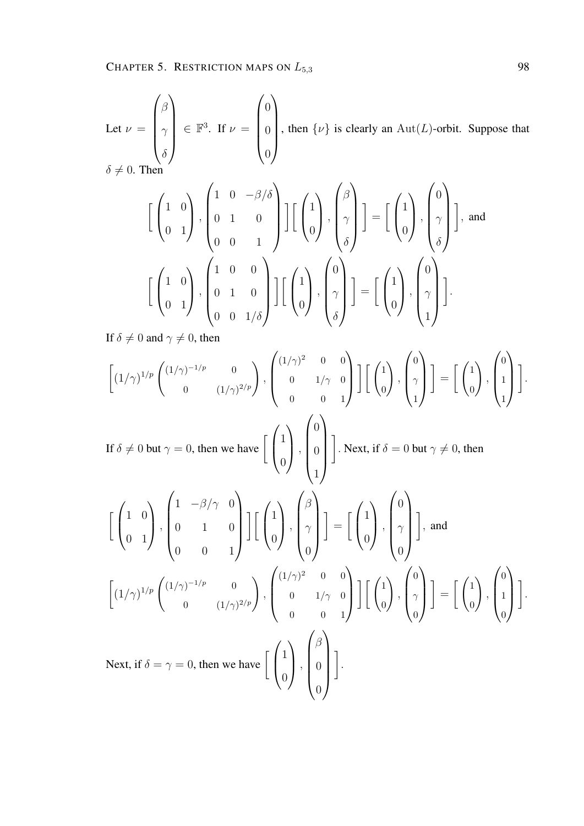Let  $\nu =$  $\sqrt{ }$  $\overline{\phantom{a}}$ β  $\gamma$  $\delta$  $\setminus$  $\in \mathbb{F}^3$ . If  $\nu =$  $\sqrt{ }$  $\overline{\phantom{a}}$  $\overline{0}$  $\overline{0}$  $\overline{0}$  $\setminus$  $\begin{array}{c} \hline \end{array}$ , then  $\{\nu\}$  is clearly an Aut(L)-orbit. Suppose that  $\delta \neq 0$ . Then

$$
\begin{bmatrix} \begin{pmatrix} 1 & 0 \ 0 & 1 \end{pmatrix}, \begin{pmatrix} 1 & 0 & -\beta/\delta \\ 0 & 1 & 0 \\ 0 & 0 & 1 \end{pmatrix} \end{bmatrix} \begin{bmatrix} \begin{pmatrix} 1 \\ 0 \end{pmatrix}, \begin{pmatrix} \beta \\ \gamma \\ \delta \end{pmatrix} \end{bmatrix} = \begin{bmatrix} \begin{pmatrix} 1 \\ 0 \end{pmatrix}, \begin{pmatrix} 0 \\ \gamma \\ \delta \end{pmatrix} \end{bmatrix}, \text{ and}
$$

$$
\begin{bmatrix} \begin{pmatrix} 1 & 0 \\ 0 & 1 \end{pmatrix}, \begin{pmatrix} 1 & 0 & 0 \\ 0 & 1 & 0 \\ 0 & 0 & 1/\delta \end{pmatrix} \end{bmatrix} \begin{bmatrix} \begin{pmatrix} 1 \\ 0 \end{pmatrix}, \begin{pmatrix} 0 \\ \gamma \\ \delta \end{pmatrix} \end{bmatrix} = \begin{bmatrix} \begin{pmatrix} 1 \\ 0 \end{pmatrix}, \begin{pmatrix} 0 \\ \gamma \\ 1 \end{pmatrix} \end{bmatrix}.
$$

If  $\delta \neq 0$  and  $\gamma \neq 0$ , then

$$
\begin{bmatrix}\n(1/\gamma)^{1/p}\n\binom{(1/\gamma)^{-1/p}}{0} & 0 \\
0 & (1/\gamma)^{2/p}\n\end{bmatrix},\n\begin{bmatrix}\n(1/\gamma)^2 & 0 & 0 \\
0 & 1/\gamma & 0 \\
0 & 0 & 1\n\end{bmatrix}\n\begin{bmatrix}\n\binom{1}{0} \\
0 \\
1\n\end{bmatrix},\n\begin{bmatrix}\n0 \\
\gamma \\
1\n\end{bmatrix}\n\end{bmatrix} =\n\begin{bmatrix}\n\binom{1}{0} \\
0 \\
1\n\end{bmatrix}.
$$
\nIf  $\delta \neq 0$  but  $\gamma = 0$ , then we have\n
$$
\begin{bmatrix}\n\binom{1}{0} \\
0 \\
0 \\
1\n\end{bmatrix},\n\begin{bmatrix}\n0 \\
0 \\
1\n\end{bmatrix}.
$$
\nNext, if  $\delta = 0$  but  $\gamma \neq 0$ , then\n
$$
\begin{bmatrix}\n\binom{1}{0} \\
0 \\
1\n\end{bmatrix},\n\begin{bmatrix}\n1 & -\beta/\gamma & 0 \\
0 & 1 & 0 \\
0 & 0 & 1\n\end{bmatrix},\n\begin{bmatrix}\n\binom{1}{0} \\
0 \\
0\n\end{bmatrix},\n\begin{bmatrix}\n\beta \\
\gamma \\
0\n\end{bmatrix}\n\end{bmatrix} =\n\begin{bmatrix}\n\binom{1}{0} \\
0 \\
0\n\end{bmatrix},\n\begin{bmatrix}\n0 \\
\gamma \\
0\n\end{bmatrix},
$$
\nand\n
$$
\begin{bmatrix}\n(1/\gamma)^{1/p}\n\binom{(1/\gamma)^{-1/p}}{0} & 0 \\
0 & (1/\gamma)^{2/p}\n\end{bmatrix},\n\begin{bmatrix}\n(1/\gamma)^2 & 0 & 0 \\
0 & 1/\gamma & 0 \\
0 & 0 & 1\n\end{bmatrix},\n\begin{bmatrix}\n\binom{1}{0} \\
0 \\
0\n\end{bmatrix},\n\begin{bmatrix}\n\gamma \\
0 \\
0 \\
0\n\end{bmatrix}\n\end{bmatrix} =\n\begin{bmatrix}\n\binom{1}{0} \\
0 \\
0\n\end{bmatrix},\n\begin{bmatrix}\n0 \\
1 \\
0 \\
0\n\end{bmatrix}.
$$
\nNext, if  $\delta = \gamma = 0$ , then we have\n
$$
\begin{bmatrix}\n\binom{1}{0} \\
0 \\
0\n\end{b
$$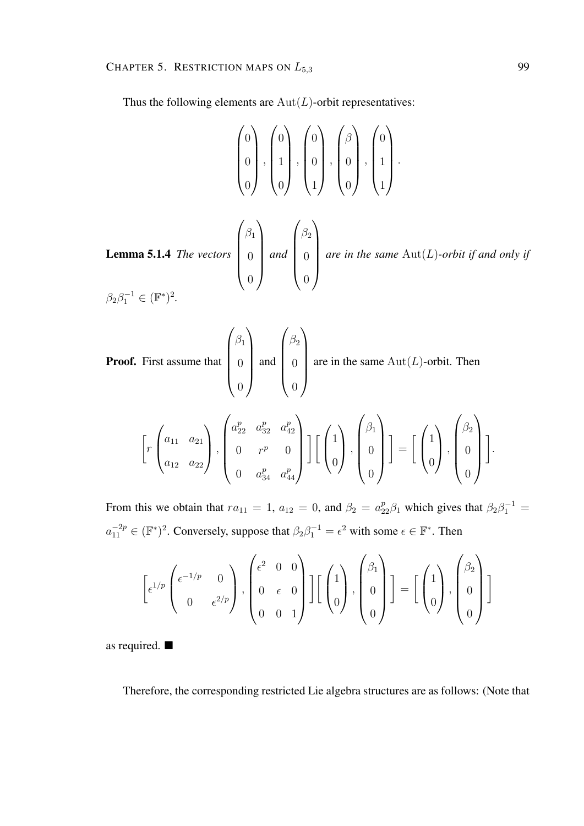Thus the following elements are  $Aut(L)$ -orbit representatives:

$$
\begin{pmatrix} 0 \\ 0 \\ 0 \end{pmatrix}, \begin{pmatrix} 0 \\ 1 \\ 0 \end{pmatrix}, \begin{pmatrix} 0 \\ 0 \\ 0 \end{pmatrix}, \begin{pmatrix} \beta \\ 0 \\ 0 \end{pmatrix}, \begin{pmatrix} 0 \\ 1 \\ 1 \end{pmatrix}.
$$
  
Lemma 5.1.4 The vectors 
$$
\begin{pmatrix} \beta_1 \\ 0 \\ 0 \end{pmatrix}
$$
 and 
$$
\begin{pmatrix} \beta_2 \\ 0 \\ 0 \end{pmatrix}
$$
 are in the same Aut(L)-orbit if and only if 
$$
\beta_2 \beta_1^{-1} \in (\mathbb{F}^*)^2.
$$

Proof. First assume that  $\sqrt{ }$  $\overline{\phantom{a}}$  $\beta_1$  $\theta$  $\theta$  $\setminus$  $\begin{array}{c} \hline \end{array}$ and  $\sqrt{ }$   $\beta_2$  $\theta$  $\theta$  $\setminus$  $\begin{array}{c} \hline \end{array}$ are in the same  $\text{Aut}(L)$ -orbit. Then

$$
\left[r\begin{pmatrix} a_{11} & a_{21} \\ a_{12} & a_{22} \end{pmatrix}, \begin{pmatrix} a_{22}^p & a_{32}^p & a_{42}^p \\ 0 & r^p & 0 \\ 0 & a_{34}^p & a_{44}^p \end{pmatrix}\right] \left[\begin{pmatrix} 1 \\ 0 \end{pmatrix}, \begin{pmatrix} \beta_1 \\ 0 \\ 0 \end{pmatrix} \right] = \left[\begin{pmatrix} 1 \\ 0 \end{pmatrix}, \begin{pmatrix} \beta_2 \\ 0 \\ 0 \end{pmatrix} \right].
$$

From this we obtain that  $ra_{11} = 1$ ,  $a_{12} = 0$ , and  $\beta_2 = a_{22}^p \beta_1$  which gives that  $\beta_2 \beta_1^{-1} =$  $a_{11}^{-2p} \in (\mathbb{F}^*)^2$ . Conversely, suppose that  $\beta_2 \beta_1^{-1} = \epsilon^2$  with some  $\epsilon \in \mathbb{F}^*$ . Then

$$
\left[\epsilon^{1/p}\begin{pmatrix} \epsilon^{-1/p} & 0\\ 0 & \epsilon^{2/p} \end{pmatrix}, \begin{pmatrix} \epsilon^2 & 0 & 0\\ 0 & \epsilon & 0\\ 0 & 0 & 1 \end{pmatrix} \right] \left[\begin{pmatrix} 1\\ 0 \end{pmatrix}, \begin{pmatrix} \beta_1\\ 0\\ 0 \end{pmatrix} \right] = \left[\begin{pmatrix} 1\\ 0 \end{pmatrix}, \begin{pmatrix} \beta_2\\ 0\\ 0 \end{pmatrix} \right]
$$

as required.

Therefore, the corresponding restricted Lie algebra structures are as follows: (Note that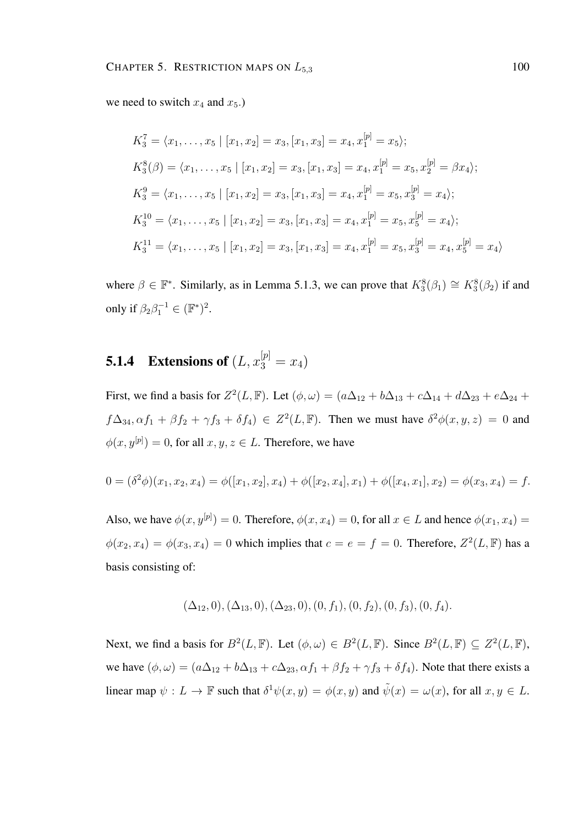we need to switch  $x_4$  and  $x_5$ .

$$
K_3^7 = \langle x_1, \dots, x_5 | [x_1, x_2] = x_3, [x_1, x_3] = x_4, x_1^{[p]} = x_5 \rangle;
$$
  
\n
$$
K_3^8(\beta) = \langle x_1, \dots, x_5 | [x_1, x_2] = x_3, [x_1, x_3] = x_4, x_1^{[p]} = x_5, x_2^{[p]} = \beta x_4 \rangle;
$$
  
\n
$$
K_3^9 = \langle x_1, \dots, x_5 | [x_1, x_2] = x_3, [x_1, x_3] = x_4, x_1^{[p]} = x_5, x_3^{[p]} = x_4 \rangle;
$$
  
\n
$$
K_3^{10} = \langle x_1, \dots, x_5 | [x_1, x_2] = x_3, [x_1, x_3] = x_4, x_1^{[p]} = x_5, x_5^{[p]} = x_4 \rangle;
$$
  
\n
$$
K_3^{11} = \langle x_1, \dots, x_5 | [x_1, x_2] = x_3, [x_1, x_3] = x_4, x_1^{[p]} = x_5, x_3^{[p]} = x_4, x_5^{[p]} = x_4 \rangle
$$

where  $\beta \in \mathbb{F}^*$ . Similarly, as in Lemma 5.1.3, we can prove that  $K_3^8(\beta_1) \cong K_3^8(\beta_2)$  if and only if  $\beta_2 \beta_1^{-1} \in (\mathbb{F}^*)^2$ .

# **5.1.4** Extensions of  $(L, x_3^{[p]} = x_4)$

First, we find a basis for  $Z^2(L, \mathbb{F})$ . Let  $(\phi, \omega) = (a\Delta_{12} + b\Delta_{13} + c\Delta_{14} + d\Delta_{23} + e\Delta_{24} + d\Delta_{34})$  $f\Delta_{34}, \alpha f_1 + \beta f_2 + \gamma f_3 + \delta f_4$ )  $\in Z^2(L, \mathbb{F})$ . Then we must have  $\delta^2 \phi(x, y, z) = 0$  and  $\phi(x, y^{[p]}) = 0$ , for all  $x, y, z \in L$ . Therefore, we have

$$
0 = (\delta^2 \phi)(x_1, x_2, x_4) = \phi([x_1, x_2], x_4) + \phi([x_2, x_4], x_1) + \phi([x_4, x_1], x_2) = \phi(x_3, x_4) = f.
$$

Also, we have  $\phi(x, y^{[p]}) = 0$ . Therefore,  $\phi(x, x_4) = 0$ , for all  $x \in L$  and hence  $\phi(x_1, x_4) =$  $\phi(x_2, x_4) = \phi(x_3, x_4) = 0$  which implies that  $c = e = f = 0$ . Therefore,  $Z^2(L, \mathbb{F})$  has a basis consisting of:

$$
(\Delta_{12},0), (\Delta_{13},0), (\Delta_{23},0), (0, f_1), (0, f_2), (0, f_3), (0, f_4).
$$

Next, we find a basis for  $B^2(L, \mathbb{F})$ . Let  $(\phi, \omega) \in B^2(L, \mathbb{F})$ . Since  $B^2(L, \mathbb{F}) \subseteq Z^2(L, \mathbb{F})$ , we have  $(\phi, \omega) = (a\Delta_{12} + b\Delta_{13} + c\Delta_{23}, \alpha f_1 + \beta f_2 + \gamma f_3 + \delta f_4)$ . Note that there exists a linear map  $\psi: L \to \mathbb{F}$  such that  $\delta^1 \psi(x, y) = \phi(x, y)$  and  $\tilde{\psi}(x) = \omega(x)$ , for all  $x, y \in L$ .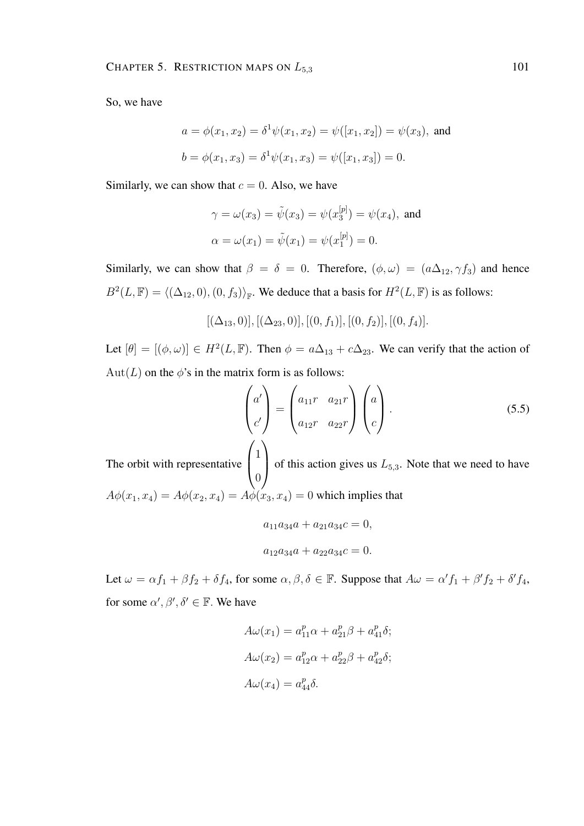So, we have

$$
a = \phi(x_1, x_2) = \delta^1 \psi(x_1, x_2) = \psi([x_1, x_2]) = \psi(x_3)
$$
, and  
\n $b = \phi(x_1, x_3) = \delta^1 \psi(x_1, x_3) = \psi([x_1, x_3]) = 0$ .

Similarly, we can show that  $c = 0$ . Also, we have

$$
\gamma = \omega(x_3) = \tilde{\psi}(x_3) = \psi(x_3^{[p]}) = \psi(x_4)
$$
, and  
\n $\alpha = \omega(x_1) = \tilde{\psi}(x_1) = \psi(x_1^{[p]}) = 0$ .

Similarly, we can show that  $\beta = \delta = 0$ . Therefore,  $(\phi, \omega) = (a\Delta_{12}, \gamma f_3)$  and hence  $B^2(L, \mathbb{F}) = \langle (\Delta_{12}, 0), (0, f_3) \rangle_{\mathbb{F}}$ . We deduce that a basis for  $H^2(L, \mathbb{F})$  is as follows:

$$
[(\Delta_{13},0)], [(\Delta_{23},0)], [(0,f_1)], [(0,f_2)], [(0,f_4)].
$$

Let  $[\theta] = [(\phi, \omega)] \in H^2(L, \mathbb{F})$ . Then  $\phi = a\Delta_{13} + c\Delta_{23}$ . We can verify that the action of Aut(L) on the  $\phi$ 's in the matrix form is as follows:

$$
\begin{pmatrix} a' \\ c' \end{pmatrix} = \begin{pmatrix} a_{11}r & a_{21}r \\ a_{12}r & a_{22}r \end{pmatrix} \begin{pmatrix} a \\ c \end{pmatrix}.
$$
 (5.5)

The orbit with representative  $\overline{ }$ 1 0 of this action gives us  $L_{5,3}$ . Note that we need to have  $A\phi(x_1, x_4) = A\phi(x_2, x_4) = A\phi(x_3, x_4) = 0$  which implies that

$$
a_{11}a_{34}a + a_{21}a_{34}c = 0,
$$
  

$$
a_{12}a_{34}a + a_{22}a_{34}c = 0.
$$

Let  $\omega = \alpha f_1 + \beta f_2 + \delta f_4$ , for some  $\alpha, \beta, \delta \in \mathbb{F}$ . Suppose that  $A\omega = \alpha' f_1 + \beta' f_2 + \delta' f_4$ , for some  $\alpha', \beta', \delta' \in \mathbb{F}$ . We have

$$
A\omega(x_1) = a_{11}^p \alpha + a_{21}^p \beta + a_{41}^p \delta;
$$
  
\n
$$
A\omega(x_2) = a_{12}^p \alpha + a_{22}^p \beta + a_{42}^p \delta;
$$
  
\n
$$
A\omega(x_4) = a_{44}^p \delta.
$$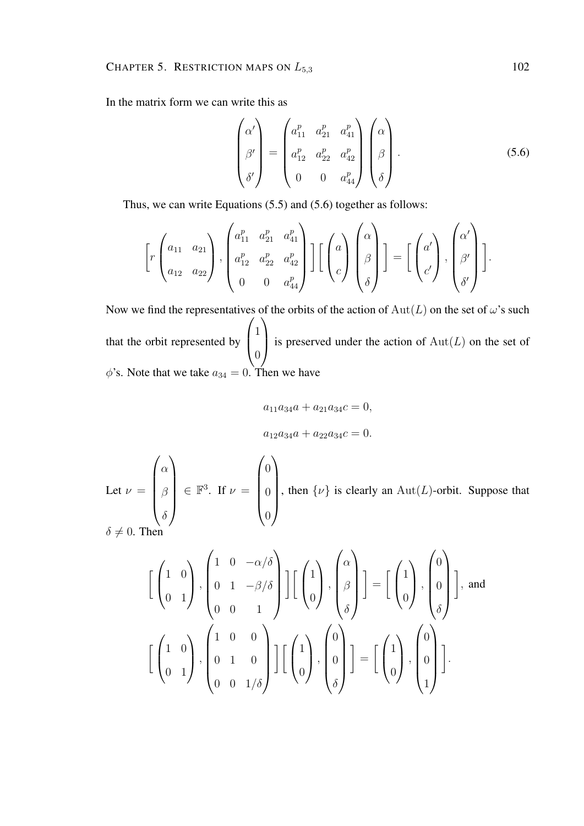In the matrix form we can write this as

$$
\begin{pmatrix}\n\alpha' \\
\beta' \\
\delta'\n\end{pmatrix} = \begin{pmatrix}\na_{11}^p & a_{21}^p & a_{41}^p \\
a_{12}^p & a_{22}^p & a_{42}^p \\
0 & 0 & a_{44}^p\n\end{pmatrix} \begin{pmatrix}\n\alpha \\
\beta \\
\delta\n\end{pmatrix}.
$$
\n(5.6)

Thus, we can write Equations (5.5) and (5.6) together as follows:

$$
\left[r\begin{pmatrix} a_{11} & a_{21} \\ a_{12} & a_{22} \end{pmatrix}, \begin{pmatrix} a_{11}^p & a_{21}^p & a_{41}^p \\ a_{12}^p & a_{22}^p & a_{42}^p \\ 0 & 0 & a_{44}^p \end{pmatrix}\right] \left[\begin{pmatrix} a \\ \beta \\ c \end{pmatrix}\begin{pmatrix} \alpha \\ \beta \\ \delta \end{pmatrix}\right] = \left[\begin{pmatrix} a' \\ c' \end{pmatrix}, \begin{pmatrix} \alpha' \\ \beta' \\ \delta' \end{pmatrix}\right].
$$

Now we find the representatives of the orbits of the action of  $Aut(L)$  on the set of  $\omega$ 's such that the orbit represented by  $\sqrt{ }$  $\left\lfloor \right\rfloor$ 1  $\overline{0}$  $\setminus$ is preserved under the action of  $Aut(L)$  on the set of  $\phi$ 's. Note that we take  $a_{34} = 0$ . Then we have

$$
a_{11}a_{34}a + a_{21}a_{34}c = 0,
$$
  

$$
a_{12}a_{34}a + a_{22}a_{34}c = 0.
$$

Let  $\nu =$  $\sqrt{ }$  $\overline{\phantom{a}}$  $\alpha$ β  $\delta$  $\setminus$  $\in \mathbb{F}^3$ . If  $\nu =$  $\sqrt{ }$  $\overline{\phantom{a}}$  $\theta$  $\theta$  $\theta$  $\setminus$  $\begin{array}{c} \hline \end{array}$ , then  $\{\nu\}$  is clearly an Aut(L)-orbit. Suppose that  $\delta \neq 0$ . Then

$$
\begin{bmatrix} \begin{pmatrix} 1 & 0 \ 0 & 1 \end{pmatrix}, \begin{pmatrix} 1 & 0 & -\alpha/\delta \\ 0 & 1 & -\beta/\delta \\ 0 & 0 & 1 \end{pmatrix} \end{bmatrix} \begin{bmatrix} \begin{pmatrix} 1 \\ 0 \end{pmatrix}, \begin{pmatrix} \alpha \\ \beta \\ \delta \end{pmatrix} \end{bmatrix} = \begin{bmatrix} \begin{pmatrix} 1 \\ 0 \end{pmatrix}, \begin{pmatrix} 0 \\ 0 \\ \delta \end{pmatrix} \end{bmatrix}, \text{ and}
$$

$$
\begin{bmatrix} \begin{pmatrix} 1 & 0 \\ 0 & 1 \end{pmatrix}, \begin{pmatrix} 1 & 0 & 0 \\ 0 & 1 & 0 \\ 0 & 0 & 1/\delta \end{pmatrix} \end{bmatrix} \begin{bmatrix} \begin{pmatrix} 1 \\ 0 \end{pmatrix}, \begin{pmatrix} 0 \\ 0 \\ \delta \end{pmatrix} \end{bmatrix} = \begin{bmatrix} \begin{pmatrix} 1 \\ 0 \end{pmatrix}, \begin{pmatrix} 0 \\ 0 \\ 1 \end{pmatrix} \end{bmatrix}.
$$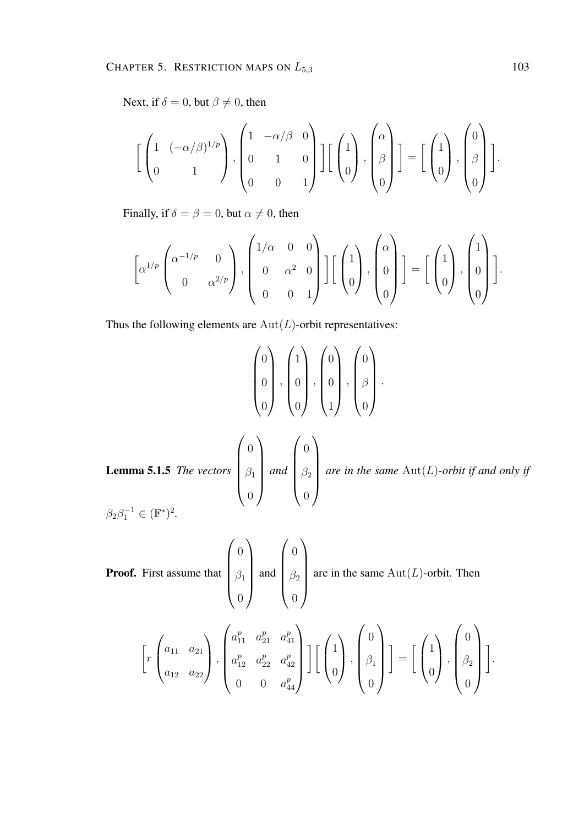Next, if  $\delta = 0$ , but  $\beta \neq 0$ , then

$$
\left[\begin{pmatrix} 1 & (-\alpha/\beta)^{1/p} \\ 0 & 1 \end{pmatrix}, \begin{pmatrix} 1 & -\alpha/\beta & 0 \\ 0 & 1 & 0 \\ 0 & 0 & 1 \end{pmatrix} \right] \left[\begin{pmatrix} 1 \\ 0 \end{pmatrix}, \begin{pmatrix} \alpha \\ \beta \\ 0 \end{pmatrix} \right] = \left[\begin{pmatrix} 1 \\ 0 \end{pmatrix}, \begin{pmatrix} 0 \\ \beta \\ 0 \end{pmatrix} \right].
$$

Finally, if  $\delta = \beta = 0$ , but  $\alpha \neq 0$ , then

$$
\left[\alpha^{1/p}\begin{pmatrix} \alpha^{-1/p} & 0 \\ 0 & \alpha^{2/p} \end{pmatrix}, \begin{pmatrix} 1/\alpha & 0 & 0 \\ 0 & \alpha^2 & 0 \\ 0 & 0 & 1 \end{pmatrix}\right] \left[\begin{pmatrix} 1 \\ 0 \end{pmatrix}, \begin{pmatrix} \alpha \\ 0 \end{pmatrix} \right] = \left[\begin{pmatrix} 1 \\ 0 \end{pmatrix}, \begin{pmatrix} 1 \\ 0 \end{pmatrix} \right].
$$

Thus the following elements are  $Aut(L)$ -orbit representatives:

$$
\begin{pmatrix} 0 \\ 0 \\ 0 \end{pmatrix}, \begin{pmatrix} 1 \\ 0 \\ 0 \end{pmatrix}, \begin{pmatrix} 0 \\ 0 \\ 1 \end{pmatrix}, \begin{pmatrix} 0 \\ \beta \\ 0 \end{pmatrix}.
$$
  
Lemma 5.1.5 The vectors 
$$
\begin{pmatrix} 0 \\ \beta_1 \\ 0 \end{pmatrix} and \begin{pmatrix} 0 \\ \beta_2 \\ 0 \end{pmatrix}
$$
 are in the same Aut(L)-orbit if and only if 
$$
\beta_2 \beta_1^{-1} \in (\mathbb{F}^*)^2.
$$

**Proof.** First assume that 
$$
\begin{pmatrix} 0 \\ \beta_1 \\ 0 \end{pmatrix}
$$
 and  $\begin{pmatrix} 0 \\ \beta_2 \\ 0 \end{pmatrix}$  are in the same Aut(*L*)-orbit. Then  
\n
$$
\left[ r \begin{pmatrix} a_{11} & a_{21} \\ a_{12} & a_{21} \\ a_{12} & a_{22} \end{pmatrix}, \begin{pmatrix} a_{11}^p & a_{21}^p & a_{41}^p \\ a_{12}^p & a_{22}^p & a_{42}^p \\ 0 & 0 & a_{44}^p \end{pmatrix} \right] \left[ \begin{pmatrix} 1 \\ 0 \end{pmatrix}, \begin{pmatrix} 0 \\ \beta_1 \\ 0 \end{pmatrix} \right] = \left[ \begin{pmatrix} 1 \\ 0 \end{pmatrix}, \begin{pmatrix} 0 \\ \beta_2 \\ 0 \end{pmatrix} \right].
$$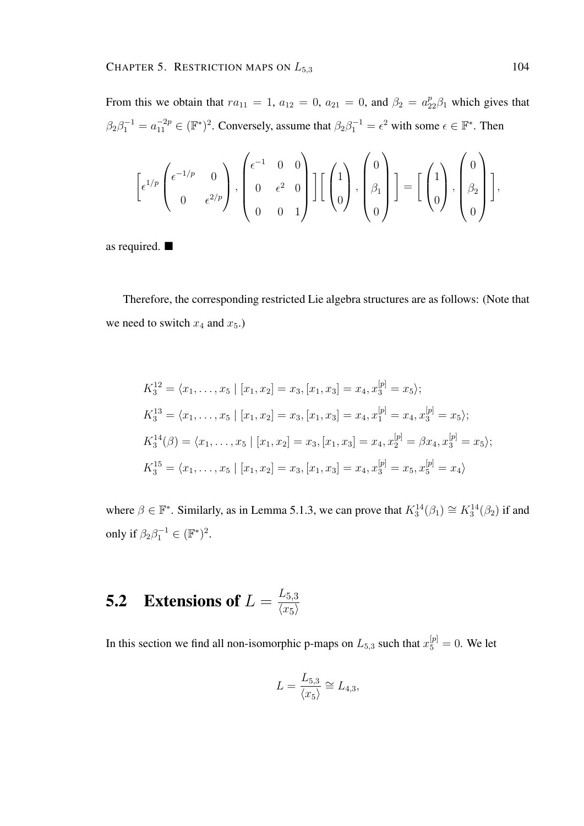From this we obtain that  $ra_{11} = 1$ ,  $a_{12} = 0$ ,  $a_{21} = 0$ , and  $\beta_2 = a_{22}^p \beta_1$  which gives that  $\beta_2 \beta_1^{-1} = a_{11}^{-2p} \in (\mathbb{F}^*)^2$ . Conversely, assume that  $\beta_2 \beta_1^{-1} = \epsilon^2$  with some  $\epsilon \in \mathbb{F}^*$ . Then

$$
\left[\epsilon^{1/p}\begin{pmatrix} \epsilon^{-1/p} & 0 \\ 0 & \epsilon^{2/p} \end{pmatrix}, \begin{pmatrix} \epsilon^{-1} & 0 & 0 \\ 0 & \epsilon^2 & 0 \\ 0 & 0 & 1 \end{pmatrix} \right] \left[\begin{pmatrix} 1 \\ 0 \end{pmatrix}, \begin{pmatrix} 0 \\ \beta_1 \\ 0 \end{pmatrix} \right] = \left[\begin{pmatrix} 1 \\ 0 \end{pmatrix}, \begin{pmatrix} 0 \\ \beta_2 \\ 0 \end{pmatrix} \right],
$$

as required.

Therefore, the corresponding restricted Lie algebra structures are as follows: (Note that we need to switch  $x_4$  and  $x_5$ .)

$$
K_3^{12} = \langle x_1, \dots, x_5 | [x_1, x_2] = x_3, [x_1, x_3] = x_4, x_3^{[p]} = x_5 \rangle;
$$
  
\n
$$
K_3^{13} = \langle x_1, \dots, x_5 | [x_1, x_2] = x_3, [x_1, x_3] = x_4, x_1^{[p]} = x_4, x_3^{[p]} = x_5 \rangle;
$$
  
\n
$$
K_3^{14}(\beta) = \langle x_1, \dots, x_5 | [x_1, x_2] = x_3, [x_1, x_3] = x_4, x_2^{[p]} = \beta x_4, x_3^{[p]} = x_5 \rangle;
$$
  
\n
$$
K_3^{15} = \langle x_1, \dots, x_5 | [x_1, x_2] = x_3, [x_1, x_3] = x_4, x_3^{[p]} = x_5, x_5^{[p]} = x_4 \rangle
$$

where  $\beta \in \mathbb{F}^*$ . Similarly, as in Lemma 5.1.3, we can prove that  $K_3^{14}(\beta_1) \cong K_3^{14}(\beta_2)$  if and only if  $\beta_2 \beta_1^{-1} \in (\mathbb{F}^*)^2$ .

### **5.2** Extensions of  $L = \frac{L_{5,3}}{L_{\text{max}}}$  $\langle x_5 \rangle$

In this section we find all non-isomorphic p-maps on  $L_{5,3}$  such that  $x_5^{[p]}=0$ . We let

$$
L = \frac{L_{5,3}}{\langle x_5 \rangle} \cong L_{4,3},
$$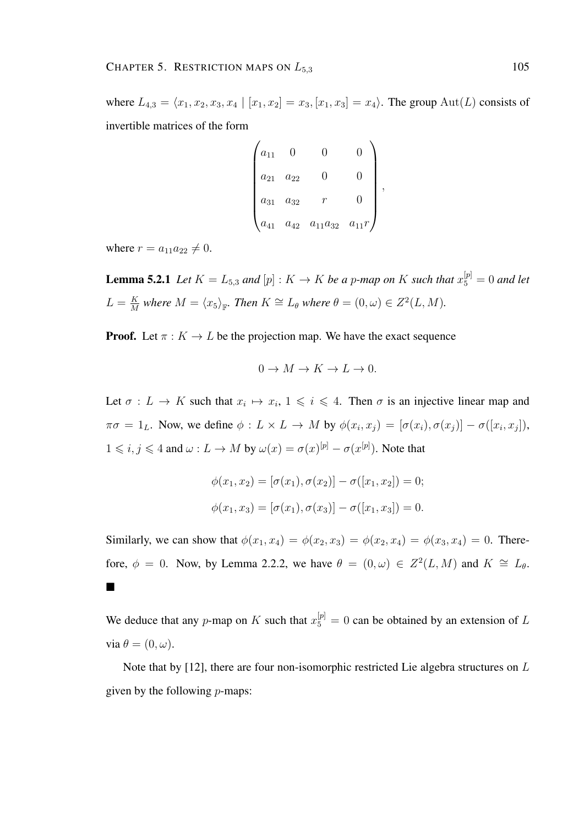where  $L_{4,3} = \langle x_1, x_2, x_3, x_4 | [x_1, x_2] = x_3, [x_1, x_3] = x_4 \rangle$ . The group Aut(L) consists of invertible matrices of the form

$$
\begin{pmatrix} a_{11} & 0 & 0 & 0 \ a_{21} & a_{22} & 0 & 0 \ a_{31} & a_{32} & r & 0 \ a_{41} & a_{42} & a_{11}a_{32} & a_{11}r \end{pmatrix},
$$

where  $r = a_{11}a_{22} \neq 0$ .

**Lemma 5.2.1** Let  $K = L_{5,3}$  and  $[p] : K \to K$  be a p-map on K such that  $x_5^{[p]} = 0$  and let  $L = \frac{K}{M}$  $\frac{K}{M}$  where  $M = \langle x_5 \rangle_{\mathbb{F}}$ . Then  $K \cong L_\theta$  where  $\theta = (0, \omega) \in Z^2(L, M)$ .

**Proof.** Let  $\pi : K \to L$  be the projection map. We have the exact sequence

$$
0 \to M \to K \to L \to 0.
$$

Let  $\sigma: L \to K$  such that  $x_i \mapsto x_i, 1 \leq i \leq 4$ . Then  $\sigma$  is an injective linear map and  $\pi\sigma = 1_L$ . Now, we define  $\phi: L \times L \to M$  by  $\phi(x_i, x_j) = [\sigma(x_i), \sigma(x_j)] - \sigma([x_i, x_j]),$  $1 \leq i, j \leq 4$  and  $\omega: L \to M$  by  $\omega(x) = \sigma(x)^{[p]} - \sigma(x^{[p]})$ . Note that

$$
\phi(x_1, x_2) = [\sigma(x_1), \sigma(x_2)] - \sigma([x_1, x_2]) = 0;
$$
  

$$
\phi(x_1, x_3) = [\sigma(x_1), \sigma(x_3)] - \sigma([x_1, x_3]) = 0.
$$

Similarly, we can show that  $\phi(x_1, x_4) = \phi(x_2, x_3) = \phi(x_2, x_4) = \phi(x_3, x_4) = 0$ . Therefore,  $\phi = 0$ . Now, by Lemma 2.2.2, we have  $\theta = (0, \omega) \in Z^2(L, M)$  and  $K \cong L_{\theta}$ .  $\blacksquare$ 

We deduce that any p-map on K such that  $x_5^{[p]} = 0$  can be obtained by an extension of L via  $\theta = (0, \omega)$ .

Note that by [12], there are four non-isomorphic restricted Lie algebra structures on L given by the following  $p$ -maps: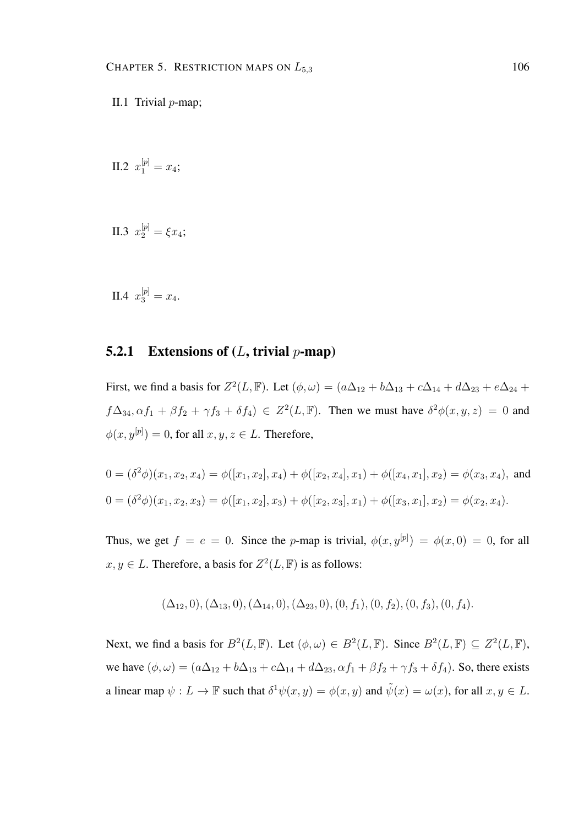II.2  $x_1^{[p]} = x_4;$ 

II.3 
$$
x_2^{[p]} = \xi x_4;
$$

II.4  $x_3^{[p]} = x_4.$ 

#### **5.2.1** Extensions of  $(L, \text{trivial } p\text{-map})$

First, we find a basis for  $Z^2(L, \mathbb{F})$ . Let  $(\phi, \omega) = (a\Delta_{12} + b\Delta_{13} + c\Delta_{14} + d\Delta_{23} + e\Delta_{24} + d\Delta_{34})$  $f\Delta_{34}, \alpha f_1 + \beta f_2 + \gamma f_3 + \delta f_4$ )  $\in Z^2(L, \mathbb{F})$ . Then we must have  $\delta^2 \phi(x, y, z) = 0$  and  $\phi(x, y^{[p]}) = 0$ , for all  $x, y, z \in L$ . Therefore,

$$
0 = (\delta^2 \phi)(x_1, x_2, x_4) = \phi([x_1, x_2], x_4) + \phi([x_2, x_4], x_1) + \phi([x_4, x_1], x_2) = \phi(x_3, x_4),
$$
 and  

$$
0 = (\delta^2 \phi)(x_1, x_2, x_3) = \phi([x_1, x_2], x_3) + \phi([x_2, x_3], x_1) + \phi([x_3, x_1], x_2) = \phi(x_2, x_4).
$$

Thus, we get  $f = e = 0$ . Since the p-map is trivial,  $\phi(x, y^{[p]}) = \phi(x, 0) = 0$ , for all  $x, y \in L$ . Therefore, a basis for  $Z^2(L, \mathbb{F})$  is as follows:

$$
(\Delta_{12},0), (\Delta_{13},0), (\Delta_{14},0), (\Delta_{23},0), (0,f_1), (0,f_2), (0,f_3), (0,f_4).
$$

Next, we find a basis for  $B^2(L, \mathbb{F})$ . Let  $(\phi, \omega) \in B^2(L, \mathbb{F})$ . Since  $B^2(L, \mathbb{F}) \subseteq Z^2(L, \mathbb{F})$ , we have  $(\phi, \omega) = (a\Delta_{12} + b\Delta_{13} + c\Delta_{14} + d\Delta_{23}, \alpha f_1 + \beta f_2 + \gamma f_3 + \delta f_4)$ . So, there exists a linear map  $\psi: L \to \mathbb{F}$  such that  $\delta^1 \psi(x, y) = \phi(x, y)$  and  $\tilde{\psi}(x) = \omega(x)$ , for all  $x, y \in L$ .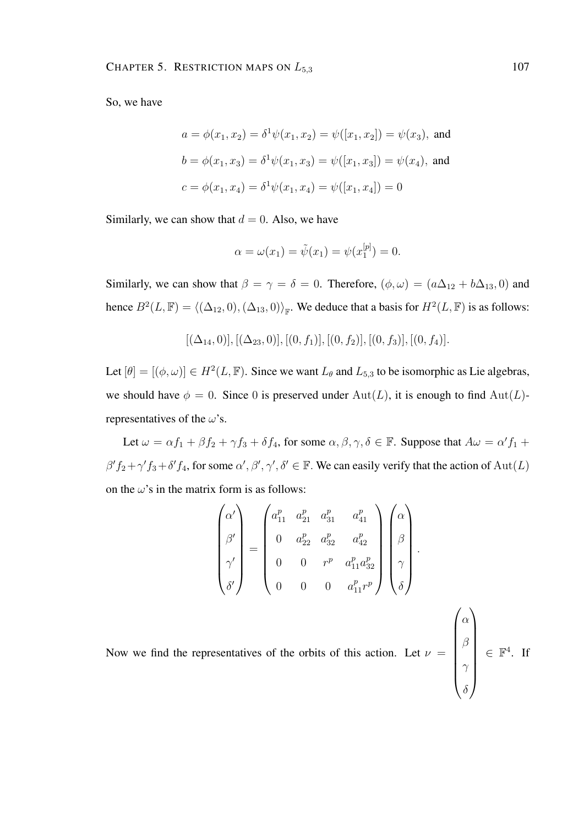So, we have

$$
a = \phi(x_1, x_2) = \delta^1 \psi(x_1, x_2) = \psi([x_1, x_2]) = \psi(x_3), \text{ and}
$$

$$
b = \phi(x_1, x_3) = \delta^1 \psi(x_1, x_3) = \psi([x_1, x_3]) = \psi(x_4), \text{ and}
$$

$$
c = \phi(x_1, x_4) = \delta^1 \psi(x_1, x_4) = \psi([x_1, x_4]) = 0
$$

Similarly, we can show that  $d = 0$ . Also, we have

$$
\alpha = \omega(x_1) = \tilde{\psi}(x_1) = \psi(x_1^{[p]}) = 0.
$$

Similarly, we can show that  $\beta = \gamma = \delta = 0$ . Therefore,  $(\phi, \omega) = (a\Delta_{12} + b\Delta_{13}, 0)$  and hence  $B^2(L, \mathbb{F}) = \langle (\Delta_{12}, 0), (\Delta_{13}, 0) \rangle_{\mathbb{F}}$ . We deduce that a basis for  $H^2(L, \mathbb{F})$  is as follows:

$$
[(\Delta_{14},0)], [(\Delta_{23},0)], [(0,f_1)], [(0,f_2)], [(0,f_3)], [(0,f_4)].
$$

Let  $[\theta] = [(\phi, \omega)] \in H^2(L, \mathbb{F})$ . Since we want  $L_{\theta}$  and  $L_{5,3}$  to be isomorphic as Lie algebras, we should have  $\phi = 0$ . Since 0 is preserved under Aut(L), it is enough to find Aut(L)representatives of the  $\omega$ 's.

Let  $\omega = \alpha f_1 + \beta f_2 + \gamma f_3 + \delta f_4$ , for some  $\alpha, \beta, \gamma, \delta \in \mathbb{F}$ . Suppose that  $A\omega = \alpha' f_1 +$  $\beta' f_2 + \gamma' f_3 + \delta' f_4$ , for some  $\alpha', \beta', \gamma', \delta' \in \mathbb{F}$ . We can easily verify that the action of  $Aut(L)$ on the  $\omega$ 's in the matrix form is as follows:

Now we find the representatives of the orbits of this action. Let 
$$
\nu = \begin{pmatrix} \alpha_1^{\nu} & \alpha_2^{\nu} & \alpha_3^{\nu} & \alpha_4^{\nu} \\ \beta^{\prime} \\ \gamma^{\prime} \\ \delta^{\prime} \end{pmatrix} \in \mathbb{F}^4.
$$
  
\n
$$
\begin{pmatrix} \alpha_1^{\nu} & \alpha_2^{\nu} & \alpha_3^{\nu} & \alpha_4^{\nu} \\ 0 & \alpha_2^{\nu} & \alpha_3^{\nu} & \alpha_4^{\nu} \\ 0 & 0 & \alpha_1^{\nu} & \alpha_1^{\nu} \end{pmatrix} \begin{pmatrix} \alpha \\ \beta \\ \delta \end{pmatrix}.
$$
\n
$$
\text{Now we find the representatives of the orbits of this action. Let } \nu = \begin{pmatrix} \alpha \\ \beta \\ \beta \\ \gamma \\ \delta \end{pmatrix} \in \mathbb{F}^4.
$$

 $\gamma$ 

. If

δ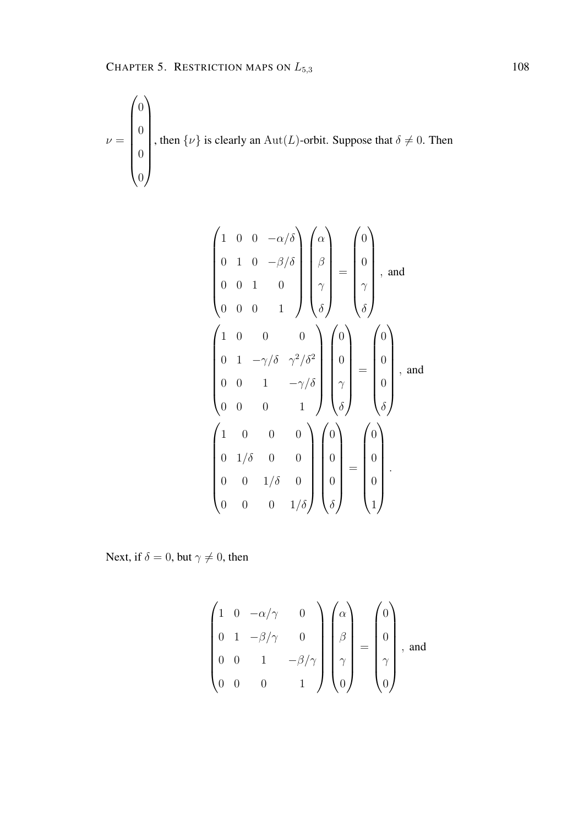$$
\nu = \begin{pmatrix} 0 \\ 0 \\ 0 \\ 0 \\ 0 \end{pmatrix}
$$
, then  $\{\nu\}$  is clearly an  $\text{Aut}(L)$ -orbit. Suppose that  $\delta \neq 0$ . Then

$$
\begin{pmatrix}\n1 & 0 & 0 & -\alpha/\delta \\
0 & 1 & 0 & -\beta/\delta \\
0 & 0 & 1 & 0 \\
0 & 0 & 0 & 1\n\end{pmatrix}\n\begin{pmatrix}\n\alpha \\
\beta \\
\gamma \\
\delta\n\end{pmatrix} = \begin{pmatrix}\n0 \\
0 \\
\gamma \\
\delta\n\end{pmatrix}, \text{ and}
$$
\n
$$
\begin{pmatrix}\n1 & 0 & 0 & 0 \\
0 & 1 & -\gamma/\delta & \gamma^2/\delta^2 \\
0 & 0 & 1 & -\gamma/\delta \\
0 & 0 & 0 & 1\n\end{pmatrix}\n\begin{pmatrix}\n0 \\
0 \\
\gamma \\
\delta\n\end{pmatrix} = \begin{pmatrix}\n0 \\
0 \\
0 \\
\delta\n\end{pmatrix}, \text{ and}
$$
\n
$$
\begin{pmatrix}\n1 & 0 & 0 & 0 \\
0 & 1/\delta & 0 & 0 \\
0 & 1/\delta & 0 & 0 \\
0 & 0 & 1/\delta & 0 \\
0 & 0 & 0 & 1/\delta\n\end{pmatrix}\n\begin{pmatrix}\n0 \\
0 \\
0 \\
0 \\
0\n\end{pmatrix} = \begin{pmatrix}\n0 \\
0 \\
0 \\
0 \\
1\n\end{pmatrix}.
$$

Next, if  $\delta = 0$ , but  $\gamma \neq 0$ , then

$$
\begin{pmatrix}\n1 & 0 & -\alpha/\gamma & 0 \\
0 & 1 & -\beta/\gamma & 0 \\
0 & 0 & 1 & -\beta/\gamma \\
0 & 0 & 0 & 1\n\end{pmatrix}\n\begin{pmatrix}\n\alpha \\
\beta \\
\gamma \\
\gamma \\
0\n\end{pmatrix} = \begin{pmatrix}\n0 \\
0 \\
\gamma \\
\gamma \\
0\n\end{pmatrix}, \text{ and}
$$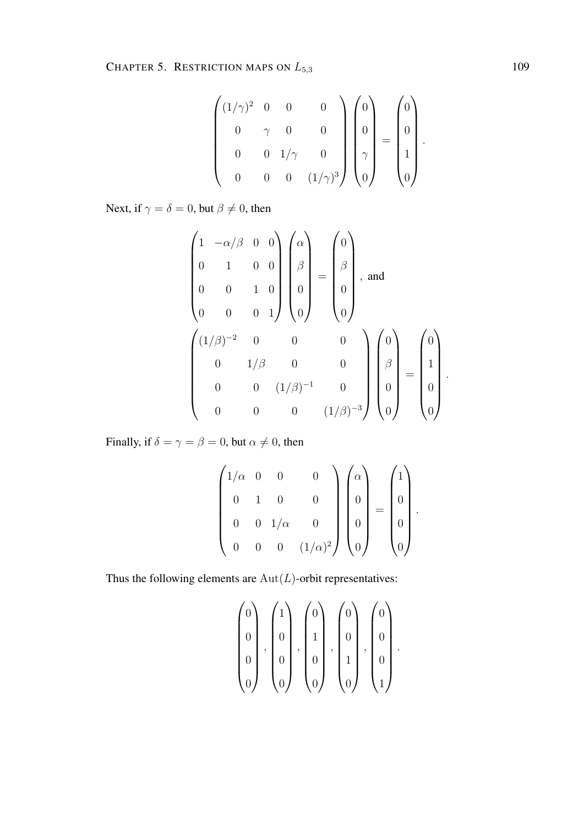$$
\begin{pmatrix}\n(1/\gamma)^2 & 0 & 0 & 0 \\
0 & \gamma & 0 & 0 \\
0 & 0 & 1/\gamma & 0 \\
0 & 0 & 0 & (1/\gamma)^3\n\end{pmatrix}\n\begin{pmatrix}\n0 \\
0 \\
\gamma \\
0\n\end{pmatrix} =\n\begin{pmatrix}\n0 \\
0 \\
1 \\
0\n\end{pmatrix}.
$$

Next, if  $\gamma = \delta = 0$ , but  $\beta \neq 0$ , then

$$
\begin{pmatrix}\n1 & -\alpha/\beta & 0 & 0 \\
0 & 1 & 0 & 0 \\
0 & 0 & 1 & 0 \\
0 & 0 & 0 & 1\n\end{pmatrix}\n\begin{pmatrix}\n\alpha \\
\beta \\
\beta \\
0\n\end{pmatrix} = \n\begin{pmatrix}\n0 \\
\beta \\
0\n\end{pmatrix}, \text{ and}
$$
\n
$$
\begin{pmatrix}\n(1/\beta)^{-2} & 0 & 0 & 0 \\
0 & 1/\beta & 0 & 0 \\
0 & 0 & (1/\beta)^{-1} & 0 \\
0 & 0 & 0 & (1/\beta)^{-3}\n\end{pmatrix}\n\begin{pmatrix}\n0 \\
\beta \\
0 \\
0\n\end{pmatrix} = \n\begin{pmatrix}\n0 \\
1 \\
0 \\
0\n\end{pmatrix}.
$$

Finally, if  $\delta = \gamma = \beta = 0$ , but  $\alpha \neq 0$ , then

$$
\begin{pmatrix} 1/\alpha & 0 & 0 & 0 \\ 0 & 1 & 0 & 0 \\ 0 & 0 & 1/\alpha & 0 \\ 0 & 0 & 0 & (1/\alpha)^2 \end{pmatrix} \begin{pmatrix} \alpha \\ 0 \\ 0 \\ 0 \end{pmatrix} = \begin{pmatrix} 1 \\ 0 \\ 0 \\ 0 \end{pmatrix}.
$$

Thus the following elements are  $Aut(L)$ -orbit representatives:

$$
\begin{pmatrix} 0 \\ 0 \\ 0 \\ 0 \\ 0 \end{pmatrix}, \begin{pmatrix} 1 \\ 0 \\ 0 \\ 0 \\ 0 \end{pmatrix}, \begin{pmatrix} 0 \\ 1 \\ 0 \\ 0 \\ 0 \end{pmatrix}, \begin{pmatrix} 0 \\ 0 \\ 1 \\ 0 \\ 0 \end{pmatrix}, \begin{pmatrix} 0 \\ 0 \\ 0 \\ 1 \\ 1 \end{pmatrix}.
$$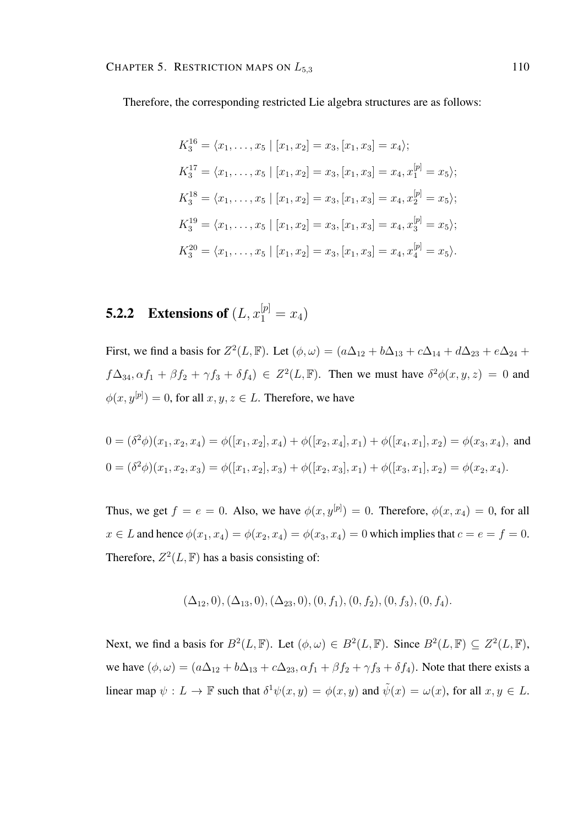Therefore, the corresponding restricted Lie algebra structures are as follows:

$$
K_3^{16} = \langle x_1, \dots, x_5 | [x_1, x_2] = x_3, [x_1, x_3] = x_4 \rangle;
$$
  
\n
$$
K_3^{17} = \langle x_1, \dots, x_5 | [x_1, x_2] = x_3, [x_1, x_3] = x_4, x_1^{[p]} = x_5 \rangle;
$$
  
\n
$$
K_3^{18} = \langle x_1, \dots, x_5 | [x_1, x_2] = x_3, [x_1, x_3] = x_4, x_2^{[p]} = x_5 \rangle;
$$
  
\n
$$
K_3^{19} = \langle x_1, \dots, x_5 | [x_1, x_2] = x_3, [x_1, x_3] = x_4, x_3^{[p]} = x_5 \rangle;
$$
  
\n
$$
K_3^{20} = \langle x_1, \dots, x_5 | [x_1, x_2] = x_3, [x_1, x_3] = x_4, x_4^{[p]} = x_5 \rangle.
$$

## **5.2.2** Extensions of  $(L, x_1^{[p]} = x_4)$

First, we find a basis for  $Z^2(L, \mathbb{F})$ . Let  $(\phi, \omega) = (a\Delta_{12} + b\Delta_{13} + c\Delta_{14} + d\Delta_{23} + e\Delta_{24} + d\Delta_{34})$  $f\Delta_{34}, \alpha f_1 + \beta f_2 + \gamma f_3 + \delta f_4$ )  $\in Z^2(L, \mathbb{F})$ . Then we must have  $\delta^2 \phi(x, y, z) = 0$  and  $\phi(x, y^{[p]}) = 0$ , for all  $x, y, z \in L$ . Therefore, we have

$$
0 = (\delta^2 \phi)(x_1, x_2, x_4) = \phi([x_1, x_2], x_4) + \phi([x_2, x_4], x_1) + \phi([x_4, x_1], x_2) = \phi(x_3, x_4),
$$
 and  

$$
0 = (\delta^2 \phi)(x_1, x_2, x_3) = \phi([x_1, x_2], x_3) + \phi([x_2, x_3], x_1) + \phi([x_3, x_1], x_2) = \phi(x_2, x_4).
$$

Thus, we get  $f = e = 0$ . Also, we have  $\phi(x, y^{[p]}) = 0$ . Therefore,  $\phi(x, x_4) = 0$ , for all  $x \in L$  and hence  $\phi(x_1, x_4) = \phi(x_2, x_4) = \phi(x_3, x_4) = 0$  which implies that  $c = e = f = 0$ . Therefore,  $Z^2(L, \mathbb{F})$  has a basis consisting of:

$$
(\Delta_{12},0), (\Delta_{13},0), (\Delta_{23},0), (0, f_1), (0, f_2), (0, f_3), (0, f_4).
$$

Next, we find a basis for  $B^2(L, \mathbb{F})$ . Let  $(\phi, \omega) \in B^2(L, \mathbb{F})$ . Since  $B^2(L, \mathbb{F}) \subseteq Z^2(L, \mathbb{F})$ , we have  $(\phi, \omega) = (a\Delta_{12} + b\Delta_{13} + c\Delta_{23}, \alpha f_1 + \beta f_2 + \gamma f_3 + \delta f_4)$ . Note that there exists a linear map  $\psi: L \to \mathbb{F}$  such that  $\delta^1 \psi(x, y) = \phi(x, y)$  and  $\tilde{\psi}(x) = \omega(x)$ , for all  $x, y \in L$ .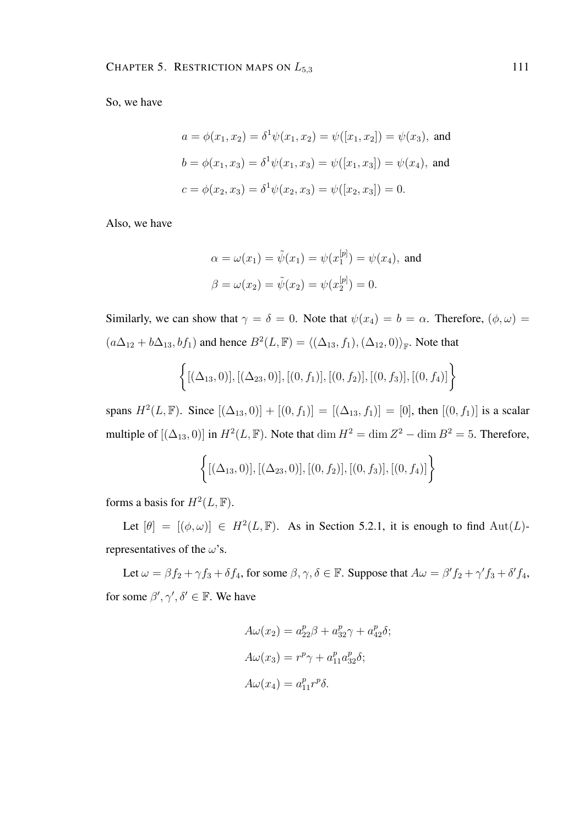So, we have

$$
a = \phi(x_1, x_2) = \delta^1 \psi(x_1, x_2) = \psi([x_1, x_2]) = \psi(x_3), \text{ and}
$$

$$
b = \phi(x_1, x_3) = \delta^1 \psi(x_1, x_3) = \psi([x_1, x_3]) = \psi(x_4), \text{ and}
$$

$$
c = \phi(x_2, x_3) = \delta^1 \psi(x_2, x_3) = \psi([x_2, x_3]) = 0.
$$

Also, we have

$$
\alpha = \omega(x_1) = \tilde{\psi}(x_1) = \psi(x_1^{[p]}) = \psi(x_4)
$$
, and  
\n $\beta = \omega(x_2) = \tilde{\psi}(x_2) = \psi(x_2^{[p]}) = 0$ .

Similarly, we can show that  $\gamma = \delta = 0$ . Note that  $\psi(x_4) = b = \alpha$ . Therefore,  $(\phi, \omega) =$  $(a\Delta_{12} + b\Delta_{13}, bf_1)$  and hence  $B^2(L, \mathbb{F}) = \langle (\Delta_{13}, f_1), (\Delta_{12}, 0) \rangle_{\mathbb{F}}$ . Note that

$$
\{[(\Delta_{13},0)], [(\Delta_{23},0)], [(0,f_1)], [(0,f_2)], [(0,f_3)], [(0,f_4)]\}
$$

spans  $H^2(L, \mathbb{F})$ . Since  $[(\Delta_{13}, 0)] + [(0, f_1)] = [(\Delta_{13}, f_1)] = [0]$ , then  $[(0, f_1)]$  is a scalar multiple of  $[(\Delta_{13}, 0)]$  in  $H^2(L, \mathbb{F})$ . Note that  $\dim H^2 = \dim Z^2 - \dim B^2 = 5$ . Therefore,

$$
\{[(\Delta_{13},0)], [(\Delta_{23},0)], [(0,f_2)], [(0,f_3)], [(0,f_4)]\}
$$

forms a basis for  $H^2(L, \mathbb{F})$ .

Let  $[\theta] = [(\phi, \omega)] \in H^2(L, \mathbb{F})$ . As in Section 5.2.1, it is enough to find  $\text{Aut}(L)$ representatives of the  $\omega$ 's.

Let  $\omega = \beta f_2 + \gamma f_3 + \delta f_4$ , for some  $\beta, \gamma, \delta \in \mathbb{F}$ . Suppose that  $A\omega = \beta' f_2 + \gamma' f_3 + \delta' f_4$ , for some  $\beta', \gamma', \delta' \in \mathbb{F}$ . We have

$$
A\omega(x_2) = a_{22}^p \beta + a_{32}^p \gamma + a_{42}^p \delta;
$$
  
\n
$$
A\omega(x_3) = r^p \gamma + a_{11}^p a_{32}^p \delta;
$$
  
\n
$$
A\omega(x_4) = a_{11}^p r^p \delta.
$$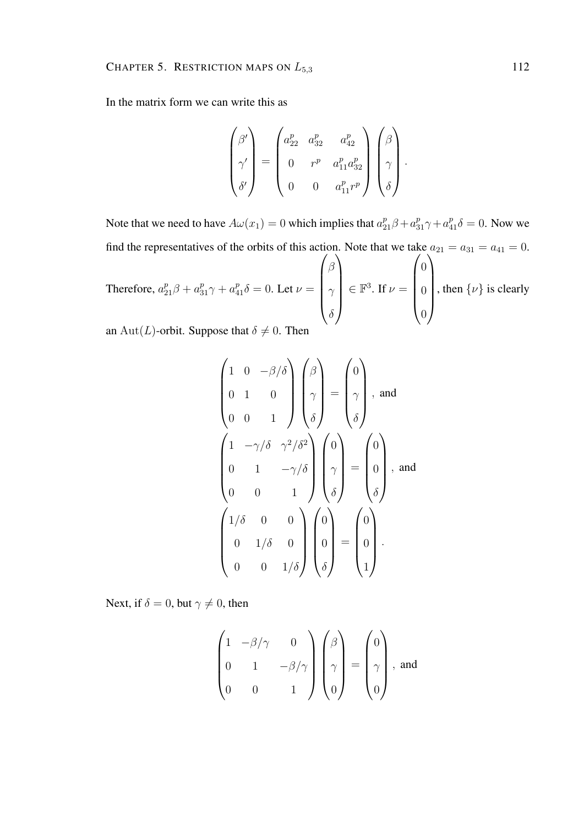In the matrix form we can write this as

$$
\begin{pmatrix}\n\beta' \\
\gamma' \\
\delta'\n\end{pmatrix} = \begin{pmatrix}\na_{22}^p & a_{32}^p & a_{42}^p \\
0 & r^p & a_{11}^p a_{32}^p \\
0 & 0 & a_{11}^p r^p\n\end{pmatrix} \begin{pmatrix}\n\beta \\
\gamma \\
\delta\n\end{pmatrix}.
$$

Note that we need to have  $A\omega(x_1) = 0$  which implies that  $a_{21}^p \beta + a_{31}^p \gamma + a_{41}^p \delta = 0$ . Now we find the representatives of the orbits of this action. Note that we take  $a_{21} = a_{31} = a_{41} = 0$ .

Therefore,  $a_{21}^p \beta + a_{31}^p \gamma + a_{41}^p \delta = 0$ . Let  $\nu =$  $\sqrt{ }$  $\overline{\phantom{a}}$ β  $\gamma$  $\delta$  $\setminus$  $\in \mathbb{F}^3$ . If  $\nu =$  $\sqrt{ }$  $\overline{\phantom{a}}$ 0 0 0  $\setminus$  $\begin{matrix} \phantom{-} \end{matrix}$ , then  $\{\nu\}$  is clearly

an Aut(L)-orbit. Suppose that  $\delta \neq 0$ . Then

$$
\begin{pmatrix}\n1 & 0 & -\beta/\delta \\
0 & 1 & 0 \\
0 & 0 & 1\n\end{pmatrix}\n\begin{pmatrix}\n\beta \\
\gamma \\
\delta\n\end{pmatrix} = \begin{pmatrix}\n0 \\
\gamma \\
\delta\n\end{pmatrix}, \text{ and}
$$
\n
$$
\begin{pmatrix}\n1 & -\gamma/\delta & \gamma^2/\delta^2 \\
0 & 1 & -\gamma/\delta \\
0 & 0 & 1\n\end{pmatrix}\n\begin{pmatrix}\n0 \\
\gamma \\
\delta\n\end{pmatrix} = \begin{pmatrix}\n0 \\
0 \\
\delta\n\end{pmatrix}, \text{ and}
$$
\n
$$
\begin{pmatrix}\n1/\delta & 0 & 0 \\
0 & 1/\delta & 0 \\
0 & 0 & 1/\delta\n\end{pmatrix}\n\begin{pmatrix}\n0 \\
0 \\
0 \\
\delta\n\end{pmatrix} = \begin{pmatrix}\n0 \\
0 \\
0 \\
1\n\end{pmatrix}.
$$

Next, if  $\delta = 0$ , but  $\gamma \neq 0$ , then

$$
\begin{pmatrix} 1 & -\beta/\gamma & 0 \\ 0 & 1 & -\beta/\gamma \\ 0 & 0 & 1 \end{pmatrix} \begin{pmatrix} \beta \\ \gamma \\ 0 \end{pmatrix} = \begin{pmatrix} 0 \\ \gamma \\ 0 \end{pmatrix}, \text{ and}
$$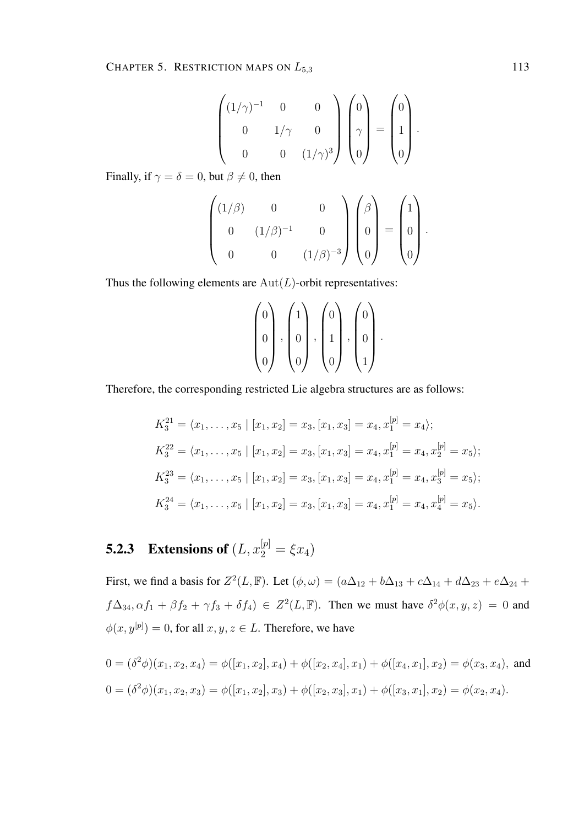$$
\begin{pmatrix} (1/\gamma)^{-1} & 0 & 0 \\ 0 & 1/\gamma & 0 \\ 0 & 0 & (1/\gamma)^{3} \end{pmatrix} \begin{pmatrix} 0 \\ \gamma \\ 0 \end{pmatrix} = \begin{pmatrix} 0 \\ 1 \\ 0 \end{pmatrix}
$$

.

.

Finally, if  $\gamma = \delta = 0$ , but  $\beta \neq 0$ , then

$$
\begin{pmatrix}\n(1/\beta) & 0 & 0 \\
0 & (1/\beta)^{-1} & 0 \\
0 & 0 & (1/\beta)^{-3}\n\end{pmatrix}\n\begin{pmatrix}\n\beta \\
0 \\
0\n\end{pmatrix} = \begin{pmatrix}\n1 \\
0 \\
0\n\end{pmatrix}
$$

Thus the following elements are  $Aut(L)$ -orbit representatives:

$$
\begin{pmatrix} 0 \\ 0 \\ 0 \end{pmatrix}, \begin{pmatrix} 1 \\ 0 \\ 0 \end{pmatrix}, \begin{pmatrix} 0 \\ 1 \\ 0 \end{pmatrix}, \begin{pmatrix} 0 \\ 0 \\ 1 \end{pmatrix}.
$$

Therefore, the corresponding restricted Lie algebra structures are as follows:

$$
K_3^{21} = \langle x_1, \dots, x_5 | [x_1, x_2] = x_3, [x_1, x_3] = x_4, x_1^{[p]} = x_4 \rangle;
$$
  
\n
$$
K_3^{22} = \langle x_1, \dots, x_5 | [x_1, x_2] = x_3, [x_1, x_3] = x_4, x_1^{[p]} = x_4, x_2^{[p]} = x_5 \rangle;
$$
  
\n
$$
K_3^{23} = \langle x_1, \dots, x_5 | [x_1, x_2] = x_3, [x_1, x_3] = x_4, x_1^{[p]} = x_4, x_3^{[p]} = x_5 \rangle;
$$
  
\n
$$
K_3^{24} = \langle x_1, \dots, x_5 | [x_1, x_2] = x_3, [x_1, x_3] = x_4, x_1^{[p]} = x_4, x_4^{[p]} = x_5 \rangle.
$$

# **5.2.3** Extensions of  $(L, x_2^{[p]} = \xi x_4)$

First, we find a basis for  $Z^2(L, \mathbb{F})$ . Let  $(\phi, \omega) = (a\Delta_{12} + b\Delta_{13} + c\Delta_{14} + d\Delta_{23} + e\Delta_{24} + d\Delta_{34})$  $f\Delta_{34}, \alpha f_1 + \beta f_2 + \gamma f_3 + \delta f_4$ )  $\in Z^2(L, \mathbb{F})$ . Then we must have  $\delta^2 \phi(x, y, z) = 0$  and  $\phi(x, y^{[p]}) = 0$ , for all  $x, y, z \in L$ . Therefore, we have

$$
0 = (\delta^2 \phi)(x_1, x_2, x_4) = \phi([x_1, x_2], x_4) + \phi([x_2, x_4], x_1) + \phi([x_4, x_1], x_2) = \phi(x_3, x_4),
$$
 and  

$$
0 = (\delta^2 \phi)(x_1, x_2, x_3) = \phi([x_1, x_2], x_3) + \phi([x_2, x_3], x_1) + \phi([x_3, x_1], x_2) = \phi(x_2, x_4).
$$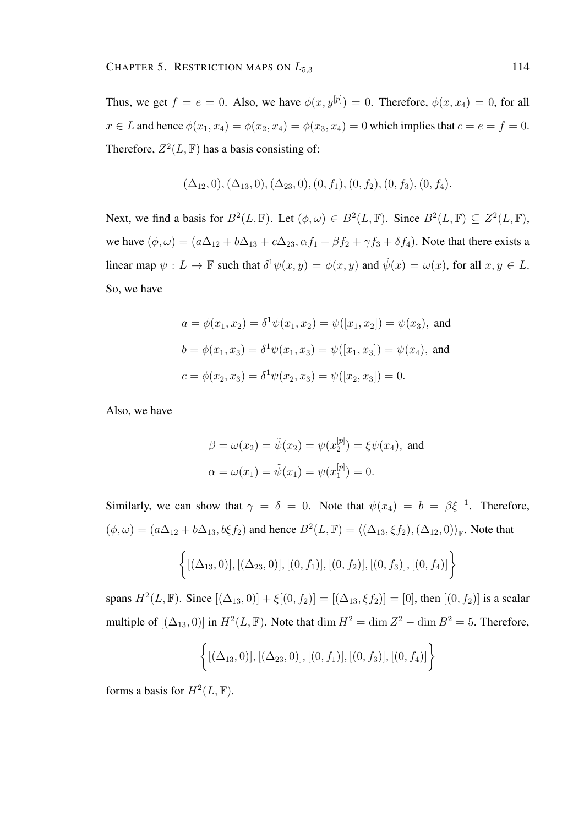Thus, we get  $f = e = 0$ . Also, we have  $\phi(x, y^{[p]}) = 0$ . Therefore,  $\phi(x, x_4) = 0$ , for all  $x \in L$  and hence  $\phi(x_1, x_4) = \phi(x_2, x_4) = \phi(x_3, x_4) = 0$  which implies that  $c = e = f = 0$ . Therefore,  $Z^2(L, \mathbb{F})$  has a basis consisting of:

$$
(\Delta_{12},0), (\Delta_{13},0), (\Delta_{23},0), (0, f_1), (0, f_2), (0, f_3), (0, f_4).
$$

Next, we find a basis for  $B^2(L, \mathbb{F})$ . Let  $(\phi, \omega) \in B^2(L, \mathbb{F})$ . Since  $B^2(L, \mathbb{F}) \subseteq Z^2(L, \mathbb{F})$ , we have  $(\phi, \omega) = (a\Delta_{12} + b\Delta_{13} + c\Delta_{23}, \alpha f_1 + \beta f_2 + \gamma f_3 + \delta f_4)$ . Note that there exists a linear map  $\psi: L \to \mathbb{F}$  such that  $\delta^1 \psi(x, y) = \phi(x, y)$  and  $\tilde{\psi}(x) = \omega(x)$ , for all  $x, y \in L$ . So, we have

$$
a = \phi(x_1, x_2) = \delta^1 \psi(x_1, x_2) = \psi([x_1, x_2]) = \psi(x_3), \text{ and}
$$

$$
b = \phi(x_1, x_3) = \delta^1 \psi(x_1, x_3) = \psi([x_1, x_3]) = \psi(x_4), \text{ and}
$$

$$
c = \phi(x_2, x_3) = \delta^1 \psi(x_2, x_3) = \psi([x_2, x_3]) = 0.
$$

Also, we have

$$
\beta = \omega(x_2) = \tilde{\psi}(x_2) = \psi(x_2^{[p]}) = \xi \psi(x_4)
$$
, and  
\n $\alpha = \omega(x_1) = \tilde{\psi}(x_1) = \psi(x_1^{[p]}) = 0.$ 

Similarly, we can show that  $\gamma = \delta = 0$ . Note that  $\psi(x_4) = b = \beta \xi^{-1}$ . Therefore,  $(\phi, \omega) = (a\Delta_{12} + b\Delta_{13}, b\xi f_2)$  and hence  $B^2(L, \mathbb{F}) = \langle (\Delta_{13}, \xi f_2), (\Delta_{12}, 0) \rangle_{\mathbb{F}}$ . Note that

$$
\{[(\Delta_{13},0)], [(\Delta_{23},0)], [(0,f_1)], [(0,f_2)], [(0,f_3)], [(0,f_4)]\}
$$

spans  $H^2(L, \mathbb{F})$ . Since  $[(\Delta_{13}, 0)] + \xi[(0, f_2)] = [(\Delta_{13}, \xi f_2)] = [0]$ , then  $[(0, f_2)]$  is a scalar multiple of  $[(\Delta_{13}, 0)]$  in  $H^2(L, \mathbb{F})$ . Note that  $\dim H^2 = \dim Z^2 - \dim B^2 = 5$ . Therefore,

$$
\{[(\Delta_{13},0)], [(\Delta_{23},0)], [(0,f_1)], [(0,f_3)], [(0,f_4)]\}
$$

forms a basis for  $H^2(L, \mathbb{F})$ .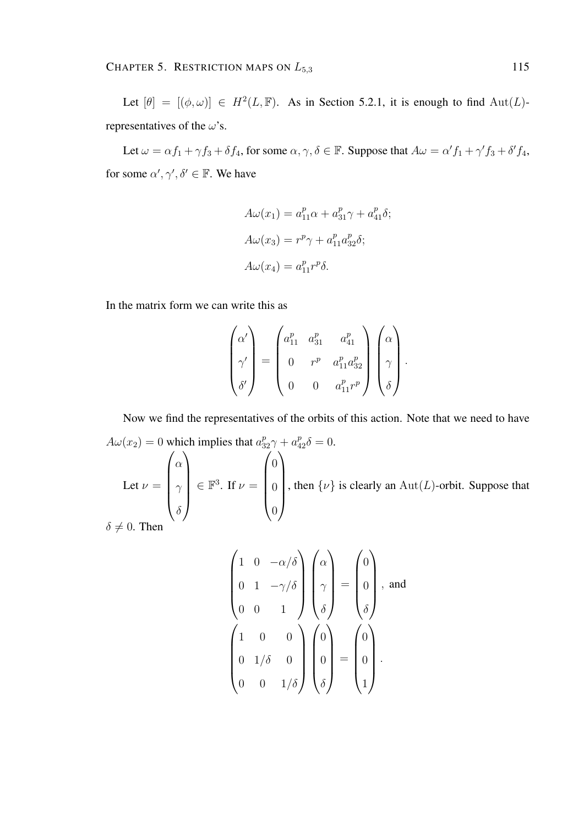Let  $[\theta] = [(\phi, \omega)] \in H^2(L, \mathbb{F})$ . As in Section 5.2.1, it is enough to find  $\text{Aut}(L)$ representatives of the  $\omega$ 's.

Let  $\omega = \alpha f_1 + \gamma f_3 + \delta f_4$ , for some  $\alpha, \gamma, \delta \in \mathbb{F}$ . Suppose that  $A\omega = \alpha' f_1 + \gamma' f_3 + \delta' f_4$ , for some  $\alpha', \gamma', \delta' \in \mathbb{F}$ . We have

$$
A\omega(x_1) = a_{11}^p \alpha + a_{31}^p \gamma + a_{41}^p \delta;
$$
  
\n
$$
A\omega(x_3) = r^p \gamma + a_{11}^p a_{32}^p \delta;
$$
  
\n
$$
A\omega(x_4) = a_{11}^p r^p \delta.
$$

In the matrix form we can write this as

$$
\begin{pmatrix}\n\alpha' \\
\gamma' \\
\delta'\n\end{pmatrix} = \begin{pmatrix}\na_{11}^p & a_{31}^p & a_{41}^p \\
0 & r^p & a_{11}^p a_{32}^p \\
0 & 0 & a_{11}^p r^p\n\end{pmatrix} \begin{pmatrix}\n\alpha \\
\gamma \\
\delta\n\end{pmatrix}.
$$

Now we find the representatives of the orbits of this action. Note that we need to have  $A\omega(x_2) = 0$  which implies that  $a_{32}^p \gamma + a_4^p$  $a_{32}^p \gamma + a_{42}^p \delta = 0.$ Let  $\nu =$  $\sqrt{ }$  $\overline{\phantom{a}}$ α  $\gamma$  $\delta$  $\setminus$  $\in \mathbb{F}^3$ . If  $\nu =$  $\sqrt{ }$  $\overline{\phantom{a}}$ 0 0 0  $\setminus$  $\overline{\phantom{a}}$ , then  $\{\nu\}$  is clearly an Aut(L)-orbit. Suppose that

 $\delta \neq 0$ . Then

$$
\begin{pmatrix}\n1 & 0 & -\alpha/\delta \\
0 & 1 & -\gamma/\delta \\
0 & 0 & 1\n\end{pmatrix}\n\begin{pmatrix}\n\alpha \\
\gamma \\
\delta\n\end{pmatrix} = \begin{pmatrix}\n0 \\
0 \\
\delta\n\end{pmatrix}, \text{ and}
$$
\n
$$
\begin{pmatrix}\n1 & 0 & 0 \\
0 & 1/\delta & 0 \\
0 & 0 & 1/\delta\n\end{pmatrix}\n\begin{pmatrix}\n0 \\
0 \\
\delta\n\end{pmatrix} = \begin{pmatrix}\n0 \\
0 \\
0 \\
1\n\end{pmatrix}.
$$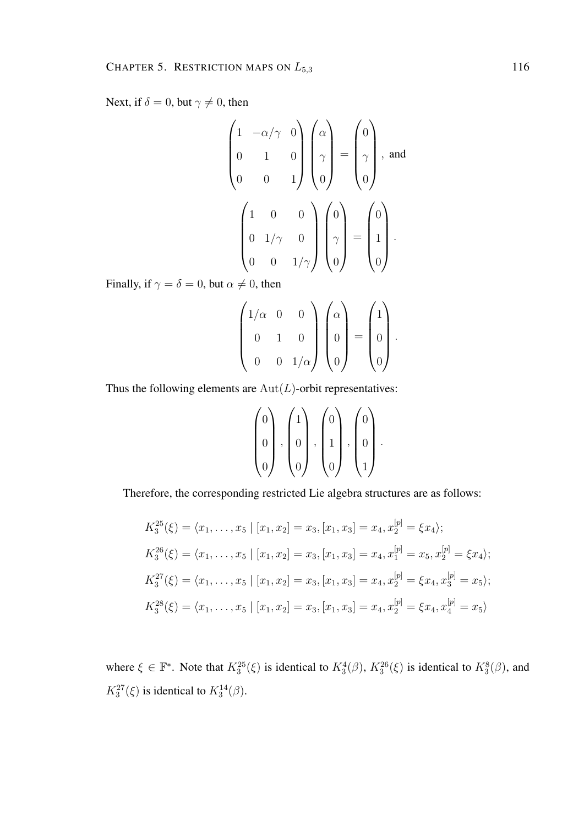Next, if  $\delta = 0$ , but  $\gamma \neq 0$ , then

$$
\begin{pmatrix}\n1 & -\alpha/\gamma & 0 \\
0 & 1 & 0 \\
0 & 0 & 1\n\end{pmatrix}\n\begin{pmatrix}\n\alpha \\
\gamma \\
0\n\end{pmatrix} = \begin{pmatrix}\n0 \\
\gamma \\
0\n\end{pmatrix}, \text{ and}
$$
\n
$$
\begin{pmatrix}\n1 & 0 & 0 \\
0 & 1/\gamma & 0 \\
0 & 0 & 1/\gamma\n\end{pmatrix}\n\begin{pmatrix}\n0 \\
\gamma \\
0\n\end{pmatrix} = \begin{pmatrix}\n0 \\
1 \\
0\n\end{pmatrix}.
$$

Finally, if  $\gamma = \delta = 0$ , but  $\alpha \neq 0$ , then

$$
\begin{pmatrix} 1/\alpha & 0 & 0 \\ 0 & 1 & 0 \\ 0 & 0 & 1/\alpha \end{pmatrix} \begin{pmatrix} \alpha \\ 0 \\ 0 \end{pmatrix} = \begin{pmatrix} 1 \\ 0 \\ 0 \end{pmatrix}.
$$

Thus the following elements are  $Aut(L)$ -orbit representatives:

$$
\begin{pmatrix} 0 \\ 0 \\ 0 \end{pmatrix}, \begin{pmatrix} 1 \\ 0 \\ 0 \end{pmatrix}, \begin{pmatrix} 0 \\ 1 \\ 0 \end{pmatrix}, \begin{pmatrix} 0 \\ 0 \\ 1 \end{pmatrix}.
$$

Therefore, the corresponding restricted Lie algebra structures are as follows:

$$
K_3^{25}(\xi) = \langle x_1, \dots, x_5 \mid [x_1, x_2] = x_3, [x_1, x_3] = x_4, x_2^{[p]} = \xi x_4 \rangle;
$$
  
\n
$$
K_3^{26}(\xi) = \langle x_1, \dots, x_5 \mid [x_1, x_2] = x_3, [x_1, x_3] = x_4, x_1^{[p]} = x_5, x_2^{[p]} = \xi x_4 \rangle;
$$
  
\n
$$
K_3^{27}(\xi) = \langle x_1, \dots, x_5 \mid [x_1, x_2] = x_3, [x_1, x_3] = x_4, x_2^{[p]} = \xi x_4, x_3^{[p]} = x_5 \rangle;
$$
  
\n
$$
K_3^{28}(\xi) = \langle x_1, \dots, x_5 \mid [x_1, x_2] = x_3, [x_1, x_3] = x_4, x_2^{[p]} = \xi x_4, x_4^{[p]} = x_5 \rangle
$$

where  $\xi \in \mathbb{F}^*$ . Note that  $K_3^{25}(\xi)$  is identical to  $K_3^4(\beta)$ ,  $K_3^{26}(\xi)$  is identical to  $K_3^8(\beta)$ , and  $K_3^{27}(\xi)$  is identical to  $K_3^{14}(\beta)$ .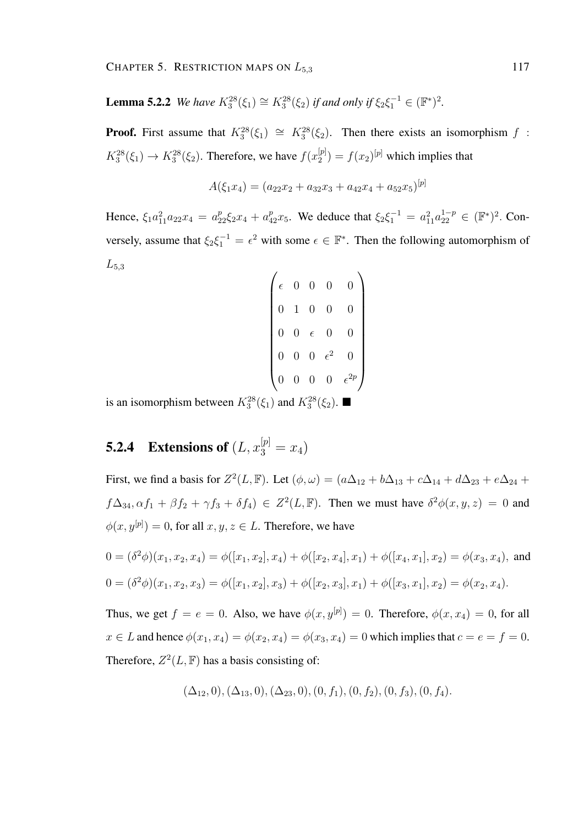**Lemma 5.2.2** *We have*  $K_3^{28}(\xi_1) \cong K_3^{28}(\xi_2)$  *if and only if*  $\xi_2 \xi_1^{-1} \in (\mathbb{F}^*)^2$ *.* 

**Proof.** First assume that  $K_3^{28}(\xi_1) \cong K_3^{28}(\xi_2)$ . Then there exists an isomorphism f:  $K_3^{28}(\xi_1) \to K_3^{28}(\xi_2)$ . Therefore, we have  $f(x_2^{[p]})$  $2^{[p]}_2$  =  $f(x_2)^{[p]}$  which implies that

$$
A(\xi_1x_4)=(a_{22}x_2+a_{32}x_3+a_{42}x_4+a_{52}x_5)^{[p]}
$$

Hence,  $\xi_1 a_{11}^2 a_{22} x_4 = a_{22}^p \xi_2 x_4 + a_{42}^p x_5$ . We deduce that  $\xi_2 \xi_1^{-1} = a_{11}^2 a_{22}^{1-p} \in (\mathbb{F}^*)^2$ . Conversely, assume that  $\xi_2 \xi_1^{-1} = \epsilon^2$  with some  $\epsilon \in \mathbb{F}^*$ . Then the following automorphism of  $L_{5,3}$ 

|  | $\epsilon$     | $\overline{0}$ | $\boldsymbol{0}$ | $\overline{0}$ |  |
|--|----------------|----------------|------------------|----------------|--|
|  | $\overline{0}$ | $\mathbf{1}$   | $\overline{0}$   | 0              |  |
|  | $\overline{0}$ | $\overline{0}$ | $\epsilon$       | $\overline{0}$ |  |
|  | $\overline{0}$ | $\overline{0}$ | $0 \in$          | $\epsilon^2$   |  |
|  |                | $\overline{0}$ | $\overline{0}$   | $\overline{0}$ |  |
|  |                |                |                  |                |  |

is an isomorphism between  $K_3^{28}(\xi_1)$  and  $K_3^{28}(\xi_2)$ .

## **5.2.4** Extensions of  $(L, x_3^{[p]} = x_4)$

First, we find a basis for  $Z^2(L, \mathbb{F})$ . Let  $(\phi, \omega) = (a\Delta_{12} + b\Delta_{13} + c\Delta_{14} + d\Delta_{23} + e\Delta_{24} + d\Delta_{34})$  $f\Delta_{34}, \alpha f_1 + \beta f_2 + \gamma f_3 + \delta f_4$ )  $\in Z^2(L, \mathbb{F})$ . Then we must have  $\delta^2 \phi(x, y, z) = 0$  and  $\phi(x, y^{[p]}) = 0$ , for all  $x, y, z \in L$ . Therefore, we have

$$
0 = (\delta^2 \phi)(x_1, x_2, x_4) = \phi([x_1, x_2], x_4) + \phi([x_2, x_4], x_1) + \phi([x_4, x_1], x_2) = \phi(x_3, x_4),
$$
 and  

$$
0 = (\delta^2 \phi)(x_1, x_2, x_3) = \phi([x_1, x_2], x_3) + \phi([x_2, x_3], x_1) + \phi([x_3, x_1], x_2) = \phi(x_2, x_4).
$$

Thus, we get  $f = e = 0$ . Also, we have  $\phi(x, y^{[p]}) = 0$ . Therefore,  $\phi(x, x_4) = 0$ , for all  $x \in L$  and hence  $\phi(x_1, x_4) = \phi(x_2, x_4) = \phi(x_3, x_4) = 0$  which implies that  $c = e = f = 0$ . Therefore,  $Z^2(L, \mathbb{F})$  has a basis consisting of:

 $(\Delta_{12}, 0), (\Delta_{13}, 0), (\Delta_{23}, 0), (0, f_1), (0, f_2), (0, f_3), (0, f_4).$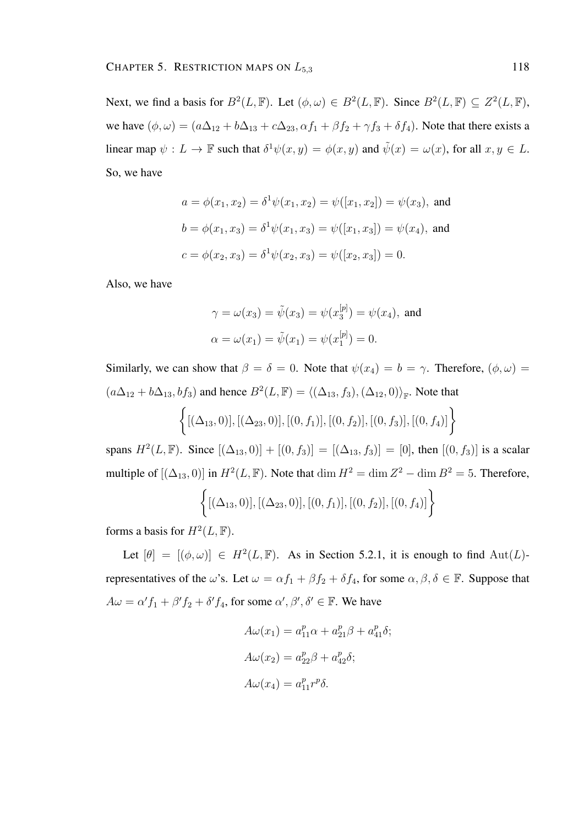Next, we find a basis for  $B^2(L, \mathbb{F})$ . Let  $(\phi, \omega) \in B^2(L, \mathbb{F})$ . Since  $B^2(L, \mathbb{F}) \subseteq Z^2(L, \mathbb{F})$ , we have  $(\phi, \omega) = (a\Delta_{12} + b\Delta_{13} + c\Delta_{23}, \alpha f_1 + \beta f_2 + \gamma f_3 + \delta f_4)$ . Note that there exists a linear map  $\psi: L \to \mathbb{F}$  such that  $\delta^1 \psi(x, y) = \phi(x, y)$  and  $\tilde{\psi}(x) = \omega(x)$ , for all  $x, y \in L$ . So, we have

$$
a = \phi(x_1, x_2) = \delta^1 \psi(x_1, x_2) = \psi([x_1, x_2]) = \psi(x_3), \text{ and}
$$

$$
b = \phi(x_1, x_3) = \delta^1 \psi(x_1, x_3) = \psi([x_1, x_3]) = \psi(x_4), \text{ and}
$$

$$
c = \phi(x_2, x_3) = \delta^1 \psi(x_2, x_3) = \psi([x_2, x_3]) = 0.
$$

Also, we have

$$
\gamma = \omega(x_3) = \tilde{\psi}(x_3) = \psi(x_3^{[p]}) = \psi(x_4)
$$
, and  
\n $\alpha = \omega(x_1) = \tilde{\psi}(x_1) = \psi(x_1^{[p]}) = 0$ .

Similarly, we can show that  $\beta = \delta = 0$ . Note that  $\psi(x_4) = b = \gamma$ . Therefore,  $(\phi, \omega) =$  $(a\Delta_{12} + b\Delta_{13}, bf_3)$  and hence  $B^2(L,\mathbb{F}) = \langle (\Delta_{13}, f_3), (\Delta_{12}, 0) \rangle_{\mathbb{F}}$ . Note that  $\left\{ [(\Delta_{13},0)], [(\Delta_{23},0)], [(0,f_1)], [(0,f_2)], [(0,f_3)], [(0,f_4)] \right\}$ 

spans  $H^2(L, \mathbb{F})$ . Since  $[(\Delta_{13}, 0)] + [(0, f_3)] = [(\Delta_{13}, f_3)] = [0]$ , then  $[(0, f_3)]$  is a scalar multiple of  $[(\Delta_{13}, 0)]$  in  $H^2(L, \mathbb{F})$ . Note that  $\dim H^2 = \dim Z^2 - \dim B^2 = 5$ . Therefore,

$$
\{[(\Delta_{13},0)], [(\Delta_{23},0)], [(0,f_1)], [(0,f_2)], [(0,f_4)]\}
$$

forms a basis for  $H^2(L, \mathbb{F})$ .

Let  $[\theta] = [(\phi, \omega)] \in H^2(L, \mathbb{F})$ . As in Section 5.2.1, it is enough to find  $\text{Aut}(L)$ representatives of the  $\omega$ 's. Let  $\omega = \alpha f_1 + \beta f_2 + \delta f_4$ , for some  $\alpha, \beta, \delta \in \mathbb{F}$ . Suppose that  $A\omega = \alpha' f_1 + \beta' f_2 + \delta' f_4$ , for some  $\alpha', \beta', \delta' \in \mathbb{F}$ . We have

$$
A\omega(x_1) = a_{11}^p \alpha + a_{21}^p \beta + a_{41}^p \delta;
$$
  
\n
$$
A\omega(x_2) = a_{22}^p \beta + a_{42}^p \delta;
$$
  
\n
$$
A\omega(x_4) = a_{11}^p r^p \delta.
$$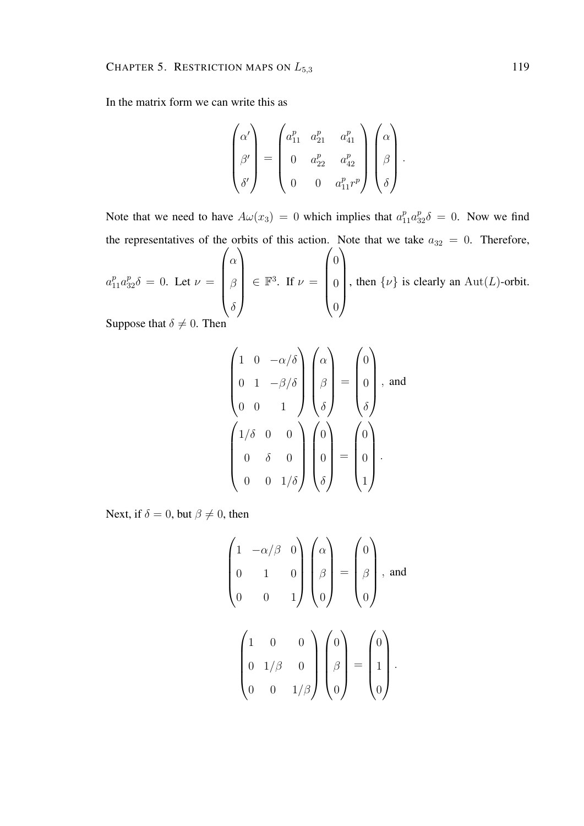In the matrix form we can write this as

$$
\begin{pmatrix}\n\alpha' \\
\beta' \\
\delta'\n\end{pmatrix} = \begin{pmatrix}\na_{11}^p & a_{21}^p & a_{41}^p \\
0 & a_{22}^p & a_{42}^p \\
0 & 0 & a_{11}^p p^p\n\end{pmatrix} \begin{pmatrix}\n\alpha \\
\beta \\
\delta\n\end{pmatrix}.
$$

Note that we need to have  $A\omega(x_3) = 0$  which implies that  $a_{11}^p a_{32}^p \delta = 0$ . Now we find the representatives of the orbits of this action. Note that we take  $a_{32} = 0$ . Therefore,

 $a_{11}^p a_{32}^p \delta = 0$ . Let  $\nu =$  $\sqrt{ }$  $\overline{\phantom{a}}$ α β  $\delta$  $\setminus$  $\in \mathbb{F}^3$ . If  $\nu =$  $\sqrt{ }$  $\overline{\phantom{a}}$ 0 0 0  $\setminus$  $\begin{array}{c} \hline \end{array}$ , then  $\{\nu\}$  is clearly an Aut(L)-orbit.

Suppose that  $\delta \neq 0$ . Then

$$
\begin{pmatrix}\n1 & 0 & -\alpha/\delta \\
0 & 1 & -\beta/\delta \\
0 & 0 & 1\n\end{pmatrix}\n\begin{pmatrix}\n\alpha \\
\beta \\
\delta\n\end{pmatrix} = \begin{pmatrix}\n0 \\
0 \\
\delta\n\end{pmatrix}, \text{ and}
$$
\n
$$
\begin{pmatrix}\n1/\delta & 0 & 0 \\
0 & \delta & 0 \\
0 & 0 & 1/\delta\n\end{pmatrix}\n\begin{pmatrix}\n0 \\
0 \\
\delta\n\end{pmatrix} = \begin{pmatrix}\n0 \\
0 \\
0 \\
1\n\end{pmatrix}.
$$

Next, if  $\delta = 0$ , but  $\beta \neq 0$ , then

$$
\begin{pmatrix}\n1 & -\alpha/\beta & 0 \\
0 & 1 & 0 \\
0 & 0 & 1\n\end{pmatrix}\n\begin{pmatrix}\n\alpha \\
\beta \\
0\n\end{pmatrix} = \n\begin{pmatrix}\n0 \\
\beta \\
0\n\end{pmatrix}, \text{ and}
$$
\n
$$
\begin{pmatrix}\n1 & 0 & 0 \\
0 & 1/\beta & 0 \\
0 & 0 & 1/\beta\n\end{pmatrix}\n\begin{pmatrix}\n0 \\
\beta \\
0\n\end{pmatrix} = \n\begin{pmatrix}\n0 \\
1 \\
0\n\end{pmatrix}.
$$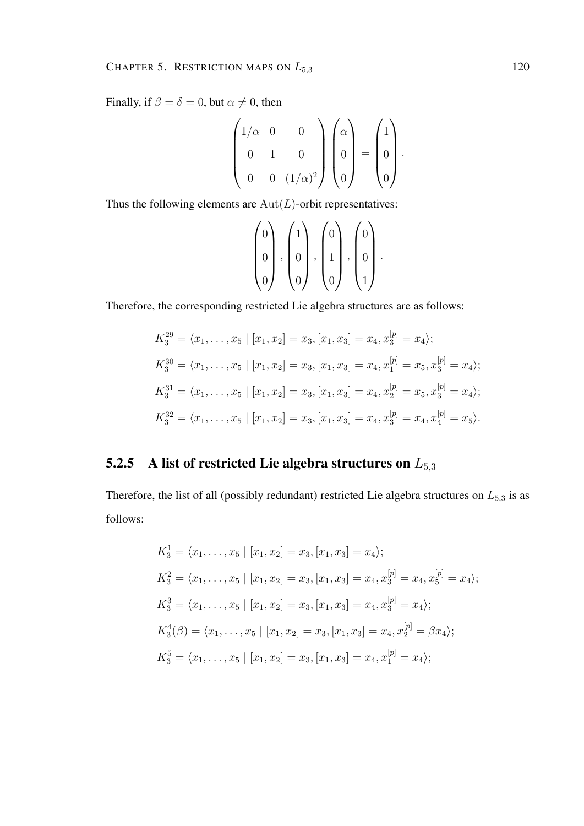Finally, if  $\beta = \delta = 0$ , but  $\alpha \neq 0$ , then

$$
\begin{pmatrix} 1/\alpha & 0 & 0 \\ 0 & 1 & 0 \\ 0 & 0 & (1/\alpha)^2 \end{pmatrix} \begin{pmatrix} \alpha \\ 0 \\ 0 \end{pmatrix} = \begin{pmatrix} 1 \\ 0 \\ 0 \end{pmatrix}.
$$

Thus the following elements are  $Aut(L)$ -orbit representatives:

$$
\begin{pmatrix} 0 \\ 0 \\ 0 \end{pmatrix}, \begin{pmatrix} 1 \\ 0 \\ 0 \end{pmatrix}, \begin{pmatrix} 0 \\ 1 \\ 0 \end{pmatrix}, \begin{pmatrix} 0 \\ 0 \\ 1 \end{pmatrix}.
$$

Therefore, the corresponding restricted Lie algebra structures are as follows:

$$
K_3^{29} = \langle x_1, \dots, x_5 | [x_1, x_2] = x_3, [x_1, x_3] = x_4, x_3^{[p]} = x_4 \rangle;
$$
  
\n
$$
K_3^{30} = \langle x_1, \dots, x_5 | [x_1, x_2] = x_3, [x_1, x_3] = x_4, x_1^{[p]} = x_5, x_3^{[p]} = x_4 \rangle;
$$
  
\n
$$
K_3^{31} = \langle x_1, \dots, x_5 | [x_1, x_2] = x_3, [x_1, x_3] = x_4, x_2^{[p]} = x_5, x_3^{[p]} = x_4 \rangle;
$$
  
\n
$$
K_3^{32} = \langle x_1, \dots, x_5 | [x_1, x_2] = x_3, [x_1, x_3] = x_4, x_3^{[p]} = x_4, x_4^{[p]} = x_5 \rangle.
$$

#### 5.2.5 A list of restricted Lie algebra structures on  $L_{5,3}$

Therefore, the list of all (possibly redundant) restricted Lie algebra structures on  $L_{5,3}$  is as follows:

$$
K_3^1 = \langle x_1, \dots, x_5 | [x_1, x_2] = x_3, [x_1, x_3] = x_4 \rangle;
$$
  
\n
$$
K_3^2 = \langle x_1, \dots, x_5 | [x_1, x_2] = x_3, [x_1, x_3] = x_4, x_3^{[p]} = x_4, x_5^{[p]} = x_4 \rangle;
$$
  
\n
$$
K_3^3 = \langle x_1, \dots, x_5 | [x_1, x_2] = x_3, [x_1, x_3] = x_4, x_3^{[p]} = x_4 \rangle;
$$
  
\n
$$
K_3^4(\beta) = \langle x_1, \dots, x_5 | [x_1, x_2] = x_3, [x_1, x_3] = x_4, x_2^{[p]} = \beta x_4 \rangle;
$$
  
\n
$$
K_3^5 = \langle x_1, \dots, x_5 | [x_1, x_2] = x_3, [x_1, x_3] = x_4, x_1^{[p]} = x_4 \rangle;
$$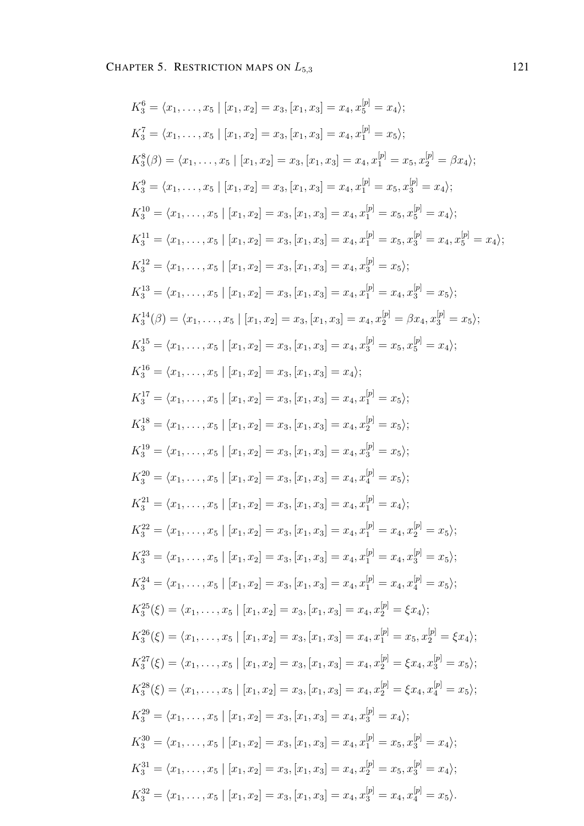$$
K_3^6 = \langle x_1, \ldots, x_5 | [x_1, x_2] = x_3, [x_1, x_3] = x_4, x_5^{[p]} = x_4;
$$
  
\n
$$
K_3^7 = \langle x_1, \ldots, x_5 | [x_1, x_2] = x_3, [x_1, x_3] = x_4, x_7^{[p]} = x_5;
$$
  
\n
$$
K_3^8(\beta) = \langle x_1, \ldots, x_5 | [x_1, x_2] = x_3, [x_1, x_3] = x_4, x_1^{[p]} = x_5, x_2^{[p]} = \beta x_4;
$$
  
\n
$$
K_3^8 = \langle x_1, \ldots, x_5 | [x_1, x_2] = x_3, [x_1, x_3] = x_4, x_1^{[p]} = x_5, x_2^{[p]} = x_4;
$$
  
\n
$$
K_3^{10} = \langle x_1, \ldots, x_5 | [x_1, x_2] = x_3, [x_1, x_3] = x_4, x_1^{[p]} = x_5, x_2^{[p]} = x_4;
$$
  
\n
$$
K_3^{11} = \langle x_1, \ldots, x_5 | [x_1, x_2] = x_3, [x_1, x_3] = x_4, x_1^{[p]} = x_5, x_2^{[p]} = x_4;
$$
  
\n
$$
K_3^{12} = \langle x_1, \ldots, x_5 | [x_1, x_2] = x_3, [x_1, x_3] = x_4, x_1^{[p]} = x_5, x_2^{[p]} = x_4;
$$
  
\n
$$
K_3^{13} = \langle x_1, \ldots, x_5 | [x_1, x_2] = x_3, [x_1, x_3] = x_4, x_2^{[p]} = x_5, x_2^{[p]} = x_4;
$$
  
\n
$$
K_3^{14}(\beta) = \langle x_1, \ldots, x_5 | [x_1, x_2] = x_3, [x_1, x_3] = x_4, x_2^{[p]} = x_5, x_2^{[p]} = x_6;
$$
  
\n
$$
K_3^{15} = \langle x_1, \ldots,
$$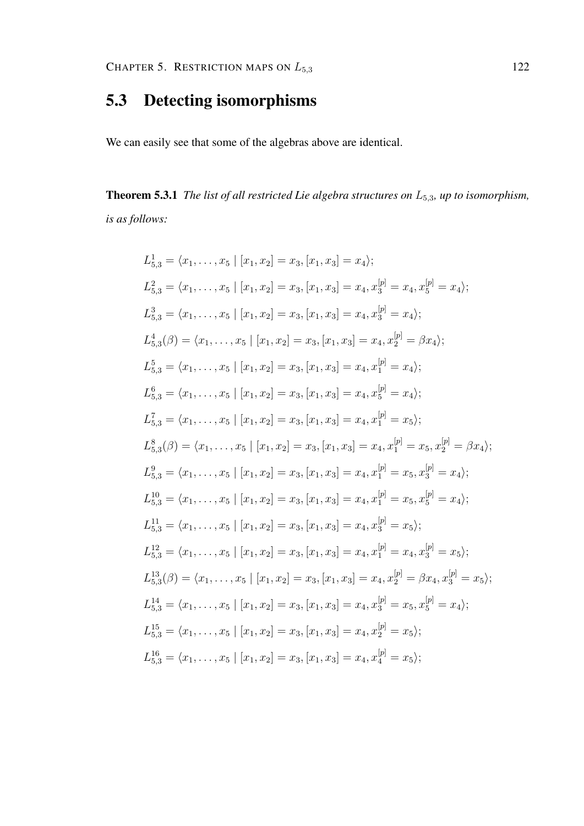#### 5.3 Detecting isomorphisms

We can easily see that some of the algebras above are identical.

Theorem 5.3.1 *The list of all restricted Lie algebra structures on* L5,3*, up to isomorphism, is as follows:*

$$
L_{5,3}^{1} = \langle x_{1},...,x_{5} | [x_{1},x_{2}] = x_{3}, [x_{1},x_{3}] = x_{4} \rangle;
$$
  
\n
$$
L_{5,3}^{2} = \langle x_{1},...,x_{5} | [x_{1},x_{2}] = x_{3}, [x_{1},x_{3}] = x_{4}, x_{3}^{[p]} = x_{4}, x_{5}^{[p]} = x_{4} \rangle;
$$
  
\n
$$
L_{5,3}^{3} = \langle x_{1},...,x_{5} | [x_{1},x_{2}] = x_{3}, [x_{1},x_{3}] = x_{4}, x_{3}^{[p]} = x_{4} \rangle;
$$
  
\n
$$
L_{5,3}^{4}(\beta) = \langle x_{1},...,x_{5} | [x_{1},x_{2}] = x_{3}, [x_{1},x_{3}] = x_{4}, x_{2}^{[p]} = \beta x_{4} \rangle;
$$
  
\n
$$
L_{5,3}^{5} = \langle x_{1},...,x_{5} | [x_{1},x_{2}] = x_{3}, [x_{1},x_{3}] = x_{4}, x_{1}^{[p]} = x_{4} \rangle;
$$
  
\n
$$
L_{5,3}^{5} = \langle x_{1},...,x_{5} | [x_{1},x_{2}] = x_{3}, [x_{1},x_{3}] = x_{4}, x_{5}^{[p]} = x_{4} \rangle;
$$
  
\n
$$
L_{5,3}^{7} = \langle x_{1},...,x_{5} | [x_{1},x_{2}] = x_{3}, [x_{1},x_{3}] = x_{4}, x_{1}^{[p]} = x_{5} \rangle;
$$
  
\n
$$
L_{5,3}^{8}(\beta) = \langle x_{1},...,x_{5} | [x_{1},x_{2}] = x_{3}, [x_{1},x_{3}] = x_{4}, x_{1}^{[p]} = x_{5}, x_{2}^{[p]} = \beta x_{4} \rangle;
$$
  
\n
$$
L_{5,3}^{9} = \langle x_{1},...,x_{5} | [x_{1},x_{2}] = x_{3}, [x_{1},x_{3}] = x_{4}, x_{1}^{[p]} = x_{5}, x_{3}^{[p]} = x_{4} \rangle;
$$
  
\n
$$
L_{5,3}^{10} = \langle x_{1},...,x_{5} | [x_{1},x_{
$$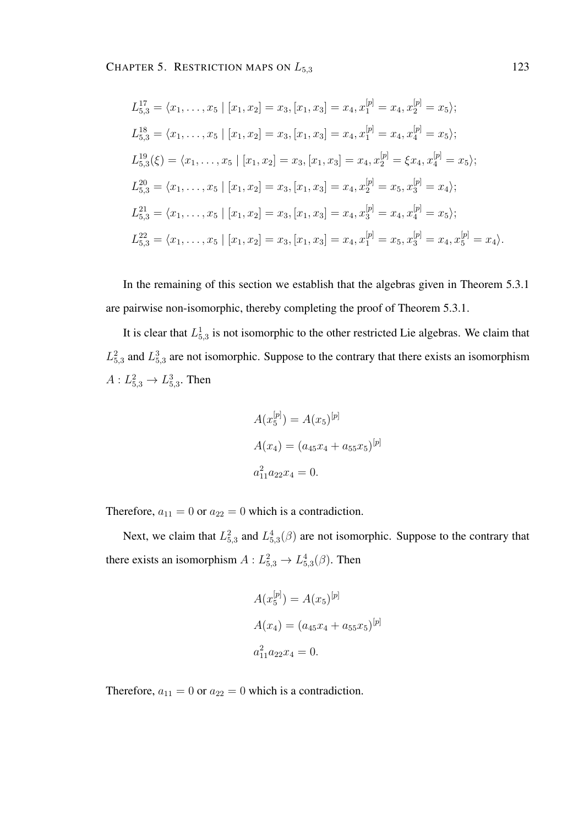$$
L_{5,3}^{17} = \langle x_1, \ldots, x_5 \mid [x_1, x_2] = x_3, [x_1, x_3] = x_4, x_1^{[p]} = x_4, x_2^{[p]} = x_5 \rangle;
$$
  
\n
$$
L_{5,3}^{18} = \langle x_1, \ldots, x_5 \mid [x_1, x_2] = x_3, [x_1, x_3] = x_4, x_1^{[p]} = x_4, x_4^{[p]} = x_5 \rangle;
$$
  
\n
$$
L_{5,3}^{19}(\xi) = \langle x_1, \ldots, x_5 \mid [x_1, x_2] = x_3, [x_1, x_3] = x_4, x_2^{[p]} = \xi x_4, x_4^{[p]} = x_5 \rangle;
$$
  
\n
$$
L_{5,3}^{20} = \langle x_1, \ldots, x_5 \mid [x_1, x_2] = x_3, [x_1, x_3] = x_4, x_2^{[p]} = x_5, x_3^{[p]} = x_4 \rangle;
$$
  
\n
$$
L_{5,3}^{21} = \langle x_1, \ldots, x_5 \mid [x_1, x_2] = x_3, [x_1, x_3] = x_4, x_3^{[p]} = x_4, x_4^{[p]} = x_5 \rangle;
$$
  
\n
$$
L_{5,3}^{22} = \langle x_1, \ldots, x_5 \mid [x_1, x_2] = x_3, [x_1, x_3] = x_4, x_1^{[p]} = x_5, x_3^{[p]} = x_4, x_5^{[p]} = x_4 \rangle.
$$

In the remaining of this section we establish that the algebras given in Theorem 5.3.1 are pairwise non-isomorphic, thereby completing the proof of Theorem 5.3.1.

It is clear that  $L_{5,3}^1$  is not isomorphic to the other restricted Lie algebras. We claim that  $L_{5,3}^2$  and  $L_{5,3}^3$  are not isomorphic. Suppose to the contrary that there exists an isomorphism  $A: L_{5,3}^2 \to L_{5,3}^3$ . Then

$$
A(x_5^{[p]}) = A(x_5)^{[p]}
$$
  
\n
$$
A(x_4) = (a_{45}x_4 + a_{55}x_5)^{[p]}
$$
  
\n
$$
a_{11}^2 a_{22}x_4 = 0.
$$

Therefore,  $a_{11} = 0$  or  $a_{22} = 0$  which is a contradiction.

Next, we claim that  $L_{5,3}^2$  and  $L_{5,3}^4(\beta)$  are not isomorphic. Suppose to the contrary that there exists an isomorphism  $A: L_{5,3}^2 \to L_{5,3}^4(\beta)$ . Then

$$
A(x_5^{[p]}) = A(x_5)^{[p]}
$$
  
\n
$$
A(x_4) = (a_{45}x_4 + a_{55}x_5)^{[p]}
$$
  
\n
$$
a_{11}^2 a_{22}x_4 = 0.
$$

Therefore,  $a_{11} = 0$  or  $a_{22} = 0$  which is a contradiction.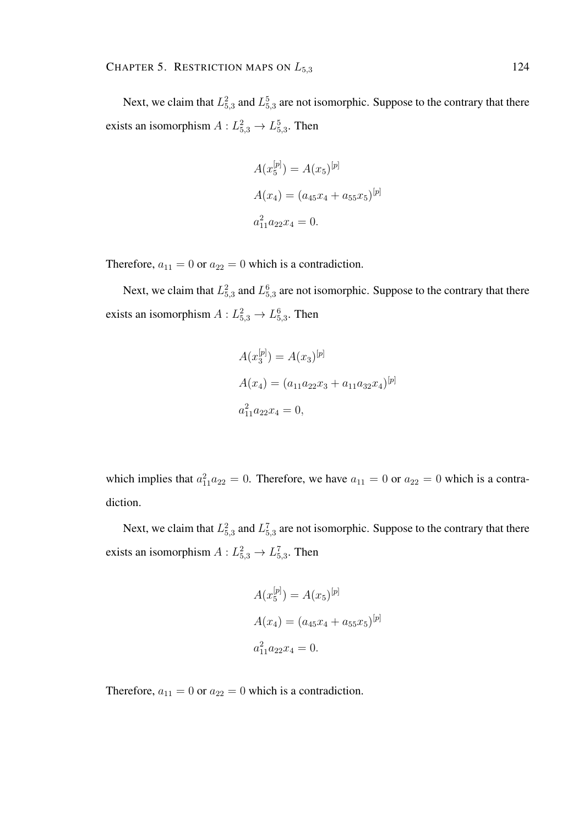Next, we claim that  $L_{5,3}^2$  and  $L_{5,3}^5$  are not isomorphic. Suppose to the contrary that there exists an isomorphism  $A: L_{5,3}^2 \to L_{5,3}^5$ . Then

$$
A(x_5^{[p]}) = A(x_5)^{[p]}
$$
  
\n
$$
A(x_4) = (a_{45}x_4 + a_{55}x_5)^{[p]}
$$
  
\n
$$
a_{11}^2 a_{22}x_4 = 0.
$$

Therefore,  $a_{11} = 0$  or  $a_{22} = 0$  which is a contradiction.

Next, we claim that  $L_{5,3}^2$  and  $L_{5,3}^6$  are not isomorphic. Suppose to the contrary that there exists an isomorphism  $A: L_{5,3}^2 \to L_{5,3}^6$ . Then

$$
A(x_3^{[p]}) = A(x_3)^{[p]}
$$
  
\n
$$
A(x_4) = (a_{11}a_{22}x_3 + a_{11}a_{32}x_4)^{[p]}
$$
  
\n
$$
a_{11}^2 a_{22}x_4 = 0,
$$

which implies that  $a_{11}^2 a_{22} = 0$ . Therefore, we have  $a_{11} = 0$  or  $a_{22} = 0$  which is a contradiction.

Next, we claim that  $L_{5,3}^2$  and  $L_{5,3}^7$  are not isomorphic. Suppose to the contrary that there exists an isomorphism  $A: L_{5,3}^2 \to L_{5,3}^7$ . Then

$$
A(x_5^{[p]}) = A(x_5)^{[p]}
$$
  
\n
$$
A(x_4) = (a_{45}x_4 + a_{55}x_5)^{[p]}
$$
  
\n
$$
a_{11}^2 a_{22}x_4 = 0.
$$

Therefore,  $a_{11} = 0$  or  $a_{22} = 0$  which is a contradiction.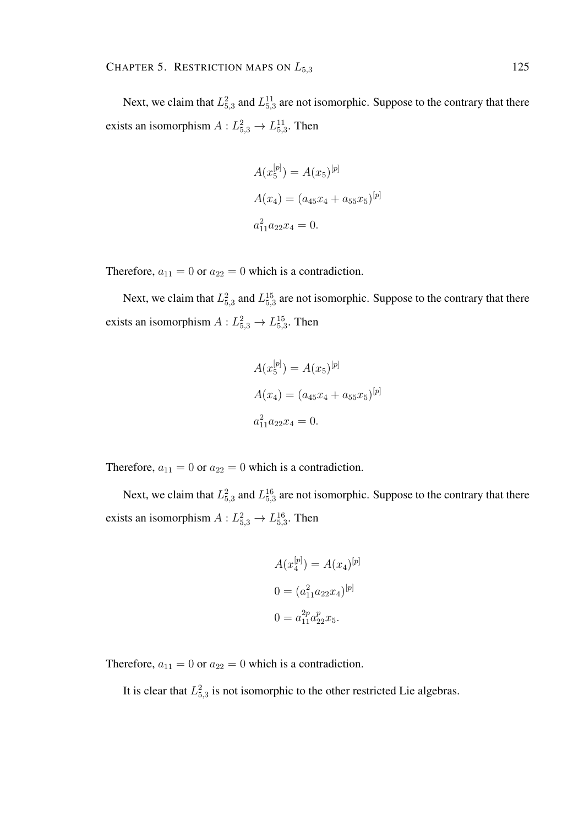Next, we claim that  $L_{5,3}^2$  and  $L_{5,3}^{11}$  are not isomorphic. Suppose to the contrary that there exists an isomorphism  $A: L_{5,3}^2 \to L_{5,3}^{11}$ . Then

$$
A(x_5^{[p]}) = A(x_5)^{[p]}
$$
  
\n
$$
A(x_4) = (a_{45}x_4 + a_{55}x_5)^{[p]}
$$
  
\n
$$
a_{11}^2 a_{22}x_4 = 0.
$$

Therefore,  $a_{11} = 0$  or  $a_{22} = 0$  which is a contradiction.

Next, we claim that  $L_{5,3}^2$  and  $L_{5,3}^{15}$  are not isomorphic. Suppose to the contrary that there exists an isomorphism  $A: L_{5,3}^2 \to L_{5,3}^{15}$ . Then

$$
A(x_5^{[p]}) = A(x_5)^{[p]}
$$
  
\n
$$
A(x_4) = (a_{45}x_4 + a_{55}x_5)^{[p]}
$$
  
\n
$$
a_{11}^2 a_{22}x_4 = 0.
$$

Therefore,  $a_{11} = 0$  or  $a_{22} = 0$  which is a contradiction.

Next, we claim that  $L_{5,3}^2$  and  $L_{5,3}^{16}$  are not isomorphic. Suppose to the contrary that there exists an isomorphism  $A: L_{5,3}^2 \to L_{5,3}^{16}$ . Then

$$
A(x_4^{[p]}) = A(x_4)^{[p]}
$$

$$
0 = (a_{11}^2 a_{22} x_4)^{[p]}
$$

$$
0 = a_{11}^{2p} a_{22}^p x_5.
$$

Therefore,  $a_{11} = 0$  or  $a_{22} = 0$  which is a contradiction.

It is clear that  $L_{5,3}^2$  is not isomorphic to the other restricted Lie algebras.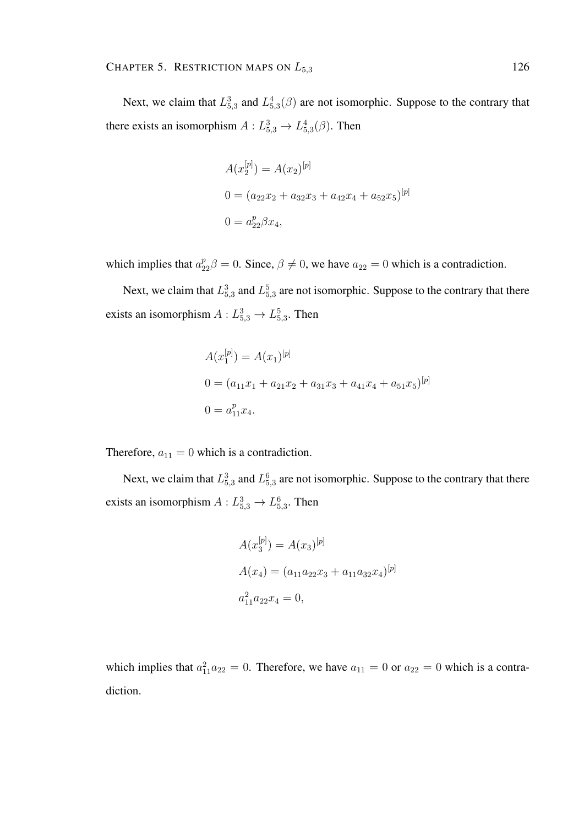Next, we claim that  $L_{5,3}^3$  and  $L_{5,3}^4(\beta)$  are not isomorphic. Suppose to the contrary that there exists an isomorphism  $A: L_{5,3}^3 \to L_{5,3}^4(\beta)$ . Then

$$
A(x_2^{[p]}) = A(x_2)^{[p]}
$$
  
\n
$$
0 = (a_{22}x_2 + a_{32}x_3 + a_{42}x_4 + a_{52}x_5)^{[p]}
$$
  
\n
$$
0 = a_{22}^p \beta x_4,
$$

which implies that  $a_{22}^p \beta = 0$ . Since,  $\beta \neq 0$ , we have  $a_{22} = 0$  which is a contradiction.

Next, we claim that  $L_{5,3}^3$  and  $L_{5,3}^5$  are not isomorphic. Suppose to the contrary that there exists an isomorphism  $A: L_{5,3}^3 \rightarrow L_{5,3}^5$ . Then

$$
A(x_1^{[p]}) = A(x_1)^{[p]}
$$
  
\n
$$
0 = (a_{11}x_1 + a_{21}x_2 + a_{31}x_3 + a_{41}x_4 + a_{51}x_5)^{[p]}
$$
  
\n
$$
0 = a_{11}^px_4.
$$

Therefore,  $a_{11} = 0$  which is a contradiction.

Next, we claim that  $L_{5,3}^3$  and  $L_{5,3}^6$  are not isomorphic. Suppose to the contrary that there exists an isomorphism  $A: L_{5,3}^3 \to L_{5,3}^6$ . Then

$$
A(x_3^{[p]}) = A(x_3)^{[p]}
$$
  
\n
$$
A(x_4) = (a_{11}a_{22}x_3 + a_{11}a_{32}x_4)^{[p]}
$$
  
\n
$$
a_{11}^2 a_{22}x_4 = 0,
$$

which implies that  $a_{11}^2 a_{22} = 0$ . Therefore, we have  $a_{11} = 0$  or  $a_{22} = 0$  which is a contradiction.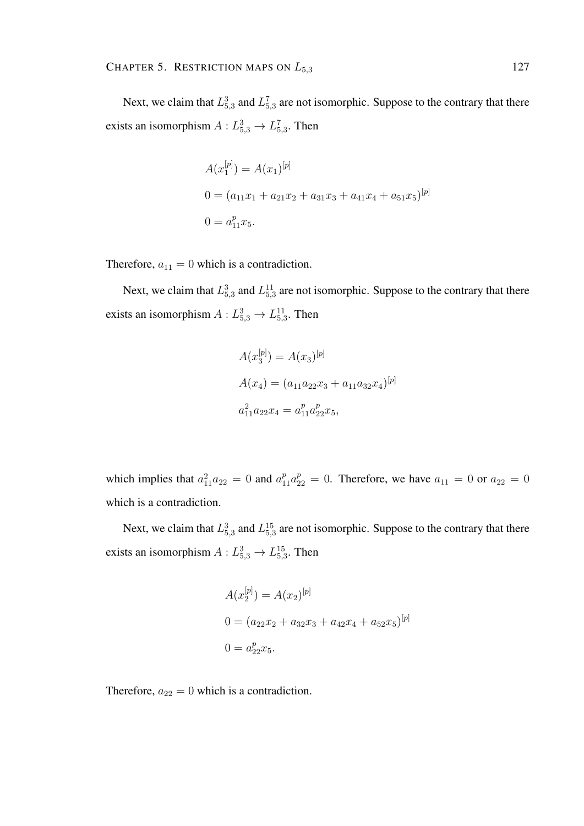Next, we claim that  $L_{5,3}^3$  and  $L_{5,3}^7$  are not isomorphic. Suppose to the contrary that there exists an isomorphism  $A: L_{5,3}^3 \to L_{5,3}^7$ . Then

$$
A(x_1^{[p]}) = A(x_1)^{[p]}
$$
  
\n
$$
0 = (a_{11}x_1 + a_{21}x_2 + a_{31}x_3 + a_{41}x_4 + a_{51}x_5)^{[p]}
$$
  
\n
$$
0 = a_{11}^p x_5.
$$

Therefore,  $a_{11} = 0$  which is a contradiction.

Next, we claim that  $L_{5,3}^3$  and  $L_{5,3}^{11}$  are not isomorphic. Suppose to the contrary that there exists an isomorphism  $A: L_{5,3}^3 \rightarrow L_{5,3}^{11}$ . Then

$$
A(x_3^{[p]}) = A(x_3)^{[p]}
$$
  
\n
$$
A(x_4) = (a_{11}a_{22}x_3 + a_{11}a_{32}x_4)^{[p]}
$$
  
\n
$$
a_{11}^2 a_{22}x_4 = a_{11}^p a_{22}^p x_5,
$$

which implies that  $a_{11}^2 a_{22} = 0$  and  $a_{11}^p a_{22}^p = 0$ . Therefore, we have  $a_{11} = 0$  or  $a_{22} = 0$ which is a contradiction.

Next, we claim that  $L_{5,3}^3$  and  $L_{5,3}^{15}$  are not isomorphic. Suppose to the contrary that there exists an isomorphism  $A: L_{5,3}^3 \rightarrow L_{5,3}^{15}$ . Then

$$
A(x_2^{[p]}) = A(x_2)^{[p]}
$$
  
\n
$$
0 = (a_{22}x_2 + a_{32}x_3 + a_{42}x_4 + a_{52}x_5)^{[p]}
$$
  
\n
$$
0 = a_{22}^p x_5.
$$

Therefore,  $a_{22} = 0$  which is a contradiction.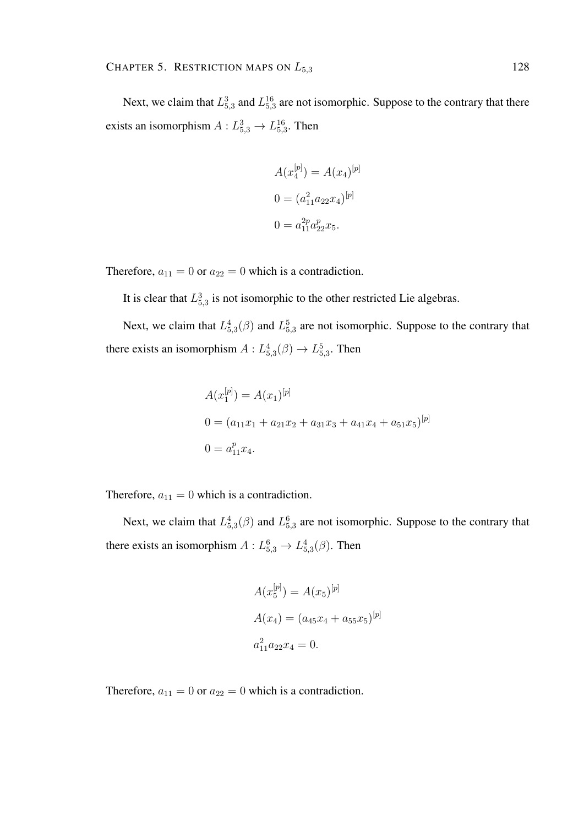Next, we claim that  $L_{5,3}^3$  and  $L_{5,3}^{16}$  are not isomorphic. Suppose to the contrary that there exists an isomorphism  $A: L_{5,3}^3 \rightarrow L_{5,3}^{16}$ . Then

$$
A(x_4^{[p]}) = A(x_4)^{[p]}
$$

$$
0 = (a_{11}^2 a_{22} x_4)^{[p]}
$$

$$
0 = a_{11}^{2p} a_{22}^p x_5.
$$

Therefore,  $a_{11} = 0$  or  $a_{22} = 0$  which is a contradiction.

It is clear that  $L_{5,3}^3$  is not isomorphic to the other restricted Lie algebras.

Next, we claim that  $L_{5,3}^4(\beta)$  and  $L_{5,3}^5$  are not isomorphic. Suppose to the contrary that there exists an isomorphism  $A: L_{5,3}^4(\beta) \rightarrow L_{5,3}^5$ . Then

$$
A(x_1^{[p]}) = A(x_1)^{[p]}
$$
  
\n
$$
0 = (a_{11}x_1 + a_{21}x_2 + a_{31}x_3 + a_{41}x_4 + a_{51}x_5)^{[p]}
$$
  
\n
$$
0 = a_{11}^p x_4.
$$

Therefore,  $a_{11} = 0$  which is a contradiction.

Next, we claim that  $L_{5,3}^4(\beta)$  and  $L_{5,3}^6$  are not isomorphic. Suppose to the contrary that there exists an isomorphism  $A: L_{5,3}^6 \to L_{5,3}^4(\beta)$ . Then

$$
A(x_5^{[p]}) = A(x_5)^{[p]}
$$
  
\n
$$
A(x_4) = (a_{45}x_4 + a_{55}x_5)^{[p]}
$$
  
\n
$$
a_{11}^2 a_{22}x_4 = 0.
$$

Therefore,  $a_{11} = 0$  or  $a_{22} = 0$  which is a contradiction.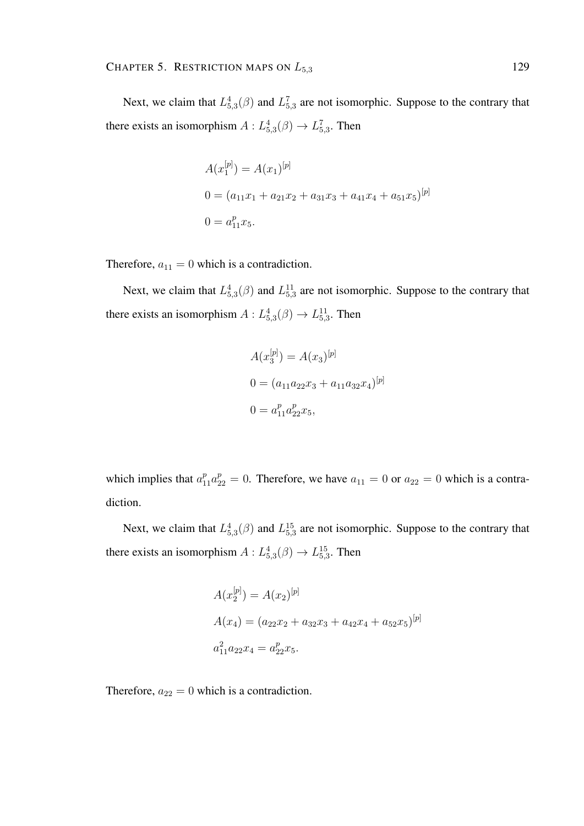Next, we claim that  $L_{5,3}^4(\beta)$  and  $L_{5,3}^7$  are not isomorphic. Suppose to the contrary that there exists an isomorphism  $A: L_{5,3}^4(\beta) \to L_{5,3}^7$ . Then

$$
A(x_1^{[p]}) = A(x_1)^{[p]}
$$
  
\n
$$
0 = (a_{11}x_1 + a_{21}x_2 + a_{31}x_3 + a_{41}x_4 + a_{51}x_5)^{[p]}
$$
  
\n
$$
0 = a_{11}^p x_5.
$$

Therefore,  $a_{11} = 0$  which is a contradiction.

Next, we claim that  $L_{5,3}^{4}(\beta)$  and  $L_{5,3}^{11}$  are not isomorphic. Suppose to the contrary that there exists an isomorphism  $A: L_{5,3}^4(\beta) \rightarrow L_{5,3}^{11}$ . Then

$$
A(x_3^{[p]}) = A(x_3)^{[p]}
$$
  
\n
$$
0 = (a_{11}a_{22}x_3 + a_{11}a_{32}x_4)^{[p]}
$$
  
\n
$$
0 = a_{11}^p a_{22}^p x_5,
$$

which implies that  $a_{11}^p a_{22}^p = 0$ . Therefore, we have  $a_{11} = 0$  or  $a_{22} = 0$  which is a contradiction.

Next, we claim that  $L_{5,3}^{4}(\beta)$  and  $L_{5,3}^{15}$  are not isomorphic. Suppose to the contrary that there exists an isomorphism  $A: L_{5,3}^4(\beta) \rightarrow L_{5,3}^{15}$ . Then

$$
A(x_2^{[p]}) = A(x_2)^{[p]}
$$
  
\n
$$
A(x_4) = (a_{22}x_2 + a_{32}x_3 + a_{42}x_4 + a_{52}x_5)^{[p]}
$$
  
\n
$$
a_{11}^2 a_{22}x_4 = a_{22}^p x_5.
$$

Therefore,  $a_{22} = 0$  which is a contradiction.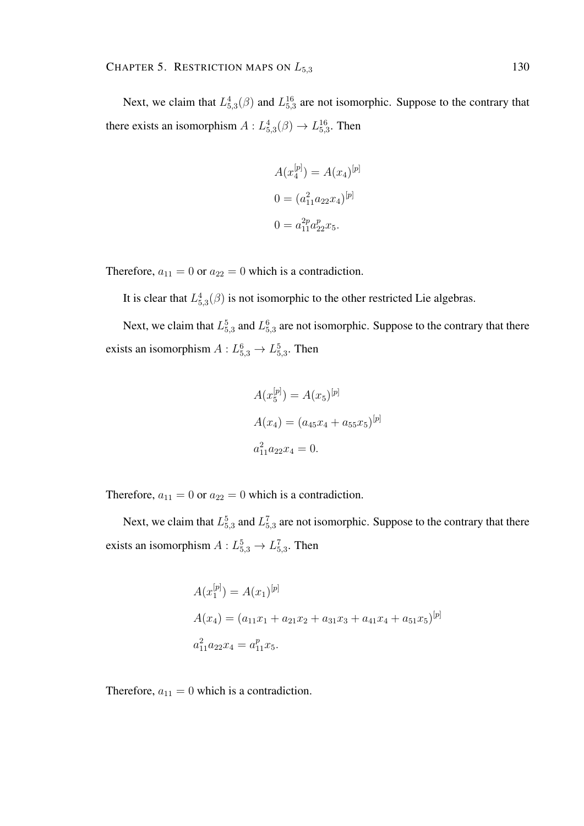Next, we claim that  $L_{5,3}^{4}(\beta)$  and  $L_{5,3}^{16}$  are not isomorphic. Suppose to the contrary that there exists an isomorphism  $A: L_{5,3}^4(\beta) \rightarrow L_{5,3}^{16}$ . Then

$$
A(x_4^{[p]}) = A(x_4)^{[p]}
$$

$$
0 = (a_{11}^2 a_{22} x_4)^{[p]}
$$

$$
0 = a_{11}^{2p} a_{22}^p x_5.
$$

Therefore,  $a_{11} = 0$  or  $a_{22} = 0$  which is a contradiction.

It is clear that  $L_{5,3}^4(\beta)$  is not isomorphic to the other restricted Lie algebras.

Next, we claim that  $L_{5,3}^5$  and  $L_{5,3}^6$  are not isomorphic. Suppose to the contrary that there exists an isomorphism  $A: L_{5,3}^6 \to L_{5,3}^5$ . Then

$$
A(x_5^{[p]}) = A(x_5)^{[p]}
$$
  
\n
$$
A(x_4) = (a_{45}x_4 + a_{55}x_5)^{[p]}
$$
  
\n
$$
a_{11}^2 a_{22}x_4 = 0.
$$

Therefore,  $a_{11} = 0$  or  $a_{22} = 0$  which is a contradiction.

Next, we claim that  $L_{5,3}^5$  and  $L_{5,3}^7$  are not isomorphic. Suppose to the contrary that there exists an isomorphism  $A: L_{5,3}^5 \rightarrow L_{5,3}^7$ . Then

$$
A(x_1^{[p]}) = A(x_1)^{[p]}
$$
  
\n
$$
A(x_4) = (a_{11}x_1 + a_{21}x_2 + a_{31}x_3 + a_{41}x_4 + a_{51}x_5)^{[p]}
$$
  
\n
$$
a_{11}^2 a_{22}x_4 = a_{11}^p x_5.
$$

Therefore,  $a_{11} = 0$  which is a contradiction.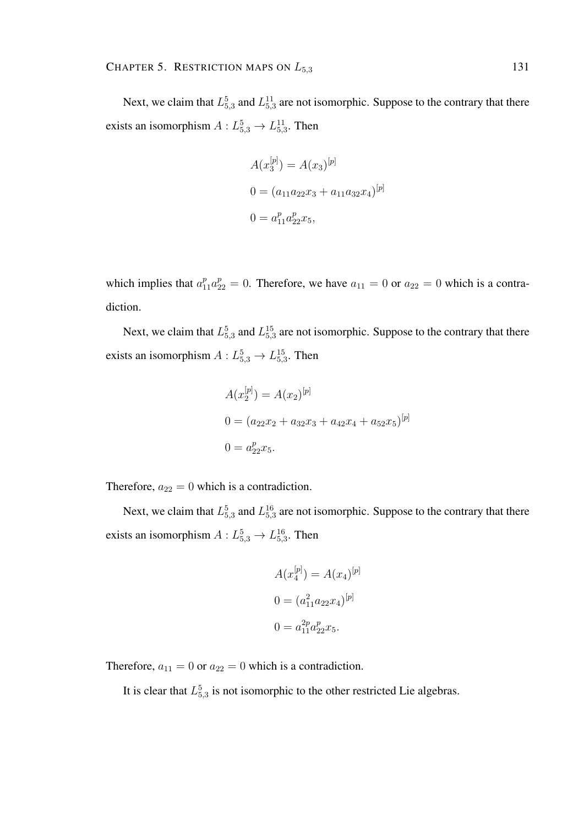Next, we claim that  $L_{5,3}^5$  and  $L_{5,3}^{11}$  are not isomorphic. Suppose to the contrary that there exists an isomorphism  $A: L_{5,3}^5 \rightarrow L_{5,3}^{11}$ . Then

$$
A(x_3^{[p]}) = A(x_3)^{[p]}
$$
  
\n
$$
0 = (a_{11}a_{22}x_3 + a_{11}a_{32}x_4)^{[p]}
$$
  
\n
$$
0 = a_{11}^p a_{22}^p x_5,
$$

which implies that  $a_{11}^p a_{22}^p = 0$ . Therefore, we have  $a_{11} = 0$  or  $a_{22} = 0$  which is a contradiction.

Next, we claim that  $L_{5,3}^5$  and  $L_{5,3}^{15}$  are not isomorphic. Suppose to the contrary that there exists an isomorphism  $A: L_{5,3}^5 \rightarrow L_{5,3}^{15}$ . Then

$$
A(x_2^{[p]}) = A(x_2)^{[p]}
$$
  
\n
$$
0 = (a_{22}x_2 + a_{32}x_3 + a_{42}x_4 + a_{52}x_5)^{[p]}
$$
  
\n
$$
0 = a_{22}^p x_5.
$$

Therefore,  $a_{22} = 0$  which is a contradiction.

Next, we claim that  $L_{5,3}^5$  and  $L_{5,3}^{16}$  are not isomorphic. Suppose to the contrary that there exists an isomorphism  $A: L_{5,3}^5 \rightarrow L_{5,3}^{16}$ . Then

$$
A(x_4^{[p]}) = A(x_4)^{[p]}
$$

$$
0 = (a_{11}^2 a_{22} x_4)^{[p]}
$$

$$
0 = a_{11}^{2p} a_{22}^p x_5.
$$

Therefore,  $a_{11} = 0$  or  $a_{22} = 0$  which is a contradiction.

It is clear that  $L_{5,3}^5$  is not isomorphic to the other restricted Lie algebras.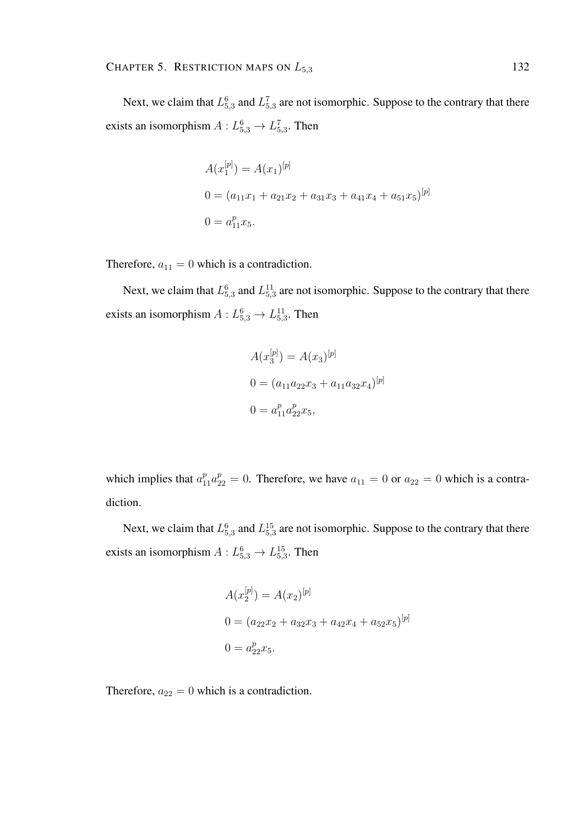Next, we claim that  $L_{5,3}^6$  and  $L_{5,3}^7$  are not isomorphic. Suppose to the contrary that there exists an isomorphism  $A: L_{5,3}^6 \to L_{5,3}^7$ . Then

$$
A(x_1^{[p]}) = A(x_1)^{[p]}
$$
  
\n
$$
0 = (a_{11}x_1 + a_{21}x_2 + a_{31}x_3 + a_{41}x_4 + a_{51}x_5)^{[p]}
$$
  
\n
$$
0 = a_{11}^p x_5.
$$

Therefore,  $a_{11} = 0$  which is a contradiction.

Next, we claim that  $L_{5,3}^6$  and  $L_{5,3}^{11}$  are not isomorphic. Suppose to the contrary that there exists an isomorphism  $A: L_{5,3}^6 \to L_{5,3}^{11}$ . Then

$$
A(x_3^{[p]}) = A(x_3)^{[p]}
$$
  
\n
$$
0 = (a_{11}a_{22}x_3 + a_{11}a_{32}x_4)^{[p]}
$$
  
\n
$$
0 = a_{11}^p a_{22}^p x_5,
$$

which implies that  $a_{11}^p a_{22}^p = 0$ . Therefore, we have  $a_{11} = 0$  or  $a_{22} = 0$  which is a contradiction.

Next, we claim that  $L_{5,3}^6$  and  $L_{5,3}^{15}$  are not isomorphic. Suppose to the contrary that there exists an isomorphism  $A: L_{5,3}^6 \to L_{5,3}^{15}$ . Then

$$
A(x_2^{[p]}) = A(x_2)^{[p]}
$$
  
\n
$$
0 = (a_{22}x_2 + a_{32}x_3 + a_{42}x_4 + a_{52}x_5)^{[p]}
$$
  
\n
$$
0 = a_{22}^p x_5.
$$

Therefore,  $a_{22} = 0$  which is a contradiction.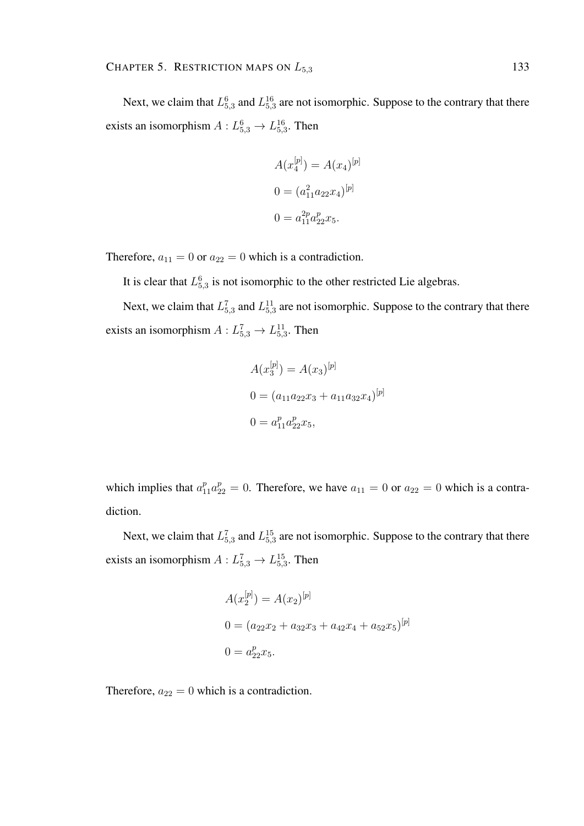Next, we claim that  $L_{5,3}^6$  and  $L_{5,3}^{16}$  are not isomorphic. Suppose to the contrary that there exists an isomorphism  $A: L_{5,3}^6 \rightarrow L_{5,3}^{16}$ . Then

$$
A(x_4^{[p]}) = A(x_4)^{[p]}
$$

$$
0 = (a_{11}^2 a_{22} x_4)^{[p]}
$$

$$
0 = a_{11}^{2p} a_{22}^p x_5.
$$

Therefore,  $a_{11} = 0$  or  $a_{22} = 0$  which is a contradiction.

It is clear that  $L_{5,3}^6$  is not isomorphic to the other restricted Lie algebras.

Next, we claim that  $L_{5,3}^7$  and  $L_{5,3}^{11}$  are not isomorphic. Suppose to the contrary that there exists an isomorphism  $A: L_{5,3}^7 \rightarrow L_{5,3}^{11}$ . Then

$$
A(x_3^{[p]}) = A(x_3)^{[p]}
$$
  
\n
$$
0 = (a_{11}a_{22}x_3 + a_{11}a_{32}x_4)^{[p]}
$$
  
\n
$$
0 = a_{11}^p a_{22}^p x_5,
$$

which implies that  $a_{11}^p a_{22}^p = 0$ . Therefore, we have  $a_{11} = 0$  or  $a_{22} = 0$  which is a contradiction.

Next, we claim that  $L_{5,3}^7$  and  $L_{5,3}^{15}$  are not isomorphic. Suppose to the contrary that there exists an isomorphism  $A: L_{5,3}^7 \rightarrow L_{5,3}^{15}$ . Then

$$
A(x_2^{[p]}) = A(x_2)^{[p]}
$$
  
\n
$$
0 = (a_{22}x_2 + a_{32}x_3 + a_{42}x_4 + a_{52}x_5)^{[p]}
$$
  
\n
$$
0 = a_{22}^p x_5.
$$

Therefore,  $a_{22} = 0$  which is a contradiction.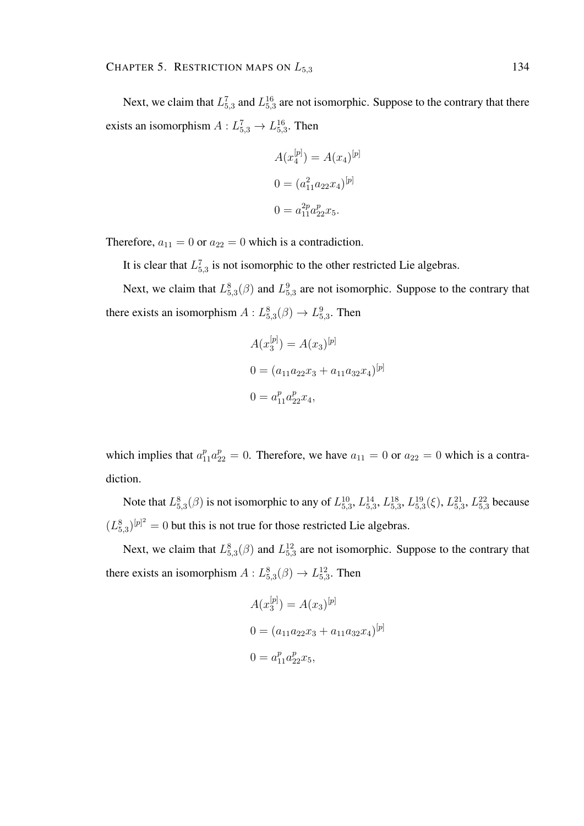Next, we claim that  $L_{5,3}^7$  and  $L_{5,3}^{16}$  are not isomorphic. Suppose to the contrary that there exists an isomorphism  $A: L_{5,3}^7 \rightarrow L_{5,3}^{16}$ . Then

$$
A(x_4^{[p]}) = A(x_4)^{[p]}
$$

$$
0 = (a_{11}^2 a_{22} x_4)^{[p]}
$$

$$
0 = a_{11}^{2p} a_{22}^p x_5.
$$

Therefore,  $a_{11} = 0$  or  $a_{22} = 0$  which is a contradiction.

It is clear that  $L_{5,3}^7$  is not isomorphic to the other restricted Lie algebras.

Next, we claim that  $L_{5,3}^{8}(\beta)$  and  $L_{5,3}^{9}$  are not isomorphic. Suppose to the contrary that there exists an isomorphism  $A: L_{5,3}^8(\beta) \to L_{5,3}^9$ . Then

$$
A(x_3^{[p]}) = A(x_3)^{[p]}
$$
  
\n
$$
0 = (a_{11}a_{22}x_3 + a_{11}a_{32}x_4)^{[p]}
$$
  
\n
$$
0 = a_{11}^p a_{22}^p x_4,
$$

which implies that  $a_{11}^p a_{22}^p = 0$ . Therefore, we have  $a_{11} = 0$  or  $a_{22} = 0$  which is a contradiction.

Note that  $L_{5,3}^8(\beta)$  is not isomorphic to any of  $L_{5,3}^{10}$ ,  $L_{5,3}^{14}$ ,  $L_{5,3}^{18}$ ,  $L_{5,3}^{19}(\xi)$ ,  $L_{5,3}^{21}$ ,  $L_{5,3}^{22}$  because  $(L_{5,3}^{8})^{[p]^{2}} = 0$  but this is not true for those restricted Lie algebras.

Next, we claim that  $L_{5,3}^{8}(\beta)$  and  $L_{5,3}^{12}$  are not isomorphic. Suppose to the contrary that there exists an isomorphism  $A: L_{5,3}^8(\beta) \to L_{5,3}^{12}$ . Then

$$
A(x_3^{[p]}) = A(x_3)^{[p]}
$$
  
\n
$$
0 = (a_{11}a_{22}x_3 + a_{11}a_{32}x_4)^{[p]}
$$
  
\n
$$
0 = a_{11}^p a_{22}^p x_5,
$$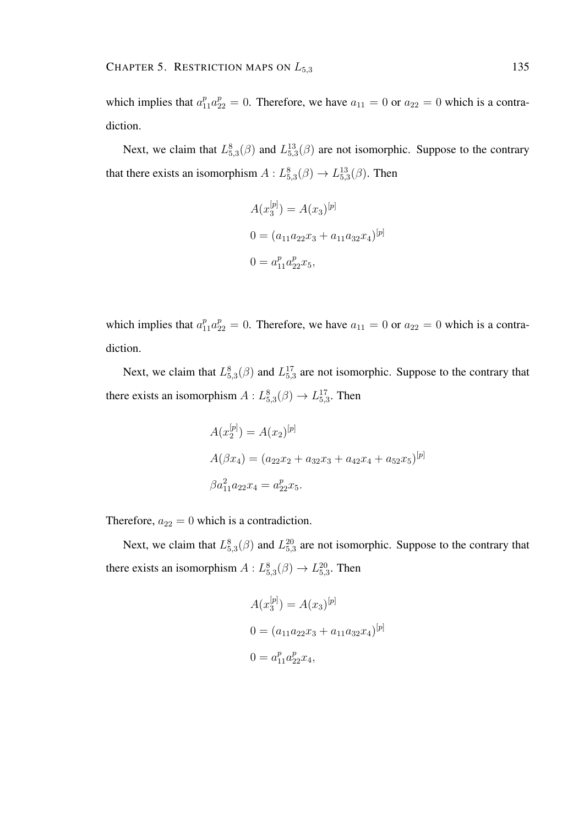which implies that  $a_{11}^p a_{22}^p = 0$ . Therefore, we have  $a_{11} = 0$  or  $a_{22} = 0$  which is a contradiction.

Next, we claim that  $L_{5,3}^{8}(\beta)$  and  $L_{5,3}^{13}(\beta)$  are not isomorphic. Suppose to the contrary that there exists an isomorphism  $A: L_{5,3}^{8}(\beta) \rightarrow L_{5,3}^{13}(\beta)$ . Then

$$
A(x_3^{[p]}) = A(x_3)^{[p]}
$$
  
\n
$$
0 = (a_{11}a_{22}x_3 + a_{11}a_{32}x_4)^{[p]}
$$
  
\n
$$
0 = a_{11}^p a_{22}^p x_5,
$$

which implies that  $a_{11}^p a_{22}^p = 0$ . Therefore, we have  $a_{11} = 0$  or  $a_{22} = 0$  which is a contradiction.

Next, we claim that  $L_{5,3}^{8}(\beta)$  and  $L_{5,3}^{17}$  are not isomorphic. Suppose to the contrary that there exists an isomorphism  $A: L_{5,3}^8(\beta) \to L_{5,3}^{17}$ . Then

$$
A(x_2^{[p]}) = A(x_2)^{[p]}
$$
  
\n
$$
A(\beta x_4) = (a_{22}x_2 + a_{32}x_3 + a_{42}x_4 + a_{52}x_5)^{[p]}
$$
  
\n
$$
\beta a_{11}^2 a_{22}x_4 = a_{22}^p x_5.
$$

Therefore,  $a_{22} = 0$  which is a contradiction.

Next, we claim that  $L_{5,3}^{8}(\beta)$  and  $L_{5,3}^{20}$  are not isomorphic. Suppose to the contrary that there exists an isomorphism  $A: L_{5,3}^8(\beta) \rightarrow L_{5,3}^{20}$ . Then

$$
A(x_3^{[p]}) = A(x_3)^{[p]}
$$
  
\n
$$
0 = (a_{11}a_{22}x_3 + a_{11}a_{32}x_4)^{[p]}
$$
  
\n
$$
0 = a_{11}^p a_{22}^p x_4,
$$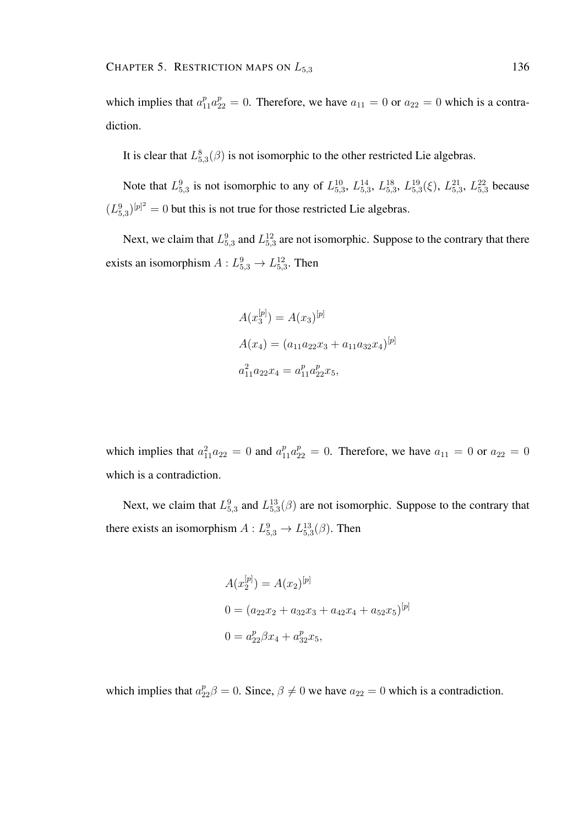which implies that  $a_{11}^p a_{22}^p = 0$ . Therefore, we have  $a_{11} = 0$  or  $a_{22} = 0$  which is a contradiction.

It is clear that  $L_{5,3}^8(\beta)$  is not isomorphic to the other restricted Lie algebras.

Note that  $L_{5,3}^9$  is not isomorphic to any of  $L_{5,3}^{10}$ ,  $L_{5,3}^{14}$ ,  $L_{5,3}^{18}$ ,  $L_{5,3}^{19}$ ( $\xi$ ),  $L_{5,3}^{21}$ ,  $L_{5,3}^{22}$  because  $(L_{5,3}^{9})^{[p]^2} = 0$  but this is not true for those restricted Lie algebras.

Next, we claim that  $L_{5,3}^9$  and  $L_{5,3}^{12}$  are not isomorphic. Suppose to the contrary that there exists an isomorphism  $A: L_{5,3}^9 \rightarrow L_{5,3}^{12}$ . Then

$$
A(x_3^{[p]}) = A(x_3)^{[p]}
$$
  
\n
$$
A(x_4) = (a_{11}a_{22}x_3 + a_{11}a_{32}x_4)^{[p]}
$$
  
\n
$$
a_{11}^2 a_{22}x_4 = a_{11}^p a_{22}^p x_5,
$$

which implies that  $a_{11}^2 a_{22} = 0$  and  $a_{11}^p a_{22}^p = 0$ . Therefore, we have  $a_{11} = 0$  or  $a_{22} = 0$ which is a contradiction.

Next, we claim that  $L_{5,3}^9$  and  $L_{5,3}^{13}(\beta)$  are not isomorphic. Suppose to the contrary that there exists an isomorphism  $A: L_{5,3}^9 \to L_{5,3}^{13}(\beta)$ . Then

$$
A(x_2^{[p]}) = A(x_2)^{[p]}
$$
  
\n
$$
0 = (a_{22}x_2 + a_{32}x_3 + a_{42}x_4 + a_{52}x_5)^{[p]}
$$
  
\n
$$
0 = a_{22}^p \beta x_4 + a_{32}^p x_5,
$$

which implies that  $a_{22}^p \beta = 0$ . Since,  $\beta \neq 0$  we have  $a_{22} = 0$  which is a contradiction.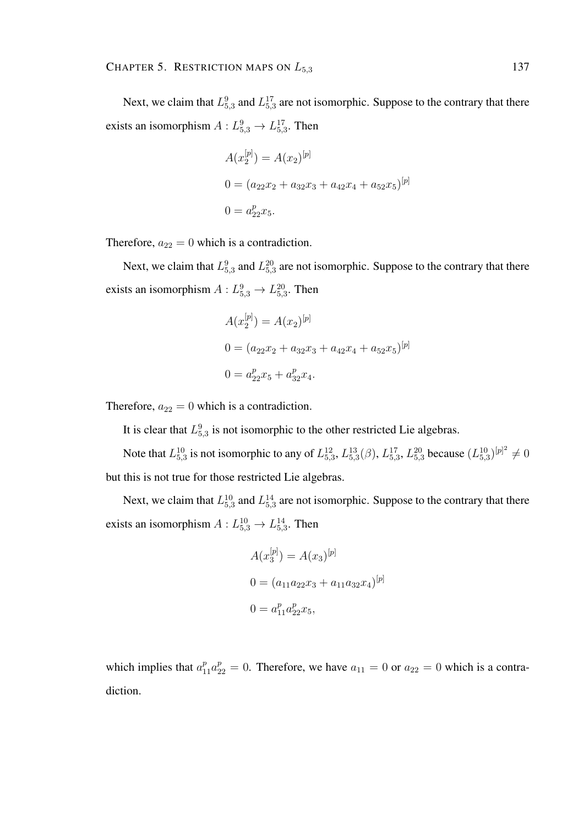Next, we claim that  $L_{5,3}^9$  and  $L_{5,3}^{17}$  are not isomorphic. Suppose to the contrary that there exists an isomorphism  $A: L_{5,3}^9 \rightarrow L_{5,3}^{17}$ . Then

$$
A(x_2^{[p]}) = A(x_2)^{[p]}
$$
  
\n
$$
0 = (a_{22}x_2 + a_{32}x_3 + a_{42}x_4 + a_{52}x_5)^{[p]}
$$
  
\n
$$
0 = a_{22}^p x_5.
$$

Therefore,  $a_{22} = 0$  which is a contradiction.

Next, we claim that  $L_{5,3}^9$  and  $L_{5,3}^{20}$  are not isomorphic. Suppose to the contrary that there exists an isomorphism  $A: L_{5,3}^9 \rightarrow L_{5,3}^{20}$ . Then

$$
A(x_2^{[p]}) = A(x_2)^{[p]}
$$
  
\n
$$
0 = (a_{22}x_2 + a_{32}x_3 + a_{42}x_4 + a_{52}x_5)^{[p]}
$$
  
\n
$$
0 = a_{22}^p x_5 + a_{32}^p x_4.
$$

Therefore,  $a_{22} = 0$  which is a contradiction.

It is clear that  $L_{5,3}^9$  is not isomorphic to the other restricted Lie algebras.

Note that  $L_{5,3}^{10}$  is not isomorphic to any of  $L_{5,3}^{12}$ ,  $L_{5,3}^{13}(\beta)$ ,  $L_{5,3}^{17}$ ,  $L_{5,3}^{20}$  because  $(L_{5,3}^{10})^{[p]^2} \neq 0$ but this is not true for those restricted Lie algebras.

Next, we claim that  $L_{5,3}^{10}$  and  $L_{5,3}^{14}$  are not isomorphic. Suppose to the contrary that there exists an isomorphism  $A: L_{5,3}^{10} \rightarrow L_{5,3}^{14}$ . Then

$$
A(x_3^{[p]}) = A(x_3)^{[p]}
$$
  
\n
$$
0 = (a_{11}a_{22}x_3 + a_{11}a_{32}x_4)^{[p]}
$$
  
\n
$$
0 = a_{11}^p a_{22}^p x_5,
$$

which implies that  $a_{11}^p a_{22}^p = 0$ . Therefore, we have  $a_{11} = 0$  or  $a_{22} = 0$  which is a contradiction.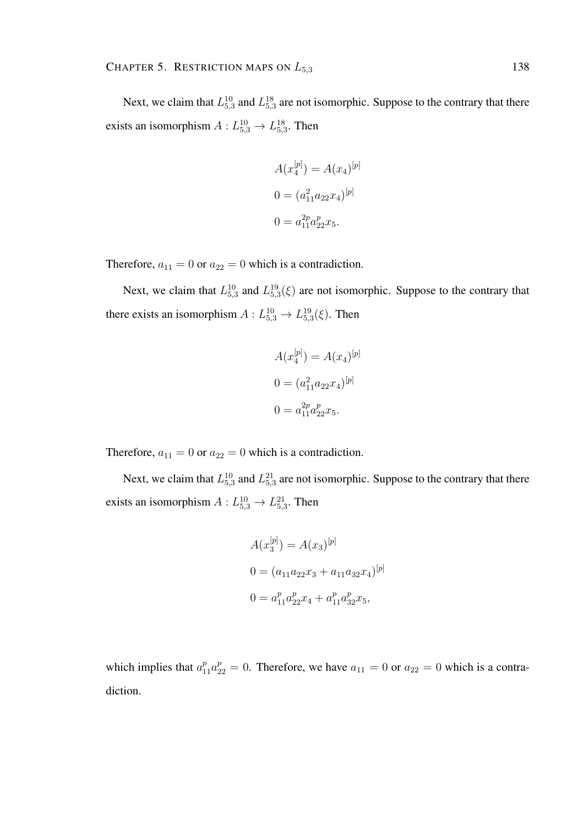Next, we claim that  $L_{5,3}^{10}$  and  $L_{5,3}^{18}$  are not isomorphic. Suppose to the contrary that there exists an isomorphism  $A: L_{5,3}^{10} \rightarrow L_{5,3}^{18}$ . Then

$$
A(x_4^{[p]}) = A(x_4)^{[p]}
$$

$$
0 = (a_{11}^2 a_{22} x_4)^{[p]}
$$

$$
0 = a_{11}^{2p} a_{22}^p x_5.
$$

Therefore,  $a_{11} = 0$  or  $a_{22} = 0$  which is a contradiction.

Next, we claim that  $L_{5,3}^{10}$  and  $L_{5,3}^{19}(\xi)$  are not isomorphic. Suppose to the contrary that there exists an isomorphism  $A: L_{5,3}^{10} \rightarrow L_{5,3}^{19}(\xi)$ . Then

$$
A(x_4^{[p]}) = A(x_4)^{[p]}
$$

$$
0 = (a_{11}^2 a_{22} x_4)^{[p]}
$$

$$
0 = a_{11}^{2p} a_{22}^p x_5.
$$

Therefore,  $a_{11} = 0$  or  $a_{22} = 0$  which is a contradiction.

Next, we claim that  $L_{5,3}^{10}$  and  $L_{5,3}^{21}$  are not isomorphic. Suppose to the contrary that there exists an isomorphism  $A: L_{5,3}^{10} \rightarrow L_{5,3}^{21}$ . Then

$$
A(x_3^{[p]}) = A(x_3)^{[p]}
$$
  
\n
$$
0 = (a_{11}a_{22}x_3 + a_{11}a_{32}x_4)^{[p]}
$$
  
\n
$$
0 = a_{11}^p a_{22}^p x_4 + a_{11}^p a_{32}^p x_5,
$$

which implies that  $a_{11}^p a_{22}^p = 0$ . Therefore, we have  $a_{11} = 0$  or  $a_{22} = 0$  which is a contradiction.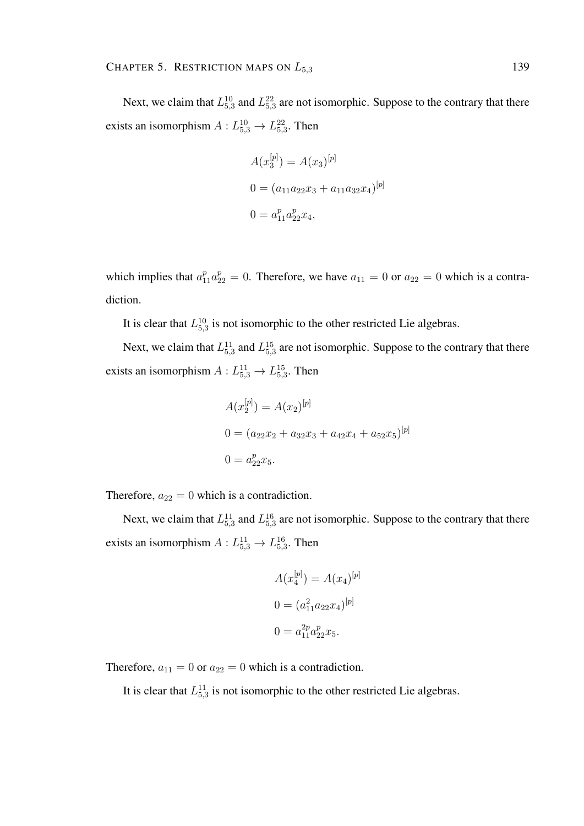Next, we claim that  $L_{5,3}^{10}$  and  $L_{5,3}^{22}$  are not isomorphic. Suppose to the contrary that there exists an isomorphism  $A: L_{5,3}^{10} \rightarrow L_{5,3}^{22}$ . Then

$$
A(x_3^{[p]}) = A(x_3)^{[p]}
$$
  
\n
$$
0 = (a_{11}a_{22}x_3 + a_{11}a_{32}x_4)^{[p]}
$$
  
\n
$$
0 = a_{11}^p a_{22}^p x_4,
$$

which implies that  $a_{11}^p a_{22}^p = 0$ . Therefore, we have  $a_{11} = 0$  or  $a_{22} = 0$  which is a contradiction.

It is clear that  $L_{5,3}^{10}$  is not isomorphic to the other restricted Lie algebras.

Next, we claim that  $L_{5,3}^{11}$  and  $L_{5,3}^{15}$  are not isomorphic. Suppose to the contrary that there exists an isomorphism  $A: L_{5,3}^{11} \rightarrow L_{5,3}^{15}$ . Then

$$
A(x_2^{[p]}) = A(x_2)^{[p]}
$$
  
\n
$$
0 = (a_{22}x_2 + a_{32}x_3 + a_{42}x_4 + a_{52}x_5)^{[p]}
$$
  
\n
$$
0 = a_{22}^p x_5.
$$

Therefore,  $a_{22} = 0$  which is a contradiction.

Next, we claim that  $L_{5,3}^{11}$  and  $L_{5,3}^{16}$  are not isomorphic. Suppose to the contrary that there exists an isomorphism  $A: L_{5,3}^{11} \rightarrow L_{5,3}^{16}$ . Then

$$
A(x_4^{[p]}) = A(x_4)^{[p]}
$$

$$
0 = (a_{11}^2 a_{22} x_4)^{[p]}
$$

$$
0 = a_{11}^{2p} a_{22}^p x_5.
$$

Therefore,  $a_{11} = 0$  or  $a_{22} = 0$  which is a contradiction.

It is clear that  $L_{5,3}^{11}$  is not isomorphic to the other restricted Lie algebras.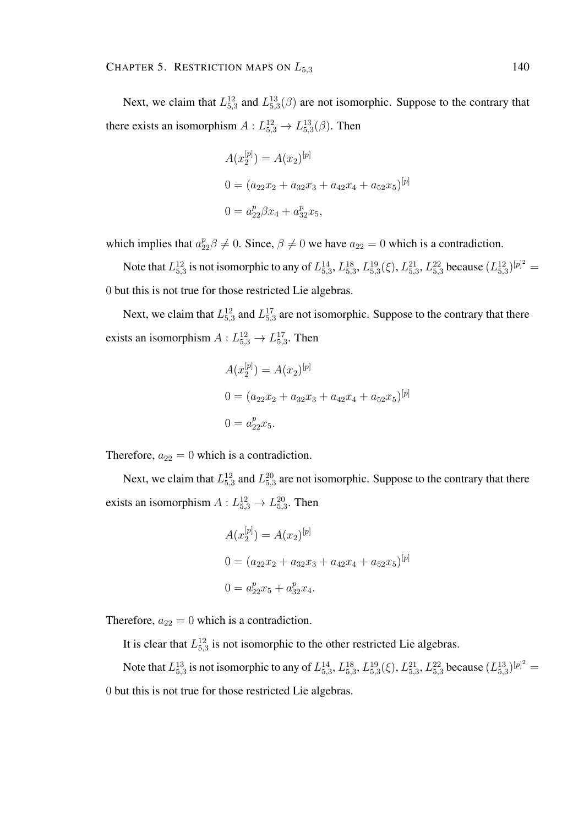Next, we claim that  $L_{5,3}^{12}$  and  $L_{5,3}^{13}(\beta)$  are not isomorphic. Suppose to the contrary that there exists an isomorphism  $A: L_{5,3}^{12} \rightarrow L_{5,3}^{13}(\beta)$ . Then

$$
A(x_2^{[p]}) = A(x_2)^{[p]}
$$
  
\n
$$
0 = (a_{22}x_2 + a_{32}x_3 + a_{42}x_4 + a_{52}x_5)^{[p]}
$$
  
\n
$$
0 = a_{22}^p \beta x_4 + a_{32}^p x_5,
$$

which implies that  $a_{22}^p \beta \neq 0$ . Since,  $\beta \neq 0$  we have  $a_{22} = 0$  which is a contradiction.

Note that  $L_{5,3}^{12}$  is not isomorphic to any of  $L_{5,3}^{14}$ ,  $L_{5,3}^{18}$ ,  $L_{5,3}^{19}$ ( $\xi$ ),  $L_{5,3}^{21}$ ,  $L_{5,3}^{22}$  because  $(L_{5,3}^{12})^{[p]^2}$  = 0 but this is not true for those restricted Lie algebras.

Next, we claim that  $L_{5,3}^{12}$  and  $L_{5,3}^{17}$  are not isomorphic. Suppose to the contrary that there exists an isomorphism  $A: L_{5,3}^{12} \rightarrow L_{5,3}^{17}$ . Then

$$
A(x_2^{[p]}) = A(x_2)^{[p]}
$$
  
\n
$$
0 = (a_{22}x_2 + a_{32}x_3 + a_{42}x_4 + a_{52}x_5)^{[p]}
$$
  
\n
$$
0 = a_{22}^p x_5.
$$

Therefore,  $a_{22} = 0$  which is a contradiction.

Next, we claim that  $L_{5,3}^{12}$  and  $L_{5,3}^{20}$  are not isomorphic. Suppose to the contrary that there exists an isomorphism  $A: L_{5,3}^{12} \rightarrow L_{5,3}^{20}$ . Then

$$
A(x_2^{[p]}) = A(x_2)^{[p]}
$$
  
\n
$$
0 = (a_{22}x_2 + a_{32}x_3 + a_{42}x_4 + a_{52}x_5)^{[p]}
$$
  
\n
$$
0 = a_{22}^px_5 + a_{32}^px_4.
$$

Therefore,  $a_{22} = 0$  which is a contradiction.

It is clear that  $L_{5,3}^{12}$  is not isomorphic to the other restricted Lie algebras.

Note that  $L_{5,3}^{13}$  is not isomorphic to any of  $L_{5,3}^{14}$ ,  $L_{5,3}^{18}$ ,  $L_{5,3}^{19}$ ( $\xi$ ),  $L_{5,3}^{21}$ ,  $L_{5,3}^{22}$  because  $(L_{5,3}^{13})^{[p]^2}$  = 0 but this is not true for those restricted Lie algebras.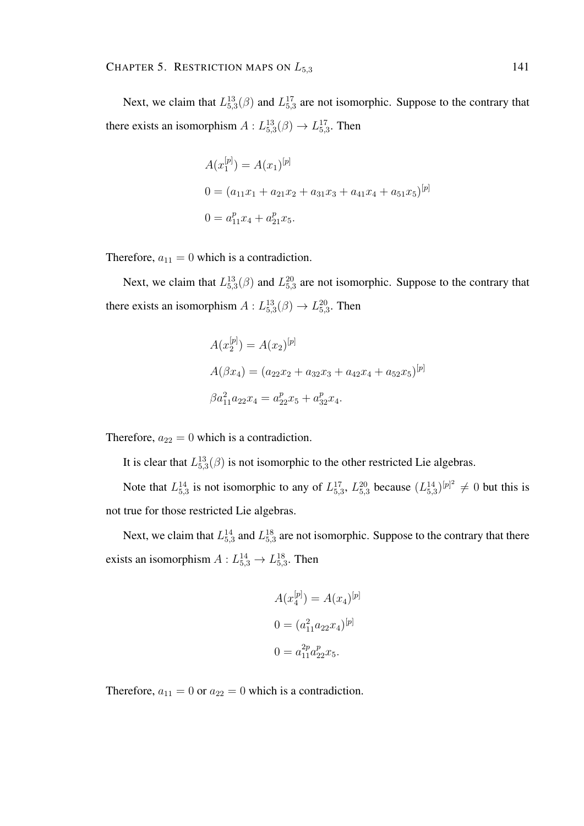Next, we claim that  $L_{5,3}^{13}(\beta)$  and  $L_{5,3}^{17}$  are not isomorphic. Suppose to the contrary that there exists an isomorphism  $A: L_{5,3}^{13}(\beta) \rightarrow L_{5,3}^{17}$ . Then

$$
A(x_1^{[p]}) = A(x_1)^{[p]}
$$
  
\n
$$
0 = (a_{11}x_1 + a_{21}x_2 + a_{31}x_3 + a_{41}x_4 + a_{51}x_5)^{[p]}
$$
  
\n
$$
0 = a_{11}^px_4 + a_{21}^px_5.
$$

Therefore,  $a_{11} = 0$  which is a contradiction.

Next, we claim that  $L_{5,3}^{13}(\beta)$  and  $L_{5,3}^{20}$  are not isomorphic. Suppose to the contrary that there exists an isomorphism  $A: L_{5,3}^{13}(\beta) \rightarrow L_{5,3}^{20}$ . Then

$$
A(x_2^{[p]}) = A(x_2)^{[p]}
$$
  
\n
$$
A(\beta x_4) = (a_{22}x_2 + a_{32}x_3 + a_{42}x_4 + a_{52}x_5)^{[p]}
$$
  
\n
$$
\beta a_{11}^2 a_{22}x_4 = a_{22}^p x_5 + a_{32}^p x_4.
$$

Therefore,  $a_{22} = 0$  which is a contradiction.

It is clear that  $L_{5,3}^{13}(\beta)$  is not isomorphic to the other restricted Lie algebras.

Note that  $L_{5,3}^{14}$  is not isomorphic to any of  $L_{5,3}^{17}$ ,  $L_{5,3}^{20}$  because  $(L_{5,3}^{14})^{[p]^2} \neq 0$  but this is not true for those restricted Lie algebras.

Next, we claim that  $L_{5,3}^{14}$  and  $L_{5,3}^{18}$  are not isomorphic. Suppose to the contrary that there exists an isomorphism  $A: L_{5,3}^{14} \rightarrow L_{5,3}^{18}$ . Then

$$
A(x_4^{[p]}) = A(x_4)^{[p]}
$$

$$
0 = (a_{11}^2 a_{22} x_4)^{[p]}
$$

$$
0 = a_{11}^{2p} a_{22}^p x_5.
$$

Therefore,  $a_{11} = 0$  or  $a_{22} = 0$  which is a contradiction.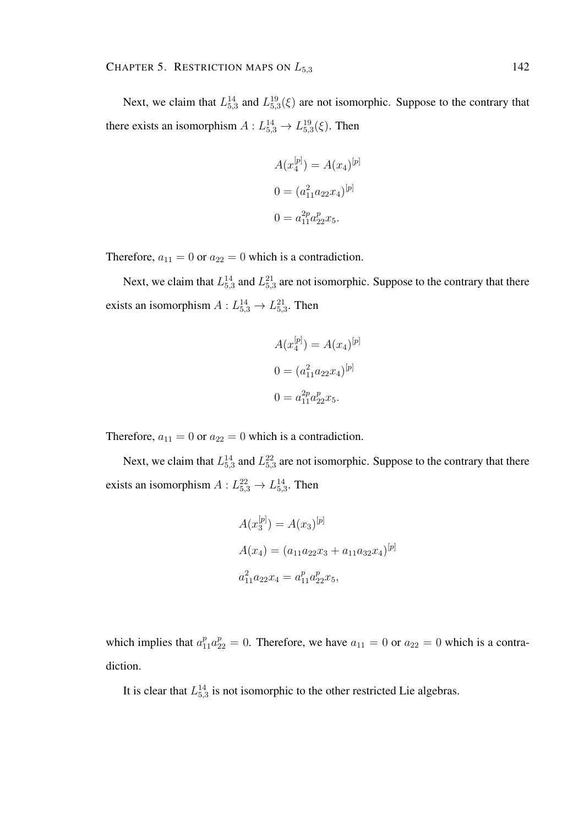Next, we claim that  $L_{5,3}^{14}$  and  $L_{5,3}^{19}(\xi)$  are not isomorphic. Suppose to the contrary that there exists an isomorphism  $A: L_{5,3}^{14} \rightarrow L_{5,3}^{19}(\xi)$ . Then

$$
A(x_4^{[p]}) = A(x_4)^{[p]}
$$

$$
0 = (a_{11}^2 a_{22} x_4)^{[p]}
$$

$$
0 = a_{11}^{2p} a_{22}^p x_5.
$$

Therefore,  $a_{11} = 0$  or  $a_{22} = 0$  which is a contradiction.

Next, we claim that  $L_{5,3}^{14}$  and  $L_{5,3}^{21}$  are not isomorphic. Suppose to the contrary that there exists an isomorphism  $A: L_{5,3}^{14} \rightarrow L_{5,3}^{21}$ . Then

$$
A(x_4^{[p]}) = A(x_4)^{[p]}
$$

$$
0 = (a_{11}^2 a_{22} x_4)^{[p]}
$$

$$
0 = a_{11}^{2p} a_{22}^p x_5.
$$

Therefore,  $a_{11} = 0$  or  $a_{22} = 0$  which is a contradiction.

Next, we claim that  $L_{5,3}^{14}$  and  $L_{5,3}^{22}$  are not isomorphic. Suppose to the contrary that there exists an isomorphism  $A: L_{5,3}^{22} \rightarrow L_{5,3}^{14}$ . Then

$$
A(x_3^{[p]}) = A(x_3)^{[p]}
$$
  
\n
$$
A(x_4) = (a_{11}a_{22}x_3 + a_{11}a_{32}x_4)^{[p]}
$$
  
\n
$$
a_{11}^2 a_{22}x_4 = a_{11}^p a_{22}^p x_5,
$$

which implies that  $a_{11}^p a_{22}^p = 0$ . Therefore, we have  $a_{11} = 0$  or  $a_{22} = 0$  which is a contradiction.

It is clear that  $L_{5,3}^{14}$  is not isomorphic to the other restricted Lie algebras.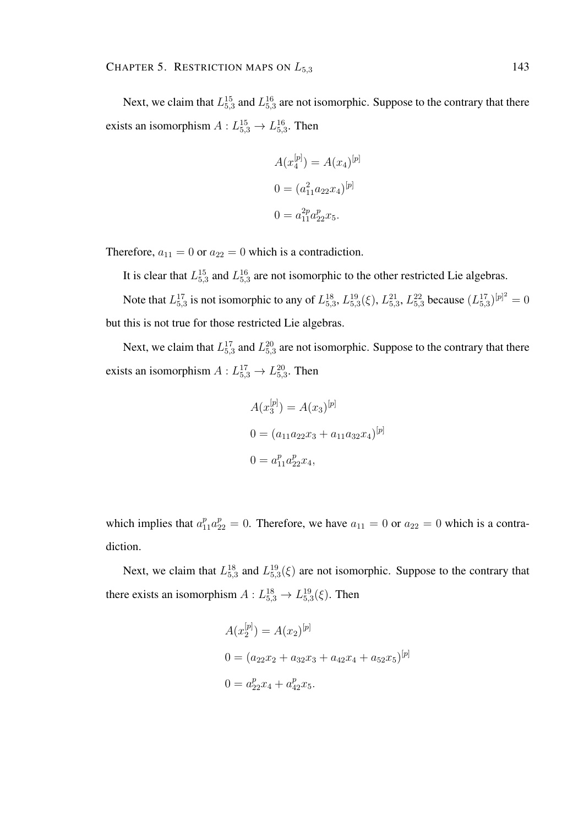Next, we claim that  $L_{5,3}^{15}$  and  $L_{5,3}^{16}$  are not isomorphic. Suppose to the contrary that there exists an isomorphism  $A: L_{5,3}^{15} \rightarrow L_{5,3}^{16}$ . Then

$$
A(x_4^{[p]}) = A(x_4)^{[p]}
$$

$$
0 = (a_{11}^2 a_{22} x_4)^{[p]}
$$

$$
0 = a_{11}^{2p} a_{22}^p x_5.
$$

Therefore,  $a_{11} = 0$  or  $a_{22} = 0$  which is a contradiction.

It is clear that  $L_{5,3}^{15}$  and  $L_{5,3}^{16}$  are not isomorphic to the other restricted Lie algebras.

Note that  $L_{5,3}^{17}$  is not isomorphic to any of  $L_{5,3}^{18}$ ,  $L_{5,3}^{19}(\xi)$ ,  $L_{5,3}^{21}$ ,  $L_{5,3}^{22}$  because  $(L_{5,3}^{17})^{[p]^2} = 0$ but this is not true for those restricted Lie algebras.

Next, we claim that  $L_{5,3}^{17}$  and  $L_{5,3}^{20}$  are not isomorphic. Suppose to the contrary that there exists an isomorphism  $A: L_{5,3}^{17} \rightarrow L_{5,3}^{20}$ . Then

$$
A(x_3^{[p]}) = A(x_3)^{[p]}
$$
  
\n
$$
0 = (a_{11}a_{22}x_3 + a_{11}a_{32}x_4)^{[p]}
$$
  
\n
$$
0 = a_{11}^p a_{22}^p x_4,
$$

which implies that  $a_{11}^p a_{22}^p = 0$ . Therefore, we have  $a_{11} = 0$  or  $a_{22} = 0$  which is a contradiction.

Next, we claim that  $L_{5,3}^{18}$  and  $L_{5,3}^{19}(\xi)$  are not isomorphic. Suppose to the contrary that there exists an isomorphism  $A: L_{5,3}^{18} \rightarrow L_{5,3}^{19}(\xi)$ . Then

$$
A(x_2^{[p]}) = A(x_2)^{[p]}
$$
  
\n
$$
0 = (a_{22}x_2 + a_{32}x_3 + a_{42}x_4 + a_{52}x_5)^{[p]}
$$
  
\n
$$
0 = a_{22}^px_4 + a_{42}^px_5.
$$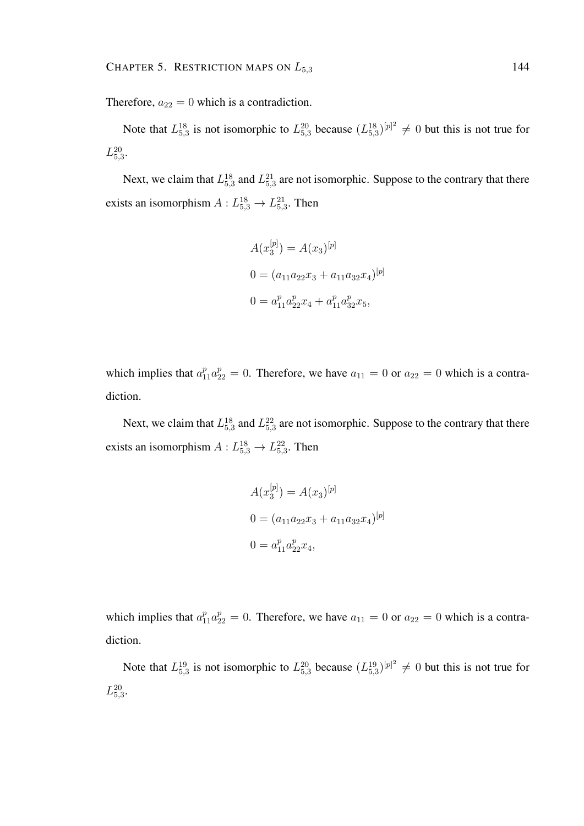Therefore,  $a_{22} = 0$  which is a contradiction.

Note that  $L_{5,3}^{18}$  is not isomorphic to  $L_{5,3}^{20}$  because  $(L_{5,3}^{18})^{[p]^2} \neq 0$  but this is not true for  $L_{5,3}^{20}$ .

Next, we claim that  $L_{5,3}^{18}$  and  $L_{5,3}^{21}$  are not isomorphic. Suppose to the contrary that there exists an isomorphism  $A: L_{5,3}^{18} \rightarrow L_{5,3}^{21}$ . Then

$$
A(x_3^{[p]}) = A(x_3)^{[p]}
$$
  
\n
$$
0 = (a_{11}a_{22}x_3 + a_{11}a_{32}x_4)^{[p]}
$$
  
\n
$$
0 = a_{11}^p a_{22}^p x_4 + a_{11}^p a_{32}^p x_5,
$$

which implies that  $a_{11}^p a_{22}^p = 0$ . Therefore, we have  $a_{11} = 0$  or  $a_{22} = 0$  which is a contradiction.

Next, we claim that  $L_{5,3}^{18}$  and  $L_{5,3}^{22}$  are not isomorphic. Suppose to the contrary that there exists an isomorphism  $A: L_{5,3}^{18} \rightarrow L_{5,3}^{22}$ . Then

$$
A(x_3^{[p]}) = A(x_3)^{[p]}
$$
  
\n
$$
0 = (a_{11}a_{22}x_3 + a_{11}a_{32}x_4)^{[p]}
$$
  
\n
$$
0 = a_{11}^p a_{22}^p x_4,
$$

which implies that  $a_{11}^p a_{22}^p = 0$ . Therefore, we have  $a_{11} = 0$  or  $a_{22} = 0$  which is a contradiction.

Note that  $L_{5,3}^{19}$  is not isomorphic to  $L_{5,3}^{20}$  because  $(L_{5,3}^{19})^{[p]2} \neq 0$  but this is not true for  $L_{5,3}^{20}$ .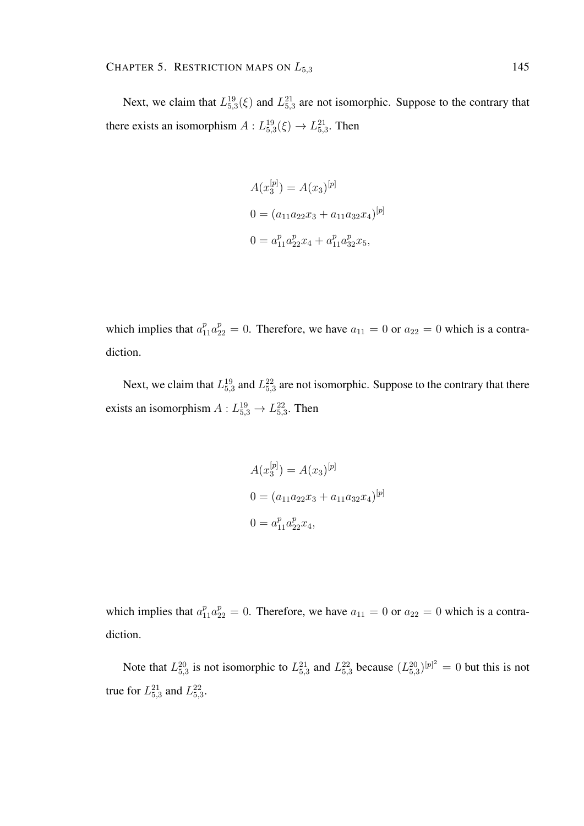Next, we claim that  $L_{5,3}^{19}(\xi)$  and  $L_{5,3}^{21}$  are not isomorphic. Suppose to the contrary that there exists an isomorphism  $A: L_{5,3}^{19}(\xi) \rightarrow L_{5,3}^{21}$ . Then

$$
A(x_3^{[p]}) = A(x_3)^{[p]}
$$
  
\n
$$
0 = (a_{11}a_{22}x_3 + a_{11}a_{32}x_4)^{[p]}
$$
  
\n
$$
0 = a_{11}^p a_{22}^p x_4 + a_{11}^p a_{32}^p x_5,
$$

which implies that  $a_{11}^p a_{22}^p = 0$ . Therefore, we have  $a_{11} = 0$  or  $a_{22} = 0$  which is a contradiction.

Next, we claim that  $L_{5,3}^{19}$  and  $L_{5,3}^{22}$  are not isomorphic. Suppose to the contrary that there exists an isomorphism  $A: L_{5,3}^{19} \rightarrow L_{5,3}^{22}$ . Then

$$
A(x_3^{[p]}) = A(x_3)^{[p]}
$$
  
\n
$$
0 = (a_{11}a_{22}x_3 + a_{11}a_{32}x_4)^{[p]}
$$
  
\n
$$
0 = a_{11}^p a_{22}^p x_4,
$$

which implies that  $a_{11}^p a_{22}^p = 0$ . Therefore, we have  $a_{11} = 0$  or  $a_{22} = 0$  which is a contradiction.

Note that  $L_{5,3}^{20}$  is not isomorphic to  $L_{5,3}^{21}$  and  $L_{5,3}^{22}$  because  $(L_{5,3}^{20})^{[p]^{2}} = 0$  but this is not true for  $L_{5,3}^{21}$  and  $L_{5,3}^{22}$ .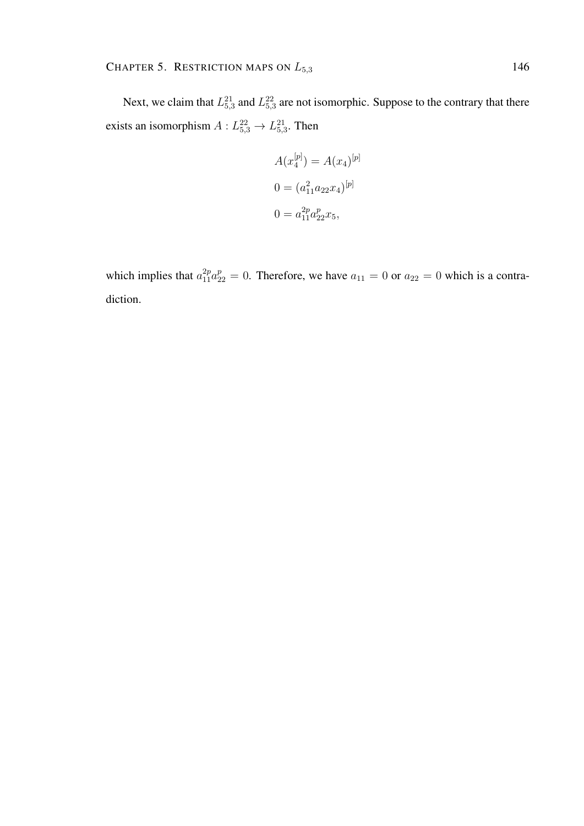Next, we claim that  $L_{5,3}^{21}$  and  $L_{5,3}^{22}$  are not isomorphic. Suppose to the contrary that there exists an isomorphism  $A: L_{5,3}^{22} \rightarrow L_{5,3}^{21}$ . Then

$$
A(x_4^{[p]}) = A(x_4)^{[p]}
$$

$$
0 = (a_{11}^2 a_{22} x_4)^{[p]}
$$

$$
0 = a_{11}^{2p} a_{22}^p x_5,
$$

which implies that  $a_{11}^{2p}a_{22}^{p} = 0$ . Therefore, we have  $a_{11} = 0$  or  $a_{22} = 0$  which is a contradiction.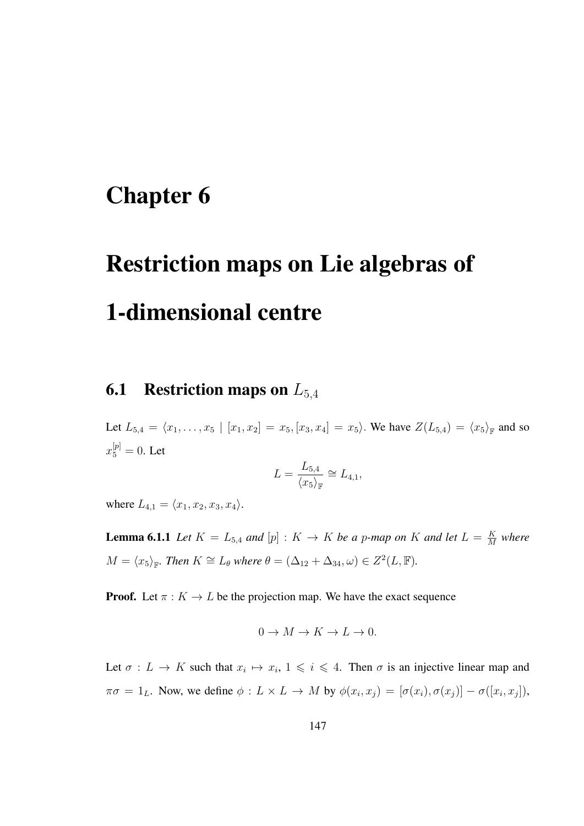# Chapter 6

# Restriction maps on Lie algebras of 1-dimensional centre

# **6.1** Restriction maps on  $L_{5,4}$

Let  $L_{5,4} = \langle x_1, \ldots, x_5 | [x_1, x_2] = x_5, [x_3, x_4] = x_5 \rangle$ . We have  $Z(L_{5,4}) = \langle x_5 \rangle_{\mathbb{F}}$  and so  $x_5^{[p]} = 0$ . Let

$$
L = \frac{L_{5,4}}{\langle x_5 \rangle_{\mathbb{F}}} \cong L_{4,1},
$$

where  $L_{4,1} = \langle x_1, x_2, x_3, x_4 \rangle$ .

**Lemma 6.1.1** Let  $K = L_{5,4}$  and  $[p] : K \to K$  be a p-map on K and let  $L = \frac{K}{M}$  $\frac{K}{M}$  where  $M = \langle x_5 \rangle_{\mathbb{F}}$ *. Then*  $K \cong L_\theta$  *where*  $\theta = (\Delta_{12} + \Delta_{34}, \omega) \in Z^2(L, \mathbb{F})$ *.* 

**Proof.** Let  $\pi : K \to L$  be the projection map. We have the exact sequence

$$
0 \to M \to K \to L \to 0.
$$

Let  $\sigma: L \to K$  such that  $x_i \mapsto x_i, 1 \leq i \leq 4$ . Then  $\sigma$  is an injective linear map and  $\pi\sigma = 1_L$ . Now, we define  $\phi: L \times L \to M$  by  $\phi(x_i, x_j) = [\sigma(x_i), \sigma(x_j)] - \sigma([x_i, x_j]),$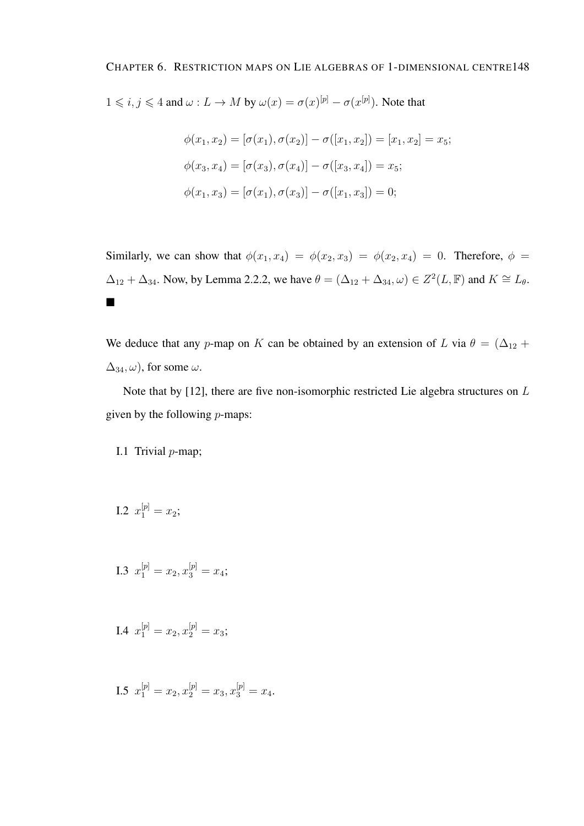$1 \leq i, j \leq 4$  and  $\omega: L \to M$  by  $\omega(x) = \sigma(x)^{[p]} - \sigma(x^{[p]})$ . Note that

$$
\phi(x_1, x_2) = [\sigma(x_1), \sigma(x_2)] - \sigma([x_1, x_2]) = [x_1, x_2] = x_5;
$$
  

$$
\phi(x_3, x_4) = [\sigma(x_3), \sigma(x_4)] - \sigma([x_3, x_4]) = x_5;
$$
  

$$
\phi(x_1, x_3) = [\sigma(x_1), \sigma(x_3)] - \sigma([x_1, x_3]) = 0;
$$

Similarly, we can show that  $\phi(x_1, x_4) = \phi(x_2, x_3) = \phi(x_2, x_4) = 0$ . Therefore,  $\phi =$  $\Delta_{12} + \Delta_{34}$ . Now, by Lemma 2.2.2, we have  $\theta = (\Delta_{12} + \Delta_{34}, \omega) \in Z^2(L, \mathbb{F})$  and  $K \cong L_{\theta}$ .  $\blacksquare$ 

We deduce that any p-map on K can be obtained by an extension of L via  $\theta = (\Delta_{12} +$  $\Delta_{34}, \omega$ , for some  $\omega$ .

Note that by [12], there are five non-isomorphic restricted Lie algebra structures on L given by the following  $p$ -maps:

#### I.1 Trivial  $p$ -map;

I.2 
$$
x_1^{[p]} = x_2;
$$

I.3 
$$
x_1^{[p]} = x_2, x_3^{[p]} = x_4;
$$

I.4 
$$
x_1^{[p]} = x_2, x_2^{[p]} = x_3;
$$

I.5  $x_1^{[p]} = x_2, x_2^{[p]} = x_3, x_3^{[p]} = x_4.$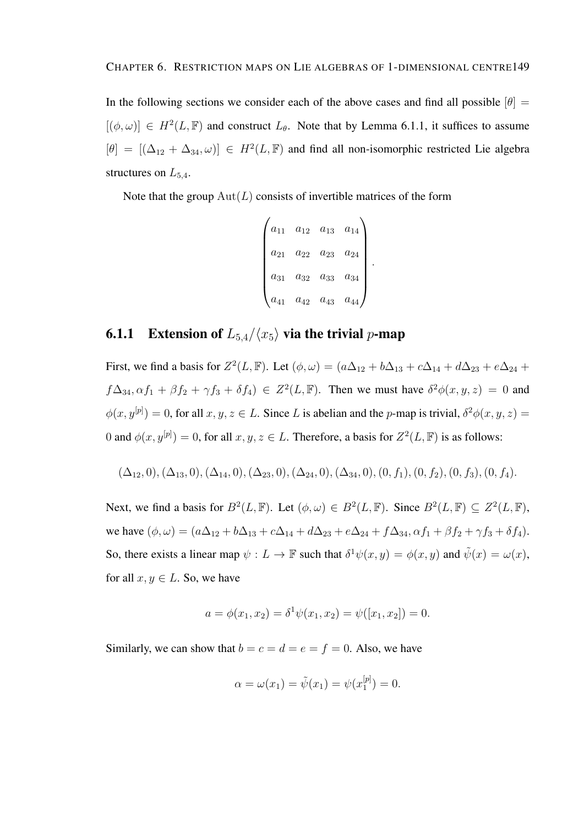In the following sections we consider each of the above cases and find all possible  $[\theta]$  =  $[(\phi, \omega)] \in H^2(L, \mathbb{F})$  and construct  $L_{\theta}$ . Note that by Lemma 6.1.1, it suffices to assume  $[\theta] = [(\Delta_{12} + \Delta_{34}, \omega)] \in H^2(L, \mathbb{F})$  and find all non-isomorphic restricted Lie algebra structures on  $L_{5,4}$ .

Note that the group  $Aut(L)$  consists of invertible matrices of the form

$$
\begin{pmatrix} a_{11} & a_{12} & a_{13} & a_{14} \ a_{21} & a_{22} & a_{23} & a_{24} \ a_{31} & a_{32} & a_{33} & a_{34} \ a_{41} & a_{42} & a_{43} & a_{44} \end{pmatrix}.
$$

### **6.1.1** Extension of  $L_{5,4}/\langle x_5 \rangle$  via the trivial p-map

First, we find a basis for  $Z^2(L, \mathbb{F})$ . Let  $(\phi, \omega) = (a\Delta_{12} + b\Delta_{13} + c\Delta_{14} + d\Delta_{23} + e\Delta_{24} + d\Delta_{34})$  $f\Delta_{34}, \alpha f_1 + \beta f_2 + \gamma f_3 + \delta f_4$ )  $\in Z^2(L, \mathbb{F})$ . Then we must have  $\delta^2 \phi(x, y, z) = 0$  and  $\phi(x, y^{[p]}) = 0$ , for all  $x, y, z \in L$ . Since L is abelian and the p-map is trivial,  $\delta^2 \phi(x, y, z) =$ 0 and  $\phi(x, y^{[p]}) = 0$ , for all  $x, y, z \in L$ . Therefore, a basis for  $Z^2(L, \mathbb{F})$  is as follows:

$$
(\Delta_{12},0), (\Delta_{13},0), (\Delta_{14},0), (\Delta_{23},0), (\Delta_{24},0), (\Delta_{34},0), (0,f_1), (0,f_2), (0,f_3), (0,f_4).
$$

Next, we find a basis for  $B^2(L, \mathbb{F})$ . Let  $(\phi, \omega) \in B^2(L, \mathbb{F})$ . Since  $B^2(L, \mathbb{F}) \subseteq Z^2(L, \mathbb{F})$ , we have  $(\phi, \omega) = (a\Delta_{12} + b\Delta_{13} + c\Delta_{14} + d\Delta_{23} + e\Delta_{24} + f\Delta_{34}, \alpha f_1 + \beta f_2 + \gamma f_3 + \delta f_4).$ So, there exists a linear map  $\psi : L \to \mathbb{F}$  such that  $\delta^1 \psi(x, y) = \phi(x, y)$  and  $\tilde{\psi}(x) = \omega(x)$ , for all  $x, y \in L$ . So, we have

$$
a = \phi(x_1, x_2) = \delta^1 \psi(x_1, x_2) = \psi([x_1, x_2]) = 0.
$$

Similarly, we can show that  $b = c = d = e = f = 0$ . Also, we have

$$
\alpha = \omega(x_1) = \tilde{\psi}(x_1) = \psi(x_1^{[p]}) = 0.
$$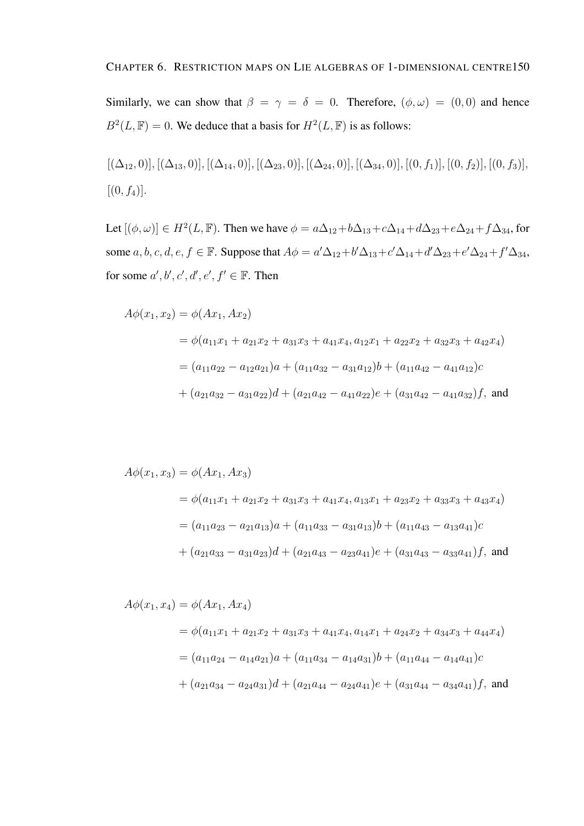Similarly, we can show that  $\beta = \gamma = \delta = 0$ . Therefore,  $(\phi, \omega) = (0, 0)$  and hence  $B^2(L, \mathbb{F}) = 0$ . We deduce that a basis for  $H^2(L, \mathbb{F})$  is as follows:

$$
[(\Delta_{12}, 0)], [(\Delta_{13}, 0)], [(\Delta_{14}, 0)], [(\Delta_{23}, 0)], [(\Delta_{24}, 0)], [(\Delta_{34}, 0)], [(0, f_1)], [(0, f_2)], [(0, f_3)], [(\Delta_{14}, 0), [(\Delta_{15}, 0), [(\Delta_{16}, 0), (0, f_4)], [(\Delta_{17}, 0), [(\Delta_{18}, 0), (0, f_5)], [(\Delta_{18}, 0), [(\Delta_{19}, 0), (0, f_6)], [(\Delta_{19}, 0), (0, f_7)], [(\Delta_{10}, 0), (0, f_8)]
$$

Let  $[(\phi, \omega)] \in H^2(L, \mathbb{F})$ . Then we have  $\phi = a\Delta_{12} + b\Delta_{13} + c\Delta_{14} + d\Delta_{23} + e\Delta_{24} + f\Delta_{34}$ , for some  $a, b, c, d, e, f \in \mathbb{F}$ . Suppose that  $A\phi = a'\Delta_{12} + b'\Delta_{13} + c'\Delta_{14} + d'\Delta_{23} + e'\Delta_{24} + f'\Delta_{34}$ , for some  $a', b', c', d', e', f' \in \mathbb{F}$ . Then

$$
A\phi(x_1, x_2) = \phi(Ax_1, Ax_2)
$$
  
=  $\phi(a_{11}x_1 + a_{21}x_2 + a_{31}x_3 + a_{41}x_4, a_{12}x_1 + a_{22}x_2 + a_{32}x_3 + a_{42}x_4)$   
=  $(a_{11}a_{22} - a_{12}a_{21})a + (a_{11}a_{32} - a_{31}a_{12})b + (a_{11}a_{42} - a_{41}a_{12})c$   
+  $(a_{21}a_{32} - a_{31}a_{22})d + (a_{21}a_{42} - a_{41}a_{22})e + (a_{31}a_{42} - a_{41}a_{32})f$ , and

$$
A\phi(x_1, x_3) = \phi(Ax_1, Ax_3)
$$
  
=  $\phi(a_{11}x_1 + a_{21}x_2 + a_{31}x_3 + a_{41}x_4, a_{13}x_1 + a_{23}x_2 + a_{33}x_3 + a_{43}x_4)$   
=  $(a_{11}a_{23} - a_{21}a_{13})a + (a_{11}a_{33} - a_{31}a_{13})b + (a_{11}a_{43} - a_{13}a_{41})c$   
+  $(a_{21}a_{33} - a_{31}a_{23})d + (a_{21}a_{43} - a_{23}a_{41})e + (a_{31}a_{43} - a_{33}a_{41})f$ , and

$$
A\phi(x_1, x_4) = \phi(Ax_1, Ax_4)
$$
  
=  $\phi(a_{11}x_1 + a_{21}x_2 + a_{31}x_3 + a_{41}x_4, a_{14}x_1 + a_{24}x_2 + a_{34}x_3 + a_{44}x_4)$   
=  $(a_{11}a_{24} - a_{14}a_{21})a + (a_{11}a_{34} - a_{14}a_{31})b + (a_{11}a_{44} - a_{14}a_{41})c$   
+  $(a_{21}a_{34} - a_{24}a_{31})d + (a_{21}a_{44} - a_{24}a_{41})e + (a_{31}a_{44} - a_{34}a_{41})f$ , and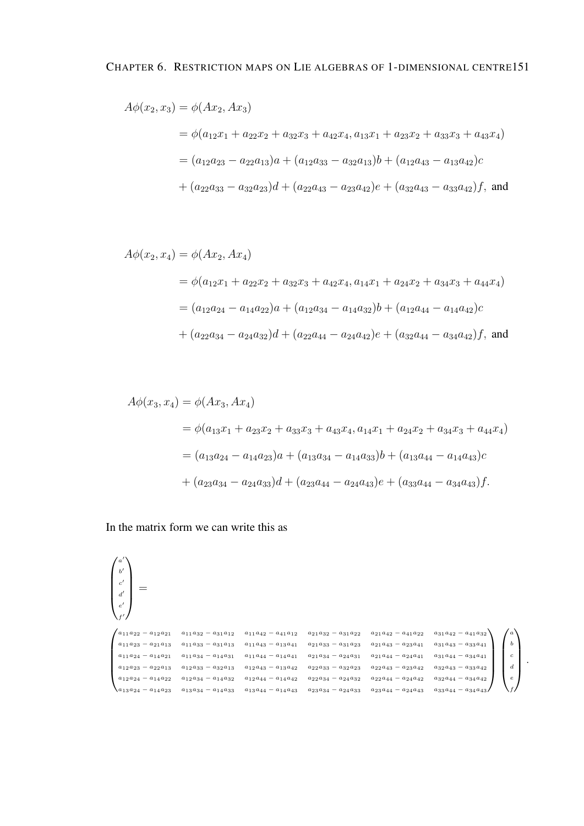$$
A\phi(x_2, x_3) = \phi(Ax_2, Ax_3)
$$
  
=  $\phi(a_{12}x_1 + a_{22}x_2 + a_{32}x_3 + a_{42}x_4, a_{13}x_1 + a_{23}x_2 + a_{33}x_3 + a_{43}x_4)$   
=  $(a_{12}a_{23} - a_{22}a_{13})a + (a_{12}a_{33} - a_{32}a_{13})b + (a_{12}a_{43} - a_{13}a_{42})c$   
+  $(a_{22}a_{33} - a_{32}a_{23})d + (a_{22}a_{43} - a_{23}a_{42})e + (a_{32}a_{43} - a_{33}a_{42})f$ , and

$$
A\phi(x_2, x_4) = \phi(Ax_2, Ax_4)
$$
  
=  $\phi(a_{12}x_1 + a_{22}x_2 + a_{32}x_3 + a_{42}x_4, a_{14}x_1 + a_{24}x_2 + a_{34}x_3 + a_{44}x_4)$   
=  $(a_{12}a_{24} - a_{14}a_{22})a + (a_{12}a_{34} - a_{14}a_{32})b + (a_{12}a_{44} - a_{14}a_{42})c$   
+  $(a_{22}a_{34} - a_{24}a_{32})d + (a_{22}a_{44} - a_{24}a_{42})e + (a_{32}a_{44} - a_{34}a_{42})f$ , and

$$
A\phi(x_3, x_4) = \phi(Ax_3, Ax_4)
$$
  
=  $\phi(a_{13}x_1 + a_{23}x_2 + a_{33}x_3 + a_{43}x_4, a_{14}x_1 + a_{24}x_2 + a_{34}x_3 + a_{44}x_4)$   
=  $(a_{13}a_{24} - a_{14}a_{23})a + (a_{13}a_{34} - a_{14}a_{33})b + (a_{13}a_{44} - a_{14}a_{43})c$   
+  $(a_{23}a_{34} - a_{24}a_{33})d + (a_{23}a_{44} - a_{24}a_{43})e + (a_{33}a_{44} - a_{34}a_{43})f.$ 

In the matrix form we can write this as

```
\sqrt{ }\overline{\phantom{a}}a
        \overline{a}b
        \overline{\phantom{a}}c'd'\left[\begin{array}{c} c' \ d' \ e' \end{array}\right]f
        \overline{a}\setminus=
\left.\left.\begin{pmatrix} a_{11}a_{22} - a_{12}a_{21} & a_{11}a_{32} - a_{31}a_{12} & a_{11}a_{42} - a_{41}a_{12} & a_{21}a_{32} - a_{31}a_{22} & a_{21}a_{42} - a_{41}a_{22} & a_{31}a_{42} - a_{41}a_{32} \end{pmatrix}\right\}\right.\overline{\phantom{a}}a_{11}a_{23} - a_{21}a_{13} \quad a_{11}a_{33} - a_{31}a_{13} \quad a_{11}a_{43} - a_{13}a_{41} \quad a_{21}a_{33} - a_{31}a_{23} \quad a_{21}a_{43} - a_{23}a_{41} \quad a_{31}a_{43} - a_{33}a_{41}a_{11}a_{24} - a_{14}a_{21} \quad a_{11}a_{34} - a_{14}a_{31} \quad a_{11}a_{44} - a_{14}a_{41} \quad a_{21}a_{34} - a_{24}a_{31} \quad a_{21}a_{44} - a_{24}a_{41} \quad a_{31}a_{44} - a_{34}a_{41}a_{12}a_{23} - a_{22}a_{13} \quad a_{12}a_{33} - a_{32}a_{13} \quad a_{12}a_{43} - a_{13}a_{42} \quad a_{22}a_{33} - a_{32}a_{23} \quad a_{22}a_{43} - a_{23}a_{42} \quad a_{32}a_{43} - a_{33}a_{42}a_{12}a_{24} - a_{14}a_{22} \quad a_{12}a_{34} - a_{14}a_{32} \quad a_{12}a_{44} - a_{14}a_{42} \quad a_{22}a_{34} - a_{24}a_{32} \quad a_{22}a_{44} - a_{24}a_{42} \quad a_{32}a_{44} - a_{34}a_{42}\begin{cases} a_{13}a_{24} - a_{14}a_{23} & a_{13}a_{34} - a_{14}a_{33} & a_{13}a_{44} - a_{14}a_{43} & a_{23}a_{34} - a_{24}a_{33} & a_{23}a_{44} - a_{24}a_{43} & a_{33}a_{44} - a_{34}a_{43} \end{cases}\begin{array}{c} \hline \end{array}\sqrt{ }\overline{\phantom{a}}a
                                                                                                                                                                                                                                                       b
                                                                                                                                                                                                                                                       c
                                                                                                                                                                                                                                                       \boldsymbol{d}e
                                                                                                                                                                                                                                                         f
                                                                                                                                                                                                                                                            \setminus\overline{\phantom{a}}
```
.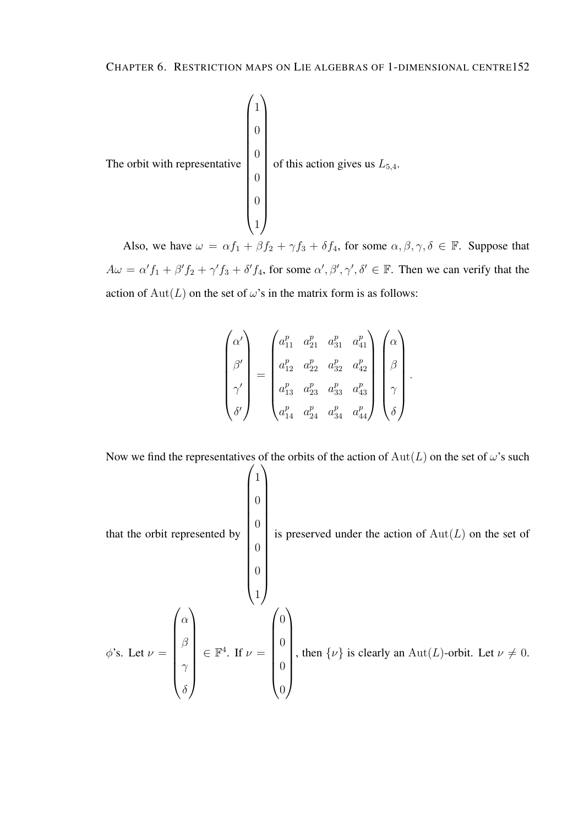

Also, we have  $\omega = \alpha f_1 + \beta f_2 + \gamma f_3 + \delta f_4$ , for some  $\alpha, \beta, \gamma, \delta \in \mathbb{F}$ . Suppose that  $A\omega = \alpha' f_1 + \beta' f_2 + \gamma' f_3 + \delta' f_4$ , for some  $\alpha', \beta', \gamma', \delta' \in \mathbb{F}$ . Then we can verify that the action of  $Aut(L)$  on the set of  $\omega$ 's in the matrix form is as follows:

$$
\begin{pmatrix}\n\alpha' \\
\beta' \\
\gamma' \\
\delta'\n\end{pmatrix} = \begin{pmatrix}\na_{11}^p & a_{21}^p & a_{31}^p & a_{41}^p \\
a_{12}^p & a_{22}^p & a_{32}^p & a_{42}^p \\
a_{13}^p & a_{23}^p & a_{33}^p & a_{43}^p \\
a_{14}^p & a_{24}^p & a_{34}^p & a_{44}^p\n\end{pmatrix} \begin{pmatrix}\n\alpha \\
\beta \\
\gamma \\
\delta\n\end{pmatrix}.
$$

Now we find the representatives of the orbits of the action of  $Aut(L)$  on the set of  $\omega$ 's such

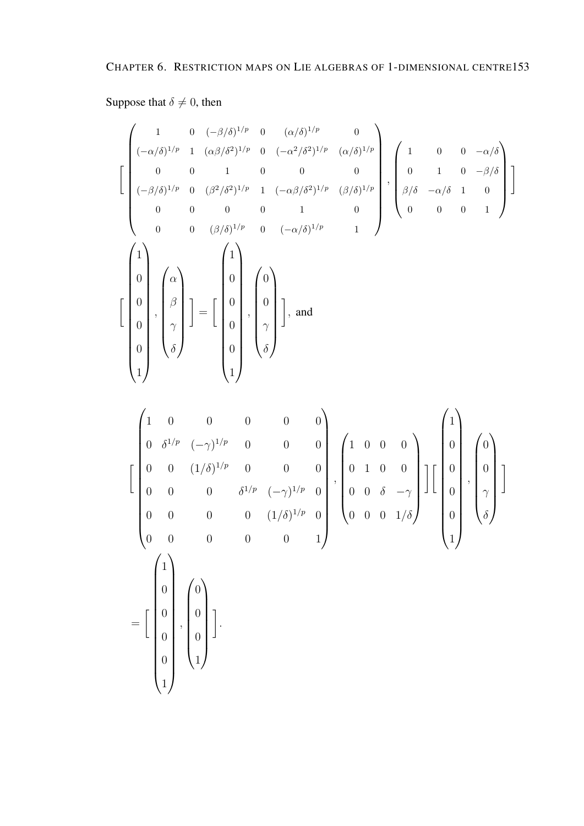## Suppose that  $\delta \neq 0$ , then

$$
\begin{bmatrix}\n1 & 0 & (-\beta/\delta)^{1/p} & 0 & (\alpha/\delta)^{1/p} & 0 \\
(-\alpha/\delta)^{1/p} & 1 & (\alpha\beta/\delta^{2})^{1/p} & 0 & (-\alpha^{2}/\delta^{2})^{1/p} & (\alpha/\delta)^{1/p} \\
0 & 0 & 1 & 0 & 0 & 0 \\
(-\beta/\delta)^{1/p} & 0 & (\beta^{2}/\delta^{2})^{1/p} & 1 & (-\alpha\beta/\delta^{2})^{1/p} & (\beta/\delta)^{1/p} \\
0 & 0 & 0 & 0 & 1 & 0 \\
0 & 0 & (\beta/\delta)^{1/p} & 0 & (-\alpha/\delta)^{1/p} & 1\n\end{bmatrix}, \begin{bmatrix}\n1 & 0 & 0 & -\alpha/\delta \\
0 & 1 & 0 & -\beta/\delta \\
\beta/\delta & -\alpha/\delta & 1 & 0 \\
0 & 0 & 0 & 1\n\end{bmatrix}\n\begin{bmatrix}\n1 \\
0 \\
\beta \\
0 \\
0\n\end{bmatrix}, \begin{bmatrix}\n\alpha \\
\beta \\
\beta \\
\delta\n\end{bmatrix} = \begin{bmatrix}\n1 \\
0 \\
0 \\
0 \\
0 \\
0\n\end{bmatrix}, \begin{bmatrix}\n0 \\
0 \\
0 \\
\delta\n\end{bmatrix}, \begin{bmatrix}\n0 \\
0 \\
\gamma \\
\delta\n\end{bmatrix}, \text{ and} \begin{bmatrix}\n0 \\
0 \\
\gamma \\
\delta\n\end{bmatrix}, \text{ and} \begin{bmatrix}\n0 \\
0 \\
\delta\n\end{bmatrix}
$$

$$
\begin{bmatrix}\n1 & 0 & 0 & 0 & 0 & 0 \\
0 & \delta^{1/p} & (-\gamma)^{1/p} & 0 & 0 & 0 \\
0 & 0 & (1/\delta)^{1/p} & 0 & 0 & 0 \\
0 & 0 & 0 & \delta^{1/p} & (-\gamma)^{1/p} & 0 \\
0 & 0 & 0 & 0 & (1/\delta)^{1/p} & 0 \\
0 & 0 & 0 & 0 & 0 & 1\n\end{bmatrix}, \begin{bmatrix}\n1 & 0 & 0 & 0 \\
0 & 1 & 0 & 0 \\
0 & 0 & \delta & -\gamma \\
0 & 0 & 0 & 1/\delta\n\end{bmatrix} \begin{bmatrix}\n1 \\
0 \\
0 \\
0 \\
1\n\end{bmatrix}, \begin{bmatrix}\n0 \\
0 \\
\gamma \\
0 \\
0\n\end{bmatrix}
$$
\n
$$
= \begin{bmatrix}\n1 \\
0 \\
0 \\
0 \\
1\n\end{bmatrix}, \begin{bmatrix}\n0 \\
0 \\
0 \\
0 \\
1\n\end{bmatrix}
$$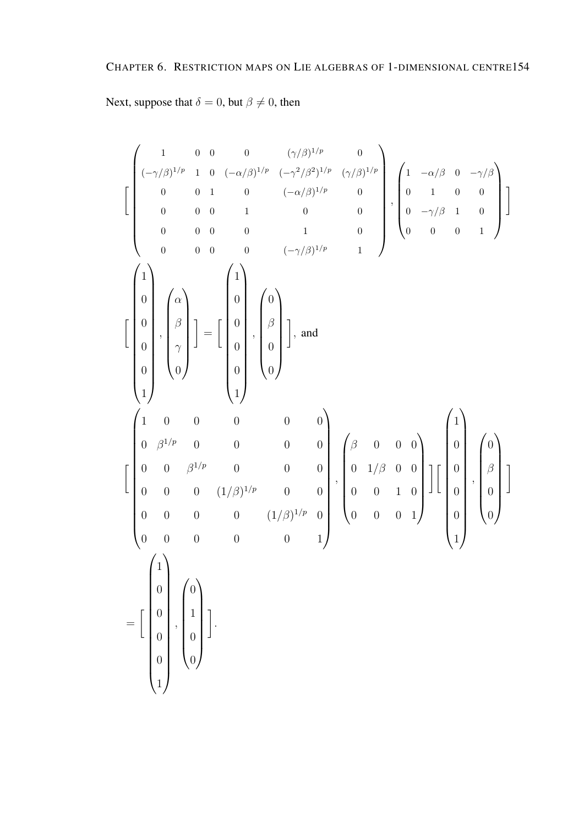Next, suppose that  $\delta = 0$ , but  $\beta \neq 0$ , then

 1 0 0 0 (γ/β) <sup>1</sup>/p 0 (−γ/β) <sup>1</sup>/p 1 0 (−α/β) <sup>1</sup>/p (−γ <sup>2</sup>/β<sup>2</sup> ) <sup>1</sup>/p (γ/β) 1/p 0 0 1 0 (−α/β) <sup>1</sup>/p 0 0 0 0 1 0 0 0 0 0 0 1 0 0 0 0 0 (−γ/β) <sup>1</sup>/p 1 , 1 −α/β 0 −γ/β 0 1 0 0 0 −γ/β 1 0 0 0 0 1 1 0 0 0 0 1 , α β γ 0 = 1 0 0 0 0 1 , 0 β 0 0 , and 1 0 0 0 0 0 0 β <sup>1</sup>/p 0 0 0 0 0 0 β <sup>1</sup>/p 0 0 0 0 0 0 (1/β) <sup>1</sup>/p 0 0 0 0 0 0 (1/β) <sup>1</sup>/p 0 0 0 0 0 0 1 , β 0 0 0 0 1/β 0 0 0 0 1 0 0 0 0 1 1 0 0 0 0 1 , 0 β 0 0 = 1 0 0 0 0 1 , 0 1 0 0 .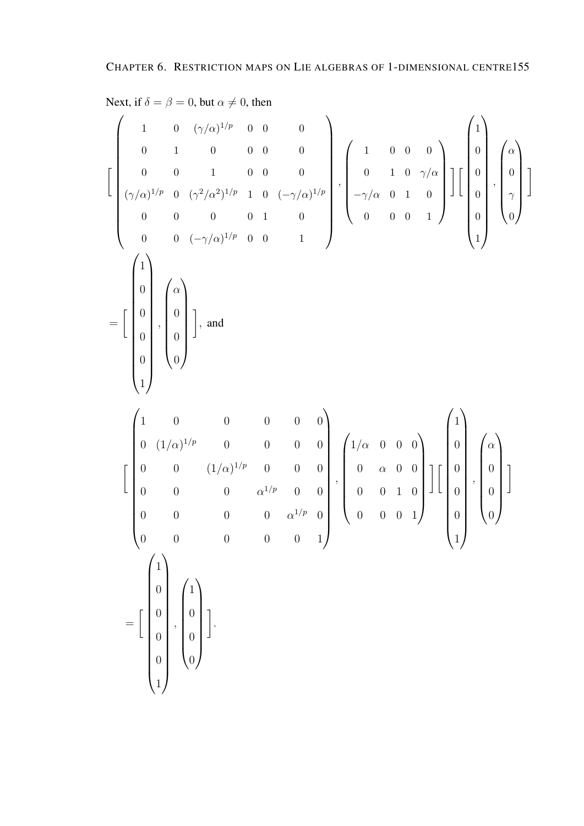Next, if  $\delta = \beta = 0$ , but  $\alpha \neq 0$ , then  $\sqrt{ }$  $\int 1 0 (\gamma/\alpha)^{1/p} 0 0$  0 1 0 0 0 0 0 0 1 0 0 0  $(\gamma/\alpha)^{1/p}$  0  $(\gamma^2/\alpha^2)^{1/p}$  1 0  $(-\gamma/\alpha)^{1/p}$ 0 0 0 0 1 0 0 0  $(-\gamma/\alpha)^{1/p}$  0 0 1  $\setminus$  ,  $\begin{pmatrix} 1 & 0 & 0 & 0 \end{pmatrix}$  0 1 0  $\gamma/\alpha$  $-\gamma/\alpha$  0 1 0 0 0 0 1  $\setminus$  $\overline{\phantom{a}}$ 1 [  $\sqrt{1}$   $\theta$ 0 0 0 1  $\setminus$  ,  $\int \alpha$  0  $\gamma$ 0  $\setminus$  $\begin{array}{c} \hline \end{array}$ 1 =  $\sqrt{ }$  $\left(1\right)$  0 0 0 0 1 ,  $\int \alpha$  $\begin{array}{c} \begin{array}{c} \begin{array}{c} \begin{array}{c} \end{array} \\ \end{array} \end{array} \end{array}$ 0 0 0  $\setminus$  $\begin{array}{c} \hline \end{array}$ 1 , and  $\sqrt{ }$  $\begin{pmatrix} 1 & 0 & 0 & 0 & 0 \end{pmatrix}$   $0 \t (1/\alpha)^{1/p}$  0 0 0 0  $0$   $(1/\alpha)^{1/p}$  0 0 0  $0 \t 0 \t \alpha^{1/p} \t 0 \t 0$  $0 \t 0 \t 0 \t 0 \t \alpha^{1/p} \t 0$ 0 0 0 0 0 1  $\setminus$  ,  $\int 1/\alpha$  0 0 0  $\begin{array}{c} \hline \rule{0pt}{2.5ex} \rule{0pt}{2.5ex} \rule{0pt}{2.5ex} \rule{0pt}{2.5ex} \rule{0pt}{2.5ex} \rule{0pt}{2.5ex} \rule{0pt}{2.5ex} \rule{0pt}{2.5ex} \rule{0pt}{2.5ex} \rule{0pt}{2.5ex} \rule{0pt}{2.5ex} \rule{0pt}{2.5ex} \rule{0pt}{2.5ex} \rule{0pt}{2.5ex} \rule{0pt}{2.5ex} \rule{0pt}{2.5ex} \rule{0pt}{2.5ex} \rule{0pt}{2.5ex} \rule{0pt}{2.5ex} \$  $0 \alpha \quad 0 \quad 0$ 0 0 1 0 0 0 0 1  $\setminus$  $\overline{\phantom{a}}$ 11  $\sqrt{1}$  0 0 0 0 1  $\setminus$  ,  $\int \alpha$  $\begin{array}{c} \begin{array}{c} \begin{array}{c} \begin{array}{c} \end{array} \\ \end{array} \end{array} \end{array}$  $\theta$  $\theta$  $\theta$  $\setminus$  $\begin{array}{c} \hline \end{array}$ 1 =  $\sqrt{ }$  $\sqrt{ }$  1  $\overline{0}$  $\overline{0}$  $\overline{0}$  $\overline{0}$ 1  $\setminus$  ,  $\sqrt{1}$  0 0 0  $\setminus$  $\overline{\phantom{a}}$ 1 .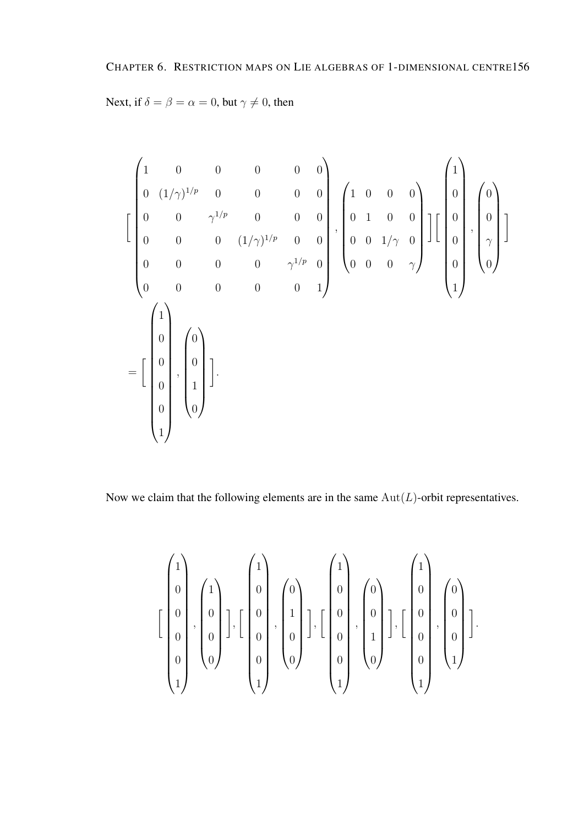Next, if  $\delta = \beta = \alpha = 0$ , but  $\gamma \neq 0$ , then

$$
\begin{bmatrix}\n1 & 0 & 0 & 0 & 0 & 0 \\
0 & (1/\gamma)^{1/p} & 0 & 0 & 0 & 0 \\
0 & 0 & \gamma^{1/p} & 0 & 0 & 0 \\
0 & 0 & 0 & (1/\gamma)^{1/p} & 0 & 0 \\
0 & 0 & 0 & 0 & \gamma^{1/p} & 0 \\
0 & 0 & 0 & 0 & 0 & 1\n\end{bmatrix}, \begin{bmatrix}\n1 & 0 & 0 & 0 \\
0 & 1 & 0 & 0 \\
0 & 0 & 1/\gamma & 0 \\
0 & 0 & 0 & \gamma\n\end{bmatrix} \begin{bmatrix}\n1 \\
0 \\
0 \\
0 \\
1\n\end{bmatrix}, \begin{bmatrix}\n0 \\
0 \\
\gamma \\
0\n\end{bmatrix}
$$
\n
$$
= \begin{bmatrix}\n1 \\
0 \\
0 \\
0 \\
1\n\end{bmatrix}, \begin{bmatrix}\n0 \\
0 \\
0 \\
1\n\end{bmatrix}
$$
\n
$$
= \begin{bmatrix}\n1 \\
0 \\
0 \\
0 \\
1\n\end{bmatrix}, \begin{bmatrix}\n0 \\
0 \\
1 \\
0\n\end{bmatrix}
$$

Now we claim that the following elements are in the same  $Aut(L)$ -orbit representatives.

$$
\left[\begin{pmatrix}1\\0\\0\\0\\0\\0\\1\end{pmatrix},\begin{pmatrix}1\\0\\0\\0\\0\end{pmatrix}\right],\begin{bmatrix}1\\0\\0\\0\\0\\1\end{pmatrix},\begin{bmatrix}0\\1\\0\\0\\0\end{bmatrix},\begin{bmatrix}1\\0\\0\\0\\0\\1\end{bmatrix},\begin{bmatrix}0\\0\\1\\0\\0\end{bmatrix},\begin{bmatrix}1\\0\\0\\0\\0\\1\end{bmatrix},\begin{bmatrix}0\\0\\0\\0\\1\end{bmatrix}\right].
$$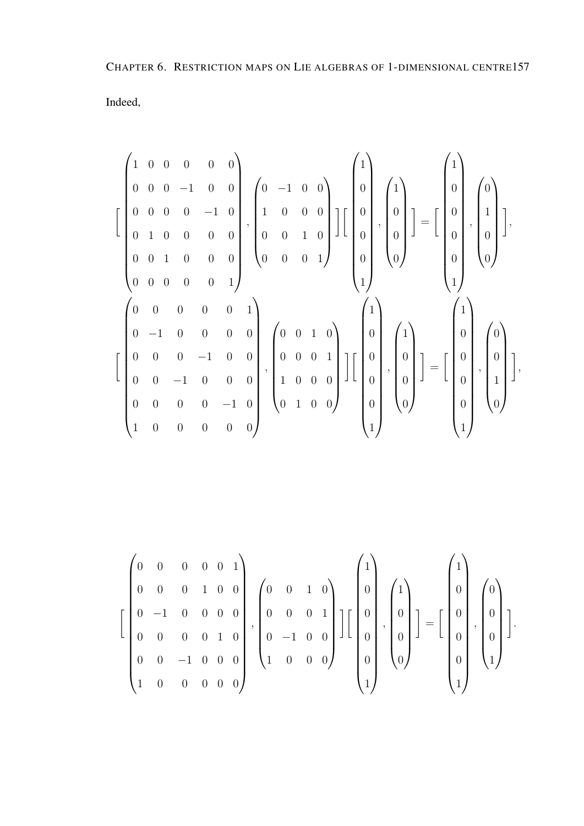CHAPTER 6. RESTRICTION MAPS ON LIE ALGEBRAS OF 1-DIMENSIONAL CENTRE157 Indeed,

$$
\begin{bmatrix}\n1 & 0 & 0 & 0 & 0 & 0 \\
0 & 0 & 0 & -1 & 0 & 0 \\
0 & 1 & 0 & 0 & 0 & 0 \\
0 & 0 & 1 & 0 & 0 & 0 \\
0 & 0 & 0 & 0 & 0 & 1\n\end{bmatrix}, \begin{bmatrix}\n0 & -1 & 0 & 0 \\
1 & 0 & 0 & 0 \\
0 & 0 & 1 & 0 \\
0 & 0 & 0 & 0\n\end{bmatrix}, \begin{bmatrix}\n1 \\
0 \\
0 \\
0 \\
0\n\end{bmatrix}, \begin{bmatrix}\n1 \\
0 \\
0 \\
0 \\
0\n\end{bmatrix}, \begin{bmatrix}\n1 \\
0 \\
0 \\
0 \\
0\n\end{bmatrix}\n\end{bmatrix} = \begin{bmatrix}\n1 \\
0 \\
0 \\
0 \\
0 \\
1\n\end{bmatrix}, \begin{bmatrix}\n0 \\
1 \\
0 \\
0 \\
0\n\end{bmatrix}, \begin{bmatrix}\n0 \\
1 \\
0 \\
0 \\
0\n\end{bmatrix}, \begin{bmatrix}\n1 \\
0 \\
0 \\
0 \\
0\n\end{bmatrix}, \begin{bmatrix}\n1 \\
0 \\
0 \\
0 \\
0\n\end{bmatrix}, \begin{bmatrix}\n1 \\
0 \\
0 \\
0 \\
0\n\end{bmatrix}, \begin{bmatrix}\n1 \\
0 \\
0 \\
0 \\
0\n\end{bmatrix}, \begin{bmatrix}\n1 \\
0 \\
0 \\
0 \\
1\n\end{bmatrix}, \begin{bmatrix}\n0 \\
0 \\
0 \\
1 \\
0\n\end{bmatrix}, \begin{bmatrix}\n1 \\
0 \\
0 \\
0 \\
1\n\end{bmatrix}, \begin{bmatrix}\n0 \\
0 \\
0 \\
1 \\
0\n\end{bmatrix}, \begin{bmatrix}\n0 \\
0 \\
0 \\
1 \\
0\n\end{bmatrix}, \begin{bmatrix}\n0 \\
0 \\
0 \\
1 \\
0\n\end{bmatrix}, \begin{bmatrix}\n0 \\
0 \\
0 \\
1 \\
0\n\end{bmatrix}, \begin{bmatrix}\n0 \\
0 \\
0 \\
1 \\
0\n\end{bmatrix}, \begin{bmatrix}\n0 \\
0 \\
0 \\
1 \\
0\n\end{bmatrix}, \begin{bmatrix}\n0 \\
0 \\
0 \\
1 \\
0\n\end{bmatrix}, \begin{bmatrix}\n0 \\
0 \\
0 \\
1 \\
0\n\end{bmatrix}, \begin{bmatrix}\n0 \\
0 \\
0 \\
1 \\
0\n\end{bmatrix}, \begin{bmatrix}\n0 \\
0 \\
0 \\
1 \\
0\n\end{bmatrix}, \begin{bmatrix}\n0 \\
0 \\
0 \\
1 \\
0\n\end{bmatrix}, \begin{bmatrix}\n0 \\
0 \\
0 \\
1 \\
0\n\end{bmatrix}
$$

$$
\left[\begin{pmatrix}0 & 0 & 0 & 0 & 0 & 1 \\ 0 & 0 & 0 & 1 & 0 & 0 \\ 0 & -1 & 0 & 0 & 0 & 0 \\ 0 & 0 & 0 & 0 & 1 & 0 \\ 0 & 0 & -1 & 0 & 0 & 0 \\ 1 & 0 & 0 & 0 & 0 & 0\end{pmatrix}, \begin{pmatrix}0 & 0 & 1 & 0 \\ 0 & 0 & 0 & 1 \\ 0 & -1 & 0 & 0 \\ 1 & 0 & 0 & 0\end{pmatrix}\right]\left[\begin{pmatrix}1 \\ 0 \\ 0 \\ 0 \\ 0\end{pmatrix}, \begin{pmatrix}1 \\ 0 \\ 0 \\ 0\end{pmatrix}\right] = \left[\begin{pmatrix}1 \\ 0 \\ 0 \\ 0 \\ 1\end{pmatrix}, \begin{pmatrix}0 \\ 0 \\ 0 \\ 1\end{pmatrix}\right].
$$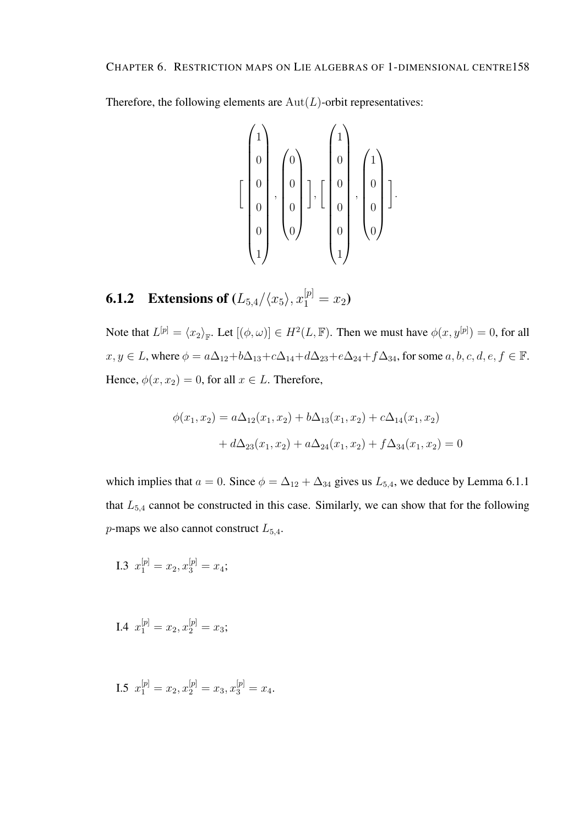Therefore, the following elements are  $Aut(L)$ -orbit representatives:

$$
\left[\begin{pmatrix}1\\0\\0\\0\\0\\0\\1\end{pmatrix},\begin{pmatrix}0\\0\\0\\0\\0\end{pmatrix}\right],\begin{bmatrix}1\\0\\0\\0\\0\\1\end{pmatrix},\begin{pmatrix}1\\0\\0\\0\\0\end{pmatrix}\right].
$$

**6.1.2** Extensions of  $(L_{5,4}/\langle x_5 \rangle, x_1^{[p]} = x_2)$ 

Note that  $L^{[p]} = \langle x_2 \rangle_{\mathbb{F}}$ . Let  $[(\phi, \omega)] \in H^2(L, \mathbb{F})$ . Then we must have  $\phi(x, y^{[p]}) = 0$ , for all  $x, y \in L$ , where  $\phi = a\Delta_{12} + b\Delta_{13} + c\Delta_{14} + d\Delta_{23} + e\Delta_{24} + f\Delta_{34}$ , for some  $a, b, c, d, e, f \in \mathbb{F}$ . Hence,  $\phi(x, x_2) = 0$ , for all  $x \in L$ . Therefore,

$$
\phi(x_1, x_2) = a\Delta_{12}(x_1, x_2) + b\Delta_{13}(x_1, x_2) + c\Delta_{14}(x_1, x_2)
$$

$$
+ d\Delta_{23}(x_1, x_2) + a\Delta_{24}(x_1, x_2) + f\Delta_{34}(x_1, x_2) = 0
$$

which implies that  $a = 0$ . Since  $\phi = \Delta_{12} + \Delta_{34}$  gives us  $L_{5,4}$ , we deduce by Lemma 6.1.1 that  $L_{5,4}$  cannot be constructed in this case. Similarly, we can show that for the following *p*-maps we also cannot construct  $L_{5,4}$ .

I.3 
$$
x_1^{[p]} = x_2, x_3^{[p]} = x_4;
$$

I.4 
$$
x_1^{[p]} = x_2, x_2^{[p]} = x_3;
$$

I.5  $x_1^{[p]} = x_2, x_2^{[p]} = x_3, x_3^{[p]} = x_4.$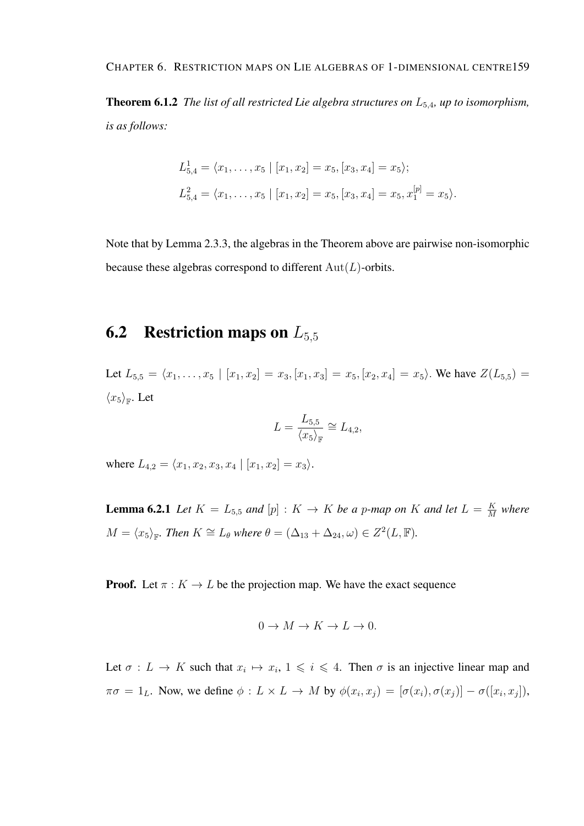#### CHAPTER 6. RESTRICTION MAPS ON LIE ALGEBRAS OF 1-DIMENSIONAL CENTRE159

Theorem 6.1.2 *The list of all restricted Lie algebra structures on* L5,4*, up to isomorphism, is as follows:*

$$
L_{5,4}^1 = \langle x_1, \dots, x_5 | [x_1, x_2] = x_5, [x_3, x_4] = x_5 \rangle;
$$
  

$$
L_{5,4}^2 = \langle x_1, \dots, x_5 | [x_1, x_2] = x_5, [x_3, x_4] = x_5, x_1^{[p]} = x_5 \rangle.
$$

Note that by Lemma 2.3.3, the algebras in the Theorem above are pairwise non-isomorphic because these algebras correspond to different  $Aut(L)$ -orbits.

# **6.2** Restriction maps on  $L_{5,5}$

Let  $L_{5,5} = \langle x_1, \ldots, x_5 | [x_1, x_2] = x_3, [x_1, x_3] = x_5, [x_2, x_4] = x_5$ . We have  $Z(L_{5,5}) =$  $\langle x_5 \rangle_{\mathbb{F}}$ . Let

$$
L = \frac{L_{5,5}}{\langle x_5 \rangle_{\mathbb{F}}} \cong L_{4,2},
$$

where  $L_{4,2} = \langle x_1, x_2, x_3, x_4 | [x_1, x_2] = x_3 \rangle$ .

**Lemma 6.2.1** Let  $K = L_{5,5}$  and  $[p] : K \to K$  be a p-map on K and let  $L = \frac{K}{M}$  $\frac{K}{M}$  where  $M = \langle x_5 \rangle_{\mathbb{F}}$ *. Then*  $K \cong L_\theta$  *where*  $\theta = (\Delta_{13} + \Delta_{24}, \omega) \in Z^2(L, \mathbb{F})$ *.* 

**Proof.** Let  $\pi : K \to L$  be the projection map. We have the exact sequence

$$
0 \to M \to K \to L \to 0.
$$

Let  $\sigma: L \to K$  such that  $x_i \mapsto x_i, 1 \leq i \leq 4$ . Then  $\sigma$  is an injective linear map and  $\pi\sigma = 1_L$ . Now, we define  $\phi: L \times L \to M$  by  $\phi(x_i, x_j) = [\sigma(x_i), \sigma(x_j)] - \sigma([x_i, x_j]),$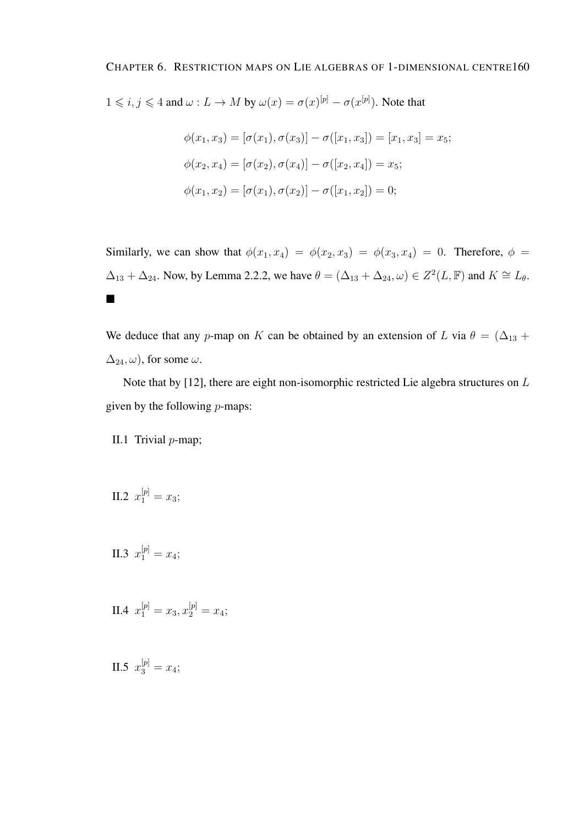$1 \leq i, j \leq 4$  and  $\omega: L \to M$  by  $\omega(x) = \sigma(x)^{[p]} - \sigma(x^{[p]})$ . Note that

$$
\phi(x_1, x_3) = [\sigma(x_1), \sigma(x_3)] - \sigma([x_1, x_3]) = [x_1, x_3] = x_5;
$$
  

$$
\phi(x_2, x_4) = [\sigma(x_2), \sigma(x_4)] - \sigma([x_2, x_4]) = x_5;
$$
  

$$
\phi(x_1, x_2) = [\sigma(x_1), \sigma(x_2)] - \sigma([x_1, x_2]) = 0;
$$

Similarly, we can show that  $\phi(x_1, x_4) = \phi(x_2, x_3) = \phi(x_3, x_4) = 0$ . Therefore,  $\phi =$  $\Delta_{13} + \Delta_{24}$ . Now, by Lemma 2.2.2, we have  $\theta = (\Delta_{13} + \Delta_{24}, \omega) \in Z^2(L, \mathbb{F})$  and  $K \cong L_{\theta}$ .  $\blacksquare$ 

We deduce that any p-map on K can be obtained by an extension of L via  $\theta = (\Delta_{13} + \Delta_{14})$  $\Delta_{24}, \omega$ , for some  $\omega$ .

Note that by [12], there are eight non-isomorphic restricted Lie algebra structures on L given by the following  $p$ -maps:

II.1 Trivial  $p$ -map;

II.2 
$$
x_1^{[p]} = x_3;
$$

II.3  $x_1^{[p]} = x_4;$ 

II.4 
$$
x_1^{[p]} = x_3, x_2^{[p]} = x_4;
$$

II.5  $x_3^{[p]} = x_4;$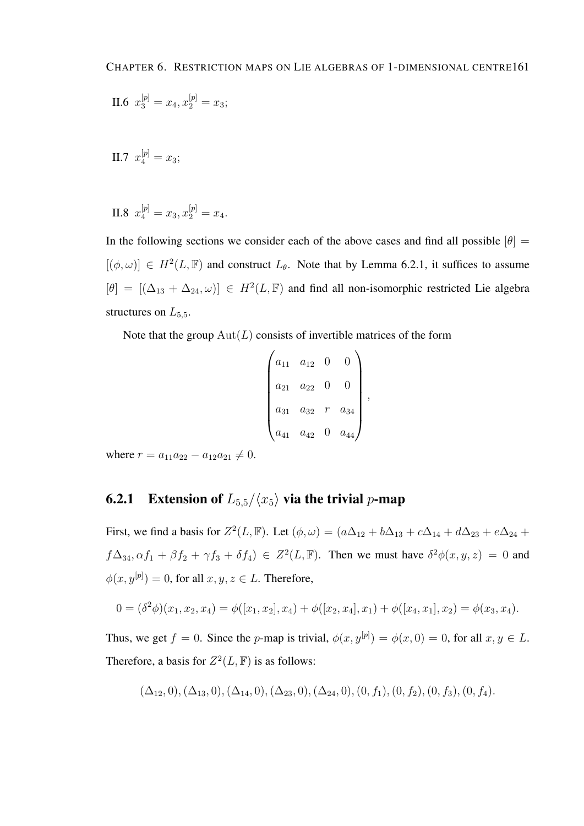II.6 
$$
x_3^{[p]} = x_4, x_2^{[p]} = x_3;
$$

II.7  $x_4^{[p]} = x_3;$ 

II.8 
$$
x_4^{[p]} = x_3, x_2^{[p]} = x_4.
$$

In the following sections we consider each of the above cases and find all possible  $[\theta] =$  $[(\phi, \omega)] \in H^2(L, \mathbb{F})$  and construct  $L_{\theta}$ . Note that by Lemma 6.2.1, it suffices to assume  $[\theta] = [(\Delta_{13} + \Delta_{24}, \omega)] \in H^2(L, \mathbb{F})$  and find all non-isomorphic restricted Lie algebra structures on  $L_{5,5}$ .

Note that the group  $Aut(L)$  consists of invertible matrices of the form

$$
\begin{pmatrix} a_{11} & a_{12} & 0 & 0 \ a_{21} & a_{22} & 0 & 0 \ a_{31} & a_{32} & r & a_{34} \ a_{41} & a_{42} & 0 & a_{44} \end{pmatrix},
$$

where  $r = a_{11}a_{22} - a_{12}a_{21} \neq 0$ .

#### **6.2.1** Extension of  $L_{5.5}/\langle x_5 \rangle$  via the trivial p-map

First, we find a basis for  $Z^2(L, \mathbb{F})$ . Let  $(\phi, \omega) = (a\Delta_{12} + b\Delta_{13} + c\Delta_{14} + d\Delta_{23} + e\Delta_{24} + d\Delta_{34})$  $f\Delta_{34}, \alpha f_1 + \beta f_2 + \gamma f_3 + \delta f_4$ )  $\in Z^2(L, \mathbb{F})$ . Then we must have  $\delta^2 \phi(x, y, z) = 0$  and  $\phi(x, y^{[p]}) = 0$ , for all  $x, y, z \in L$ . Therefore,

$$
0 = (\delta^2 \phi)(x_1, x_2, x_4) = \phi([x_1, x_2], x_4) + \phi([x_2, x_4], x_1) + \phi([x_4, x_1], x_2) = \phi(x_3, x_4).
$$

Thus, we get  $f = 0$ . Since the p-map is trivial,  $\phi(x, y^{[p]}) = \phi(x, 0) = 0$ , for all  $x, y \in L$ . Therefore, a basis for  $Z^2(L, \mathbb{F})$  is as follows:

$$
(\Delta_{12},0), (\Delta_{13},0), (\Delta_{14},0), (\Delta_{23},0), (\Delta_{24},0), (0,f_1), (0,f_2), (0,f_3), (0,f_4).
$$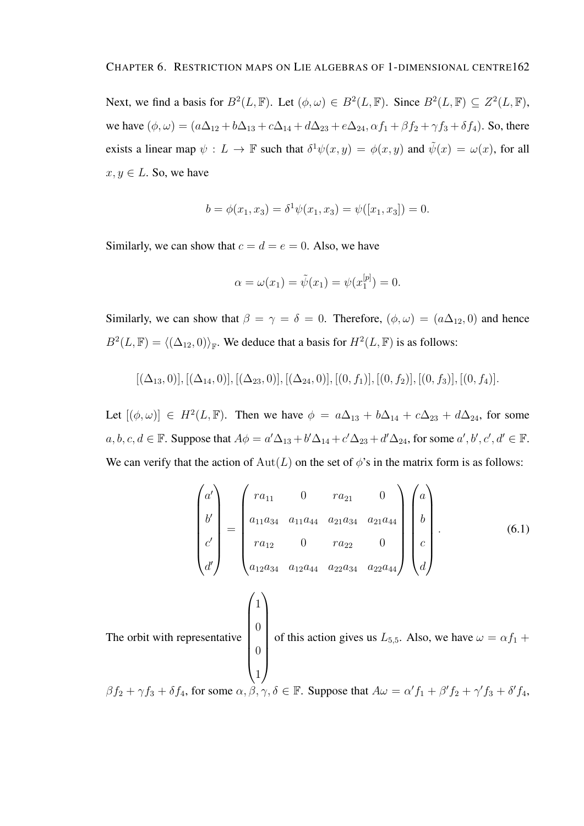Next, we find a basis for  $B^2(L, \mathbb{F})$ . Let  $(\phi, \omega) \in B^2(L, \mathbb{F})$ . Since  $B^2(L, \mathbb{F}) \subseteq Z^2(L, \mathbb{F})$ , we have  $(\phi, \omega) = (a\Delta_{12} + b\Delta_{13} + c\Delta_{14} + d\Delta_{23} + e\Delta_{24}, \alpha f_1 + \beta f_2 + \gamma f_3 + \delta f_4)$ . So, there exists a linear map  $\psi : L \to \mathbb{F}$  such that  $\delta^1 \psi(x, y) = \phi(x, y)$  and  $\tilde{\psi}(x) = \omega(x)$ , for all  $x, y \in L$ . So, we have

$$
b = \phi(x_1, x_3) = \delta^1 \psi(x_1, x_3) = \psi([x_1, x_3]) = 0.
$$

Similarly, we can show that  $c = d = e = 0$ . Also, we have

$$
\alpha = \omega(x_1) = \tilde{\psi}(x_1) = \psi(x_1^{[p]}) = 0.
$$

Similarly, we can show that  $\beta = \gamma = \delta = 0$ . Therefore,  $(\phi, \omega) = (a\Delta_{12}, 0)$  and hence  $B^2(L, \mathbb{F}) = \langle (\Delta_{12}, 0) \rangle_{\mathbb{F}}$ . We deduce that a basis for  $H^2(L, \mathbb{F})$  is as follows:

$$
[(\Delta_{13},0)], [(\Delta_{14},0)], [(\Delta_{23},0)], [(\Delta_{24},0)], [(0,f_1)], [(0,f_2)], [(0,f_3)], [(0,f_4)].
$$

Let  $[(\phi, \omega)] \in H^2(L, \mathbb{F})$ . Then we have  $\phi = a\Delta_{13} + b\Delta_{14} + c\Delta_{23} + d\Delta_{24}$ , for some  $a, b, c, d \in \mathbb{F}$ . Suppose that  $A\phi = a'\Delta_{13} + b'\Delta_{14} + c'\Delta_{23} + d'\Delta_{24}$ , for some  $a', b', c', d' \in \mathbb{F}$ . We can verify that the action of  $Aut(L)$  on the set of  $\phi$ 's in the matrix form is as follows:

$$
\begin{pmatrix} a' \\ b' \\ c' \\ d' \end{pmatrix} = \begin{pmatrix} ra_{11} & 0 & ra_{21} & 0 \\ a_{11}a_{34} & a_{11}a_{44} & a_{21}a_{34} & a_{21}a_{44} \\ ra_{12} & 0 & ra_{22} & 0 \\ a_{12}a_{34} & a_{12}a_{44} & a_{22}a_{34} & a_{22}a_{44} \end{pmatrix} \begin{pmatrix} a \\ b \\ c \\ d \end{pmatrix}.
$$
 (6.1)  
The orbit with representative 
$$
\begin{pmatrix} 1 \\ 0 \\ 0 \\ 1 \end{pmatrix}
$$
 of this action gives us  $L_{5,5}$ . Also, we have  $\omega = \alpha f_1 + \beta f_2 + \gamma f_3 + \delta f_4$ ,  
 $\beta f_2 + \gamma f_3 + \delta f_4$ , for some  $\alpha, \beta, \gamma, \delta \in \mathbb{F}$ . Suppose that  $A\omega = \alpha' f_1 + \beta' f_2 + \gamma' f_3 + \delta' f_4$ ,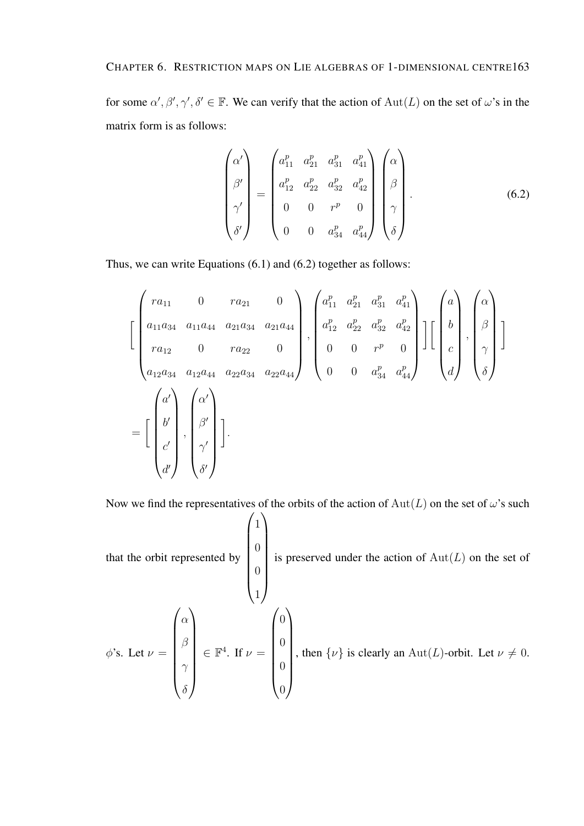for some  $\alpha', \beta', \gamma', \delta' \in \mathbb{F}$ . We can verify that the action of  $Aut(L)$  on the set of  $\omega$ 's in the matrix form is as follows:

$$
\begin{pmatrix}\n\alpha' \\
\beta' \\
\gamma' \\
\delta'\n\end{pmatrix} = \begin{pmatrix}\na_{11}^p & a_{21}^p & a_{31}^p & a_{41}^p \\
a_{12}^p & a_{22}^p & a_{32}^p & a_{42}^p \\
0 & 0 & r^p & 0 \\
0 & 0 & a_{34}^p & a_{44}^p\n\end{pmatrix} \begin{pmatrix}\n\alpha \\
\beta \\
\beta \\
\gamma \\
\delta\n\end{pmatrix}.
$$
\n(6.2)

Thus, we can write Equations (6.1) and (6.2) together as follows:

$$
\begin{bmatrix}\n r a_{11} & 0 & r a_{21} & 0 \\
 a_{11} a_{34} & a_{11} a_{44} & a_{21} a_{34} & a_{21} a_{44} \\
 r a_{12} & 0 & r a_{22} & 0 \\
 a_{12} a_{34} & a_{12} a_{44} & a_{22} a_{34} & a_{22} a_{44}\n\end{bmatrix},\n\begin{bmatrix}\na_{11}^p & a_{21}^p & a_{31}^p & a_{41}^p \\
a_{12}^p & a_{22}^p & a_{32}^p & a_{42}^p \\
0 & 0 & r^p & 0 \\
0 & 0 & a_{34}^p & a_{44}^p\n\end{bmatrix},\n\begin{bmatrix}\na \\
b \\
c \\
d\n\end{bmatrix},\n\begin{bmatrix}\na \\
\beta \\
\gamma \\
\delta\n\end{bmatrix}
$$
\n
$$
= \begin{bmatrix}\n a' \\
 b' \\
 c' \\
 d'\n\end{bmatrix},\n\begin{bmatrix}\na' \\
\beta \\
\beta\n\end{bmatrix},\n\begin{bmatrix}\na' \\
\beta \\
\beta\n\end{bmatrix}
$$
\n
$$
= \begin{bmatrix}\n b' \\
 c' \\
 d'\n\end{bmatrix},\n\begin{bmatrix}\na' \\
\beta' \\
\gamma' \\
\delta'\n\end{bmatrix}.
$$

Now we find the representatives of the orbits of the action of  $Aut(L)$  on the set of  $\omega$ 's such

that the orbit represented by  $\sqrt{1}$  $\begin{array}{c} \begin{array}{c} \begin{array}{c} \begin{array}{c} \end{array} \\ \end{array} \end{array} \end{array}$  $\overline{0}$  $\overline{0}$ 1  $\setminus$  $\begin{array}{c} \hline \end{array}$ is preserved under the action of  $Aut(L)$  on the set of  $\phi$ 's. Let  $\nu =$  $\int \alpha$  $\begin{array}{c} \begin{array}{c} \begin{array}{c} \begin{array}{c} \end{array} \end{array} \end{array} \end{array}$ β  $\gamma$  $\delta$  $\setminus$  $\begin{array}{c} \hline \end{array}$  $\in \mathbb{F}^4$ . If  $\nu =$  $\sqrt{0}$  $\begin{array}{c} \hline \end{array}$ 0 0 0  $\setminus$  $\begin{array}{c} \hline \end{array}$ , then  $\{\nu\}$  is clearly an Aut(L)-orbit. Let  $\nu \neq 0$ .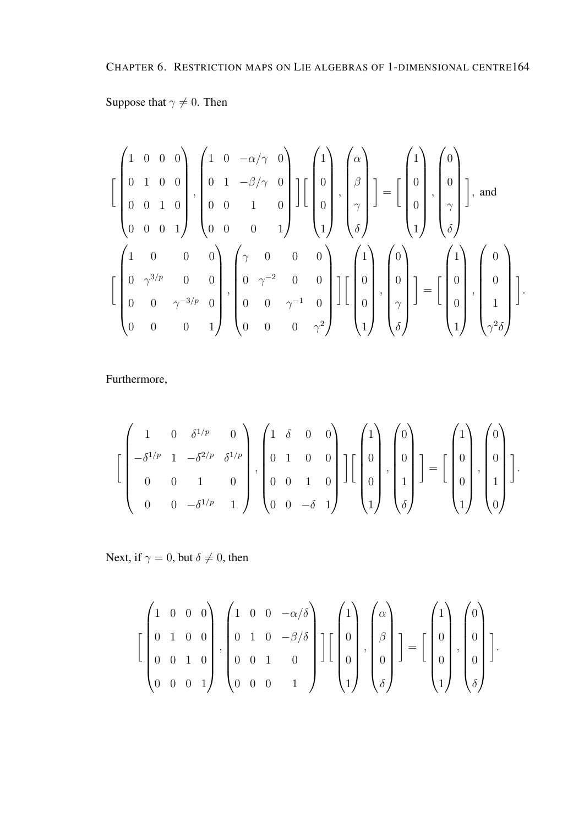## Suppose that  $\gamma \neq 0$ . Then

$$
\begin{bmatrix} 1 & 0 & 0 & 0 \ 0 & 1 & 0 & 0 \ 0 & 0 & 1 & 0 \ 0 & 0 & 0 & 1 \ \end{bmatrix}, \begin{bmatrix} 1 & 0 & -\alpha/\gamma & 0 \ 0 & 1 & -\beta/\gamma & 0 \ 0 & 0 & 1 & 0 \ 0 & 0 & 0 & 1 \ \end{bmatrix} \begin{bmatrix} 1 \ 0 \ 0 \ 1 \end{bmatrix}, \begin{bmatrix} \alpha \ \beta \ \gamma \ \delta \end{bmatrix} \end{bmatrix} = \begin{bmatrix} 1 \ 0 \ 0 \ 1 \end{bmatrix}, \begin{bmatrix} 0 \ 0 \ \gamma \ \delta \end{bmatrix}, \text{and}
$$

$$
\begin{bmatrix} 1 & 0 & 0 & 0 \ 0 & \gamma^{3/p} & 0 & 0 \ 0 & 0 & \gamma^{-2} & 0 & 0 \ 0 & 0 & \gamma^{-1} & 0 & 0 \ 0 & 0 & 0 & 0 & \gamma^{2} \ \end{bmatrix} \begin{bmatrix} 1 \ 0 \ 0 \ 0 \end{bmatrix}, \begin{bmatrix} 0 \ 0 \ 0 \ 1 \end{bmatrix}, \begin{bmatrix} 0 \ 0 \ 0 \ 1 \end{bmatrix}, \begin{bmatrix} 0 \ 0 \ 0 \ 1 \end{bmatrix}, \begin{bmatrix} 0 \ 0 \ 0 \ 1 \end{bmatrix}, \begin{bmatrix} 0 \ 0 \ 1 \ 1 \end{bmatrix} \end{bmatrix}.
$$

Furthermore,

$$
\left[\begin{pmatrix} 1 & 0 & \delta^{1/p} & 0 \\ -\delta^{1/p} & 1 & -\delta^{2/p} & \delta^{1/p} \\ 0 & 0 & 1 & 0 \\ 0 & 0 & -\delta^{1/p} & 1 \end{pmatrix}, \begin{pmatrix} 1 & \delta & 0 & 0 \\ 0 & 1 & 0 & 0 \\ 0 & 0 & 1 & 0 \\ 0 & 0 & -\delta & 1 \end{pmatrix}\right] \left[\begin{pmatrix} 1 \\ 0 \\ 0 \\ 1 \end{pmatrix}, \begin{pmatrix} 0 \\ 0 \\ 1 \\ \delta \end{pmatrix}\right] = \left[\begin{pmatrix} 1 \\ 0 \\ 0 \\ 1 \end{pmatrix}, \begin{pmatrix} 0 \\ 0 \\ 1 \\ 0 \end{pmatrix}\right].
$$

Next, if  $\gamma = 0$ , but  $\delta \neq 0$ , then

$$
\left[\begin{pmatrix}1 & 0 & 0 & 0 \\ 0 & 1 & 0 & 0 \\ 0 & 0 & 1 & 0 \\ 0 & 0 & 0 & 1\end{pmatrix}, \begin{pmatrix}1 & 0 & 0 & -\alpha/\delta \\ 0 & 1 & 0 & -\beta/\delta \\ 0 & 0 & 1 & 0 \\ 0 & 0 & 0 & 1\end{pmatrix}\right]\left[\begin{pmatrix}1 \\ 0 \\ 0 \\ 0\end{pmatrix}, \begin{pmatrix}\alpha \\ \beta \\ 0 \\ 0\end{pmatrix}\right] = \left[\begin{pmatrix}1 \\ 0 \\ 0 \\ 1\end{pmatrix}, \begin{pmatrix}0 \\ 0 \\ 0 \\ 0\end{pmatrix}\right].
$$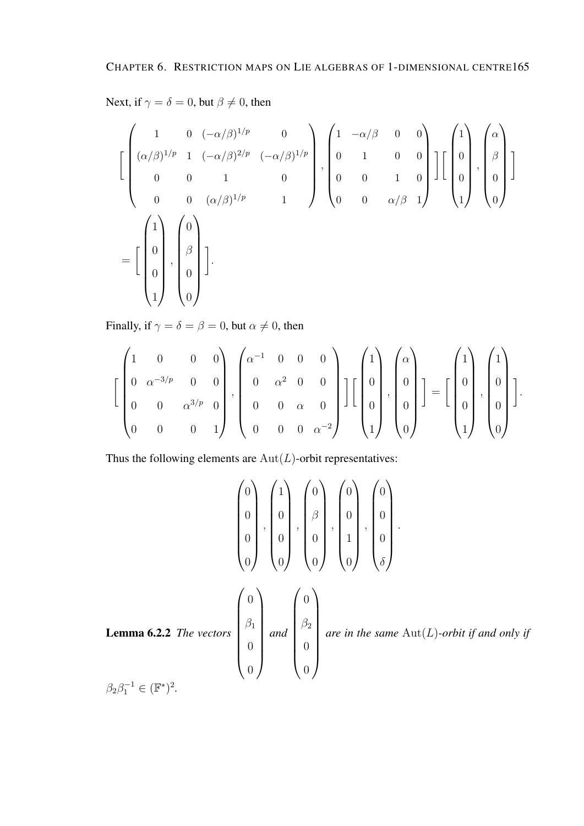Next, if  $\gamma = \delta = 0$ , but  $\beta \neq 0$ , then

$$
\begin{bmatrix}\n1 & 0 & (-\alpha/\beta)^{1/p} & 0 \\
(\alpha/\beta)^{1/p} & 1 & (-\alpha/\beta)^{2/p} & (-\alpha/\beta)^{1/p} \\
0 & 0 & 1 & 0 \\
0 & 0 & (\alpha/\beta)^{1/p} & 1\n\end{bmatrix}, \n\begin{bmatrix}\n1 & -\alpha/\beta & 0 & 0 \\
0 & 1 & 0 & 0 \\
0 & 0 & 1 & 0 \\
0 & 0 & \alpha/\beta & 1\n\end{bmatrix}\n\begin{bmatrix}\n1 \\
0 \\
0 \\
1\n\end{bmatrix}, \n\begin{bmatrix}\n\alpha \\
\beta \\
0 \\
0\n\end{bmatrix}
$$
\n
$$
= \begin{bmatrix}\n1 \\
0 \\
0 \\
1\n\end{bmatrix}, \n\begin{bmatrix}\n0 \\
\beta \\
0 \\
0\n\end{bmatrix}
$$
\n
$$
= \begin{bmatrix}\n1 \\
0 \\
0 \\
1\n\end{bmatrix}, \n\begin{bmatrix}\n0 \\
\beta \\
0 \\
0\n\end{bmatrix}
$$

Finally, if  $\gamma = \delta = \beta = 0$ , but  $\alpha \neq 0$ , then

$$
\left[\begin{pmatrix}1 & 0 & 0 & 0 \\ 0 & \alpha^{-3/p} & 0 & 0 \\ 0 & 0 & \alpha^{3/p} & 0 \\ 0 & 0 & 0 & 1\end{pmatrix}, \begin{pmatrix}\alpha^{-1} & 0 & 0 & 0 \\ 0 & \alpha^{2} & 0 & 0 \\ 0 & 0 & \alpha & 0 \\ 0 & 0 & 0 & \alpha^{-2}\end{pmatrix}\right]\left[\begin{pmatrix}1 \\ 0 \\ 0 \\ 1\end{pmatrix}, \begin{pmatrix}\alpha \\ 0 \\ 0 \\ 0\end{pmatrix}\right] = \left[\begin{pmatrix}1 \\ 0 \\ 0 \\ 1\end{pmatrix}, \begin{pmatrix}1 \\ 0 \\ 0 \\ 0\end{pmatrix}\right].
$$

Thus the following elements are  $Aut(L)$ -orbit representatives:

$$
\begin{pmatrix} 0 \\ 0 \\ 0 \\ 0 \\ 0 \end{pmatrix}, \begin{pmatrix} 1 \\ 0 \\ 0 \\ 0 \\ 0 \end{pmatrix}, \begin{pmatrix} 0 \\ 0 \\ 0 \\ 0 \\ 0 \end{pmatrix}, \begin{pmatrix} 0 \\ 0 \\ 0 \\ 1 \\ 0 \end{pmatrix}, \begin{pmatrix} 0 \\ 0 \\ 0 \\ 0 \\ 0 \end{pmatrix}.
$$
  
Lemma 6.2.2 The vectors 
$$
\begin{pmatrix} 0 \\ 0 \\ \beta_1 \\ 0 \\ 0 \end{pmatrix} and \begin{pmatrix} 0 \\ 0 \\ \beta_2 \\ 0 \\ 0 \end{pmatrix} are in the same Aut(L)-orbit if and only if
$$

$$
\beta_2 \beta_1^{-1} \in (\mathbb{F}^*)^2.
$$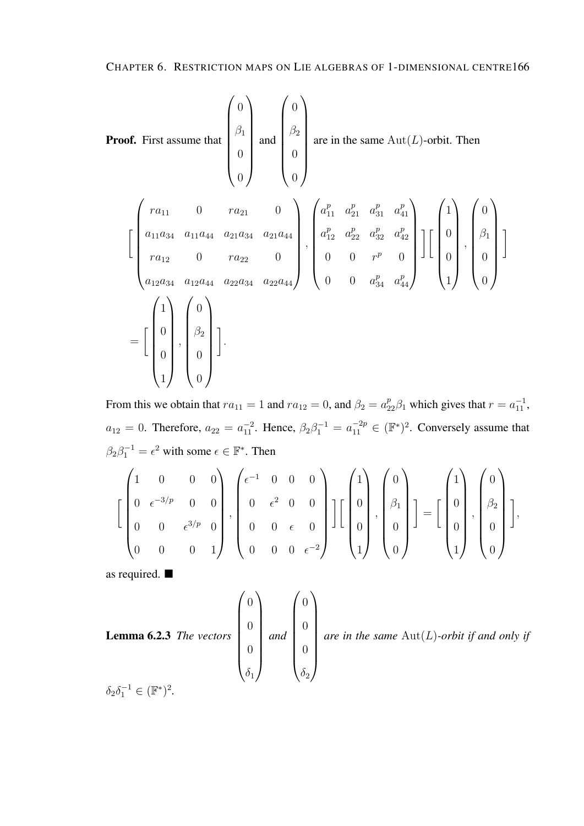Proof. First assume that 
$$
\begin{pmatrix} 0 \\ \beta_1 \\ 0 \\ 0 \end{pmatrix}
$$
 and  $\begin{pmatrix} 0 \\ \beta_2 \\ 0 \\ 0 \end{pmatrix}$  are in the same Aut(*L*)-orbit. Then  
\n
$$
\begin{bmatrix} ra_{11} & 0 & ra_{21} & 0 \\ a_{11}a_{34} & a_{11}a_{44} & a_{21}a_{34} & a_{21}a_{44} \\ ra_{12} & 0 & ra_{22} & 0 \\ a_{12}a_{34} & a_{12}a_{44} & a_{22}a_{34} & a_{22}a_{44} \end{bmatrix}, \begin{pmatrix} a_{11}^p & a_{21}^p & a_{31}^p & a_{41}^p \\ a_{12}^p & a_{22}^p & a_{32}^p & a_{42}^p \\ 0 & 0 & r^p & 0 \\ 0 & 0 & a_{34}^p & a_{44}^p \end{pmatrix} \begin{bmatrix} 1 \\ 0 \\ 0 \\ 1 \end{bmatrix}, \begin{pmatrix} 0 \\ \beta_1 \\ 0 \\ 0 \end{pmatrix}
$$
\n
$$
= \begin{bmatrix} 1 \\ 0 \\ 0 \\ 1 \end{bmatrix}, \begin{pmatrix} 0 \\ \beta_2 \\ 0 \\ 0 \end{pmatrix}.
$$

From this we obtain that  $ra_{11} = 1$  and  $ra_{12} = 0$ , and  $\beta_2 = a_{22}^p \beta_1$  which gives that  $r = a_{11}^{-1}$ ,  $a_{12} = 0$ . Therefore,  $a_{22} = a_{11}^{-2}$ . Hence,  $\beta_2 \beta_1^{-1} = a_{11}^{-2p} \in (\mathbb{F}^*)^2$ . Conversely assume that  $\beta_2 \beta_1^{-1} = \epsilon^2$  with some  $\epsilon \in \mathbb{F}^*$ . Then

$$
\left[\begin{pmatrix}1 & 0 & 0 & 0 \\ 0 & \epsilon^{-3/p} & 0 & 0 \\ 0 & 0 & \epsilon^{3/p} & 0 \\ 0 & 0 & 0 & 1\end{pmatrix}, \begin{pmatrix}\epsilon^{-1} & 0 & 0 & 0 \\ 0 & \epsilon^{2} & 0 & 0 \\ 0 & 0 & \epsilon & 0 \\ 0 & 0 & 0 & \epsilon^{-2}\end{pmatrix}\right]\left[\begin{pmatrix}1 \\ 0 \\ 0 \\ 0\end{pmatrix}, \begin{pmatrix}0 \\ \beta_{1} \\ 0 \\ 0\end{pmatrix}\right] = \left[\begin{pmatrix}1 \\ 0 \\ 0 \\ 1\end{pmatrix}, \begin{pmatrix}0 \\ \beta_{2} \\ 0 \\ 0\end{pmatrix}\right],
$$

as required.

**Lemma 6.2.3** The vectors 
$$
\begin{pmatrix} 0 \\ 0 \\ 0 \\ 0 \\ \delta_1 \end{pmatrix}
$$
 and  $\begin{pmatrix} 0 \\ 0 \\ 0 \\ 0 \\ \delta_2 \end{pmatrix}$  are in the same Aut(*L*)-orbit if and only if  $\delta_2 \delta_1^{-1} \in (\mathbb{F}^*)^2$ .

 $\delta_2 \delta_1^{-1} \in (\mathbb{F}^*)^2$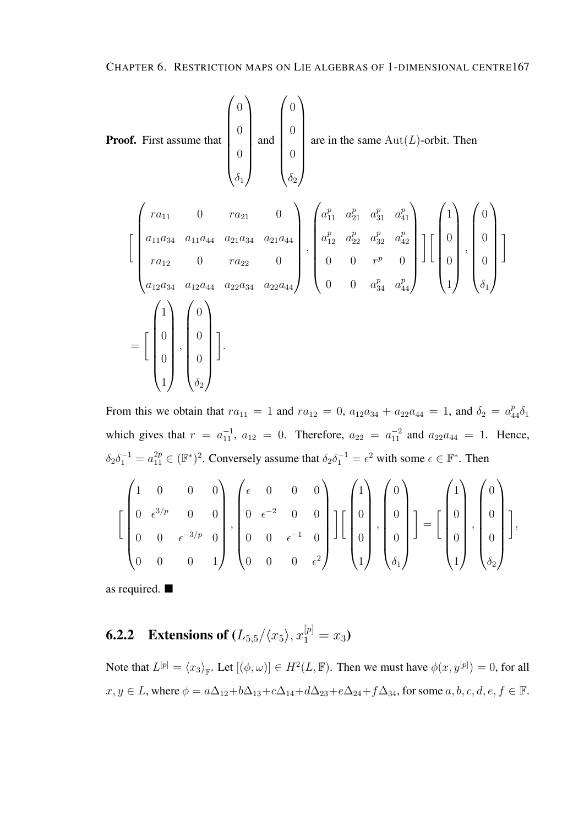Proof. First assume that 
$$
\begin{pmatrix} 0 \\ 0 \\ 0 \\ 0 \\ \delta_1 \end{pmatrix}
$$
 and  $\begin{pmatrix} 0 \\ 0 \\ 0 \\ \delta_2 \end{pmatrix}$  are in the same Aut(*L*)-orbit. Then  
\n
$$
\begin{bmatrix} ra_{11} & 0 & ra_{21} & 0 \\ a_{11}a_{34} & a_{11}a_{44} & a_{21}a_{34} & a_{21}a_{44} \\ ra_{12} & 0 & ra_{22} & 0 \\ a_{12}a_{34} & a_{12}a_{44} & a_{22}a_{34} & a_{22}a_{44} \end{bmatrix}, \begin{pmatrix} a_{11}^p & a_{21}^p & a_{31}^p & a_{41}^p \\ a_{12}^p & a_{22}^p & a_{32}^p & a_{42}^p \\ 0 & 0 & r^p & 0 \\ 0 & 0 & a_{34}^p & a_{44}^p \end{pmatrix} \begin{bmatrix} 1 \\ 0 \\ 0 \\ 1 \end{bmatrix}, \begin{pmatrix} 0 \\ 0 \\ 0 \\ \delta_1 \end{pmatrix}
$$
\n
$$
= \begin{bmatrix} 1 \\ 0 \\ 0 \\ 1 \end{bmatrix}, \begin{pmatrix} 0 \\ 0 \\ 0 \\ \delta_2 \end{pmatrix}.
$$

From this we obtain that  $ra_{11} = 1$  and  $ra_{12} = 0$ ,  $a_{12}a_{34} + a_{22}a_{44} = 1$ , and  $\delta_2 = a_{44}^p \delta_1$ which gives that  $r = a_{11}^{-1}$ ,  $a_{12} = 0$ . Therefore,  $a_{22} = a_{11}^{-2}$  and  $a_{22}a_{44} = 1$ . Hence,  $\delta_2 \delta_1^{-1} = a_{11}^{2p} \in (\mathbb{F}^*)^2$ . Conversely assume that  $\delta_2 \delta_1^{-1} = \epsilon^2$  with some  $\epsilon \in \mathbb{F}^*$ . Then

$$
\left[\begin{pmatrix}1 & 0 & 0 & 0 \\ 0 & \epsilon^{3/p} & 0 & 0 \\ 0 & 0 & \epsilon^{-3/p} & 0 \\ 0 & 0 & 0 & 1\end{pmatrix}, \begin{pmatrix}\epsilon & 0 & 0 & 0 \\ 0 & \epsilon^{-2} & 0 & 0 \\ 0 & 0 & \epsilon^{-1} & 0 \\ 0 & 0 & 0 & \epsilon^{2}\end{pmatrix}\right]\left[\begin{pmatrix}1 \\ 0 \\ 0 \\ 0\end{pmatrix}, \begin{pmatrix}0 \\ 0 \\ 0 \\ 0\end{pmatrix}\right] = \left[\begin{pmatrix}1 \\ 0 \\ 0 \\ 0\end{pmatrix}, \begin{pmatrix}0 \\ 0 \\ 0 \\ 0\end{pmatrix}\right],
$$

as required.

**6.2.2** Extensions of  $(L_{5,5}/\langle x_5 \rangle, x_1^{[p]} = x_3)$ 

Note that  $L^{[p]} = \langle x_3 \rangle_{\mathbb{F}}$ . Let  $[(\phi, \omega)] \in H^2(L, \mathbb{F})$ . Then we must have  $\phi(x, y^{[p]}) = 0$ , for all  $x, y \in L$ , where  $\phi = a\Delta_{12} + b\Delta_{13} + c\Delta_{14} + d\Delta_{23} + e\Delta_{24} + f\Delta_{34}$ , for some  $a, b, c, d, e, f \in \mathbb{F}$ .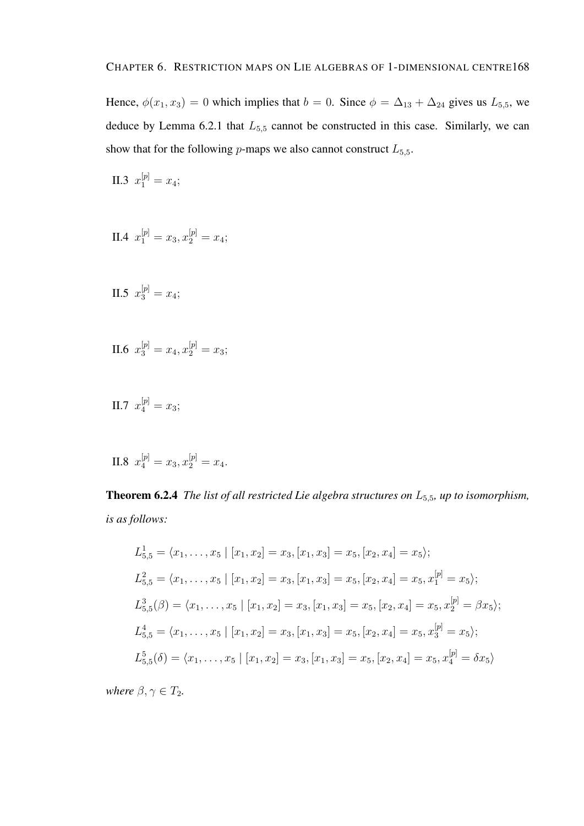Hence,  $\phi(x_1, x_3) = 0$  which implies that  $b = 0$ . Since  $\phi = \Delta_{13} + \Delta_{24}$  gives us  $L_{5,5}$ , we deduce by Lemma 6.2.1 that  $L_{5,5}$  cannot be constructed in this case. Similarly, we can show that for the following  $p$ -maps we also cannot construct  $L_{5,5}$ .

II.3  $x_1^{[p]} = x_4;$ 

II.4 
$$
x_1^{[p]} = x_3, x_2^{[p]} = x_4;
$$

II.5 
$$
x_3^{[p]} = x_4;
$$

$$
II.6 \t x_3^{[p]} = x_4, x_2^{[p]} = x_3;
$$

II.7  $x_4^{[p]} = x_3;$ 

II.8 
$$
x_4^{[p]} = x_3, x_2^{[p]} = x_4.
$$

Theorem 6.2.4 *The list of all restricted Lie algebra structures on* L5,5*, up to isomorphism, is as follows:*

$$
L_{5,5}^{1} = \langle x_{1}, \ldots, x_{5} \mid [x_{1}, x_{2}] = x_{3}, [x_{1}, x_{3}] = x_{5}, [x_{2}, x_{4}] = x_{5} \rangle;
$$
  
\n
$$
L_{5,5}^{2} = \langle x_{1}, \ldots, x_{5} \mid [x_{1}, x_{2}] = x_{3}, [x_{1}, x_{3}] = x_{5}, [x_{2}, x_{4}] = x_{5}, x_{1}^{[p]} = x_{5} \rangle;
$$
  
\n
$$
L_{5,5}^{3}(\beta) = \langle x_{1}, \ldots, x_{5} \mid [x_{1}, x_{2}] = x_{3}, [x_{1}, x_{3}] = x_{5}, [x_{2}, x_{4}] = x_{5}, x_{2}^{[p]} = \beta x_{5} \rangle;
$$
  
\n
$$
L_{5,5}^{4} = \langle x_{1}, \ldots, x_{5} \mid [x_{1}, x_{2}] = x_{3}, [x_{1}, x_{3}] = x_{5}, [x_{2}, x_{4}] = x_{5}, x_{3}^{[p]} = x_{5} \rangle;
$$
  
\n
$$
L_{5,5}^{5}(\delta) = \langle x_{1}, \ldots, x_{5} \mid [x_{1}, x_{2}] = x_{3}, [x_{1}, x_{3}] = x_{5}, [x_{2}, x_{4}] = x_{5}, x_{4}^{[p]} = \delta x_{5} \rangle
$$

*where*  $\beta, \gamma \in T_2$ *.*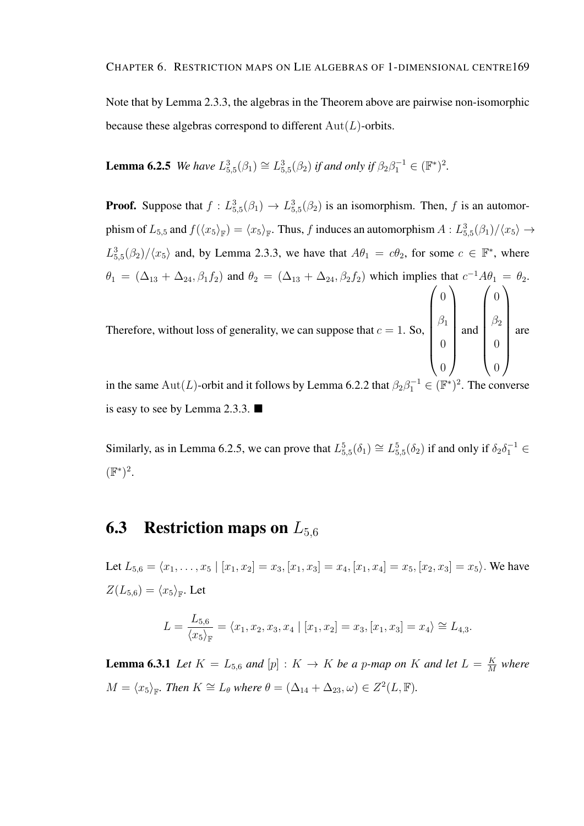Note that by Lemma 2.3.3, the algebras in the Theorem above are pairwise non-isomorphic because these algebras correspond to different  $Aut(L)$ -orbits.

**Lemma 6.2.5** *We have*  $L_{5,5}^3(\beta_1) \cong L_{5,5}^3(\beta_2)$  *if and only if*  $\beta_2 \beta_1^{-1} \in (\mathbb{F}^*)^2$ .

**Proof.** Suppose that  $f: L_{5,5}^3(\beta_1) \to L_{5,5}^3(\beta_2)$  is an isomorphism. Then, f is an automorphism of  $L_{5,5}$  and  $f(\langle x_5\rangle_{\mathbb{F}}) = \langle x_5\rangle_{\mathbb{F}}$ . Thus, f induces an automorphism  $A: L_{5,5}^3(\beta_1)/\langle x_5\rangle \to$  $L_{5,5}^{3}(\beta_2)/\langle x_5\rangle$  and, by Lemma 2.3.3, we have that  $A\theta_1 = c\theta_2$ , for some  $c \in \mathbb{F}^*$ , where  $\theta_1 = (\Delta_{13} + \Delta_{24}, \beta_1 f_2)$  and  $\theta_2 = (\Delta_{13} + \Delta_{24}, \beta_2 f_2)$  which implies that  $c^{-1}A\theta_1 = \theta_2$ . Therefore, without loss of generality, we can suppose that  $c = 1$ . So,  $\sqrt{ }$  $\begin{array}{c} \begin{array}{c} \begin{array}{c} \begin{array}{c} \end{array} \\ \end{array} \end{array} \end{array}$  $\theta$  $\beta_1$  $\theta$  $\setminus$  $\begin{array}{c} \hline \end{array}$ and  $\sqrt{ }$  $\begin{array}{c} \hline \end{array}$  $\theta$  $\beta_2$  $\theta$  $\setminus$  $\sqrt{2}$ are

in the same Aut(L)-orbit and it follows by Lemma 6.2.2 that  $\beta_2 \beta_1^{-1} \in (\mathbb{F}^*)^2$ . The converse is easy to see by Lemma 2.3.3.

 $\theta$ 

 $\theta$ 

Similarly, as in Lemma 6.2.5, we can prove that  $L_{5,5}^5(\delta_1) \cong L_{5,5}^5(\delta_2)$  if and only if  $\delta_2 \delta_1^{-1} \in$  $(\mathbb{F}^*)^2$ .

## **6.3** Restriction maps on  $L_{5,6}$

Let  $L_{5,6} = \langle x_1, \ldots, x_5 | [x_1, x_2] = x_3, [x_1, x_3] = x_4, [x_1, x_4] = x_5, [x_2, x_3] = x_5 \rangle$ . We have  $Z(L_{5,6}) = \langle x_5 \rangle_{\mathbb{F}}$ . Let

$$
L = \frac{L_{5,6}}{\langle x_5 \rangle_{\mathbb{F}}} = \langle x_1, x_2, x_3, x_4 \mid [x_1, x_2] = x_3, [x_1, x_3] = x_4 \rangle \cong L_{4,3}.
$$

**Lemma 6.3.1** *Let*  $K = L_{5,6}$  *and*  $[p] : K \rightarrow K$  *be a p-map on* K *and let*  $L = \frac{K}{M}$  $\frac{K}{M}$  where  $M = \langle x_5 \rangle_{\mathbb{F}}$ *. Then*  $K \cong L_\theta$  *where*  $\theta = (\Delta_{14} + \Delta_{23}, \omega) \in Z^2(L, \mathbb{F})$ *.*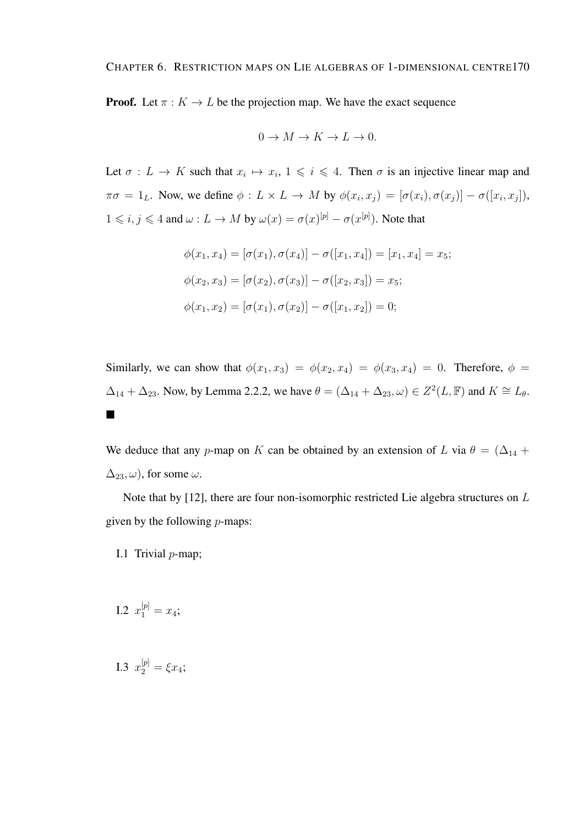#### CHAPTER 6. RESTRICTION MAPS ON LIE ALGEBRAS OF 1-DIMENSIONAL CENTRE170

**Proof.** Let  $\pi : K \to L$  be the projection map. We have the exact sequence

$$
0 \to M \to K \to L \to 0.
$$

Let  $\sigma: L \to K$  such that  $x_i \mapsto x_i, 1 \leq i \leq 4$ . Then  $\sigma$  is an injective linear map and  $\pi\sigma = 1_L$ . Now, we define  $\phi: L \times L \to M$  by  $\phi(x_i, x_j) = [\sigma(x_i), \sigma(x_j)] - \sigma([x_i, x_j]),$  $1 \leq i, j \leq 4$  and  $\omega: L \to M$  by  $\omega(x) = \sigma(x)^{[p]} - \sigma(x^{[p]})$ . Note that

$$
\phi(x_1, x_4) = [\sigma(x_1), \sigma(x_4)] - \sigma([x_1, x_4]) = [x_1, x_4] = x_5;
$$
  

$$
\phi(x_2, x_3) = [\sigma(x_2), \sigma(x_3)] - \sigma([x_2, x_3]) = x_5;
$$
  

$$
\phi(x_1, x_2) = [\sigma(x_1), \sigma(x_2)] - \sigma([x_1, x_2]) = 0;
$$

Similarly, we can show that  $\phi(x_1, x_3) = \phi(x_2, x_4) = \phi(x_3, x_4) = 0$ . Therefore,  $\phi =$  $\Delta_{14} + \Delta_{23}$ . Now, by Lemma 2.2.2, we have  $\theta = (\Delta_{14} + \Delta_{23}, \omega) \in Z^2(L, \mathbb{F})$  and  $K \cong L_{\theta}$ .  $\blacksquare$ 

We deduce that any p-map on K can be obtained by an extension of L via  $\theta = (\Delta_{14} + \Delta_{14})$  $\Delta_{23}, \omega$ , for some  $\omega$ .

Note that by [12], there are four non-isomorphic restricted Lie algebra structures on L given by the following  $p$ -maps:

- I.1 Trivial  $p$ -map;
- I.2  $x_1^{[p]} = x_4;$

I.3  $x_2^{[p]} = \xi x_4;$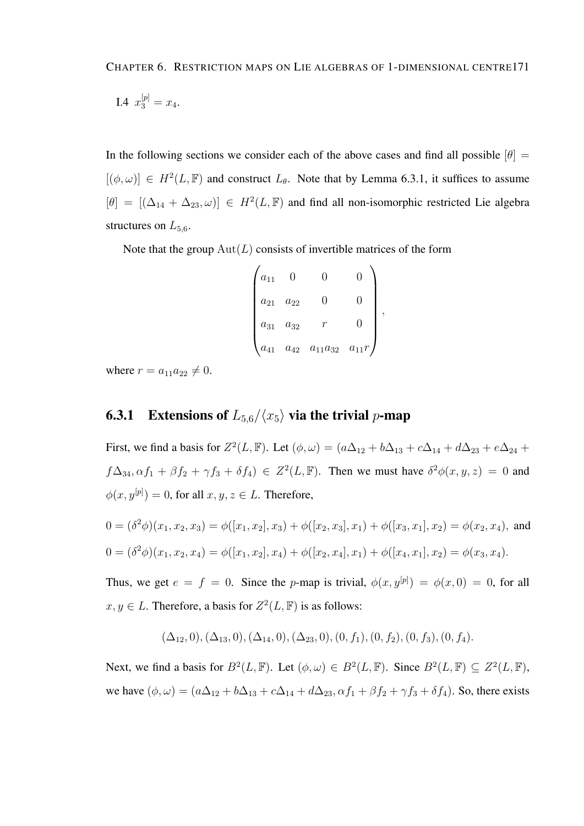CHAPTER 6. RESTRICTION MAPS ON LIE ALGEBRAS OF 1-DIMENSIONAL CENTRE171

I.4 
$$
x_3^{[p]} = x_4
$$
.

In the following sections we consider each of the above cases and find all possible  $[\theta] =$  $[(\phi, \omega)] \in H^2(L, \mathbb{F})$  and construct  $L_{\theta}$ . Note that by Lemma 6.3.1, it suffices to assume  $[\theta] = [(\Delta_{14} + \Delta_{23}, \omega)] \in H^2(L, \mathbb{F})$  and find all non-isomorphic restricted Lie algebra structures on  $L_{5.6}$ .

Note that the group  $Aut(L)$  consists of invertible matrices of the form

| $a_{11}$ |          |                |           |  |
|----------|----------|----------------|-----------|--|
| $a_{21}$ | $a_{22}$ |                |           |  |
| $a_{31}$ | $a_{32}$ |                |           |  |
| $a_{41}$ | $a_{42}$ | $a_{11}a_{32}$ | $a_{11}r$ |  |

where  $r = a_{11}a_{22} \neq 0$ .

### **6.3.1** Extensions of  $L_{5,6}/\langle x_5 \rangle$  via the trivial p-map

First, we find a basis for  $Z^2(L, \mathbb{F})$ . Let  $(\phi, \omega) = (a\Delta_{12} + b\Delta_{13} + c\Delta_{14} + d\Delta_{23} + e\Delta_{24} + d\Delta_{34})$  $f\Delta_{34}, \alpha f_1 + \beta f_2 + \gamma f_3 + \delta f_4$ )  $\in Z^2(L, \mathbb{F})$ . Then we must have  $\delta^2 \phi(x, y, z) = 0$  and  $\phi(x, y^{[p]}) = 0$ , for all  $x, y, z \in L$ . Therefore,

$$
0 = (\delta^2 \phi)(x_1, x_2, x_3) = \phi([x_1, x_2], x_3) + \phi([x_2, x_3], x_1) + \phi([x_3, x_1], x_2) = \phi(x_2, x_4),
$$
 and  

$$
0 = (\delta^2 \phi)(x_1, x_2, x_4) = \phi([x_1, x_2], x_4) + \phi([x_2, x_4], x_1) + \phi([x_4, x_1], x_2) = \phi(x_3, x_4).
$$

Thus, we get  $e = f = 0$ . Since the p-map is trivial,  $\phi(x, y^{[p]}) = \phi(x, 0) = 0$ , for all  $x, y \in L$ . Therefore, a basis for  $Z^2(L, \mathbb{F})$  is as follows:

 $(\Delta_{12}, 0), (\Delta_{13}, 0), (\Delta_{14}, 0), (\Delta_{23}, 0), (0, f_1), (0, f_2), (0, f_3), (0, f_4).$ 

Next, we find a basis for  $B^2(L, \mathbb{F})$ . Let  $(\phi, \omega) \in B^2(L, \mathbb{F})$ . Since  $B^2(L, \mathbb{F}) \subseteq Z^2(L, \mathbb{F})$ , we have  $(\phi, \omega) = (a\Delta_{12} + b\Delta_{13} + c\Delta_{14} + d\Delta_{23}, \alpha f_1 + \beta f_2 + \gamma f_3 + \delta f_4)$ . So, there exists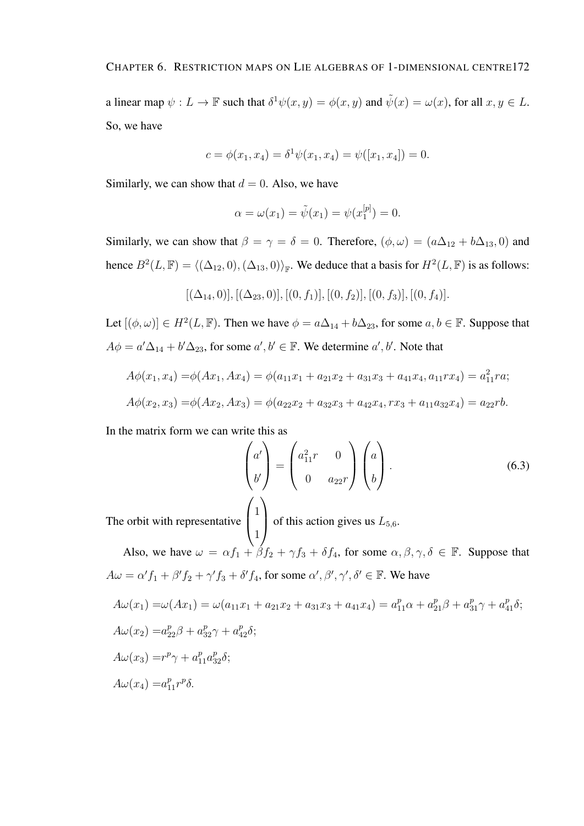a linear map  $\psi: L \to \mathbb{F}$  such that  $\delta^1 \psi(x, y) = \phi(x, y)$  and  $\tilde{\psi}(x) = \omega(x)$ , for all  $x, y \in L$ . So, we have

$$
c = \phi(x_1, x_4) = \delta^1 \psi(x_1, x_4) = \psi([x_1, x_4]) = 0.
$$

Similarly, we can show that  $d = 0$ . Also, we have

$$
\alpha = \omega(x_1) = \tilde{\psi}(x_1) = \psi(x_1^{[p]}) = 0.
$$

Similarly, we can show that  $\beta = \gamma = \delta = 0$ . Therefore,  $(\phi, \omega) = (a\Delta_{12} + b\Delta_{13}, 0)$  and hence  $B^2(L, \mathbb{F}) = \langle (\Delta_{12}, 0), (\Delta_{13}, 0) \rangle_{\mathbb{F}}$ . We deduce that a basis for  $H^2(L, \mathbb{F})$  is as follows:

$$
[(\Delta_{14},0)], [(\Delta_{23},0)], [(0,f_1)], [(0,f_2)], [(0,f_3)], [(0,f_4)].
$$

Let  $[(\phi, \omega)] \in H^2(L, \mathbb{F})$ . Then we have  $\phi = a\Delta_{14} + b\Delta_{23}$ , for some  $a, b \in \mathbb{F}$ . Suppose that  $A\phi = a'\Delta_{14} + b'\Delta_{23}$ , for some  $a', b' \in \mathbb{F}$ . We determine  $a', b'$ . Note that

$$
A\phi(x_1, x_4) = \phi(Ax_1, Ax_4) = \phi(a_{11}x_1 + a_{21}x_2 + a_{31}x_3 + a_{41}x_4, a_{11}rx_4) = a_{11}^2 ra;
$$
  

$$
A\phi(x_2, x_3) = \phi(Ax_2, Ax_3) = \phi(a_{22}x_2 + a_{32}x_3 + a_{42}x_4, rx_3 + a_{11}a_{32}x_4) = a_{22}rb.
$$

In the matrix form we can write this as

$$
\begin{pmatrix} a' \\ b' \end{pmatrix} = \begin{pmatrix} a_{11}^2 r & 0 \\ 0 & a_{22} r \end{pmatrix} \begin{pmatrix} a \\ b \end{pmatrix}.
$$
 (6.3)

The orbit with representative  $\overline{ }$ 

of this action gives us  $L_{5,6}$ .

Also, we have  $\omega = \alpha f_1 + \beta f_2 + \gamma f_3 + \delta f_4$ , for some  $\alpha, \beta, \gamma, \delta \in \mathbb{F}$ . Suppose that  $A\omega = \alpha' f_1 + \beta' f_2 + \gamma' f_3 + \delta' f_4$ , for some  $\alpha', \beta', \gamma', \delta' \in \mathbb{F}$ . We have

1

$$
A\omega(x_1) = \omega(Ax_1) = \omega(a_{11}x_1 + a_{21}x_2 + a_{31}x_3 + a_{41}x_4) = a_{11}^p \alpha + a_{21}^p \beta + a_{31}^p \gamma + a_{41}^p \delta;
$$
  
\n
$$
A\omega(x_2) = a_{22}^p \beta + a_{32}^p \gamma + a_{42}^p \delta;
$$
  
\n
$$
A\omega(x_3) = r^p \gamma + a_{11}^p a_{32}^p \delta;
$$
  
\n
$$
A\omega(x_4) = a_{11}^p r^p \delta.
$$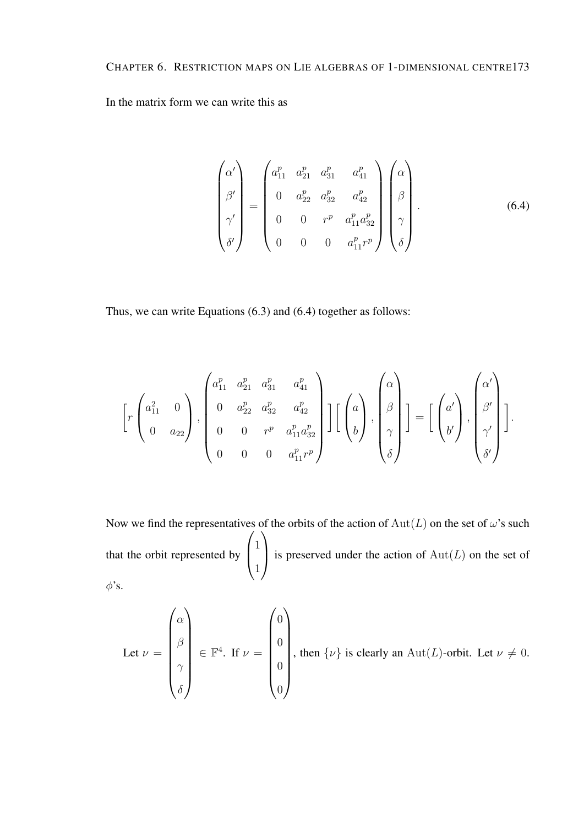In the matrix form we can write this as

$$
\begin{pmatrix}\n\alpha' \\
\beta' \\
\gamma' \\
\delta'\n\end{pmatrix} = \begin{pmatrix}\na_{11}^p & a_{21}^p & a_{31}^p & a_{41}^p \\
0 & a_{22}^p & a_{32}^p & a_{42}^p \\
0 & 0 & r^p & a_{11}^p a_{32}^p \\
0 & 0 & 0 & a_{11}^p r^p\n\end{pmatrix} \begin{pmatrix}\n\alpha \\
\beta \\
\beta \\
\gamma \\
\delta\n\end{pmatrix}.
$$
\n(6.4)

Thus, we can write Equations (6.3) and (6.4) together as follows:

$$
\left[r\begin{pmatrix}a_{11}^{2} & 0\\ 0 & a_{22}\end{pmatrix}, \begin{pmatrix}a_{11}^{p} & a_{21}^{p} & a_{31}^{p} & a_{41}^{p}\\ 0 & a_{22}^{p} & a_{32}^{p} & a_{42}^{p}\\ 0 & 0 & r^{p} & a_{11}^{p}a_{32}^{p}\\ 0 & 0 & 0 & a_{11}^{p}r^{p}\end{pmatrix}\right]\left[\begin{pmatrix}a\\ b\end{pmatrix}, \begin{pmatrix}\alpha\\ \beta\\ \gamma\\ \delta\end{pmatrix}\right]=\left[\begin{pmatrix}a'\\ b'\end{pmatrix}, \begin{pmatrix}\alpha'\\ \beta'\\ \gamma'\\ \delta'\end{pmatrix}\right].
$$

Now we find the representatives of the orbits of the action of  $Aut(L)$  on the set of  $\omega$ 's such that the orbit represented by  $\sqrt{ }$  $\left\lfloor \right\rfloor$ 1 1  $\setminus$ is preserved under the action of  $Aut(L)$  on the set of  $\phi$ 's.

Let 
$$
\nu = \begin{pmatrix} \alpha \\ \beta \\ \gamma \\ \delta \end{pmatrix} \in \mathbb{F}^4
$$
. If  $\nu = \begin{pmatrix} 0 \\ 0 \\ 0 \\ 0 \\ 0 \end{pmatrix}$ , then  $\{\nu\}$  is clearly an  $Aut(L)$ -orbit. Let  $\nu \neq 0$ .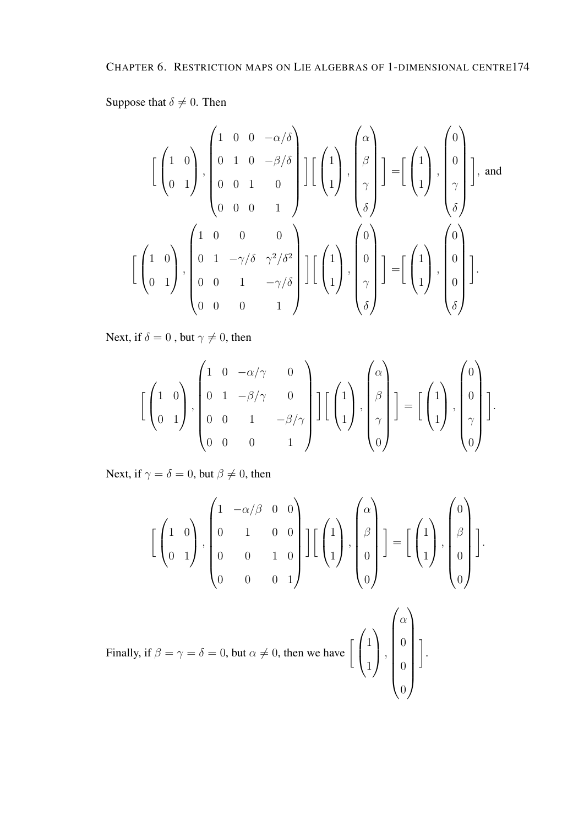Suppose that  $\delta \neq 0$ . Then

$$
\begin{bmatrix} \begin{pmatrix} 1 & 0 \ 0 & 1 \end{pmatrix}, \begin{pmatrix} 1 & 0 & 0 & -\alpha/\delta \\ 0 & 1 & 0 & -\beta/\delta \\ 0 & 0 & 1 & 0 \\ 0 & 0 & 0 & 1 \end{pmatrix} \end{bmatrix} \begin{bmatrix} \begin{pmatrix} 1 \\ 1 \end{pmatrix}, \begin{pmatrix} \alpha \\ \beta \\ \gamma \\ \delta \end{pmatrix} \end{bmatrix} = \begin{bmatrix} \begin{pmatrix} 1 \\ 1 \end{pmatrix}, \begin{pmatrix} 0 \\ 0 \\ \gamma \\ \delta \end{pmatrix} \end{bmatrix}, \text{ and}
$$

$$
\begin{bmatrix} \begin{pmatrix} 1 & 0 \\ 0 & 1 \end{pmatrix}, \begin{pmatrix} 1 & 0 & 0 & 0 \\ 0 & 1 & -\gamma/\delta & \gamma^2/\delta^2 \\ 0 & 0 & 1 & -\gamma/\delta \\ 0 & 0 & 0 & 1 \end{pmatrix} \end{bmatrix} \begin{bmatrix} \begin{pmatrix} 1 \\ 1 \end{pmatrix}, \begin{pmatrix} 0 \\ 0 \\ \gamma \\ \delta \end{pmatrix} \end{bmatrix} = \begin{bmatrix} \begin{pmatrix} 1 \\ 1 \end{pmatrix}, \begin{pmatrix} 0 \\ 0 \\ 0 \\ \delta \end{pmatrix} \end{bmatrix}.
$$

Next, if  $\delta = 0$  , but  $\gamma \neq 0,$  then

$$
\left[\begin{pmatrix}1 & 0\\0 & 1\end{pmatrix}, \begin{pmatrix}1 & 0 & -\alpha/\gamma & 0\\0 & 1 & -\beta/\gamma & 0\\0 & 0 & 1 & -\beta/\gamma\\0 & 0 & 0 & 1\end{pmatrix}\right] \left[\begin{pmatrix}1\\1\\1\end{pmatrix}, \begin{pmatrix}\alpha\\ \beta\\ \gamma\\0\end{pmatrix}\right] = \left[\begin{pmatrix}1\\1\\1\end{pmatrix}, \begin{pmatrix}0\\0\\1\\1\end{pmatrix}\right].
$$

Next, if  $\gamma = \delta = 0$ , but  $\beta \neq 0$ , then

$$
\left[\begin{pmatrix}1 & 0\\0 & 1\end{pmatrix}, \begin{pmatrix}1 & -\alpha/\beta & 0 & 0\\0 & 1 & 0 & 0\\0 & 0 & 1 & 0\\0 & 0 & 0 & 1\end{pmatrix}\right] \left[\begin{pmatrix}1\\1\\1\end{pmatrix}, \begin{pmatrix}\alpha\\ \beta\\0\\0\end{pmatrix}\right] = \left[\begin{pmatrix}1\\1\\1\end{pmatrix}, \begin{pmatrix}0\\ \beta\\0\\0\end{pmatrix}\right].
$$

 $\setminus$ 

 $\overline{\phantom{a}}$ 1 .

Finally, if 
$$
\beta = \gamma = \delta = 0
$$
, but  $\alpha \neq 0$ , then we have  $\begin{bmatrix} 1 \\ 1 \end{bmatrix}$ ,  $\begin{bmatrix} \alpha \\ 0 \\ 0 \end{bmatrix}$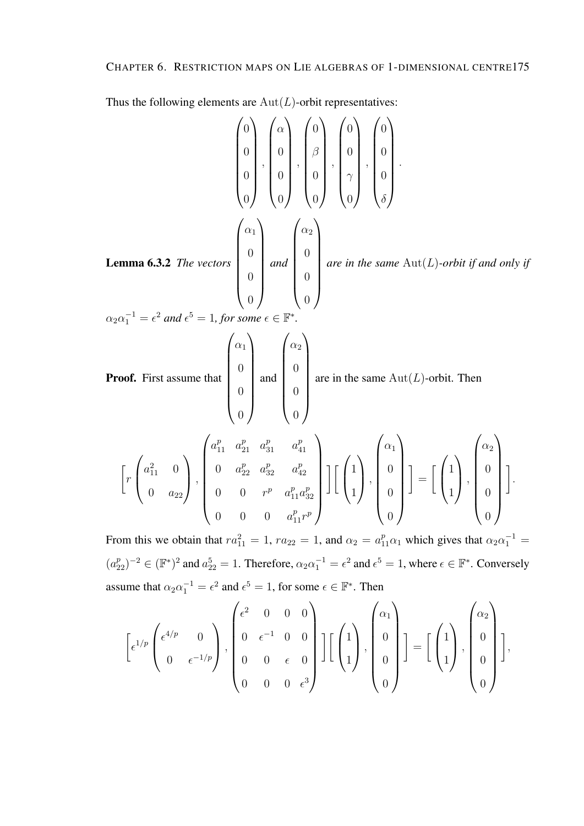Thus the following elements are  $Aut(L)$ -orbit representatives:

**Lemma 6.3.2** The vectors 
$$
\begin{pmatrix} 0 \\ 0 \\ 0 \\ 0 \end{pmatrix}
$$
,  $\begin{pmatrix} \alpha \\ 0 \\ 0 \\ 0 \end{pmatrix}$ ,  $\begin{pmatrix} 0 \\ 0 \\ 0 \\ 0 \end{pmatrix}$ ,  $\begin{pmatrix} 0 \\ 0 \\ 0 \\ 0 \end{pmatrix}$ ,  $\begin{pmatrix} 0 \\ 0 \\ 0 \\ 0 \end{pmatrix}$   
\n**Lemma 6.3.2** The vectors  $\begin{pmatrix} \alpha_1 \\ 0 \\ 0 \\ 0 \end{pmatrix}$  and  $\begin{pmatrix} \alpha_2 \\ 0 \\ 0 \\ 0 \end{pmatrix}$  are in the same Aut(*L*)-orbit if and only if  $\alpha_2 \alpha_1^{-1} = \epsilon^2$  and  $\epsilon^5 = 1$ , for some  $\epsilon \in \mathbb{F}^*$ .  
\n**Proof.** First assume that  $\begin{pmatrix} \alpha_1 \\ 0 \\ 0 \\ 0 \end{pmatrix}$  and  $\begin{pmatrix} \alpha_2 \\ 0 \\ 0 \\ 0 \end{pmatrix}$  are in the same Aut(*L*)-orbit. Then  $\begin{pmatrix} \alpha_1 \\ 0 \\ 0 \end{pmatrix}$   
\n $\begin{bmatrix} r \begin{pmatrix} a_{11}^2 & 0 \\ 0 & a_{22} \end{pmatrix} , \begin{pmatrix} a_{11}^p & a_{21}^p & a_{11}^p \\ 0 & a_{22}^p & a_{22}^p & a_{12}^p \\ 0 & 0 & r^p & a_{11}^p & a_{32}^p \end{pmatrix} \end{bmatrix} \begin{bmatrix} \begin{pmatrix} 1 \\ 1 \end{pmatrix}, \begin{pmatrix} \alpha_1 \\ 0 \end{pmatrix} \end{bmatrix} = \begin{bmatrix} \begin{pmatrix} 1 \\ 1 \end{pmatrix}, \begin{pmatrix} \alpha_2 \\ 0 \end{pmatrix} \end{bmatrix}$ .  
\nFrom this we obtain that  $\alpha_1^2 = 1$  are  $q = 1$  and  $\alpha_1 = \alpha_1^p$ , which gives that  $\alpha_1 = \frac{1}{2}$ .

From this we obtain that  $ra_{11}^2 = 1$ ,  $ra_{22} = 1$ , and  $\alpha_2 = a_{11}^p \alpha_1$  which gives that  $\alpha_2 \alpha_1^{-1} =$  $(a_{22}^p)^{-2} \in (\mathbb{F}^*)^2$  and  $a_{22}^5 = 1$ . Therefore,  $\alpha_2 \alpha_1^{-1} = \epsilon^2$  and  $\epsilon^5 = 1$ , where  $\epsilon \in \mathbb{F}^*$ . Conversely assume that  $\alpha_2 \alpha_1^{-1} = \epsilon^2$  and  $\epsilon^5 = 1$ , for some  $\epsilon \in \mathbb{F}^*$ . Then

$$
\left[\epsilon^{1/p}\begin{pmatrix} \epsilon^{4/p} & 0 \\ 0 & \epsilon^{-1/p} \end{pmatrix}, \begin{pmatrix} \epsilon^2 & 0 & 0 & 0 \\ 0 & \epsilon^{-1} & 0 & 0 \\ 0 & 0 & \epsilon & 0 \\ 0 & 0 & 0 & \epsilon^3 \end{pmatrix}\right] \left[\begin{pmatrix} 1 \\ 0 \\ 1 \end{pmatrix}, \begin{pmatrix} \alpha_1 \\ 0 \\ 0 \\ 0 \end{pmatrix} \right] = \left[\begin{pmatrix} 1 \\ 1 \\ 1 \end{pmatrix}, \begin{pmatrix} \alpha_2 \\ 0 \\ 0 \\ 0 \end{pmatrix} \right],
$$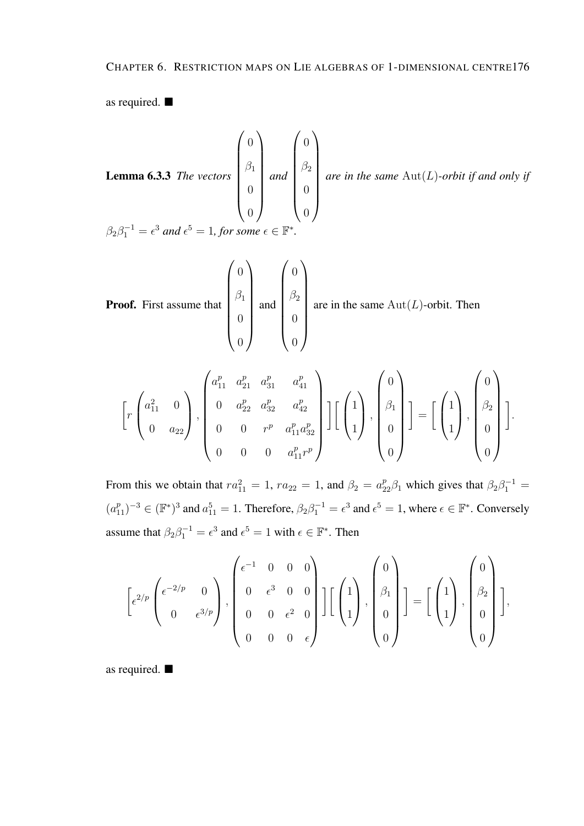as required.

**Lemma 6.3.3** The vectors 
$$
\begin{pmatrix} 0 \\ \beta_1 \\ 0 \\ 0 \end{pmatrix}
$$
 and  $\begin{pmatrix} 0 \\ \beta_2 \\ 0 \\ 0 \end{pmatrix}$  are in the same Aut(*L*)-orbit if and only if  
\n $\beta_2 \beta_1^{-1} = \epsilon^3$  and  $\epsilon^5 = 1$ , for some  $\epsilon \in \mathbb{F}^*$ .

**Proof.** First assume that 
$$
\begin{pmatrix} 0 \\ \beta_1 \\ 0 \\ 0 \end{pmatrix}
$$
 and  $\begin{pmatrix} 0 \\ \beta_2 \\ 0 \\ 0 \end{pmatrix}$  are in the same Aut(*L*)-orbit. Then

$$
\left[r\begin{pmatrix}a_{11}^2 & 0\\0 & a_{22}\end{pmatrix}, \begin{pmatrix}a_{11}^p & a_{21}^p & a_{31}^p & a_{41}^p\\0 & a_{22}^p & a_{32}^p & a_{42}^p\\0 & 0 & r^p & a_{11}^p a_{32}^p\\0 & 0 & 0 & a_{11}^p r^p\end{pmatrix}\right] \left[\begin{pmatrix}1\\1\\0\end{pmatrix}, \begin{pmatrix}0\\0\\0\\0\end{pmatrix}\right] = \left[\begin{pmatrix}1\\1\\0\end{pmatrix}, \begin{pmatrix}0\\0\\0\\0\end{pmatrix}\right].
$$

From this we obtain that  $ra_{11}^2 = 1$ ,  $ra_{22} = 1$ , and  $\beta_2 = a_{22}^p \beta_1$  which gives that  $\beta_2 \beta_1^{-1} =$  $(a_{11}^p)^{-3} \in (\mathbb{F}^*)^3$  and  $a_{11}^5 = 1$ . Therefore,  $\beta_2 \beta_1^{-1} = \epsilon^3$  and  $\epsilon^5 = 1$ , where  $\epsilon \in \mathbb{F}^*$ . Conversely assume that  $\beta_2 \beta_1^{-1} = \epsilon^3$  and  $\epsilon^5 = 1$  with  $\epsilon \in \mathbb{F}^*$ . Then

$$
\[\varepsilon^{2/p}\begin{pmatrix} \epsilon^{-2/p} & 0 \\ 0 & \epsilon^{3/p} \end{pmatrix}, \begin{pmatrix} \epsilon^{-1} & 0 & 0 & 0 \\ 0 & \epsilon^3 & 0 & 0 \\ 0 & 0 & \epsilon^2 & 0 \\ 0 & 0 & 0 & \epsilon \end{pmatrix}\] \begin{bmatrix} \begin{pmatrix} 1 \\ 1 \end{pmatrix}, \begin{pmatrix} 0 \\ \beta_1 \\ 0 \end{pmatrix} \] = \begin{bmatrix} \begin{pmatrix} 1 \\ 1 \end{pmatrix}, \begin{pmatrix} 0 \\ \beta_2 \\ 0 \end{pmatrix} \],
$$

as required.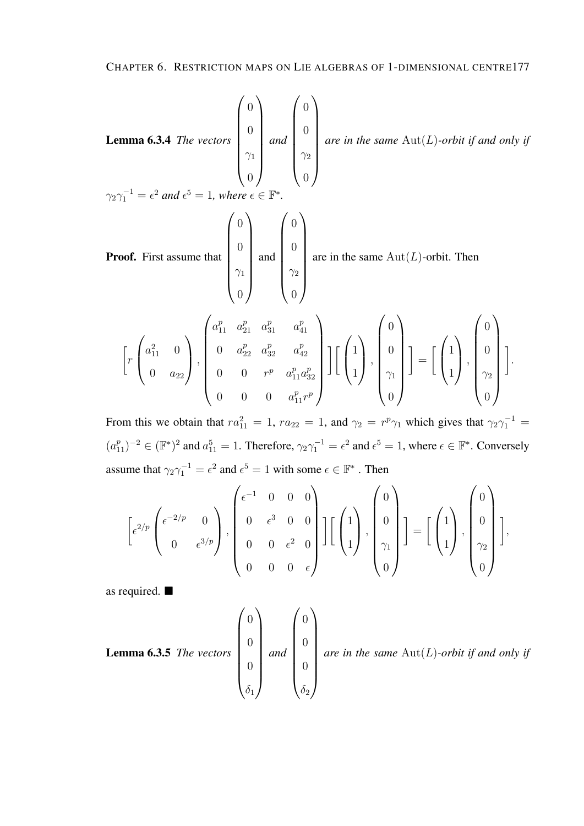**Lemma 6.3.4** The vectors 
$$
\begin{pmatrix} 0 \\ 0 \\ \gamma_1 \\ 0 \end{pmatrix}
$$
 and  $\begin{pmatrix} 0 \\ 0 \\ \gamma_2 \\ 0 \end{pmatrix}$  are in the same Aut(*L*)-orbit if and only if  
\n $\gamma_2 \gamma_1^{-1} = \epsilon^2$  and  $\epsilon^5 = 1$ , where  $\epsilon \in \mathbb{F}^*$ .  
\n**Proof.** First assume that  $\begin{pmatrix} 0 \\ 0 \\ 0 \\ 0 \end{pmatrix}$  and  $\begin{pmatrix} 0 \\ 0 \\ 0 \\ 0 \end{pmatrix}$  are in the same Aut(*L*)-orbit. Then  
\n $\begin{pmatrix} a_{11}^p & a_{21}^p & a_{31}^p & a_{41}^p \end{pmatrix}$  (0)

$$
\left[r\begin{pmatrix}a_{11}^2 & 0\\0 & a_{22}\end{pmatrix}, \begin{pmatrix}a_{11}^p & a_{21}^p & a_{31}^p & a_{41}^p\\0 & a_{22}^p & a_{32}^p & a_{42}^p\\0 & 0 & r^p & a_{11}^p a_{32}^p\\0 & 0 & 0 & a_{11}^p r^p\end{pmatrix}\right]\left[\begin{pmatrix}1\\1\\1\end{pmatrix}, \begin{pmatrix}0\\0\\0\\1\end{pmatrix}\right] = \left[\begin{pmatrix}1\\1\\1\end{pmatrix}, \begin{pmatrix}0\\0\\0\\1\end{pmatrix}\right].
$$

From this we obtain that  $ra_{11}^2 = 1$ ,  $ra_{22} = 1$ , and  $\gamma_2 = r^p \gamma_1$  which gives that  $\gamma_2 \gamma_1^{-1} =$  $(a_{11}^p)^{-2} \in (\mathbb{F}^*)^2$  and  $a_{11}^5 = 1$ . Therefore,  $\gamma_2 \gamma_1^{-1} = \epsilon^2$  and  $\epsilon^5 = 1$ , where  $\epsilon \in \mathbb{F}^*$ . Conversely assume that  $\gamma_2 \gamma_1^{-1} = \epsilon^2$  and  $\epsilon^5 = 1$  with some  $\epsilon \in \mathbb{F}^*$ . Then

$$
\[\varepsilon^{2/p}\begin{pmatrix} \epsilon^{-2/p} & 0 \\ 0 & \epsilon^{3/p} \end{pmatrix}, \begin{pmatrix} \epsilon^{-1} & 0 & 0 & 0 \\ 0 & \epsilon^{3} & 0 & 0 \\ 0 & 0 & \epsilon^{2} & 0 \\ 0 & 0 & 0 & \epsilon \end{pmatrix}\] \begin{bmatrix} \begin{pmatrix} 1 \\ 0 \\ 1 \end{pmatrix}, \begin{pmatrix} 0 \\ 0 \\ \gamma_{1} \\ 0 \end{pmatrix} \]\] = \Big[\begin{pmatrix} 1 \\ 1 \\ 1 \end{pmatrix}, \begin{pmatrix} 0 \\ 0 \\ \gamma_{2} \\ 0 \end{pmatrix} \]\]
$$

as required.

**Lemma 6.3.5** The vectors 
$$
\begin{pmatrix} 0 \\ 0 \\ 0 \\ 0 \\ \delta_1 \end{pmatrix}
$$
 and  $\begin{pmatrix} 0 \\ 0 \\ 0 \\ 0 \\ \delta_2 \end{pmatrix}$  are in the same  $\text{Aut}(L)$ -orbit if and only if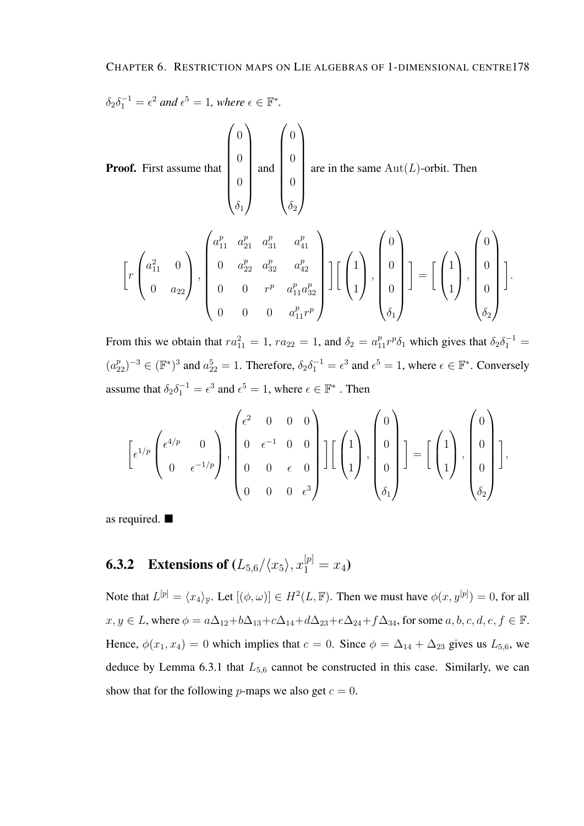$$
\delta_2 \delta_1^{-1} = \epsilon^2 \text{ and } \epsilon^5 = 1 \text{, where } \epsilon \in \mathbb{F}^*.
$$

Proof. First assume that  $\sqrt{ }$  $\begin{array}{c} \begin{array}{c} \begin{array}{c} \begin{array}{c} \end{array} \\ \end{array} \end{array} \end{array}$ 0  $\overline{0}$  $\overline{0}$  $\delta_1$  $\setminus$  $\begin{array}{c} \hline \end{array}$ and  $\sqrt{ }$  0 0 0  $\delta_2$  $\setminus$  $\begin{array}{c} \hline \end{array}$ are in the same  $\text{Aut}(L)$ -orbit. Then

$$
\left[r\begin{pmatrix}a_{11}^2 & 0\\ 0 & a_{22}\end{pmatrix}, \begin{pmatrix}a_{11}^p & a_{21}^p & a_{31}^p & a_{41}^p\\ 0 & a_{22}^p & a_{32}^p & a_{42}^p\\ 0 & 0 & r^p & a_{11}^p a_{32}^p\\ 0 & 0 & 0 & a_{11}^p r^p\end{pmatrix}\right] \left[\begin{pmatrix}1\\1\\0\end{pmatrix}, \begin{pmatrix}0\\0\\0\\0\end{pmatrix}\right] = \left[\begin{pmatrix}1\\1\\0\end{pmatrix}, \begin{pmatrix}0\\0\\0\\0\end{pmatrix}\right].
$$

From this we obtain that  $ra_{11}^2 = 1$ ,  $ra_{22} = 1$ , and  $\delta_2 = a_{11}^p r^p \delta_1$  which gives that  $\delta_2 \delta_1^{-1} =$  $(a_{22}^p)^{-3} \in (\mathbb{F}^*)^3$  and  $a_{22}^5 = 1$ . Therefore,  $\delta_2 \delta_1^{-1} = \epsilon^3$  and  $\epsilon^5 = 1$ , where  $\epsilon \in \mathbb{F}^*$ . Conversely assume that  $\delta_2 \delta_1^{-1} = \epsilon^3$  and  $\epsilon^5 = 1$ , where  $\epsilon \in \mathbb{F}^*$  . Then

$$
\[\epsilon^{1/p}\begin{pmatrix} \epsilon^{4/p} & 0 \\ 0 & \epsilon^{-1/p} \end{pmatrix}, \begin{pmatrix} \epsilon^{2} & 0 & 0 & 0 \\ 0 & \epsilon^{-1} & 0 & 0 \\ 0 & 0 & \epsilon & 0 \\ 0 & 0 & 0 & \epsilon^{3} \end{pmatrix}\] \begin{pmatrix} 1 \\ 1 \\ 0 \\ 0 \end{pmatrix}, \begin{pmatrix} 0 \\ 0 \\ 0 \\ \delta_{1} \end{pmatrix}\] = \begin{bmatrix} 1 \\ 1 \\ 0 \\ \delta_{2} \end{bmatrix}, \begin{pmatrix} 0 \\ 0 \\ 0 \\ \delta_{2} \end{pmatrix}\]
$$

as required.

### **6.3.2** Extensions of  $(L_{5,6}/\langle x_5 \rangle, x_1^{[p]} = x_4)$

Note that  $L^{[p]} = \langle x_4 \rangle_{\mathbb{F}}$ . Let  $[(\phi, \omega)] \in H^2(L, \mathbb{F})$ . Then we must have  $\phi(x, y^{[p]}) = 0$ , for all  $x, y \in L$ , where  $\phi = a\Delta_{12} + b\Delta_{13} + c\Delta_{14} + d\Delta_{23} + e\Delta_{24} + f\Delta_{34}$ , for some  $a, b, c, d, e, f \in \mathbb{F}$ . Hence,  $\phi(x_1, x_4) = 0$  which implies that  $c = 0$ . Since  $\phi = \Delta_{14} + \Delta_{23}$  gives us  $L_{5,6}$ , we deduce by Lemma 6.3.1 that  $L_{5,6}$  cannot be constructed in this case. Similarly, we can show that for the following p-maps we also get  $c = 0$ .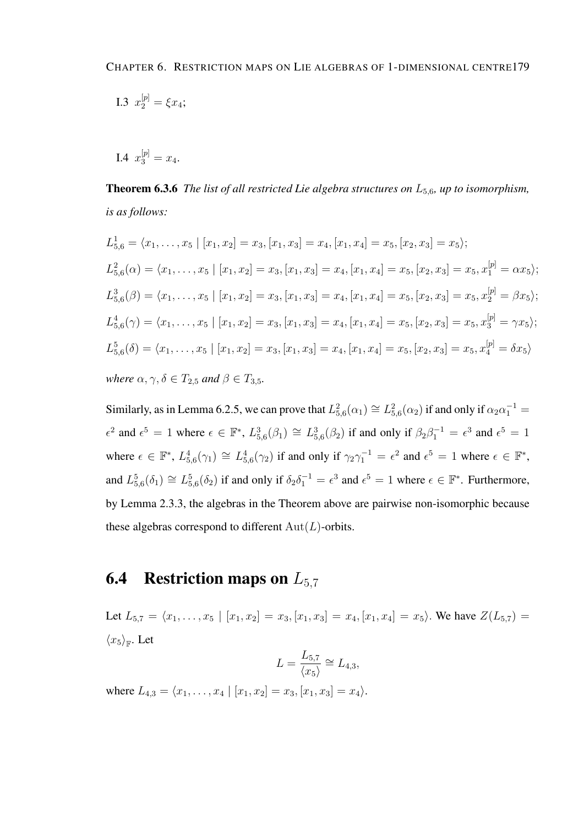I.3 
$$
x_2^{[p]} = \xi x_4;
$$

I.4  $x_3^{[p]} = x_4$ .

Theorem 6.3.6 *The list of all restricted Lie algebra structures on* L5,6*, up to isomorphism, is as follows:*

$$
L_{5,6}^{1} = \langle x_{1}, \ldots, x_{5} \mid [x_{1}, x_{2}] = x_{3}, [x_{1}, x_{3}] = x_{4}, [x_{1}, x_{4}] = x_{5}, [x_{2}, x_{3}] = x_{5} \rangle;
$$
  
\n
$$
L_{5,6}^{2}(\alpha) = \langle x_{1}, \ldots, x_{5} \mid [x_{1}, x_{2}] = x_{3}, [x_{1}, x_{3}] = x_{4}, [x_{1}, x_{4}] = x_{5}, [x_{2}, x_{3}] = x_{5}, x_{1}^{[p]} = \alpha x_{5} \rangle;
$$
  
\n
$$
L_{5,6}^{3}(\beta) = \langle x_{1}, \ldots, x_{5} \mid [x_{1}, x_{2}] = x_{3}, [x_{1}, x_{3}] = x_{4}, [x_{1}, x_{4}] = x_{5}, [x_{2}, x_{3}] = x_{5}, x_{2}^{[p]} = \beta x_{5} \rangle;
$$
  
\n
$$
L_{5,6}^{4}(\gamma) = \langle x_{1}, \ldots, x_{5} \mid [x_{1}, x_{2}] = x_{3}, [x_{1}, x_{3}] = x_{4}, [x_{1}, x_{4}] = x_{5}, [x_{2}, x_{3}] = x_{5}, x_{3}^{[p]} = \gamma x_{5} \rangle;
$$
  
\n
$$
L_{5,6}^{5}(\delta) = \langle x_{1}, \ldots, x_{5} \mid [x_{1}, x_{2}] = x_{3}, [x_{1}, x_{3}] = x_{4}, [x_{1}, x_{4}] = x_{5}, [x_{2}, x_{3}] = x_{5}, x_{4}^{[p]} = \delta x_{5} \rangle
$$
  
\nwhere  $\alpha, \gamma, \delta \in T_{2,5}$  and  $\beta \in T_{3,5}$ .

Similarly, as in Lemma 6.2.5, we can prove that  $L_{5,6}^2(\alpha_1) \cong L_{5,6}^2(\alpha_2)$  if and only if  $\alpha_2\alpha_1^{-1} =$  $\epsilon^2$  and  $\epsilon^5 = 1$  where  $\epsilon \in \mathbb{F}^*$ ,  $L_{5,6}^3(\beta_1) \cong L_{5,6}^3(\beta_2)$  if and only if  $\beta_2\beta_1^{-1} = \epsilon^3$  and  $\epsilon^5 = 1$ where  $\epsilon \in \mathbb{F}^*$ ,  $L_{5,6}^4(\gamma_1) \cong L_{5,6}^4(\gamma_2)$  if and only if  $\gamma_2 \gamma_1^{-1} = \epsilon^2$  and  $\epsilon^5 = 1$  where  $\epsilon \in \mathbb{F}^*$ , and  $L_{5,6}^5(\delta_1) \cong L_{5,6}^5(\delta_2)$  if and only if  $\delta_2 \delta_1^{-1} = \epsilon^3$  and  $\epsilon^5 = 1$  where  $\epsilon \in \mathbb{F}^*$ . Furthermore, by Lemma 2.3.3, the algebras in the Theorem above are pairwise non-isomorphic because these algebras correspond to different  $Aut(L)$ -orbits.

### **6.4** Restriction maps on  $L_{5,7}$

Let  $L_{5,7} = \langle x_1, \ldots, x_5 | [x_1, x_2] = x_3, [x_1, x_3] = x_4, [x_1, x_4] = x_5 \rangle$ . We have  $Z(L_{5,7}) =$  $\langle x_5 \rangle_{\mathbb{F}}$ . Let

$$
L = \frac{L_{5,7}}{\langle x_5 \rangle} \cong L_{4,3},
$$

where  $L_{4,3} = \langle x_1, \ldots, x_4 | [x_1, x_2] = x_3, [x_1, x_3] = x_4 \rangle.$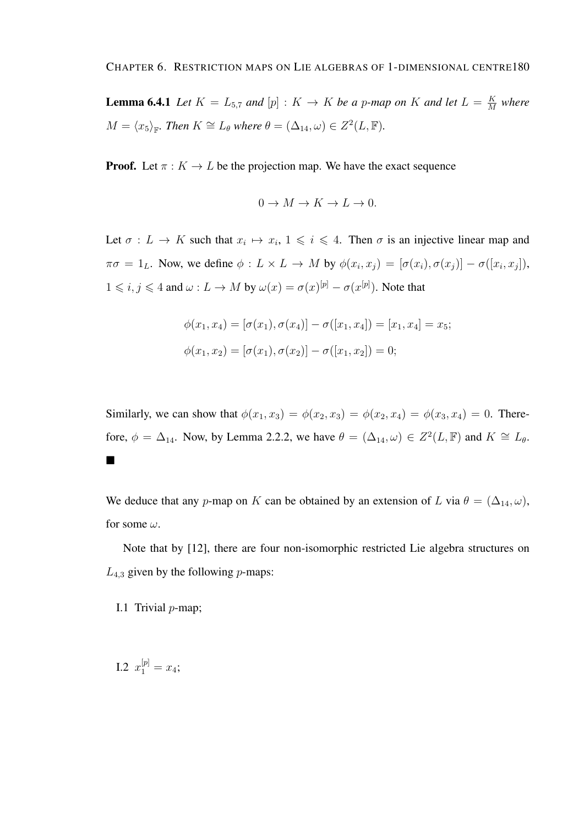**Lemma 6.4.1** Let  $K = L_{5,7}$  and  $[p] : K \rightarrow K$  be a p-map on K and let  $L = \frac{K}{M}$  $\frac{K}{M}$  where  $M = \langle x_5 \rangle_{\mathbb{F}}$ *. Then*  $K \cong L_\theta$  *where*  $\theta = (\Delta_{14}, \omega) \in Z^2(L, \mathbb{F})$ *.* 

**Proof.** Let  $\pi : K \to L$  be the projection map. We have the exact sequence

$$
0 \to M \to K \to L \to 0.
$$

Let  $\sigma: L \to K$  such that  $x_i \mapsto x_i, 1 \leq i \leq 4$ . Then  $\sigma$  is an injective linear map and  $\pi\sigma = 1_L$ . Now, we define  $\phi: L \times L \to M$  by  $\phi(x_i, x_j) = [\sigma(x_i), \sigma(x_j)] - \sigma([x_i, x_j]),$  $1 \leq i, j \leq 4$  and  $\omega: L \to M$  by  $\omega(x) = \sigma(x)^{[p]} - \sigma(x^{[p]})$ . Note that

$$
\phi(x_1, x_4) = [\sigma(x_1), \sigma(x_4)] - \sigma([x_1, x_4]) = [x_1, x_4] = x_5;
$$
  

$$
\phi(x_1, x_2) = [\sigma(x_1), \sigma(x_2)] - \sigma([x_1, x_2]) = 0;
$$

Similarly, we can show that  $\phi(x_1, x_3) = \phi(x_2, x_3) = \phi(x_2, x_4) = \phi(x_3, x_4) = 0$ . Therefore,  $\phi = \Delta_{14}$ . Now, by Lemma 2.2.2, we have  $\theta = (\Delta_{14}, \omega) \in Z^2(L, \mathbb{F})$  and  $K \cong L_{\theta}$ .  $\blacksquare$ 

We deduce that any p-map on K can be obtained by an extension of L via  $\theta = (\Delta_{14}, \omega)$ , for some  $\omega$ .

Note that by [12], there are four non-isomorphic restricted Lie algebra structures on  $L_{4,3}$  given by the following *p*-maps:

I.1 Trivial p-map;

I.2  $x_1^{[p]} = x_4;$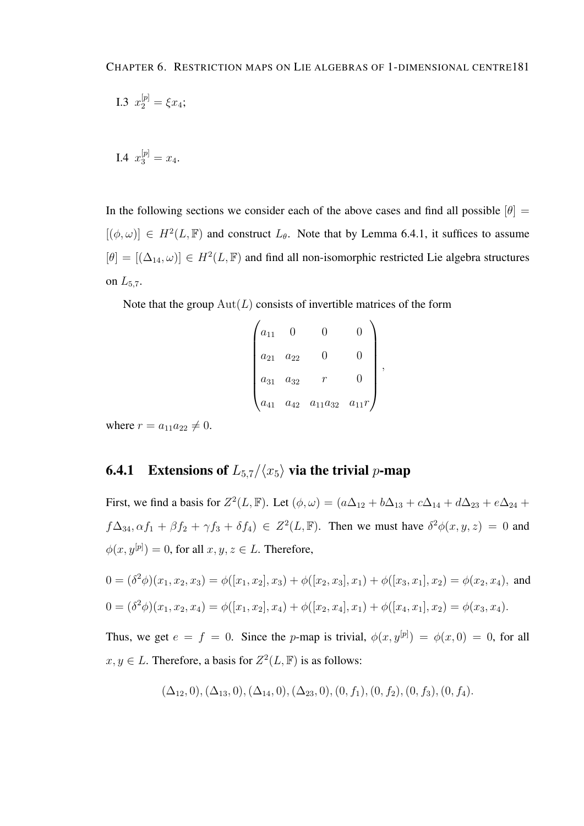I.3 
$$
x_2^{[p]} = \xi x_4;
$$

I.4  $x_3^{[p]} = x_4$ .

In the following sections we consider each of the above cases and find all possible  $[\theta] =$  $[(\phi, \omega)] \in H^2(L, \mathbb{F})$  and construct  $L_{\theta}$ . Note that by Lemma 6.4.1, it suffices to assume  $[\theta] = [(\Delta_{14}, \omega)] \in H^2(L, \mathbb{F})$  and find all non-isomorphic restricted Lie algebra structures on  $L_{5,7}$ .

Note that the group  $Aut(L)$  consists of invertible matrices of the form

| $a_{11}$ |          |                         |           |   |
|----------|----------|-------------------------|-----------|---|
| $a_{21}$ | $a_{22}$ | l I                     |           |   |
| $a_{31}$ | $a_{32}$ |                         |           | , |
| $a_{41}$ |          | $a_{42}$ $a_{11}a_{32}$ | $a_{11}r$ |   |

where  $r = a_{11}a_{22} \neq 0$ .

#### **6.4.1** Extensions of  $L_{5,7}/\langle x_5 \rangle$  via the trivial p-map

First, we find a basis for  $Z^2(L, \mathbb{F})$ . Let  $(\phi, \omega) = (a\Delta_{12} + b\Delta_{13} + c\Delta_{14} + d\Delta_{23} + e\Delta_{24} + d\Delta_{34})$  $f\Delta_{34}, \alpha f_1 + \beta f_2 + \gamma f_3 + \delta f_4$ )  $\in Z^2(L, \mathbb{F})$ . Then we must have  $\delta^2 \phi(x, y, z) = 0$  and  $\phi(x, y^{[p]}) = 0$ , for all  $x, y, z \in L$ . Therefore,

$$
0 = (\delta^2 \phi)(x_1, x_2, x_3) = \phi([x_1, x_2], x_3) + \phi([x_2, x_3], x_1) + \phi([x_3, x_1], x_2) = \phi(x_2, x_4),
$$
 and  

$$
0 = (\delta^2 \phi)(x_1, x_2, x_4) = \phi([x_1, x_2], x_4) + \phi([x_2, x_4], x_1) + \phi([x_4, x_1], x_2) = \phi(x_3, x_4).
$$

Thus, we get  $e = f = 0$ . Since the p-map is trivial,  $\phi(x, y^{[p]}) = \phi(x, 0) = 0$ , for all  $x, y \in L$ . Therefore, a basis for  $Z^2(L, \mathbb{F})$  is as follows:

$$
(\Delta_{12},0), (\Delta_{13},0), (\Delta_{14},0), (\Delta_{23},0), (0, f_1), (0, f_2), (0, f_3), (0, f_4).
$$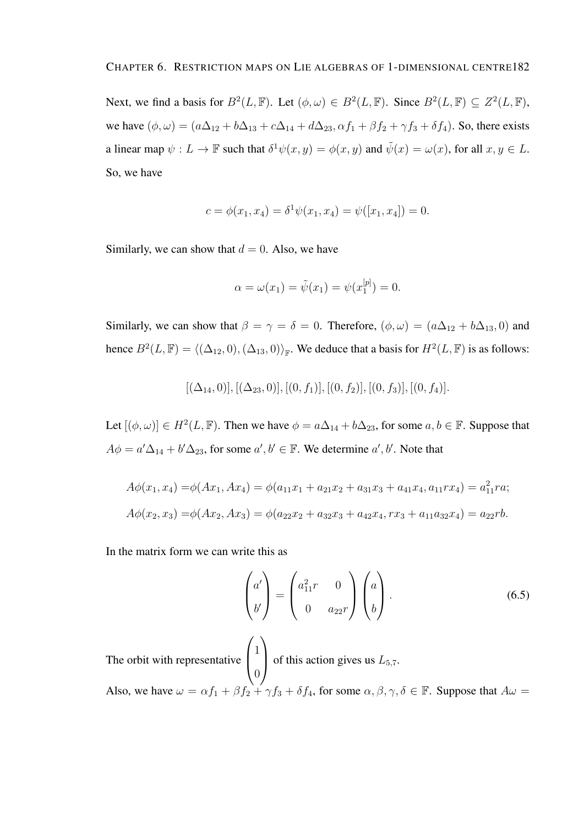Next, we find a basis for  $B^2(L, \mathbb{F})$ . Let  $(\phi, \omega) \in B^2(L, \mathbb{F})$ . Since  $B^2(L, \mathbb{F}) \subseteq Z^2(L, \mathbb{F})$ , we have  $(\phi, \omega) = (a\Delta_{12} + b\Delta_{13} + c\Delta_{14} + d\Delta_{23}, \alpha f_1 + \beta f_2 + \gamma f_3 + \delta f_4)$ . So, there exists a linear map  $\psi: L \to \mathbb{F}$  such that  $\delta^1 \psi(x, y) = \phi(x, y)$  and  $\tilde{\psi}(x) = \omega(x)$ , for all  $x, y \in L$ . So, we have

$$
c = \phi(x_1, x_4) = \delta^1 \psi(x_1, x_4) = \psi([x_1, x_4]) = 0.
$$

Similarly, we can show that  $d = 0$ . Also, we have

$$
\alpha = \omega(x_1) = \tilde{\psi}(x_1) = \psi(x_1^{[p]}) = 0.
$$

Similarly, we can show that  $\beta = \gamma = \delta = 0$ . Therefore,  $(\phi, \omega) = (a\Delta_{12} + b\Delta_{13}, 0)$  and hence  $B^2(L, \mathbb{F}) = \langle (\Delta_{12}, 0), (\Delta_{13}, 0) \rangle_{\mathbb{F}}$ . We deduce that a basis for  $H^2(L, \mathbb{F})$  is as follows:

$$
[(\Delta_{14},0)], [(\Delta_{23},0)], [(0,f_1)], [(0,f_2)], [(0,f_3)], [(0,f_4)].
$$

Let  $[(\phi, \omega)] \in H^2(L, \mathbb{F})$ . Then we have  $\phi = a\Delta_{14} + b\Delta_{23}$ , for some  $a, b \in \mathbb{F}$ . Suppose that  $A\phi = a'\Delta_{14} + b'\Delta_{23}$ , for some  $a', b' \in \mathbb{F}$ . We determine  $a', b'$ . Note that

$$
A\phi(x_1, x_4) = \phi(Ax_1, Ax_4) = \phi(a_{11}x_1 + a_{21}x_2 + a_{31}x_3 + a_{41}x_4, a_{11}rx_4) = a_{11}^2ra;
$$
  

$$
A\phi(x_2, x_3) = \phi(Ax_2, Ax_3) = \phi(a_{22}x_2 + a_{32}x_3 + a_{42}x_4, rx_3 + a_{11}a_{32}x_4) = a_{22}rb.
$$

In the matrix form we can write this as

$$
\begin{pmatrix} a' \\ b' \end{pmatrix} = \begin{pmatrix} a_{11}^2 r & 0 \\ 0 & a_{22} r \end{pmatrix} \begin{pmatrix} a \\ b \end{pmatrix}.
$$
 (6.5)

The orbit with representative  $\sqrt{ }$  $\overline{ }$ 1 0  $\setminus$ of this action gives us  $L_{5,7}$ . Also, we have  $\omega = \alpha f_1 + \beta f_2 + \gamma f_3 + \delta f_4$ , for some  $\alpha, \beta, \gamma, \delta \in \mathbb{F}$ . Suppose that  $A\omega =$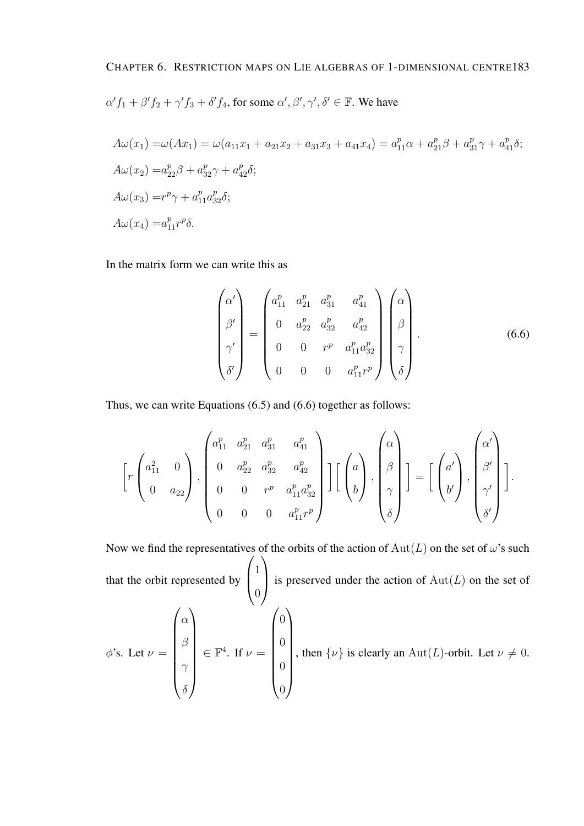#### CHAPTER 6. RESTRICTION MAPS ON LIE ALGEBRAS OF 1-DIMENSIONAL CENTRE183

$$
\alpha' f_1 + \beta' f_2 + \gamma' f_3 + \delta' f_4
$$
, for some  $\alpha', \beta', \gamma', \delta' \in \mathbb{F}$ . We have

$$
A\omega(x_1) = \omega(Ax_1) = \omega(a_{11}x_1 + a_{21}x_2 + a_{31}x_3 + a_{41}x_4) = a_{11}^p \alpha + a_{21}^p \beta + a_{31}^p \gamma + a_{41}^p \delta;
$$
  
\n
$$
A\omega(x_2) = a_{22}^p \beta + a_{32}^p \gamma + a_{42}^p \delta;
$$
  
\n
$$
A\omega(x_3) = r^p \gamma + a_{11}^p a_{32}^p \delta;
$$
  
\n
$$
A\omega(x_4) = a_{11}^p r^p \delta.
$$

In the matrix form we can write this as

$$
\begin{pmatrix}\n\alpha' \\
\beta' \\
\gamma' \\
\delta'\n\end{pmatrix} = \begin{pmatrix}\na_{11}^p & a_{21}^p & a_{31}^p & a_{41}^p \\
0 & a_{22}^p & a_{32}^p & a_{42}^p \\
0 & 0 & r^p & a_{11}^p a_{32}^p \\
0 & 0 & 0 & a_{11}^p r^p\n\end{pmatrix} \begin{pmatrix}\n\alpha \\
\beta \\
\beta \\
\gamma \\
\delta\n\end{pmatrix}.
$$
\n(6.6)

Thus, we can write Equations (6.5) and (6.6) together as follows:

$$
\left[r\begin{pmatrix}a_{11}^{2} & 0\\ 0 & a_{22}\end{pmatrix}, \begin{pmatrix}a_{11}^{p} & a_{21}^{p} & a_{31}^{p} & a_{41}^{p}\\ 0 & a_{22}^{p} & a_{32}^{p} & a_{42}^{p}\\ 0 & 0 & r^{p} & a_{11}^{p}a_{32}^{p}\\ 0 & 0 & 0 & a_{11}^{p}r^{p}\end{pmatrix}\right]\left[\begin{pmatrix}a\\ b\end{pmatrix}, \begin{pmatrix}\alpha\\ \beta\\ \gamma\\ \delta\end{pmatrix}\right]=\left[\begin{pmatrix}a'\\ b'\end{pmatrix}, \begin{pmatrix}\alpha'\\ \beta'\\ \gamma'\\ \delta'\end{pmatrix}\right].
$$

Now we find the representatives of the orbits of the action of  $Aut(L)$  on the set of  $\omega$ 's such that the orbit represented by  $\sqrt{ }$  $\left\lfloor \right\rfloor$ 1  $\overline{0}$  $\setminus$ is preserved under the action of  $Aut(L)$  on the set of  $\phi$ 's. Let  $\nu =$  $\int \alpha$  $\begin{array}{c} \begin{array}{c} \begin{array}{c} \begin{array}{c} \end{array} \end{array} \end{array} \end{array}$ β  $\gamma$  $\delta$  $\setminus$  $\begin{array}{c} \hline \end{array}$  $\in \mathbb{F}^4$ . If  $\nu =$  $\sqrt{0}$  $\begin{array}{c} \hline \end{array}$ 0 0 0  $\setminus$  $\begin{array}{c} \hline \end{array}$ , then  $\{\nu\}$  is clearly an Aut(L)-orbit. Let  $\nu \neq 0$ .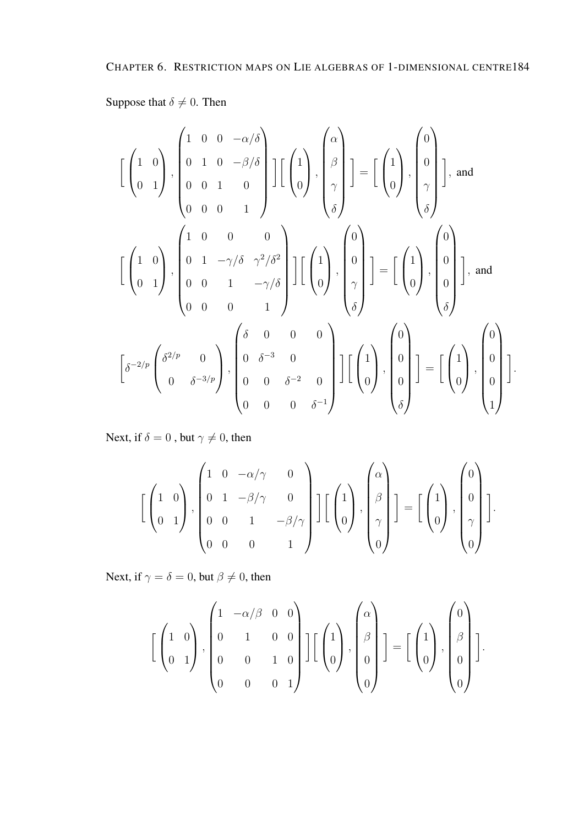#### Suppose that  $\delta \neq 0$ . Then

$$
\begin{bmatrix} \begin{pmatrix} 1 & 0 \\ 0 & 1 \end{pmatrix}, \begin{pmatrix} 1 & 0 & 0 & -\alpha/\delta \\ 0 & 1 & 0 & -\beta/\delta \\ 0 & 0 & 1 & 0 \\ 0 & 0 & 0 & 1 \end{pmatrix} \end{bmatrix} \begin{bmatrix} \begin{pmatrix} 1 \\ 0 \end{pmatrix}, \begin{pmatrix} \begin{pmatrix} 1 \\ \beta \\ \gamma \\ \delta \end{pmatrix} \end{bmatrix} = \begin{bmatrix} \begin{pmatrix} 1 \\ 0 \end{pmatrix}, \begin{pmatrix} 0 \\ 0 \\ \gamma \\ \delta \end{pmatrix} \end{bmatrix}, \text{ and}
$$

$$
\begin{bmatrix} \begin{pmatrix} 1 & 0 \\ 0 & 1 \end{pmatrix}, \begin{pmatrix} 1 & 0 & 0 & 0 \\ 0 & 1 & -\gamma/\delta & \gamma^2/\delta^2 \\ 0 & 0 & 1 & -\gamma/\delta \\ 0 & 0 & 0 & 1 \end{pmatrix} \end{bmatrix} \begin{bmatrix} \begin{pmatrix} 1 \\ 0 \end{pmatrix}, \begin{pmatrix} 0 \\ 0 \\ \gamma \\ \delta \end{pmatrix} \end{bmatrix} = \begin{bmatrix} \begin{pmatrix} 1 \\ 0 \end{pmatrix}, \begin{pmatrix} 0 \\ 0 \\ 0 \end{pmatrix}, \text{ and}
$$

$$
\begin{bmatrix} \delta^{-2/p} \begin{pmatrix} \delta^{2/p} & 0 \\ 0 & \delta^{-3/p} \end{pmatrix}, \begin{pmatrix} \delta & 0 & 0 & 0 \\ 0 & \delta^{-2} & 0 \\ 0 & 0 & \delta^{-2} & 0 \\ 0 & 0 & 0 & \delta^{-1} \end{pmatrix} \end{bmatrix} \begin{bmatrix} \begin{pmatrix} 1 \\ 0 \end{pmatrix}, \begin{pmatrix} 0 \\ 0 \\ 0 \end{pmatrix} \end{bmatrix} = \begin{bmatrix} \begin{pmatrix} 1 \\ 0 \end{pmatrix}, \begin{pmatrix} 0 \\ 0 \\ 0 \end{pmatrix} \end{bmatrix}.
$$

Next, if  $\delta = 0$ , but  $\gamma \neq 0$ , then

$$
\left[\begin{pmatrix}1 & 0\\0 & 1\end{pmatrix}, \begin{pmatrix}1 & 0 & -\alpha/\gamma & 0\\0 & 1 & -\beta/\gamma & 0\\0 & 0 & 1 & -\beta/\gamma\\0 & 0 & 0 & 1\end{pmatrix}\right] \left[\begin{pmatrix}1\\0\\0\end{pmatrix}, \begin{pmatrix}\alpha\\ \beta\\ \gamma\\0\end{pmatrix}\right] = \left[\begin{pmatrix}1\\0\\0\end{pmatrix}, \begin{pmatrix}0\\0\\0\\0\end{pmatrix}\right].
$$

Next, if  $\gamma = \delta = 0$ , but  $\beta \neq 0$ , then

$$
\left[\begin{pmatrix}1&0\\0&1\end{pmatrix},\begin{pmatrix}1&-\alpha/\beta&0&0\\0&1&0&0\\0&0&1&0\\0&0&0&1\end{pmatrix}\right]\left[\begin{pmatrix}1\\0\\0\end{pmatrix},\begin{pmatrix}\alpha\\ \beta\\0\\0\end{pmatrix}\right]=\left[\begin{pmatrix}1\\0\\0\end{pmatrix},\begin{pmatrix}0\\0\\0\\0\end{pmatrix}\right].
$$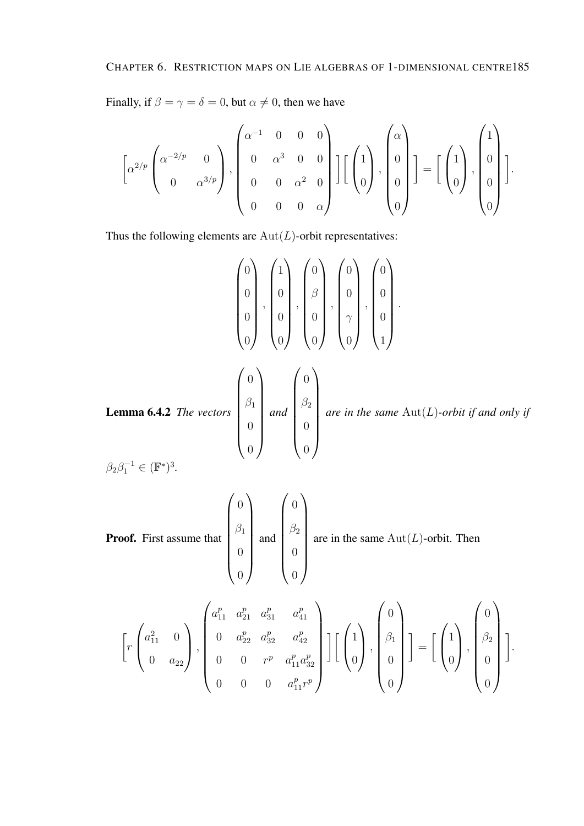Finally, if  $\beta = \gamma = \delta = 0$ , but  $\alpha \neq 0$ , then we have

$$
\left[\alpha^{2/p}\begin{pmatrix} \alpha^{-2/p} & 0 \\ 0 & \alpha^{3/p} \end{pmatrix}, \begin{pmatrix} \alpha^{-1} & 0 & 0 & 0 \\ 0 & \alpha^{3} & 0 & 0 \\ 0 & 0 & \alpha^{2} & 0 \\ 0 & 0 & 0 & \alpha \end{pmatrix}\right] \left[\begin{pmatrix} 1 \\ 0 \\ 0 \end{pmatrix}, \begin{pmatrix} \alpha \\ 0 \\ 0 \\ 0 \end{pmatrix} \right] = \left[\begin{pmatrix} 1 \\ 0 \\ 0 \end{pmatrix}, \begin{pmatrix} 1 \\ 0 \\ 0 \\ 0 \end{pmatrix} \right].
$$

Thus the following elements are  $Aut(L)$ -orbit representatives:

$$
\begin{pmatrix} 0 \\ 0 \\ 0 \\ 0 \end{pmatrix}, \begin{pmatrix} 1 \\ 0 \\ 0 \\ 0 \end{pmatrix}, \begin{pmatrix} 0 \\ 0 \\ 0 \\ 0 \end{pmatrix}, \begin{pmatrix} 0 \\ 0 \\ 0 \\ 0 \end{pmatrix}, \begin{pmatrix} 0 \\ 0 \\ 0 \\ 0 \end{pmatrix}, \begin{pmatrix} 0 \\ 0 \\ 0 \\ 1 \end{pmatrix}.
$$
  
Lemma 6.4.2 The vectors 
$$
\begin{pmatrix} 0 \\ \beta_1 \\ 0 \\ 0 \end{pmatrix} and \begin{pmatrix} 0 \\ \beta_2 \\ 0 \\ 0 \end{pmatrix} are in the same Aut(L)-orbit if and only if
$$

$$
\beta_2 \beta_1^{-1} \in (\mathbb{F}^*)^3.
$$

**Proof.** First assume that 
$$
\begin{pmatrix} 0 \\ \beta_1 \\ 0 \\ 0 \end{pmatrix}
$$
 and  $\begin{pmatrix} 0 \\ \beta_2 \\ 0 \\ 0 \end{pmatrix}$  are in the same Aut(*L*)-orbit. Then

$$
\left[r\begin{pmatrix}a_{11}^2 & 0\\0 & a_{22}\end{pmatrix}, \begin{pmatrix}a_{11}^p & a_{21}^p & a_{31}^p & a_{41}^p\\0 & a_{22}^p & a_{32}^p & a_{42}^p\\0 & 0 & r^p & a_{11}^p a_{32}^p\\0 & 0 & 0 & a_{11}^p r^p\end{pmatrix}\right] \left[\begin{pmatrix}1\\0\\0\end{pmatrix}, \begin{pmatrix}0\\0\\0\end{pmatrix}\right] = \left[\begin{pmatrix}1\\0\end{pmatrix}, \begin{pmatrix}0\\0\\0\end{pmatrix}\right].
$$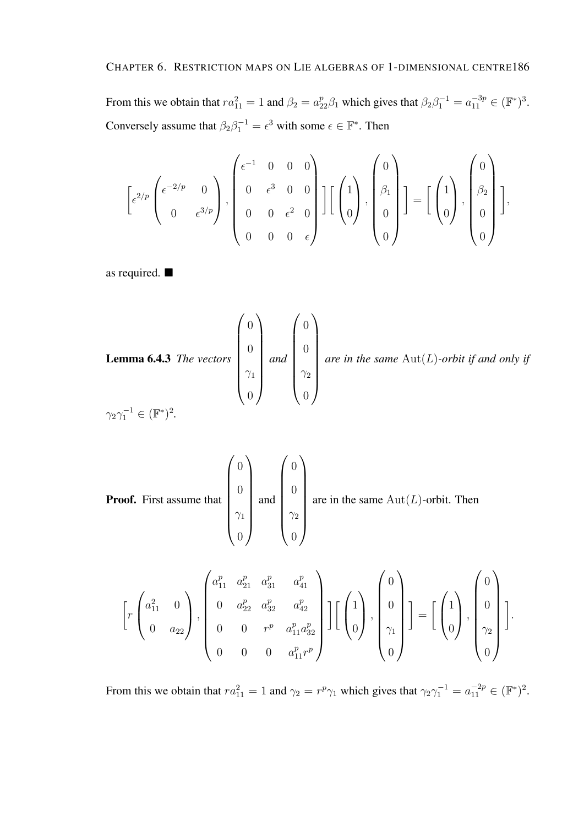From this we obtain that  $ra_{11}^2 = 1$  and  $\beta_2 = a_{22}^p \beta_1$  which gives that  $\beta_2 \beta_1^{-1} = a_{11}^{-3p} \in (\mathbb{F}^*)^3$ . Conversely assume that  $\beta_2 \beta_1^{-1} = \epsilon^3$  with some  $\epsilon \in \mathbb{F}^*$ . Then

$$
\[e^{2/p}\begin{pmatrix} e^{-2/p} & 0 \ 0 & e^{3/p} \end{pmatrix}, \begin{pmatrix} e^{-1} & 0 & 0 & 0 \ 0 & e^{3} & 0 & 0 \ 0 & 0 & e^{2} & 0 \ 0 & 0 & 0 & e \end{pmatrix}\] \begin{bmatrix} 1 \ 0 \end{bmatrix}, \begin{pmatrix} 0 \ \beta_1 \ 0 \end{pmatrix} \] = \begin{bmatrix} 1 \ 0 \end{bmatrix}, \begin{pmatrix} 0 \ \beta_2 \ 0 \end{pmatrix} \],
$$

as required.

**Lemma 6.4.3** The vectors 
$$
\begin{pmatrix} 0 \\ 0 \\ \gamma_1 \\ 0 \end{pmatrix}
$$
 and  $\begin{pmatrix} 0 \\ 0 \\ \gamma_2 \\ 0 \end{pmatrix}$  are in the same Aut(*L*)-orbit if and only if  $\gamma_2 \gamma_1^{-1} \in (\mathbb{F}^*)^2$ .

**Proof.** First assume that 
$$
\begin{pmatrix} 0 \\ 0 \\ \gamma_1 \\ 0 \end{pmatrix}
$$
 and  $\begin{pmatrix} 0 \\ 0 \\ \gamma_2 \\ 0 \end{pmatrix}$  are in the same Aut(*L*)-orbit. Then

$$
\left[r\begin{pmatrix}a_{11}^2 & 0\\0 & a_{22}\end{pmatrix}, \begin{pmatrix}a_{11}^p & a_{21}^p & a_{31}^p & a_{41}^p\\0 & a_{22}^p & a_{32}^p & a_{42}^p\\0 & 0 & r^p & a_{11}^p a_{32}^p\\0 & 0 & 0 & a_{11}^p r^p\end{pmatrix}\right] \left[\begin{pmatrix}1\\0\\0\end{pmatrix}, \begin{pmatrix}0\\0\\\gamma_1\\0\end{pmatrix}\right] = \left[\begin{pmatrix}1\\0\end{pmatrix}, \begin{pmatrix}0\\0\\0\end{pmatrix}\right].
$$

From this we obtain that  $ra_{11}^2 = 1$  and  $\gamma_2 = r^p \gamma_1$  which gives that  $\gamma_2 \gamma_1^{-1} = a_{11}^{-2p} \in (\mathbb{F}^*)^2$ .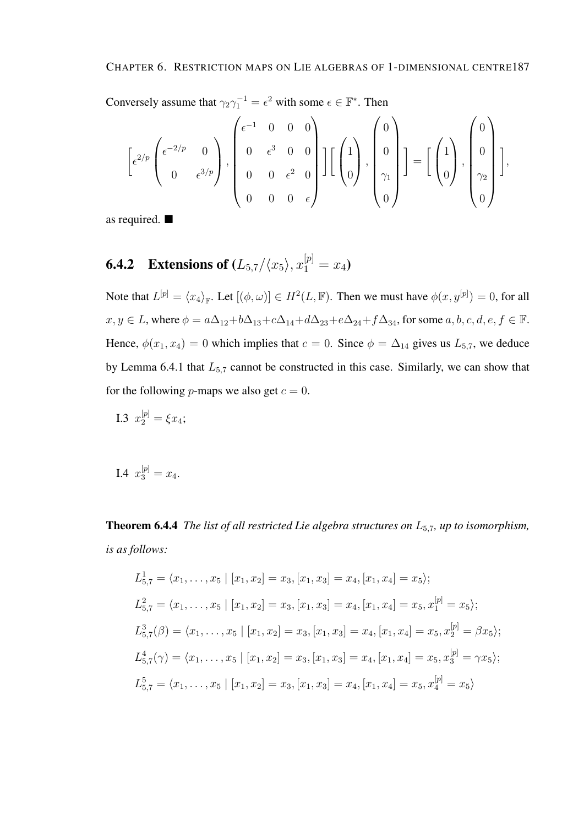Conversely assume that  $\gamma_2 \gamma_1^{-1} = \epsilon^2$  with some  $\epsilon \in \mathbb{F}^*$ . Then

$$
\left[\epsilon^{2/p}\begin{pmatrix} \epsilon^{-2/p} & 0 \\ 0 & \epsilon^{3/p} \end{pmatrix}, \begin{pmatrix} \epsilon^{-1} & 0 & 0 & 0 \\ 0 & \epsilon^{3} & 0 & 0 \\ 0 & 0 & \epsilon^{2} & 0 \\ 0 & 0 & 0 & \epsilon \end{pmatrix}\right] \left[\begin{pmatrix} 1 \\ 0 \\ 0 \end{pmatrix}, \begin{pmatrix} 0 \\ 0 \\ \gamma_{1} \\ 0 \end{pmatrix}\right] = \left[\begin{pmatrix} 1 \\ 0 \\ 0 \end{pmatrix}, \begin{pmatrix} 0 \\ 0 \\ \gamma_{2} \\ 0 \end{pmatrix}\right],
$$

as required.

**6.4.2 Extensions of** 
$$
(L_{5,7}/\langle x_5 \rangle, x_1^{[p]} = x_4)
$$

Note that  $L^{[p]} = \langle x_4 \rangle_{\mathbb{F}}$ . Let  $[(\phi, \omega)] \in H^2(L, \mathbb{F})$ . Then we must have  $\phi(x, y^{[p]}) = 0$ , for all  $x, y \in L$ , where  $\phi = a\Delta_{12} + b\Delta_{13} + c\Delta_{14} + d\Delta_{23} + e\Delta_{24} + f\Delta_{34}$ , for some  $a, b, c, d, e, f \in \mathbb{F}$ . Hence,  $\phi(x_1, x_4) = 0$  which implies that  $c = 0$ . Since  $\phi = \Delta_{14}$  gives us  $L_{5,7}$ , we deduce by Lemma 6.4.1 that  $L_{5,7}$  cannot be constructed in this case. Similarly, we can show that for the following *p*-maps we also get  $c = 0$ .

I.3 
$$
x_2^{[p]} = \xi x_4;
$$

I.4 
$$
x_3^{[p]} = x_4
$$
.

Theorem 6.4.4 *The list of all restricted Lie algebra structures on* L5,7*, up to isomorphism, is as follows:*

$$
L_{5,7}^{1} = \langle x_{1}, \ldots, x_{5} \mid [x_{1}, x_{2}] = x_{3}, [x_{1}, x_{3}] = x_{4}, [x_{1}, x_{4}] = x_{5} \rangle;
$$
  
\n
$$
L_{5,7}^{2} = \langle x_{1}, \ldots, x_{5} \mid [x_{1}, x_{2}] = x_{3}, [x_{1}, x_{3}] = x_{4}, [x_{1}, x_{4}] = x_{5}, x_{1}^{[p]} = x_{5} \rangle;
$$
  
\n
$$
L_{5,7}^{3}(\beta) = \langle x_{1}, \ldots, x_{5} \mid [x_{1}, x_{2}] = x_{3}, [x_{1}, x_{3}] = x_{4}, [x_{1}, x_{4}] = x_{5}, x_{2}^{[p]} = \beta x_{5} \rangle;
$$
  
\n
$$
L_{5,7}^{4}(\gamma) = \langle x_{1}, \ldots, x_{5} \mid [x_{1}, x_{2}] = x_{3}, [x_{1}, x_{3}] = x_{4}, [x_{1}, x_{4}] = x_{5}, x_{3}^{[p]} = \gamma x_{5} \rangle;
$$
  
\n
$$
L_{5,7}^{5} = \langle x_{1}, \ldots, x_{5} \mid [x_{1}, x_{2}] = x_{3}, [x_{1}, x_{3}] = x_{4}, [x_{1}, x_{4}] = x_{5}, x_{4}^{[p]} = x_{5} \rangle
$$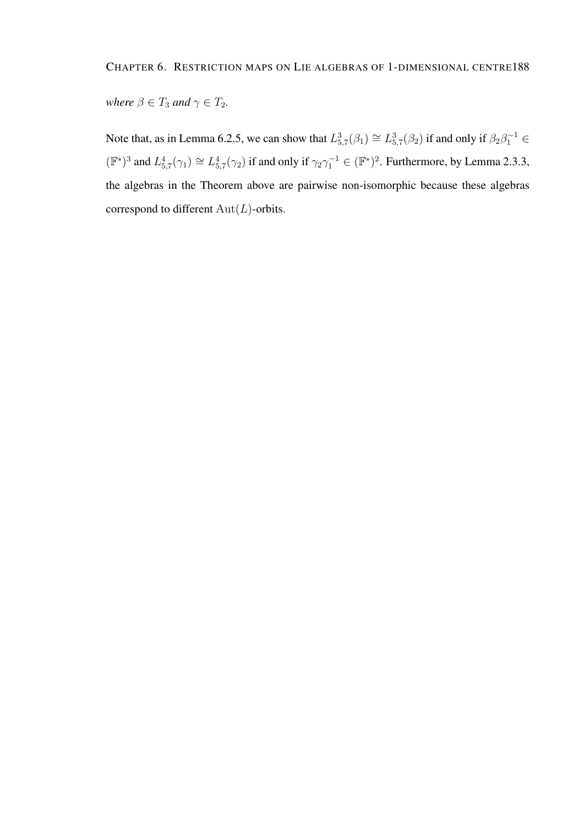*where*  $\beta \in T_3$  *and*  $\gamma \in T_2$ *.* 

Note that, as in Lemma 6.2.5, we can show that  $L_{5,7}^3(\beta_1) \cong L_{5,7}^3(\beta_2)$  if and only if  $\beta_2\beta_1^{-1} \in$  $(\mathbb{F}^*)^3$  and  $L_{5,7}^4(\gamma_1) \cong L_{5,7}^4(\gamma_2)$  if and only if  $\gamma_2\gamma_1^{-1} \in (\mathbb{F}^*)^2$ . Furthermore, by Lemma 2.3.3, the algebras in the Theorem above are pairwise non-isomorphic because these algebras correspond to different  $Aut(L)$ -orbits.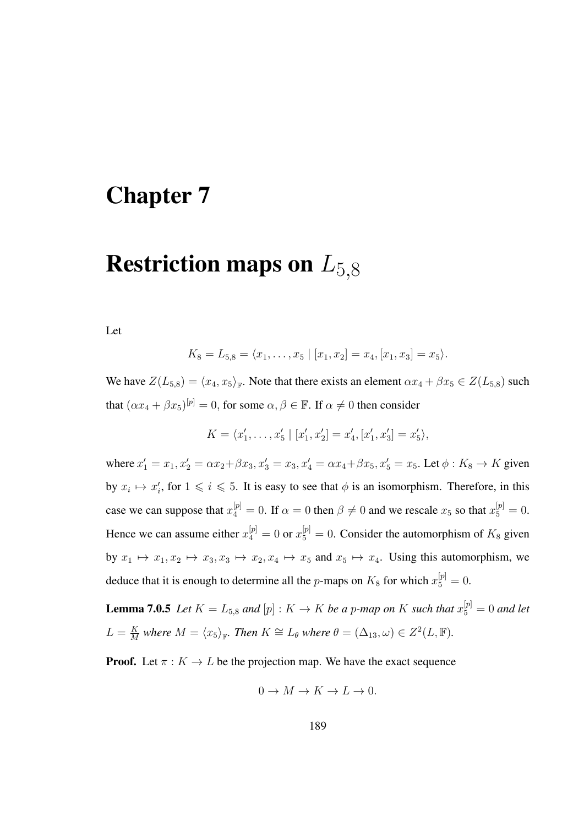### Chapter 7

## **Restriction maps on**  $L_{5,8}$

Let

$$
K_8 = L_{5,8} = \langle x_1, \ldots, x_5 \mid [x_1, x_2] = x_4, [x_1, x_3] = x_5 \rangle.
$$

We have  $Z(L_{5,8}) = \langle x_4, x_5 \rangle_{\mathbb{F}}$ . Note that there exists an element  $\alpha x_4 + \beta x_5 \in Z(L_{5,8})$  such that  $(\alpha x_4 + \beta x_5)^{[\mathfrak{p}]} = 0$ , for some  $\alpha, \beta \in \mathbb{F}$ . If  $\alpha \neq 0$  then consider

$$
K = \langle x'_1, \ldots, x'_5 | [x'_1, x'_2] = x'_4, [x'_1, x'_3] = x'_5 \rangle,
$$

where  $x'_1 = x_1, x'_2 = \alpha x_2 + \beta x_3, x'_3 = x_3, x'_4 = \alpha x_4 + \beta x_5, x'_5 = x_5$ . Let  $\phi : K_8 \to K$  given by  $x_i \mapsto x'_i$ , for  $1 \leq i \leq 5$ . It is easy to see that  $\phi$  is an isomorphism. Therefore, in this case we can suppose that  $x_4^{[p]} = 0$ . If  $\alpha = 0$  then  $\beta \neq 0$  and we rescale  $x_5$  so that  $x_5^{[p]} = 0$ . Hence we can assume either  $x_4^{[p]} = 0$  or  $x_5^{[p]} = 0$ . Consider the automorphism of  $K_8$  given by  $x_1 \mapsto x_1, x_2 \mapsto x_3, x_3 \mapsto x_2, x_4 \mapsto x_5$  and  $x_5 \mapsto x_4$ . Using this automorphism, we deduce that it is enough to determine all the *p*-maps on  $K_8$  for which  $x_5^{[p]} = 0$ .

**Lemma 7.0.5** Let  $K = L_{5,8}$  and  $[p] : K \to K$  be a p-map on K such that  $x_5^{[p]} = 0$  and let  $L = \frac{K}{M}$  $\frac{K}{M}$  where  $M = \langle x_5 \rangle_{\mathbb{F}}$ . Then  $K \cong L_\theta$  where  $\theta = (\Delta_{13}, \omega) \in Z^2(L, \mathbb{F})$ .

**Proof.** Let  $\pi : K \to L$  be the projection map. We have the exact sequence

$$
0 \to M \to K \to L \to 0.
$$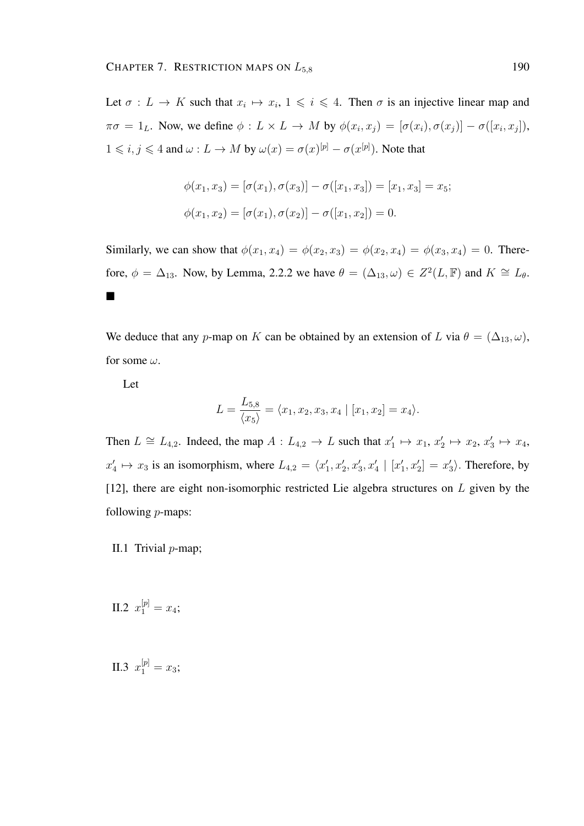Let  $\sigma: L \to K$  such that  $x_i \mapsto x_i, 1 \leq i \leq 4$ . Then  $\sigma$  is an injective linear map and  $\pi\sigma = 1_L$ . Now, we define  $\phi: L \times L \to M$  by  $\phi(x_i, x_j) = [\sigma(x_i), \sigma(x_j)] - \sigma([x_i, x_j]),$  $1 \leq i, j \leq 4$  and  $\omega: L \to M$  by  $\omega(x) = \sigma(x)^{[p]} - \sigma(x^{[p]})$ . Note that

$$
\phi(x_1, x_3) = [\sigma(x_1), \sigma(x_3)] - \sigma([x_1, x_3]) = [x_1, x_3] = x_5;
$$
  

$$
\phi(x_1, x_2) = [\sigma(x_1), \sigma(x_2)] - \sigma([x_1, x_2]) = 0.
$$

Similarly, we can show that  $\phi(x_1, x_4) = \phi(x_2, x_3) = \phi(x_2, x_4) = \phi(x_3, x_4) = 0$ . Therefore,  $\phi = \Delta_{13}$ . Now, by Lemma, 2.2.2 we have  $\theta = (\Delta_{13}, \omega) \in Z^2(L, \mathbb{F})$  and  $K \cong L_{\theta}$ .  $\blacksquare$ 

We deduce that any p-map on K can be obtained by an extension of L via  $\theta = (\Delta_{13}, \omega)$ , for some  $\omega$ .

Let

$$
L = \frac{L_{5,8}}{\langle x_5 \rangle} = \langle x_1, x_2, x_3, x_4 | [x_1, x_2] = x_4 \rangle.
$$

Then  $L \cong L_{4,2}$ . Indeed, the map  $A: L_{4,2} \to L$  such that  $x'_1 \mapsto x_1, x'_2 \mapsto x_2, x'_3 \mapsto x_4$ ,  $x'_4 \mapsto x_3$  is an isomorphism, where  $L_{4,2} = \langle x'_1, x'_2, x'_3, x'_4 \mid [x'_1, x'_2] = x'_3 \rangle$ . Therefore, by [12], there are eight non-isomorphic restricted Lie algebra structures on  $L$  given by the following p-maps:

II.1 Trivial  $p$ -map;

II.2  $x_1^{[p]} = x_4;$ 

II.3  $x_1^{[p]} = x_3;$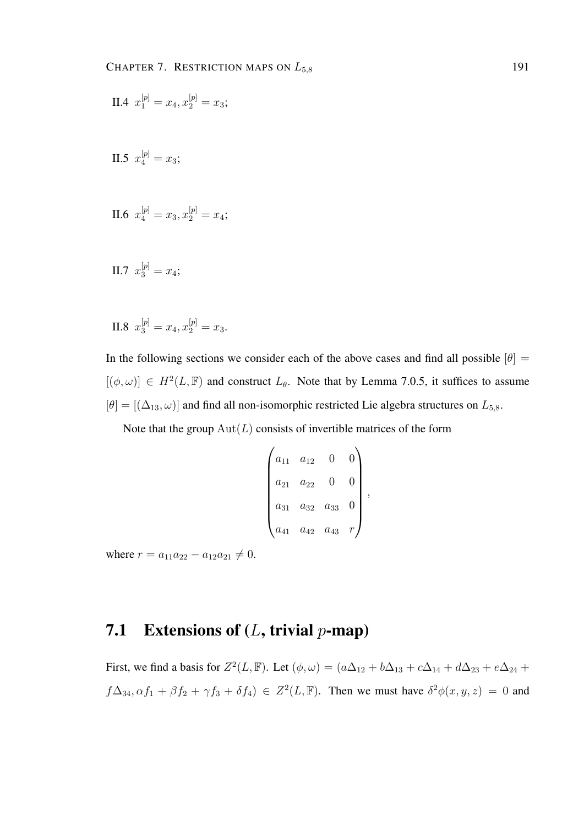II.4 
$$
x_1^{[p]} = x_4, x_2^{[p]} = x_3;
$$

II.5  $x_4^{[p]} = x_3;$ 

II.6 
$$
x_4^{[p]} = x_3, x_2^{[p]} = x_4;
$$

II.7 
$$
x_3^{[p]} = x_4;
$$

II.8  $x_3^{[p]} = x_4, x_2^{[p]} = x_3.$ 

In the following sections we consider each of the above cases and find all possible  $[\theta]$  =  $[(\phi, \omega)] \in H^2(L, \mathbb{F})$  and construct  $L_{\theta}$ . Note that by Lemma 7.0.5, it suffices to assume  $[\theta] = [(\Delta_{13}, \omega)]$  and find all non-isomorphic restricted Lie algebra structures on  $L_{5,8}$ .

Note that the group  $Aut(L)$  consists of invertible matrices of the form

$$
\begin{pmatrix} a_{11} & a_{12} & 0 & 0 \ a_{21} & a_{22} & 0 & 0 \ a_{31} & a_{32} & a_{33} & 0 \ a_{41} & a_{42} & a_{43} & r \end{pmatrix},
$$

where  $r = a_{11}a_{22} - a_{12}a_{21} \neq 0$ .

### 7.1 Extensions of  $(L, \text{trivial } p\text{-map})$

First, we find a basis for  $Z^2(L, \mathbb{F})$ . Let  $(\phi, \omega) = (a\Delta_{12} + b\Delta_{13} + c\Delta_{14} + d\Delta_{23} + e\Delta_{24} + d\Delta_{34})$  $f\Delta_{34}, \alpha f_1 + \beta f_2 + \gamma f_3 + \delta f_4$ )  $\in Z^2(L, \mathbb{F})$ . Then we must have  $\delta^2 \phi(x, y, z) = 0$  and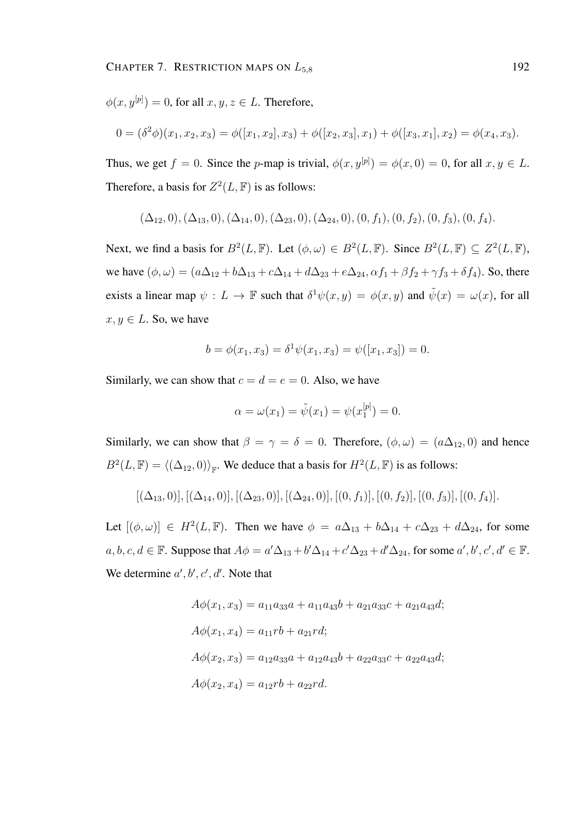$\phi(x, y^{[p]}) = 0$ , for all  $x, y, z \in L$ . Therefore,

$$
0 = (\delta^2 \phi)(x_1, x_2, x_3) = \phi([x_1, x_2], x_3) + \phi([x_2, x_3], x_1) + \phi([x_3, x_1], x_2) = \phi(x_4, x_3).
$$

Thus, we get  $f = 0$ . Since the p-map is trivial,  $\phi(x, y^{[p]}) = \phi(x, 0) = 0$ , for all  $x, y \in L$ . Therefore, a basis for  $Z^2(L, \mathbb{F})$  is as follows:

$$
(\Delta_{12},0), (\Delta_{13},0), (\Delta_{14},0), (\Delta_{23},0), (\Delta_{24},0), (0, f_1), (0, f_2), (0, f_3), (0, f_4).
$$

Next, we find a basis for  $B^2(L, \mathbb{F})$ . Let  $(\phi, \omega) \in B^2(L, \mathbb{F})$ . Since  $B^2(L, \mathbb{F}) \subseteq Z^2(L, \mathbb{F})$ , we have  $(\phi, \omega) = (a\Delta_{12} + b\Delta_{13} + c\Delta_{14} + d\Delta_{23} + e\Delta_{24}, \alpha f_1 + \beta f_2 + \gamma f_3 + \delta f_4)$ . So, there exists a linear map  $\psi : L \to \mathbb{F}$  such that  $\delta^1 \psi(x, y) = \phi(x, y)$  and  $\tilde{\psi}(x) = \omega(x)$ , for all  $x, y \in L$ . So, we have

$$
b = \phi(x_1, x_3) = \delta^1 \psi(x_1, x_3) = \psi([x_1, x_3]) = 0.
$$

Similarly, we can show that  $c = d = e = 0$ . Also, we have

$$
\alpha = \omega(x_1) = \tilde{\psi}(x_1) = \psi(x_1^{[p]}) = 0.
$$

Similarly, we can show that  $\beta = \gamma = \delta = 0$ . Therefore,  $(\phi, \omega) = (a\Delta_{12}, 0)$  and hence  $B^2(L, \mathbb{F}) = \langle (\Delta_{12}, 0) \rangle_{\mathbb{F}}$ . We deduce that a basis for  $H^2(L, \mathbb{F})$  is as follows:

$$
[(\Delta_{13},0)], [(\Delta_{14},0)], [(\Delta_{23},0)], [(\Delta_{24},0)], [0,f_1)], [0,f_2], [0,f_3], [0,f_4].
$$

Let  $[(\phi, \omega)] \in H^2(L, \mathbb{F})$ . Then we have  $\phi = a\Delta_{13} + b\Delta_{14} + c\Delta_{23} + d\Delta_{24}$ , for some  $a, b, c, d \in \mathbb{F}$ . Suppose that  $A\phi = a'\Delta_{13} + b'\Delta_{14} + c'\Delta_{23} + d'\Delta_{24}$ , for some  $a', b', c', d' \in \mathbb{F}$ . We determine  $a', b', c', d'$ . Note that

$$
A\phi(x_1, x_3) = a_{11}a_{33}a + a_{11}a_{43}b + a_{21}a_{33}c + a_{21}a_{43}d;
$$
  
\n
$$
A\phi(x_1, x_4) = a_{11}rb + a_{21}rd;
$$
  
\n
$$
A\phi(x_2, x_3) = a_{12}a_{33}a + a_{12}a_{43}b + a_{22}a_{33}c + a_{22}a_{43}d;
$$
  
\n
$$
A\phi(x_2, x_4) = a_{12}rb + a_{22}rd.
$$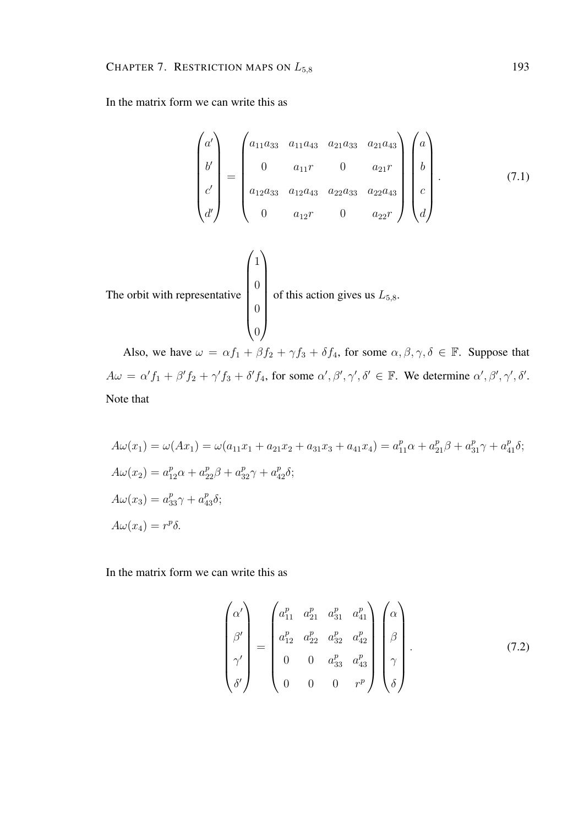In the matrix form we can write this as

$$
\begin{pmatrix}\na' \\
b' \\
c' \\
d'\n\end{pmatrix} = \begin{pmatrix}\na_{11}a_{33} & a_{11}a_{43} & a_{21}a_{33} & a_{21}a_{43} \\
0 & a_{11}r & 0 & a_{21}r \\
a_{12}a_{33} & a_{12}a_{43} & a_{22}a_{33} & a_{22}a_{43} \\
0 & a_{12}r & 0 & a_{22}r\n\end{pmatrix} \begin{pmatrix}\na \\
b \\
c \\
d\n\end{pmatrix}.
$$
\n  
\nThe orbit with representative\n
$$
\begin{pmatrix}\n1 \\
0 \\
0 \\
0 \\
0\n\end{pmatrix}
$$
 of this action gives us  $L_{5,8}$ . (7.1)

Also, we have  $\omega = \alpha f_1 + \beta f_2 + \gamma f_3 + \delta f_4$ , for some  $\alpha, \beta, \gamma, \delta \in \mathbb{F}$ . Suppose that  $A\omega = \alpha' f_1 + \beta' f_2 + \gamma' f_3 + \delta' f_4$ , for some  $\alpha', \beta', \gamma', \delta' \in \mathbb{F}$ . We determine  $\alpha', \beta', \gamma', \delta'$ . Note that

$$
A\omega(x_1) = \omega(Ax_1) = \omega(a_{11}x_1 + a_{21}x_2 + a_{31}x_3 + a_{41}x_4) = a_{11}^p \alpha + a_{21}^p \beta + a_{31}^p \gamma + a_{41}^p \delta;
$$
  
\n
$$
A\omega(x_2) = a_{12}^p \alpha + a_{22}^p \beta + a_{32}^p \gamma + a_{42}^p \delta;
$$
  
\n
$$
A\omega(x_3) = a_{33}^p \gamma + a_{43}^p \delta;
$$
  
\n
$$
A\omega(x_4) = r^p \delta.
$$

In the matrix form we can write this as

$$
\begin{pmatrix}\n\alpha' \\
\beta' \\
\beta'\n\end{pmatrix} = \begin{pmatrix}\na_{11}^p & a_{21}^p & a_{31}^p & a_{41}^p \\
a_{12}^p & a_{22}^p & a_{32}^p & a_{42}^p \\
0 & 0 & a_{33}^p & a_{43}^p \\
0 & 0 & 0 & r^p\n\end{pmatrix} \begin{pmatrix}\n\alpha \\
\beta \\
\beta \\
\gamma \\
\delta\n\end{pmatrix}.
$$
\n(7.2)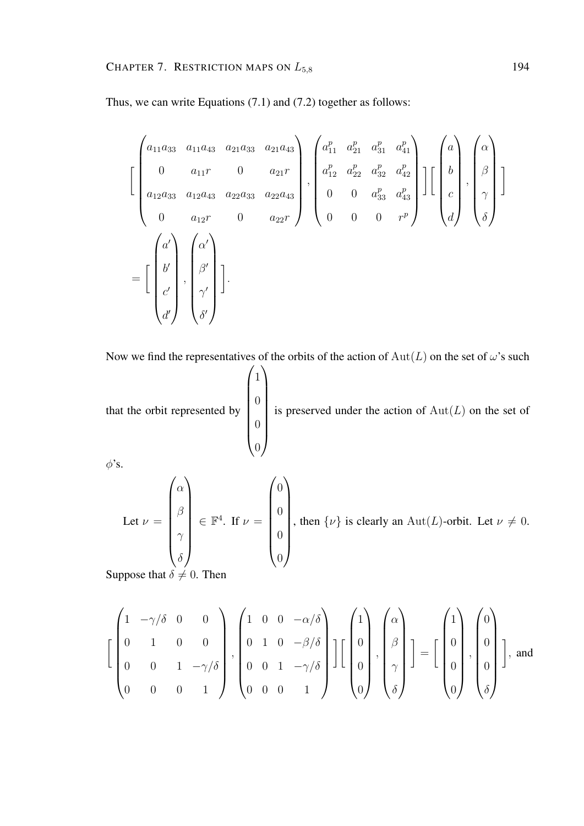Thus, we can write Equations (7.1) and (7.2) together as follows:

$$
\begin{bmatrix}\n a_{11}a_{33} & a_{11}a_{43} & a_{21}a_{33} & a_{21}a_{43} \\
 0 & a_{11}r & 0 & a_{21}r \\
 a_{12}a_{33} & a_{12}a_{43} & a_{22}a_{33} & a_{22}a_{43} \\
 0 & a_{12}r & 0 & a_{22}r\n\end{bmatrix},\n\begin{bmatrix}\na_{11}^p & a_{21}^p & a_{31}^p & a_{41}^p \\
 a_{12}^p & a_{22}^p & a_{32}^p & a_{42}^p \\
 0 & 0 & a_{33}^p & a_{43}^p \\
 0 & 0 & 0 & r^p\n\end{bmatrix}\n\begin{bmatrix}\n a \\
 b \\
 c \\
 d\n\end{bmatrix},\n\begin{bmatrix}\n a \\
 \beta \\
 \gamma \\
 \delta\n\end{bmatrix}
$$
\n
$$
=\begin{bmatrix}\n a' \\
 b' \\
 c' \\
 d'\n\end{bmatrix},\n\begin{bmatrix}\n a' \\
 \beta \\
 \beta \\
 \delta\n\end{bmatrix}.
$$

Now we find the representatives of the orbits of the action of  $Aut(L)$  on the set of  $\omega$ 's such

that the orbit represented by  $\sqrt{1}$  $\begin{array}{c} \begin{array}{c} \begin{array}{c} \begin{array}{c} \end{array} \\ \end{array} \end{array} \end{array}$  $\overline{0}$  $\overline{0}$  $\overline{0}$  $\setminus$  $\begin{array}{c} \hline \end{array}$ is preserved under the action of  $Aut(L)$  on the set of

 $\phi$ 's.

Let 
$$
\nu = \begin{pmatrix} \alpha \\ \beta \\ \gamma \\ \delta \end{pmatrix} \in \mathbb{F}^4
$$
. If  $\nu = \begin{pmatrix} 0 \\ 0 \\ 0 \\ 0 \end{pmatrix}$ , then  $\{\nu\}$  is clearly an  $\text{Aut}(L)$ -orbit. Let  $\nu \neq 0$ .

Suppose that  $\delta \neq 0$ . Then

$$
\left[\begin{pmatrix} 1 & -\gamma/\delta & 0 & 0 \\ 0 & 1 & 0 & 0 \\ 0 & 0 & 1 & -\gamma/\delta \\ 0 & 0 & 0 & 1 \end{pmatrix}, \begin{pmatrix} 1 & 0 & 0 & -\alpha/\delta \\ 0 & 1 & 0 & -\beta/\delta \\ 0 & 0 & 1 & -\gamma/\delta \\ 0 & 0 & 0 & 1 \end{pmatrix}\right] \left[\begin{pmatrix} 1 \\ 0 \\ 0 \\ 0 \end{pmatrix}, \begin{pmatrix} \alpha \\ \beta \\ \gamma \\ \delta \end{pmatrix}\right] = \left[\begin{pmatrix} 1 \\ 0 \\ 0 \\ 0 \end{pmatrix}, \begin{pmatrix} 0 \\ 0 \\ 0 \\ \delta \end{pmatrix}\right],
$$
and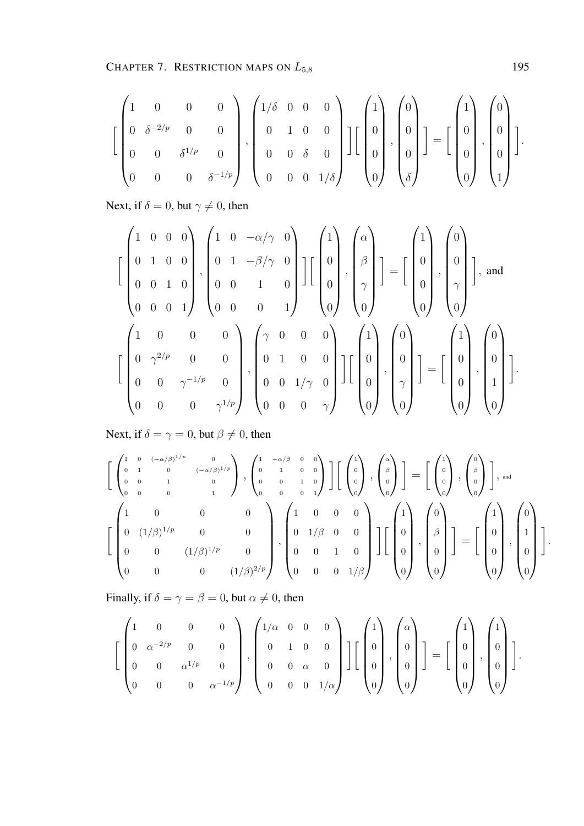CHAPTER 7. RESTRICTION MAPS ON  $L_{5,8}$  195

$$
\left[\begin{pmatrix}1 & 0 & 0 & 0 \\ 0 & \delta^{-2/p} & 0 & 0 \\ 0 & 0 & \delta^{1/p} & 0 \\ 0 & 0 & 0 & \delta^{-1/p}\end{pmatrix}, \begin{pmatrix}1/\delta & 0 & 0 & 0 \\ 0 & 1 & 0 & 0 \\ 0 & 0 & \delta & 0 \\ 0 & 0 & 0 & 1/\delta\end{pmatrix}\right]\left[\begin{pmatrix}1 \\ 0 \\ 0 \\ 0\end{pmatrix}, \begin{pmatrix}0 \\ 0 \\ 0 \\ \delta\end{pmatrix}\right] = \left[\begin{pmatrix}1 \\ 0 \\ 0 \\ 0\end{pmatrix}, \begin{pmatrix}0 \\ 0 \\ 0 \\ 1\end{pmatrix}\right].
$$

Next, if  $\delta = 0$ , but  $\gamma \neq 0$ , then

$$
\begin{bmatrix} 1 & 0 & 0 & 0 \ 0 & 1 & 0 & 0 \ 0 & 0 & 1 & 0 \ 0 & 0 & 0 & 1 \ \end{bmatrix}, \begin{bmatrix} 1 & 0 & -\alpha/\gamma & 0 \ 0 & 1 & -\beta/\gamma & 0 \ 0 & 0 & 1 & 0 \ 0 & 0 & 0 & 1 \ \end{bmatrix} \begin{bmatrix} 1 \ 0 \ 0 \ 0 \end{bmatrix}, \begin{bmatrix} \alpha \ \beta \ \gamma \ 0 \end{bmatrix} \end{bmatrix} = \begin{bmatrix} 1 \ 0 \ 0 \ 0 \end{bmatrix}, \begin{bmatrix} 0 \ 0 \ \gamma \ 0 \end{bmatrix} \end{bmatrix}, \text{and}
$$

$$
\begin{bmatrix} 1 & 0 & 0 & 0 \ 0 & \gamma^{2/p} & 0 & 0 \ 0 & 0 & \gamma^{-1/p} & 0 \ 0 & 0 & 0 & \gamma^{1/p} \ \end{bmatrix}, \begin{bmatrix} \gamma & 0 & 0 & 0 \ 0 & 1 & 0 & 0 \ 0 & 0 & 1/\gamma & 0 \ 0 & 0 & 0 & \gamma \ \end{bmatrix} \begin{bmatrix} 1 \ 0 \ 0 \ 0 \end{bmatrix}, \begin{bmatrix} 0 \ 0 \ 0 \ 0 \end{bmatrix} \end{bmatrix}, \begin{bmatrix} 0 \ 0 \ 0 \ 0 \end{bmatrix} \end{bmatrix} = \begin{bmatrix} 1 \ 0 \ 0 \ 0 \end{bmatrix}, \begin{bmatrix} 0 \ 0 \ 1 \ 0 \ 0 \end{bmatrix}.
$$

Next, if  $\delta = \gamma = 0$ , but  $\beta \neq 0$ , then

$$
\begin{bmatrix}\n\begin{pmatrix}\n1 & 0 & (-\alpha/\beta)^{1/p} & 0 \\
0 & 1 & 0 & (-\alpha/\beta)^{1/p} \\
0 & 0 & 1 & 0 \\
0 & 0 & 0 & 1\n\end{pmatrix}, \begin{pmatrix}\n1 & -\alpha/\beta & 0 & 0 \\
0 & 1 & 0 & 0 \\
0 & 0 & 1 & 0 \\
0 & 0 & 0 & 1\n\end{pmatrix}\n\end{bmatrix}\n\begin{bmatrix}\n1 \\
0 \\
0 \\
0\n\end{bmatrix}, \begin{pmatrix}\n1 \\
0 \\
0 \\
0\n\end{pmatrix}\n\end{bmatrix} =\n\begin{bmatrix}\n1 \\
0 \\
0 \\
0\n\end{bmatrix}, \begin{pmatrix}\n0 \\
0 \\
0 \\
0\n\end{pmatrix}\n\end{bmatrix}, \text{ and}
$$
\n
$$
\begin{bmatrix}\n1 & 0 & 0 & 0 \\
0 & (1/\beta)^{1/p} & 0 & 0 \\
0 & 0 & (1/\beta)^{1/p} & 0 \\
0 & 0 & 0 & (1/\beta)^{2/p}\n\end{bmatrix}, \begin{pmatrix}\n1 & 0 & 0 & 0 \\
0 & 1/\beta & 0 & 0 \\
0 & 0 & 1 & 0 \\
0 & 0 & 0 & 1/\beta\n\end{pmatrix}\n\begin{bmatrix}\n1 \\
0 \\
0 \\
0\n\end{bmatrix}, \begin{pmatrix}\n0 \\
0 \\
0 \\
0\n\end{pmatrix}\n\end{bmatrix} =\n\begin{bmatrix}\n1 \\
0 \\
0 \\
0 \\
0\n\end{bmatrix}, \begin{pmatrix}\n0 \\
1 \\
0 \\
0 \\
0\n\end{pmatrix}.
$$

Finally, if  $\delta = \gamma = \beta = 0$ , but  $\alpha \neq 0$ , then

$$
\left[\begin{pmatrix}1 & 0 & 0 & 0 \\ 0 & \alpha^{-2/p} & 0 & 0 \\ 0 & 0 & \alpha^{1/p} & 0 \\ 0 & 0 & 0 & \alpha^{-1/p}\end{pmatrix}, \begin{pmatrix}1/\alpha & 0 & 0 & 0 \\ 0 & 1 & 0 & 0 \\ 0 & 0 & \alpha & 0 \\ 0 & 0 & 0 & 1/\alpha\end{pmatrix}\right]\left[\begin{pmatrix}1 \\ 0 \\ 0 \\ 0\end{pmatrix}, \begin{pmatrix}\alpha \\ 0 \\ 0 \\ 0\end{pmatrix}\right] = \left[\begin{pmatrix}1 \\ 0 \\ 0 \\ 0\end{pmatrix}, \begin{pmatrix}1 \\ 0 \\ 0 \\ 0\end{pmatrix}\right].
$$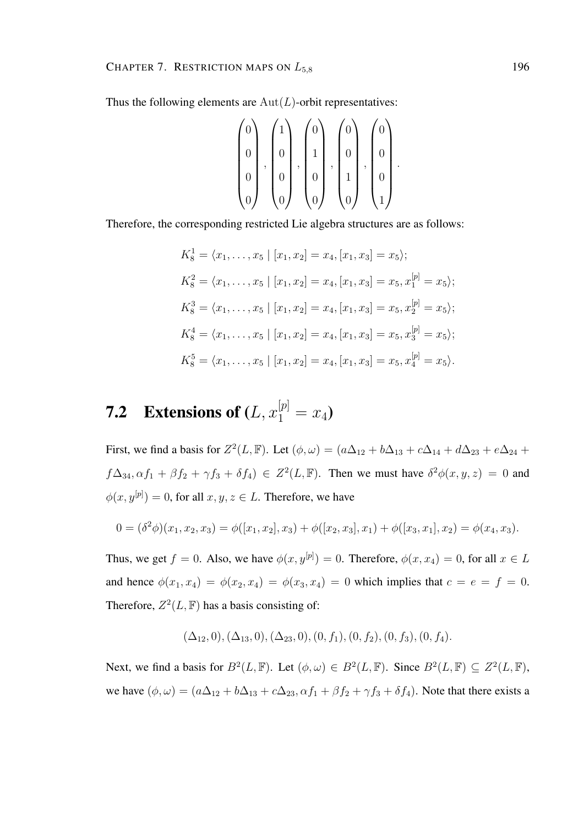Thus the following elements are  $Aut(L)$ -orbit representatives:

$$
\begin{pmatrix} 0 \\ 0 \\ 0 \\ 0 \\ 0 \end{pmatrix}, \begin{pmatrix} 1 \\ 0 \\ 0 \\ 0 \\ 0 \end{pmatrix}, \begin{pmatrix} 0 \\ 1 \\ 0 \\ 0 \\ 0 \end{pmatrix}, \begin{pmatrix} 0 \\ 0 \\ 1 \\ 1 \\ 0 \end{pmatrix}, \begin{pmatrix} 0 \\ 0 \\ 0 \\ 1 \\ 1 \end{pmatrix}
$$

.

Therefore, the corresponding restricted Lie algebra structures are as follows:

$$
K_8^1 = \langle x_1, \dots, x_5 \mid [x_1, x_2] = x_4, [x_1, x_3] = x_5 \rangle;
$$
  
\n
$$
K_8^2 = \langle x_1, \dots, x_5 \mid [x_1, x_2] = x_4, [x_1, x_3] = x_5, x_1^{[p]} = x_5 \rangle;
$$
  
\n
$$
K_8^3 = \langle x_1, \dots, x_5 \mid [x_1, x_2] = x_4, [x_1, x_3] = x_5, x_2^{[p]} = x_5 \rangle;
$$
  
\n
$$
K_8^4 = \langle x_1, \dots, x_5 \mid [x_1, x_2] = x_4, [x_1, x_3] = x_5, x_3^{[p]} = x_5 \rangle;
$$
  
\n
$$
K_8^5 = \langle x_1, \dots, x_5 \mid [x_1, x_2] = x_4, [x_1, x_3] = x_5, x_4^{[p]} = x_5 \rangle.
$$

# **7.2** Extensions of  $(L, x_1^{[p]} = x_4)$

First, we find a basis for  $Z^2(L, \mathbb{F})$ . Let  $(\phi, \omega) = (a\Delta_{12} + b\Delta_{13} + c\Delta_{14} + d\Delta_{23} + e\Delta_{24} + d\Delta_{34})$  $f\Delta_{34}, \alpha f_1 + \beta f_2 + \gamma f_3 + \delta f_4$ )  $\in Z^2(L, \mathbb{F})$ . Then we must have  $\delta^2 \phi(x, y, z) = 0$  and  $\phi(x, y^{[p]}) = 0$ , for all  $x, y, z \in L$ . Therefore, we have

$$
0 = (\delta^2 \phi)(x_1, x_2, x_3) = \phi([x_1, x_2], x_3) + \phi([x_2, x_3], x_1) + \phi([x_3, x_1], x_2) = \phi(x_4, x_3).
$$

Thus, we get  $f = 0$ . Also, we have  $\phi(x, y^{[p]}) = 0$ . Therefore,  $\phi(x, x_4) = 0$ , for all  $x \in L$ and hence  $\phi(x_1, x_4) = \phi(x_2, x_4) = \phi(x_3, x_4) = 0$  which implies that  $c = e = f = 0$ . Therefore,  $Z^2(L, \mathbb{F})$  has a basis consisting of:

$$
(\Delta_{12},0), (\Delta_{13},0), (\Delta_{23},0), (0, f_1), (0, f_2), (0, f_3), (0, f_4).
$$

Next, we find a basis for  $B^2(L, \mathbb{F})$ . Let  $(\phi, \omega) \in B^2(L, \mathbb{F})$ . Since  $B^2(L, \mathbb{F}) \subseteq Z^2(L, \mathbb{F})$ , we have  $(\phi, \omega) = (a\Delta_{12} + b\Delta_{13} + c\Delta_{23}, \alpha f_1 + \beta f_2 + \gamma f_3 + \delta f_4)$ . Note that there exists a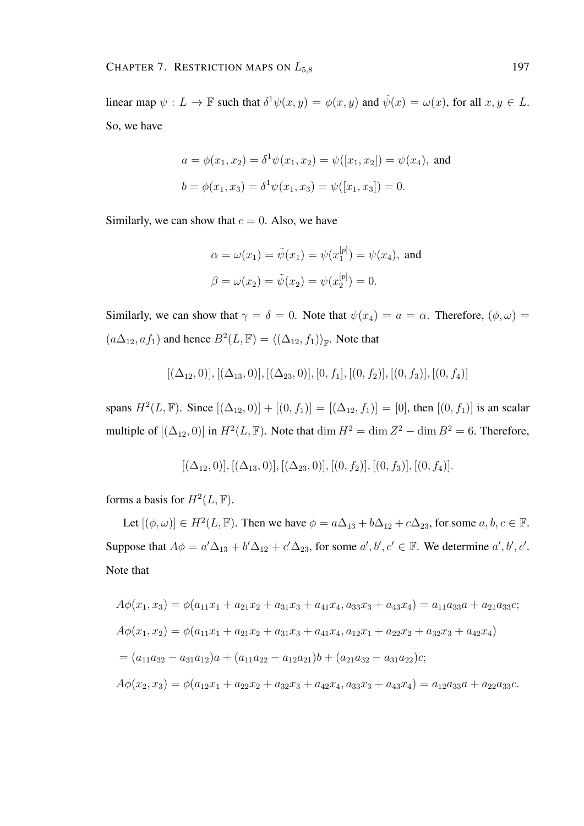linear map  $\psi: L \to \mathbb{F}$  such that  $\delta^1 \psi(x, y) = \phi(x, y)$  and  $\tilde{\psi}(x) = \omega(x)$ , for all  $x, y \in L$ . So, we have

$$
a = \phi(x_1, x_2) = \delta^1 \psi(x_1, x_2) = \psi([x_1, x_2]) = \psi(x_4)
$$
, and  
\n $b = \phi(x_1, x_3) = \delta^1 \psi(x_1, x_3) = \psi([x_1, x_3]) = 0$ .

Similarly, we can show that  $c = 0$ . Also, we have

$$
\alpha = \omega(x_1) = \tilde{\psi}(x_1) = \psi(x_1^{[p]}) = \psi(x_4)
$$
, and  
\n $\beta = \omega(x_2) = \tilde{\psi}(x_2) = \psi(x_2^{[p]}) = 0$ .

Similarly, we can show that  $\gamma = \delta = 0$ . Note that  $\psi(x_4) = a = \alpha$ . Therefore,  $(\phi, \omega) =$  $(a\Delta_{12}, af_1)$  and hence  $B^2(L, \mathbb{F}) = \langle (\Delta_{12}, f_1) \rangle_{\mathbb{F}}$ . Note that

$$
[(\Delta_{12},0)], [(\Delta_{13},0)], [(\Delta_{23},0)], [0,f_1], [0,f_2)], [0,f_3)], [0,f_4)]
$$

spans  $H^2(L, \mathbb{F})$ . Since  $[(\Delta_{12}, 0)] + [(0, f_1)] = [(\Delta_{12}, f_1)] = [0]$ , then  $[(0, f_1)]$  is an scalar multiple of  $[(\Delta_{12}, 0)]$  in  $H^2(L, \mathbb{F})$ . Note that  $\dim H^2 = \dim Z^2 - \dim B^2 = 6$ . Therefore,

$$
[(\Delta_{12},0)], [(\Delta_{13},0)], [(\Delta_{23},0)], [(0,f_2)], [(0,f_3)], [(0,f_4)].
$$

forms a basis for  $H^2(L, \mathbb{F})$ .

Let  $[(\phi, \omega)] \in H^2(L, \mathbb{F})$ . Then we have  $\phi = a\Delta_{13} + b\Delta_{12} + c\Delta_{23}$ , for some  $a, b, c \in \mathbb{F}$ . Suppose that  $A\phi = a'\Delta_{13} + b'\Delta_{12} + c'\Delta_{23}$ , for some  $a', b', c' \in \mathbb{F}$ . We determine  $a', b', c'$ . Note that

$$
A\phi(x_1, x_3) = \phi(a_{11}x_1 + a_{21}x_2 + a_{31}x_3 + a_{41}x_4, a_{33}x_3 + a_{43}x_4) = a_{11}a_{33}a + a_{21}a_{33}c;
$$
  
\n
$$
A\phi(x_1, x_2) = \phi(a_{11}x_1 + a_{21}x_2 + a_{31}x_3 + a_{41}x_4, a_{12}x_1 + a_{22}x_2 + a_{32}x_3 + a_{42}x_4)
$$
  
\n
$$
= (a_{11}a_{32} - a_{31}a_{12})a + (a_{11}a_{22} - a_{12}a_{21})b + (a_{21}a_{32} - a_{31}a_{22})c;
$$
  
\n
$$
A\phi(x_2, x_3) = \phi(a_{12}x_1 + a_{22}x_2 + a_{32}x_3 + a_{42}x_4, a_{33}x_3 + a_{43}x_4) = a_{12}a_{33}a + a_{22}a_{33}c.
$$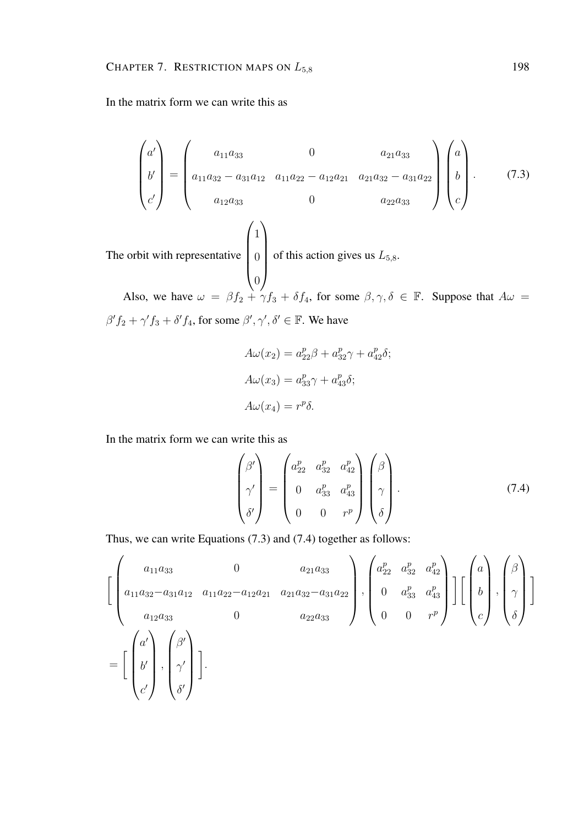In the matrix form we can write this as

The

$$
\begin{pmatrix} a' \\ b' \\ c' \end{pmatrix} = \begin{pmatrix} a_{11}a_{33} & 0 & a_{21}a_{33} \\ a_{11}a_{32} - a_{31}a_{12} & a_{11}a_{22} - a_{12}a_{21} & a_{21}a_{32} - a_{31}a_{22} \\ a_{12}a_{33} & 0 & a_{22}a_{33} \end{pmatrix} \begin{pmatrix} a \\ b \\ c \end{pmatrix}.
$$
 (7.3)  
orbit with representative 
$$
\begin{pmatrix} 1 \\ 0 \\ 0 \end{pmatrix}
$$
 of this action gives us  $L_{5,8}$ .

Also, we have  $\omega = \beta f_2 + \gamma f_3 + \delta f_4$ , for some  $\beta, \gamma, \delta \in \mathbb{F}$ . Suppose that  $A\omega =$  $\beta' f_2 + \gamma' f_3 + \delta' f_4$ , for some  $\beta', \gamma', \delta' \in \mathbb{F}$ . We have

$$
A\omega(x_2) = a_{22}^p \beta + a_{32}^p \gamma + a_{42}^p \delta;
$$
  
\n
$$
A\omega(x_3) = a_{33}^p \gamma + a_{43}^p \delta;
$$
  
\n
$$
A\omega(x_4) = r^p \delta.
$$

In the matrix form we can write this as

$$
\begin{pmatrix}\n\beta' \\
\gamma' \\
\delta'\n\end{pmatrix} = \begin{pmatrix}\na_{22}^p & a_{32}^p & a_{42}^p \\
0 & a_{33}^p & a_{43}^p \\
0 & 0 & r^p\n\end{pmatrix} \begin{pmatrix}\n\beta \\
\gamma \\
\delta\n\end{pmatrix}.
$$
\n(7.4)

Thus, we can write Equations (7.3) and (7.4) together as follows:

$$
\begin{aligned}\n\left[ \begin{pmatrix}\n a_{11}a_{33} & 0 & a_{21}a_{33} \\
 a_{11}a_{32}-a_{31}a_{12} & a_{11}a_{22}-a_{12}a_{21} & a_{21}a_{32}-a_{31}a_{22} \\
 a_{12}a_{33} & 0 & a_{22}a_{33}\n\end{pmatrix}, \begin{pmatrix}\n a_{22}^p & a_{32}^p & a_{42}^p \\
 0 & a_{33}^p & a_{43}^p \\
 0 & 0 & r^p\n\end{pmatrix}\n\right]\n\left[ \begin{pmatrix}\n a \\
 b \\
 c\n\end{pmatrix}, \begin{pmatrix}\n \beta \\
 \gamma \\
 \delta\n\end{pmatrix} \right]\n\end{aligned}
$$
\n
$$
= \begin{bmatrix}\n a' \\
 b' \\
 c'\n\end{bmatrix}, \begin{pmatrix}\n \beta' \\
 \gamma' \\
 \delta'\n\end{pmatrix}.
$$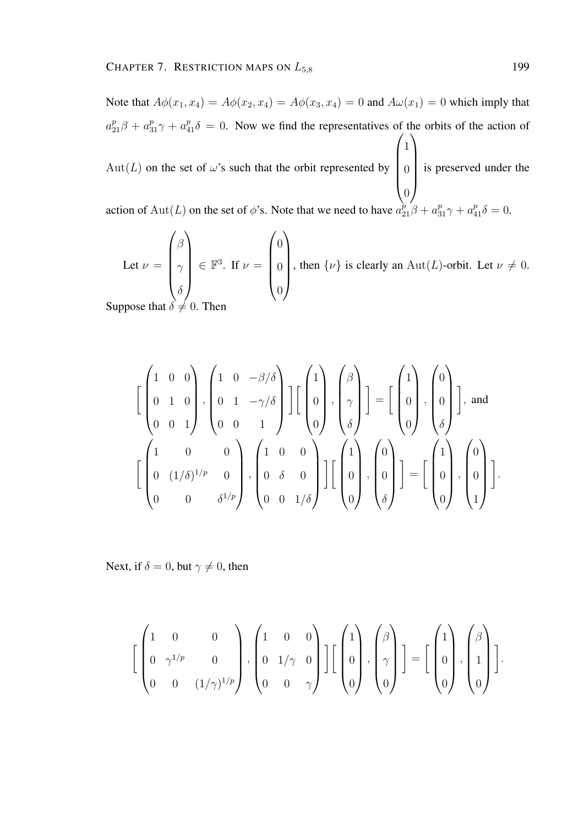Note that  $A\phi(x_1, x_4) = A\phi(x_2, x_4) = A\phi(x_3, x_4) = 0$  and  $A\omega(x_1) = 0$  which imply that  $a_{21}^p \beta + a_{31}^p \gamma + a_{41}^p \delta = 0$ . Now we find the representatives of the orbits of the action of  $Aut(L)$  on the set of  $\omega$ 's such that the orbit represented by  $\sqrt{ }$  $\overline{\phantom{a}}$ 1 0 0  $\setminus$  $\begin{array}{c} \hline \end{array}$ is preserved under the action of  $\text{Aut}(L)$  on the set of  $\phi$ 's. Note that we need to have  $a_{21}^{\hat{p}}\beta + a_{31}^{\hat{p}}\gamma + a_{41}^{\hat{p}}\delta = 0$ .

Let 
$$
\nu = \begin{pmatrix} \beta \\ \gamma \\ \delta \end{pmatrix} \in \mathbb{F}^3
$$
. If  $\nu = \begin{pmatrix} 0 \\ 0 \\ 0 \end{pmatrix}$ , then  $\{\nu\}$  is clearly an  $\text{Aut}(L)$ -orbit. Let  $\nu \neq 0$ .  
pose that  $\delta \neq 0$ . Then

Suppose that  $\delta \neq 0$ .

$$
\begin{bmatrix} \begin{pmatrix} 1 & 0 & 0 \\ 0 & 1 & 0 \\ 0 & 0 & 1 \end{pmatrix}, \begin{pmatrix} 1 & 0 & -\beta/\delta \\ 0 & 1 & -\gamma/\delta \\ 0 & 0 & 1 \end{pmatrix} \end{bmatrix} \begin{bmatrix} 1 \\ 0 \\ 0 \end{bmatrix}, \begin{pmatrix} \beta \\ \gamma \\ \delta \end{pmatrix} \end{bmatrix} = \begin{bmatrix} 1 \\ 0 \\ 0 \end{bmatrix}, \begin{pmatrix} 0 \\ 0 \\ \delta \end{pmatrix} \end{bmatrix}, \text{ and}
$$

$$
\begin{bmatrix} 1 & 0 & 0 \\ 0 & (1/\delta)^{1/p} & 0 \\ 0 & 0 & \delta^{1/p} \end{bmatrix}, \begin{pmatrix} 1 & 0 & 0 \\ 0 & \delta & 0 \\ 0 & 0 & 1/\delta \end{pmatrix} \begin{bmatrix} 1 \\ 0 \\ 0 \end{bmatrix}, \begin{pmatrix} 0 \\ 0 \\ \delta \end{pmatrix} \end{bmatrix} = \begin{bmatrix} 1 \\ 0 \\ 0 \end{bmatrix}, \begin{pmatrix} 0 \\ 0 \\ 1 \end{pmatrix} \end{bmatrix}.
$$

Next, if  $\delta = 0$ , but  $\gamma \neq 0$ , then

$$
\left[\begin{pmatrix}1&0&0\\0&\gamma^{1/p}&0\\0&0&(1/\gamma)^{1/p}\end{pmatrix},\begin{pmatrix}1&0&0\\0&1/\gamma&0\\0&0&\gamma\end{pmatrix}\right]\left[\begin{pmatrix}1\\0\\0\end{pmatrix},\begin{pmatrix}\beta\\ \gamma\\0\end{pmatrix}\right]=\left[\begin{pmatrix}1\\0\\0\end{pmatrix},\begin{pmatrix}\beta\\1\\0\end{pmatrix}\right].
$$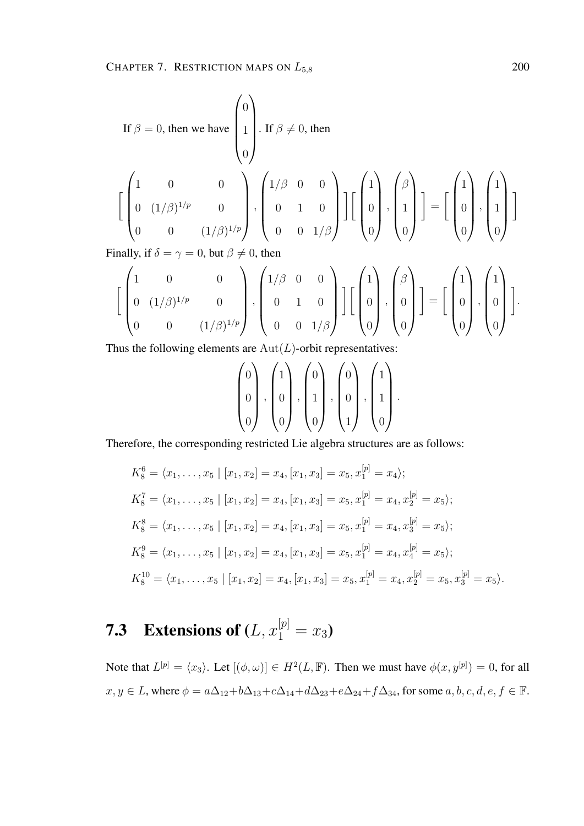If 
$$
\beta = 0
$$
, then we have  $\begin{pmatrix} 0 \\ 1 \\ 0 \end{pmatrix}$ . If  $\beta \neq 0$ , then  
\n
$$
\begin{bmatrix} 1 & 0 & 0 \\ 0 & (1/\beta)^{1/p} & 0 \\ 0 & 0 & (1/\beta)^{1/p} \end{bmatrix}, \begin{pmatrix} 1/\beta & 0 & 0 \\ 0 & 1 & 0 \\ 0 & 0 & 1/\beta \end{pmatrix} \begin{bmatrix} 1 \\ 0 \\ 0 \end{bmatrix}, \begin{pmatrix} \beta \\ 1 \\ 0 \end{pmatrix} \end{bmatrix} = \begin{bmatrix} 1 \\ 0 \\ 0 \end{bmatrix}, \begin{pmatrix} 1 \\ 1 \\ 0 \end{pmatrix} \end{bmatrix}
$$
\n
$$
\begin{bmatrix} 1 \\ 0 \\ 0 \end{bmatrix} \times \begin{bmatrix} 1 \\ 0 \\ 0 \end{bmatrix} \times \begin{bmatrix} 1 \\ 0 \\ 0 \end{bmatrix} = \begin{bmatrix} 1 \\ 0 \\ 0 \end{bmatrix} \times \begin{bmatrix} 1 \\ 0 \\ 0 \end{bmatrix} = \begin{bmatrix} 1 \\ 0 \\ 0 \end{bmatrix} \times \begin{bmatrix} 1 \\ 0 \\ 0 \end{bmatrix} = \begin{bmatrix} 1 \\ 0 \\ 0 \end{bmatrix} \times \begin{bmatrix} 1 \\ 0 \\ 0 \end{bmatrix} = \begin{bmatrix} 1 \\ 0 \\ 0 \end{bmatrix} = \begin{bmatrix} 1 \\ 0 \\ 0 \end{bmatrix} = \begin{bmatrix} 1 \\ 0 \\ 0 \end{bmatrix} = \begin{bmatrix} 1 \\ 0 \\ 0 \end{bmatrix} = \begin{bmatrix} 1 \\ 0 \\ 0 \end{bmatrix} = \begin{bmatrix} 1 \\ 0 \\ 0 \end{bmatrix} = \begin{bmatrix} 1 \\ 0 \\ 0 \end{bmatrix} = \begin{bmatrix} 1 \\ 0 \\ 0 \end{bmatrix} = \begin{bmatrix} 1 \\ 0 \\ 0 \end{bmatrix} = \begin{bmatrix} 1 \\ 0 \\ 0 \end{bmatrix} = \begin{bmatrix} 1 \\ 0 \\ 0 \end{bmatrix} = \begin{bmatrix} 1 \\ 0 \\ 0 \end{bmatrix} = \begin{bmatrix} 1 \\ 0 \\ 0 \end{bmatrix} = \begin{bmatrix} 1 \\ 0 \\ 0 \end{bmatrix} = \begin{bmatrix} 1 \\ 0 \\ 0 \end{bmatrix} = \
$$

Finally, if  $\delta = \gamma = 0$ , but  $\beta \neq 0$ , then

$$
\left[\begin{pmatrix}1&0&0\\0&(1/\beta)^{1/p}&0\\0&0&(1/\beta)^{1/p}\end{pmatrix},\begin{pmatrix}1/\beta&0&0\\0&1&0\\0&0&1/\beta\end{pmatrix}\right]\left[\begin{pmatrix}1\\0\\0\end{pmatrix},\begin{pmatrix}\beta\\0\\0\end{pmatrix}\right]=\left[\begin{pmatrix}1\\0\\0\end{pmatrix},\begin{pmatrix}1\\0\\0\end{pmatrix}\right].
$$

Thus the following elements are  $Aut(L)$ -orbit representatives:

$$
\begin{pmatrix} 0 \\ 0 \\ 0 \end{pmatrix}, \begin{pmatrix} 1 \\ 0 \\ 0 \end{pmatrix}, \begin{pmatrix} 0 \\ 1 \\ 0 \end{pmatrix}, \begin{pmatrix} 0 \\ 0 \\ 1 \end{pmatrix}, \begin{pmatrix} 1 \\ 1 \\ 0 \end{pmatrix}.
$$

Therefore, the corresponding restricted Lie algebra structures are as follows:

$$
K_8^6 = \langle x_1, \dots, x_5 \mid [x_1, x_2] = x_4, [x_1, x_3] = x_5, x_1^{[p]} = x_4 \rangle;
$$
  
\n
$$
K_8^7 = \langle x_1, \dots, x_5 \mid [x_1, x_2] = x_4, [x_1, x_3] = x_5, x_1^{[p]} = x_4, x_2^{[p]} = x_5 \rangle;
$$
  
\n
$$
K_8^8 = \langle x_1, \dots, x_5 \mid [x_1, x_2] = x_4, [x_1, x_3] = x_5, x_1^{[p]} = x_4, x_3^{[p]} = x_5 \rangle;
$$
  
\n
$$
K_8^9 = \langle x_1, \dots, x_5 \mid [x_1, x_2] = x_4, [x_1, x_3] = x_5, x_1^{[p]} = x_4, x_4^{[p]} = x_5 \rangle;
$$
  
\n
$$
K_8^{10} = \langle x_1, \dots, x_5 \mid [x_1, x_2] = x_4, [x_1, x_3] = x_5, x_1^{[p]} = x_4, x_2^{[p]} = x_5, x_3^{[p]} = x_5 \rangle.
$$

# **7.3** Extensions of  $(L, x_1^{[p]} = x_3)$

Note that  $L^{[p]} = \langle x_3 \rangle$ . Let  $[(\phi, \omega)] \in H^2(L, \mathbb{F})$ . Then we must have  $\phi(x, y^{[p]}) = 0$ , for all  $x, y \in L$ , where  $\phi = a\Delta_{12} + b\Delta_{13} + c\Delta_{14} + d\Delta_{23} + e\Delta_{24} + f\Delta_{34}$ , for some  $a, b, c, d, e, f \in \mathbb{F}$ .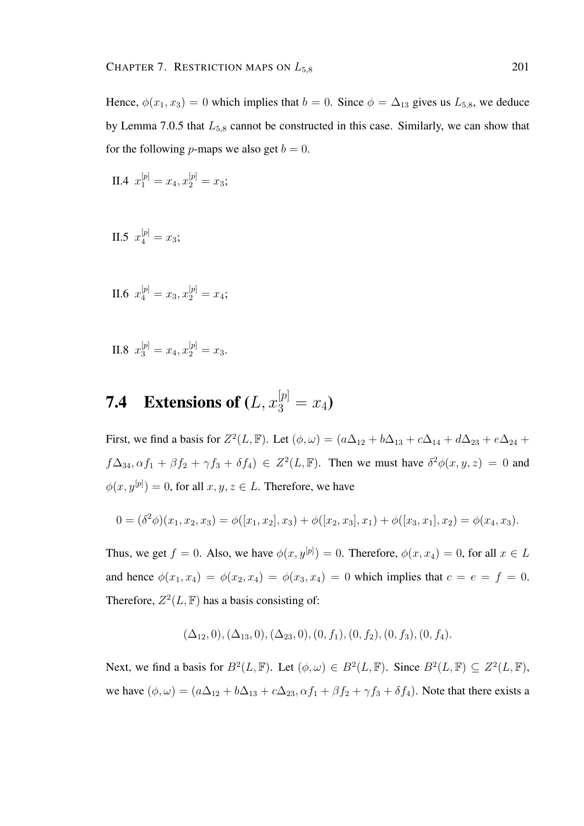Hence,  $\phi(x_1, x_3) = 0$  which implies that  $b = 0$ . Since  $\phi = \Delta_{13}$  gives us  $L_{5,8}$ , we deduce by Lemma 7.0.5 that  $L_{5,8}$  cannot be constructed in this case. Similarly, we can show that for the following *p*-maps we also get  $b = 0$ .

II.4 
$$
x_1^{[p]} = x_4, x_2^{[p]} = x_3;
$$

II.5  $x_4^{[p]} = x_3;$ 

II.6 
$$
x_4^{[p]} = x_3, x_2^{[p]} = x_4;
$$

II.8  $x_3^{[p]} = x_4, x_2^{[p]} = x_3.$ 

# **7.4** Extensions of  $(L, x_3^{[p]} = x_4)$

First, we find a basis for  $Z^2(L, \mathbb{F})$ . Let  $(\phi, \omega) = (a\Delta_{12} + b\Delta_{13} + c\Delta_{14} + d\Delta_{23} + e\Delta_{24} + d\Delta_{34})$  $f\Delta_{34}, \alpha f_1 + \beta f_2 + \gamma f_3 + \delta f_4$ )  $\in Z^2(L, \mathbb{F})$ . Then we must have  $\delta^2 \phi(x, y, z) = 0$  and  $\phi(x, y^{[p]}) = 0$ , for all  $x, y, z \in L$ . Therefore, we have

$$
0 = (\delta^2 \phi)(x_1, x_2, x_3) = \phi([x_1, x_2], x_3) + \phi([x_2, x_3], x_1) + \phi([x_3, x_1], x_2) = \phi(x_4, x_3).
$$

Thus, we get  $f = 0$ . Also, we have  $\phi(x, y^{[p]}) = 0$ . Therefore,  $\phi(x, x_4) = 0$ , for all  $x \in L$ and hence  $\phi(x_1, x_4) = \phi(x_2, x_4) = \phi(x_3, x_4) = 0$  which implies that  $c = e = f = 0$ . Therefore,  $Z^2(L, \mathbb{F})$  has a basis consisting of:

$$
(\Delta_{12},0), (\Delta_{13},0), (\Delta_{23},0), (0, f_1), (0, f_2), (0, f_3), (0, f_4).
$$

Next, we find a basis for  $B^2(L, \mathbb{F})$ . Let  $(\phi, \omega) \in B^2(L, \mathbb{F})$ . Since  $B^2(L, \mathbb{F}) \subseteq Z^2(L, \mathbb{F})$ , we have  $(\phi, \omega) = (a\Delta_{12} + b\Delta_{13} + c\Delta_{23}, \alpha f_1 + \beta f_2 + \gamma f_3 + \delta f_4)$ . Note that there exists a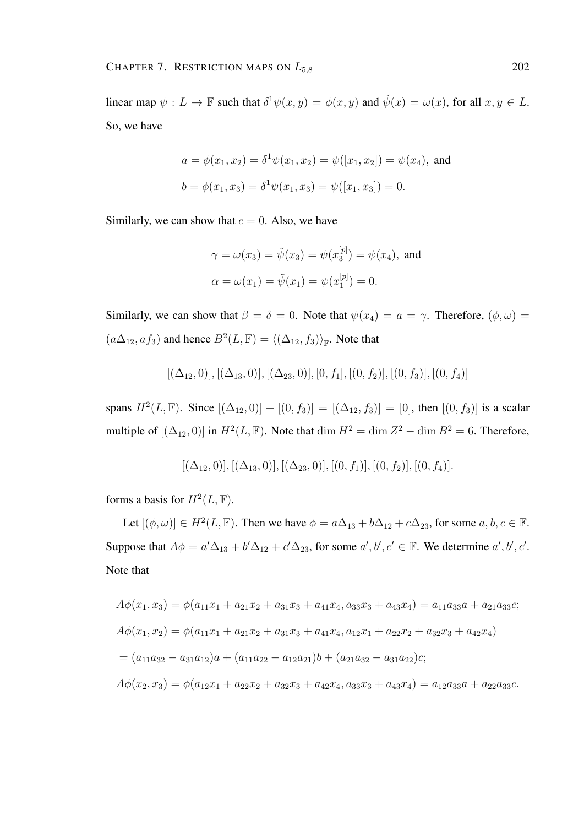linear map  $\psi: L \to \mathbb{F}$  such that  $\delta^1 \psi(x, y) = \phi(x, y)$  and  $\tilde{\psi}(x) = \omega(x)$ , for all  $x, y \in L$ . So, we have

$$
a = \phi(x_1, x_2) = \delta^1 \psi(x_1, x_2) = \psi([x_1, x_2]) = \psi(x_4)
$$
, and  
\n $b = \phi(x_1, x_3) = \delta^1 \psi(x_1, x_3) = \psi([x_1, x_3]) = 0$ .

Similarly, we can show that  $c = 0$ . Also, we have

$$
\gamma = \omega(x_3) = \tilde{\psi}(x_3) = \psi(x_3^{[p]}) = \psi(x_4)
$$
, and  
\n $\alpha = \omega(x_1) = \tilde{\psi}(x_1) = \psi(x_1^{[p]}) = 0.$ 

Similarly, we can show that  $\beta = \delta = 0$ . Note that  $\psi(x_4) = a = \gamma$ . Therefore,  $(\phi, \omega) =$  $(a\Delta_{12}, af_3)$  and hence  $B^2(L, \mathbb{F}) = \langle (\Delta_{12}, f_3) \rangle_{\mathbb{F}}$ . Note that

$$
[(\Delta_{12},0)], [(\Delta_{13},0)], [(\Delta_{23},0)], [0,f_1], [(0,f_2)], [(0,f_3)], [(0,f_4)]
$$

spans  $H^2(L, \mathbb{F})$ . Since  $[(\Delta_{12}, 0)] + [(0, f_3)] = [(\Delta_{12}, f_3)] = [0]$ , then  $[(0, f_3)]$  is a scalar multiple of  $[(\Delta_{12}, 0)]$  in  $H^2(L, \mathbb{F})$ . Note that  $\dim H^2 = \dim Z^2 - \dim B^2 = 6$ . Therefore,

$$
[(\Delta_{12},0)], [(\Delta_{13},0)], [(\Delta_{23},0)], [(0,f_1)], [(0,f_2)], [(0,f_4)].
$$

forms a basis for  $H^2(L, \mathbb{F})$ .

Let  $[(\phi, \omega)] \in H^2(L, \mathbb{F})$ . Then we have  $\phi = a\Delta_{13} + b\Delta_{12} + c\Delta_{23}$ , for some  $a, b, c \in \mathbb{F}$ . Suppose that  $A\phi = a'\Delta_{13} + b'\Delta_{12} + c'\Delta_{23}$ , for some  $a', b', c' \in \mathbb{F}$ . We determine  $a', b', c'$ . Note that

$$
A\phi(x_1, x_3) = \phi(a_{11}x_1 + a_{21}x_2 + a_{31}x_3 + a_{41}x_4, a_{33}x_3 + a_{43}x_4) = a_{11}a_{33}a + a_{21}a_{33}c;
$$
  
\n
$$
A\phi(x_1, x_2) = \phi(a_{11}x_1 + a_{21}x_2 + a_{31}x_3 + a_{41}x_4, a_{12}x_1 + a_{22}x_2 + a_{32}x_3 + a_{42}x_4)
$$
  
\n
$$
= (a_{11}a_{32} - a_{31}a_{12})a + (a_{11}a_{22} - a_{12}a_{21})b + (a_{21}a_{32} - a_{31}a_{22})c;
$$
  
\n
$$
A\phi(x_2, x_3) = \phi(a_{12}x_1 + a_{22}x_2 + a_{32}x_3 + a_{42}x_4, a_{33}x_3 + a_{43}x_4) = a_{12}a_{33}a + a_{22}a_{33}c.
$$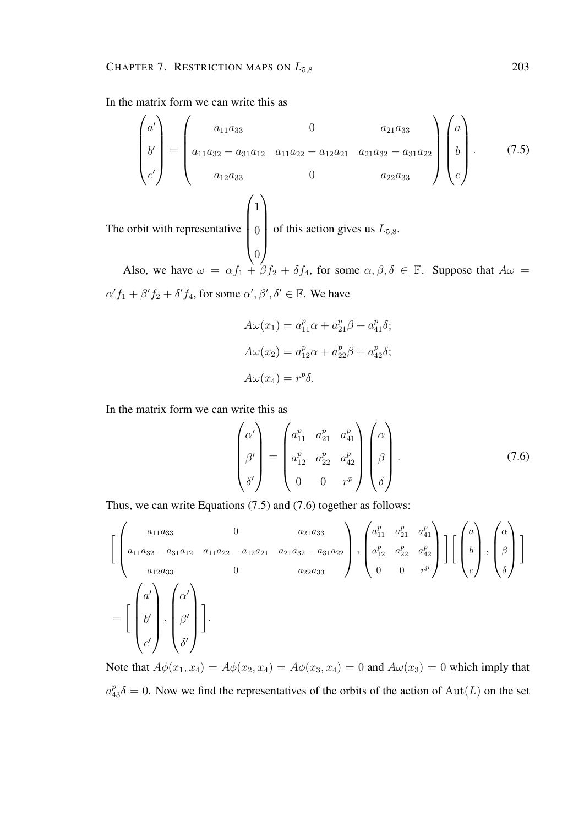In the matrix form we can write this as

$$
\begin{pmatrix} a' \\ b' \\ c' \end{pmatrix} = \begin{pmatrix} a_{11}a_{33} & 0 & a_{21}a_{33} \\ a_{11}a_{32} - a_{31}a_{12} & a_{11}a_{22} - a_{12}a_{21} & a_{21}a_{32} - a_{31}a_{22} \\ a_{12}a_{33} & 0 & a_{22}a_{33} \end{pmatrix} \begin{pmatrix} a \\ b \\ c \end{pmatrix}.
$$
 (7.5)  
The orbit with representative 
$$
\begin{pmatrix} 1 \\ 0 \\ 0 \end{pmatrix}
$$
 of this action gives us  $L_{5,8}$ .

Also, we have  $\omega = \alpha f_1 + \beta f_2 + \delta f_4$ , for some  $\alpha, \beta, \delta \in \mathbb{F}$ . Suppose that  $A\omega =$  $\alpha' f_1 + \beta' f_2 + \delta' f_4$ , for some  $\alpha', \beta', \delta' \in \mathbb{F}$ . We have

$$
A\omega(x_1) = a_{11}^p \alpha + a_{21}^p \beta + a_{41}^p \delta;
$$
  

$$
A\omega(x_2) = a_{12}^p \alpha + a_{22}^p \beta + a_{42}^p \delta;
$$
  

$$
A\omega(x_4) = r^p \delta.
$$

In the matrix form we can write this as

$$
\begin{pmatrix}\n\alpha' \\
\beta' \\
\delta'\n\end{pmatrix} = \begin{pmatrix}\na_{11}^p & a_{21}^p & a_{41}^p \\
a_{12}^p & a_{22}^p & a_{42}^p \\
0 & 0 & r^p\n\end{pmatrix} \begin{pmatrix}\n\alpha \\
\beta \\
\delta\n\end{pmatrix} .
$$
\n(7.6)

Thus, we can write Equations (7.5) and (7.6) together as follows:

$$
\begin{aligned}\n\left[ \begin{pmatrix}\n a_{11}a_{33} & 0 & a_{21}a_{33} \\
 a_{11}a_{32} - a_{31}a_{12} & a_{11}a_{22} - a_{12}a_{21} & a_{21}a_{32} - a_{31}a_{22} \\
 a_{12}a_{33} & 0 & a_{22}a_{33}\n\end{pmatrix}, \begin{pmatrix}\na_{11}^p & a_{21}^p & a_{41}^p \\
 a_{12}^p & a_{22}^p & a_{42}^p \\
 0 & 0 & r^p\n\end{pmatrix} \right] \left[ \begin{pmatrix}\na \\
b \\
c\n\end{pmatrix}, \begin{pmatrix}\n\alpha \\
\beta \\
\delta\n\end{pmatrix} \right]\n\end{aligned}
$$
\n
$$
= \begin{bmatrix}\n\begin{pmatrix}\na' \\
b' \\
c'\n\end{pmatrix}, \begin{pmatrix}\n\alpha \\
\beta \\
\beta\n\end{pmatrix}\n\end{bmatrix}.
$$

Note that  $A\phi(x_1, x_4) = A\phi(x_2, x_4) = A\phi(x_3, x_4) = 0$  and  $A\omega(x_3) = 0$  which imply that  $a_{43}^p \delta = 0$ . Now we find the representatives of the orbits of the action of  $\text{Aut}(L)$  on the set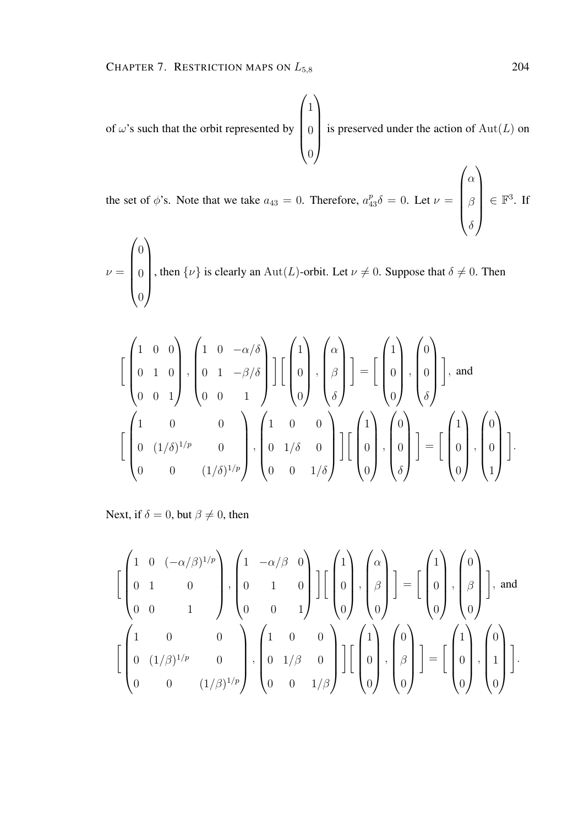of 
$$
\omega
$$
's such that the orbit represented by  $\begin{pmatrix} 1 \\ 0 \\ 0 \end{pmatrix}$  is preserved under the action of  $\text{Aut}(L)$  on

the set of  $\phi$ 's. Note that we take  $a_{43} = 0$ . Therefore,  $a_{43}^p \delta = 0$ . Let  $\nu =$  $\overline{\phantom{a}}$  $\alpha$ β  $\delta$  $\Bigg| \in \mathbb{F}^3$ . If

$$
\nu = \begin{pmatrix} 0 \\ 0 \\ 0 \end{pmatrix}
$$
, then  $\{\nu\}$  is clearly an  $\text{Aut}(L)$ -orbit. Let  $\nu \neq 0$ . Suppose that  $\delta \neq 0$ . Then

$$
\begin{bmatrix} \begin{pmatrix} 1 & 0 & 0 \\ 0 & 1 & 0 \\ 0 & 0 & 1 \end{pmatrix}, \begin{pmatrix} 1 & 0 & -\alpha/\delta \\ 0 & 1 & -\beta/\delta \\ 0 & 0 & 1 \end{pmatrix} \end{bmatrix} \begin{bmatrix} 1 \\ 0 \\ 0 \end{bmatrix}, \begin{pmatrix} \alpha \\ \beta \\ \delta \end{pmatrix} \end{bmatrix} = \begin{bmatrix} 1 \\ 0 \\ 0 \end{bmatrix}, \begin{pmatrix} 0 \\ 0 \\ \delta \end{pmatrix} \end{bmatrix}, \text{ and}
$$

$$
\begin{bmatrix} 1 & 0 & 0 \\ 0 & (1/\delta)^{1/p} & 0 \\ 0 & 0 & (1/\delta)^{1/p} \end{bmatrix}, \begin{pmatrix} 1 & 0 & 0 \\ 0 & 1/\delta & 0 \\ 0 & 0 & 1/\delta \end{pmatrix} \end{bmatrix} \begin{bmatrix} 1 \\ 0 \\ 0 \end{bmatrix}, \begin{pmatrix} 0 \\ 0 \\ \delta \end{pmatrix} \end{bmatrix} = \begin{bmatrix} 1 \\ 0 \\ 0 \end{bmatrix}, \begin{pmatrix} 0 \\ 0 \\ 1 \end{pmatrix}.
$$

Next, if  $\delta = 0$ , but  $\beta \neq 0$ , then

$$
\begin{bmatrix}\n1 & 0 & (-\alpha/\beta)^{1/p} \\
0 & 1 & 0 \\
0 & 0 & 1\n\end{bmatrix}, \n\begin{bmatrix}\n1 & -\alpha/\beta & 0 \\
0 & 1 & 0 \\
0 & 0 & 1\n\end{bmatrix}\n\begin{bmatrix}\n1 \\
0 \\
0\n\end{bmatrix}, \n\begin{bmatrix}\n\alpha \\
\beta \\
\beta\n\end{bmatrix}\n\end{bmatrix} = \n\begin{bmatrix}\n1 \\
0 \\
0\n\end{bmatrix}, \n\begin{bmatrix}\n0 \\
\beta \\
0\n\end{bmatrix}\n\end{bmatrix}, \text{ and}
$$
\n
$$
\begin{bmatrix}\n1 & 0 & 0 \\
0 & (1/\beta)^{1/p} & 0 \\
0 & 0 & (1/\beta)^{1/p}\n\end{bmatrix}, \n\begin{bmatrix}\n1 & 0 & 0 \\
0 & 1/\beta & 0 \\
0 & 0 & 1/\beta\n\end{bmatrix}\n\begin{bmatrix}\n1 \\
0 \\
0\n\end{bmatrix}, \n\begin{bmatrix}\n0 \\
\beta \\
0\n\end{bmatrix}\n\end{bmatrix} = \n\begin{bmatrix}\n1 \\
0 \\
0\n\end{bmatrix}, \n\begin{bmatrix}\n0 \\
1 \\
0\n\end{bmatrix}, \n\begin{bmatrix}\n0 \\
1 \\
0\n\end{bmatrix}\n\end{bmatrix}.
$$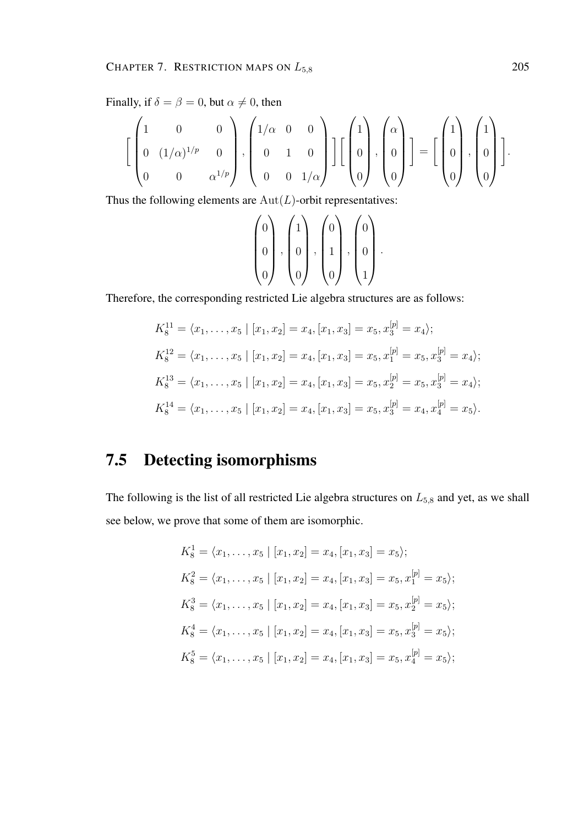Finally, if  $\delta = \beta = 0$ , but  $\alpha \neq 0$ , then

$$
\left[\begin{pmatrix}1&0&0\\0&(1/\alpha)^{1/p}&0\\0&0&\alpha^{1/p}\end{pmatrix},\begin{pmatrix}1/\alpha&0&0\\0&1&0\\0&0&1/\alpha\end{pmatrix}\right]\left[\begin{pmatrix}1\\0\\0\end{pmatrix},\begin{pmatrix}\alpha\\0\\0\end{pmatrix}\right]=\left[\begin{pmatrix}1\\0\\0\end{pmatrix},\begin{pmatrix}1\\0\\0\end{pmatrix}\right].
$$

Thus the following elements are  $Aut(L)$ -orbit representatives:

$$
\begin{pmatrix} 0 \\ 0 \\ 0 \end{pmatrix}, \begin{pmatrix} 1 \\ 0 \\ 0 \end{pmatrix}, \begin{pmatrix} 0 \\ 1 \\ 0 \end{pmatrix}, \begin{pmatrix} 0 \\ 0 \\ 1 \end{pmatrix}.
$$

Therefore, the corresponding restricted Lie algebra structures are as follows:

$$
K_8^{11} = \langle x_1, \dots, x_5 | [x_1, x_2] = x_4, [x_1, x_3] = x_5, x_3^{[p]} = x_4 \rangle;
$$
  
\n
$$
K_8^{12} = \langle x_1, \dots, x_5 | [x_1, x_2] = x_4, [x_1, x_3] = x_5, x_1^{[p]} = x_5, x_3^{[p]} = x_4 \rangle;
$$
  
\n
$$
K_8^{13} = \langle x_1, \dots, x_5 | [x_1, x_2] = x_4, [x_1, x_3] = x_5, x_2^{[p]} = x_5, x_3^{[p]} = x_4 \rangle;
$$
  
\n
$$
K_8^{14} = \langle x_1, \dots, x_5 | [x_1, x_2] = x_4, [x_1, x_3] = x_5, x_3^{[p]} = x_4, x_4^{[p]} = x_5 \rangle.
$$

### 7.5 Detecting isomorphisms

The following is the list of all restricted Lie algebra structures on  $L_{5,8}$  and yet, as we shall see below, we prove that some of them are isomorphic.

$$
K_8^1 = \langle x_1, \dots, x_5 \mid [x_1, x_2] = x_4, [x_1, x_3] = x_5 \rangle;
$$
  
\n
$$
K_8^2 = \langle x_1, \dots, x_5 \mid [x_1, x_2] = x_4, [x_1, x_3] = x_5, x_1^{[p]} = x_5 \rangle;
$$
  
\n
$$
K_8^3 = \langle x_1, \dots, x_5 \mid [x_1, x_2] = x_4, [x_1, x_3] = x_5, x_2^{[p]} = x_5 \rangle;
$$
  
\n
$$
K_8^4 = \langle x_1, \dots, x_5 \mid [x_1, x_2] = x_4, [x_1, x_3] = x_5, x_3^{[p]} = x_5 \rangle;
$$
  
\n
$$
K_8^5 = \langle x_1, \dots, x_5 \mid [x_1, x_2] = x_4, [x_1, x_3] = x_5, x_4^{[p]} = x_5 \rangle;
$$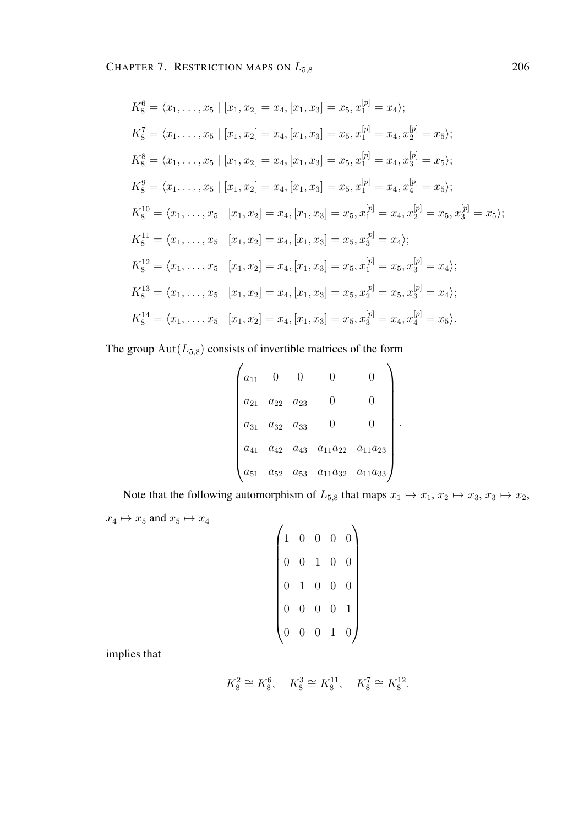$$
K_8^6 = \langle x_1, \ldots, x_5 \mid [x_1, x_2] = x_4, [x_1, x_3] = x_5, x_1^{[p]} = x_4 \rangle;
$$
  
\n
$$
K_8^7 = \langle x_1, \ldots, x_5 \mid [x_1, x_2] = x_4, [x_1, x_3] = x_5, x_1^{[p]} = x_4, x_2^{[p]} = x_5 \rangle;
$$
  
\n
$$
K_8^8 = \langle x_1, \ldots, x_5 \mid [x_1, x_2] = x_4, [x_1, x_3] = x_5, x_1^{[p]} = x_4, x_3^{[p]} = x_5 \rangle;
$$
  
\n
$$
K_8^9 = \langle x_1, \ldots, x_5 \mid [x_1, x_2] = x_4, [x_1, x_3] = x_5, x_1^{[p]} = x_4, x_4^{[p]} = x_5 \rangle;
$$
  
\n
$$
K_8^{10} = \langle x_1, \ldots, x_5 \mid [x_1, x_2] = x_4, [x_1, x_3] = x_5, x_1^{[p]} = x_4, x_2^{[p]} = x_5, x_3^{[p]} = x_5 \rangle;
$$
  
\n
$$
K_8^{11} = \langle x_1, \ldots, x_5 \mid [x_1, x_2] = x_4, [x_1, x_3] = x_5, x_3^{[p]} = x_4 \rangle;
$$
  
\n
$$
K_8^{12} = \langle x_1, \ldots, x_5 \mid [x_1, x_2] = x_4, [x_1, x_3] = x_5, x_1^{[p]} = x_5, x_3^{[p]} = x_4 \rangle;
$$
  
\n
$$
K_8^{13} = \langle x_1, \ldots, x_5 \mid [x_1, x_2] = x_4, [x_1, x_3] = x_5, x_2^{[p]} = x_5, x_3^{[p]} = x_4 \rangle;
$$
  
\n
$$
K_8^{14} = \langle x_1, \ldots, x_5 \mid [x_1, x_2] = x_4, [x_1, x_3] = x_5, x_3^{[p]} = x_4, x_4^{[p]} = x_5 \
$$

The group  $\text{Aut}(L_{5,8})$  consists of invertible matrices of the form

$$
\begin{pmatrix} a_{11} & 0 & 0 & 0 & 0 \ a_{21} & a_{22} & a_{23} & 0 & 0 \ a_{31} & a_{32} & a_{33} & 0 & 0 \ a_{41} & a_{42} & a_{43} & a_{11}a_{22} & a_{11}a_{23} \ a_{51} & a_{52} & a_{53} & a_{11}a_{32} & a_{11}a_{33} \end{pmatrix}.
$$

Note that the following automorphism of  $L_{5,8}$  that maps  $x_1 \mapsto x_1, x_2 \mapsto x_3, x_3 \mapsto x_2$ ,  $x_4\mapsto x_5$  and  $x_5\mapsto x_4$ 

$$
\begin{pmatrix}\n1 & 0 & 0 & 0 & 0 \\
0 & 0 & 1 & 0 & 0 \\
0 & 1 & 0 & 0 & 0 \\
0 & 0 & 0 & 0 & 1 \\
0 & 0 & 0 & 1 & 0\n\end{pmatrix}
$$

implies that

$$
K_8^2 \cong K_8^6
$$
,  $K_8^3 \cong K_8^{11}$ ,  $K_8^7 \cong K_8^{12}$ .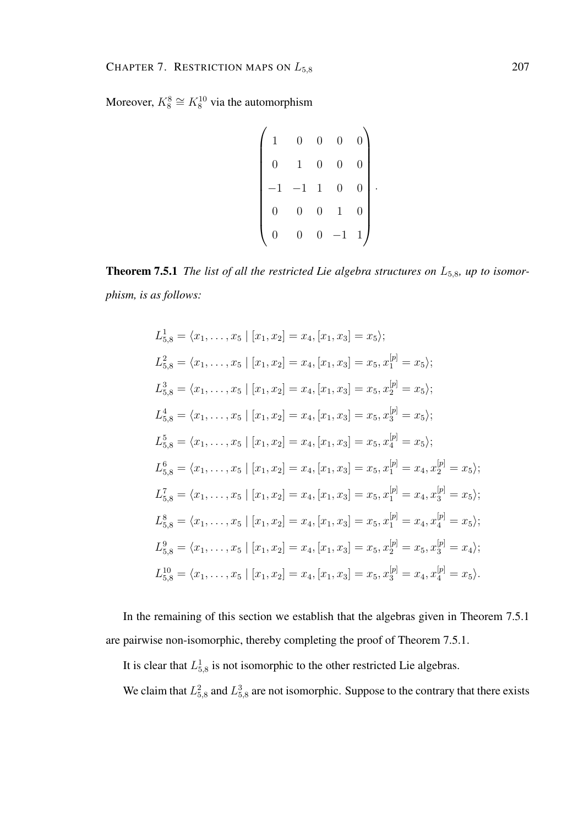Moreover,  $K_8^8 \cong K_8^{10}$  via the automorphism

$$
\begin{pmatrix} 1 & 0 & 0 & 0 & 0 \\ 0 & 1 & 0 & 0 & 0 \\ -1 & -1 & 1 & 0 & 0 \\ 0 & 0 & 0 & 1 & 0 \\ 0 & 0 & 0 & -1 & 1 \end{pmatrix}.
$$

**Theorem 7.5.1** *The list of all the restricted Lie algebra structures on L*<sub>5,8</sub>*, up to isomorphism, is as follows:*

$$
L_{5,8}^{1} = \langle x_{1}, \ldots, x_{5} \mid [x_{1}, x_{2}] = x_{4}, [x_{1}, x_{3}] = x_{5} \rangle;
$$
\n
$$
L_{5,8}^{2} = \langle x_{1}, \ldots, x_{5} \mid [x_{1}, x_{2}] = x_{4}, [x_{1}, x_{3}] = x_{5}, x_{1}^{[p]} = x_{5} \rangle;
$$
\n
$$
L_{5,8}^{3} = \langle x_{1}, \ldots, x_{5} \mid [x_{1}, x_{2}] = x_{4}, [x_{1}, x_{3}] = x_{5}, x_{2}^{[p]} = x_{5} \rangle;
$$
\n
$$
L_{5,8}^{4} = \langle x_{1}, \ldots, x_{5} \mid [x_{1}, x_{2}] = x_{4}, [x_{1}, x_{3}] = x_{5}, x_{3}^{[p]} = x_{5} \rangle;
$$
\n
$$
L_{5,8}^{5} = \langle x_{1}, \ldots, x_{5} \mid [x_{1}, x_{2}] = x_{4}, [x_{1}, x_{3}] = x_{5}, x_{4}^{[p]} = x_{5} \rangle;
$$
\n
$$
L_{5,8}^{6} = \langle x_{1}, \ldots, x_{5} \mid [x_{1}, x_{2}] = x_{4}, [x_{1}, x_{3}] = x_{5}, x_{1}^{[p]} = x_{4}, x_{2}^{[p]} = x_{5} \rangle;
$$
\n
$$
L_{5,8}^{7} = \langle x_{1}, \ldots, x_{5} \mid [x_{1}, x_{2}] = x_{4}, [x_{1}, x_{3}] = x_{5}, x_{1}^{[p]} = x_{4}, x_{3}^{[p]} = x_{5} \rangle;
$$
\n
$$
L_{5,8}^{8} = \langle x_{1}, \ldots, x_{5} \mid [x_{1}, x_{2}] = x_{4}, [x_{1}, x_{3}] = x_{5}, x_{1}^{[p]} = x_{4}, x_{4}^{[p]} = x_{5} \rangle;
$$
\n
$$
L_{5,8}^{9} = \langle x_{1}, \ldots, x_{5} \mid [x_{1}, x_{2}] = x_{4}, [x_{1}, x_{3}] = x_{5}, x_{2}^{[p]} = x_{5}, x_{3}^{[p]} = x_{4} \rangle;
$$
\n
$$
L_{5,8}^{10
$$

In the remaining of this section we establish that the algebras given in Theorem 7.5.1 are pairwise non-isomorphic, thereby completing the proof of Theorem 7.5.1.

It is clear that  $L_{5,8}^1$  is not isomorphic to the other restricted Lie algebras.

We claim that  $L_{5,8}^2$  and  $L_{5,8}^3$  are not isomorphic. Suppose to the contrary that there exists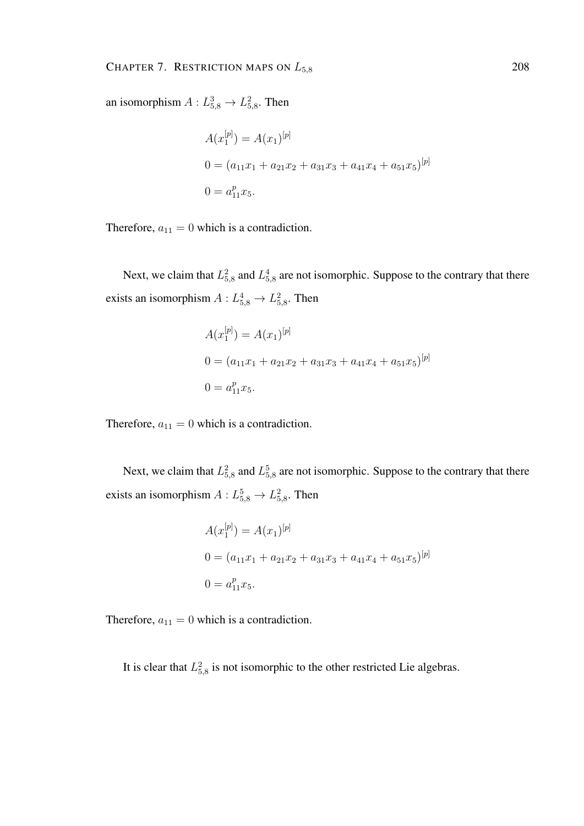an isomorphism  $A: L_{5,8}^3 \rightarrow L_{5,8}^2$ . Then

$$
A(x_1^{[p]}) = A(x_1)^{[p]}
$$
  
\n
$$
0 = (a_{11}x_1 + a_{21}x_2 + a_{31}x_3 + a_{41}x_4 + a_{51}x_5)^{[p]}
$$
  
\n
$$
0 = a_{11}^p x_5.
$$

Therefore,  $a_{11} = 0$  which is a contradiction.

Next, we claim that  $L_{5,8}^2$  and  $L_{5,8}^4$  are not isomorphic. Suppose to the contrary that there exists an isomorphism  $A: L_{5,8}^4 \rightarrow L_{5,8}^2$ . Then

$$
A(x_1^{[p]}) = A(x_1)^{[p]}
$$
  
\n
$$
0 = (a_{11}x_1 + a_{21}x_2 + a_{31}x_3 + a_{41}x_4 + a_{51}x_5)^{[p]}
$$
  
\n
$$
0 = a_{11}^p x_5.
$$

Therefore,  $a_{11} = 0$  which is a contradiction.

Next, we claim that  $L_{5,8}^2$  and  $L_{5,8}^5$  are not isomorphic. Suppose to the contrary that there exists an isomorphism  $A: L_{5,8}^5 \rightarrow L_{5,8}^2$ . Then

$$
A(x_1^{[p]}) = A(x_1)^{[p]}
$$
  
\n
$$
0 = (a_{11}x_1 + a_{21}x_2 + a_{31}x_3 + a_{41}x_4 + a_{51}x_5)^{[p]}
$$
  
\n
$$
0 = a_{11}^p x_5.
$$

Therefore,  $a_{11} = 0$  which is a contradiction.

It is clear that  $L_{5,8}^2$  is not isomorphic to the other restricted Lie algebras.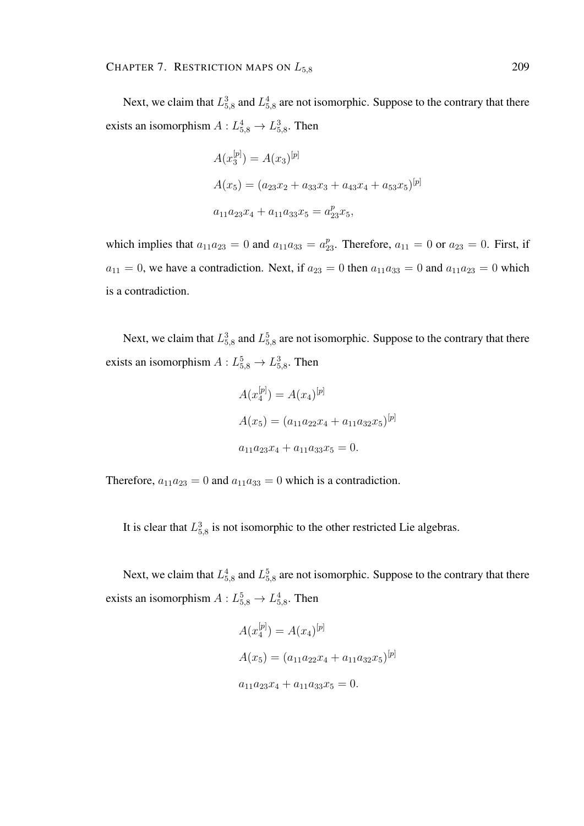Next, we claim that  $L_{5,8}^3$  and  $L_{5,8}^4$  are not isomorphic. Suppose to the contrary that there exists an isomorphism  $A: L_{5,8}^4 \rightarrow L_{5,8}^3$ . Then

$$
A(x_3^{[p]}) = A(x_3)^{[p]}
$$
  
\n
$$
A(x_5) = (a_{23}x_2 + a_{33}x_3 + a_{43}x_4 + a_{53}x_5)^{[p]}
$$
  
\n
$$
a_{11}a_{23}x_4 + a_{11}a_{33}x_5 = a_{23}^px_5,
$$

which implies that  $a_{11}a_{23} = 0$  and  $a_{11}a_{33} = a_{23}^p$ . Therefore,  $a_{11} = 0$  or  $a_{23} = 0$ . First, if  $a_{11} = 0$ , we have a contradiction. Next, if  $a_{23} = 0$  then  $a_{11}a_{33} = 0$  and  $a_{11}a_{23} = 0$  which is a contradiction.

Next, we claim that  $L_{5,8}^3$  and  $L_{5,8}^5$  are not isomorphic. Suppose to the contrary that there exists an isomorphism  $A: L_{5,8}^5 \rightarrow L_{5,8}^3$ . Then

$$
A(x_4^{[p]}) = A(x_4)^{[p]}
$$
  
\n
$$
A(x_5) = (a_{11}a_{22}x_4 + a_{11}a_{32}x_5)^{[p]}
$$
  
\n
$$
a_{11}a_{23}x_4 + a_{11}a_{33}x_5 = 0.
$$

Therefore,  $a_{11}a_{23} = 0$  and  $a_{11}a_{33} = 0$  which is a contradiction.

It is clear that  $L_{5,8}^3$  is not isomorphic to the other restricted Lie algebras.

Next, we claim that  $L_{5,8}^4$  and  $L_{5,8}^5$  are not isomorphic. Suppose to the contrary that there exists an isomorphism  $A: L_{5,8}^5 \rightarrow L_{5,8}^4$ . Then

$$
A(x_4^{[p]}) = A(x_4)^{[p]}
$$
  
\n
$$
A(x_5) = (a_{11}a_{22}x_4 + a_{11}a_{32}x_5)^{[p]}
$$
  
\n
$$
a_{11}a_{23}x_4 + a_{11}a_{33}x_5 = 0.
$$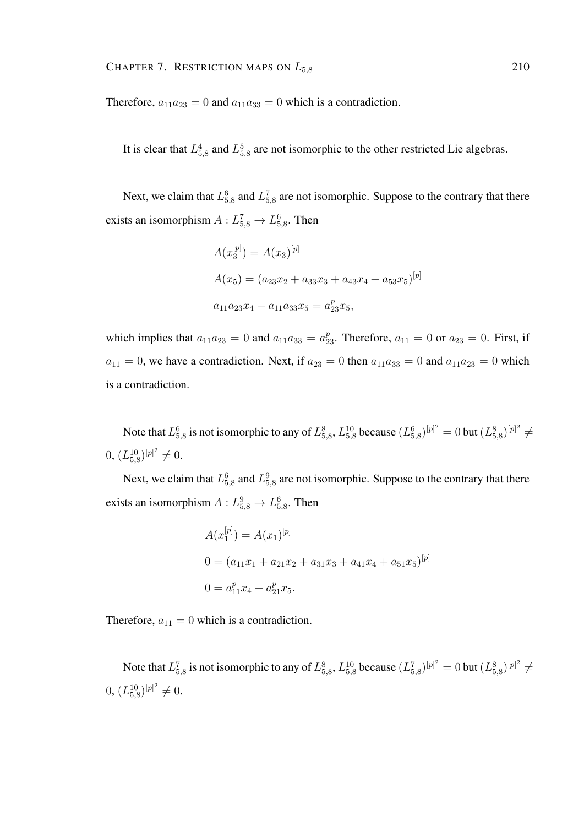Therefore,  $a_{11}a_{23} = 0$  and  $a_{11}a_{33} = 0$  which is a contradiction.

It is clear that  $L_{5,8}^4$  and  $L_{5,8}^5$  are not isomorphic to the other restricted Lie algebras.

Next, we claim that  $L_{5,8}^6$  and  $L_{5,8}^7$  are not isomorphic. Suppose to the contrary that there exists an isomorphism  $A: L_{5,8}^7 \rightarrow L_{5,8}^6$ . Then

$$
A(x_3^{[p]}) = A(x_3)^{[p]}
$$
  
\n
$$
A(x_5) = (a_{23}x_2 + a_{33}x_3 + a_{43}x_4 + a_{53}x_5)^{[p]}
$$
  
\n
$$
a_{11}a_{23}x_4 + a_{11}a_{33}x_5 = a_{23}^px_5,
$$

which implies that  $a_{11}a_{23} = 0$  and  $a_{11}a_{33} = a_{23}^p$ . Therefore,  $a_{11} = 0$  or  $a_{23} = 0$ . First, if  $a_{11} = 0$ , we have a contradiction. Next, if  $a_{23} = 0$  then  $a_{11}a_{33} = 0$  and  $a_{11}a_{23} = 0$  which is a contradiction.

Note that  $L_{5,8}^6$  is not isomorphic to any of  $L_{5,8}^8$ ,  $L_{5,8}^{10}$  because  $(L_{5,8}^6)^{[p]^2}=0$  but  $(L_{5,8}^8)^{[p]^2}\neq$  $(0, (L_{5,8}^{10})^{[p]^2} \neq 0.$ 

Next, we claim that  $L_{5,8}^6$  and  $L_{5,8}^9$  are not isomorphic. Suppose to the contrary that there exists an isomorphism  $A: L_{5,8}^9 \to L_{5,8}^6$ . Then

$$
A(x_1^{[p]}) = A(x_1)^{[p]}
$$
  
\n
$$
0 = (a_{11}x_1 + a_{21}x_2 + a_{31}x_3 + a_{41}x_4 + a_{51}x_5)^{[p]}
$$
  
\n
$$
0 = a_{11}^p x_4 + a_{21}^p x_5.
$$

Therefore,  $a_{11} = 0$  which is a contradiction.

Note that  $L_{5,8}^7$  is not isomorphic to any of  $L_{5,8}^8$ ,  $L_{5,8}^{10}$  because  $(L_{5,8}^7)^{[p]^2} = 0$  but  $(L_{5,8}^8)^{[p]^2} \neq$  $(0, (L_{5,8}^{10})^{[p]^2} \neq 0.$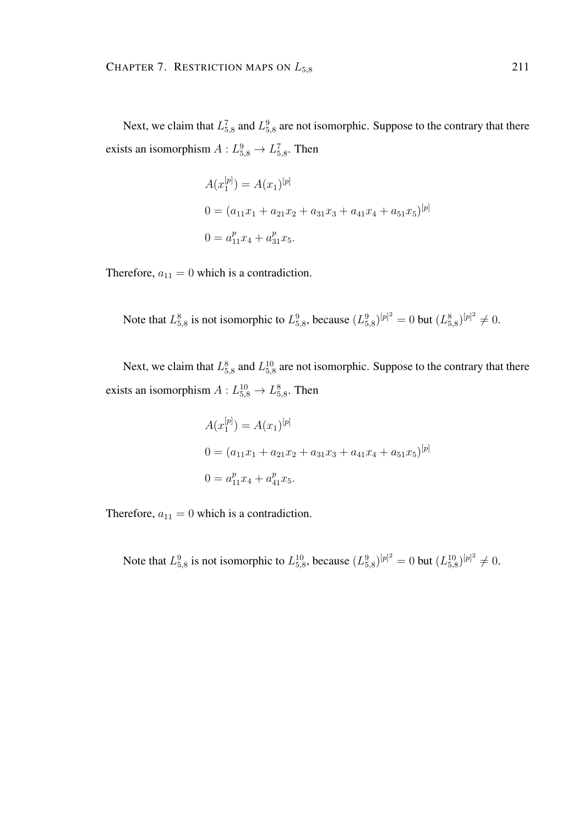Next, we claim that  $L_{5,8}^7$  and  $L_{5,8}^9$  are not isomorphic. Suppose to the contrary that there exists an isomorphism  $A: L_{5,8}^9 \rightarrow L_{5,8}^7$ . Then

$$
A(x_1^{[p]}) = A(x_1)^{[p]}
$$
  
\n
$$
0 = (a_{11}x_1 + a_{21}x_2 + a_{31}x_3 + a_{41}x_4 + a_{51}x_5)^{[p]}
$$
  
\n
$$
0 = a_{11}^px_4 + a_{31}^px_5.
$$

Therefore,  $a_{11} = 0$  which is a contradiction.

Note that  $L_{5,8}^8$  is not isomorphic to  $L_{5,8}^9$ , because  $(L_{5,8}^9)^{[p]^2} = 0$  but  $(L_{5,8}^8)^{[p]^2} \neq 0$ .

Next, we claim that  $L_{5,8}^8$  and  $L_{5,8}^{10}$  are not isomorphic. Suppose to the contrary that there exists an isomorphism  $A: L_{5,8}^{10} \to L_{5,8}^{8}$ . Then

$$
A(x_1^{[p]}) = A(x_1)^{[p]}
$$
  
\n
$$
0 = (a_{11}x_1 + a_{21}x_2 + a_{31}x_3 + a_{41}x_4 + a_{51}x_5)^{[p]}
$$
  
\n
$$
0 = a_{11}^px_4 + a_{41}^px_5.
$$

Therefore,  $a_{11} = 0$  which is a contradiction.

Note that  $L_{5,8}^9$  is not isomorphic to  $L_{5,8}^{10}$ , because  $(L_{5,8}^9)^{[p]^2} = 0$  but  $(L_{5,8}^{10})^{[p]^2} \neq 0$ .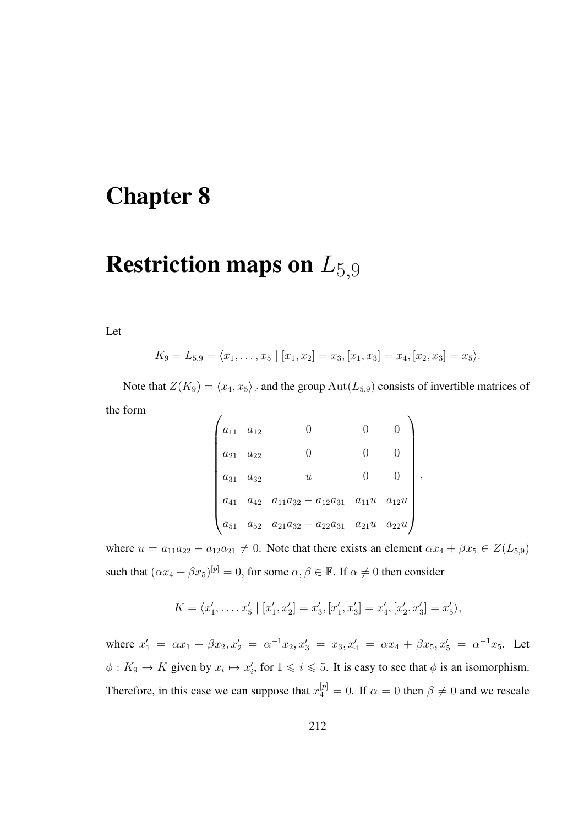## Chapter 8

# **Restriction maps on**  $L_{5,9}$

Let

$$
K_9 = L_{5,9} = \langle x_1, \ldots, x_5 \mid [x_1, x_2] = x_3, [x_1, x_3] = x_4, [x_2, x_3] = x_5 \rangle.
$$

Note that  $Z(K_9) = \langle x_4, x_5 \rangle_{\mathbb{F}}$  and the group  $\text{Aut}(L_{5,9})$  consists of invertible matrices of the form

$$
\begin{pmatrix}\na_{11} & a_{12} & 0 & 0 & 0 \\
a_{21} & a_{22} & 0 & 0 & 0 \\
a_{31} & a_{32} & u & 0 & 0 \\
a_{41} & a_{42} & a_{11}a_{32} - a_{12}a_{31} & a_{11}u & a_{12}u \\
a_{51} & a_{52} & a_{21}a_{32} - a_{22}a_{31} & a_{21}u & a_{22}u\n\end{pmatrix}
$$

,

where  $u = a_{11}a_{22} - a_{12}a_{21} \neq 0$ . Note that there exists an element  $\alpha x_4 + \beta x_5 \in Z(L_{5,9})$ such that  $(\alpha x_4 + \beta x_5)^{[p]} = 0$ , for some  $\alpha, \beta \in \mathbb{F}$ . If  $\alpha \neq 0$  then consider

$$
K = \langle x'_1, \ldots, x'_5 | [x'_1, x'_2] = x'_3, [x'_1, x'_3] = x'_4, [x'_2, x'_3] = x'_5 \rangle,
$$

where  $x'_1 = \alpha x_1 + \beta x_2, x'_2 = \alpha^{-1} x_2, x'_3 = x_3, x'_4 = \alpha x_4 + \beta x_5, x'_5 = \alpha^{-1} x_5$ . Let  $\phi: K_9 \to K$  given by  $x_i \mapsto x'_i$ , for  $1 \leq i \leq 5$ . It is easy to see that  $\phi$  is an isomorphism. Therefore, in this case we can suppose that  $x_4^{[p]} = 0$ . If  $\alpha = 0$  then  $\beta \neq 0$  and we rescale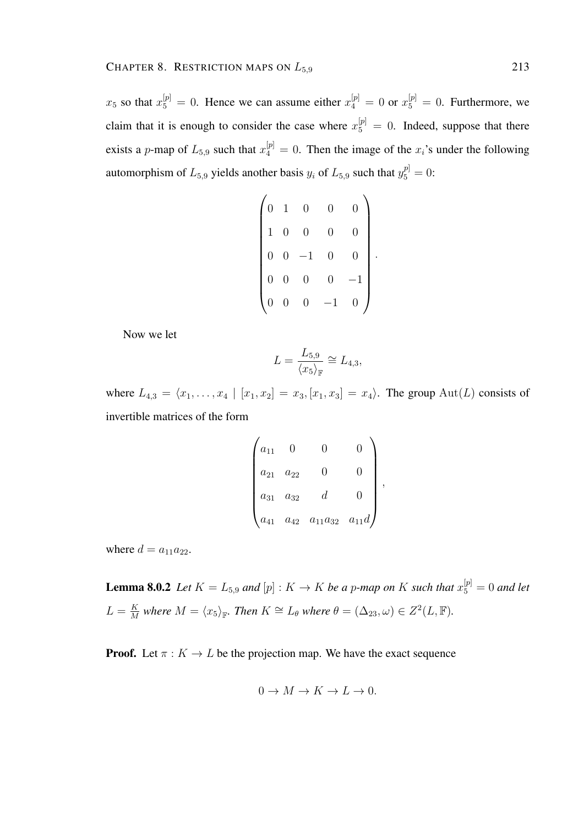$x_5$  so that  $x_5^{[p]} = 0$ . Hence we can assume either  $x_4^{[p]} = 0$  or  $x_5^{[p]} = 0$ . Furthermore, we claim that it is enough to consider the case where  $x_5^{[p]} = 0$ . Indeed, suppose that there exists a *p*-map of  $L_{5,9}$  such that  $x_4^{[p]} = 0$ . Then the image of the  $x_i$ 's under the following automorphism of  $L_{5,9}$  yields another basis  $y_i$  of  $L_{5,9}$  such that  $y_5^{p} = 0$ :

$$
\begin{pmatrix}\n0 & 1 & 0 & 0 & 0 \\
1 & 0 & 0 & 0 & 0 \\
0 & 0 & -1 & 0 & 0 \\
0 & 0 & 0 & 0 & -1 \\
0 & 0 & 0 & -1 & 0\n\end{pmatrix}
$$

.

Now we let

$$
L = \frac{L_{5,9}}{\langle x_5 \rangle_{\mathbb{F}}} \cong L_{4,3},
$$

where  $L_{4,3} = \langle x_1, \ldots, x_4 | [x_1, x_2] = x_3, [x_1, x_3] = x_4 \rangle$ . The group Aut(L) consists of invertible matrices of the form

| $a_{11}$ |          |                    |           |   |
|----------|----------|--------------------|-----------|---|
| $a_{21}$ | $a_{22}$ |                    |           |   |
| $a_{31}$ | $a_{32}$ | d.                 |           | , |
| $a_{41}$ | $a_{42}$ | $a_{11} a_{32} \,$ | $a_{11}d$ |   |

where  $d = a_{11}a_{22}$ .

**Lemma 8.0.2** Let  $K = L_{5,9}$  and  $[p] : K \to K$  be a p-map on K such that  $x_5^{[p]} = 0$  and let  $L = \frac{K}{M}$  $\frac{K}{M}$  where  $M = \langle x_5 \rangle_{\mathbb{F}}$ . Then  $K \cong L_\theta$  where  $\theta = (\Delta_{23}, \omega) \in Z^2(L, \mathbb{F})$ .

**Proof.** Let  $\pi : K \to L$  be the projection map. We have the exact sequence

$$
0 \to M \to K \to L \to 0.
$$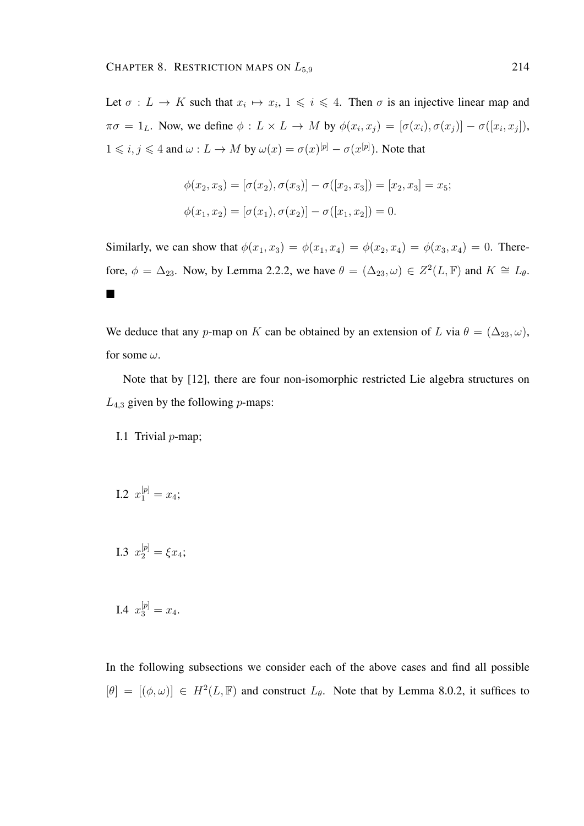Let  $\sigma: L \to K$  such that  $x_i \mapsto x_i, 1 \leq i \leq 4$ . Then  $\sigma$  is an injective linear map and  $\pi\sigma = 1_L$ . Now, we define  $\phi: L \times L \to M$  by  $\phi(x_i, x_j) = [\sigma(x_i), \sigma(x_j)] - \sigma([x_i, x_j]),$  $1 \leq i, j \leq 4$  and  $\omega: L \to M$  by  $\omega(x) = \sigma(x)^{[p]} - \sigma(x^{[p]})$ . Note that

$$
\phi(x_2, x_3) = [\sigma(x_2), \sigma(x_3)] - \sigma([x_2, x_3]) = [x_2, x_3] = x_5;
$$
  

$$
\phi(x_1, x_2) = [\sigma(x_1), \sigma(x_2)] - \sigma([x_1, x_2]) = 0.
$$

Similarly, we can show that  $\phi(x_1, x_3) = \phi(x_1, x_4) = \phi(x_2, x_4) = \phi(x_3, x_4) = 0$ . Therefore,  $\phi = \Delta_{23}$ . Now, by Lemma 2.2.2, we have  $\theta = (\Delta_{23}, \omega) \in Z^2(L, \mathbb{F})$  and  $K \cong L_{\theta}$ .  $\blacksquare$ 

We deduce that any p-map on K can be obtained by an extension of L via  $\theta = (\Delta_{23}, \omega)$ , for some  $\omega$ .

Note that by [12], there are four non-isomorphic restricted Lie algebra structures on  $L_{4,3}$  given by the following *p*-maps:

I.1 Trivial  $p$ -map;

I.2 
$$
x_1^{[p]} = x_4;
$$

I.3 
$$
x_2^{[p]} = \xi x_4;
$$

I.4 
$$
x_3^{[p]} = x_4
$$
.

In the following subsections we consider each of the above cases and find all possible  $[\theta] = [(\phi, \omega)] \in H^2(L, \mathbb{F})$  and construct  $L_{\theta}$ . Note that by Lemma 8.0.2, it suffices to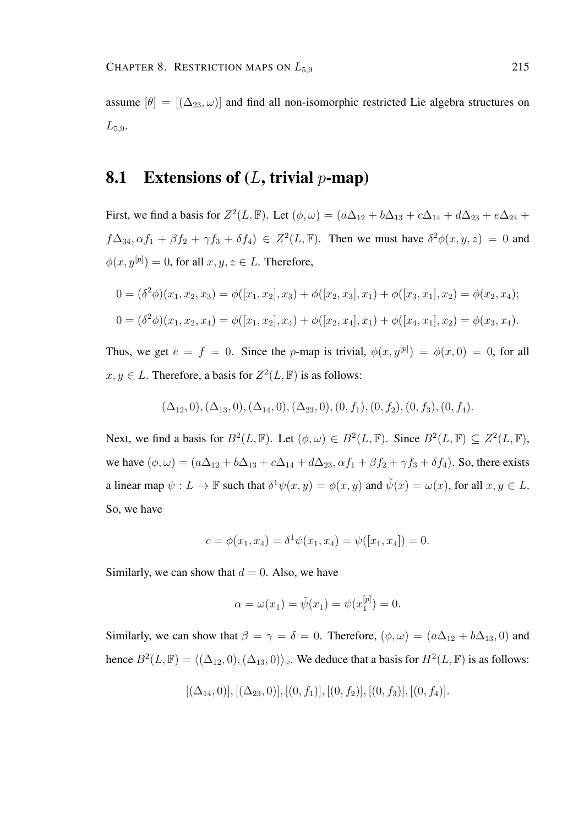assume  $[\theta] = [(\Delta_{23}, \omega)]$  and find all non-isomorphic restricted Lie algebra structures on  $L_{5.9}$ .

#### **8.1** Extensions of  $(L, \text{trivial } p\text{-map})$

First, we find a basis for  $Z^2(L, \mathbb{F})$ . Let  $(\phi, \omega) = (a\Delta_{12} + b\Delta_{13} + c\Delta_{14} + d\Delta_{23} + e\Delta_{24} + d\Delta_{34})$  $f\Delta_{34}, \alpha f_1 + \beta f_2 + \gamma f_3 + \delta f_4$ )  $\in Z^2(L, \mathbb{F})$ . Then we must have  $\delta^2 \phi(x, y, z) = 0$  and  $\phi(x, y^{[p]}) = 0$ , for all  $x, y, z \in L$ . Therefore,

$$
0 = (\delta^2 \phi)(x_1, x_2, x_3) = \phi([x_1, x_2], x_3) + \phi([x_2, x_3], x_1) + \phi([x_3, x_1], x_2) = \phi(x_2, x_4);
$$
  
\n
$$
0 = (\delta^2 \phi)(x_1, x_2, x_4) = \phi([x_1, x_2], x_4) + \phi([x_2, x_4], x_1) + \phi([x_4, x_1], x_2) = \phi(x_3, x_4).
$$

Thus, we get  $e = f = 0$ . Since the p-map is trivial,  $\phi(x, y^{[p]}) = \phi(x, 0) = 0$ , for all  $x, y \in L$ . Therefore, a basis for  $Z^2(L, \mathbb{F})$  is as follows:

$$
(\Delta_{12},0), (\Delta_{13},0), (\Delta_{14},0), (\Delta_{23},0), (0,f_1), (0,f_2), (0,f_3), (0,f_4).
$$

Next, we find a basis for  $B^2(L, \mathbb{F})$ . Let  $(\phi, \omega) \in B^2(L, \mathbb{F})$ . Since  $B^2(L, \mathbb{F}) \subseteq Z^2(L, \mathbb{F})$ , we have  $(\phi, \omega) = (a\Delta_{12} + b\Delta_{13} + c\Delta_{14} + d\Delta_{23}, \alpha f_1 + \beta f_2 + \gamma f_3 + \delta f_4)$ . So, there exists a linear map  $\psi: L \to \mathbb{F}$  such that  $\delta^1 \psi(x, y) = \phi(x, y)$  and  $\tilde{\psi}(x) = \omega(x)$ , for all  $x, y \in L$ . So, we have

$$
c = \phi(x_1, x_4) = \delta^1 \psi(x_1, x_4) = \psi([x_1, x_4]) = 0.
$$

Similarly, we can show that  $d = 0$ . Also, we have

$$
\alpha = \omega(x_1) = \tilde{\psi}(x_1) = \psi(x_1^{[p]}) = 0.
$$

Similarly, we can show that  $\beta = \gamma = \delta = 0$ . Therefore,  $(\phi, \omega) = (a\Delta_{12} + b\Delta_{13}, 0)$  and hence  $B^2(L, \mathbb{F}) = \langle (\Delta_{12}, 0), (\Delta_{13}, 0) \rangle_{\mathbb{F}}$ . We deduce that a basis for  $H^2(L, \mathbb{F})$  is as follows:

$$
[(\Delta_{14},0)], [(\Delta_{23},0)], [(0,f_1)], [(0,f_2)], [(0,f_3)], [(0,f_4)].
$$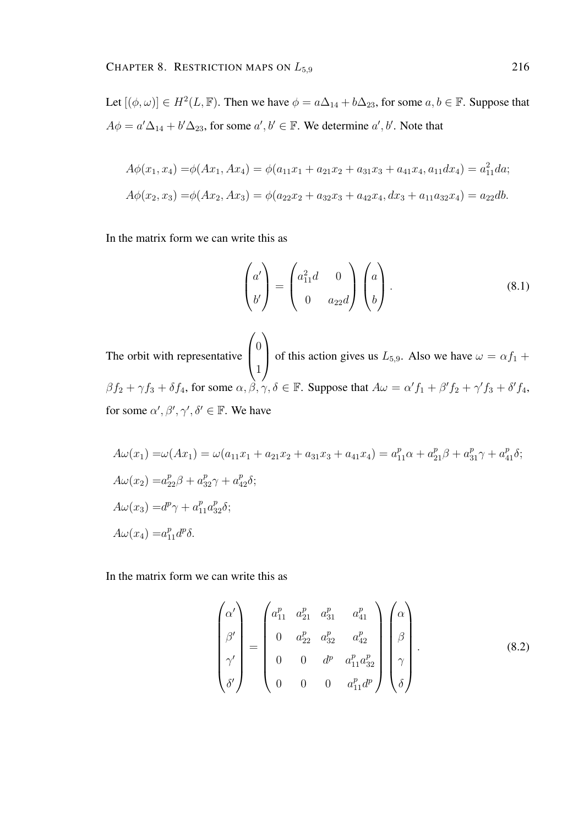Let  $[(\phi, \omega)] \in H^2(L, \mathbb{F})$ . Then we have  $\phi = a\Delta_{14} + b\Delta_{23}$ , for some  $a, b \in \mathbb{F}$ . Suppose that  $A\phi = a'\Delta_{14} + b'\Delta_{23}$ , for some  $a', b' \in \mathbb{F}$ . We determine  $a', b'$ . Note that

$$
A\phi(x_1, x_4) = \phi(Ax_1, Ax_4) = \phi(a_{11}x_1 + a_{21}x_2 + a_{31}x_3 + a_{41}x_4, a_{11}dx_4) = a_{11}^2 da;
$$
  

$$
A\phi(x_2, x_3) = \phi(Ax_2, Ax_3) = \phi(a_{22}x_2 + a_{32}x_3 + a_{42}x_4, dx_3 + a_{11}a_{32}x_4) = a_{22}db.
$$

In the matrix form we can write this as

$$
\begin{pmatrix} a' \\ b' \end{pmatrix} = \begin{pmatrix} a_{11}^2 d & 0 \\ 0 & a_{22} d \end{pmatrix} \begin{pmatrix} a \\ b \end{pmatrix}.
$$
 (8.1)

The orbit with representative  $\sqrt{ }$  $\overline{ }$  $\theta$ 1  $\setminus$ of this action gives us  $L_{5,9}$ . Also we have  $\omega = \alpha f_1 +$  $\beta f_2 + \gamma f_3 + \delta f_4$ , for some  $\alpha, \beta, \gamma, \delta \in \mathbb{F}$ . Suppose that  $A\omega = \alpha' f_1 + \beta' f_2 + \gamma' f_3 + \delta' f_4$ , for some  $\alpha', \beta', \gamma', \delta' \in \mathbb{F}$ . We have

$$
A\omega(x_1) = \omega(Ax_1) = \omega(a_{11}x_1 + a_{21}x_2 + a_{31}x_3 + a_{41}x_4) = a_{11}^p \alpha + a_{21}^p \beta + a_{31}^p \gamma + a_{41}^p \delta;
$$
  
\n
$$
A\omega(x_2) = a_{22}^p \beta + a_{32}^p \gamma + a_{42}^p \delta;
$$
  
\n
$$
A\omega(x_3) = d^p \gamma + a_{11}^p a_{32}^p \delta;
$$
  
\n
$$
A\omega(x_4) = a_{11}^p d^p \delta.
$$

In the matrix form we can write this as

$$
\begin{pmatrix}\n\alpha' \\
\beta' \\
\beta'\n\end{pmatrix} = \begin{pmatrix}\na_{11}^p & a_{21}^p & a_{31}^p & a_{41}^p \\
0 & a_{22}^p & a_{32}^p & a_{42}^p \\
0 & 0 & d^p & a_{11}^p a_{32}^p \\
0 & 0 & 0 & a_{11}^p d^p\n\end{pmatrix} \begin{pmatrix}\n\alpha \\
\beta \\
\beta \\
\gamma \\
\delta\n\end{pmatrix}.
$$
\n(8.2)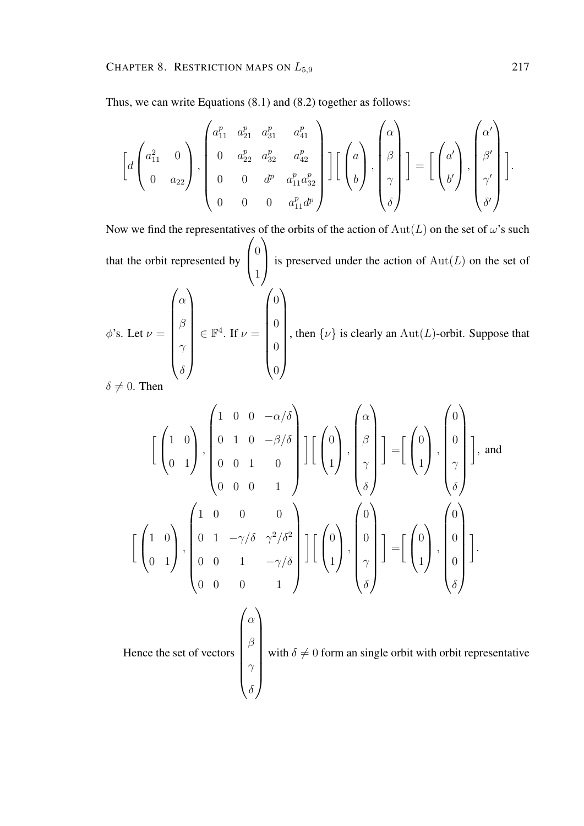Thus, we can write Equations (8.1) and (8.2) together as follows:

$$
\begin{bmatrix} d \begin{pmatrix} a_{11}^2 & 0 \\ 0 & a_{22} \end{pmatrix}, \begin{bmatrix} a_{11}^p & a_{21}^p & a_{31}^p & a_{41}^p \\ 0 & a_{22}^p & a_{32}^p & a_{42}^p \\ 0 & 0 & d^p & a_{11}^p a_{32}^p \\ 0 & 0 & 0 & a_{11}^p d^p \end{bmatrix} \end{bmatrix} \begin{bmatrix} a \\ \beta \\ \gamma \\ \delta \end{bmatrix} = \begin{bmatrix} a' \\ b' \end{bmatrix}, \begin{bmatrix} \alpha' \\ \beta' \\ \gamma' \\ \delta' \end{bmatrix} \end{bmatrix}.
$$

Now we find the representatives of the orbits of the action of  $Aut(L)$  on the set of  $\omega$ 's such that the orbit represented by  $\sqrt{ }$  $\left\lfloor \right\rfloor$  $\overline{0}$ 1  $\setminus$ is preserved under the action of  $Aut(L)$  on the set of  $\phi$ 's. Let  $\nu =$  $\int \alpha$  $\begin{array}{|c|c|} \hline \rule{0pt}{12pt} \rule{0pt}{2pt} \rule{0pt}{2pt} \rule{0pt}{2pt} \rule{0pt}{2pt} \rule{0pt}{2pt} \rule{0pt}{2pt} \rule{0pt}{2pt} \rule{0pt}{2pt} \rule{0pt}{2pt} \rule{0pt}{2pt} \rule{0pt}{2pt} \rule{0pt}{2pt} \rule{0pt}{2pt} \rule{0pt}{2pt} \rule{0pt}{2pt} \rule{0pt}{2pt} \rule{0pt}{2pt} \rule{0pt}{2pt} \rule{0pt}{2pt} \rule{0pt}{2pt} \rule{0pt}{2pt} \rule{0pt}{2$ β  $\gamma$  $\setminus$  $\begin{array}{c} \hline \end{array}$  $\in \mathbb{F}^4$ . If  $\nu =$  $\int_0$  0 0  $\setminus$  $\overline{\phantom{a}}$ , then  $\{\nu\}$  is clearly an Aut(L)-orbit. Suppose that

0

 $\delta \neq 0$ . Then

 $\delta$ 

$$
\begin{bmatrix} \begin{pmatrix} 1 & 0 \\ 0 & 1 \end{pmatrix}, \begin{pmatrix} 1 & 0 & 0 & -\alpha/\delta \\ 0 & 1 & 0 & -\beta/\delta \\ 0 & 0 & 1 & 0 \\ 0 & 0 & 0 & 1 \end{pmatrix} \end{bmatrix} \begin{bmatrix} \begin{pmatrix} 0 \\ \beta \\ \gamma \\ \delta \end{pmatrix} \end{bmatrix} = \begin{bmatrix} \begin{pmatrix} 0 \\ 0 \\ 1 \end{pmatrix}, \begin{pmatrix} 0 \\ 0 \\ \gamma \\ \delta \end{pmatrix} \end{bmatrix}, \text{ and}
$$

$$
\begin{bmatrix} \begin{pmatrix} 1 & 0 \\ 0 & 1 \end{pmatrix}, \begin{pmatrix} 1 & 0 & 0 & 0 \\ 0 & 1 & -\gamma/\delta & \gamma^2/\delta^2 \\ 0 & 0 & 1 & -\gamma/\delta \\ 0 & 0 & 0 & 1 \end{pmatrix} \end{bmatrix} \begin{bmatrix} \begin{pmatrix} 0 \\ 0 \\ 1 \end{pmatrix}, \begin{pmatrix} 0 \\ 0 \\ \gamma \\ \delta \end{pmatrix} \end{bmatrix} = \begin{bmatrix} \begin{pmatrix} 0 \\ 1 \end{pmatrix}, \begin{pmatrix} 0 \\ 0 \\ 0 \\ \delta \end{pmatrix} \end{bmatrix}.
$$
  
Hence the set of vectors 
$$
\begin{pmatrix} \alpha \\ \beta \\ \gamma \\ \delta \end{pmatrix}
$$
 with  $\delta \neq 0$  form an single orbit with orbit representative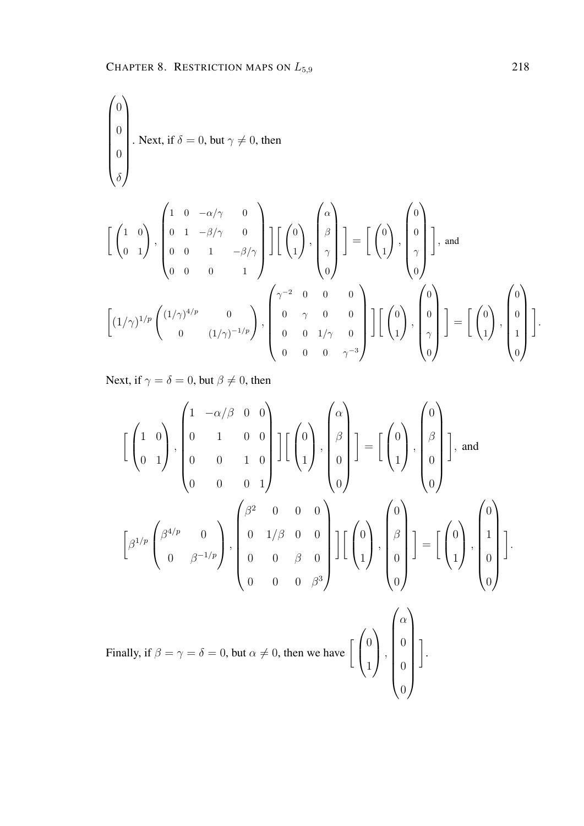$$
\begin{pmatrix}\n0 \\
0 \\
0 \\
\delta\n\end{pmatrix}.
$$
 Next, if  $\delta = 0$ , but  $\gamma \neq 0$ , then\n
$$
\begin{bmatrix}\n1 & 0 & -\alpha/\gamma & 0 \\
0 & 1 & -\beta/\gamma & 0 \\
0 & 0 & 1 & -\beta/\gamma\n\end{bmatrix}\n\begin{bmatrix}\n0 \\
1 \\
\delta\n\end{bmatrix}, \begin{bmatrix}\n\alpha \\
\beta \\
\gamma \\
\delta\n\end{bmatrix} = \n\begin{bmatrix}\n0 \\
1 \\
\delta\n\end{bmatrix}, \begin{bmatrix}\n0 \\
0 \\
\gamma \\
\delta\n\end{bmatrix}, \text{ and}
$$
\n
$$
\begin{bmatrix}\n(1/\gamma)^{1/p} \begin{pmatrix}\n(1/\gamma)^{4/p} & 0 \\
0 & (1/\gamma)^{-1/p}\n\end{pmatrix}, \begin{bmatrix}\n\gamma^{-2} & 0 & 0 & 0 \\
0 & \gamma & 0 & 0 \\
0 & 0 & 1/\gamma & 0 \\
0 & 0 & 0 & \gamma^{-3}\n\end{bmatrix}\n\begin{bmatrix}\n0 \\
0 \\
1\n\end{bmatrix}, \begin{bmatrix}\n0 \\
0 \\
\gamma \\
0\n\end{bmatrix}\n=\n\begin{bmatrix}\n0 \\
0 \\
1\n\end{bmatrix}, \begin{bmatrix}\n0 \\
0 \\
1\n\end{bmatrix}.
$$

Next, if  $\gamma = \delta = 0$ , but  $\beta \neq 0$ , then

$$
\begin{bmatrix} \begin{pmatrix} 1 & 0 \ 0 & 1 \end{pmatrix}, \begin{pmatrix} 1 & -\alpha/\beta & 0 & 0 \ 0 & 1 & 0 & 0 \ 0 & 0 & 1 & 0 \end{pmatrix} \end{bmatrix} \begin{bmatrix} \begin{pmatrix} 0 \ 1 \end{pmatrix}, \begin{pmatrix} \begin{pmatrix} 0 \ \beta \ 0 \end{pmatrix} \end{bmatrix} = \begin{bmatrix} \begin{pmatrix} 0 \ 1 \end{pmatrix}, \begin{pmatrix} 0 \ \begin{pmatrix} \beta \ 0 \end{pmatrix} \end{bmatrix}, \text{ and}
$$

$$
\begin{bmatrix} \beta^{1/p} \begin{pmatrix} \beta^{4/p} & 0 \ 0 & \beta^{-1/p} \end{pmatrix}, \begin{pmatrix} \beta^{2} & 0 & 0 & 0 \ 0 & 1/\beta & 0 & 0 \ 0 & 0 & \beta & 0 \end{pmatrix} \end{bmatrix} \begin{bmatrix} \begin{pmatrix} 0 \ 1 \end{pmatrix}, \begin{pmatrix} 0 \ \beta \ 1 \end{pmatrix} \end{bmatrix} = \begin{bmatrix} \begin{pmatrix} 0 \ 1 \end{pmatrix}, \begin{pmatrix} 0 \ 1 \ 0 \end{pmatrix} \end{bmatrix}.
$$
  
Finally, if  $\beta = \gamma = \delta = 0$ , but  $\alpha \neq 0$ , then we have  $\begin{bmatrix} \begin{pmatrix} 0 \ 1 \end{pmatrix}, \begin{pmatrix} \begin{pmatrix} \alpha \ 0 \ 0 \end{pmatrix} \end{bmatrix}$ .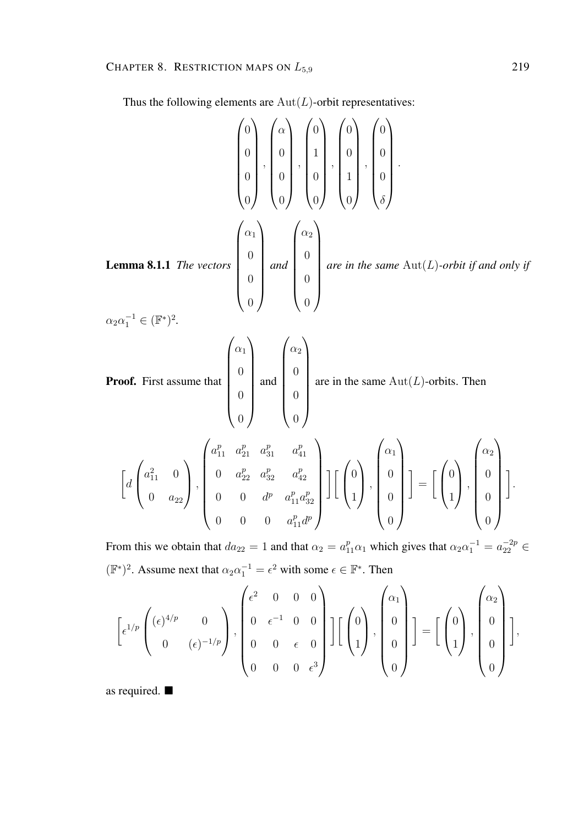Thus the following elements are  $\operatorname{Aut}(L)$  -orbit representatives:

**Lemma 8.1.1** The vectors  
\n
$$
\begin{pmatrix}\n0 \\
0 \\
0 \\
0\n\end{pmatrix}, \begin{pmatrix}\n\alpha \\
0 \\
0 \\
0\n\end{pmatrix}, \begin{pmatrix}\n0 \\
1 \\
0 \\
0\n\end{pmatrix}, \begin{pmatrix}\n0 \\
0 \\
1 \\
0\n\end{pmatrix}, \begin{pmatrix}\n0 \\
0 \\
0 \\
0\n\end{pmatrix}.
$$
\n**Lemma 8.1.1** The vectors  
\n
$$
\begin{pmatrix}\n\alpha_1 \\
0 \\
0 \\
0\n\end{pmatrix} and \begin{pmatrix}\n\alpha_2 \\
0 \\
0 \\
0\n\end{pmatrix} are in the same Aut(L)-orbit if and only if
$$
\n
$$
\alpha_2 \alpha_1^{-1} \in (\mathbb{F}^*)^2.
$$
\n**Proof.** First assume that  
\n
$$
\begin{pmatrix}\n\alpha_1 \\
0 \\
0 \\
0\n\end{pmatrix} and \begin{pmatrix}\n\alpha_2 \\
0 \\
0 \\
0\n\end{pmatrix} are in the same Aut(L)-orbit. Then\n
$$
\begin{bmatrix}\n\alpha_1^p & \alpha_2^p & \alpha_3^p & \alpha_4^p \\
0 & 0 & \alpha_2^p & \alpha_3^p & \alpha_4^p \\
0 & 0 & \alpha_p^p & \alpha_{11}^p & \alpha_p^p\n\end{bmatrix} \begin{bmatrix}\n\alpha_1 \\
0 \\
0 \\
0\n\end{bmatrix}, \begin{pmatrix}\n\alpha_1 \\
0 \\
0 \\
0\n\end{pmatrix} = \begin{bmatrix}\n\alpha_1 \\
0 \\
1\n\end{bmatrix}, \begin{pmatrix}\n\alpha_2 \\
0 \\
0 \\
0\n\end{pmatrix}.
$$
\nFrom this we obtain that  $d_{n-1} = 1$  and that  $\alpha_1 = \alpha_1^p$ , which gives that  $\alpha_1 \alpha_1^{-1} = \alpha_1^{-2p} \in$
$$

From this we obtain that  $da_{22} = 1$  and that  $\alpha_2 = a_{11}^p \alpha_1$  which gives that  $\alpha_2 \alpha_1^{-1} = a_{22}^{-2p} \in$  $(\mathbb{F}^*)^2$ . Assume next that  $\alpha_2 \alpha_1^{-1} = \epsilon^2$  with some  $\epsilon \in \mathbb{F}^*$ . Then

$$
\left[\epsilon^{1/p}\begin{pmatrix}(\epsilon)^{4/p} & 0\\ 0 & (\epsilon)^{-1/p}\end{pmatrix}, \begin{pmatrix}\epsilon^2 & 0 & 0 & 0\\ 0 & \epsilon^{-1} & 0 & 0\\ 0 & 0 & \epsilon & 0\\ 0 & 0 & 0 & \epsilon^3\end{pmatrix}\right] \left[\begin{pmatrix}0\\1\\1\end{pmatrix}, \begin{pmatrix}\alpha_1\\0\\0\\0\end{pmatrix}\right] = \left[\begin{pmatrix}0\\1\\1\end{pmatrix}, \begin{pmatrix}\alpha_2\\0\\0\\0\end{pmatrix}\right],
$$

as required.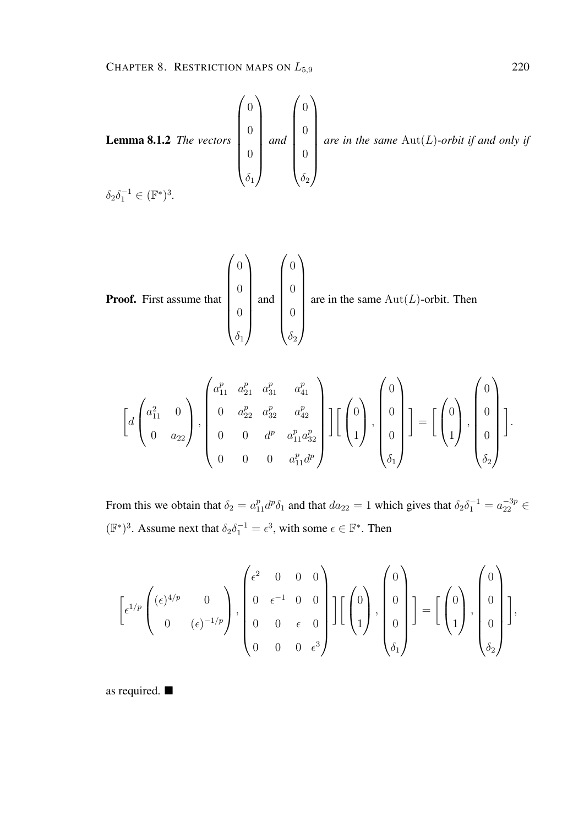**Lemma 8.1.2** The vectors 
$$
\begin{pmatrix} 0 \\ 0 \\ 0 \\ 0 \\ \delta_1 \end{pmatrix}
$$
 and  $\begin{pmatrix} 0 \\ 0 \\ 0 \\ 0 \\ \delta_2 \end{pmatrix}$  are in the same Aut(*L*)-orbit if and only if  $\delta_2 \delta_1^{-1} \in (\mathbb{F}^*)^3$ .

**Proof.** First assume that 
$$
\begin{pmatrix} 0 \\ 0 \\ 0 \\ 0 \\ \delta_1 \end{pmatrix}
$$
 and  $\begin{pmatrix} 0 \\ 0 \\ 0 \\ 0 \\ \delta_2 \end{pmatrix}$  are in the same Aut(*L*)-orbit. Then

$$
\begin{bmatrix} d \begin{pmatrix} a_{11}^2 & 0 \\ 0 & a_{22} \end{pmatrix}, \begin{pmatrix} a_{11}^p & a_{21}^p & a_{31}^p & a_{41}^p \\ 0 & a_{22}^p & a_{32}^p & a_{42}^p \\ 0 & 0 & d^p & a_{11}^p a_{32}^p \\ 0 & 0 & 0 & a_{11}^p d^p \end{pmatrix} \end{bmatrix} \begin{bmatrix} 0 \\ 0 \\ 0 \\ \delta_1 \end{bmatrix} = \begin{bmatrix} 0 \\ 0 \\ 1 \end{bmatrix}, \begin{pmatrix} 0 \\ 0 \\ 0 \\ \delta_2 \end{pmatrix}.
$$

From this we obtain that  $\delta_2 = a_{11}^p d^p \delta_1$  and that  $da_{22} = 1$  which gives that  $\delta_2 \delta_1^{-1} = a_{22}^{-3p} \in$  $(\mathbb{F}^*)^3$ . Assume next that  $\delta_2 \delta_1^{-1} = \epsilon^3$ , with some  $\epsilon \in \mathbb{F}^*$ . Then

$$
\left[\epsilon^{1/p}\begin{pmatrix}(\epsilon)^{4/p} & 0\\ 0 & (\epsilon)^{-1/p}\end{pmatrix}, \begin{pmatrix} \epsilon^2 & 0 & 0 & 0\\ 0 & \epsilon^{-1} & 0 & 0\\ 0 & 0 & \epsilon & 0\\ 0 & 0 & 0 & \epsilon^3\end{pmatrix}\right] \left[\begin{pmatrix}0\\0\\1\end{pmatrix}, \begin{pmatrix}0\\0\\0\\0_{\delta_1}\end{pmatrix}\right] = \left[\begin{pmatrix}0\\1\end{pmatrix}, \begin{pmatrix}0\\0\\0\\0_{\delta_2}\end{pmatrix}\right],
$$

as required.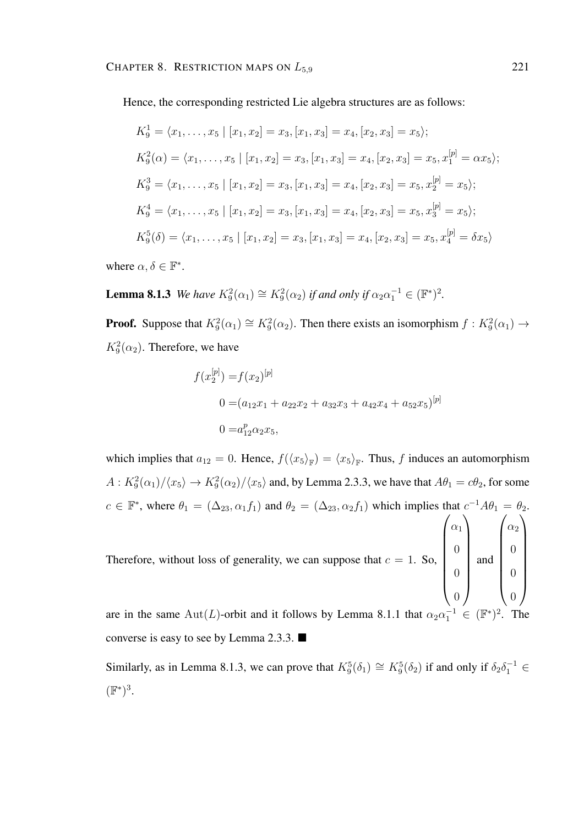Hence, the corresponding restricted Lie algebra structures are as follows:

$$
K_9^1 = \langle x_1, \dots, x_5 \mid [x_1, x_2] = x_3, [x_1, x_3] = x_4, [x_2, x_3] = x_5 \rangle;
$$
  
\n
$$
K_9^2(\alpha) = \langle x_1, \dots, x_5 \mid [x_1, x_2] = x_3, [x_1, x_3] = x_4, [x_2, x_3] = x_5, x_1^{[p]} = \alpha x_5 \rangle;
$$
  
\n
$$
K_9^3 = \langle x_1, \dots, x_5 \mid [x_1, x_2] = x_3, [x_1, x_3] = x_4, [x_2, x_3] = x_5, x_2^{[p]} = x_5 \rangle;
$$
  
\n
$$
K_9^4 = \langle x_1, \dots, x_5 \mid [x_1, x_2] = x_3, [x_1, x_3] = x_4, [x_2, x_3] = x_5, x_3^{[p]} = x_5 \rangle;
$$
  
\n
$$
K_9^5(\delta) = \langle x_1, \dots, x_5 \mid [x_1, x_2] = x_3, [x_1, x_3] = x_4, [x_2, x_3] = x_5, x_4^{[p]} = \delta x_5 \rangle
$$

where  $\alpha, \delta \in \mathbb{F}^*$ .

**Lemma 8.1.3** *We have*  $K_9^2(\alpha_1) \cong K_9^2(\alpha_2)$  *if and only if*  $\alpha_2 \alpha_1^{-1} \in (\mathbb{F}^*)^2$ .

**Proof.** Suppose that  $K_9^2(\alpha_1) \cong K_9^2(\alpha_2)$ . Then there exists an isomorphism  $f : K_9^2(\alpha_1) \to$  $K_9^2(\alpha_2)$ . Therefore, we have

$$
f(x_2^{[p]}) = f(x_2)^{[p]}
$$
  
0 =  $(a_{12}x_1 + a_{22}x_2 + a_{32}x_3 + a_{42}x_4 + a_{52}x_5)^{[p]}$   
0 =  $a_{12}^p \alpha_2 x_5$ ,

which implies that  $a_{12} = 0$ . Hence,  $f(\langle x_5 \rangle_{\mathbb{F}}) = \langle x_5 \rangle_{\mathbb{F}}$ . Thus, f induces an automorphism  $A: K_9^2(\alpha_1)/\langle x_5 \rangle \to K_9^2(\alpha_2)/\langle x_5 \rangle$  and, by Lemma 2.3.3, we have that  $A\theta_1 = c\theta_2$ , for some  $c \in \mathbb{F}^*$ , where  $\theta_1 = (\Delta_{23}, \alpha_1 f_1)$  and  $\theta_2 = (\Delta_{23}, \alpha_2 f_1)$  which implies that  $c^{-1}A\theta_1 = \theta_2$ . Therefore, without loss of generality, we can suppose that  $c = 1$ . So,  $\int_{\alpha_1}$ 0  $\setminus$ and  $\int_{\alpha_2}$ 0  $\setminus$  $\begin{array}{c} \hline \end{array}$ 

 $\begin{array}{c} \begin{array}{c} \begin{array}{c} \begin{array}{c} \end{array} \\ \end{array} \\ \begin{array}{c} \end{array} \end{array} \end{array}$ 0 0  $\begin{array}{c} \hline \end{array}$  $\begin{array}{c} \hline \end{array}$ 0 0

are in the same Aut(L)-orbit and it follows by Lemma 8.1.1 that  $\alpha_2 \alpha_1^{-1} \in (\mathbb{F}^*)^2$ . The converse is easy to see by Lemma 2.3.3.

Similarly, as in Lemma 8.1.3, we can prove that  $K_9^5(\delta_1) \cong K_9^5(\delta_2)$  if and only if  $\delta_2 \delta_1^{-1} \in$  $(\mathbb{F}^*)^3$ .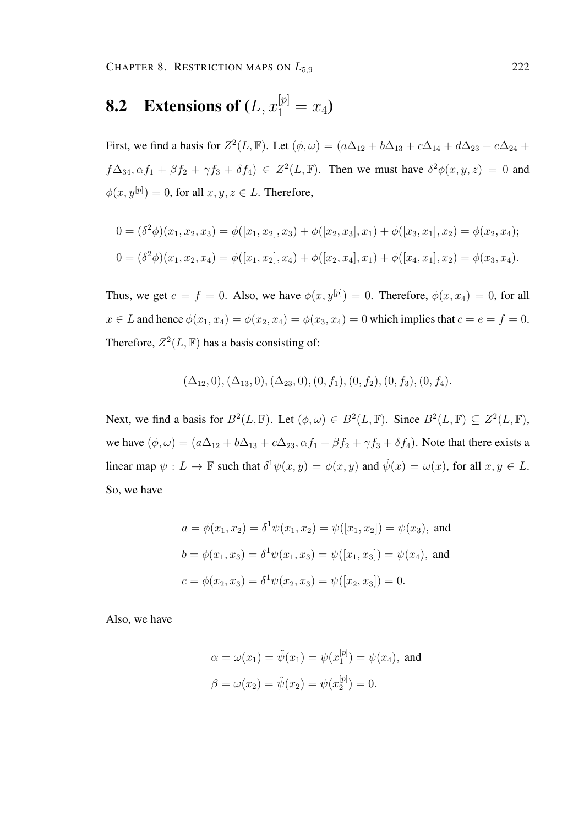CHAPTER 8. RESTRICTION MAPS ON  $L_{5.9}$  222

# **8.2** Extensions of  $(L, x_1^{[p]} = x_4)$

First, we find a basis for  $Z^2(L, \mathbb{F})$ . Let  $(\phi, \omega) = (a\Delta_{12} + b\Delta_{13} + c\Delta_{14} + d\Delta_{23} + e\Delta_{24} + d\Delta_{34})$  $f\Delta_{34}, \alpha f_1 + \beta f_2 + \gamma f_3 + \delta f_4$ )  $\in Z^2(L, \mathbb{F})$ . Then we must have  $\delta^2 \phi(x, y, z) = 0$  and  $\phi(x, y^{[p]}) = 0$ , for all  $x, y, z \in L$ . Therefore,

$$
0 = (\delta^2 \phi)(x_1, x_2, x_3) = \phi([x_1, x_2], x_3) + \phi([x_2, x_3], x_1) + \phi([x_3, x_1], x_2) = \phi(x_2, x_4);
$$
  

$$
0 = (\delta^2 \phi)(x_1, x_2, x_4) = \phi([x_1, x_2], x_4) + \phi([x_2, x_4], x_1) + \phi([x_4, x_1], x_2) = \phi(x_3, x_4).
$$

Thus, we get  $e = f = 0$ . Also, we have  $\phi(x, y^{[p]}) = 0$ . Therefore,  $\phi(x, x_4) = 0$ , for all  $x \in L$  and hence  $\phi(x_1, x_4) = \phi(x_2, x_4) = \phi(x_3, x_4) = 0$  which implies that  $c = e = f = 0$ . Therefore,  $Z^2(L, \mathbb{F})$  has a basis consisting of:

$$
(\Delta_{12},0), (\Delta_{13},0), (\Delta_{23},0), (0, f_1), (0, f_2), (0, f_3), (0, f_4).
$$

Next, we find a basis for  $B^2(L, \mathbb{F})$ . Let  $(\phi, \omega) \in B^2(L, \mathbb{F})$ . Since  $B^2(L, \mathbb{F}) \subseteq Z^2(L, \mathbb{F})$ , we have  $(\phi, \omega) = (a\Delta_{12} + b\Delta_{13} + c\Delta_{23}, \alpha f_1 + \beta f_2 + \gamma f_3 + \delta f_4)$ . Note that there exists a linear map  $\psi: L \to \mathbb{F}$  such that  $\delta^1 \psi(x, y) = \phi(x, y)$  and  $\tilde{\psi}(x) = \omega(x)$ , for all  $x, y \in L$ . So, we have

$$
a = \phi(x_1, x_2) = \delta^1 \psi(x_1, x_2) = \psi([x_1, x_2]) = \psi(x_3), \text{ and}
$$

$$
b = \phi(x_1, x_3) = \delta^1 \psi(x_1, x_3) = \psi([x_1, x_3]) = \psi(x_4), \text{ and}
$$

$$
c = \phi(x_2, x_3) = \delta^1 \psi(x_2, x_3) = \psi([x_2, x_3]) = 0.
$$

Also, we have

$$
\alpha = \omega(x_1) = \tilde{\psi}(x_1) = \psi(x_1^{[p]}) = \psi(x_4)
$$
, and  
\n $\beta = \omega(x_2) = \tilde{\psi}(x_2) = \psi(x_2^{[p]}) = 0$ .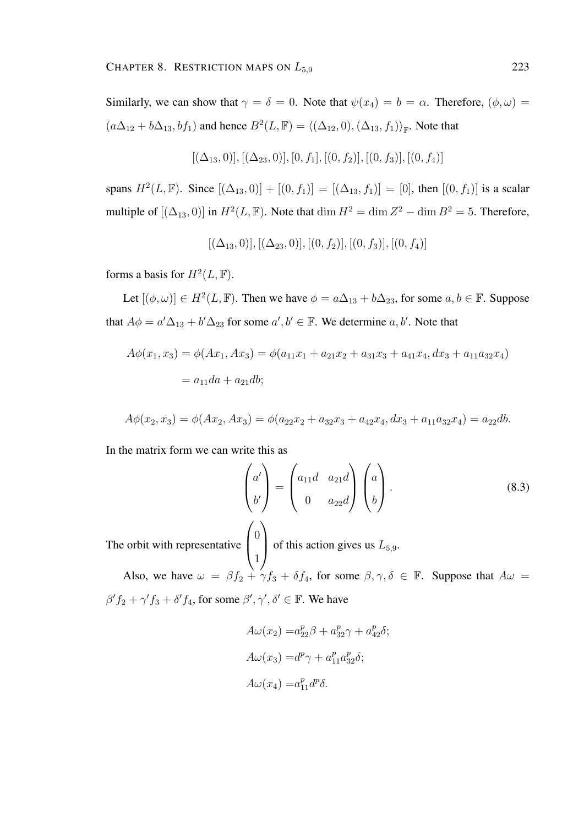Similarly, we can show that  $\gamma = \delta = 0$ . Note that  $\psi(x_4) = b = \alpha$ . Therefore,  $(\phi, \omega) =$  $(a\Delta_{12} + b\Delta_{13}, bf_1)$  and hence  $B^2(L, \mathbb{F}) = \langle (\Delta_{12}, 0), (\Delta_{13}, f_1) \rangle_{\mathbb{F}}$ . Note that

$$
[(\Delta_{13},0)], [(\Delta_{23},0)], [0,f_1], [(0,f_2)], [(0,f_3)], [(0,f_4)]
$$

spans  $H^2(L, \mathbb{F})$ . Since  $[(\Delta_{13}, 0)] + [(0, f_1)] = [(\Delta_{13}, f_1)] = [0]$ , then  $[(0, f_1)]$  is a scalar multiple of  $[(\Delta_{13}, 0)]$  in  $H^2(L, \mathbb{F})$ . Note that  $\dim H^2 = \dim Z^2 - \dim B^2 = 5$ . Therefore,

$$
[(\Delta_{13},0)], [(\Delta_{23},0)], [(0,f_2)], [(0,f_3)], [(0,f_4)]
$$

forms a basis for  $H^2(L, \mathbb{F})$ .

Let  $[(\phi, \omega)] \in H^2(L, \mathbb{F})$ . Then we have  $\phi = a\Delta_{13} + b\Delta_{23}$ , for some  $a, b \in \mathbb{F}$ . Suppose that  $A\phi = a'\Delta_{13} + b'\Delta_{23}$  for some  $a', b' \in \mathbb{F}$ . We determine  $a, b'$ . Note that

$$
A\phi(x_1, x_3) = \phi(Ax_1, Ax_3) = \phi(a_{11}x_1 + a_{21}x_2 + a_{31}x_3 + a_{41}x_4, dx_3 + a_{11}a_{32}x_4)
$$
  
=  $a_{11}da + a_{21}db;$ 

$$
A\phi(x_2, x_3) = \phi(Ax_2, Ax_3) = \phi(a_{22}x_2 + a_{32}x_3 + a_{42}x_4, dx_3 + a_{11}a_{32}x_4) = a_{22}db.
$$

In the matrix form we can write this as

$$
\begin{pmatrix} a' \\ b' \end{pmatrix} = \begin{pmatrix} a_{11}d & a_{21}d \\ 0 & a_{22}d \end{pmatrix} \begin{pmatrix} a \\ b \end{pmatrix}.
$$
 (8.3)

The orbit with representative  $\theta$ 1 of this action gives us  $L_{5,9}$ .

Also, we have  $\omega = \beta f_2 + \gamma f_3 + \delta f_4$ , for some  $\beta, \gamma, \delta \in \mathbb{F}$ . Suppose that  $A\omega =$  $\beta' f_2 + \gamma' f_3 + \delta' f_4$ , for some  $\beta', \gamma', \delta' \in \mathbb{F}$ . We have

$$
A\omega(x_2) = a_{22}^p \beta + a_{32}^p \gamma + a_{42}^p \delta;
$$
  
\n
$$
A\omega(x_3) = d^p \gamma + a_{11}^p a_{32}^p \delta;
$$
  
\n
$$
A\omega(x_4) = a_{11}^p d^p \delta.
$$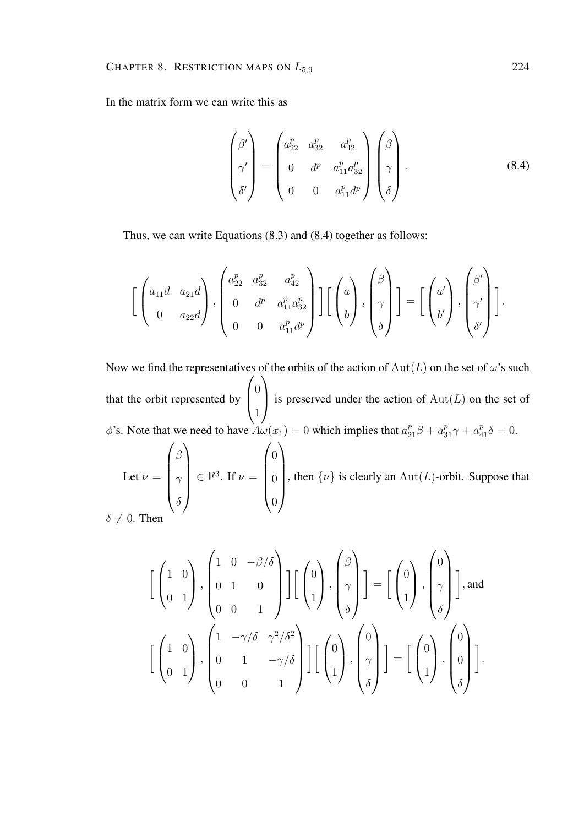In the matrix form we can write this as

$$
\begin{pmatrix} \beta' \\ \gamma' \\ \delta' \end{pmatrix} = \begin{pmatrix} a_{22}^p & a_{32}^p & a_{42}^p \\ 0 & d^p & a_{11}^p a_{32}^p \\ 0 & 0 & a_{11}^p d^p \end{pmatrix} \begin{pmatrix} \beta \\ \gamma \\ \delta \end{pmatrix}.
$$
 (8.4)

Thus, we can write Equations (8.3) and (8.4) together as follows:

0

$$
\left[\begin{pmatrix} a_{11}d & a_{21}d \\ 0 & a_{22}d \end{pmatrix}, \begin{pmatrix} a_{22}^p & a_{32}^p & a_{42}^p \\ 0 & d^p & a_{11}^p a_{32}^p \\ 0 & 0 & a_{11}^p d^p \end{pmatrix}\right] \left[\begin{pmatrix} a \\ b \end{pmatrix}, \begin{pmatrix} \beta \\ \gamma \\ \delta \end{pmatrix}\right] = \left[\begin{pmatrix} a' \\ b' \end{pmatrix}, \begin{pmatrix} \beta' \\ \gamma' \\ \delta' \end{pmatrix}\right].
$$

Now we find the representatives of the orbits of the action of  $Aut(L)$  on the set of  $\omega$ 's such that the orbit represented by  $\sqrt{ }$  $\left\lfloor \right\rfloor$  $\overline{0}$ 1  $\setminus$ is preserved under the action of  $Aut(L)$  on the set of  $\phi$ 's. Note that we need to have  $A\omega(x_1) = 0$  which implies that  $a_{21}^p \beta + a_{31}^p \gamma + a_{41}^p \delta = 0$ . Let  $\nu =$  $\sqrt{ }$  $\overline{\phantom{a}}$ β  $\gamma$  $\setminus$  $\in \mathbb{F}^3$ . If  $\nu =$  $\sqrt{ }$  $\overline{\phantom{a}}$  $\theta$ 0  $\setminus$  $\begin{array}{c} \hline \end{array}$ , then  $\{\nu\}$  is clearly an Aut(L)-orbit. Suppose that

 $\delta \neq 0$ . Then

 $\delta$ 

$$
\begin{bmatrix} \begin{pmatrix} 1 & 0 \ 0 & 1 \end{pmatrix}, \begin{pmatrix} 1 & 0 & -\beta/\delta \\ 0 & 1 & 0 \\ 0 & 0 & 1 \end{pmatrix} \end{bmatrix} \begin{bmatrix} \begin{pmatrix} 0 \\ 1 \end{pmatrix}, \begin{pmatrix} \beta \\ \gamma \\ \delta \end{pmatrix} \end{bmatrix} = \begin{bmatrix} \begin{pmatrix} 0 \\ 1 \end{pmatrix}, \begin{pmatrix} 0 \\ \gamma \\ \delta \end{pmatrix} \end{bmatrix}, \text{and}
$$

$$
\begin{bmatrix} \begin{pmatrix} 1 & 0 \\ 0 & 1 \end{pmatrix}, \begin{pmatrix} 1 & -\gamma/\delta & \gamma^2/\delta^2 \\ 0 & 1 & -\gamma/\delta \\ 0 & 0 & 1 \end{pmatrix} \end{bmatrix} \begin{bmatrix} \begin{pmatrix} 0 \\ 1 \end{pmatrix}, \begin{pmatrix} 0 \\ \gamma \\ \delta \end{pmatrix} \end{bmatrix} = \begin{bmatrix} \begin{pmatrix} 0 \\ 1 \end{pmatrix}, \begin{pmatrix} 0 \\ 0 \\ \delta \end{pmatrix} \end{bmatrix}.
$$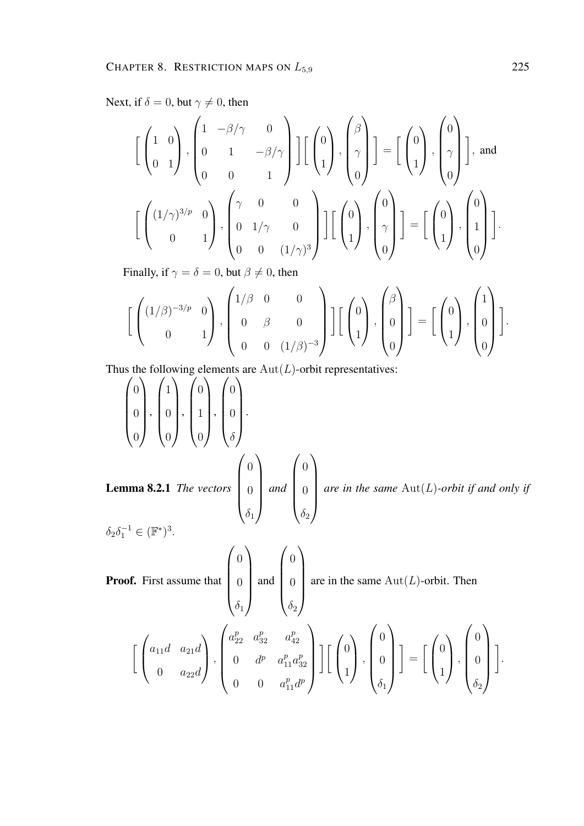Next, if  $\delta = 0$ , but  $\gamma \neq 0$ , then

$$
\begin{bmatrix} \begin{pmatrix} 1 & 0 \ 0 & 1 \end{pmatrix}, \begin{pmatrix} 1 & -\beta/\gamma & 0 \ 0 & 1 & -\beta/\gamma \ 0 & 0 & 1 \end{pmatrix} \end{bmatrix} \begin{bmatrix} \begin{pmatrix} 0 \ 1 \end{pmatrix}, \begin{pmatrix} \beta \ \gamma \ 0 \end{pmatrix} \end{bmatrix} = \begin{bmatrix} \begin{pmatrix} 0 \ 1 \end{pmatrix}, \begin{pmatrix} 0 \ \gamma \ 0 \end{pmatrix} \end{bmatrix}, \text{and}
$$

$$
\begin{bmatrix} \begin{pmatrix} (1/\gamma)^{3/p} & 0 \ 0 & 1 \end{pmatrix}, \begin{pmatrix} \gamma & 0 & 0 \ 0 & 1/\gamma & 0 \ 0 & 0 & (1/\gamma)^3 \end{pmatrix} \end{bmatrix} \begin{bmatrix} \begin{pmatrix} 0 \ 1 \end{pmatrix}, \begin{pmatrix} 0 \ \gamma \ 0 \end{pmatrix} \end{bmatrix} = \begin{bmatrix} \begin{pmatrix} 0 \ 1 \end{pmatrix}, \begin{pmatrix} 0 \ 1 \end{pmatrix} \end{bmatrix}.
$$

Finally, if  $\gamma = \delta = 0$ , but  $\beta \neq 0$ , then

$$
\left[\begin{pmatrix} (1/\beta)^{-3/p} & 0 \\ 0 & 1 \end{pmatrix}, \begin{pmatrix} 1/\beta & 0 & 0 \\ 0 & \beta & 0 \\ 0 & 0 & (1/\beta)^{-3} \end{pmatrix}\right] \left[\begin{pmatrix} 0 \\ 0 \\ 1 \end{pmatrix}, \begin{pmatrix} \beta \\ 0 \\ 0 \end{pmatrix}\right] = \left[\begin{pmatrix} 0 \\ 1 \end{pmatrix}, \begin{pmatrix} 1 \\ 0 \\ 0 \end{pmatrix}\right].
$$

Thus the following elements are  $Aut(L)$ -orbit representatives:

$$
\begin{pmatrix} 0 \\ 0 \\ 0 \end{pmatrix}, \begin{pmatrix} 1 \\ 0 \\ 0 \end{pmatrix}, \begin{pmatrix} 0 \\ 1 \\ 0 \end{pmatrix}, \begin{pmatrix} 0 \\ 0 \\ 0 \end{pmatrix}.
$$
  
Lemma 8.2.1 The vectors 
$$
\begin{pmatrix} 0 \\ 0 \\ 0 \\ \delta_1 \end{pmatrix}
$$
 and 
$$
\begin{pmatrix} 0 \\ 0 \\ 0 \\ \delta_2 \end{pmatrix}
$$
 are in the same Aut(L)-orbit if and only if  $\delta_2 \delta_1^{-1} \in (\mathbb{F}^*)^3$ .

Proof. First assume that  $\sqrt{ }$  $\overline{\phantom{a}}$ 0 0  $\delta_1$  $\setminus$  $\begin{array}{c} \hline \end{array}$ and  $\sqrt{ }$  $\overline{\phantom{a}}$ 0 0  $\delta_2$  $\setminus$  $\begin{array}{c} \end{array}$ are in the same  $\text{Aut}(L)$ -orbit. Then  $\sqrt{ }$  $\sqrt{ }$  $\left\vert \right\vert$  $a_{11}d \quad a_{21}d$ 0  $a_{22}d$  $\setminus$  $\cdot \mid \cdot$  $\sqrt{ }$  $\overline{\phantom{a}}$  $a_{22}^p \quad a_{32}^p \quad a_4^p$ 42 0  $d^p$   $a_{11}^p a_3^p$ 32 0 0  $a_{11}^p d^p$  $\setminus$  $\begin{array}{c} \hline \end{array}$  $\frac{1}{2}$  $\left\lfloor \right\rfloor$ 0 1  $\setminus$  $\vert$ ,  $\sqrt{ }$  $\overline{\phantom{a}}$ 0 0  $\delta_1$  $\setminus$  $\left| \right. \left. \right]$ =  $\sqrt{ }$  $\sqrt{ }$  $\left\lfloor \right\rfloor$ 0 1  $\setminus$  $\vert$ ,  $\sqrt{ }$  $\overline{\phantom{a}}$ 0 0  $\delta_2$  $\setminus$  $\left| \right. \left. \right]$ 

.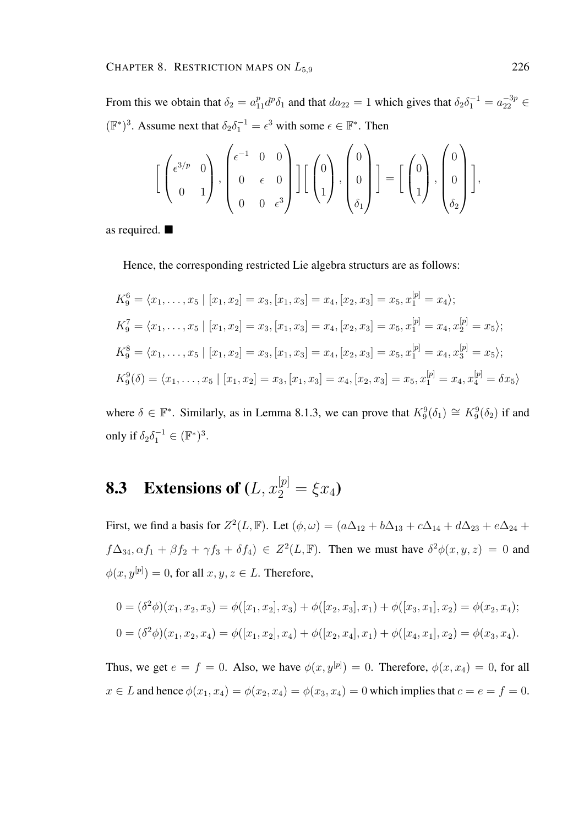From this we obtain that  $\delta_2 = a_{11}^p d^p \delta_1$  and that  $da_{22} = 1$  which gives that  $\delta_2 \delta_1^{-1} = a_{22}^{-3p} \in$  $(\mathbb{F}^*)^3$ . Assume next that  $\delta_2 \delta_1^{-1} = \epsilon^3$  with some  $\epsilon \in \mathbb{F}^*$ . Then

$$
\left[\begin{pmatrix} \epsilon^{3/p} & 0 \\ 0 & 1 \end{pmatrix}, \begin{pmatrix} \epsilon^{-1} & 0 & 0 \\ 0 & \epsilon & 0 \\ 0 & 0 & \epsilon^3 \end{pmatrix} \right] \left[\begin{pmatrix} 0 \\ 1 \end{pmatrix}, \begin{pmatrix} 0 \\ 0 \\ \delta_1 \end{pmatrix} \right] = \left[\begin{pmatrix} 0 \\ 1 \end{pmatrix}, \begin{pmatrix} 0 \\ 0 \\ \delta_2 \end{pmatrix} \right],
$$

as required.

Hence, the corresponding restricted Lie algebra structurs are as follows:

$$
K_9^6 = \langle x_1, \dots, x_5 \mid [x_1, x_2] = x_3, [x_1, x_3] = x_4, [x_2, x_3] = x_5, x_1^{[p]} = x_4 \rangle;
$$
  
\n
$$
K_9^7 = \langle x_1, \dots, x_5 \mid [x_1, x_2] = x_3, [x_1, x_3] = x_4, [x_2, x_3] = x_5, x_1^{[p]} = x_4, x_2^{[p]} = x_5 \rangle;
$$
  
\n
$$
K_9^8 = \langle x_1, \dots, x_5 \mid [x_1, x_2] = x_3, [x_1, x_3] = x_4, [x_2, x_3] = x_5, x_1^{[p]} = x_4, x_3^{[p]} = x_5 \rangle;
$$
  
\n
$$
K_9^9(\delta) = \langle x_1, \dots, x_5 \mid [x_1, x_2] = x_3, [x_1, x_3] = x_4, [x_2, x_3] = x_5, x_1^{[p]} = x_4, x_4^{[p]} = \delta x_5 \rangle
$$

where  $\delta \in \mathbb{F}^*$ . Similarly, as in Lemma 8.1.3, we can prove that  $K_9^9(\delta_1) \cong K_9^9(\delta_2)$  if and only if  $\delta_2 \delta_1^{-1} \in (\mathbb{F}^*)^3$ .

## **8.3** Extensions of  $(L, x_2^{[p]} = \xi x_4)$

First, we find a basis for  $Z^2(L, \mathbb{F})$ . Let  $(\phi, \omega) = (a\Delta_{12} + b\Delta_{13} + c\Delta_{14} + d\Delta_{23} + e\Delta_{24} + d\Delta_{34})$  $f\Delta_{34}, \alpha f_1 + \beta f_2 + \gamma f_3 + \delta f_4$ )  $\in Z^2(L, \mathbb{F})$ . Then we must have  $\delta^2 \phi(x, y, z) = 0$  and  $\phi(x, y^{[p]}) = 0$ , for all  $x, y, z \in L$ . Therefore,

$$
0 = (\delta^2 \phi)(x_1, x_2, x_3) = \phi([x_1, x_2], x_3) + \phi([x_2, x_3], x_1) + \phi([x_3, x_1], x_2) = \phi(x_2, x_4);
$$
  
\n
$$
0 = (\delta^2 \phi)(x_1, x_2, x_4) = \phi([x_1, x_2], x_4) + \phi([x_2, x_4], x_1) + \phi([x_4, x_1], x_2) = \phi(x_3, x_4).
$$

Thus, we get  $e = f = 0$ . Also, we have  $\phi(x, y^{[p]}) = 0$ . Therefore,  $\phi(x, x_4) = 0$ , for all  $x \in L$  and hence  $\phi(x_1, x_4) = \phi(x_2, x_4) = \phi(x_3, x_4) = 0$  which implies that  $c = e = f = 0$ .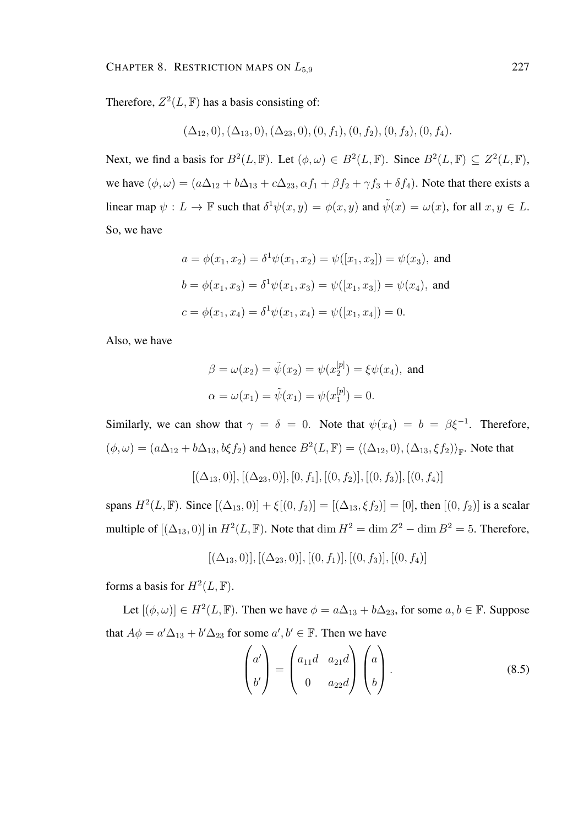Therefore,  $Z^2(L, \mathbb{F})$  has a basis consisting of:

$$
(\Delta_{12},0), (\Delta_{13},0), (\Delta_{23},0), (0, f_1), (0, f_2), (0, f_3), (0, f_4).
$$

Next, we find a basis for  $B^2(L, \mathbb{F})$ . Let  $(\phi, \omega) \in B^2(L, \mathbb{F})$ . Since  $B^2(L, \mathbb{F}) \subseteq Z^2(L, \mathbb{F})$ , we have  $(\phi, \omega) = (a\Delta_{12} + b\Delta_{13} + c\Delta_{23}, \alpha f_1 + \beta f_2 + \gamma f_3 + \delta f_4)$ . Note that there exists a linear map  $\psi: L \to \mathbb{F}$  such that  $\delta^1 \psi(x, y) = \phi(x, y)$  and  $\tilde{\psi}(x) = \omega(x)$ , for all  $x, y \in L$ . So, we have

$$
a = \phi(x_1, x_2) = \delta^1 \psi(x_1, x_2) = \psi([x_1, x_2]) = \psi(x_3), \text{ and}
$$

$$
b = \phi(x_1, x_3) = \delta^1 \psi(x_1, x_3) = \psi([x_1, x_3]) = \psi(x_4), \text{ and}
$$

$$
c = \phi(x_1, x_4) = \delta^1 \psi(x_1, x_4) = \psi([x_1, x_4]) = 0.
$$

Also, we have

$$
\beta = \omega(x_2) = \tilde{\psi}(x_2) = \psi(x_2^{[p]}) = \xi \psi(x_4)
$$
, and  
\n $\alpha = \omega(x_1) = \tilde{\psi}(x_1) = \psi(x_1^{[p]}) = 0$ .

Similarly, we can show that  $\gamma = \delta = 0$ . Note that  $\psi(x_4) = b = \beta \xi^{-1}$ . Therefore,  $(\phi, \omega) = (a\Delta_{12} + b\Delta_{13}, b\xi f_2)$  and hence  $B^2(L, \mathbb{F}) = \langle (\Delta_{12}, 0), (\Delta_{13}, \xi f_2) \rangle_{\mathbb{F}}$ . Note that

$$
[(\Delta_{13},0)], [(\Delta_{23},0)], [0,f_1], [(0,f_2)], [(0,f_3)], [(0,f_4)]
$$

spans  $H^2(L, \mathbb{F})$ . Since  $[(\Delta_{13}, 0)] + \xi[(0, f_2)] = [(\Delta_{13}, \xi f_2)] = [0]$ , then  $[(0, f_2)]$  is a scalar multiple of  $[(\Delta_{13}, 0)]$  in  $H^2(L, \mathbb{F})$ . Note that  $\dim H^2 = \dim Z^2 - \dim B^2 = 5$ . Therefore,

$$
[(\Delta_{13},0)], [(\Delta_{23},0)], [(0,f_1)], [(0,f_3)], [(0,f_4)]
$$

forms a basis for  $H^2(L, \mathbb{F})$ .

Let  $[(\phi, \omega)] \in H^2(L, \mathbb{F})$ . Then we have  $\phi = a\Delta_{13} + b\Delta_{23}$ , for some  $a, b \in \mathbb{F}$ . Suppose that  $A\phi = a'\Delta_{13} + b'\Delta_{23}$  for some  $a', b' \in \mathbb{F}$ . Then we have

$$
\begin{pmatrix} a' \\ b' \end{pmatrix} = \begin{pmatrix} a_{11}d & a_{21}d \\ 0 & a_{22}d \end{pmatrix} \begin{pmatrix} a \\ b \end{pmatrix}.
$$
 (8.5)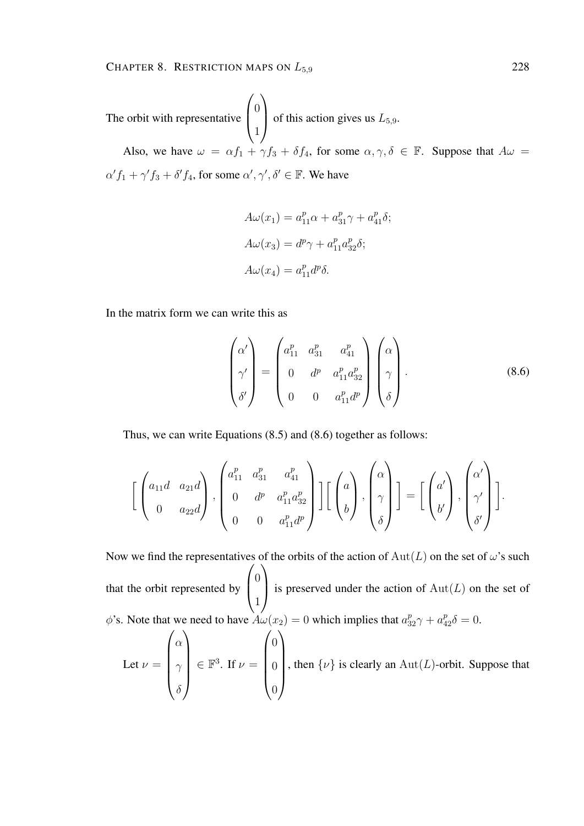The orbit with representative  $\sqrt{ }$  $\overline{ }$  $\theta$ 1  $\setminus$ of this action gives us  $L_{5,9}$ . Also, we have  $\omega = \alpha f_1 + \gamma f_3 + \delta f_4$ , for some  $\alpha, \gamma, \delta \in \mathbb{F}$ . Suppose that  $A\omega =$  $\alpha' f_1 + \gamma' f_3 + \delta' f_4$ , for some  $\alpha', \gamma', \delta' \in \mathbb{F}$ . We have

$$
A\omega(x_1) = a_{11}^p \alpha + a_{31}^p \gamma + a_{41}^p \delta;
$$
  
\n
$$
A\omega(x_3) = d^p \gamma + a_{11}^p a_{32}^p \delta;
$$
  
\n
$$
A\omega(x_4) = a_{11}^p d^p \delta.
$$

In the matrix form we can write this as

$$
\begin{pmatrix}\n\alpha' \\
\gamma' \\
\delta'\n\end{pmatrix} = \begin{pmatrix}\na_{11}^p & a_{31}^p & a_{41}^p \\
0 & d^p & a_{11}^p a_{32}^p \\
0 & 0 & a_{11}^p d^p\n\end{pmatrix} \begin{pmatrix}\n\alpha \\
\gamma \\
\delta\n\end{pmatrix}.
$$
\n(8.6)

Thus, we can write Equations (8.5) and (8.6) together as follows:

$$
\left[\begin{pmatrix} a_{11}d & a_{21}d \\ 0 & a_{22}d \end{pmatrix}, \begin{pmatrix} a_{11}^p & a_{31}^p & a_{41}^p \\ 0 & d^p & a_{11}^p a_{32}^p \\ 0 & 0 & a_{11}^p d^p \end{pmatrix}\right] \left[\begin{pmatrix} a \\ b \end{pmatrix}, \begin{pmatrix} \alpha \\ \gamma \\ \delta \end{pmatrix}\right] = \left[\begin{pmatrix} a' \\ b' \end{pmatrix}, \begin{pmatrix} \alpha' \\ \gamma' \\ \delta' \end{pmatrix}\right].
$$

Now we find the representatives of the orbits of the action of  $Aut(L)$  on the set of  $\omega$ 's such that the orbit represented by  $\sqrt{ }$  $\left\lfloor \right\rfloor$  $\overline{0}$ 1  $\setminus$ is preserved under the action of  $Aut(L)$  on the set of  $\phi$ 's. Note that we need to have  $A\omega(x_2) = 0$  which implies that  $a_{32}^p \gamma + a_{42}^p \delta = 0$ .

Let 
$$
\nu = \begin{pmatrix} \alpha \\ \gamma \\ \delta \end{pmatrix} \in \mathbb{F}^3
$$
. If  $\nu = \begin{pmatrix} 0 \\ 0 \\ 0 \end{pmatrix}$ , then  $\{\nu\}$  is clearly an  $Aut(L)$ -orbit. Suppose that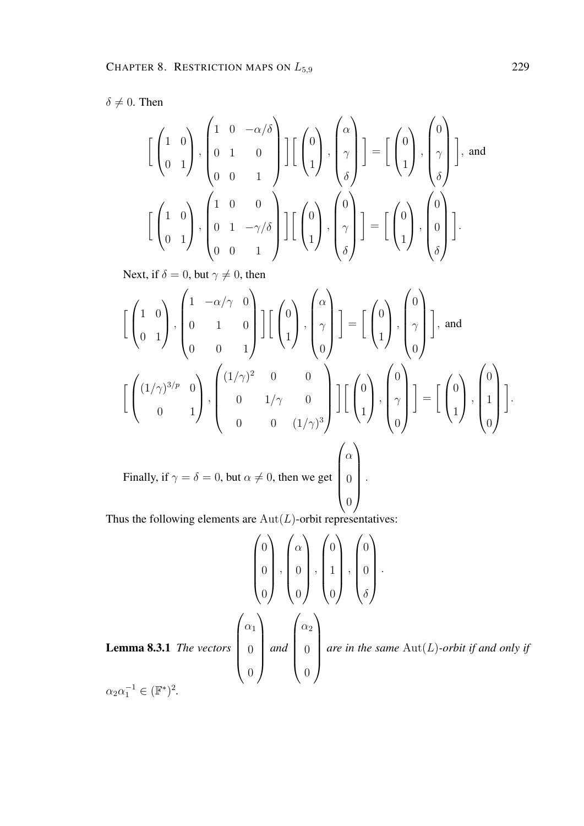$\delta \neq 0$ . Then

$$
\begin{bmatrix} \begin{pmatrix} 1 & 0 \\ 0 & 1 \end{pmatrix}, \begin{pmatrix} 1 & 0 & -\alpha/\delta \\ 0 & 1 & 0 \\ 0 & 0 & 1 \end{pmatrix} \end{bmatrix} \begin{bmatrix} \begin{pmatrix} 0 \\ 1 \end{pmatrix}, \begin{pmatrix} \alpha \\ \gamma \\ \delta \end{pmatrix} \end{bmatrix} = \begin{bmatrix} \begin{pmatrix} 0 \\ 1 \end{pmatrix}, \begin{pmatrix} 0 \\ \gamma \\ \delta \end{pmatrix} \end{bmatrix}, \text{ and}
$$

$$
\begin{bmatrix} \begin{pmatrix} 1 & 0 \\ 0 & 1 \end{pmatrix}, \begin{pmatrix} 1 & 0 & 0 \\ 0 & 1 & -\gamma/\delta \\ 0 & 0 & 1 \end{pmatrix} \end{bmatrix} \begin{bmatrix} \begin{pmatrix} 0 \\ 1 \end{pmatrix}, \begin{pmatrix} 0 \\ \gamma \\ \delta \end{pmatrix} \end{bmatrix} = \begin{bmatrix} \begin{pmatrix} 0 \\ 1 \end{pmatrix}, \begin{pmatrix} 0 \\ 0 \\ \delta \end{pmatrix} \end{bmatrix}.
$$

Next, if  $\delta = 0$ , but  $\gamma \neq 0$ , then

$$
\begin{bmatrix} \begin{pmatrix} 1 & 0 \\ 0 & 1 \end{pmatrix}, \begin{pmatrix} 1 & -\alpha/\gamma & 0 \\ 0 & 1 & 0 \\ 0 & 0 & 1 \end{pmatrix} \end{bmatrix} \begin{bmatrix} \begin{pmatrix} 0 \\ 1 \end{pmatrix}, \begin{pmatrix} \alpha \\ \gamma \\ 0 \end{pmatrix} \end{bmatrix} = \begin{bmatrix} \begin{pmatrix} 0 \\ 1 \end{pmatrix}, \begin{pmatrix} 0 \\ \gamma \\ 0 \end{pmatrix} \end{bmatrix}, \text{ and}
$$

$$
\begin{bmatrix} \begin{pmatrix} (1/\gamma)^{3/p} & 0 \\ 0 & 1 \end{pmatrix}, \begin{pmatrix} (1/\gamma)^{2} & 0 & 0 \\ 0 & 1/\gamma & 0 \\ 0 & 0 & (1/\gamma)^{3} \end{pmatrix} \end{bmatrix} \begin{bmatrix} \begin{pmatrix} 0 \\ 1 \end{pmatrix}, \begin{pmatrix} 0 \\ \gamma \\ 0 \end{pmatrix} \end{bmatrix} = \begin{bmatrix} \begin{pmatrix} 0 \\ 1 \end{pmatrix}, \begin{pmatrix} 0 \\ 1 \\ 0 \end{pmatrix} \end{bmatrix}.
$$
  
Finally, if  $\gamma = \delta = 0$ , but  $\alpha \neq 0$ , then we get 
$$
\begin{pmatrix} \alpha \\ 0 \\ 0 \end{pmatrix}.
$$

Thus the following elements are  $\text{Aut}(L)$ -orbit representatives:

$$
\begin{pmatrix} 0 \\ 0 \\ 0 \\ 0 \end{pmatrix}, \begin{pmatrix} \alpha \\ 0 \\ 0 \\ 0 \end{pmatrix}, \begin{pmatrix} 0 \\ 1 \\ 0 \\ 0 \end{pmatrix}, \begin{pmatrix} 0 \\ 0 \\ 0 \\ 0 \end{pmatrix}.
$$
  
Lemma 8.3.1 The vectors 
$$
\begin{pmatrix} \alpha_1 \\ 0 \\ 0 \\ 0 \end{pmatrix} and \begin{pmatrix} \alpha_2 \\ 0 \\ 0 \\ 0 \end{pmatrix}
$$
 are in the same Aut(L)-orbit if and only if 
$$
\alpha_2 \alpha_1^{-1} \in (\mathbb{F}^*)^2.
$$

 $\alpha_2 \alpha_1^{-1} \in (\mathbb{F}^*)^2$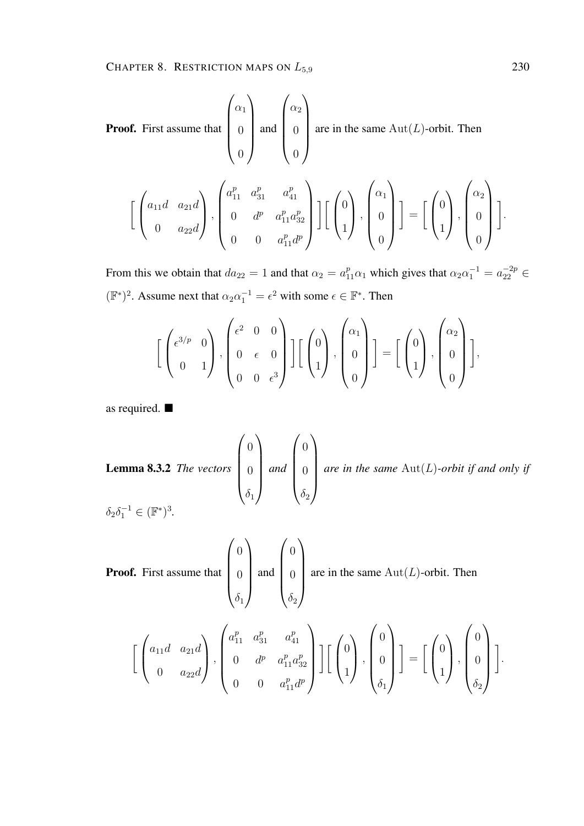**Proof.** First assume that 
$$
\begin{pmatrix} \alpha_1 \\ 0 \\ 0 \end{pmatrix}
$$
 and  $\begin{pmatrix} \alpha_2 \\ 0 \\ 0 \end{pmatrix}$  are in the same Aut(*L*)-orbit. Then  
\n
$$
\left[ \begin{pmatrix} a_{11}d & a_{21}d \\ 0 & a_{22}d \end{pmatrix}, \begin{pmatrix} a_{11}^p & a_{31}^p & a_{41}^p \\ 0 & d^p & a_{11}^p a_{32}^p \\ 0 & 0 & a_{11}^p d^p \end{pmatrix} \right] \left[ \begin{pmatrix} 0 \\ 1 \end{pmatrix}, \begin{pmatrix} \alpha_1 \\ 0 \\ 0 \end{pmatrix} \right] = \left[ \begin{pmatrix} 0 \\ 1 \end{pmatrix}, \begin{pmatrix} \alpha_2 \\ 0 \\ 0 \end{pmatrix} \right]
$$

From this we obtain that  $da_{22} = 1$  and that  $\alpha_2 = a_{11}^p \alpha_1$  which gives that  $\alpha_2 \alpha_1^{-1} = a_{22}^{-2p} \in$  $(\mathbb{F}^*)^2$ . Assume next that  $\alpha_2 \alpha_1^{-1} = \epsilon^2$  with some  $\epsilon \in \mathbb{F}^*$ . Then

$$
\left[\begin{pmatrix} \epsilon^{3/p} & 0 \\ 0 & 1 \end{pmatrix}, \begin{pmatrix} \epsilon^2 & 0 & 0 \\ 0 & \epsilon & 0 \\ 0 & 0 & \epsilon^3 \end{pmatrix} \right] \left[\begin{pmatrix} 0 \\ 1 \end{pmatrix}, \begin{pmatrix} \alpha_1 \\ 0 \\ 0 \end{pmatrix} \right] = \left[\begin{pmatrix} 0 \\ 1 \end{pmatrix}, \begin{pmatrix} \alpha_2 \\ 0 \\ 0 \end{pmatrix} \right],
$$

as required.

**Lemma 8.3.2** The vectors 
$$
\begin{pmatrix} 0 \\ 0 \\ \delta_1 \end{pmatrix}
$$
 and  $\begin{pmatrix} 0 \\ 0 \\ \delta_2 \end{pmatrix}$  are in the same Aut(*L*)-orbit if and only if  $\delta_2 \delta_1^{-1} \in (\mathbb{F}^*)^3$ .

**Proof.** First assume that 
$$
\begin{pmatrix} 0 \\ 0 \\ \delta_1 \end{pmatrix}
$$
 and  $\begin{pmatrix} 0 \\ 0 \\ \delta_2 \end{pmatrix}$  are in the same Aut(*L*)-orbit. Then  
\n
$$
\begin{bmatrix} \begin{pmatrix} a_{11}d & a_{21}d \\ 0 & a_{22}d \end{pmatrix}, \begin{pmatrix} a_{11}^p & a_{31}^p & a_{41}^p \\ 0 & d^p & a_{11}^p a_{32}^p \\ 0 & 0 & a_{11}^p d^p \end{pmatrix} \end{bmatrix} \begin{bmatrix} \begin{pmatrix} 0 \\ 0 \\ 1 \end{pmatrix}, \begin{pmatrix} 0 \\ 0 \\ \delta_1 \end{pmatrix} \end{bmatrix} = \begin{bmatrix} \begin{pmatrix} 0 \\ 1 \end{pmatrix}, \begin{pmatrix} 0 \\ 0 \\ \delta_2 \end{pmatrix} \end{bmatrix}
$$

.

.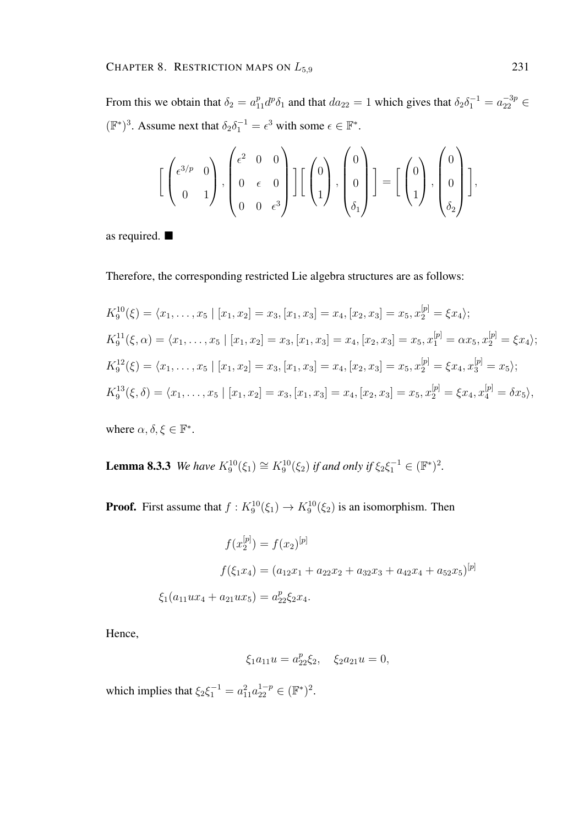From this we obtain that  $\delta_2 = a_{11}^p d^p \delta_1$  and that  $da_{22} = 1$  which gives that  $\delta_2 \delta_1^{-1} = a_{22}^{-3p} \in$  $(\mathbb{F}^*)^3$ . Assume next that  $\delta_2 \delta_1^{-1} = \epsilon^3$  with some  $\epsilon \in \mathbb{F}^*$ .

$$
\left[\begin{pmatrix} \epsilon^{3/p} & 0 \\ 0 & 1 \end{pmatrix}, \begin{pmatrix} \epsilon^2 & 0 & 0 \\ 0 & \epsilon & 0 \\ 0 & 0 & \epsilon^3 \end{pmatrix} \right] \left[\begin{pmatrix} 0 \\ 1 \end{pmatrix}, \begin{pmatrix} 0 \\ 0 \\ \delta_1 \end{pmatrix} \right] = \left[\begin{pmatrix} 0 \\ 1 \end{pmatrix}, \begin{pmatrix} 0 \\ 0 \\ \delta_2 \end{pmatrix} \right],
$$

as required.

Therefore, the corresponding restricted Lie algebra structures are as follows:

$$
K_9^{10}(\xi) = \langle x_1, \dots, x_5 \mid [x_1, x_2] = x_3, [x_1, x_3] = x_4, [x_2, x_3] = x_5, x_2^{[p]} = \xi x_4 \rangle;
$$
  
\n
$$
K_9^{11}(\xi, \alpha) = \langle x_1, \dots, x_5 \mid [x_1, x_2] = x_3, [x_1, x_3] = x_4, [x_2, x_3] = x_5, x_1^{[p]} = \alpha x_5, x_2^{[p]} = \xi x_4 \rangle;
$$
  
\n
$$
K_9^{12}(\xi) = \langle x_1, \dots, x_5 \mid [x_1, x_2] = x_3, [x_1, x_3] = x_4, [x_2, x_3] = x_5, x_2^{[p]} = \xi x_4, x_3^{[p]} = x_5 \rangle;
$$
  
\n
$$
K_9^{13}(\xi, \delta) = \langle x_1, \dots, x_5 \mid [x_1, x_2] = x_3, [x_1, x_3] = x_4, [x_2, x_3] = x_5, x_2^{[p]} = \xi x_4, x_4^{[p]} = \delta x_5 \rangle,
$$

where  $\alpha, \delta, \xi \in \mathbb{F}^*$ .

**Lemma 8.3.3** *We have*  $K_9^{10}(\xi_1) \cong K_9^{10}(\xi_2)$  *if and only if*  $\xi_2 \xi_1^{-1} \in (\mathbb{F}^*)^2$ .

**Proof.** First assume that  $f: K_9^{10}(\xi_1) \to K_9^{10}(\xi_2)$  is an isomorphism. Then

$$
f(x_2^{[p]}) = f(x_2)^{[p]}
$$
  

$$
f(\xi_1 x_4) = (a_{12}x_1 + a_{22}x_2 + a_{32}x_3 + a_{42}x_4 + a_{52}x_5)^{[p]}
$$
  

$$
\xi_1(a_{11}ux_4 + a_{21}ux_5) = a_{22}^p \xi_2 x_4.
$$

Hence,

$$
\xi_1 a_{11} u = a_{22}^p \xi_2, \quad \xi_2 a_{21} u = 0,
$$

which implies that  $\xi_2 \xi_1^{-1} = a_{11}^2 a_{22}^{1-p} \in (\mathbb{F}^*)^2$ .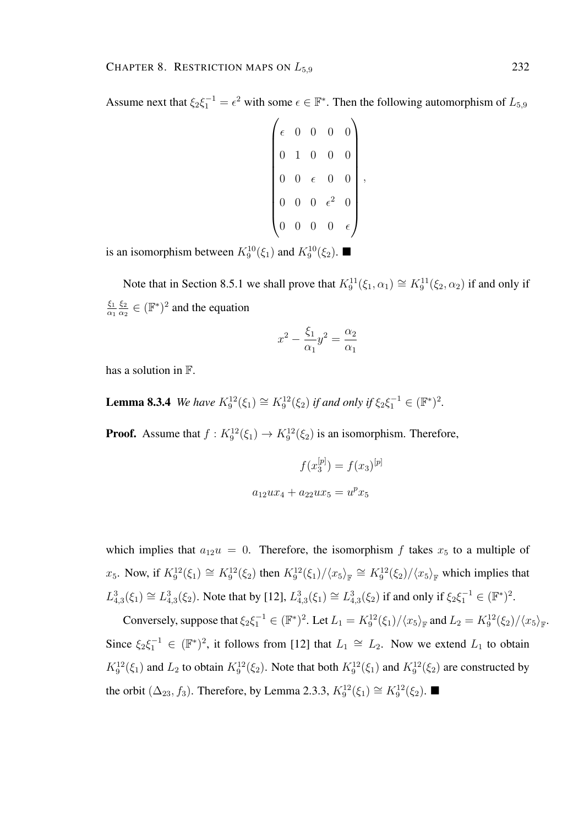Assume next that  $\xi_2 \xi_1^{-1} = \epsilon^2$  with some  $\epsilon \in \mathbb{F}^*$ . Then the following automorphism of  $L_{5,9}$ 

| $\epsilon$       | $\overline{0}$   | $\overline{0}$ | $\overline{0}$   | $\overline{0}$ |  |
|------------------|------------------|----------------|------------------|----------------|--|
| $\hspace{.0cm}0$ | $\mathbf{1}$     | $\overline{0}$ | $\overline{0}$   | 0              |  |
| $\overline{0}$   | $\overline{0}$   | $\epsilon$     | $\boldsymbol{0}$ | $\overline{0}$ |  |
| $\overline{0}$   | $\overline{0}$   | $\overline{0}$ | $\epsilon^2$     | 0              |  |
| $\boldsymbol{0}$ | $\boldsymbol{0}$ | $\overline{0}$ | $\cup$           | $\epsilon$     |  |

is an isomorphism between  $K_9^{10}(\xi_1)$  and  $K_9^{10}(\xi_2)$ .

Note that in Section 8.5.1 we shall prove that  $K_9^{11}(\xi_1, \alpha_1) \cong K_9^{11}(\xi_2, \alpha_2)$  if and only if  $\xi_1$  $\alpha_1$  $\xi_2$  $\frac{\xi_2}{\alpha_2} \in (\mathbb{F}^*)^2$  and the equation

$$
x^2 - \frac{\xi_1}{\alpha_1}y^2 = \frac{\alpha_2}{\alpha_1}
$$

has a solution in F.

**Lemma 8.3.4** *We have*  $K_9^{12}(\xi_1) \cong K_9^{12}(\xi_2)$  *if and only if*  $\xi_2 \xi_1^{-1} \in (\mathbb{F}^*)^2$ .

**Proof.** Assume that  $f: K_9^{12}(\xi_1) \to K_9^{12}(\xi_2)$  is an isomorphism. Therefore,

$$
f(x_3^{[p]}) = f(x_3)^{[p]}
$$

$$
a_{12}ux_4 + a_{22}ux_5 = u^px_5
$$

which implies that  $a_{12}u = 0$ . Therefore, the isomorphism f takes  $x_5$  to a multiple of  $x_5$ . Now, if  $K_9^{12}(\xi_1) \cong K_9^{12}(\xi_2)$  then  $K_9^{12}(\xi_1)/\langle x_5 \rangle_{\mathbb{F}} \cong K_9^{12}(\xi_2)/\langle x_5 \rangle_{\mathbb{F}}$  which implies that  $L_{4,3}^3(\xi_1) \cong L_{4,3}^3(\xi_2)$ . Note that by [12],  $L_{4,3}^3(\xi_1) \cong L_{4,3}^3(\xi_2)$  if and only if  $\xi_2 \xi_1^{-1} \in (\mathbb{F}^*)^2$ .

Conversely, suppose that  $\xi_2 \xi_1^{-1} \in (\mathbb{F}^*)^2$ . Let  $L_1 = K_9^{12}(\xi_1)/\langle x_5 \rangle_{\mathbb{F}}$  and  $L_2 = K_9^{12}(\xi_2)/\langle x_5 \rangle_{\mathbb{F}}$ . Since  $\xi_2 \xi_1^{-1} \in (\mathbb{F}^*)^2$ , it follows from [12] that  $L_1 \cong L_2$ . Now we extend  $L_1$  to obtain  $K_9^{12}(\xi_1)$  and  $L_2$  to obtain  $K_9^{12}(\xi_2)$ . Note that both  $K_9^{12}(\xi_1)$  and  $K_9^{12}(\xi_2)$  are constructed by the orbit  $(\Delta_{23}, f_3)$ . Therefore, by Lemma 2.3.3,  $K_9^{12}(\xi_1) \cong K_9^{12}(\xi_2)$ .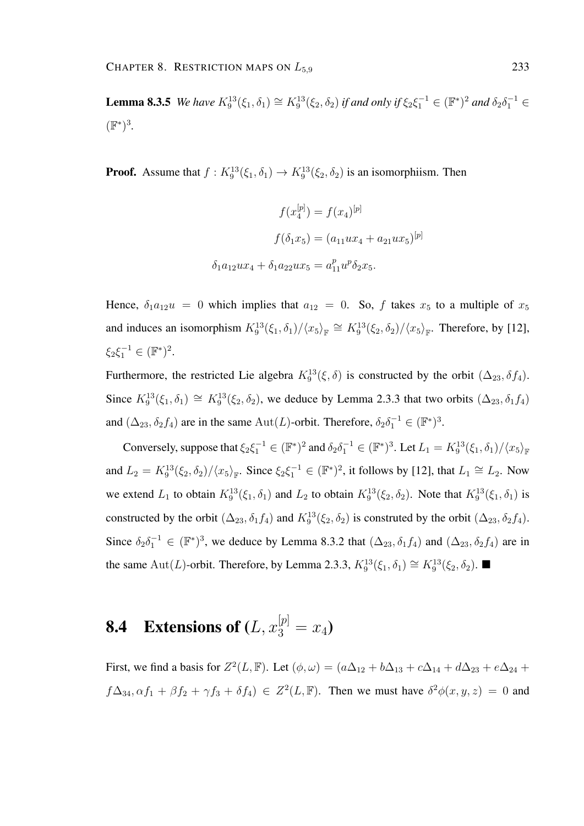**Lemma 8.3.5** *We have*  $K_9^{13}(\xi_1, \delta_1) \cong K_9^{13}(\xi_2, \delta_2)$  *if and only if*  $\xi_2 \xi_1^{-1} \in (\mathbb{F}^*)^2$  *and*  $\delta_2 \delta_1^{-1} \in$ (F ∗ ) 3 *.*

**Proof.** Assume that  $f: K_9^{13}(\xi_1, \delta_1) \to K_9^{13}(\xi_2, \delta_2)$  is an isomorphiism. Then

$$
f(x_4^{[p]}) = f(x_4)^{[p]}
$$

$$
f(\delta_1 x_5) = (a_{11}ux_4 + a_{21}ux_5)^{[p]}
$$

$$
\delta_1 a_{12}ux_4 + \delta_1 a_{22}ux_5 = a_{11}^p u^p \delta_2 x_5.
$$

Hence,  $\delta_1 a_{12}u = 0$  which implies that  $a_{12} = 0$ . So, f takes  $x_5$  to a multiple of  $x_5$ and induces an isomorphism  $K_9^{13}(\xi_1, \delta_1)/\langle x_5 \rangle_{\mathbb{F}} \cong K_9^{13}(\xi_2, \delta_2)/\langle x_5 \rangle_{\mathbb{F}}$ . Therefore, by [12],  $\xi_2 \xi_1^{-1} \in (\mathbb{F}^*)^2$ .

Furthermore, the restricted Lie algebra  $K_9^{13}(\xi, \delta)$  is constructed by the orbit  $(\Delta_{23}, \delta f_4)$ . Since  $K_9^{13}(\xi_1,\delta_1) \cong K_9^{13}(\xi_2,\delta_2)$ , we deduce by Lemma 2.3.3 that two orbits  $(\Delta_{23},\delta_1f_4)$ and  $(\Delta_{23}, \delta_2 f_4)$  are in the same Aut $(L)$ -orbit. Therefore,  $\delta_2 \delta_1^{-1} \in (\mathbb{F}^*)^3$ .

Conversely, suppose that  $\xi_2 \xi_1^{-1} \in (\mathbb{F}^*)^2$  and  $\delta_2 \delta_1^{-1} \in (\mathbb{F}^*)^3$ . Let  $L_1 = K_9^{13}(\xi_1, \delta_1) / \langle x_5 \rangle_{\mathbb{F}}$ and  $L_2 = K_9^{13}(\xi_2, \delta_2) / \langle x_5 \rangle_{\mathbb{F}}$ . Since  $\xi_2 \xi_1^{-1} \in (\mathbb{F}^*)^2$ , it follows by [12], that  $L_1 \cong L_2$ . Now we extend  $L_1$  to obtain  $K_9^{13}(\xi_1, \delta_1)$  and  $L_2$  to obtain  $K_9^{13}(\xi_2, \delta_2)$ . Note that  $K_9^{13}(\xi_1, \delta_1)$  is constructed by the orbit  $(\Delta_{23}, \delta_1 f_4)$  and  $K_9^{13}(\xi_2, \delta_2)$  is construted by the orbit  $(\Delta_{23}, \delta_2 f_4)$ . Since  $\delta_2 \delta_1^{-1} \in (\mathbb{F}^*)^3$ , we deduce by Lemma 8.3.2 that  $(\Delta_{23}, \delta_1 f_4)$  and  $(\Delta_{23}, \delta_2 f_4)$  are in the same Aut(L)-orbit. Therefore, by Lemma 2.3.3,  $K_9^{13}(\xi_1, \delta_1) \cong K_9^{13}(\xi_2, \delta_2)$ .

## **8.4** Extensions of  $(L, x_3^{[p]} = x_4)$

First, we find a basis for  $Z^2(L, \mathbb{F})$ . Let  $(\phi, \omega) = (a\Delta_{12} + b\Delta_{13} + c\Delta_{14} + d\Delta_{23} + e\Delta_{24} + d\Delta_{34})$  $f\Delta_{34}, \alpha f_1 + \beta f_2 + \gamma f_3 + \delta f_4$ )  $\in Z^2(L, \mathbb{F})$ . Then we must have  $\delta^2 \phi(x, y, z) = 0$  and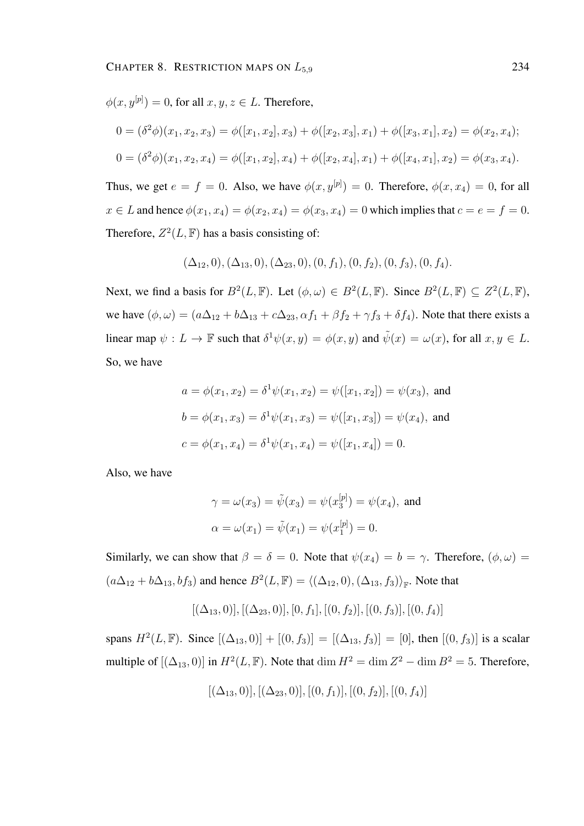$\phi(x, y^{[p]}) = 0$ , for all  $x, y, z \in L$ . Therefore,

$$
0 = (\delta^2 \phi)(x_1, x_2, x_3) = \phi([x_1, x_2], x_3) + \phi([x_2, x_3], x_1) + \phi([x_3, x_1], x_2) = \phi(x_2, x_4);
$$
  
\n
$$
0 = (\delta^2 \phi)(x_1, x_2, x_4) = \phi([x_1, x_2], x_4) + \phi([x_2, x_4], x_1) + \phi([x_4, x_1], x_2) = \phi(x_3, x_4).
$$

Thus, we get  $e = f = 0$ . Also, we have  $\phi(x, y^{[p]}) = 0$ . Therefore,  $\phi(x, x_4) = 0$ , for all  $x \in L$  and hence  $\phi(x_1, x_4) = \phi(x_2, x_4) = \phi(x_3, x_4) = 0$  which implies that  $c = e = f = 0$ . Therefore,  $Z^2(L, \mathbb{F})$  has a basis consisting of:

$$
(\Delta_{12},0), (\Delta_{13},0), (\Delta_{23},0), (0, f_1), (0, f_2), (0, f_3), (0, f_4).
$$

Next, we find a basis for  $B^2(L, \mathbb{F})$ . Let  $(\phi, \omega) \in B^2(L, \mathbb{F})$ . Since  $B^2(L, \mathbb{F}) \subseteq Z^2(L, \mathbb{F})$ , we have  $(\phi, \omega) = (a\Delta_{12} + b\Delta_{13} + c\Delta_{23}, \alpha f_1 + \beta f_2 + \gamma f_3 + \delta f_4)$ . Note that there exists a linear map  $\psi: L \to \mathbb{F}$  such that  $\delta^1 \psi(x, y) = \phi(x, y)$  and  $\tilde{\psi}(x) = \omega(x)$ , for all  $x, y \in L$ . So, we have

$$
a = \phi(x_1, x_2) = \delta^1 \psi(x_1, x_2) = \psi([x_1, x_2]) = \psi(x_3), \text{ and}
$$

$$
b = \phi(x_1, x_3) = \delta^1 \psi(x_1, x_3) = \psi([x_1, x_3]) = \psi(x_4), \text{ and}
$$

$$
c = \phi(x_1, x_4) = \delta^1 \psi(x_1, x_4) = \psi([x_1, x_4]) = 0.
$$

Also, we have

$$
\gamma = \omega(x_3) = \tilde{\psi}(x_3) = \psi(x_3^{[p]}) = \psi(x_4)
$$
, and  
\n $\alpha = \omega(x_1) = \tilde{\psi}(x_1) = \psi(x_1^{[p]}) = 0$ .

Similarly, we can show that  $\beta = \delta = 0$ . Note that  $\psi(x_4) = b = \gamma$ . Therefore,  $(\phi, \omega) =$  $(a\Delta_{12} + b\Delta_{13}, bf_3)$  and hence  $B^2(L,\mathbb{F}) = \langle (\Delta_{12}, 0), (\Delta_{13}, f_3) \rangle_{\mathbb{F}}$ . Note that

$$
[(\Delta_{13},0)], [(\Delta_{23},0)], [0,f_1], [(0,f_2)], [(0,f_3)], [(0,f_4)]
$$

spans  $H^2(L, \mathbb{F})$ . Since  $[(\Delta_{13}, 0)] + [(0, f_3)] = [(\Delta_{13}, f_3)] = [0]$ , then  $[(0, f_3)]$  is a scalar multiple of  $[(\Delta_{13}, 0)]$  in  $H^2(L, \mathbb{F})$ . Note that  $\dim H^2 = \dim Z^2 - \dim B^2 = 5$ . Therefore,

$$
[(\Delta_{13},0)], [(\Delta_{23},0)], [(0,f_1)], [(0,f_2)], [(0,f_4)]
$$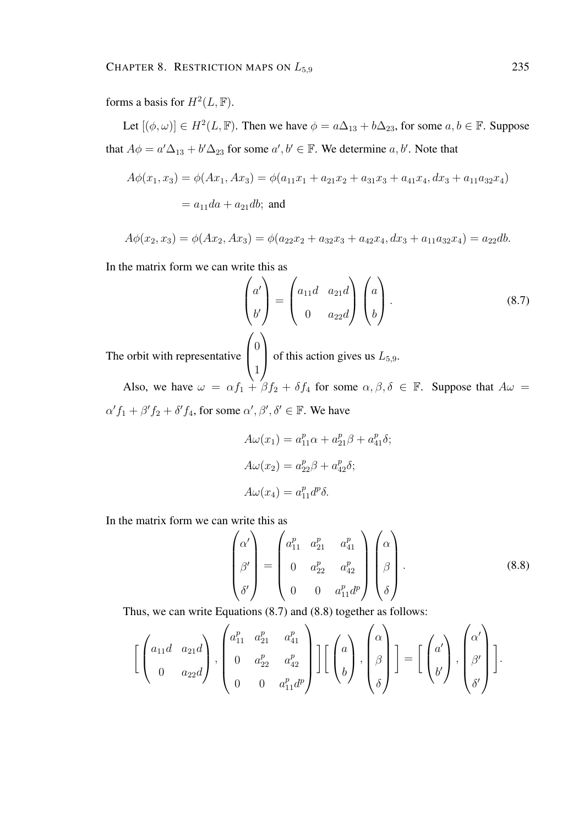forms a basis for  $H^2(L, \mathbb{F})$ .

Let  $[(\phi, \omega)] \in H^2(L, \mathbb{F})$ . Then we have  $\phi = a\Delta_{13} + b\Delta_{23}$ , for some  $a, b \in \mathbb{F}$ . Suppose that  $A\phi = a'\Delta_{13} + b'\Delta_{23}$  for some  $a', b' \in \mathbb{F}$ . We determine  $a, b'$ . Note that

$$
A\phi(x_1, x_3) = \phi(Ax_1, Ax_3) = \phi(a_{11}x_1 + a_{21}x_2 + a_{31}x_3 + a_{41}x_4, dx_3 + a_{11}a_{32}x_4)
$$
  
=  $a_{11}da + a_{21}db$ ; and

$$
A\phi(x_2, x_3) = \phi(Ax_2, Ax_3) = \phi(a_{22}x_2 + a_{32}x_3 + a_{42}x_4, dx_3 + a_{11}a_{32}x_4) = a_{22}db.
$$

In the matrix form we can write this as

$$
\begin{pmatrix} a' \\ b' \end{pmatrix} = \begin{pmatrix} a_{11}d & a_{21}d \\ 0 & a_{22}d \end{pmatrix} \begin{pmatrix} a \\ b \end{pmatrix}.
$$
\nThe orbit with representative  $\begin{pmatrix} 0 \\ 1 \end{pmatrix}$  of this action gives us  $L_{5,9}$ . (8.7)

Also, we have  $\omega = \alpha f_1 + \beta f_2 + \delta f_4$  for some  $\alpha, \beta, \delta \in \mathbb{F}$ . Suppose that  $A\omega =$  $\alpha' f_1 + \beta' f_2 + \delta' f_4$ , for some  $\alpha', \beta', \delta' \in \mathbb{F}$ . We have

$$
A\omega(x_1) = a_{11}^p \alpha + a_{21}^p \beta + a_{41}^p \delta;
$$
  
\n
$$
A\omega(x_2) = a_{22}^p \beta + a_{42}^p \delta;
$$
  
\n
$$
A\omega(x_4) = a_{11}^p d^p \delta.
$$

In the matrix form we can write this as

$$
\begin{pmatrix}\n\alpha' \\
\beta' \\
\delta'\n\end{pmatrix} = \begin{pmatrix}\na_{11}^p & a_{21}^p & a_{41}^p \\
0 & a_{22}^p & a_{42}^p \\
0 & 0 & a_{11}^p d^p\n\end{pmatrix} \begin{pmatrix}\n\alpha \\
\beta \\
\delta\n\end{pmatrix}.
$$
\n(8.8)

Thus, we can write Equations (8.7) and (8.8) together as follows:

$$
\left[\begin{pmatrix} a_{11}d & a_{21}d \\ 0 & a_{22}d \end{pmatrix}, \begin{pmatrix} a_{11}^p & a_{21}^p & a_{41}^p \\ 0 & a_{22}^p & a_{42}^p \\ 0 & 0 & a_{11}^p d^p \end{pmatrix}\right] \left[\begin{pmatrix} a \\ b \end{pmatrix}, \begin{pmatrix} \alpha \\ \beta \\ \delta \end{pmatrix}\right] = \left[\begin{pmatrix} a' \\ b' \end{pmatrix}, \begin{pmatrix} \alpha' \\ \beta' \\ \delta' \end{pmatrix}\right].
$$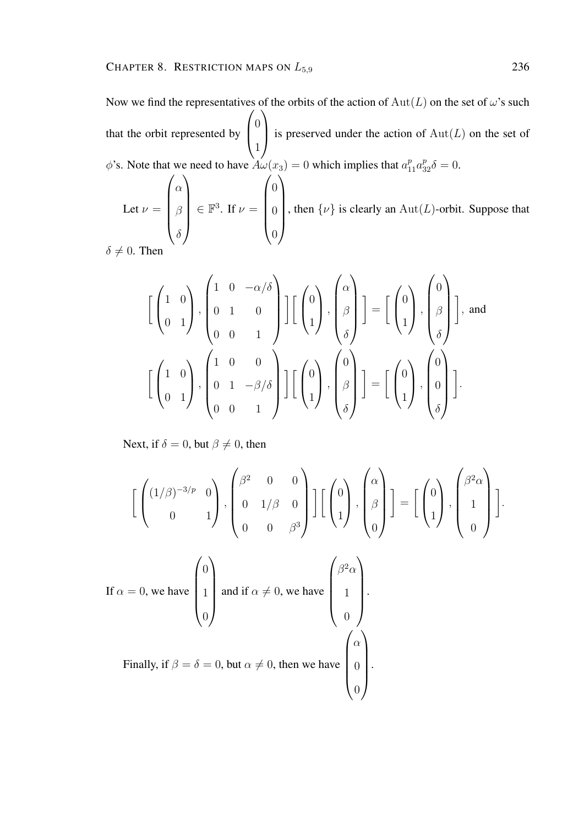Now we find the representatives of the orbits of the action of  $Aut(L)$  on the set of  $\omega$ 's such that the orbit represented by  $\sqrt{ }$  $\left\lfloor \right\rfloor$  $\overline{0}$ 1  $\setminus$ is preserved under the action of  $Aut(L)$  on the set of  $\phi$ 's. Note that we need to have  $A\omega(x_3) = 0$  which implies that  $a_{11}^p a_{32}^p \delta = 0$ .  $\begin{pmatrix} \alpha \\ \end{pmatrix} \qquad \qquad \begin{pmatrix} 0 \\ \end{pmatrix}$ 

Let 
$$
\nu = \begin{pmatrix} \alpha \\ \beta \\ \delta \end{pmatrix} \in \mathbb{F}^3
$$
. If  $\nu = \begin{pmatrix} 0 \\ 0 \\ 0 \end{pmatrix}$ , then  $\{\nu\}$  is clearly an  $\text{Aut}(L)$ -orbit. Suppose that

 $\delta \neq 0$ . Then

$$
\begin{bmatrix} \begin{pmatrix} 1 & 0 \ 0 & 1 \end{pmatrix}, \begin{pmatrix} 1 & 0 & -\alpha/\delta \\ 0 & 1 & 0 \\ 0 & 0 & 1 \end{pmatrix} \end{bmatrix} \begin{bmatrix} \begin{pmatrix} 0 \\ \beta \end{pmatrix}, \begin{pmatrix} \alpha \\ \beta \\ \delta \end{pmatrix} \end{bmatrix} = \begin{bmatrix} \begin{pmatrix} 0 \\ \beta \end{pmatrix}, \begin{pmatrix} 0 \\ \beta \\ \delta \end{pmatrix} \end{bmatrix}, \text{ and}
$$

$$
\begin{bmatrix} \begin{pmatrix} 1 & 0 \\ 0 & 1 \end{pmatrix}, \begin{pmatrix} 1 & 0 & 0 \\ 0 & 1 & -\beta/\delta \\ 0 & 0 & 1 \end{pmatrix} \end{bmatrix} \begin{bmatrix} \begin{pmatrix} 0 \\ \beta \end{pmatrix}, \begin{pmatrix} 0 \\ \beta \\ \delta \end{pmatrix} \end{bmatrix} = \begin{bmatrix} \begin{pmatrix} 0 \\ 1 \end{pmatrix}, \begin{pmatrix} 0 \\ 0 \\ \delta \end{pmatrix} \end{bmatrix}.
$$

Next, if  $\delta = 0$ , but  $\beta \neq 0$ , then

$$
\left[\begin{pmatrix} (1/\beta)^{-3/p} & 0 \\ 0 & 1 \end{pmatrix}, \begin{pmatrix} \beta^2 & 0 & 0 \\ 0 & 1/\beta & 0 \\ 0 & 0 & \beta^3 \end{pmatrix} \right] \left[\begin{pmatrix} 0 \\ 1 \end{pmatrix}, \begin{pmatrix} \alpha \\ \beta \\ 0 \end{pmatrix} \right] = \left[\begin{pmatrix} 0 \\ 1 \end{pmatrix}, \begin{pmatrix} \beta^2 \alpha \\ 1 \\ 0 \end{pmatrix} \right].
$$

If 
$$
\alpha = 0
$$
, we have  $\begin{pmatrix} 0 \\ 1 \\ 0 \end{pmatrix}$  and if  $\alpha \neq 0$ , we have  $\begin{pmatrix} \beta^2 \alpha \\ 1 \\ 0 \end{pmatrix}$ .  
Finally, if  $\beta = \delta = 0$ , but  $\alpha \neq 0$ , then we have  $\begin{pmatrix} \alpha \\ 0 \\ 0 \end{pmatrix}$ .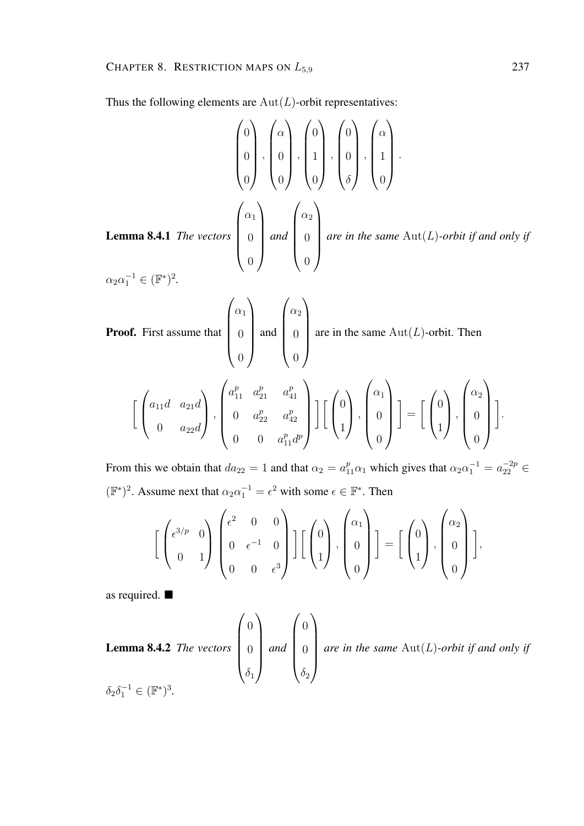Thus the following elements are  $Aut(L)$ -orbit representatives:

$$
\begin{pmatrix} 0 \\ 0 \\ 0 \end{pmatrix}, \begin{pmatrix} \alpha \\ 0 \\ 0 \end{pmatrix}, \begin{pmatrix} 0 \\ 1 \\ 0 \end{pmatrix}, \begin{pmatrix} 0 \\ 0 \\ 0 \end{pmatrix}, \begin{pmatrix} \alpha \\ 1 \\ 0 \end{pmatrix}.
$$
  
Lemma 8.4.1 The vectors 
$$
\begin{pmatrix} \alpha_1 \\ 0 \\ 0 \end{pmatrix}
$$
 and 
$$
\begin{pmatrix} \alpha_2 \\ 0 \\ 0 \end{pmatrix}
$$
 are in the same Aut(L)-orbit if and only if 
$$
\alpha_2 \alpha_1^{-1} \in (\mathbb{F}^*)^2.
$$

 $\alpha_2 \alpha_1^{-1} \in (\mathbb{F}^*)^2$ .

**Proof.** First assume that 
$$
\begin{pmatrix} \alpha_1 \\ 0 \\ 0 \end{pmatrix}
$$
 and  $\begin{pmatrix} \alpha_2 \\ 0 \\ 0 \end{pmatrix}$  are in the same Aut(*L*)-orbit. Then

$$
\left[\begin{pmatrix} a_{11}d & a_{21}d \\ 0 & a_{22}d \end{pmatrix}, \begin{pmatrix} a_{11}^p & a_{21}^p & a_{41}^p \\ 0 & a_{22}^p & a_{42}^p \\ 0 & 0 & a_{11}^p d^p \end{pmatrix}\right] \left[\begin{pmatrix} 0 \\ 1 \end{pmatrix}, \begin{pmatrix} \alpha_1 \\ 0 \\ 0 \end{pmatrix} \right] = \left[\begin{pmatrix} 0 \\ 1 \end{pmatrix}, \begin{pmatrix} \alpha_2 \\ 0 \\ 0 \end{pmatrix} \right].
$$

From this we obtain that  $da_{22} = 1$  and that  $\alpha_2 = a_{11}^p \alpha_1$  which gives that  $\alpha_2 \alpha_1^{-1} = a_{22}^{-2p} \in$  $(\mathbb{F}^*)^2$ . Assume next that  $\alpha_2 \alpha_1^{-1} = \epsilon^2$  with some  $\epsilon \in \mathbb{F}^*$ . Then

$$
\left[\begin{pmatrix} \epsilon^{3/p} & 0 \\ 0 & 1 \end{pmatrix} \begin{pmatrix} \epsilon^2 & 0 & 0 \\ 0 & \epsilon^{-1} & 0 \\ 0 & 0 & \epsilon^3 \end{pmatrix} \right] \left[\begin{pmatrix} 0 \\ 1 \end{pmatrix}, \begin{pmatrix} \alpha_1 \\ 0 \\ 0 \end{pmatrix} \right] = \left[\begin{pmatrix} 0 \\ 1 \end{pmatrix}, \begin{pmatrix} \alpha_2 \\ 0 \\ 0 \end{pmatrix} \right],
$$

as required.

**Lemma 8.4.2** The vectors 
$$
\begin{pmatrix} 0 \\ 0 \\ \delta_1 \end{pmatrix}
$$
 and  $\begin{pmatrix} 0 \\ 0 \\ \delta_2 \end{pmatrix}$  are in the same Aut(*L*)-orbit if and only if  $\delta_2 \delta_1^{-1} \in (\mathbb{F}^*)^3$ .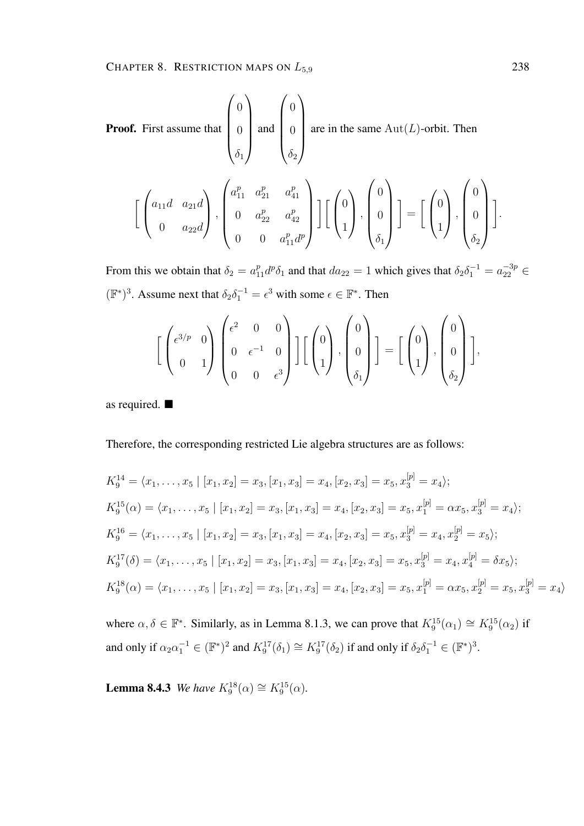**Proof.** First assume that 
$$
\begin{pmatrix} 0 \\ 0 \\ \delta_1 \end{pmatrix}
$$
 and  $\begin{pmatrix} 0 \\ 0 \\ \delta_2 \end{pmatrix}$  are in the same Aut(*L*)-orbit. Then  
\n
$$
\left[ \begin{pmatrix} a_{11}d & a_{21}d \\ 0 & a_{22}d \end{pmatrix}, \begin{pmatrix} a_{11}^p & a_{21}^p & a_{41}^p \\ 0 & a_{22}^p & a_{42}^p \\ 0 & 0 & a_{11}^p d^p \end{pmatrix} \right] \left[ \begin{pmatrix} 0 \\ 0 \\ 1 \end{pmatrix}, \begin{pmatrix} 0 \\ 0 \\ \delta_1 \end{pmatrix} \right] = \left[ \begin{pmatrix} 0 \\ 1 \end{pmatrix}, \begin{pmatrix} 0 \\ 0 \\ \delta_2 \end{pmatrix} \right]
$$

From this we obtain that  $\delta_2 = a_{11}^p d^p \delta_1$  and that  $da_{22} = 1$  which gives that  $\delta_2 \delta_1^{-1} = a_{22}^{-3p} \in$  $(\mathbb{F}^*)^3$ . Assume next that  $\delta_2 \delta_1^{-1} = \epsilon^3$  with some  $\epsilon \in \mathbb{F}^*$ . Then

$$
\left[\begin{pmatrix} \epsilon^{3/p} & 0 \\ 0 & 1 \end{pmatrix} \begin{pmatrix} \epsilon^2 & 0 & 0 \\ 0 & \epsilon^{-1} & 0 \\ 0 & 0 & \epsilon^3 \end{pmatrix} \right] \left[\begin{pmatrix} 0 \\ 1 \end{pmatrix}, \begin{pmatrix} 0 \\ 0 \\ \delta_1 \end{pmatrix} \right] = \left[\begin{pmatrix} 0 \\ 1 \end{pmatrix}, \begin{pmatrix} 0 \\ 0 \\ \delta_2 \end{pmatrix} \right],
$$

as required.

Therefore, the corresponding restricted Lie algebra structures are as follows:

$$
K_9^{14} = \langle x_1, \dots, x_5 \mid [x_1, x_2] = x_3, [x_1, x_3] = x_4, [x_2, x_3] = x_5, x_3^{[p]} = x_4 \rangle;
$$
  
\n
$$
K_9^{15}(\alpha) = \langle x_1, \dots, x_5 \mid [x_1, x_2] = x_3, [x_1, x_3] = x_4, [x_2, x_3] = x_5, x_1^{[p]} = \alpha x_5, x_3^{[p]} = x_4 \rangle;
$$
  
\n
$$
K_9^{16} = \langle x_1, \dots, x_5 \mid [x_1, x_2] = x_3, [x_1, x_3] = x_4, [x_2, x_3] = x_5, x_3^{[p]} = x_4, x_2^{[p]} = x_5 \rangle;
$$
  
\n
$$
K_9^{17}(\delta) = \langle x_1, \dots, x_5 \mid [x_1, x_2] = x_3, [x_1, x_3] = x_4, [x_2, x_3] = x_5, x_3^{[p]} = x_4, x_4^{[p]} = \delta x_5 \rangle;
$$
  
\n
$$
K_9^{18}(\alpha) = \langle x_1, \dots, x_5 \mid [x_1, x_2] = x_3, [x_1, x_3] = x_4, [x_2, x_3] = x_5, x_1^{[p]} = \alpha x_5, x_2^{[p]} = x_5, x_3^{[p]} = x_4 \rangle
$$

where  $\alpha, \delta \in \mathbb{F}^*$ . Similarly, as in Lemma 8.1.3, we can prove that  $K_9^{15}(\alpha_1) \cong K_9^{15}(\alpha_2)$  if and only if  $\alpha_2 \alpha_1^{-1} \in (\mathbb{F}^*)^2$  and  $K_9^{17}(\delta_1) \cong K_9^{17}(\delta_2)$  if and only if  $\delta_2 \delta_1^{-1} \in (\mathbb{F}^*)^3$ .

**Lemma 8.4.3** *We have*  $K_9^{18}(\alpha) \cong K_9^{15}(\alpha)$ .

.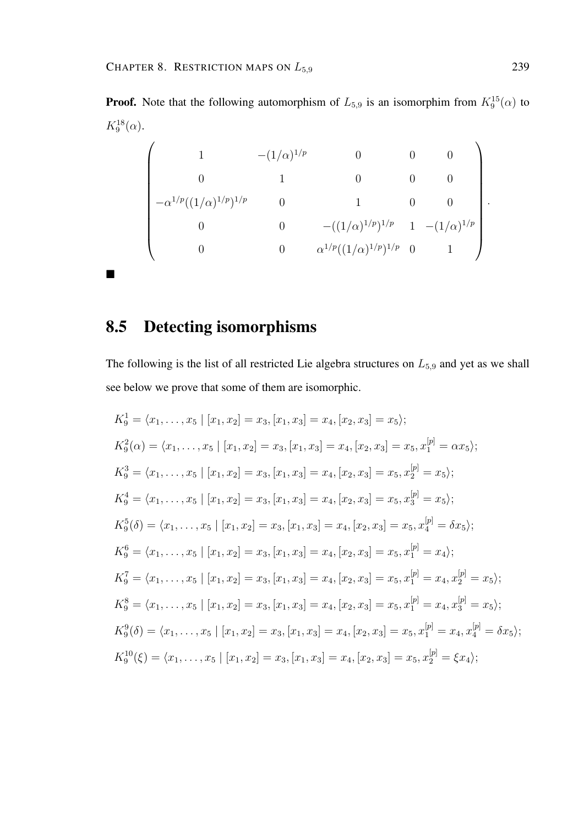**Proof.** Note that the following automorphism of  $L_{5,9}$  is an isomorphim from  $K_9^{15}(\alpha)$  to  $K_9^{18}(\alpha)$ .

$$
\begin{pmatrix}\n1 & -(1/\alpha)^{1/p} & 0 & 0 & 0 \\
0 & 1 & 0 & 0 & 0 \\
-\alpha^{1/p}((1/\alpha)^{1/p})^{1/p} & 0 & 1 & 0 & 0 \\
0 & 0 & -((1/\alpha)^{1/p})^{1/p} & 1 & -(1/\alpha)^{1/p} \\
0 & 0 & \alpha^{1/p}((1/\alpha)^{1/p})^{1/p} & 0 & 1\n\end{pmatrix}.
$$

#### 8.5 Detecting isomorphisms

The following is the list of all restricted Lie algebra structures on  $L_{5,9}$  and yet as we shall see below we prove that some of them are isomorphic.

$$
K_9^1 = \langle x_1, \ldots, x_5 \mid [x_1, x_2] = x_3, [x_1, x_3] = x_4, [x_2, x_3] = x_5 \rangle;
$$
  
\n
$$
K_9^2(\alpha) = \langle x_1, \ldots, x_5 \mid [x_1, x_2] = x_3, [x_1, x_3] = x_4, [x_2, x_3] = x_5, x_1^{[p]} = \alpha x_5 \rangle;
$$
  
\n
$$
K_9^3 = \langle x_1, \ldots, x_5 \mid [x_1, x_2] = x_3, [x_1, x_3] = x_4, [x_2, x_3] = x_5, x_2^{[p]} = x_5 \rangle;
$$
  
\n
$$
K_9^4 = \langle x_1, \ldots, x_5 \mid [x_1, x_2] = x_3, [x_1, x_3] = x_4, [x_2, x_3] = x_5, x_3^{[p]} = x_5 \rangle;
$$
  
\n
$$
K_9^5(\delta) = \langle x_1, \ldots, x_5 \mid [x_1, x_2] = x_3, [x_1, x_3] = x_4, [x_2, x_3] = x_5, x_4^{[p]} = \delta x_5 \rangle;
$$
  
\n
$$
K_9^6 = \langle x_1, \ldots, x_5 \mid [x_1, x_2] = x_3, [x_1, x_3] = x_4, [x_2, x_3] = x_5, x_1^{[p]} = x_4 \rangle;
$$
  
\n
$$
K_9^7 = \langle x_1, \ldots, x_5 \mid [x_1, x_2] = x_3, [x_1, x_3] = x_4, [x_2, x_3] = x_5, x_1^{[p]} = x_4, x_2^{[p]} = x_5 \rangle;
$$
  
\n
$$
K_9^8 = \langle x_1, \ldots, x_5 \mid [x_1, x_2] = x_3, [x_1, x_3] = x_4, [x_2, x_3] = x_5, x_1^{[p]} = x_4, x_2^{[p]} = x_5 \rangle;
$$
  
\n
$$
K_9^9(\delta) = \langle x_1, \ldots, x_5 \mid [x_1, x_2]
$$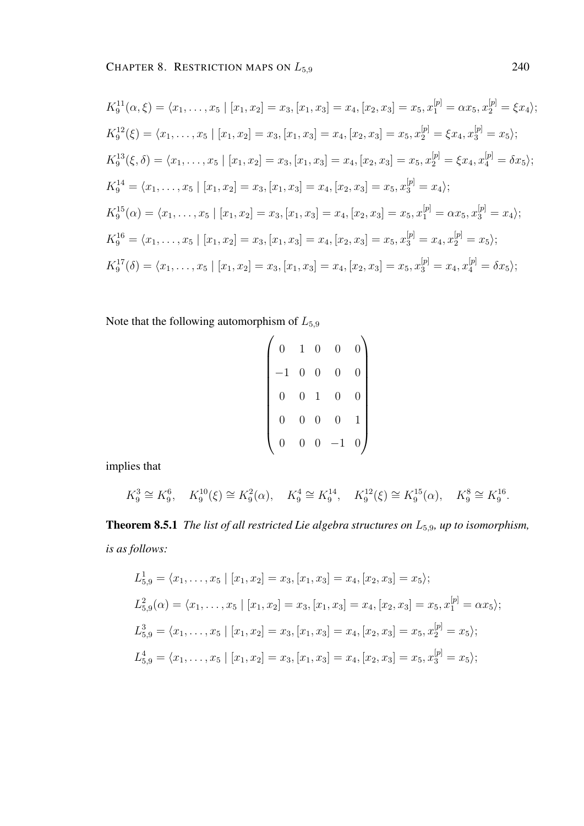$$
K_9^{11}(\alpha, \xi) = \langle x_1, \dots, x_5 \mid [x_1, x_2] = x_3, [x_1, x_3] = x_4, [x_2, x_3] = x_5, x_1^{[p]} = \alpha x_5, x_2^{[p]} = \xi x_4 \rangle;
$$
  
\n
$$
K_9^{12}(\xi) = \langle x_1, \dots, x_5 \mid [x_1, x_2] = x_3, [x_1, x_3] = x_4, [x_2, x_3] = x_5, x_2^{[p]} = \xi x_4, x_3^{[p]} = x_5 \rangle;
$$
  
\n
$$
K_9^{13}(\xi, \delta) = \langle x_1, \dots, x_5 \mid [x_1, x_2] = x_3, [x_1, x_3] = x_4, [x_2, x_3] = x_5, x_2^{[p]} = \xi x_4, x_4^{[p]} = \delta x_5 \rangle;
$$
  
\n
$$
K_9^{14} = \langle x_1, \dots, x_5 \mid [x_1, x_2] = x_3, [x_1, x_3] = x_4, [x_2, x_3] = x_5, x_3^{[p]} = x_4 \rangle;
$$
  
\n
$$
K_9^{15}(\alpha) = \langle x_1, \dots, x_5 \mid [x_1, x_2] = x_3, [x_1, x_3] = x_4, [x_2, x_3] = x_5, x_1^{[p]} = \alpha x_5, x_3^{[p]} = x_4 \rangle;
$$
  
\n
$$
K_9^{16} = \langle x_1, \dots, x_5 \mid [x_1, x_2] = x_3, [x_1, x_3] = x_4, [x_2, x_3] = x_5, x_3^{[p]} = x_4, x_2^{[p]} = x_5 \rangle;
$$
  
\n
$$
K_9^{17}(\delta) = \langle x_1, \dots, x_5 \mid [x_1, x_2] = x_3, [x_1, x_3] = x_4, [x_2, x_3] = x_5, x_3^{[p]} = x_4, x_4^{[p]} = \delta x_5 \rangle;
$$

Note that the following automorphism of  $L_{5,9}$ 

| $\overline{0}$ | $\mathbf{1}$     | $\overline{0}$   | $\overline{0}$ | $\overline{0}$ |
|----------------|------------------|------------------|----------------|----------------|
| $\overline{1}$ | $\overline{0}$   | $\overline{0}$   | $\overline{0}$ | $\overline{0}$ |
| $\overline{0}$ | $\overline{0}$   | $\mathbf{1}$     | $\overline{0}$ | 0              |
| 0              | $\overline{0}$   | $\overline{0}$   | $\overline{0}$ |                |
| $\overline{0}$ | $\boldsymbol{0}$ | $\boldsymbol{0}$ | $^{-1}$        | 0              |

implies that

$$
K_9^3 \cong K_9^6
$$
,  $K_9^{10}(\xi) \cong K_9^2(\alpha)$ ,  $K_9^4 \cong K_9^{14}$ ,  $K_9^{12}(\xi) \cong K_9^{15}(\alpha)$ ,  $K_9^8 \cong K_9^{16}$ .

Theorem 8.5.1 *The list of all restricted Lie algebra structures on* L5,9*, up to isomorphism, is as follows:*

$$
L_{5,9}^{1} = \langle x_{1}, \ldots, x_{5} \mid [x_{1}, x_{2}] = x_{3}, [x_{1}, x_{3}] = x_{4}, [x_{2}, x_{3}] = x_{5} \rangle;
$$
  
\n
$$
L_{5,9}^{2}(\alpha) = \langle x_{1}, \ldots, x_{5} \mid [x_{1}, x_{2}] = x_{3}, [x_{1}, x_{3}] = x_{4}, [x_{2}, x_{3}] = x_{5}, x_{1}^{[p]} = \alpha x_{5} \rangle;
$$
  
\n
$$
L_{5,9}^{3} = \langle x_{1}, \ldots, x_{5} \mid [x_{1}, x_{2}] = x_{3}, [x_{1}, x_{3}] = x_{4}, [x_{2}, x_{3}] = x_{5}, x_{2}^{[p]} = x_{5} \rangle;
$$
  
\n
$$
L_{5,9}^{4} = \langle x_{1}, \ldots, x_{5} \mid [x_{1}, x_{2}] = x_{3}, [x_{1}, x_{3}] = x_{4}, [x_{2}, x_{3}] = x_{5}, x_{3}^{[p]} = x_{5} \rangle;
$$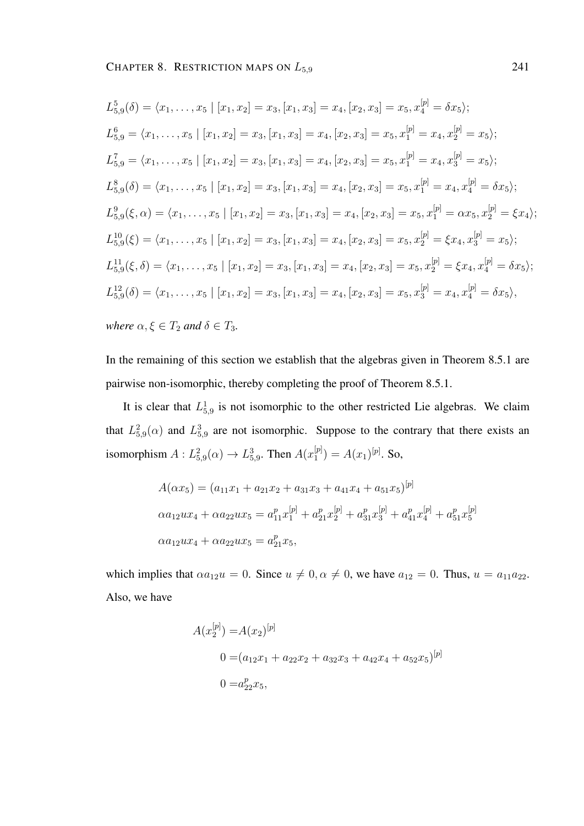$$
L_{5,9}^{5}(\delta) = \langle x_{1}, \ldots, x_{5} \mid [x_{1}, x_{2}] = x_{3}, [x_{1}, x_{3}] = x_{4}, [x_{2}, x_{3}] = x_{5}, x_{4}^{[p]} = \delta x_{5};
$$
\n
$$
L_{5,9}^{6} = \langle x_{1}, \ldots, x_{5} \mid [x_{1}, x_{2}] = x_{3}, [x_{1}, x_{3}] = x_{4}, [x_{2}, x_{3}] = x_{5}, x_{1}^{[p]} = x_{4}, x_{2}^{[p]} = x_{5};
$$
\n
$$
L_{5,9}^{7} = \langle x_{1}, \ldots, x_{5} \mid [x_{1}, x_{2}] = x_{3}, [x_{1}, x_{3}] = x_{4}, [x_{2}, x_{3}] = x_{5}, x_{1}^{[p]} = x_{4}, x_{3}^{[p]} = x_{5};
$$
\n
$$
L_{5,9}^{8}(\delta) = \langle x_{1}, \ldots, x_{5} \mid [x_{1}, x_{2}] = x_{3}, [x_{1}, x_{3}] = x_{4}, [x_{2}, x_{3}] = x_{5}, x_{1}^{[p]} = x_{4}, x_{4}^{[p]} = \delta x_{5};
$$
\n
$$
L_{5,9}^{9}(\xi, \alpha) = \langle x_{1}, \ldots, x_{5} \mid [x_{1}, x_{2}] = x_{3}, [x_{1}, x_{3}] = x_{4}, [x_{2}, x_{3}] = x_{5}, x_{1}^{[p]} = \alpha x_{5}, x_{2}^{[p]} = \xi x_{4};
$$
\n
$$
L_{5,9}^{10}(\xi) = \langle x_{1}, \ldots, x_{5} \mid [x_{1}, x_{2}] = x_{3}, [x_{1}, x_{3}] = x_{4}, [x_{2}, x_{3}] = x_{5}, x_{2}^{[p]} = \xi x_{4}, x_{3}^{[p]} = x_{5};
$$
\n
$$
L_{5,9}^{11}(\xi, \delta) = \langle x_{1}, \ldots, x_{5} \mid [x_{1}, x_{2}] = x_{3}, [x_{1}, x_{3}] = x_{4}, [x_{2}, x_{3}] = x_{5}, x_{2}^{[p]} = \xi x_{4}, x_{4}^{[p]} = \delta x_{5};
$$
\n
$$
L_{5,9}^{
$$

*where*  $\alpha, \xi \in T_2$  *and*  $\delta \in T_3$ *.* 

In the remaining of this section we establish that the algebras given in Theorem 8.5.1 are pairwise non-isomorphic, thereby completing the proof of Theorem 8.5.1.

It is clear that  $L_{5,9}^1$  is not isomorphic to the other restricted Lie algebras. We claim that  $L_{5,9}^2(\alpha)$  and  $L_{5,9}^3$  are not isomorphic. Suppose to the contrary that there exists an isomorphism  $A: L^2_{5,9}(\alpha) \to L^3_{5,9}$ . Then  $A(x_1^{[p]})$  $\binom{[p]}{1} = A(x_1)^{[p]}$ . So,

$$
A(\alpha x_5) = (a_{11}x_1 + a_{21}x_2 + a_{31}x_3 + a_{41}x_4 + a_{51}x_5)^{[p]}
$$
  
\n
$$
\alpha a_{12}ux_4 + \alpha a_{22}ux_5 = a_{11}^p x_1^{[p]} + a_{21}^p x_2^{[p]} + a_{31}^p x_3^{[p]} + a_{41}^p x_4^{[p]} + a_{51}^p x_5^{[p]}
$$
  
\n
$$
\alpha a_{12}ux_4 + \alpha a_{22}ux_5 = a_{21}^p x_5,
$$

which implies that  $\alpha a_{12}u = 0$ . Since  $u \neq 0, \alpha \neq 0$ , we have  $a_{12} = 0$ . Thus,  $u = a_{11}a_{22}$ . Also, we have

$$
A(x_2^{[p]}) = A(x_2)^{[p]}
$$
  
0 =  $(a_{12}x_1 + a_{22}x_2 + a_{32}x_3 + a_{42}x_4 + a_{52}x_5)^{[p]}$   
0 =  $a_{22}^p x_5$ ,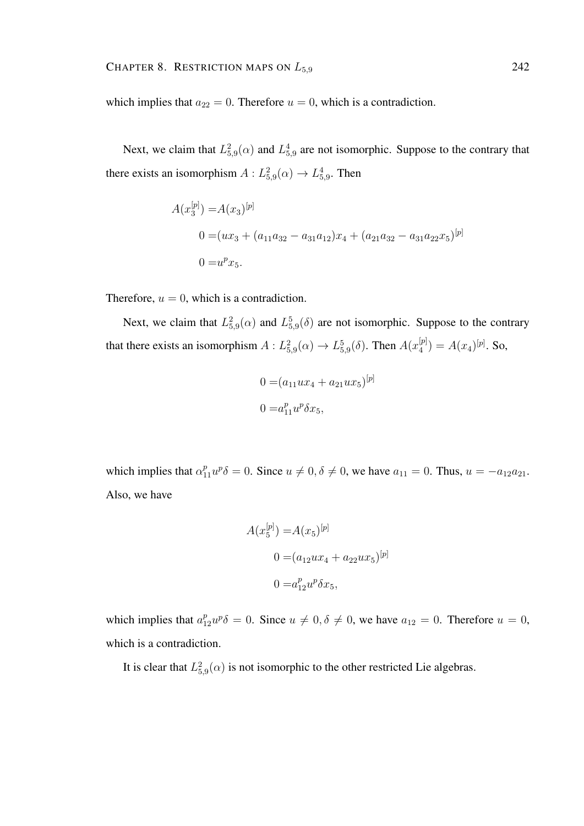which implies that  $a_{22} = 0$ . Therefore  $u = 0$ , which is a contradiction.

Next, we claim that  $L_{5,9}^2(\alpha)$  and  $L_{5,9}^4$  are not isomorphic. Suppose to the contrary that there exists an isomorphism  $A: L^2_{5,9}(\alpha) \to L^4_{5,9}$ . Then

$$
A(x_3^{[p]}) = A(x_3)^{[p]}
$$
  
\n
$$
0 = (ux_3 + (a_{11}a_{32} - a_{31}a_{12})x_4 + (a_{21}a_{32} - a_{31}a_{22}x_5)^{[p]}
$$
  
\n
$$
0 = u^p x_5.
$$

Therefore,  $u = 0$ , which is a contradiction.

Next, we claim that  $L_{5,9}^2(\alpha)$  and  $L_{5,9}^5(\delta)$  are not isomorphic. Suppose to the contrary that there exists an isomorphism  $A: L^2_{5,9}(\alpha) \to L^5_{5,9}(\delta)$ . Then  $A(x_4^{[p]})$  $A_4^{[p]}) = A(x_4)^{[p]}$ . So,

$$
0 = (a_{11}ux_4 + a_{21}ux_5)^{[p]}
$$

$$
0 = a_{11}^p u^p \delta x_5,
$$

which implies that  $\alpha_{11}^p u^p \delta = 0$ . Since  $u \neq 0, \delta \neq 0$ , we have  $a_{11} = 0$ . Thus,  $u = -a_{12}a_{21}$ . Also, we have

$$
A(x_5^{[p]}) = A(x_5)^{[p]}
$$
  
\n
$$
0 = (a_{12}ux_4 + a_{22}ux_5)^{[p]}
$$
  
\n
$$
0 = a_{12}^p u^p \delta x_5,
$$

which implies that  $a_{12}^p u^p \delta = 0$ . Since  $u \neq 0, \delta \neq 0$ , we have  $a_{12} = 0$ . Therefore  $u = 0$ , which is a contradiction.

It is clear that  $L^2_{5,9}(\alpha)$  is not isomorphic to the other restricted Lie algebras.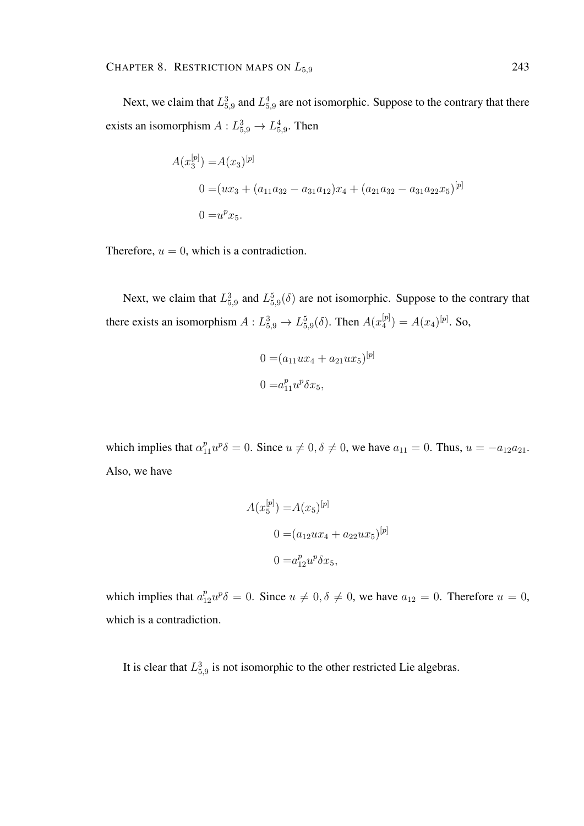Next, we claim that  $L_{5,9}^3$  and  $L_{5,9}^4$  are not isomorphic. Suppose to the contrary that there exists an isomorphism  $A: L_{5,9}^3 \rightarrow L_{5,9}^4$ . Then

$$
A(x_3^{[p]}) = A(x_3)^{[p]}
$$
  
0 =  $(ux_3 + (a_{11}a_{32} - a_{31}a_{12})x_4 + (a_{21}a_{32} - a_{31}a_{22}x_5)^{[p]}$   
0 =  $u^p x_5$ .

Therefore,  $u = 0$ , which is a contradiction.

Next, we claim that  $L_{5,9}^3$  and  $L_{5,9}^5(\delta)$  are not isomorphic. Suppose to the contrary that there exists an isomorphism  $A: L_{5,9}^3 \rightarrow L_{5,9}^5(\delta)$ . Then  $A(x_4^{[p]})$  $A_4^{[p]}) = A(x_4)^{[p]}$ . So,

$$
0 = (a_{11}ux_4 + a_{21}ux_5)^{[p]}
$$
  

$$
0 = a_{11}^p u^p \delta x_5,
$$

which implies that  $\alpha_{11}^p u^p \delta = 0$ . Since  $u \neq 0, \delta \neq 0$ , we have  $a_{11} = 0$ . Thus,  $u = -a_{12}a_{21}$ . Also, we have

$$
A(x_5^{[p]}) = A(x_5)^{[p]}
$$

$$
0 = (a_{12}ux_4 + a_{22}ux_5)^{[p]}
$$

$$
0 = a_{12}^p u^p \delta x_5,
$$

which implies that  $a_{12}^p u^p \delta = 0$ . Since  $u \neq 0, \delta \neq 0$ , we have  $a_{12} = 0$ . Therefore  $u = 0$ , which is a contradiction.

It is clear that  $L_{5,9}^3$  is not isomorphic to the other restricted Lie algebras.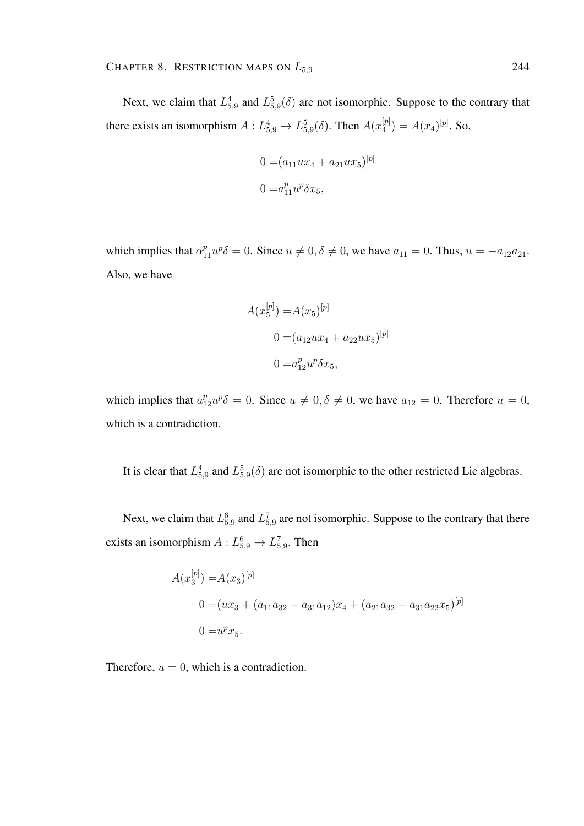Next, we claim that  $L_{5,9}^4$  and  $L_{5,9}^5(\delta)$  are not isomorphic. Suppose to the contrary that there exists an isomorphism  $A: L_{5,9}^4 \rightarrow L_{5,9}^5(\delta)$ . Then  $A(x_4^{[p]})$  $A_4^{[p]}) = A(x_4)^{[p]}$ . So,

$$
0 = (a_{11}ux_4 + a_{21}ux_5)^{[p]}
$$
  

$$
0 = a_{11}^p u^p \delta x_5,
$$

which implies that  $\alpha_{11}^p u^p \delta = 0$ . Since  $u \neq 0, \delta \neq 0$ , we have  $a_{11} = 0$ . Thus,  $u = -a_{12}a_{21}$ . Also, we have

$$
A(x_5^{[p]}) = A(x_5)^{[p]}
$$
  
\n
$$
0 = (a_{12}ux_4 + a_{22}ux_5)^{[p]}
$$
  
\n
$$
0 = a_{12}^p u^p \delta x_5,
$$

which implies that  $a_{12}^p u^p \delta = 0$ . Since  $u \neq 0, \delta \neq 0$ , we have  $a_{12} = 0$ . Therefore  $u = 0$ , which is a contradiction.

It is clear that  $L_{5,9}^4$  and  $L_{5,9}^5(\delta)$  are not isomorphic to the other restricted Lie algebras.

Next, we claim that  $L_{5,9}^6$  and  $L_{5,9}^7$  are not isomorphic. Suppose to the contrary that there exists an isomorphism  $A: L_{5,9}^6 \to L_{5,9}^7$ . Then

$$
A(x_3^{[p]}) = A(x_3)^{[p]}
$$
  
0 =  $(ux_3 + (a_{11}a_{32} - a_{31}a_{12})x_4 + (a_{21}a_{32} - a_{31}a_{22}x_5)^{[p]}$   
0 =  $u^px_5$ .

Therefore,  $u = 0$ , which is a contradiction.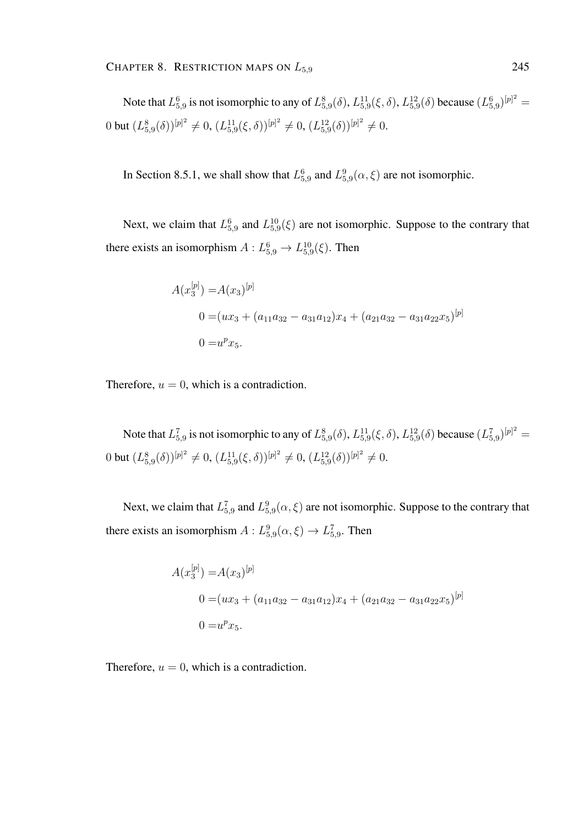Note that  $L_{5,9}^6$  is not isomorphic to any of  $L_{5,9}^8(\delta)$ ,  $L_{5,9}^{11}(\xi,\delta)$ ,  $L_{5,9}^{12}(\delta)$  because  $(L_{5,9}^6)^{[p]^2}$  = 0 but  $(L_{5,9}^{8}(\delta))^{[p]^2} \neq 0$ ,  $(L_{5,9}^{11}(\xi,\delta))^{[p]^2} \neq 0$ ,  $(L_{5,9}^{12}(\delta))^{[p]^2} \neq 0$ .

In Section 8.5.1, we shall show that  $L_{5,9}^6$  and  $L_{5,9}^9(\alpha,\xi)$  are not isomorphic.

Next, we claim that  $L_{5,9}^6$  and  $L_{5,9}^{10}(\xi)$  are not isomorphic. Suppose to the contrary that there exists an isomorphism  $A: L_{5,9}^6 \to L_{5,9}^{10}(\xi)$ . Then

$$
A(x_3^{[p]}) = A(x_3)^{[p]}
$$
  
\n
$$
0 = (ux_3 + (a_{11}a_{32} - a_{31}a_{12})x_4 + (a_{21}a_{32} - a_{31}a_{22}x_5)^{[p]}
$$
  
\n
$$
0 = u^px_5.
$$

Therefore,  $u = 0$ , which is a contradiction.

Note that  $L_{5,9}^7$  is not isomorphic to any of  $L_{5,9}^8(\delta)$ ,  $L_{5,9}^{11}(\xi,\delta)$ ,  $L_{5,9}^{12}(\delta)$  because  $(L_{5,9}^7)^{[p]^2}$  = 0 but  $(L_{5,9}^{8}(\delta))^{[p]^{2}} \neq 0$ ,  $(L_{5,9}^{11}(\xi,\delta))^{[p]^{2}} \neq 0$ ,  $(L_{5,9}^{12}(\delta))^{[p]^{2}} \neq 0$ .

Next, we claim that  $L_{5,9}^7$  and  $L_{5,9}^9(\alpha,\xi)$  are not isomorphic. Suppose to the contrary that there exists an isomorphism  $A: L^9_{5,9}(\alpha,\xi) \to L^7_{5,9}$ . Then

$$
A(x_3^{[p]}) = A(x_3)^{[p]}
$$
  
\n
$$
0 = (ux_3 + (a_{11}a_{32} - a_{31}a_{12})x_4 + (a_{21}a_{32} - a_{31}a_{22}x_5)^{[p]}
$$
  
\n
$$
0 = u^px_5.
$$

Therefore,  $u = 0$ , which is a contradiction.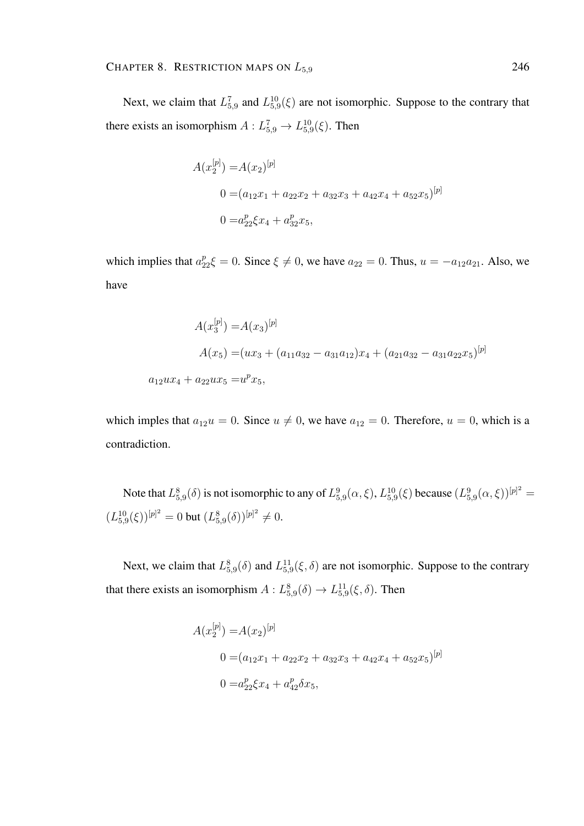Next, we claim that  $L_{5,9}^7$  and  $L_{5,9}^{10}(\xi)$  are not isomorphic. Suppose to the contrary that there exists an isomorphism  $A: L_{5,9}^7 \to L_{5,9}^{10}(\xi)$ . Then

$$
A(x_2^{[p]}) = A(x_2)^{[p]}
$$
  
\n
$$
0 = (a_{12}x_1 + a_{22}x_2 + a_{32}x_3 + a_{42}x_4 + a_{52}x_5)^{[p]}
$$
  
\n
$$
0 = a_{22}^p \xi x_4 + a_{32}^p x_5,
$$

which implies that  $a_{22}^p \xi = 0$ . Since  $\xi \neq 0$ , we have  $a_{22} = 0$ . Thus,  $u = -a_{12}a_{21}$ . Also, we have

$$
A(x_3^{[p]}) = A(x_3)^{[p]}
$$
  
\n
$$
A(x_5) = (ux_3 + (a_{11}a_{32} - a_{31}a_{12})x_4 + (a_{21}a_{32} - a_{31}a_{22}x_5)^{[p]}
$$
  
\n
$$
a_{12}ux_4 + a_{22}ux_5 = u^px_5,
$$

which imples that  $a_{12}u = 0$ . Since  $u \neq 0$ , we have  $a_{12} = 0$ . Therefore,  $u = 0$ , which is a contradiction.

Note that  $L_{5,9}^8(\delta)$  is not isomorphic to any of  $L_{5,9}^9(\alpha,\xi)$ ,  $L_{5,9}^{10}(\xi)$  because  $(L_{5,9}^9(\alpha,\xi))^{[p]^2}$  =  $(L_{5,9}^{10}(\xi))^{[p]^2} = 0$  but  $(L_{5,9}^{8}(\delta))^{[p]^2} \neq 0$ .

Next, we claim that  $L_{5,9}^{8}(\delta)$  and  $L_{5,9}^{11}(\xi,\delta)$  are not isomorphic. Suppose to the contrary that there exists an isomorphism  $A: L_{5,9}^8(\delta) \to L_{5,9}^{11}(\xi, \delta)$ . Then

$$
A(x_2^{[p]}) = A(x_2)^{[p]}
$$
  
\n
$$
0 = (a_{12}x_1 + a_{22}x_2 + a_{32}x_3 + a_{42}x_4 + a_{52}x_5)^{[p]}
$$
  
\n
$$
0 = a_{22}^p \xi x_4 + a_{42}^p \delta x_5,
$$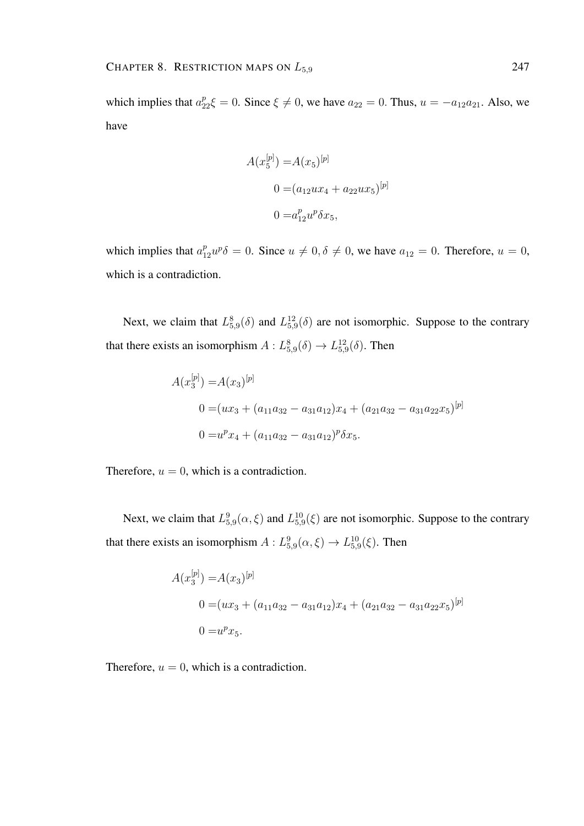which implies that  $a_{22}^p \xi = 0$ . Since  $\xi \neq 0$ , we have  $a_{22} = 0$ . Thus,  $u = -a_{12}a_{21}$ . Also, we have

$$
A(x_5^{[p]}) = A(x_5)^{[p]}
$$

$$
0 = (a_{12}ux_4 + a_{22}ux_5)^{[p]}
$$

$$
0 = a_{12}^p u^p \delta x_5,
$$

which implies that  $a_{12}^p u^p \delta = 0$ . Since  $u \neq 0, \delta \neq 0$ , we have  $a_{12} = 0$ . Therefore,  $u = 0$ , which is a contradiction.

Next, we claim that  $L_{5,9}^8(\delta)$  and  $L_{5,9}^{12}(\delta)$  are not isomorphic. Suppose to the contrary that there exists an isomorphism  $A: L_{5,9}^8(\delta) \to L_{5,9}^{12}(\delta)$ . Then

$$
A(x_3^{[p]}) = A(x_3)^{[p]}
$$
  
\n
$$
0 = (ux_3 + (a_{11}a_{32} - a_{31}a_{12})x_4 + (a_{21}a_{32} - a_{31}a_{22}x_5)^{[p]}
$$
  
\n
$$
0 = u^px_4 + (a_{11}a_{32} - a_{31}a_{12})^p \delta x_5.
$$

Therefore,  $u = 0$ , which is a contradiction.

Next, we claim that  $L_{5,9}^{9}(\alpha,\xi)$  and  $L_{5,9}^{10}(\xi)$  are not isomorphic. Suppose to the contrary that there exists an isomorphism  $A: L_{5,9}^9(\alpha, \xi) \to L_{5,9}^{10}(\xi)$ . Then

$$
A(x_3^{[p]}) = A(x_3)^{[p]}
$$
  
0 =  $(ux_3 + (a_{11}a_{32} - a_{31}a_{12})x_4 + (a_{21}a_{32} - a_{31}a_{22}x_5)^{[p]}$   
0 =  $u^px_5$ .

Therefore,  $u = 0$ , which is a contradiction.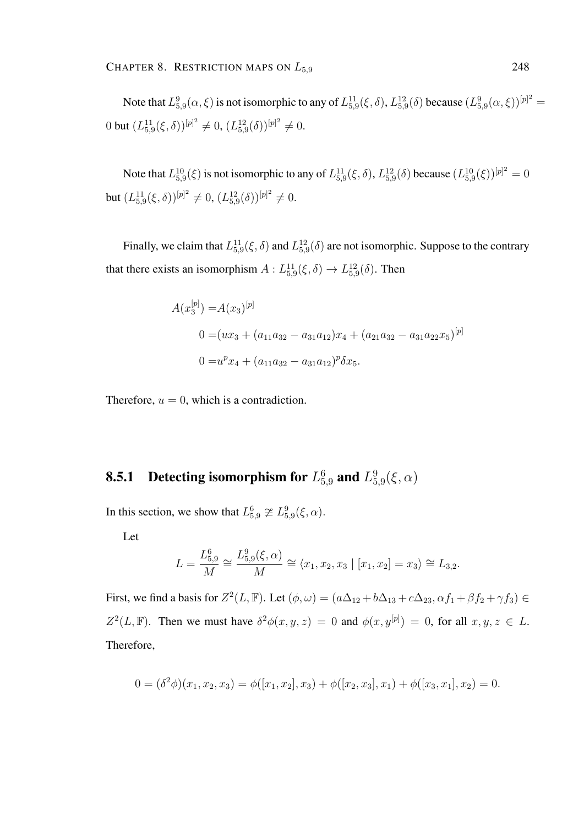Note that  $L_{5,9}^9(\alpha,\xi)$  is not isomorphic to any of  $L_{5,9}^{11}(\xi,\delta)$ ,  $L_{5,9}^{12}(\delta)$  because  $(L_{5,9}^9(\alpha,\xi))^{[p]^2} =$ 0 but  $(L_{5,9}^{11}(\xi,\delta))^{[p]^2} \neq 0$ ,  $(L_{5,9}^{12}(\delta))^{[p]^2} \neq 0$ .

Note that  $L_{5,9}^{10}(\xi)$  is not isomorphic to any of  $L_{5,9}^{11}(\xi,\delta)$ ,  $L_{5,9}^{12}(\delta)$  because  $(L_{5,9}^{10}(\xi))^{[p]^2} = 0$ but  $(L_{5,9}^{11}(\xi,\delta))^{[p]^2} \neq 0$ ,  $(L_{5,9}^{12}(\delta))^{[p]^2} \neq 0$ .

Finally, we claim that  $L_{5,9}^{11}(\xi,\delta)$  and  $L_{5,9}^{12}(\delta)$  are not isomorphic. Suppose to the contrary that there exists an isomorphism  $A: L_{5,9}^{11}(\xi, \delta) \rightarrow L_{5,9}^{12}(\delta)$ . Then

$$
A(x_3^{[p]}) = A(x_3)^{[p]}
$$
  
\n
$$
0 = (ux_3 + (a_{11}a_{32} - a_{31}a_{12})x_4 + (a_{21}a_{32} - a_{31}a_{22}x_5)^{[p]}
$$
  
\n
$$
0 = u^px_4 + (a_{11}a_{32} - a_{31}a_{12})^p \delta x_5.
$$

Therefore,  $u = 0$ , which is a contradiction.

#### **8.5.1** Detecting isomorphism for  $L_{5,9}^6$  and  $L_5^9$  $^9_{5,9}(\xi,\alpha)$

In this section, we show that  $L_{5,9}^6 \not\cong L_{5,9}^9(\xi, \alpha)$ .

Let

$$
L = \frac{L_{5,9}^6}{M} \cong \frac{L_{5,9}^9(\xi, \alpha)}{M} \cong \langle x_1, x_2, x_3 | [x_1, x_2] = x_3 \rangle \cong L_{3,2}.
$$

First, we find a basis for  $Z^2(L, \mathbb{F})$ . Let  $(\phi, \omega) = (a\Delta_{12} + b\Delta_{13} + c\Delta_{23}, \alpha f_1 + \beta f_2 + \gamma f_3) \in$  $Z^2(L,\mathbb{F})$ . Then we must have  $\delta^2\phi(x,y,z) = 0$  and  $\phi(x,y^{[p]}) = 0$ , for all  $x, y, z \in L$ . Therefore,

$$
0 = (\delta^2 \phi)(x_1, x_2, x_3) = \phi([x_1, x_2], x_3) + \phi([x_2, x_3], x_1) + \phi([x_3, x_1], x_2) = 0.
$$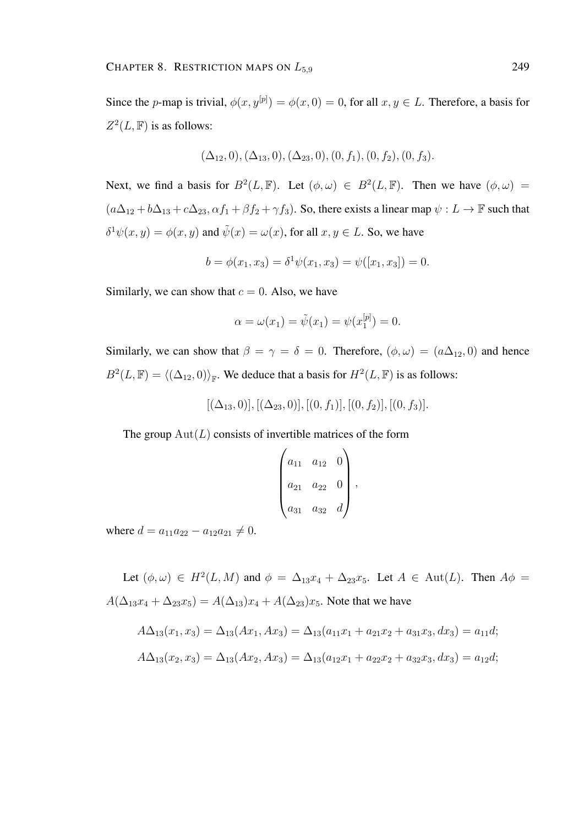Since the *p*-map is trivial,  $\phi(x, y^{[p]}) = \phi(x, 0) = 0$ , for all  $x, y \in L$ . Therefore, a basis for  $Z^2(L, \mathbb{F})$  is as follows:

$$
(\Delta_{12},0), (\Delta_{13},0), (\Delta_{23},0), (0, f_1), (0, f_2), (0, f_3).
$$

Next, we find a basis for  $B^2(L, \mathbb{F})$ . Let  $(\phi, \omega) \in B^2(L, \mathbb{F})$ . Then we have  $(\phi, \omega)$  =  $(a\Delta_{12} + b\Delta_{13} + c\Delta_{23}, \alpha f_1 + \beta f_2 + \gamma f_3)$ . So, there exists a linear map  $\psi : L \to \mathbb{F}$  such that  $\delta^1 \psi(x, y) = \phi(x, y)$  and  $\tilde{\psi}(x) = \omega(x)$ , for all  $x, y \in L$ . So, we have

$$
b = \phi(x_1, x_3) = \delta^1 \psi(x_1, x_3) = \psi([x_1, x_3]) = 0.
$$

Similarly, we can show that  $c = 0$ . Also, we have

$$
\alpha = \omega(x_1) = \tilde{\psi}(x_1) = \psi(x_1^{[p]}) = 0.
$$

Similarly, we can show that  $\beta = \gamma = \delta = 0$ . Therefore,  $(\phi, \omega) = (a\Delta_{12}, 0)$  and hence  $B^2(L, \mathbb{F}) = \langle (\Delta_{12}, 0) \rangle_{\mathbb{F}}$ . We deduce that a basis for  $H^2(L, \mathbb{F})$  is as follows:

$$
[(\Delta_{13},0)], [(\Delta_{23},0)], [(0,f_1)], [(0,f_2)], [(0,f_3)].
$$

The group  $Aut(L)$  consists of invertible matrices of the form

$$
\begin{pmatrix} a_{11} & a_{12} & 0 \ a_{21} & a_{22} & 0 \ a_{31} & a_{32} & d \end{pmatrix},
$$

where  $d = a_{11}a_{22} - a_{12}a_{21} \neq 0$ .

Let  $(\phi, \omega) \in H^2(L, M)$  and  $\phi = \Delta_{13}x_4 + \Delta_{23}x_5$ . Let  $A \in Aut(L)$ . Then  $A\phi =$  $A(\Delta_{13}x_4 + \Delta_{23}x_5) = A(\Delta_{13})x_4 + A(\Delta_{23})x_5$ . Note that we have

$$
A\Delta_{13}(x_1, x_3) = \Delta_{13}(Ax_1, Ax_3) = \Delta_{13}(a_{11}x_1 + a_{21}x_2 + a_{31}x_3, dx_3) = a_{11}d;
$$
  

$$
A\Delta_{13}(x_2, x_3) = \Delta_{13}(Ax_2, Ax_3) = \Delta_{13}(a_{12}x_1 + a_{22}x_2 + a_{32}x_3, dx_3) = a_{12}d;
$$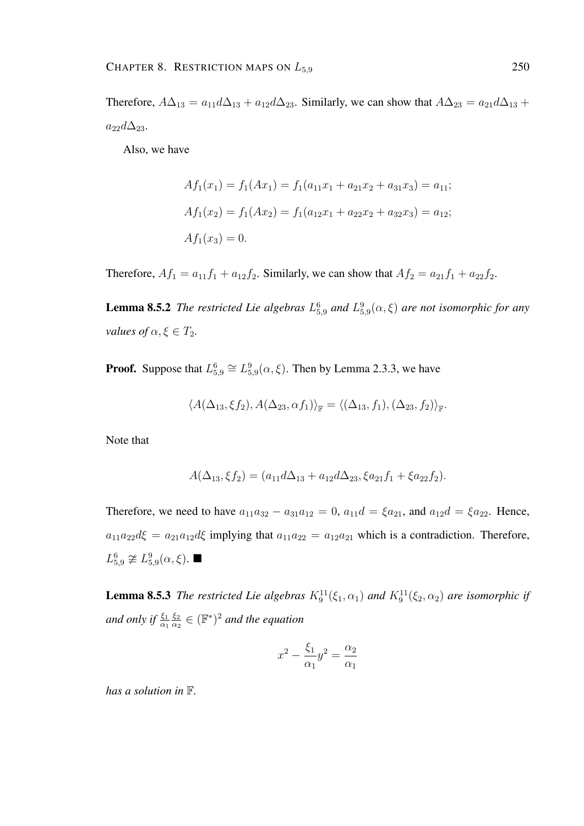Therefore,  $A\Delta_{13} = a_{11}d\Delta_{13} + a_{12}d\Delta_{23}$ . Similarly, we can show that  $A\Delta_{23} = a_{21}d\Delta_{13} + a_{21}d\Delta_{23}$ .  $a_{22}d\Delta_{23}$ .

Also, we have

$$
Af_1(x_1) = f_1(Ax_1) = f_1(a_{11}x_1 + a_{21}x_2 + a_{31}x_3) = a_{11};
$$
  
\n
$$
Af_1(x_2) = f_1(Ax_2) = f_1(a_{12}x_1 + a_{22}x_2 + a_{32}x_3) = a_{12};
$$
  
\n
$$
Af_1(x_3) = 0.
$$

Therefore,  $Af_1 = a_{11}f_1 + a_{12}f_2$ . Similarly, we can show that  $Af_2 = a_{21}f_1 + a_{22}f_2$ .

**Lemma 8.5.2** *The restricted Lie algebras*  $L_{5,9}^6$  *and*  $L_{5,9}^9(\alpha,\xi)$  *are not isomorphic for any values of*  $\alpha, \xi \in T_2$ .

**Proof.** Suppose that  $L_{5,9}^6 \cong L_{5,9}^9(\alpha, \xi)$ . Then by Lemma 2.3.3, we have

$$
\langle A(\Delta_{13}, \xi f_2), A(\Delta_{23}, \alpha f_1) \rangle_{\mathbb{F}} = \langle (\Delta_{13}, f_1), (\Delta_{23}, f_2) \rangle_{\mathbb{F}}.
$$

Note that

$$
A(\Delta_{13}, \xi f_2) = (a_{11}d\Delta_{13} + a_{12}d\Delta_{23}, \xi a_{21}f_1 + \xi a_{22}f_2).
$$

Therefore, we need to have  $a_{11}a_{32} - a_{31}a_{12} = 0$ ,  $a_{11}d = \xi a_{21}$ , and  $a_{12}d = \xi a_{22}$ . Hence,  $a_{11}a_{22}d\xi = a_{21}a_{12}d\xi$  implying that  $a_{11}a_{22} = a_{12}a_{21}$  which is a contradiction. Therefore,  $L_{5,9}^6 \not\cong L_{5,9}^9(\alpha, \xi)$ .

**Lemma 8.5.3** *The restricted Lie algebras*  $K_9^{11}(\xi_1, \alpha_1)$  *and*  $K_9^{11}(\xi_2, \alpha_2)$  *are isomorphic if* and only if  $\frac{\xi_1}{\alpha_1}$  $\xi_2$  $\frac{\xi_2}{\alpha_2} \in (\mathbb{F}^*)^2$  and the equation

$$
x^2 - \frac{\xi_1}{\alpha_1}y^2 = \frac{\alpha_2}{\alpha_1}
$$

*has a solution in* F*.*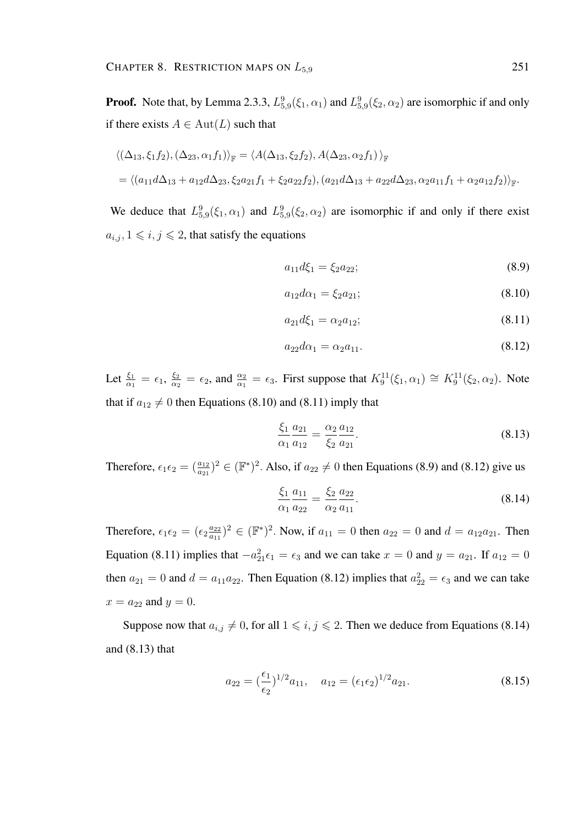**Proof.** Note that, by Lemma 2.3.3,  $L_{5,9}^9(\xi_1, \alpha_1)$  and  $L_{5,9}^9(\xi_2, \alpha_2)$  are isomorphic if and only if there exists  $A \in Aut(L)$  such that

$$
\langle (\Delta_{13}, \xi_1 f_2), (\Delta_{23}, \alpha_1 f_1) \rangle_{\mathbb{F}} = \langle A(\Delta_{13}, \xi_2 f_2), A(\Delta_{23}, \alpha_2 f_1) \rangle_{\mathbb{F}}
$$
  
=  $\langle (a_{11}d\Delta_{13} + a_{12}d\Delta_{23}, \xi_2 a_{21}f_1 + \xi_2 a_{22}f_2), (a_{21}d\Delta_{13} + a_{22}d\Delta_{23}, \alpha_2 a_{11}f_1 + \alpha_2 a_{12}f_2) \rangle_{\mathbb{F}}$ .

We deduce that  $L_{5,9}^9(\xi_1,\alpha_1)$  and  $L_{5,9}^9(\xi_2,\alpha_2)$  are isomorphic if and only if there exist  $a_{i,j}, 1 \leq i, j \leq 2$ , that satisfy the equations

$$
a_{11}d\xi_1 = \xi_2 a_{22};\tag{8.9}
$$

$$
a_{12}d\alpha_1 = \xi_2 a_{21};\tag{8.10}
$$

$$
a_{21}d\xi_1 = \alpha_2 a_{12};\tag{8.11}
$$

$$
a_{22}d\alpha_1 = \alpha_2 a_{11}.\tag{8.12}
$$

Let  $\frac{\xi_1}{\alpha_1} = \epsilon_1$ ,  $\frac{\xi_2}{\alpha_2}$  $\frac{\xi_2}{\alpha_2} = \epsilon_2$ , and  $\frac{\alpha_2}{\alpha_1} = \epsilon_3$ . First suppose that  $K_9^{11}(\xi_1, \alpha_1) \cong K_9^{11}(\xi_2, \alpha_2)$ . Note that if  $a_{12} \neq 0$  then Equations (8.10) and (8.11) imply that

$$
\frac{\xi_1}{\alpha_1} \frac{a_{21}}{a_{12}} = \frac{\alpha_2}{\xi_2} \frac{a_{12}}{a_{21}}.
$$
\n(8.13)

Therefore,  $\epsilon_1 \epsilon_2 = (\frac{a_{12}}{a_{21}})^2 \in (\mathbb{F}^*)^2$ . Also, if  $a_{22} \neq 0$  then Equations (8.9) and (8.12) give us

$$
\frac{\xi_1}{\alpha_1} \frac{a_{11}}{a_{22}} = \frac{\xi_2}{\alpha_2} \frac{a_{22}}{a_{11}}.
$$
\n(8.14)

Therefore,  $\epsilon_1 \epsilon_2 = (\epsilon_2 \frac{a_{22}}{a_{11}})$  $\frac{a_{22}}{a_{11}}$ )<sup>2</sup>  $\in (\mathbb{F}^*)^2$ . Now, if  $a_{11} = 0$  then  $a_{22} = 0$  and  $d = a_{12}a_{21}$ . Then Equation (8.11) implies that  $-a_{21}^2 \epsilon_1 = \epsilon_3$  and we can take  $x = 0$  and  $y = a_{21}$ . If  $a_{12} = 0$ then  $a_{21} = 0$  and  $d = a_{11}a_{22}$ . Then Equation (8.12) implies that  $a_{22}^2 = \epsilon_3$  and we can take  $x = a_{22}$  and  $y = 0$ .

Suppose now that  $a_{i,j} \neq 0$ , for all  $1 \leq i, j \leq 2$ . Then we deduce from Equations (8.14) and (8.13) that

$$
a_{22} = \left(\frac{\epsilon_1}{\epsilon_2}\right)^{1/2} a_{11}, \quad a_{12} = \left(\epsilon_1 \epsilon_2\right)^{1/2} a_{21}.
$$
 (8.15)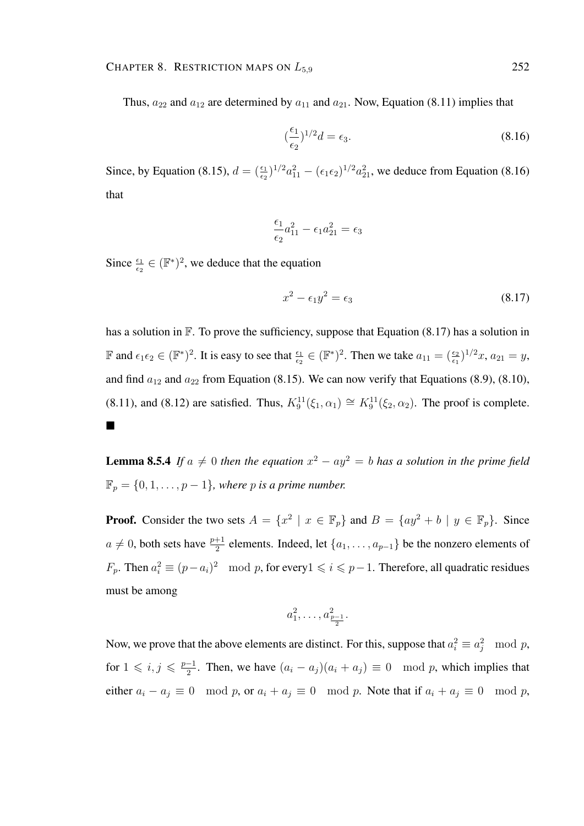Thus,  $a_{22}$  and  $a_{12}$  are determined by  $a_{11}$  and  $a_{21}$ . Now, Equation (8.11) implies that

$$
\left(\frac{\epsilon_1}{\epsilon_2}\right)^{1/2} d = \epsilon_3. \tag{8.16}
$$

Since, by Equation (8.15),  $d = (\frac{\epsilon_1}{\epsilon_2})^{1/2} a_{11}^2 - (\epsilon_1 \epsilon_2)^{1/2} a_{21}^2$ , we deduce from Equation (8.16) that

$$
\frac{\epsilon_1}{\epsilon_2}a_{11}^2 - \epsilon_1 a_{21}^2 = \epsilon_3
$$

Since  $\frac{\epsilon_1}{\epsilon_2} \in (\mathbb{F}^*)^2$ , we deduce that the equation

$$
x^2 - \epsilon_1 y^2 = \epsilon_3 \tag{8.17}
$$

has a solution in  $\mathbb F$ . To prove the sufficiency, suppose that Equation (8.17) has a solution in  $\mathbb{F}$  and  $\epsilon_1 \epsilon_2 \in (\mathbb{F}^*)^2$ . It is easy to see that  $\frac{\epsilon_1}{\epsilon_2} \in (\mathbb{F}^*)^2$ . Then we take  $a_{11} = (\frac{\epsilon_2}{\epsilon_1})^{1/2}x$ ,  $a_{21} = y$ , and find  $a_{12}$  and  $a_{22}$  from Equation (8.15). We can now verify that Equations (8.9), (8.10), (8.11), and (8.12) are satisfied. Thus,  $K_9^{11}(\xi_1, \alpha_1) \cong K_9^{11}(\xi_2, \alpha_2)$ . The proof is complete. П

**Lemma 8.5.4** If  $a \neq 0$  then the equation  $x^2 - ay^2 = b$  has a solution in the prime field  $\mathbb{F}_p = \{0, 1, \dots, p-1\}$ , where p is a prime number.

**Proof.** Consider the two sets  $A = \{x^2 \mid x \in \mathbb{F}_p\}$  and  $B = \{ay^2 + b \mid y \in \mathbb{F}_p\}$ . Since  $a \neq 0$ , both sets have  $\frac{p+1}{2}$  elements. Indeed, let  $\{a_1, \ldots, a_{p-1}\}$  be the nonzero elements of  $F_p$ . Then  $a_i^2 \equiv (p-a_i)^2 \mod p$ , for every  $1 \leq i \leq p-1$ . Therefore, all quadratic residues must be among

$$
a_1^2, \ldots, a_{\frac{p-1}{2}}^2.
$$

Now, we prove that the above elements are distinct. For this, suppose that  $a_i^2 \equiv a_j^2 \mod p$ , for  $1 \leqslant i, j \leqslant \frac{p-1}{2}$  $\frac{-1}{2}$ . Then, we have  $(a_i - a_j)(a_i + a_j) \equiv 0 \mod p$ , which implies that either  $a_i - a_j \equiv 0 \mod p$ , or  $a_i + a_j \equiv 0 \mod p$ . Note that if  $a_i + a_j \equiv 0 \mod p$ ,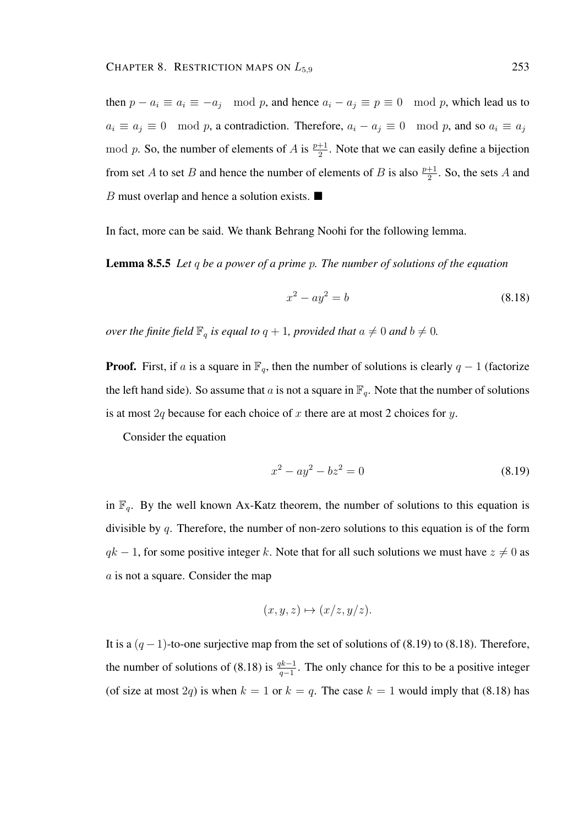then  $p - a_i \equiv a_i \equiv -a_j \mod p$ , and hence  $a_i - a_j \equiv p \equiv 0 \mod p$ , which lead us to  $a_i \equiv a_j \equiv 0 \mod p$ , a contradiction. Therefore,  $a_i - a_j \equiv 0 \mod p$ , and so  $a_i \equiv a_j$ mod p. So, the number of elements of A is  $\frac{p+1}{2}$ . Note that we can easily define a bijection from set A to set B and hence the number of elements of B is also  $\frac{p+1}{2}$ . So, the sets A and B must overlap and hence a solution exists.  $\blacksquare$ 

In fact, more can be said. We thank Behrang Noohi for the following lemma.

Lemma 8.5.5 *Let* q *be a power of a prime* p*. The number of solutions of the equation*

$$
x^2 - ay^2 = b \tag{8.18}
$$

*over the finite field*  $\mathbb{F}_q$  *is equal to*  $q + 1$ *, provided that*  $a \neq 0$  *and*  $b \neq 0$ *.* 

**Proof.** First, if a is a square in  $\mathbb{F}_q$ , then the number of solutions is clearly  $q - 1$  (factorize the left hand side). So assume that a is not a square in  $\mathbb{F}_q$ . Note that the number of solutions is at most 2q because for each choice of x there are at most 2 choices for  $y$ .

Consider the equation

$$
x^2 - ay^2 - bz^2 = 0 \tag{8.19}
$$

in  $\mathbb{F}_q$ . By the well known Ax-Katz theorem, the number of solutions to this equation is divisible by q. Therefore, the number of non-zero solutions to this equation is of the form  $qk - 1$ , for some positive integer k. Note that for all such solutions we must have  $z \neq 0$  as a is not a square. Consider the map

$$
(x, y, z) \mapsto (x/z, y/z).
$$

It is a  $(q-1)$ -to-one surjective map from the set of solutions of (8.19) to (8.18). Therefore, the number of solutions of (8.18) is  $\frac{qk-1}{q-1}$ . The only chance for this to be a positive integer (of size at most 2q) is when  $k = 1$  or  $k = q$ . The case  $k = 1$  would imply that (8.18) has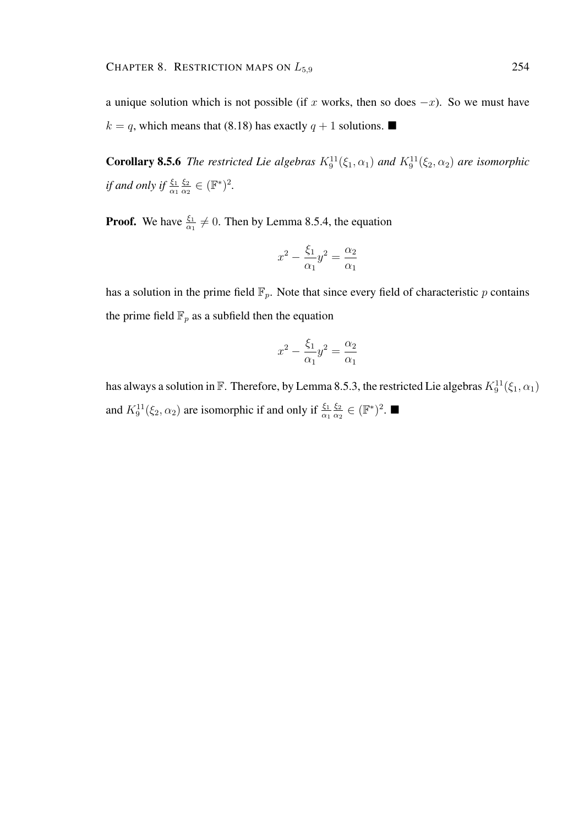**Corollary 8.5.6** The restricted Lie algebras  $K_9^{11}(\xi_1, \alpha_1)$  and  $K_9^{11}(\xi_2, \alpha_2)$  are isomorphic if and only if  $\frac{\xi_1}{\alpha_1}$  $\xi_2$  $\frac{\xi_2}{\alpha_2} \in (\mathbb{F}^*)^2$ .

**Proof.** We have  $\frac{\xi_1}{\alpha_1} \neq 0$ . Then by Lemma 8.5.4, the equation

$$
x^2 - \frac{\xi_1}{\alpha_1}y^2 = \frac{\alpha_2}{\alpha_1}
$$

has a solution in the prime field  $\mathbb{F}_p$ . Note that since every field of characteristic p contains the prime field  $\mathbb{F}_p$  as a subfield then the equation

$$
x^2 - \frac{\xi_1}{\alpha_1}y^2 = \frac{\alpha_2}{\alpha_1}
$$

has always a solution in  $\mathbb F.$  Therefore, by Lemma 8.5.3, the restricted Lie algebras  $K_9^{11}(\xi_1,\alpha_1)$ and  $K_9^{11}(\xi_2, \alpha_2)$  are isomorphic if and only if  $\frac{\xi_1}{\alpha_1}$  $\xi_2$  $\frac{\xi_2}{\alpha_2} \in (\mathbb{F}^*)^2$ .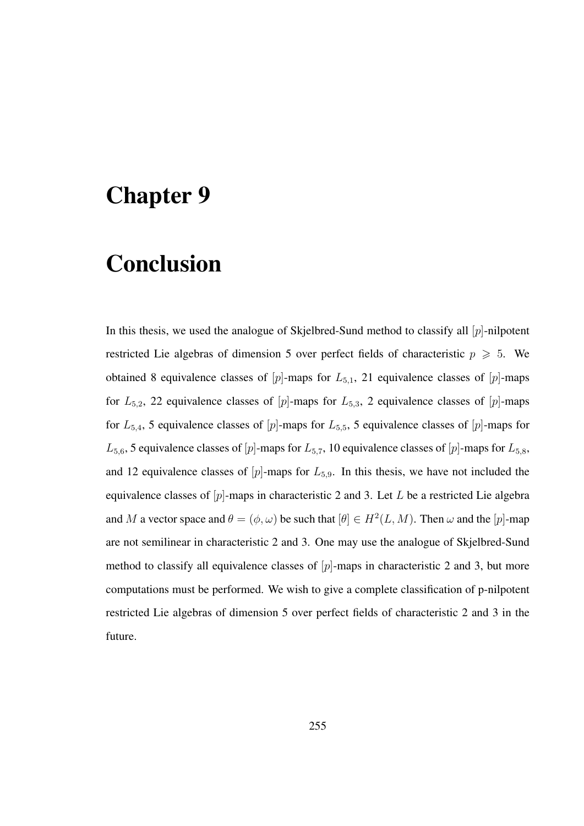## Chapter 9

## Conclusion

In this thesis, we used the analogue of Skjelbred-Sund method to classify all  $[p]$ -nilpotent restricted Lie algebras of dimension 5 over perfect fields of characteristic  $p \geq 5$ . We obtained 8 equivalence classes of  $[p]$ -maps for  $L_{5,1}$ , 21 equivalence classes of  $[p]$ -maps for  $L_{5,2}$ , 22 equivalence classes of [p]-maps for  $L_{5,3}$ , 2 equivalence classes of [p]-maps for  $L_{5,4}$ , 5 equivalence classes of [p]-maps for  $L_{5,5}$ , 5 equivalence classes of [p]-maps for  $L_{5,6}$ , 5 equivalence classes of [p]-maps for  $L_{5,7}$ , 10 equivalence classes of [p]-maps for  $L_{5,8}$ , and 12 equivalence classes of  $[p]$ -maps for  $L_{5,9}$ . In this thesis, we have not included the equivalence classes of  $[p]$ -maps in characteristic 2 and 3. Let L be a restricted Lie algebra and M a vector space and  $\theta = (\phi, \omega)$  be such that  $[\theta] \in H^2(L, M)$ . Then  $\omega$  and the  $[p]$ -map are not semilinear in characteristic 2 and 3. One may use the analogue of Skjelbred-Sund method to classify all equivalence classes of  $[p]$ -maps in characteristic 2 and 3, but more computations must be performed. We wish to give a complete classification of p-nilpotent restricted Lie algebras of dimension 5 over perfect fields of characteristic 2 and 3 in the future.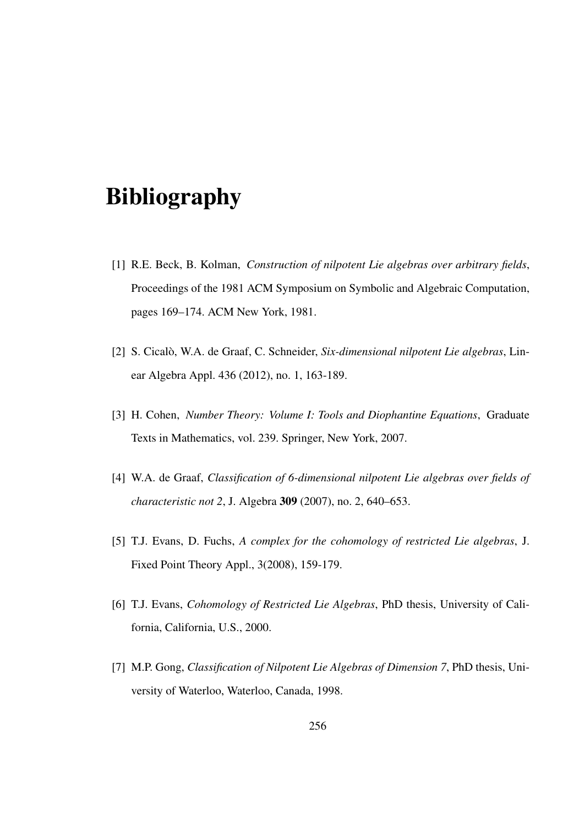## Bibliography

- [1] R.E. Beck, B. Kolman, *Construction of nilpotent Lie algebras over arbitrary fields*, Proceedings of the 1981 ACM Symposium on Symbolic and Algebraic Computation, pages 169–174. ACM New York, 1981.
- [2] S. Cicalò, W.A. de Graaf, C. Schneider, *Six-dimensional nilpotent Lie algebras*, Linear Algebra Appl. 436 (2012), no. 1, 163-189.
- [3] H. Cohen, *Number Theory: Volume I: Tools and Diophantine Equations*, Graduate Texts in Mathematics, vol. 239. Springer, New York, 2007.
- [4] W.A. de Graaf, *Classification of 6-dimensional nilpotent Lie algebras over fields of characteristic not 2*, J. Algebra 309 (2007), no. 2, 640–653.
- [5] T.J. Evans, D. Fuchs, *A complex for the cohomology of restricted Lie algebras*, J. Fixed Point Theory Appl., 3(2008), 159-179.
- [6] T.J. Evans, *Cohomology of Restricted Lie Algebras*, PhD thesis, University of California, California, U.S., 2000.
- [7] M.P. Gong, *Classification of Nilpotent Lie Algebras of Dimension 7*, PhD thesis, University of Waterloo, Waterloo, Canada, 1998.